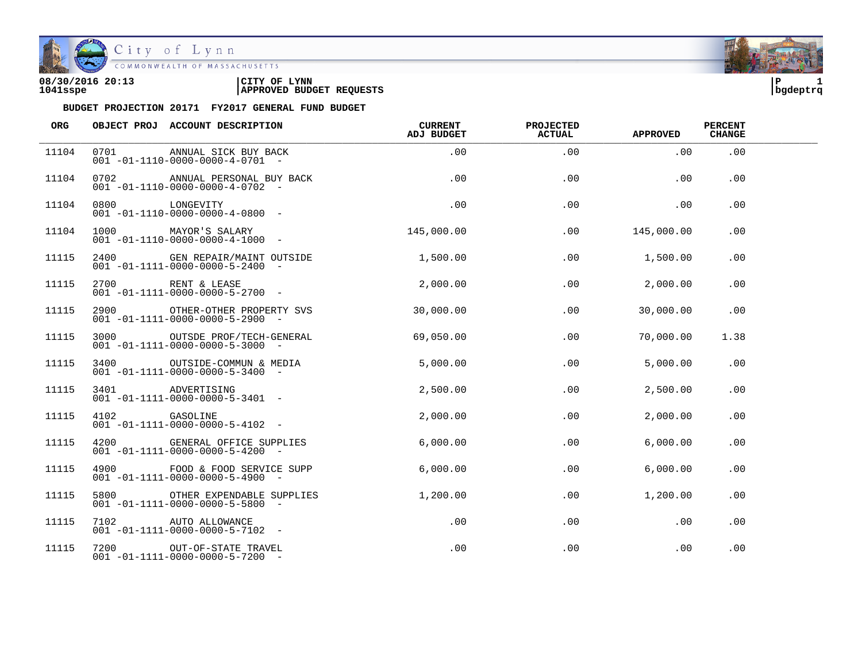

City of Lynn<br>COMMONWEALTH OF MASSACHUSETTS

| 08/30/2016 20:13 | <b>LYNN</b><br>'CITY OF         | l P      |  |
|------------------|---------------------------------|----------|--|
| 1041sspe         | <b>APPROVED BUDGET REQUESTS</b> | bqdeptrq |  |



| <b>ORG</b> |               | OBJECT PROJ ACCOUNT DESCRIPTION                                               | <b>CURRENT</b><br>ADJ BUDGET | <b>PROJECTED</b><br><b>ACTUAL</b> | <b>APPROVED</b> | <b>PERCENT</b><br><b>CHANGE</b> |  |
|------------|---------------|-------------------------------------------------------------------------------|------------------------------|-----------------------------------|-----------------|---------------------------------|--|
| 11104      | 0701          | ANNUAL SICK BUY BACK<br>$001 - 01 - 1110 - 0000 - 0000 - 4 - 0701 -$          | .00                          | .00                               | .00             | .00                             |  |
| 11104      | 0702          | ANNUAL PERSONAL BUY BACK<br>$001 - 01 - 1110 - 0000 - 0000 - 4 - 0702 -$      | .00                          | .00                               | .00             | .00                             |  |
| 11104      | 0800          | LONGEVITY<br>$001 - 01 - 1110 - 0000 - 0000 - 4 - 0800 -$                     | .00                          | .00                               | .00             | .00                             |  |
| 11104      |               | 1000 MAYOR'S SALARY<br>$001 - 01 - 1110 - 0000 - 0000 - 4 - 1000 -$           | 145,000.00                   | .00                               | 145,000.00      | .00                             |  |
| 11115      | 2400          | GEN REPAIR/MAINT OUTSIDE<br>$001 - 01 - 1111 - 0000 - 0000 - 5 - 2400 -$      | 1,500.00                     | .00                               | 1,500.00        | $.00 \,$                        |  |
| 11115      | 2700          | RENT & LEASE<br>$001 - 01 - 1111 - 0000 - 0000 - 5 - 2700 -$                  | 2,000.00                     | .00                               | 2,000.00        | .00                             |  |
| 11115      |               | 2900 OTHER-OTHER PROPERTY SVS<br>$001 - 01 - 1111 - 0000 - 0000 - 5 - 2900 -$ | 30,000,00                    | .00                               | 30,000.00       | .00                             |  |
| 11115      | 3000          | OUTSDE PROF/TECH-GENERAL<br>$001 - 01 - 1111 - 0000 - 0000 - 5 - 3000 -$      | 69,050.00                    | .00                               | 70,000.00       | 1.38                            |  |
| 11115      | 3400          | OUTSIDE-COMMUN & MEDIA<br>$001 - 01 - 1111 - 0000 - 0000 - 5 - 3400 -$        | 5,000.00                     | .00                               | 5,000.00        | .00                             |  |
| 11115      | 3401 200      | ADVERTISING<br>$001 - 01 - 1111 - 0000 - 0000 - 5 - 3401 -$                   | 2,500.00                     | .00                               | 2,500.00        | .00                             |  |
| 11115      | 4102 GASOLINE | $001 - 01 - 1111 - 0000 - 0000 - 5 - 4102 -$                                  | 2,000.00                     | .00                               | 2,000.00        | .00                             |  |
| 11115      |               | 4200 GENERAL OFFICE SUPPLIES<br>$001 - 01 - 1111 - 0000 - 0000 - 5 - 4200 -$  | 6,000.00                     | .00                               | 6,000.00        | .00                             |  |
| 11115      | 4900          | FOOD & FOOD SERVICE SUPP<br>$001 - 01 - 1111 - 0000 - 0000 - 5 - 4900 -$      | 6,000.00                     | .00                               | 6.000.00        | .00                             |  |
| 11115      | 5800          | OTHER EXPENDABLE SUPPLIES<br>$001 - 01 - 1111 - 0000 - 0000 - 5 - 5800$ -     | 1,200.00                     | .00                               | 1,200.00        | .00                             |  |
| 11115      |               | 7102 AUTO ALLOWANCE<br>$001 - 01 - 1111 - 0000 - 0000 - 5 - 7102 -$           | .00                          | .00                               | .00             | .00                             |  |
| 11115      |               | 7200 OUT-OF-STATE TRAVEL<br>$001 - 01 - 1111 - 0000 - 0000 - 5 - 7200 -$      | .00                          | .00                               | .00             | .00                             |  |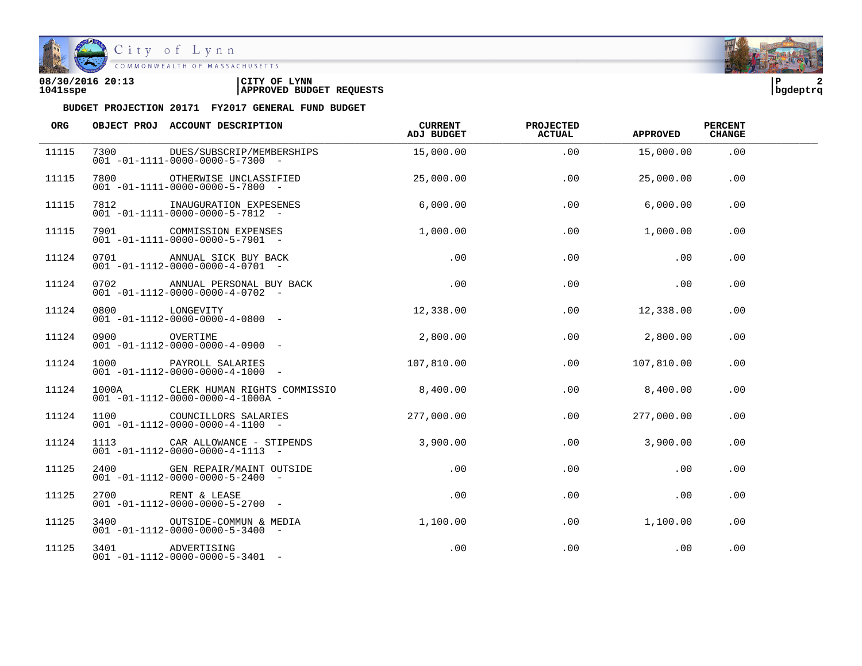

| 08/30/2016 20:13 | <b>LYNN</b><br>CITY OF          | l P      |  |
|------------------|---------------------------------|----------|--|
| 1041sspe         | <b>APPROVED BUDGET REQUESTS</b> | bqdeptrq |  |

| ORG   |               | OBJECT PROJ ACCOUNT DESCRIPTION                                                        | CURRENT<br>ADJ BUDGET | <b>PROJECTED</b><br><b>ACTUAL</b> | <b>APPROVED</b> | <b>PERCENT</b><br><b>CHANGE</b> |  |
|-------|---------------|----------------------------------------------------------------------------------------|-----------------------|-----------------------------------|-----------------|---------------------------------|--|
| 11115 | 7300          | DUES/SUBSCRIP/MEMBERSHIPS<br>$001 - 01 - 1111 - 0000 - 0000 - 5 - 7300 -$              | 15,000.00             | .00                               | 15,000.00       | .00                             |  |
| 11115 | 7800 7800     | OTHERWISE UNCLASSIFIED<br>$001 - 01 - 1111 - 0000 - 0000 - 5 - 7800 -$                 | 25,000.00             | .00                               | 25,000.00       | .00                             |  |
| 11115 | 7812          | INAUGURATION EXPESENES<br>$001 - 01 - 1111 - 0000 - 0000 - 5 - 7812 -$                 | 6,000.00              | .00                               | 6,000.00        | .00                             |  |
| 11115 |               | 7901 COMMISSION EXPENSES<br>$001 - 01 - 1111 - 0000 - 0000 - 5 - 7901 -$               | 1,000.00              | .00                               | 1,000.00        | .00                             |  |
| 11124 |               | 0701 ANNUAL SICK BUY BACK<br>$001 - 01 - 1112 - 0000 - 0000 - 4 - 0701 -$              | .00                   | .00                               | .00             | .00                             |  |
| 11124 | 0702          | ANNUAL PERSONAL BUY BACK<br>$001 - 01 - 1112 - 0000 - 0000 - 4 - 0702 -$               | .00                   | .00                               | .00             | .00                             |  |
| 11124 |               | 0800 LONGEVITY<br>$001 - 01 - 1112 - 0000 - 0000 - 4 - 0800 -$                         | 12,338.00             | .00                               | 12,338.00       | .00                             |  |
| 11124 | 0900 OVERTIME | $001 - 01 - 1112 - 0000 - 0000 - 4 - 0900 -$                                           | 2,800.00              | .00                               | 2,800.00        | .00                             |  |
| 11124 | 1000 000      | PAYROLL SALARIES<br>$001 - 01 - 1112 - 0000 - 0000 - 4 - 1000 -$                       | 107,810.00            | .00                               | 107,810.00      | .00                             |  |
| 11124 |               | 1000A CLERK HUMAN RIGHTS COMMISSIO<br>$001 - 01 - 1112 - 0000 - 0000 - 4 - 1000A -$    | 8,400.00              | .00                               | 8,400.00        | .00.                            |  |
| 11124 |               | 1100 COUNCILLORS SALARIES<br>$001 - 01 - 1112 - 0000 - 0000 - 4 - 1100 -$              | 277,000.00            | .00                               | 277,000.00      | .00                             |  |
| 11124 |               | 1113 CAR ALLOWANCE - STIPENDS 3,900.00<br>$001 - 01 - 1112 - 0000 - 0000 - 4 - 1113 -$ |                       | .00                               | 3,900.00        | .00                             |  |
| 11125 | 2400          | GEN REPAIR/MAINT OUTSIDE<br>$001 - 01 - 1112 - 0000 - 0000 - 5 - 2400 -$               | .00                   | .00                               | .00             | $.00 \,$                        |  |
| 11125 |               | $\overline{001}$ -01-1112-0000-0000-5-2700 -<br>3400                                   | .00                   | .00                               | .00             | $.00 \,$                        |  |
| 11125 |               | 3400 OUTSIDE-COMMUN & MEDIA<br>$001 - 01 - 1112 - 0000 - 0000 - 5 - 3400 -$            | 1,100.00              | .00                               | 1,100.00        | .00                             |  |
| 11125 |               | 3401 ADVERTISING<br>$001 - 01 - 1112 - 0000 - 0000 - 5 - 3401 -$                       | .00                   | .00                               | .00             | .00                             |  |

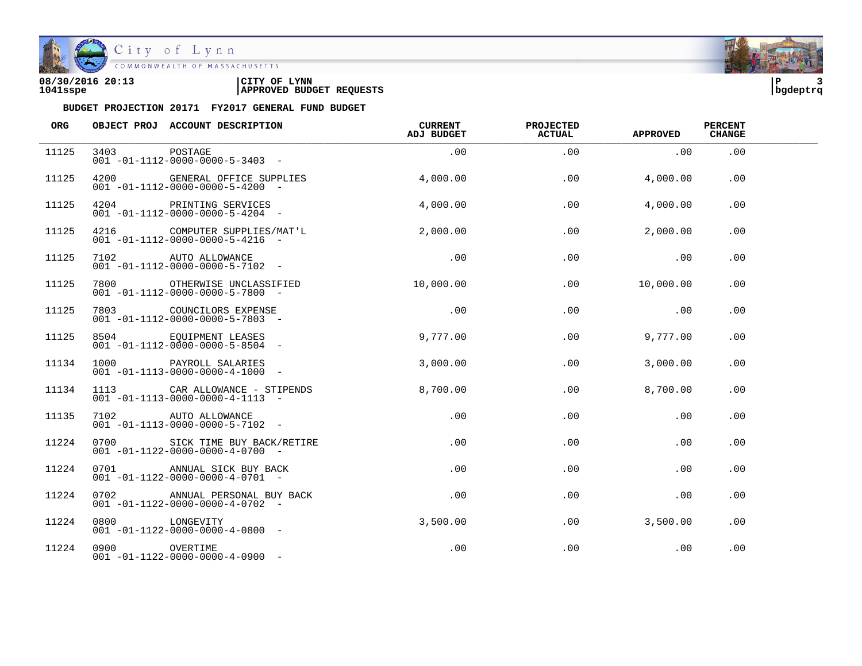

City of Lynn<br>COMMONWEALTH OF MASSACHUSETTS

| 08/30/2016 20:13 | LYNN<br>CITY OF                 | l P      |  |
|------------------|---------------------------------|----------|--|
| 1041sspe         | <b>APPROVED BUDGET REQUESTS</b> | bqdeptrq |  |

| ORG   |                | OBJECT PROJ ACCOUNT DESCRIPTION                                                 | <b>CURRENT</b><br>ADJ BUDGET | <b>PROJECTED</b><br><b>ACTUAL</b> | <b>APPROVED</b> | <b>PERCENT</b><br><b>CHANGE</b> |  |
|-------|----------------|---------------------------------------------------------------------------------|------------------------------|-----------------------------------|-----------------|---------------------------------|--|
| 11125 | 3403           | POSTAGE<br>$001 - 01 - 1112 - 0000 - 0000 - 5 - 3403 -$                         | .00                          | .00                               | .00             | .00                             |  |
| 11125 |                | 4200 GENERAL OFFICE SUPPLIES<br>$001 - 01 - 1112 - 0000 - 0000 - 5 - 4200 -$    | 4.000.00                     | .00                               | 4,000.00        | .00                             |  |
| 11125 |                | 4204 PRINTING SERVICES<br>$001 - 01 - 1112 - 0000 - 0000 - 5 - 4204 -$          | 4,000.00                     | .00                               | 4,000.00        | .00                             |  |
| 11125 |                | 4216 COMPUTER SUPPLIES/MAT'L<br>$001 - 01 - 1112 - 0000 - 0000 - 5 - 4216 -$    | 2,000.00                     | .00                               | 2,000.00        | .00                             |  |
| 11125 |                | 7102 AUTO ALLOWANCE<br>$001 - 01 - 1112 - 0000 - 0000 - 5 - 7102 -$             | .00                          | .00                               | .00             | .00                             |  |
| 11125 |                | 7800 OTHERWISE UNCLASSIFIED<br>$001 - 01 - 1112 - 0000 - 0000 - 5 - 7800 -$     | 10,000.00                    | .00                               | 10,000.00       | .00                             |  |
| 11125 |                | 7803 COUNCILORS EXPENSE<br>$001 - 01 - 1112 - 0000 - 0000 - 5 - 7803 -$         | .00                          | .00                               | .00             | .00                             |  |
| 11125 |                | 8504 EQUIPMENT LEASES<br>$001 - 01 - 1112 - 0000 - 0000 - 5 - 8504 -$           | 9,777.00                     | .00                               | 9,777.00        | .00                             |  |
| 11134 |                | 1000 PAYROLL SALARIES<br>$001 - 01 - 1113 - 0000 - 0000 - 4 - 1000 -$           | 3,000.00                     | .00                               | 3,000.00        | .00                             |  |
| 11134 |                | 1113 CAR ALLOWANCE - STIPENDS<br>$001 - 01 - 1113 - 0000 - 0000 - 4 - 1113 - -$ | 8,700.00                     | .00                               | 8,700.00        | $.00 \,$                        |  |
| 11135 |                | 7102 AUTO ALLOWANCE<br>$001 - 01 - 1113 - 0000 - 0000 - 5 - 7102 -$             | .00                          | .00                               | .00             | .00                             |  |
| 11224 |                | 0700 SICK TIME BUY BACK/RETIRE<br>$001 - 01 - 1122 - 0000 - 0000 - 4 - 0700 -$  | .00                          | .00                               | .00             | .00                             |  |
| 11224 |                | 0701 ANNUAL SICK BUY BACK<br>$001 - 01 - 1122 - 0000 - 0000 - 4 - 0701 -$       | $.00 \,$                     | .00                               | .00             | $.00 \,$                        |  |
| 11224 |                | 0702 ANNUAL PERSONAL BUY BACK<br>$001 - 01 - 1122 - 0000 - 0000 - 4 - 0702 -$   | $.00 \,$                     | $.00 \,$                          | .00             | $.00 \,$                        |  |
| 11224 | 0800 LONGEVITY | $001 - 01 - 1122 - 0000 - 0000 - 4 - 0800 -$                                    | 3,500.00                     | .00                               | 3,500.00        | .00                             |  |
| 11224 | 0900 OVERTIME  | $001 - 01 - 1122 - 0000 - 0000 - 4 - 0900 -$                                    | .00                          | .00                               | .00             | .00                             |  |

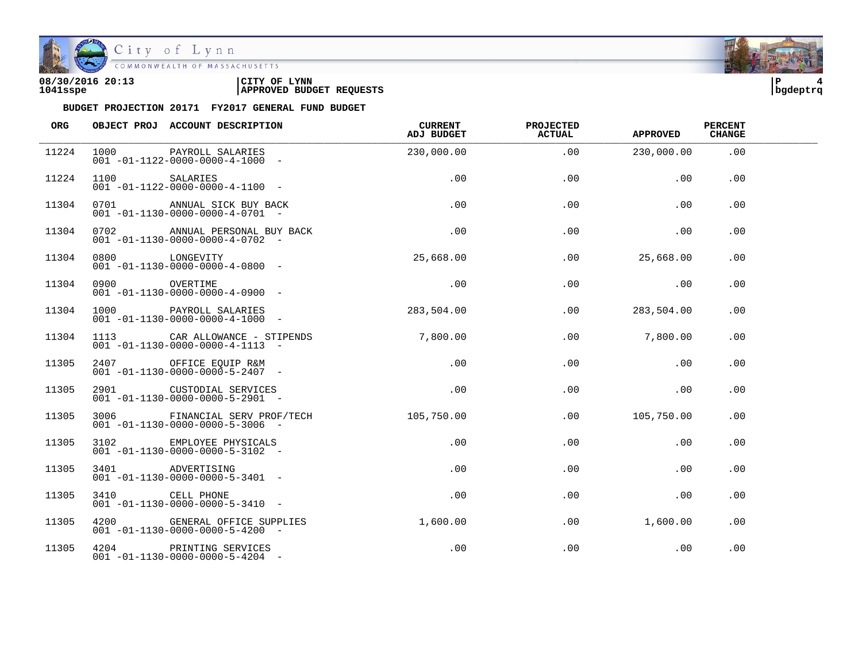

City of Lynn

COMMONWEALTH OF MASSACHUSETTS

#### **08/30/2016 20:13 |CITY OF LYNN |P 4 1041sspe |APPROVED BUDGET REQUESTS |bgdeptrq**

| ORG   |                | OBJECT PROJ ACCOUNT DESCRIPTION                                                 | <b>CURRENT</b><br>ADJ BUDGET | PROJECTED<br><b>ACTUAL</b> | <b>APPROVED</b> | <b>PERCENT</b><br><b>CHANGE</b> |  |
|-------|----------------|---------------------------------------------------------------------------------|------------------------------|----------------------------|-----------------|---------------------------------|--|
| 11224 | 1000 000       | PAYROLL SALARIES<br>$001 - 01 - 1122 - 0000 - 0000 - 4 - 1000 -$                | 230,000.00                   | .00                        | 230,000.00      | .00                             |  |
| 11224 | 1100 SALARIES  | $001 - 01 - 1122 - 0000 - 0000 - 4 - 1100 -$                                    | .00                          | .00                        | .00             | .00                             |  |
| 11304 |                | 0701 ANNUAL SICK BUY BACK<br>$001 - 01 - 1130 - 0000 - 0000 - 4 - 0701$ -       | .00                          | .00                        | .00             | .00                             |  |
| 11304 |                | 0702 ANNUAL PERSONAL BUY BACK<br>$001 - 01 - 1130 - 0000 - 0000 - 4 - 0702 -$   | .00                          | .00                        | .00             | .00                             |  |
| 11304 | 0800 LONGEVITY | $001 - 01 - 1130 - 0000 - 0000 - 4 - 0800$ -                                    | 25,668.00                    | .00                        | 25,668.00       | .00                             |  |
| 11304 | 0900           | OVERTIME<br>$001 - 01 - 1130 - 0000 - 0000 - 4 - 0900 -$                        | .00                          | .00                        | .00             | .00                             |  |
| 11304 |                | 1000 PAYROLL SALARIES<br>$001 - 01 - 1130 - 0000 - 0000 - 4 - 1000 -$           | 283,504.00                   | .00                        | 283,504.00      | .00                             |  |
| 11304 |                | 1113 CAR ALLOWANCE - STIPENDS<br>$001 - 01 - 1130 - 0000 - 0000 - 4 - 1113 - -$ | 7,800.00                     | .00                        | 7,800,00        | .00                             |  |
| 11305 |                | 2407 OFFICE EQUIP R&M<br>$001 - 01 - 1130 - 0000 - 0000 - 5 - 2407 -$           | .00                          | .00                        | .00             | .00                             |  |
| 11305 |                | 2901 CUSTODIAL SERVICES<br>$001 - 01 - 1130 - 0000 - 0000 - 5 - 2901 -$         | .00                          | .00                        | .00             | .00                             |  |
| 11305 |                | 3006 FINANCIAL SERV PROF/TECH<br>$001 - 01 - 1130 - 0000 - 0000 - 5 - 3006$ -   | 105,750.00                   | .00                        | 105,750.00      | .00                             |  |
| 11305 |                | 3102 EMPLOYEE PHYSICALS<br>$001 - 01 - 1130 - 0000 - 0000 - 5 - 3102 -$         | $.00 \,$                     | .00                        | .00             | .00                             |  |
| 11305 |                | 3401 ADVERTISING<br>$001 - 01 - 1130 - 0000 - 0000 - 5 - 3401 -$                | $.00 \,$                     | .00                        | .00             | .00                             |  |
| 11305 | 3410           | CELL PHONE<br>$001 - 01 - 1130 - 0000 - 0000 - 5 - 3410 -$                      | .00                          | .00                        | .00             | $.00 \,$                        |  |
| 11305 |                | 4200 GENERAL OFFICE SUPPLIES<br>$001 - 01 - 1130 - 0000 - 0000 - 5 - 4200 -$    | 1,600.00                     | .00                        | 1,600.00        | .00                             |  |
| 11305 |                | 4204 PRINTING SERVICES<br>$001 - 01 - 1130 - 0000 - 0000 - 5 - 4204 -$          | .00                          | .00                        | .00             | .00                             |  |

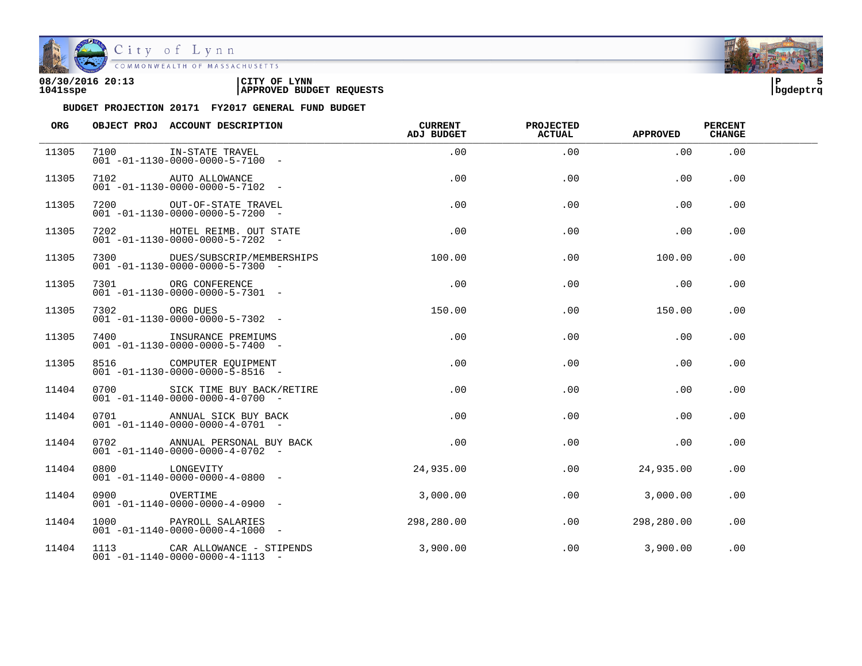

| 08/30/2016 20:13 | LYNN<br>CITY OF                 | ם ו      |  |
|------------------|---------------------------------|----------|--|
| 1041sspe         | <b>APPROVED BUDGET REQUESTS</b> | bqdeptrq |  |

| ORG   |                | OBJECT PROJ ACCOUNT DESCRIPTION                                                 | <b>CURRENT</b><br>ADJ BUDGET | <b>PROJECTED</b><br><b>ACTUAL</b> | <b>APPROVED</b> | <b>PERCENT</b><br><b>CHANGE</b> |  |
|-------|----------------|---------------------------------------------------------------------------------|------------------------------|-----------------------------------|-----------------|---------------------------------|--|
| 11305 |                | 7100 IN-STATE TRAVEL<br>$001 - 01 - 1130 - 0000 - 0000 - 5 - 7100$ -            | .00                          | .00                               | .00             | .00                             |  |
| 11305 |                | 7102 AUTO ALLOWANCE<br>$001 - 01 - 1130 - 0000 - 0000 - 5 - 7102 -$             | .00                          | .00                               | .00             | .00                             |  |
| 11305 |                | 7200 OUT-OF-STATE TRAVEL<br>$001 - 01 - 1130 - 0000 - 0000 - 5 - 7200 -$        | .00                          | .00                               | .00             | .00                             |  |
| 11305 |                | 7202 HOTEL REIMB. OUT STATE<br>$001 - 01 - 1130 - 0000 - 0000 - 5 - 7202 -$     | $.00 \,$                     | .00                               | .00             | .00                             |  |
| 11305 |                | 7300 DUES/SUBSCRIP/MEMBERSHIPS<br>$001 - 01 - 1130 - 0000 - 0000 - 5 - 7300 -$  | 100.00                       | .00                               | 100.00          | $.00 \,$                        |  |
| 11305 |                | 7301 ORG CONFERENCE<br>$001 - 01 - 1130 - 0000 - 0000 - 5 - 7301 -$             | $.00 \,$                     | $.00 \,$                          | .00             | .00                             |  |
| 11305 | 7302 ORG DUES  | $001 - 01 - 1130 - 0000 - 0000 - 5 - 7302 -$                                    | 150.00                       | .00                               | 150.00          | .00.                            |  |
| 11305 |                | 7400 INSURANCE PREMIUMS<br>$001 - 01 - 1130 - 0000 - 0000 - 5 - 7400 -$         | .00                          | .00                               | .00             | .00                             |  |
| 11305 |                | 8516 COMPUTER EQUIPMENT<br>$001 - 01 - 1130 - 0000 - 0000 - 5 - 8516 -$         | .00                          | .00                               | .00             | .00.                            |  |
| 11404 |                | 0700 SICK TIME BUY BACK/RETIRE<br>$001 - 01 - 1140 - 0000 - 0000 - 4 - 0700 -$  | .00                          | .00                               | .00             | .00                             |  |
| 11404 |                | 0701 ANNUAL SICK BUY BACK<br>$001 - 01 - 1140 - 0000 - 0000 - 4 - 0701$ -       | $.00 \,$                     | .00                               | .00             | .00                             |  |
| 11404 |                | 0702 ANNUAL PERSONAL BUY BACK<br>$001 - 01 - 1140 - 0000 - 0000 - 4 - 0702 -$   | .00                          | .00                               | .00             | .00                             |  |
| 11404 | 0800 LONGEVITY | $001 - 01 - 1140 - 0000 - 0000 - 4 - 0800 -$                                    | 24,935.00                    | .00                               | 24,935.00       | .00                             |  |
| 11404 | 0900 OVERTIME  | $001 - 01 - 1140 - 0000 - 0000 - 4 - 0900 -$                                    | 3,000.00                     | .00                               | 3,000.00        | .00                             |  |
| 11404 |                | 1000 PAYROLL SALARIES<br>$001 - 01 - 1140 - 0000 - 0000 - 4 - 1000 -$           | 298,280.00                   | .00                               | 298,280.00      | .00                             |  |
| 11404 |                | 1113 CAR ALLOWANCE - STIPENDS<br>$001 - 01 - 1140 - 0000 - 0000 - 4 - 1113 - -$ | 3,900.00                     | .00                               | 3,900.00        | .00                             |  |

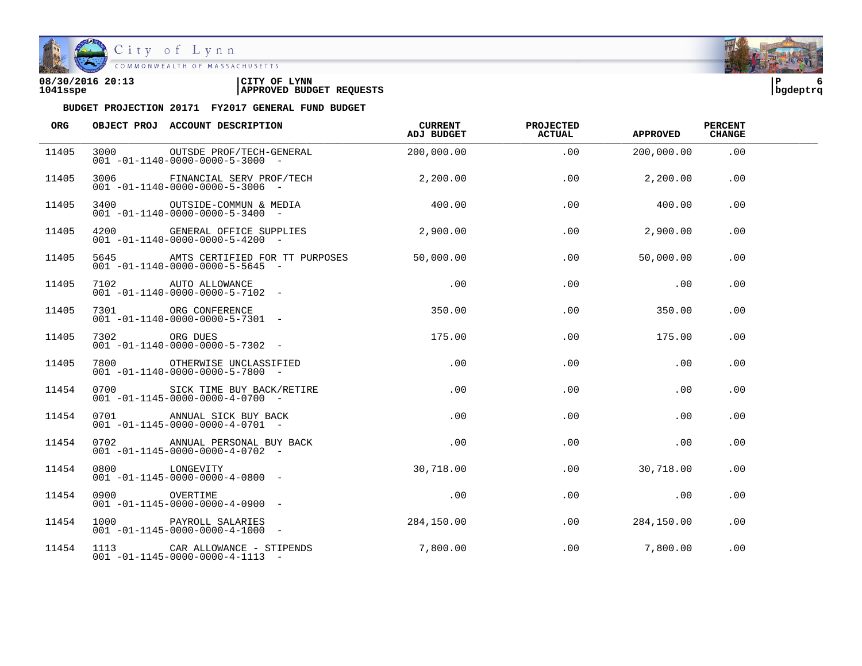

City of Lynn COMMONWEALTH OF MASSACHUSETTS

#### **08/30/2016 20:13 |CITY OF LYNN |P 6 1041sspe |APPROVED BUDGET REQUESTS |bgdeptrq**



| <b>ORG</b> |                | OBJECT PROJ ACCOUNT DESCRIPTION                                                                  | <b>CURRENT</b><br>ADJ BUDGET | <b>PROJECTED</b><br><b>ACTUAL</b> | <b>APPROVED</b>  | <b>PERCENT</b><br><b>CHANGE</b> |  |
|------------|----------------|--------------------------------------------------------------------------------------------------|------------------------------|-----------------------------------|------------------|---------------------------------|--|
| 11405      | 3000           | OUTSDE PROF/TECH-GENERAL<br>$001 - 01 - 1140 - 0000 - 0000 - 5 - 3000$ -                         | 200,000.00                   | .00                               | 200,000.00       | .00                             |  |
| 11405      |                | 3006 FINANCIAL SERV PROF/TECH<br>$001 - 01 - 1140 - 0000 - 0000 - 5 - 3006$ -                    | 2,200.00                     | .00                               | 2,200.00         | .00                             |  |
| 11405      |                | 3400 OUTSIDE-COMMUN & MEDIA 400.00<br>$001 - 01 - 1140 - 0000 - 0000 - 5 - 3400 -$               |                              | .00                               | 400.00           | .00                             |  |
| 11405      |                | 4200 GENERAL OFFICE SUPPLIES<br>$001 - 01 - 1140 - 0000 - 0000 - 5 - 4200 -$                     | 2,900.00                     |                                   | .00<br>2,900.00  | .00.                            |  |
| 11405      |                | 5645 AMTS CERTIFIED FOR TT PURPOSES<br>$001 - 01 - 1140 - 0000 - 0000 - 5 - 5645 -$              | 50,000.00                    |                                   | .00<br>50,000.00 | .00                             |  |
| 11405      |                | 7102 AUTO ALLOWANCE<br>$001 - 01 - 1140 - 0000 - 0000 - 5 - 7102 -$                              | .00                          | .00                               | .00              | .00.                            |  |
| 11405      |                | 7301 ORG CONFERENCE<br>$001 - 01 - 1140 - 0000 - 0000 - 5 - 7301 -$                              | 350.00                       | .00                               | 350.00           | .00                             |  |
| 11405      |                | 7302 ORG DUES<br>001 -01-1140-0000-0000-5-7302 -<br>$001 - 01 - 1140 - 0000 - 0000 - 5 - 7302 -$ | 175.00                       | .00                               | 175.00           | .00                             |  |
| 11405      |                | 7800 OTHERWISE UNCLASSIFIED<br>$001 - 01 - 1140 - 0000 - 0000 - 5 - 7800 -$                      | .00                          | .00                               | .00              | .00                             |  |
| 11454      |                | 0700 SICK TIME BUY BACK/RETIRE<br>$001 - 01 - 1145 - 0000 - 0000 - 4 - 0700 -$                   | .00                          | .00                               | .00              | .00.                            |  |
| 11454      |                | 0701 ANNUAL SICK BUY BACK<br>$001 - 01 - 1145 - 0000 - 0000 - 4 - 0701$ -                        | .00                          | .00                               | .00              | .00                             |  |
| 11454      |                | 0702 ANNUAL PERSONAL BUY BACK<br>$001 - 01 - 1145 - 0000 - 0000 - 4 - 0702 -$                    | $\overline{00}$              | .00                               | .00              | .00                             |  |
| 11454      | 0800 LONGEVITY | $001 - 01 - 1145 - 0000 - 0000 - 4 - 0800 -$                                                     | 30,718.00                    | .00                               | 30,718.00        | .00.                            |  |
| 11454      | 0900 OVERTIME  | $001 - 01 - 1145 - 0000 - 0000 - 4 - 0900 -$                                                     | .00                          | .00                               | .00              | .00.                            |  |
| 11454      |                | 1000 PAYROLL SALARIES<br>$001 - 01 - 1145 - 0000 - 0000 - 4 - 1000 -$                            | 284,150.00                   | .00                               | 284,150.00       | .00                             |  |
| 11454      |                | 1113 CAR ALLOWANCE - STIPENDS<br>$001 - 01 - 1145 - 0000 - 0000 - 4 - 1113 - -$                  | 7,800.00                     | .00                               | 7,800.00         | .00                             |  |

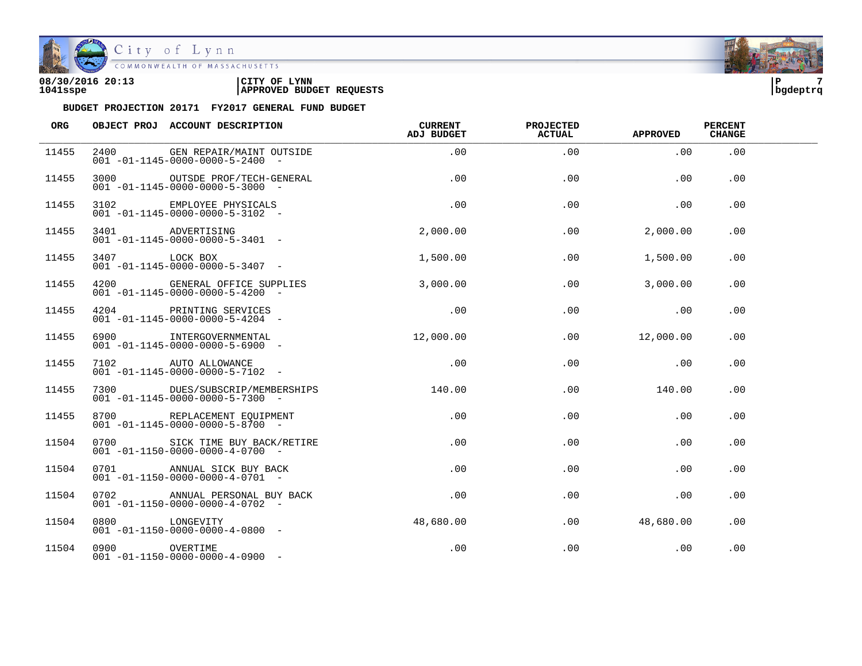

| 08/30/2016 20:13 | <b>LYNN</b><br>'CITY OF         | l P      |  |
|------------------|---------------------------------|----------|--|
| 1041sspe         | <b>APPROVED BUDGET REQUESTS</b> | bqdeptrq |  |

| ORG   |                | OBJECT PROJ ACCOUNT DESCRIPTION                                                       | CURRENT<br>ADJ BUDGET | <b>PROJECTED</b><br><b>ACTUAL</b> | <b>APPROVED</b> | <b>PERCENT</b><br><b>CHANGE</b> |  |
|-------|----------------|---------------------------------------------------------------------------------------|-----------------------|-----------------------------------|-----------------|---------------------------------|--|
| 11455 | 2400           | GEN REPAIR/MAINT OUTSIDE<br>$001 - 01 - 1145 - 0000 - 0000 - 5 - 2400 -$              | .00                   | .00                               | .00             | .00                             |  |
| 11455 |                | 3000 OUTSDE PROF/TECH-GENERAL<br>$001 - 01 - 1145 - 0000 - 0000 - 5 - 3000 -$         | .00                   | .00                               | .00             | .00                             |  |
| 11455 |                | 3102 EMPLOYEE PHYSICALS<br>$001 - 01 - 1145 - 0000 - 0000 - 5 - 3102 -$               | .00                   | .00                               | .00             | .00                             |  |
| 11455 |                | 3401 ADVERTISING<br>001 -01-1145-0000-0000-5-3401 -                                   | 2,000.00              | .00                               | 2,000.00        | .00                             |  |
| 11455 | 3407 LOCK BOX  | $001 - 01 - 1145 - 0000 - 0000 - 5 - 3407 -$                                          | 1,500.00              | .00                               | 1,500.00        | $.00 \,$                        |  |
| 11455 |                | 4200 GENERAL OFFICE SUPPLIES<br>$001 - 01 - 1145 - 0000 - 0000 - 5 - 4200 -$          | 3,000.00              | .00                               | 3,000.00        | .00                             |  |
| 11455 |                | 4204 PRINTING SERVICES<br>$001 - 01 - 1145 - 0000 - 0000 - 5 - 4204$ -                | .00                   | .00                               | .00             | .00                             |  |
| 11455 |                | 6900 INTERGOVERNMENTAL<br>$001 - 01 - 1145 - 0000 - 0000 - 5 - 6900$ -                | 12,000.00             | .00                               | 12,000.00       | .00                             |  |
| 11455 |                | 7102 AUTO ALLOWANCE<br>$001 - 01 - 1145 - 0000 - 0000 - 5 - 7102 -$                   | .00                   | .00                               | .00             | .00                             |  |
| 11455 |                | 7300 DUES/SUBSCRIP/MEMBERSHIPS 140.00<br>$001 - 01 - 1145 - 0000 - 0000 - 5 - 7300 -$ |                       | .00                               | 140.00          | .00.                            |  |
| 11455 |                | 8700 REPLACEMENT EOUIPMENT<br>$001 - 01 - 1145 - 0000 - 0000 - 5 - 8700$ -            | .00                   | .00                               | .00             | .00.                            |  |
| 11504 |                | 0700 SICK TIME BUY BACK/RETIRE<br>$0.01 - 01 - 1150 - 0000 - 0000 - 4 - 0700 -$       | .00                   | .00                               | .00             | .00                             |  |
| 11504 |                | 0701 ANNUAL SICK BUY BACK<br>$001 - 01 - 1150 - 0000 - 0000 - 4 - 0701 -$             | .00                   | .00                               | .00             | $.00 \,$                        |  |
| 11504 | 0702           | ANNUAL PERSONAL BUY BACK<br>$001 - 01 - 1150 - 0000 - 0000 - 4 - 0702 -$              | .00                   | .00                               | .00             | .00.                            |  |
| 11504 | 0800 LONGEVITY | $001 - 01 - 1150 - 0000 - 0000 - 4 - 0800 -$                                          | 48,680.00             | .00                               | 48,680.00       | .00                             |  |
| 11504 | 0900 OVERTIME  | $001 - 01 - 1150 - 0000 - 0000 - 4 - 0900 -$                                          | .00                   | .00                               | .00             | .00                             |  |

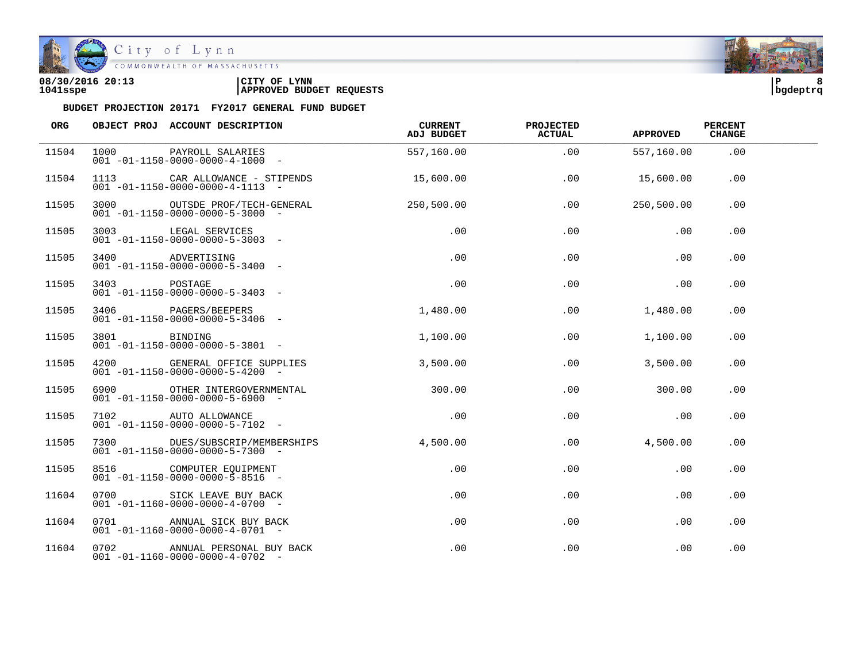

| 08/30/2016 20:13 | LYNN<br>CITY OF                 | l P      |  |
|------------------|---------------------------------|----------|--|
| 1041sspe         | <b>APPROVED BUDGET REQUESTS</b> | bqdeptrq |  |

| ORG   |              | OBJECT PROJ ACCOUNT DESCRIPTION                                                 | CURRENT<br>ADJ BUDGET | <b>PROJECTED</b><br><b>ACTUAL</b> | <b>APPROVED</b> | <b>PERCENT</b><br><b>CHANGE</b> |  |
|-------|--------------|---------------------------------------------------------------------------------|-----------------------|-----------------------------------|-----------------|---------------------------------|--|
| 11504 | 1000         | PAYROLL SALARIES<br>$001 - 01 - 1150 - 0000 - 0000 - 4 - 1000 -$                | 557,160.00            | .00                               | 557,160.00      | .00                             |  |
| 11504 |              | 1113 CAR ALLOWANCE - STIPENDS<br>$001 - 01 - 1150 - 0000 - 0000 - 4 - 1113 - -$ | 15,600.00             | .00                               | 15,600.00       | .00                             |  |
| 11505 |              | 3000 OUTSDE PROF/TECH-GENERAL<br>$001 - 01 - 1150 - 0000 - 0000 - 5 - 3000$ -   | 250, 500.00           | .00                               | 250,500.00      | .00                             |  |
| 11505 |              | 3003 LEGAL SERVICES<br>$001 - 01 - 1150 - 0000 - 0000 - 5 - 3003$ -             | $.00 \,$              | .00                               | .00             | .00                             |  |
| 11505 |              | 3400 ADVERTISING<br>$001 - 01 - 1150 - 0000 - 0000 - 5 - 3400 -$                | .00                   | .00                               | .00             | $.00 \,$                        |  |
| 11505 | 3403 POSTAGE | $001 - 01 - 1150 - 0000 - 0000 - 5 - 3403 -$                                    | $.00 \,$              | $.00 \,$                          | .00             | .00                             |  |
| 11505 |              | 3406 PAGERS/BEEPERS<br>$001 - 01 - 1150 - 0000 - 0000 - 5 - 3406 -$             | 1,480.00              | .00                               | 1,480.00        | .00                             |  |
| 11505 | 3801 BINDING | $001 - 01 - 1150 - 0000 - 0000 - 5 - 3801 -$                                    | 1,100.00              | .00                               | 1,100.00        | .00                             |  |
| 11505 |              | 4200 GENERAL OFFICE SUPPLIES<br>$001 - 01 - 1150 - 0000 - 0000 - 5 - 4200 -$    | 3,500.00              | $.00 \,$                          | 3,500.00        | .00.                            |  |
| 11505 |              | 6900 OTHER INTERGOVERNMENTAL<br>$001 - 01 - 1150 - 0000 - 0000 - 5 - 6900 -$    | 300.00                | .00                               | 300.00          | .00                             |  |
| 11505 |              | 7102 AUTO ALLOWANCE<br>$001 - 01 - 1150 - 0000 - 0000 - 5 - 7102$ -             | .00                   | .00                               | .00             | .00                             |  |
| 11505 |              | 7300 DUES/SUBSCRIP/MEMBERSHIPS<br>$001 - 01 - 1150 - 0000 - 0000 - 5 - 7300 -$  | 4,500.00              | .00                               | 4,500.00        | .00                             |  |
| 11505 |              | 8516 COMPUTER EQUIPMENT<br>$001 - 01 - 1150 - 0000 - 0000 - 5 - 8516 -$         | .00                   | .00                               | .00             | .00                             |  |
| 11604 | 0700 0700    | SICK LEAVE BUY BACK<br>$001 - 01 - 1160 - 0000 - 0000 - 4 - 0700 -$             | .00                   | .00                               | .00             | .00                             |  |
| 11604 |              | 0701 ANNUAL SICK BUY BACK<br>$001 - 01 - 1160 - 0000 - 0000 - 4 - 0701 -$       | .00                   | .00                               | .00             | .00                             |  |
| 11604 |              | 0702 ANNUAL PERSONAL BUY BACK<br>$001 - 01 - 1160 - 0000 - 0000 - 4 - 0702 -$   | .00                   | .00                               | .00             | .00                             |  |

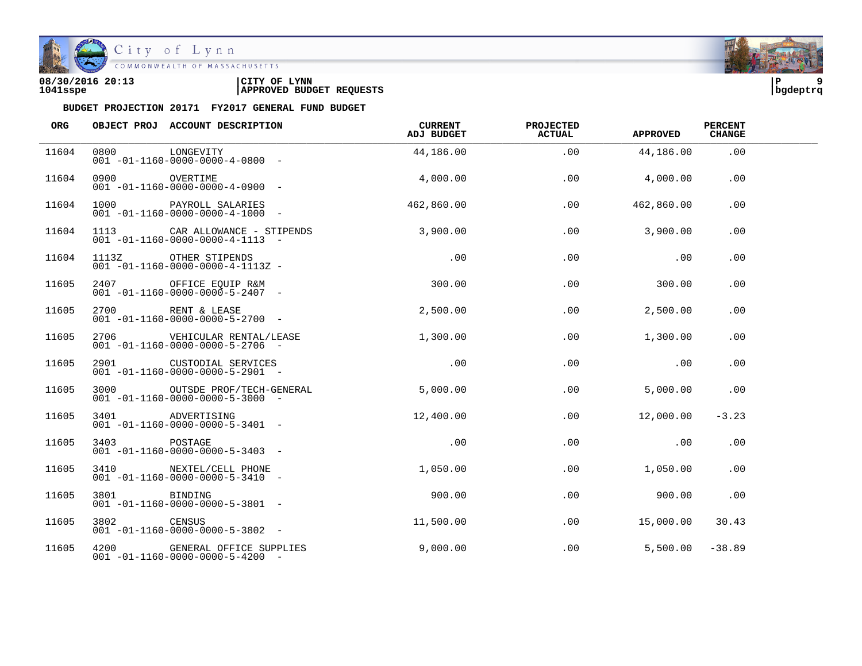

# City of Lynn<br>COMMONWEALTH OF MASSACHUSETTS

| 08/30/2016 20:13 | LYNN<br>CITY OF                 | ם!       |  |
|------------------|---------------------------------|----------|--|
| 1041sspe         | <b>APPROVED BUDGET REQUESTS</b> | bqdeptrq |  |

| ORG   |              | OBJECT PROJ ACCOUNT DESCRIPTION                                                 | CURRENT<br>ADJ BUDGET | <b>PROJECTED</b><br><b>ACTUAL</b> | <b>APPROVED</b> | <b>PERCENT</b><br><b>CHANGE</b> |  |
|-------|--------------|---------------------------------------------------------------------------------|-----------------------|-----------------------------------|-----------------|---------------------------------|--|
| 11604 | 0800         | LONGEVITY<br>$001 - 01 - 1160 - 0000 - 0000 - 4 - 0800 -$                       | 44,186.00             | .00                               | 44,186.00       | .00                             |  |
| 11604 | 0900         | OVERTIME<br>$001 - 01 - 1160 - 0000 - 0000 - 4 - 0900 -$                        | 4,000.00              | .00                               | 4,000.00        | .00                             |  |
| 11604 |              | 1000 PAYROLL SALARIES<br>$001 - 01 - 1160 - 0000 - 0000 - 4 - 1000 -$           | 462,860.00            | .00                               | 462,860.00      | .00                             |  |
| 11604 |              | 1113 CAR ALLOWANCE - STIPENDS<br>$001 - 01 - 1160 - 0000 - 0000 - 4 - 1113 - -$ | 3,900.00              | .00                               | 3,900.00        | .00                             |  |
| 11604 |              | 1113Z OTHER STIPENDS<br>$001 - 01 - 1160 - 0000 - 0000 - 4 - 1113Z -$           | .00                   | .00                               | .00             | .00                             |  |
| 11605 |              | 2407 OFFICE EQUIP R&M<br>$001 - 01 - 1160 - 0000 - 0000 - 5 - 2407 -$           | 300.00                | .00                               | 300.00          | .00                             |  |
| 11605 |              | 2700 RENT & LEASE<br>$001 - 01 - 1160 - 0000 - 0000 - 5 - 2700 -$               | 2,500.00              | .00                               | 2,500.00        | .00                             |  |
| 11605 |              | 2706 VEHICULAR RENTAL/LEASE<br>$001 - 01 - 1160 - 0000 - 0000 - 5 - 2706 -$     | 1,300.00              | .00                               | 1,300.00        | .00                             |  |
| 11605 |              | 2901 CUSTODIAL SERVICES<br>$001 - 01 - 1160 - 0000 - 0000 - 5 - 2901 -$         | .00                   | .00                               | .00             | .00                             |  |
| 11605 |              | 3000 OUTSDE PROF/TECH-GENERAL<br>$001 - 01 - 1160 - 0000 - 0000 - 5 - 3000 -$   | 5,000.00              | .00                               | 5,000.00        | .00                             |  |
| 11605 |              | 3401 ADVERTISING<br>$001 - 01 - 1160 - 0000 - 0000 - 5 - 3401 -$                | 12,400.00             | .00                               | 12,000.00       | $-3.23$                         |  |
| 11605 | 3403 POSTAGE | $001 - 01 - 1160 - 0000 - 0000 - 5 - 3403$ -                                    | .00                   | .00                               | .00             | .00                             |  |
| 11605 |              | 3410 NEXTEL/CELL PHONE<br>$001 - 01 - 1160 - 0000 - 0000 - 5 - 3410 -$          | 1,050.00              | .00                               | 1,050.00        | .00                             |  |
| 11605 | 3801 380     | BINDING<br>$001 - 01 - 1160 - 0000 - 0000 - 5 - 3801 -$                         | 900.00                | .00                               | 900.00          | .00                             |  |
| 11605 | 3802 CENSUS  | $001 - 01 - 1160 - 0000 - 0000 - 5 - 3802 -$                                    | 11,500.00             | .00                               | 15,000.00       | 30.43                           |  |
| 11605 |              | 4200 GENERAL OFFICE SUPPLIES<br>$001 - 01 - 1160 - 0000 - 0000 - 5 - 4200 -$    | 9,000.00              | .00                               | 5,500.00        | $-38.89$                        |  |

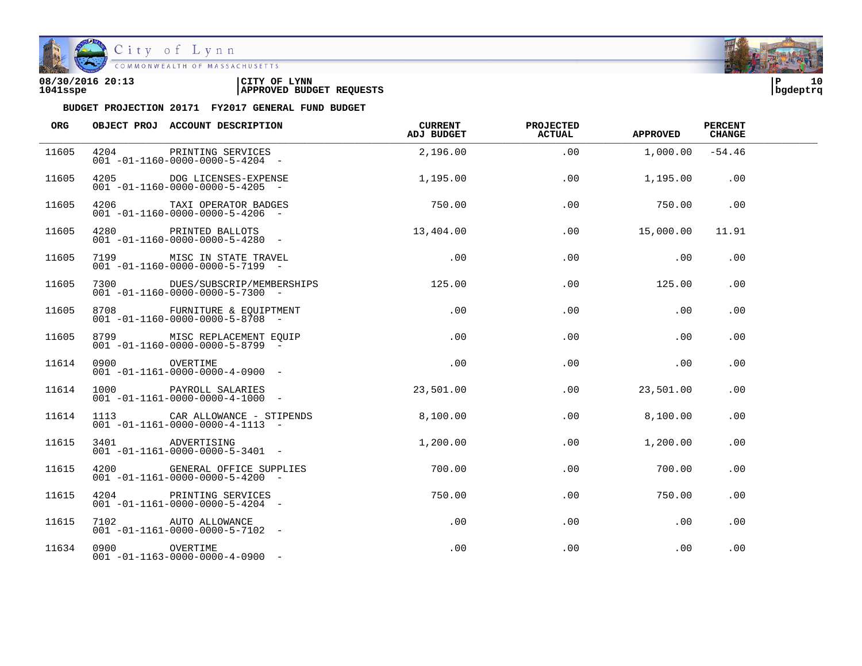

| 08/30/2016 20:13 | CITY OF<br><b>LYNN</b>          | l P      | 10 |
|------------------|---------------------------------|----------|----|
| 1041sspe         | <b>APPROVED BUDGET REQUESTS</b> | bqdeptrq |    |

| ORG   |               | OBJECT PROJ ACCOUNT DESCRIPTION                                               | CURRENT<br>ADJ BUDGET | <b>PROJECTED</b><br><b>ACTUAL</b> | <b>APPROVED</b> | <b>PERCENT</b><br><b>CHANGE</b> |  |
|-------|---------------|-------------------------------------------------------------------------------|-----------------------|-----------------------------------|-----------------|---------------------------------|--|
| 11605 | 4204          | PRINTING SERVICES<br>$001 - 01 - 1160 - 0000 - 0000 - 5 - 4204 -$             | 2,196.00              | .00                               | 1,000.00        | $-54.46$                        |  |
| 11605 | 4205          | DOG LICENSES-EXPENSE<br>$001 - 01 - 1160 - 0000 - 0000 - 5 - 4205 -$          | 1,195.00              | .00                               | 1,195.00        | .00                             |  |
| 11605 |               | 4206 TAXI OPERATOR BADGES<br>$001 - 01 - 1160 - 0000 - 0000 - 5 - 4206 -$     | 750.00                | .00                               | 750.00          | .00                             |  |
| 11605 |               | 4280 PRINTED BALLOTS<br>$001 - 01 - 1160 - 0000 - 0000 - 5 - 4280 -$          | 13,404.00             | .00                               | 15,000.00       | 11.91                           |  |
| 11605 |               | 7199 MISC IN STATE TRAVEL<br>$001 - 01 - 1160 - 0000 - 0000 - 5 - 7199 -$     | .00                   | .00                               | .00             | .00                             |  |
| 11605 | 7300          | DUES/SUBSCRIP/MEMBERSHIPS<br>$001 - 01 - 1160 - 0000 - 0000 - 5 - 7300 -$     | 125.00                | .00                               | 125.00          | .00                             |  |
| 11605 |               | 8708 FURNITURE & EOUIPTMENT<br>$001 - 01 - 1160 - 0000 - 0000 - 5 - 8708 -$   | .00                   | .00                               | .00             | .00                             |  |
| 11605 |               | 8799 MISC REPLACEMENT EQUIP<br>$001 - 01 - 1160 - 0000 - 0000 - 5 - 8799$     | .00                   | .00                               | .00             | .00                             |  |
| 11614 | 0900 OVERTIME | $001 - 01 - 1161 - 0000 - 0000 - 4 - 0900 -$                                  | .00                   | .00                               | .00             | .00                             |  |
| 11614 | 1000          | PAYROLL SALARIES<br>$001 - 01 - 1161 - 0000 - 0000 - 4 - 1000 -$              | 23,501.00             | $.00 \,$                          | 23,501.00       | .00                             |  |
| 11614 |               | 1113 CAR ALLOWANCE - STIPENDS<br>$001 - 01 - 1161 - 0000 - 0000 - 4 - 1113 -$ | 8,100.00              | .00                               | 8,100.00        | .00                             |  |
| 11615 |               | 3401 ADVERTISING<br>$001 - 01 - 1161 - 0000 - 0000 - 5 - 3401 -$              | 1,200.00              | .00                               | 1,200.00        | .00                             |  |
| 11615 |               | 4200 GENERAL OFFICE SUPPLIES<br>$001 - 01 - 1161 - 0000 - 0000 - 5 - 4200 -$  | 700.00                | .00                               | 700.00          | $.00 \,$                        |  |
| 11615 | 4204          | PRINTING SERVICES<br>$001 - 01 - 1161 - 0000 - 0000 - 5 - 4204 -$             | 750.00                | $.00 \,$                          | 750.00          | $.00 \,$                        |  |
| 11615 |               | 7102 AUTO ALLOWANCE<br>$001 - 01 - 1161 - 0000 - 0000 - 5 - 7102 -$           | $.00 \,$              | .00                               | .00             | .00                             |  |
| 11634 | 0900 OVERTIME | $001 - 01 - 1163 - 0000 - 0000 - 4 - 0900 -$                                  | .00                   | .00                               | .00             | .00                             |  |

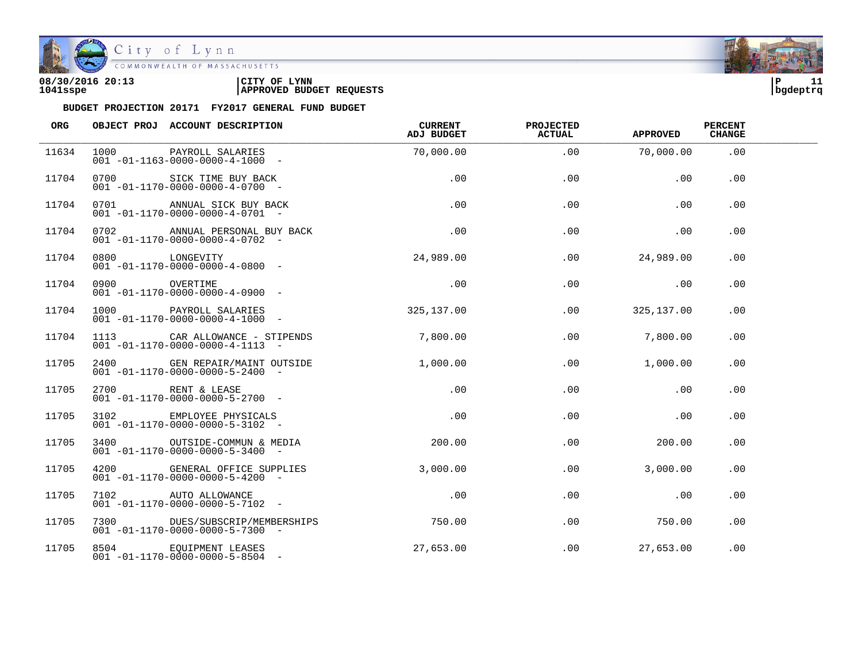

| 08/30/2016 20:13 | CITY OF<br><b>LYNN</b>          | ם ו      |  |
|------------------|---------------------------------|----------|--|
| 1041sspe         | <b>APPROVED BUDGET REQUESTS</b> | bqdeptrq |  |

| ORG   |      | OBJECT PROJ ACCOUNT DESCRIPTION                                                 | CURRENT<br>ADJ BUDGET | <b>PROJECTED</b><br><b>ACTUAL</b> | <b>APPROVED</b> | <b>PERCENT</b><br><b>CHANGE</b> |  |
|-------|------|---------------------------------------------------------------------------------|-----------------------|-----------------------------------|-----------------|---------------------------------|--|
| 11634 | 1000 | PAYROLL SALARIES<br>$001 - 01 - 1163 - 0000 - 0000 - 4 - 1000 -$                | 70,000.00             | .00                               | 70,000.00       | .00                             |  |
| 11704 | 0700 | SICK TIME BUY BACK<br>$001 - 01 - 1170 - 0000 - 0000 - 4 - 0700 -$              | .00                   | .00                               | .00             | .00                             |  |
| 11704 |      | 0701 ANNUAL SICK BUY BACK<br>$001 - 01 - 1170 - 0000 - 0000 - 4 - 0701 -$       | .00                   | .00                               | .00             | .00                             |  |
| 11704 |      | 0702 ANNUAL PERSONAL BUY BACK<br>$001 - 01 - 1170 - 0000 - 0000 - 4 - 0702 -$   | .00                   | .00                               | .00             | .00                             |  |
| 11704 |      | 0800 LONGEVITY<br>$001 - 01 - 1170 - 0000 - 0000 - 4 - 0800 -$                  | 24,989.00             | .00                               | 24,989.00       | .00                             |  |
| 11704 | 0900 | OVERTIME<br>$001 - 01 - 1170 - 0000 - 0000 - 4 - 0900 -$                        | .00                   | .00                               | .00             | .00                             |  |
| 11704 |      | 1000 PAYROLL SALARIES<br>$001 - 01 - 1170 - 0000 - 0000 - 4 - 1000 -$           | 325,137.00            | .00                               | 325,137.00      | .00.                            |  |
| 11704 |      | 1113 CAR ALLOWANCE - STIPENDS<br>$001 - 01 - 1170 - 0000 - 0000 - 4 - 1113 - -$ | 7,800.00              | .00                               | 7,800.00        | .00                             |  |
| 11705 |      | 2400 GEN REPAIR/MAINT OUTSIDE<br>$001 - 01 - 1170 - 0000 - 0000 - 5 - 2400 -$   | 1,000.00              | .00                               | 1,000.00        | .00                             |  |
| 11705 |      | 2700 RENT & LEASE<br>$001 - 01 - 1170 - 0000 - 0000 - 5 - 2700$ -               | .00                   | .00                               | .00             | .00                             |  |
| 11705 |      | 3102 EMPLOYEE PHYSICALS<br>$001 - 01 - 1170 - 0000 - 0000 - 5 - 3102 -$         | $.00 \,$              | .00                               | .00             | .00                             |  |
| 11705 |      | 3400 OUTSIDE-COMMUN & MEDIA<br>$001 - 01 - 1170 - 0000 - 0000 - 5 - 3400 -$     | 200.00                | .00                               | 200.00          | .00                             |  |
| 11705 |      | 4200 GENERAL OFFICE SUPPLIES<br>$001 - 01 - 1170 - 0000 - 0000 - 5 - 4200 -$    | 3,000.00              | .00                               | 3,000.00        | .00                             |  |
| 11705 |      | 7102 AUTO ALLOWANCE<br>$001 - 01 - 1170 - 0000 - 0000 - 5 - 7102 -$             | $.00 \,$              | $.00 \,$                          | .00             | $.00 \,$                        |  |
| 11705 |      | 7300 DUES/SUBSCRIP/MEMBERSHIPS<br>$001 - 01 - 1170 - 0000 - 0000 - 5 - 7300 -$  | 750.00                | .00                               | 750.00          | .00                             |  |
| 11705 |      | 8504 EQUIPMENT LEASES<br>$001 - 01 - 1170 - 0000 - 0000 - 5 - 8504 -$           | 27,653.00             | $.00 \,$                          | 27,653.00       | .00                             |  |

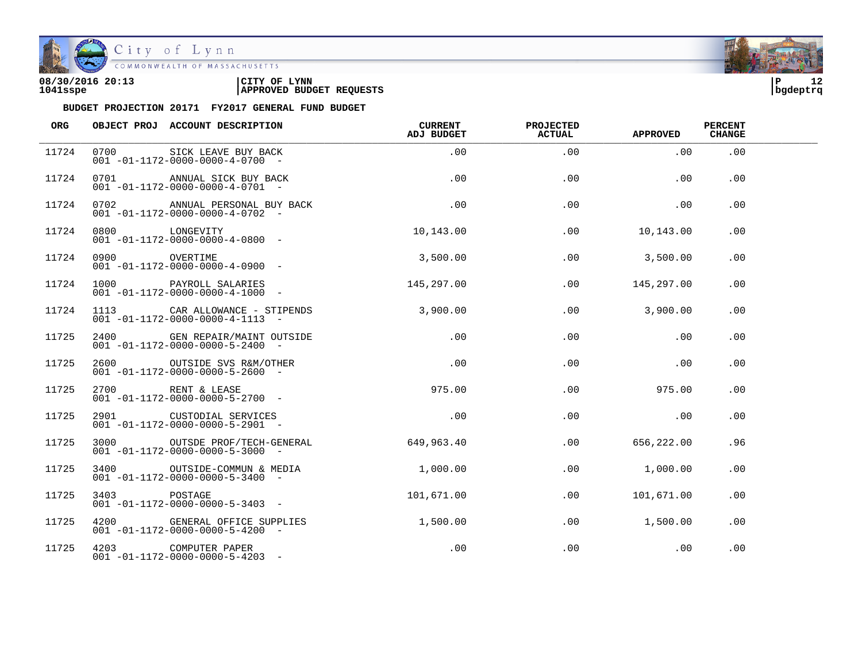

| 08/30/2016 20:13 | CITY OF<br><b>LYNN</b>          | l P      | . . |
|------------------|---------------------------------|----------|-----|
| 1041sspe         | <b>APPROVED BUDGET REQUESTS</b> | bqdeptrq |     |

| <b>ORG</b> |               | OBJECT PROJ ACCOUNT DESCRIPTION                                                 | CURRENT<br><b>ADJ BUDGET</b> | PROJECTED<br><b>ACTUAL</b> | <b>APPROVED</b> | <b>PERCENT</b><br><b>CHANGE</b> |  |
|------------|---------------|---------------------------------------------------------------------------------|------------------------------|----------------------------|-----------------|---------------------------------|--|
| 11724      | 0700          | SICK LEAVE BUY BACK<br>$001 - 01 - 1172 - 0000 - 0000 - 4 - 0700 -$             | .00                          | .00                        | .00             | .00                             |  |
| 11724      |               | 0701 ANNUAL SICK BUY BACK<br>$001 - 01 - 1172 - 0000 - 0000 - 4 - 0701 -$       | .00                          | .00                        | .00             | .00                             |  |
| 11724      |               | 0702 ANNUAL PERSONAL BUY BACK<br>$001 - 01 - 1172 - 0000 - 0000 - 4 - 0702 -$   | .00                          | .00                        | .00             | .00                             |  |
| 11724      |               | 0800 LONGEVITY<br>$001 - 01 - 1172 - 0000 - 0000 - 4 - 0800 -$                  | 10,143.00                    | .00                        | 10,143.00       | .00                             |  |
| 11724      | 0900 OVERTIME | $001 - 01 - 1172 - 0000 - 0000 - 4 - 0900 -$                                    | 3,500.00                     | .00                        | 3,500.00        | .00                             |  |
| 11724      |               | 1000 PAYROLL SALARIES<br>$001 - 01 - 1172 - 0000 - 0000 - 4 - 1000 -$           | 145,297.00                   | $.00 \,$                   | 145,297.00      | .00                             |  |
| 11724      |               | 1113 CAR ALLOWANCE - STIPENDS<br>$001 - 01 - 1172 - 0000 - 0000 - 4 - 1113 - -$ | 3,900.00                     | .00                        | 3,900.00        | .00                             |  |
| 11725      |               | 2400 GEN REPAIR/MAINT OUTSIDE<br>$001 - 01 - 1172 - 0000 - 0000 - 5 - 2400 -$   | .00                          | .00                        | .00             | .00                             |  |
| 11725      |               | 2600 OUTSIDE SVS R&M/OTHER<br>$001 - 01 - 1172 - 0000 - 0000 - 5 - 2600$ -      | .00                          | .00                        | .00             | .00                             |  |
| 11725      |               | 2700 RENT & LEASE<br>$001 - 01 - 1172 - 0000 - 0000 - 5 - 2700 -$               | 975.00                       | $.00 \,$                   | 975.00          | $.00 \,$                        |  |
| 11725      |               | 2901 CUSTODIAL SERVICES<br>$001 - 01 - 1172 - 0000 - 0000 - 5 - 2901$ -         | .00                          | .00                        | .00             | $.00 \,$                        |  |
| 11725      |               | 3000 OUTSDE PROF/TECH-GENERAL<br>$001 - 01 - 1172 - 0000 - 0000 - 5 - 3000 -$   | 649,963.40                   | $.00 \,$                   | 656,222.00      | .96                             |  |
| 11725      |               | 3400 OUTSIDE-COMMUN & MEDIA<br>$001 - 01 - 1172 - 0000 - 0000 - 5 - 3400 -$     | 1,000.00                     | $.00 \,$                   | 1,000.00        | $.00 \,$                        |  |
| 11725      | 3403          | POSTAGE<br>$001 - 01 - 1172 - 0000 - 0000 - 5 - 3403 -$                         | 101,671.00                   | $.00 \,$                   | 101,671.00      | $.00 \,$                        |  |
| 11725      |               | 4200 GENERAL OFFICE SUPPLIES<br>$001 - 01 - 1172 - 0000 - 0000 - 5 - 4200 -$    | 1,500.00                     | $.00 \,$                   | 1,500.00        | $.00 \,$                        |  |
| 11725      |               | 4203 COMPUTER PAPER<br>$001 - 01 - 1172 - 0000 - 0000 - 5 - 4203$ -             | .00                          | .00                        | .00             | .00                             |  |

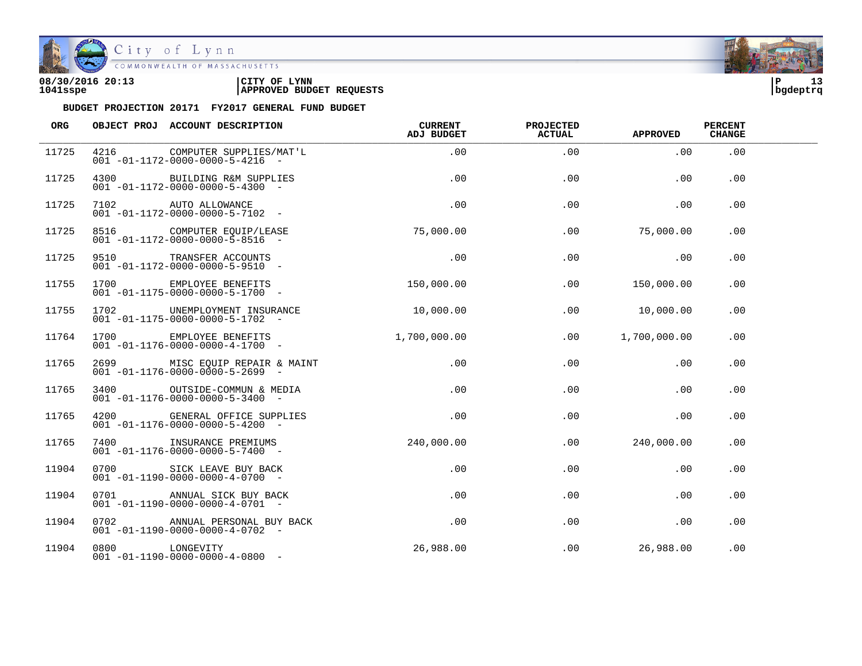

| 08/30/2016 20:13 | CITY OF<br><b>LYNN</b>          | l P      |  |
|------------------|---------------------------------|----------|--|
| 1041sspe         | <b>APPROVED BUDGET REQUESTS</b> | bgdeptrq |  |

| <b>ORG</b> |                | OBJECT PROJ ACCOUNT DESCRIPTION                                                | <b>CURRENT</b><br><b>ADJ BUDGET</b> | PROJECTED<br><b>ACTUAL</b> | <b>APPROVED</b> | <b>PERCENT</b><br><b>CHANGE</b> |  |
|------------|----------------|--------------------------------------------------------------------------------|-------------------------------------|----------------------------|-----------------|---------------------------------|--|
| 11725      | 4216           | COMPUTER SUPPLIES/MAT'L<br>$001 - 01 - 1172 - 0000 - 0000 - 5 - 4216 -$        | .00                                 | .00                        | .00             | .00                             |  |
| 11725      | 4300 and 1     | BUILDING R&M SUPPLIES<br>$001 - 01 - 1172 - 0000 - 0000 - 5 - 4300$ -          | .00                                 | .00                        | .00             | .00                             |  |
| 11725      |                | 7102 AUTO ALLOWANCE<br>$001 - 01 - 1172 - 0000 - 0000 - 5 - 7102 -$            | .00                                 | .00                        | .00             | .00                             |  |
| 11725      |                | 8516 COMPUTER EQUIP/LEASE<br>$001 - 01 - 1172 - 0000 - 0000 - 5 - 8516 -$      | 75,000.00                           | .00                        | 75,000.00       | .00                             |  |
| 11725      |                | 9510 TRANSFER ACCOUNTS<br>$001 - 01 - 1172 - 0000 - 0000 - 5 - 9510$ -         | .00                                 | .00                        | .00             | $.00 \,$                        |  |
| 11755      | 1700 1700      | EMPLOYEE BENEFITS<br>$001 - 01 - 1175 - 0000 - 0000 - 5 - 1700 -$              | 150,000.00                          | $.00 \,$                   | 150,000.00      | $.00 \,$                        |  |
| 11755      |                | 1702 UNEMPLOYMENT INSURANCE<br>$001 - 01 - 1175 - 0000 - 0000 - 5 - 1702$ -    | 10,000.00                           | .00                        | 10,000.00       | .00.                            |  |
| 11764      |                | 1700 EMPLOYEE BENEFITS<br>$001 - 01 - 1176 - 0000 - 0000 - 4 - 1700$ -         | 1,700,000.00                        | $.00 \,$                   | 1,700,000.00    | $.00 \,$                        |  |
| 11765      |                | 2699 MISC EQUIP REPAIR & MAINT<br>$001 - 01 - 1176 - 0000 - 0000 - 5 - 2699$ - | .00                                 | .00                        | .00             | .00                             |  |
| 11765      |                | 3400 OUTSIDE-COMMUN & MEDIA<br>$001 - 01 - 1176 - 0000 - 0000 - 5 - 3400 -$    | .00                                 | .00                        | .00             | .00                             |  |
| 11765      |                | 4200 GENERAL OFFICE SUPPLIES<br>$001 - 01 - 1176 - 0000 - 0000 - 5 - 4200$ -   | .00                                 | .00                        | .00             | .00                             |  |
| 11765      |                | 7400 INSURANCE PREMIUMS<br>$001 - 01 - 1176 - 0000 - 0000 - 5 - 7400 -$        | 240,000.00                          | .00                        | 240,000.00      | .00                             |  |
| 11904      |                | 0700 SICK LEAVE BUY BACK<br>$001 - 01 - 1190 - 0000 - 0000 - 4 - 0700 -$       | .00                                 | .00                        | .00             | .00.                            |  |
| 11904      | 0701           | ANNUAL SICK BUY BACK<br>$001 - 01 - 1190 - 0000 - 0000 - 4 - 0701 -$           | $.00 \,$                            | $.00 \,$                   | .00             | $.00 \,$                        |  |
| 11904      |                | 0702 ANNUAL PERSONAL BUY BACK<br>$001 - 01 - 1190 - 0000 - 0000 - 4 - 0702 -$  | .00                                 | .00                        | .00             | .00                             |  |
| 11904      | 0800 LONGEVITY | $001 - 01 - 1190 - 0000 - 0000 - 4 - 0800 -$                                   | 26,988.00                           | .00                        | 26,988.00       | .00                             |  |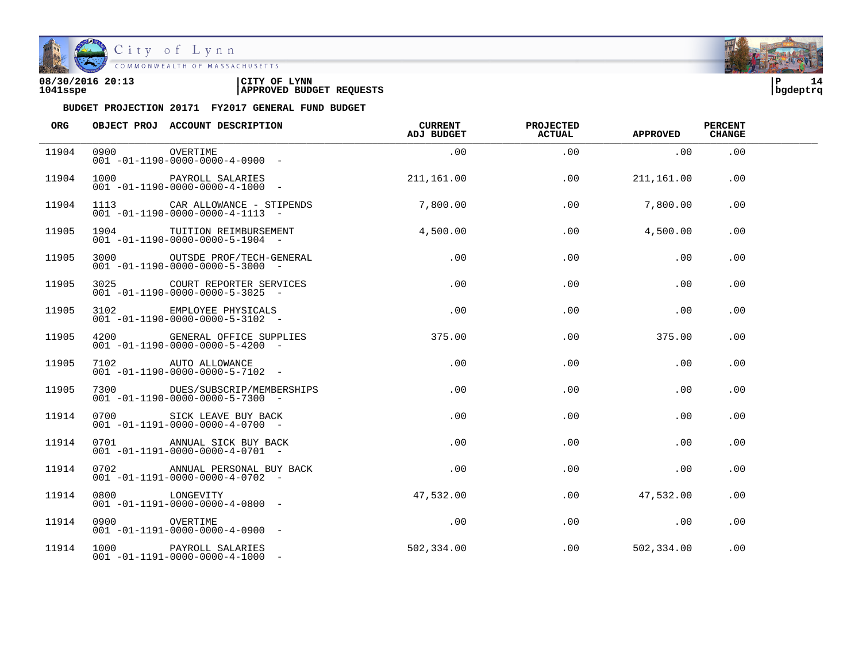

City of Lynn<br>COMMONWEALTH OF MASSACHUSETTS

| 08/30/2016 20:13 | LYNN<br>CITY OF                 | ם ו      | 14. |
|------------------|---------------------------------|----------|-----|
| 1041sspe         | <b>APPROVED BUDGET REQUESTS</b> | bqdeptrq |     |

| ORG   |               | OBJECT PROJ ACCOUNT DESCRIPTION                                                 | <b>CURRENT</b><br><b>ADJ BUDGET</b> | PROJECTED<br><b>ACTUAL</b> | <b>APPROVED</b> | <b>PERCENT</b><br><b>CHANGE</b> |  |
|-------|---------------|---------------------------------------------------------------------------------|-------------------------------------|----------------------------|-----------------|---------------------------------|--|
| 11904 | 0900          | OVERTIME<br>$001 - 01 - 1190 - 0000 - 0000 - 4 - 0900 -$                        | .00                                 | .00                        | .00             | .00                             |  |
| 11904 |               | 1000 PAYROLL SALARIES<br>$001 - 01 - 1190 - 0000 - 0000 - 4 - 1000 -$           | 211,161.00                          | .00                        | 211,161.00      | .00                             |  |
| 11904 |               | 1113 CAR ALLOWANCE - STIPENDS<br>$001 - 01 - 1190 - 0000 - 0000 - 4 - 1113 - -$ | 7,800.00                            | .00                        | 7,800.00        | .00                             |  |
| 11905 |               | 1904 TUITION REIMBURSEMENT<br>$001 - 01 - 1190 - 0000 - 0000 - 5 - 1904 -$      | 4,500.00                            | .00                        | 4,500.00        | .00                             |  |
| 11905 |               | 3000 OUTSDE PROF/TECH-GENERAL<br>$001 - 01 - 1190 - 0000 - 0000 - 5 - 3000 -$   | .00                                 | .00                        | .00             | .00                             |  |
| 11905 | 3025          | COURT REPORTER SERVICES<br>$001 - 01 - 1190 - 0000 - 0000 - 5 - 3025 -$         | .00                                 | .00                        | .00             | .00                             |  |
| 11905 |               | 3102 EMPLOYEE PHYSICALS<br>$001 - 01 - 1190 - 0000 - 0000 - 5 - 3102 -$         | .00                                 | .00                        | .00             | .00                             |  |
| 11905 |               | 4200 GENERAL OFFICE SUPPLIES<br>$001 - 01 - 1190 - 0000 - 0000 - 5 - 4200 -$    | 375.00                              | .00                        | 375.00          | .00                             |  |
| 11905 |               | 7102 AUTO ALLOWANCE<br>$001 - 01 - 1190 - 0000 - 0000 - 5 - 7102 -$             | .00                                 | .00                        | .00             | .00                             |  |
| 11905 |               | 7300 DUES/SUBSCRIP/MEMBERSHIPS<br>$001 - 01 - 1190 - 0000 - 0000 - 5 - 7300$ -  | .00                                 | .00                        | .00             | .00                             |  |
| 11914 |               | 0700 SICK LEAVE BUY BACK<br>$001 - 01 - 1191 - 0000 - 0000 - 4 - 0700 -$        | .00                                 | .00                        | .00             | .00                             |  |
| 11914 |               | 0701 ANNUAL SICK BUY BACK<br>$001 - 01 - 1191 - 0000 - 0000 - 4 - 0701 -$       | $.00 \,$                            | .00                        | .00             | .00                             |  |
| 11914 |               | 0702 ANNUAL PERSONAL BUY BACK<br>$001 - 01 - 1191 - 0000 - 0000 - 4 - 0702 -$   | .00                                 | .00                        | .00             | .00                             |  |
| 11914 | 0800          | LONGEVITY<br>$001 - 01 - 1191 - 0000 - 0000 - 4 - 0800 -$                       | 47,532.00                           | .00                        | 47,532.00       | .00                             |  |
| 11914 | 0900 OVERTIME | $001 - 01 - 1191 - 0000 - 0000 - 4 - 0900 -$                                    | .00                                 | .00                        | .00             | .00                             |  |
| 11914 |               | 1000 PAYROLL SALARIES<br>$001 - 01 - 1191 - 0000 - 0000 - 4 - 1000 -$           | 502,334.00                          | .00                        | 502,334.00      | .00                             |  |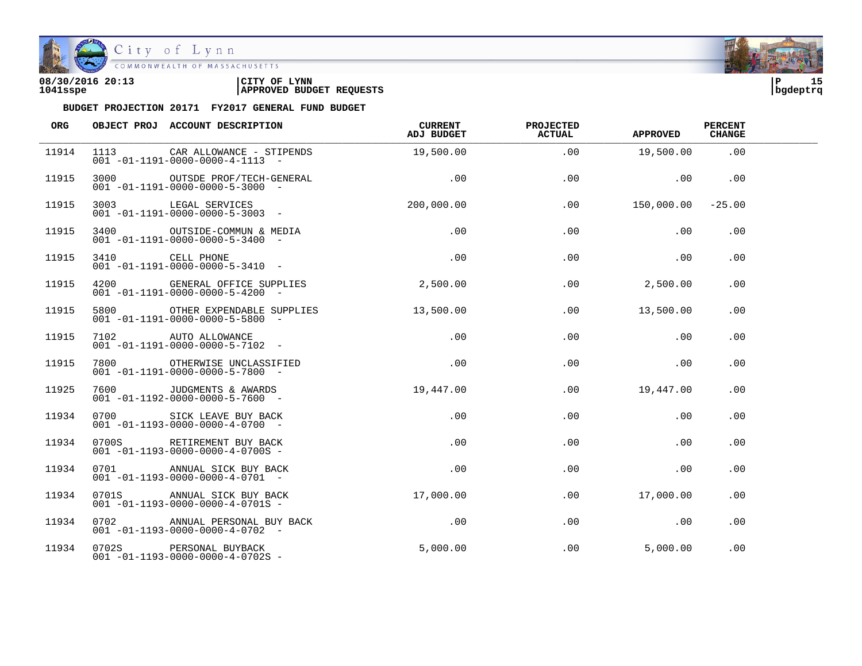

| 08/30/2016 20:13 | CITY OF<br><b>LYNN</b>          | ם ו      |  |
|------------------|---------------------------------|----------|--|
| 1041sspe         | <b>APPROVED BUDGET REQUESTS</b> | bqdeptrq |  |

| ORG   | OBJECT PROJ ACCOUNT DESCRIPTION                                                       | <b>CURRENT</b><br>ADJ BUDGET | <b>PROJECTED</b><br><b>ACTUAL</b> | <b>APPROVED</b>       | <b>PERCENT</b><br><b>CHANGE</b> |  |
|-------|---------------------------------------------------------------------------------------|------------------------------|-----------------------------------|-----------------------|---------------------------------|--|
| 11914 | 1113 CAR ALLOWANCE - STIPENDS<br>$001 - 01 - 1191 - 0000 - 0000 - 4 - 1113 - -$       | 19,500.00                    | .00                               | 19,500.00             | .00                             |  |
| 11915 | 3000 OUTSDE PROF/TECH-GENERAL<br>$001 - 01 - 1191 - 0000 - 0000 - 5 - 3000 -$         | .00                          | .00                               | $\sim$ 00             | .00                             |  |
| 11915 | 3003 LEGAL SERVICES<br>001 -01-1191-0000-0000-5-3003 -                                | 200,000.00                   | .00                               | $150,000.00$ $-25.00$ |                                 |  |
| 11915 | 3400 OUTSIDE-COMMUN & MEDIA<br>$001 - 01 - 1191 - 0000 - 0000 - 5 - 3400 -$           | .00                          | .00                               | .00                   | .00                             |  |
| 11915 | CELL PHONE<br>$001 - 01 - 1191 - 0000 - 0000 - 5 - 3410$ -<br>4200                    | .00                          | .00                               | .00                   | .00                             |  |
| 11915 | 4200 GENERAL OFFICE SUPPLIES 2,500.00<br>$001 - 01 - 1191 - 0000 - 0000 - 5 - 4200 -$ |                              | .00                               | 2,500.00              | .00                             |  |
| 11915 | 5800 OTHER EXPENDABLE SUPPLIES<br>$001 - 01 - 1191 - 0000 - 0000 - 5 - 5800 -$        | 13,500.00                    | .00                               | 13,500.00             | .00                             |  |
| 11915 | 7102 AUTO ALLOWANCE<br>$001 - 01 - 1191 - 0000 - 0000 - 5 - 7102 -$                   | $.00\,$                      | .00                               | .00                   | .00                             |  |
| 11915 | 7800 OTHERWISE UNCLASSIFIED<br>$001 - 01 - 1191 - 0000 - 0000 - 5 - 7800$ -           | .00                          | .00                               | .00                   | .00                             |  |
| 11925 | 7600 JUDGMENTS & AWARDS<br>$001 - 01 - 1192 - 0000 - 0000 - 5 - 7600 -$               | 19,447.00                    | .00                               | 19,447.00             | .00                             |  |
| 11934 | 0700 SICK LEAVE BUY BACK<br>$001 - 01 - 1193 - 0000 - 0000 - 4 - 0700 -$              | .00                          | .00                               | .00                   | .00                             |  |
| 11934 | 0700S RETIREMENT BUY BACK<br>$001 - 01 - 1193 - 0000 - 0000 - 4 - 0700S -$            | $.00 \,$                     | .00                               | .00                   | .00                             |  |
| 11934 | 0701 ANNUAL SICK BUY BACK<br>$001 - 01 - 1193 - 0000 - 0000 - 4 - 0701 -$             | $.00 \,$                     | .00                               | .00                   | $.00 \,$                        |  |
| 11934 | 0701S ANNUAL SICK BUY BACK<br>$001 - 01 - 1193 - 0000 - 0000 - 4 - 0701S -$           | 17,000.00                    | .00                               | 17,000.00             | $.00 \,$                        |  |
| 11934 | 0702 ANNUAL PERSONAL BUY BACK<br>$001 - 01 - 1193 - 0000 - 0000 - 4 - 0702 -$         | .00                          | .00                               | .00                   | .00                             |  |
| 11934 | 0702S PERSONAL BUYBACK<br>$001 - 01 - 1193 - 0000 - 0000 - 4 - 0702S -$               | 5.000.00                     | .00                               | 5,000.00              | .00                             |  |

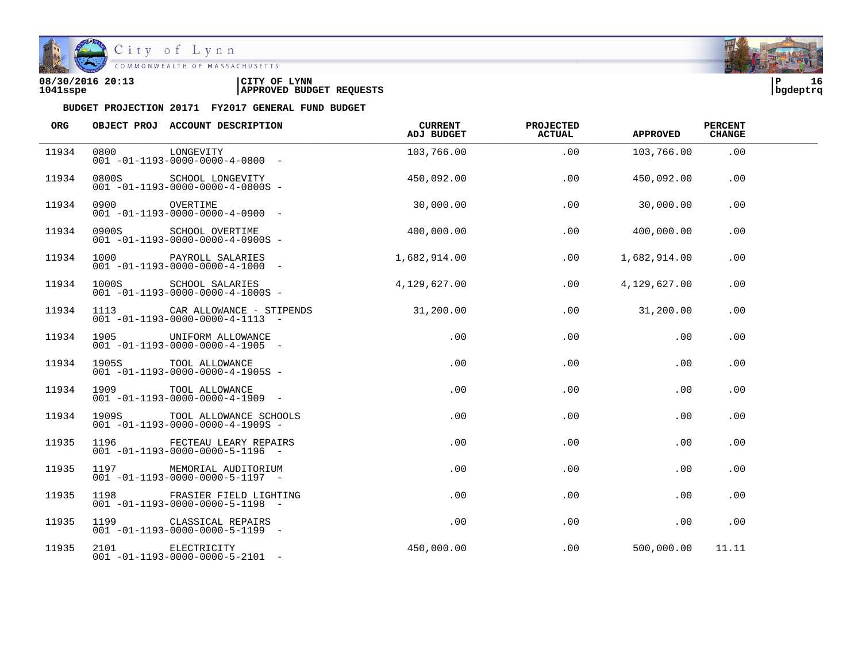

## City of Lynn

| 08/30/2016 20:13 | CITY OF<br><b>LYNN</b>          | l P      | 16 |
|------------------|---------------------------------|----------|----|
| 1041sspe         | <b>APPROVED BUDGET REQUESTS</b> | bqdeptrq |    |

| ORG   |                                                                                                                                                                                                                                 | OBJECT PROJ ACCOUNT DESCRIPTION                                                 | CURRENT<br>ADJ BUDGET | <b>PROJECTED</b><br>ACTUAL | <b>APPROVED</b> | <b>PERCENT</b><br><b>CHANGE</b> |  |
|-------|---------------------------------------------------------------------------------------------------------------------------------------------------------------------------------------------------------------------------------|---------------------------------------------------------------------------------|-----------------------|----------------------------|-----------------|---------------------------------|--|
| 11934 | 0800                                                                                                                                                                                                                            | LONGEVITY<br>$001 - 01 - 1193 - 0000 - 0000 - 4 - 0800 -$                       | 103,766.00            | .00                        | 103,766.00      | .00                             |  |
| 11934 | 0800S                                                                                                                                                                                                                           | SCHOOL LONGEVITY<br>$001 - 01 - 1193 - 0000 - 0000 - 4 - 0800S -$               | 450,092.00            | .00                        | 450,092.00      | $.00 \,$                        |  |
| 11934 |                                                                                                                                                                                                                                 |                                                                                 | 30,000.00             | .00                        | 30,000.00       | .00                             |  |
| 11934 |                                                                                                                                                                                                                                 | 0900S SCHOOL OVERTIME<br>$001 - 01 - 1193 - 0000 - 0000 - 4 - 0900S -$          | 400,000.00            | .00                        | 400,000.00      | .00                             |  |
| 11934 |                                                                                                                                                                                                                                 | 1000 PAYROLL SALARIES<br>$001 - 01 - 1193 - 0000 - 0000 - 4 - 1000 -$           | 1,682,914.00          | .00                        | 1,682,914.00    | $.00 \,$                        |  |
| 11934 | 1000S and 1000 states and the set of the set of the set of the set of the set of the set of the set of the set                                                                                                                  | SCHOOL SALARIES<br>$001 - 01 - 1193 - 0000 - 0000 - 4 - 1000S -$                | 4,129,627.00          | .00                        | 4,129,627.00    | .00                             |  |
| 11934 |                                                                                                                                                                                                                                 | 1113 CAR ALLOWANCE - STIPENDS<br>$001 - 01 - 1193 - 0000 - 0000 - 4 - 1113 - -$ | 31,200.00             | .00                        | 31,200.00       | .00                             |  |
| 11934 |                                                                                                                                                                                                                                 | 1905 UNIFORM ALLOWANCE<br>$001 - 01 - 1193 - 0000 - 0000 - 4 - 1905 -$          | .00                   | .00                        | .00             | .00                             |  |
| 11934 |                                                                                                                                                                                                                                 | 1905S TOOL ALLOWANCE<br>$001 - 01 - 1193 - 0000 - 0000 - 4 - 1905S -$           | .00                   | .00                        | .00             | .00                             |  |
| 11934 | 1909 — 1909 — 1909 — 1909 — 1909 — 1909 — 1910 — 1920 — 1920 — 1920 — 1920 — 1920 — 1920 — 1920 — 1920 — 1920 — 1920 — 1920 — 1920 — 1920 — 1920 — 1920 — 1920 — 1920 — 1920 — 1920 — 1920 — 1920 — 1920 — 1920 — 1920 — 1920 — | TOOL ALLOWANCE<br>$001 - 01 - 1193 - 0000 - 0000 - 4 - 1909$ -                  | .00                   | .00                        | .00             | .00                             |  |
| 11934 |                                                                                                                                                                                                                                 | 1909S TOOL ALLOWANCE SCHOOLS<br>$001 - 01 - 1193 - 0000 - 0000 - 4 - 1909S -$   | .00                   | .00                        | .00             | .00                             |  |
| 11935 |                                                                                                                                                                                                                                 | 1196 FECTEAU LEARY REPAIRS<br>$001 - 01 - 1193 - 0000 - 0000 - 5 - 1196 -$      | .00                   | .00                        | .00             | .00                             |  |
| 11935 | 1197 — 1197 — 1197 — 1197 — 1197 — 1197 — 1197 — 1197 — 1197 — 1197 — 1197 — 1197 — 1197 — 1197 — 1197 — 1197 — 1197 — 1197 — 1197 — 1197 — 1197 — 1197 — 1197 — 1197 — 1197 — 1197 — 1197 — 1197 — 1197 — 1197 — 1197 — 1197 — | MEMORIAL AUDITORIUM<br>$001 - 01 - 1193 - 0000 - 0000 - 5 - 1197 -$             | $.00 \,$              | .00                        | .00             | .00                             |  |
| 11935 | 1198                                                                                                                                                                                                                            | FRASIER FIELD LIGHTING<br>$001 - 01 - 1193 - 0000 - 0000 - 5 - 1198 -$          | .00                   | .00                        | .00             | .00                             |  |
| 11935 |                                                                                                                                                                                                                                 | 1199 CLASSICAL REPAIRS<br>$001 - 01 - 1193 - 0000 - 0000 - 5 - 1199 -$          | .00                   | .00                        | .00             | .00                             |  |
| 11935 |                                                                                                                                                                                                                                 | 2101 ELECTRICITY<br>$001 - 01 - 1193 - 0000 - 0000 - 5 - 2101 -$                | 450,000.00            | .00                        | 500,000.00      | 11.11                           |  |

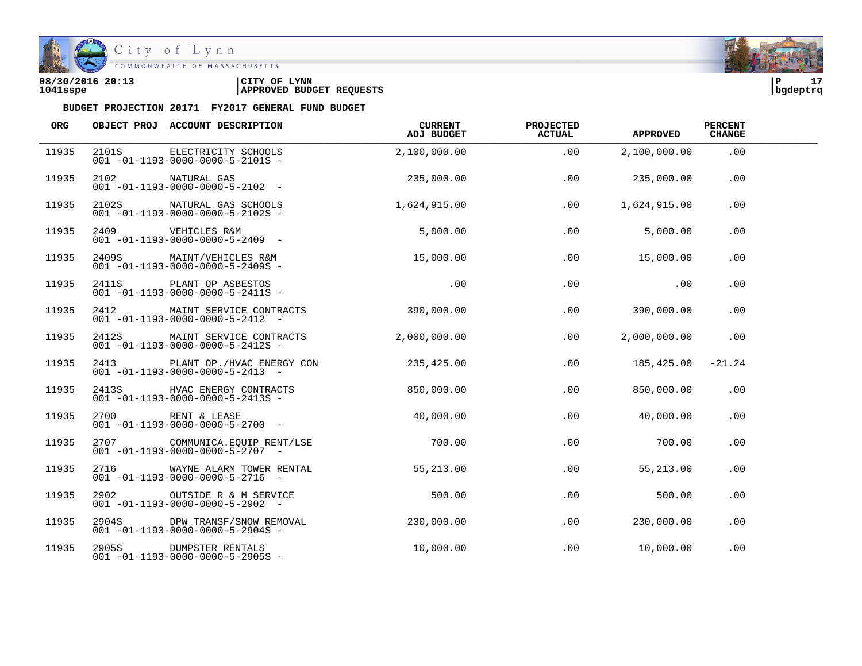

| 08/30/2016 20:13 | CITY OF<br><b>LYNN</b>          | l P      | - - |
|------------------|---------------------------------|----------|-----|
| 1041sspe         | <b>APPROVED BUDGET REQUESTS</b> | bqdeptrq |     |

| ORG   |       | OBJECT PROJ ACCOUNT DESCRIPTION                                                | CURRENT<br>ADJ BUDGET | <b>PROJECTED</b><br><b>ACTUAL</b> | <b>APPROVED</b> | <b>PERCENT</b><br><b>CHANGE</b> |  |
|-------|-------|--------------------------------------------------------------------------------|-----------------------|-----------------------------------|-----------------|---------------------------------|--|
| 11935 |       | 2101S ELECTRICITY SCHOOLS<br>$001 - 01 - 1193 - 0000 - 0000 - 5 - 2101S -$     | 2,100,000.00          | .00                               | 2,100,000.00    | .00                             |  |
| 11935 | 2102  | NATURAL GAS<br>$001 - 01 - 1193 - 0000 - 0000 - 5 - 2102 -$                    | 235,000.00            | .00                               | 235,000.00      | .00                             |  |
| 11935 |       | 2102S NATURAL GAS SCHOOLS<br>$001 - 01 - 1193 - 0000 - 0000 - 5 - 2102S -$     | 1,624,915.00          | .00                               | 1,624,915.00    | .00                             |  |
| 11935 |       | 2409 VEHICLES R&M<br>$001 - 01 - 1193 - 0000 - 0000 - 5 - 2409$ -              | 5,000.00              | .00                               | 5,000.00        | .00                             |  |
| 11935 |       | 2409S MAINT/VEHICLES R&M<br>$001 - 01 - 1193 - 0000 - 0000 - 5 - 2409S -$      | 15,000.00             | $.00 \,$                          | 15,000.00       | $.00 \,$                        |  |
| 11935 | 2411S | PLANT OP ASBESTOS<br>$001 - 01 - 1193 - 0000 - 0000 - 5 - 2411S -$             | .00                   | .00                               | .00             | $.00 \,$                        |  |
| 11935 |       | 2412 MAINT SERVICE CONTRACTS<br>$001 - 01 - 1193 - 0000 - 0000 - 5 - 2412 -$   | 390,000.00            | .00                               | 390,000.00      | .00                             |  |
| 11935 |       | 2412S MAINT SERVICE CONTRACTS<br>$001 - 01 - 1193 - 0000 - 0000 - 5 - 2412S -$ | 2.000.000.00          | .00                               | 2,000,000.00    | .00                             |  |
| 11935 |       | 2413 PLANT OP./HVAC ENERGY CON<br>$001 - 01 - 1193 - 0000 - 0000 - 5 - 2413 -$ | 235,425.00            | .00                               | 185,425.00      | $-21.24$                        |  |
| 11935 |       | 2413S HVAC ENERGY CONTRACTS<br>$001 - 01 - 1193 - 0000 - 0000 - 5 - 2413S -$   | 850,000.00            | $.00 \,$                          | 850,000.00      | .00                             |  |
| 11935 |       | 2700 RENT & LEASE<br>$001 - 01 - 1193 - 0000 - 0000 - 5 - 2700$ -              | 40,000.00             | .00                               | 40,000.00       | .00                             |  |
| 11935 |       | 2707 COMMUNICA.EQUIP RENT/LSE<br>$001 - 01 - 1193 - 0000 - 0000 - 5 - 2707 -$  | 700.00                | .00                               | 700.00          | .00                             |  |
| 11935 |       | 2716 WAYNE ALARM TOWER RENTAL<br>$001 - 01 - 1193 - 0000 - 0000 - 5 - 2716 -$  | 55,213.00             | .00                               | 55,213.00       | .00                             |  |
| 11935 | 2902  | OUTSIDE R & M SERVICE<br>$001 - 01 - 1193 - 0000 - 0000 - 5 - 2902 -$          | 500.00                | .00                               | 500.00          | .00                             |  |
| 11935 |       | 2904S DPW TRANSF/SNOW REMOVAL<br>$001 - 01 - 1193 - 0000 - 0000 - 5 - 2904S -$ | 230,000.00            | .00                               | 230,000.00      | .00                             |  |
| 11935 |       | 2905S DUMPSTER RENTALS<br>$001 - 01 - 1193 - 0000 - 0000 - 5 - 2905S -$        | 10,000.00             | .00                               | 10,000.00       | .00                             |  |

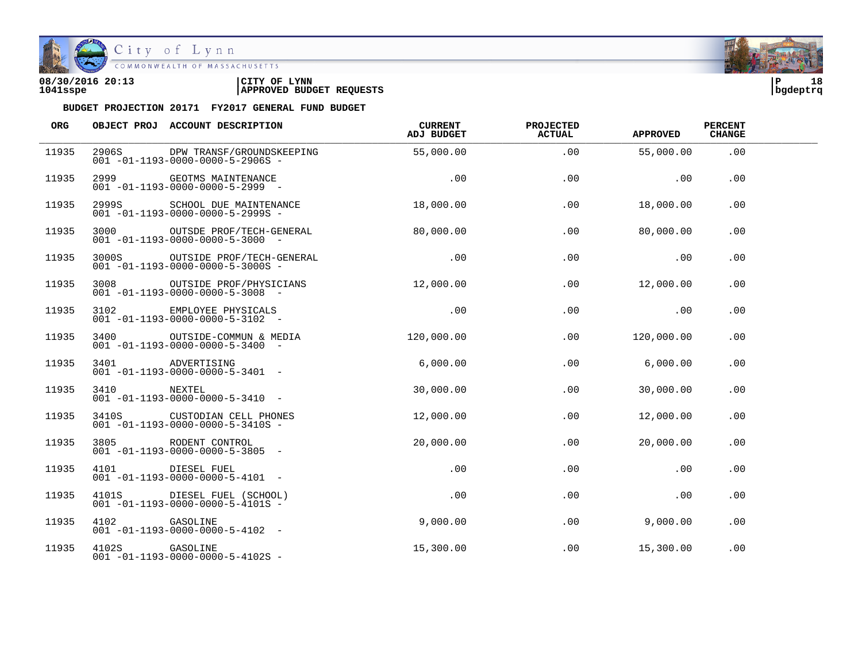

| 08/30/2016 20:13 | CITY OF<br><b>LYNN</b>          | l P      | 18 |
|------------------|---------------------------------|----------|----|
| 1041sspe         | <b>APPROVED BUDGET REQUESTS</b> | bgdeptrq |    |

| ORG   |                                                                                                                | OBJECT PROJ ACCOUNT DESCRIPTION                                                        | CURRENT<br>ADJ BUDGET | <b>PROJECTED</b><br>ACTUAL | <b>APPROVED</b> | <b>PERCENT</b><br><b>CHANGE</b> |  |
|-------|----------------------------------------------------------------------------------------------------------------|----------------------------------------------------------------------------------------|-----------------------|----------------------------|-----------------|---------------------------------|--|
| 11935 | 2906S                                                                                                          | DPW TRANSF/GROUNDSKEEPING<br>$001 - 01 - 1193 - 0000 - 0000 - 5 - 2906S -$             | 55,000.00             | .00                        | 55,000.00       | .00                             |  |
| 11935 | 2999                                                                                                           | GEOTMS MAINTENANCE<br>$001 - 01 - 1193 - 0000 - 0000 - 5 - 2999 -$                     | .00                   | .00                        | .00             | .00                             |  |
| 11935 | 2999S and the set of the set of the set of the set of the set of the set of the set of the set of the set of t | SCHOOL DUE MAINTENANCE<br>$001 - 01 - 1193 - 0000 - 0000 - 5 - 2999S -$                | 18,000.00             | .00                        | 18,000.00       | .00                             |  |
| 11935 |                                                                                                                | 3000 OUTSDE PROF/TECH-GENERAL<br>$001 - 01 - 1193 - 0000 - 0000 - 5 - 3000 -$          | 80,000.00             | .00                        | 80,000.00       | .00                             |  |
| 11935 |                                                                                                                | 3000S OUTSIDE PROF/TECH-GENERAL<br>$001 - 01 - 1193 - 0000 - 0000 - 5 - 3000S -$       | .00                   | .00                        | .00             | .00                             |  |
| 11935 | 3008                                                                                                           | OUTSIDE PROF/PHYSICIANS<br>$001 - 01 - 1193 - 0000 - 0000 - 5 - 3008$ -                | 12,000.00             | .00                        | 12,000.00       | .00                             |  |
| 11935 | 3102                                                                                                           | EMPLOYEE PHYSICALS<br>$001 - 01 - 1193 - 0000 - 0000 - 5 - 3102$ -                     | .00                   | .00                        | .00             | .00                             |  |
| 11935 |                                                                                                                | 3400 OUTSIDE-COMMUN & MEDIA 120,000.00<br>$001 - 01 - 1193 - 0000 - 0000 - 5 - 3400 -$ |                       | .00                        | 120,000.00      | .00                             |  |
| 11935 | 3401                                                                                                           | ADVERTISING<br>$001 - 01 - 1193 - 0000 - 0000 - 5 - 3401 -$                            | 6,000.00              | .00                        | 6,000.00        | .00                             |  |
| 11935 | 3410                                                                                                           | NEXTEL<br>$001 - 01 - 1193 - 0000 - 0000 - 5 - 3410 -$                                 | 30,000.00             | .00                        | 30,000.00       | .00                             |  |
| 11935 |                                                                                                                | 3410S CUSTODIAN CELL PHONES<br>$001 - 01 - 1193 - 0000 - 0000 - 5 - 3410S -$           | 12,000.00             | .00                        | 12,000.00       | .00                             |  |
| 11935 | 3805                                                                                                           | RODENT CONTROL<br>$001 - 01 - 1193 - 0000 - 0000 - 5 - 3805 -$                         | 20,000.00             | .00                        | 20,000.00       | .00                             |  |
| 11935 | 4101                                                                                                           | DIESEL FUEL<br>$001 - 01 - 1193 - 0000 - 0000 - 5 - 4101 -$                            | .00                   | .00                        | .00             | .00                             |  |
| 11935 |                                                                                                                | 4101S DIESEL FUEL (SCHOOL)<br>$001 - 01 - 1193 - 0000 - 0000 - 5 - 4101S -$            | .00                   | .00                        | .00             | .00                             |  |
| 11935 | 4102 GASOLINE                                                                                                  | $001 - 01 - 1193 - 0000 - 0000 - 5 - 4102 -$                                           | 9,000.00              | .00                        | 9,000.00        | .00                             |  |
| 11935 | 4102S GASOLINE                                                                                                 | $001 - 01 - 1193 - 0000 - 0000 - 5 - 4102S -$                                          | 15,300.00             | .00                        | 15,300.00       | .00                             |  |

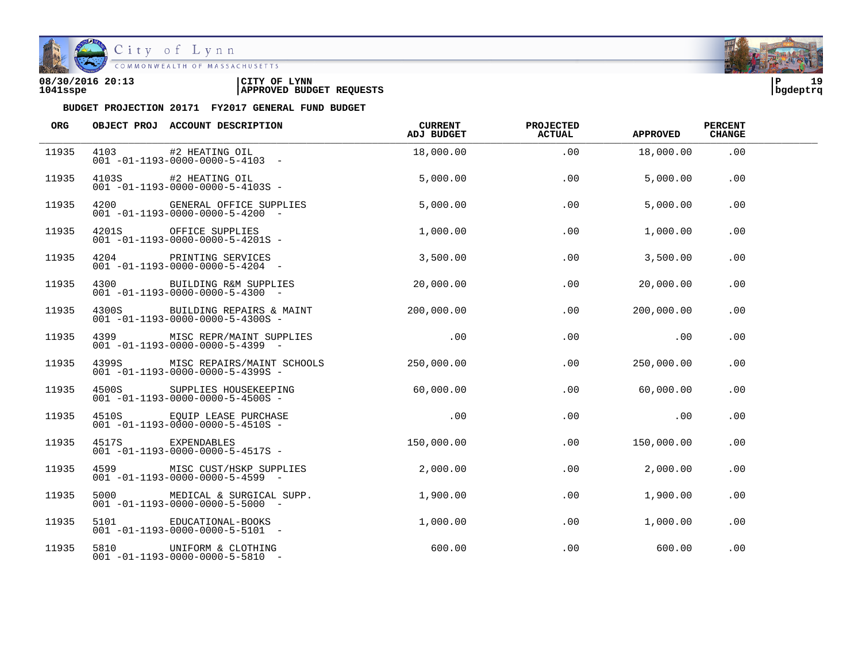

| 08/30/2016 20:13 | CITY OF<br><b>LYNN</b>          | l P      | 1۵ |
|------------------|---------------------------------|----------|----|
| 1041sspe         | <b>APPROVED BUDGET REQUESTS</b> | bgdeptrq |    |

| ORG   |       | OBJECT PROJ ACCOUNT DESCRIPTION                                                 | CURRENT<br>ADJ BUDGET | <b>PROJECTED</b><br>ACTUAL | <b>APPROVED</b> | <b>PERCENT</b><br><b>CHANGE</b> |  |
|-------|-------|---------------------------------------------------------------------------------|-----------------------|----------------------------|-----------------|---------------------------------|--|
| 11935 |       | 4103 #2 HEATING OIL<br>$001 - 01 - 1193 - 0000 - 0000 - 5 - 4103 -$             | 18,000.00             | .00                        | 18,000.00       | .00                             |  |
| 11935 |       | 4103S #2 HEATING OIL<br>$001 - 01 - 1193 - 0000 - 0000 - 5 - 4103S -$           | 5,000.00              | .00                        | 5,000.00        | .00                             |  |
| 11935 |       | 4200 GENERAL OFFICE SUPPLIES<br>$001 - 01 - 1193 - 0000 - 0000 - 5 - 4200 -$    | 5,000.00              | .00                        | 5,000.00        | .00                             |  |
| 11935 |       | 4201S OFFICE SUPPLIES<br>$001 - 01 - 1193 - 0000 - 0000 - 5 - 4201S -$          | 1,000.00              | .00                        | 1,000.00        | .00                             |  |
| 11935 | 4204  | PRINTING SERVICES<br>$001 - 01 - 1193 - 0000 - 0000 - 5 - 4204 -$               | 3,500.00              | .00                        | 3,500.00        | .00                             |  |
| 11935 | 4300  | BUILDING R&M SUPPLIES<br>$001 - 01 - 1193 - 0000 - 0000 - 5 - 4300 -$           | 20,000.00             | .00                        | 20,000.00       | .00                             |  |
| 11935 |       | 4300S BUILDING REPAIRS & MAINT<br>$001 - 01 - 1193 - 0000 - 0000 - 5 - 4300S -$ | 200,000.00            | .00                        | 200,000.00      | .00                             |  |
| 11935 | 4399  | MISC REPR/MAINT SUPPLIES<br>$001 - 01 - 1193 - 0000 - 0000 - 5 - 4399$ -        | .00                   | .00                        | .00             | .00                             |  |
| 11935 | 43995 | MISC REPAIRS/MAINT SCHOOLS<br>$001 - 01 - 1193 - 0000 - 0000 - 5 - 4399S -$     | 250,000.00            | .00                        | 250,000.00      | .00                             |  |
| 11935 | 4500S | SUPPLIES HOUSEKEEPING<br>$001 - 01 - 1193 - 0000 - 0000 - 5 - 4500S -$          | 60,000.00             | .00                        | 60,000.00       | .00                             |  |
| 11935 |       | 4510S EQUIP LEASE PURCHASE<br>$001 - 01 - 1193 - 0000 - 0000 - 5 - 4510S -$     | .00                   | .00                        | .00             | .00                             |  |
| 11935 |       | 4517S EXPENDABLES<br>$001 - 01 - 1193 - 0000 - 0000 - 5 - 4517S -$              | 150,000.00            | .00                        | 150,000.00      | .00                             |  |
| 11935 | 4599  | MISC CUST/HSKP SUPPLIES<br>$001 - 01 - 1193 - 0000 - 0000 - 5 - 4599 -$         | 2,000.00              | .00                        | 2,000.00        | .00                             |  |
| 11935 | 5000  | MEDICAL & SURGICAL SUPP.<br>$001 - 01 - 1193 - 0000 - 0000 - 5 - 5000 -$        | 1,900.00              | .00                        | 1,900.00        | .00                             |  |
| 11935 |       | 5101 EDUCATIONAL-BOOKS<br>$001 - 01 - 1193 - 0000 - 0000 - 5 - 5101 -$          | 1,000.00              | .00                        | 1,000.00        | .00                             |  |
| 11935 |       | 5810 UNIFORM & CLOTHING<br>$001 - 01 - 1193 - 0000 - 0000 - 5 - 5810 -$         | 600.00                | .00                        | 600.00          | .00                             |  |

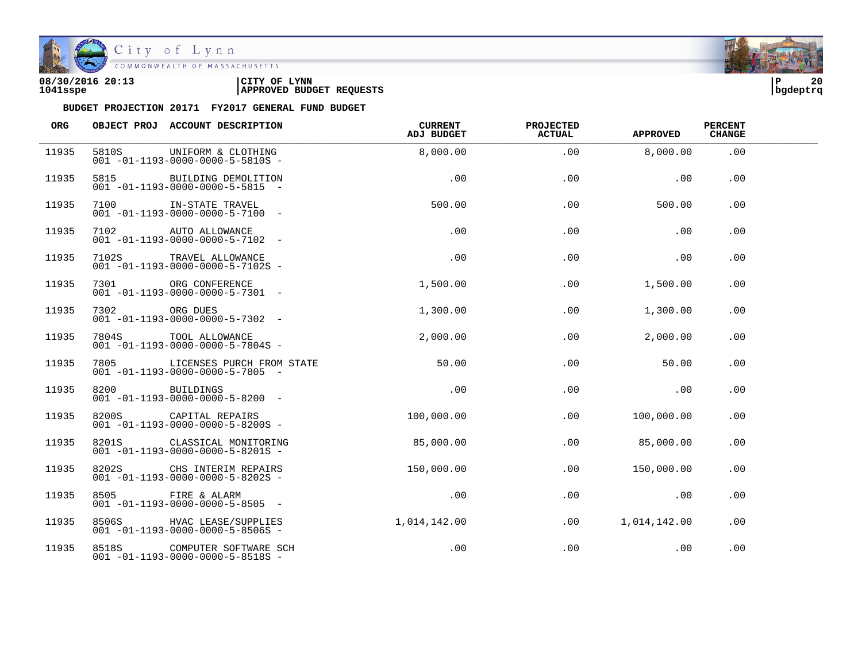

| 08/30/2016 20:13 | CITY OF<br><b>LYNN</b>          | l P      | 20 |
|------------------|---------------------------------|----------|----|
| 1041sspe         | <b>APPROVED BUDGET REQUESTS</b> | bqdeptrq |    |

| ORG   |               | OBJECT PROJ ACCOUNT DESCRIPTION                                              | CURRENT<br>ADJ BUDGET | <b>PROJECTED</b><br>ACTUAL | <b>APPROVED</b> | <b>PERCENT</b><br><b>CHANGE</b> |  |
|-------|---------------|------------------------------------------------------------------------------|-----------------------|----------------------------|-----------------|---------------------------------|--|
| 11935 | 5810S         | UNIFORM & CLOTHING<br>$001 - 01 - 1193 - 0000 - 0000 - 5 - 5810S -$          | 8,000.00              | .00                        | 8,000.00        | .00                             |  |
| 11935 | 5815          | BUILDING DEMOLITION<br>$001 - 01 - 1193 - 0000 - 0000 - 5 - 5815 -$          | .00                   | .00                        | .00             | .00                             |  |
| 11935 | 7100          | IN-STATE TRAVEL<br>$001 - 01 - 1193 - 0000 - 0000 - 5 - 7100 -$              | 500.00                | .00                        | 500.00          | .00                             |  |
| 11935 |               | 7102 AUTO ALLOWANCE<br>$001 - 01 - 1193 - 0000 - 0000 - 5 - 7102 -$          | .00                   | .00                        | .00             | .00                             |  |
| 11935 |               | 7102S TRAVEL ALLOWANCE<br>$001 - 01 - 1193 - 0000 - 0000 - 5 - 7102S -$      | .00                   | .00                        | .00             | .00                             |  |
| 11935 | 7301 730      | ORG CONFERENCE<br>$001 - 01 - 1193 - 0000 - 0000 - 5 - 7301 -$               | 1,500.00              | .00                        | 1,500.00        | .00                             |  |
| 11935 | 7302 ORG DUES | $001 - 01 - 1193 - 0000 - 0000 - 5 - 7302 -$                                 | 1,300.00              | .00                        | 1,300.00        | .00                             |  |
| 11935 |               | 7804S TOOL ALLOWANCE<br>$001 - 01 - 1193 - 0000 - 0000 - 5 - 7804S -$        | 2,000.00              | .00                        | 2,000.00        | .00                             |  |
| 11935 | 7805          | LICENSES PURCH FROM STATE<br>$001 - 01 - 1193 - 0000 - 0000 - 5 - 7805 -$    | 50.00                 | .00                        | 50.00           | .00                             |  |
| 11935 | 8200          | BUILDINGS<br>$001 - 01 - 1193 - 0000 - 0000 - 5 - 8200 -$                    | .00                   | .00                        | .00             | .00                             |  |
| 11935 |               | 8200S CAPITAL REPAIRS<br>$001 - 01 - 1193 - 0000 - 0000 - 5 - 8200S -$       | 100,000.00            | .00                        | 100,000.00      | .00                             |  |
| 11935 |               | 8201S CLASSICAL MONITORING<br>$001 - 01 - 1193 - 0000 - 0000 - 5 - 8201S -$  | 85,000.00             | .00                        | 85,000.00       | .00                             |  |
| 11935 | 8202S         | CHS INTERIM REPAIRS<br>$001 - 01 - 1193 - 0000 - 0000 - 5 - 8202S -$         | 150,000.00            | .00                        | 150,000.00      | .00                             |  |
| 11935 | 8505          | FIRE & ALARM<br>$001 - 01 - 1193 - 0000 - 0000 - 5 - 8505$ -                 | .00                   | .00                        | .00             | .00                             |  |
| 11935 |               | 8506S HVAC LEASE/SUPPLIES<br>$001 - 01 - 1193 - 0000 - 0000 - 5 - 8506S -$   | 1,014,142.00          | .00                        | 1,014,142.00    | .00                             |  |
| 11935 |               | 8518S COMPUTER SOFTWARE SCH<br>$001 - 01 - 1193 - 0000 - 0000 - 5 - 8518S -$ | .00                   | .00                        | .00             | .00                             |  |

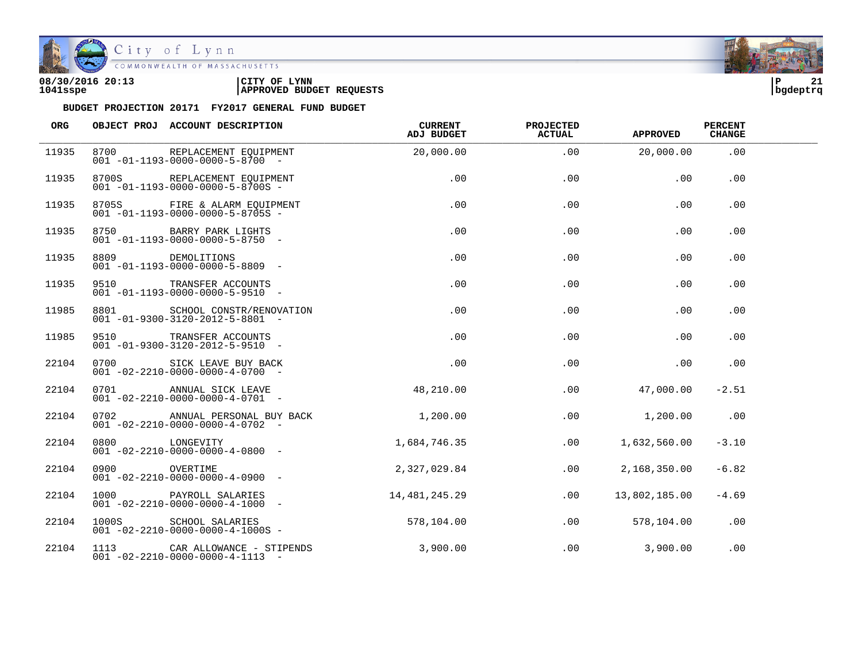

| 08/30/2016 20:13 | CITY OF<br><b>LYNN</b>          | l P      | ^1 |
|------------------|---------------------------------|----------|----|
| 1041sspe         | <b>APPROVED BUDGET REQUESTS</b> | bqdeptrq |    |

| ORG   |               | OBJECT PROJ ACCOUNT DESCRIPTION                                                 | CURRENT<br>ADJ BUDGET | <b>PROJECTED</b><br><b>ACTUAL</b> | <b>APPROVED</b> | <b>PERCENT</b><br><b>CHANGE</b> |  |
|-------|---------------|---------------------------------------------------------------------------------|-----------------------|-----------------------------------|-----------------|---------------------------------|--|
| 11935 | 8700          | REPLACEMENT EOUIPMENT<br>$001 - 01 - 1193 - 0000 - 0000 - 5 - 8700 -$           | 20,000.00             | .00                               | 20,000.00       | .00                             |  |
| 11935 |               | 8700S REPLACEMENT EQUIPMENT<br>$001 - 01 - 1193 - 0000 - 0000 - 5 - 8700S -$    | .00                   | .00                               | .00             | .00                             |  |
| 11935 |               | 8705S FIRE & ALARM EOUIPMENT<br>$001 - 01 - 1193 - 0000 - 0000 - 5 - 8705S -$   | .00                   | .00                               | .00             | .00                             |  |
| 11935 |               | 8750 BARRY PARK LIGHTS<br>$001 - 01 - 1193 - 0000 - 0000 - 5 - 8750 -$          | .00                   | .00                               | .00             | .00                             |  |
| 11935 |               | 8809 DEMOLITIONS<br>$001 - 01 - 1193 - 0000 - 0000 - 5 - 8809$ -                | .00                   | .00                               | .00             | .00                             |  |
| 11935 | 9510 35       | TRANSFER ACCOUNTS<br>$001 - 01 - 1193 - 0000 - 0000 - 5 - 9510 -$               | .00                   | .00                               | .00             | .00                             |  |
| 11985 |               | 8801 SCHOOL CONSTR/RENOVATION<br>$001 - 01 - 9300 - 3120 - 2012 - 5 - 8801$ -   | .00                   | .00                               | .00             | .00                             |  |
| 11985 |               | 9510 TRANSFER ACCOUNTS<br>$001 - 01 - 9300 - 3120 - 2012 - 5 - 9510 -$          | .00                   | .00                               | .00             | .00                             |  |
| 22104 |               | 0700 SICK LEAVE BUY BACK<br>$001 - 02 - 2210 - 0000 - 0000 - 4 - 0700 -$        | .00                   | .00                               | .00             | .00                             |  |
| 22104 | 0701          | ANNUAL SICK LEAVE<br>$001 - 02 - 2210 - 0000 - 0000 - 4 - 0701 -$               | 48,210.00             | .00                               | 47,000.00       | $-2.51$                         |  |
| 22104 |               | 0702 ANNUAL PERSONAL BUY BACK<br>$001 - 02 - 2210 - 0000 - 0000 - 4 - 0702 -$   | 1,200.00              | .00                               | 1,200.00        | .00                             |  |
| 22104 |               | 0800 LONGEVITY<br>$001 - 02 - 2210 - 0000 - 0000 - 4 - 0800 -$                  | 1,684,746.35          | .00                               | 1,632,560.00    | $-3.10$                         |  |
| 22104 | 0900 OVERTIME | $001 - 02 - 2210 - 0000 - 0000 - 4 - 0900 -$                                    | 2,327,029.84          | $.00 \,$                          | 2,168,350.00    | $-6.82$                         |  |
| 22104 |               | 1000 PAYROLL SALARIES<br>$001 - 02 - 2210 - 0000 - 0000 - 4 - 1000 -$           | 14,481,245.29         | .00                               | 13,802,185.00   | $-4.69$                         |  |
| 22104 |               | 1000S SCHOOL SALARIES<br>$001 - 02 - 2210 - 0000 - 0000 - 4 - 1000S -$          | 578,104.00            | .00                               | 578,104.00      | .00                             |  |
| 22104 |               | 1113 CAR ALLOWANCE - STIPENDS<br>$001 - 02 - 2210 - 0000 - 0000 - 4 - 1113 - -$ | 3,900.00              | $.00 \,$                          | 3,900.00        | .00                             |  |

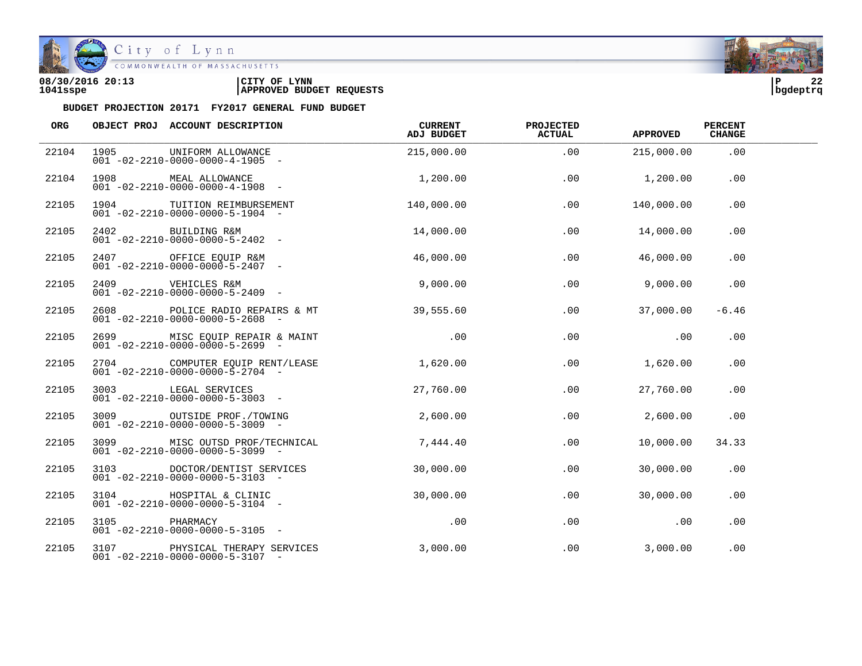

City of Lynn

| 08/30/2016 20:13 | CITY OF<br><b>LYNN</b>          | l P      | $\sim$ |
|------------------|---------------------------------|----------|--------|
| 1041sspe         | <b>APPROVED BUDGET REQUESTS</b> | bqdeptrq |        |

| ORG   |               | OBJECT PROJ ACCOUNT DESCRIPTION                                                | CURRENT<br>ADJ BUDGET | <b>PROJECTED</b><br><b>ACTUAL</b> | <b>APPROVED</b> | <b>PERCENT</b><br><b>CHANGE</b> |  |
|-------|---------------|--------------------------------------------------------------------------------|-----------------------|-----------------------------------|-----------------|---------------------------------|--|
| 22104 | 1905          | UNIFORM ALLOWANCE<br>$001 - 02 - 2210 - 0000 - 0000 - 4 - 1905 -$              | 215,000.00            | .00                               | 215,000.00      | .00                             |  |
| 22104 |               | 1908 MEAL ALLOWANCE<br>$001 - 02 - 2210 - 0000 - 0000 - 4 - 1908 -$            | 1,200.00              | .00                               | 1,200.00        | .00                             |  |
| 22105 |               | 1904 TUITION REIMBURSEMENT<br>$001 - 02 - 2210 - 0000 - 0000 - 5 - 1904 -$     | 140,000.00            | .00                               | 140,000.00      | .00                             |  |
| 22105 |               | 2402 BUILDING R&M<br>001 -02-2210-0000-0000-5-2402 -                           | 14,000.00             | .00                               | 14,000.00       | .00                             |  |
| 22105 |               | $001 - 02 - 2210 - 0000 - 0000 - 5 - 2407 -$                                   | 46,000.00             | .00                               | 46,000.00       | $.00 \,$                        |  |
| 22105 |               | 2409 VEHICLES R&M<br>$001 - 02 - 2210 - 0000 - 0000 - 5 - 2409$ -              | 9,000.00              | .00                               | 9,000.00        | .00                             |  |
| 22105 |               | $001 - 02 - 2210 - 0000 - 0000 - 5 - 2608$ -                                   | 39,555.60             | .00                               | 37,000.00       | $-6.46$                         |  |
| 22105 |               | 2699 MISC EQUIP REPAIR & MAINT<br>$001 - 02 - 2210 - 0000 - 0000 - 5 - 2699$ - | $\sim$ 00             | .00                               | .00             | .00                             |  |
| 22105 |               | 2704 COMPUTER EOUIP RENT/LEASE<br>$001 - 02 - 2210 - 0000 - 0000 - 5 - 2704 -$ | 1,620.00              | .00                               | 1,620.00        | .00                             |  |
| 22105 |               | 3003 LEGAL SERVICES<br>$001 - 02 - 2210 - 0000 - 0000 - 5 - 3003$ -            | 27,760.00             | .00                               | 27,760.00       | .00                             |  |
| 22105 |               | 3009 OUTSIDE PROF./TOWING<br>$001 - 02 - 2210 - 0000 - 0000 - 5 - 3009$ -      | 2,600.00              | .00                               | 2,600.00        | .00                             |  |
| 22105 |               | 3099 MISC OUTSD PROF/TECHNICAL<br>$001 - 02 - 2210 - 0000 - 0000 - 5 - 3099$ - | 7,444.40              | .00                               | 10,000.00       | 34.33                           |  |
| 22105 |               | 3103 DOCTOR/DENTIST SERVICES<br>$001 - 02 - 2210 - 0000 - 0000 - 5 - 3103$ -   | 30,000.00             | .00                               | 30,000.00       | .00                             |  |
| 22105 |               | 3104 HOSPITAL & CLINIC<br>$001 - 02 - 2210 - 0000 - 0000 - 5 - 3104 -$         | 30,000.00             | .00                               | 30,000.00       | .00                             |  |
| 22105 | 3105 PHARMACY | $001 - 02 - 2210 - 0000 - 0000 - 5 - 3105$ -                                   | .00                   | .00                               | .00             | .00                             |  |
| 22105 |               | 3107 PHYSICAL THERAPY SERVICES<br>$001 - 02 - 2210 - 0000 - 0000 - 5 - 3107$ - | 3,000.00              | .00                               | 3,000.00        | .00                             |  |

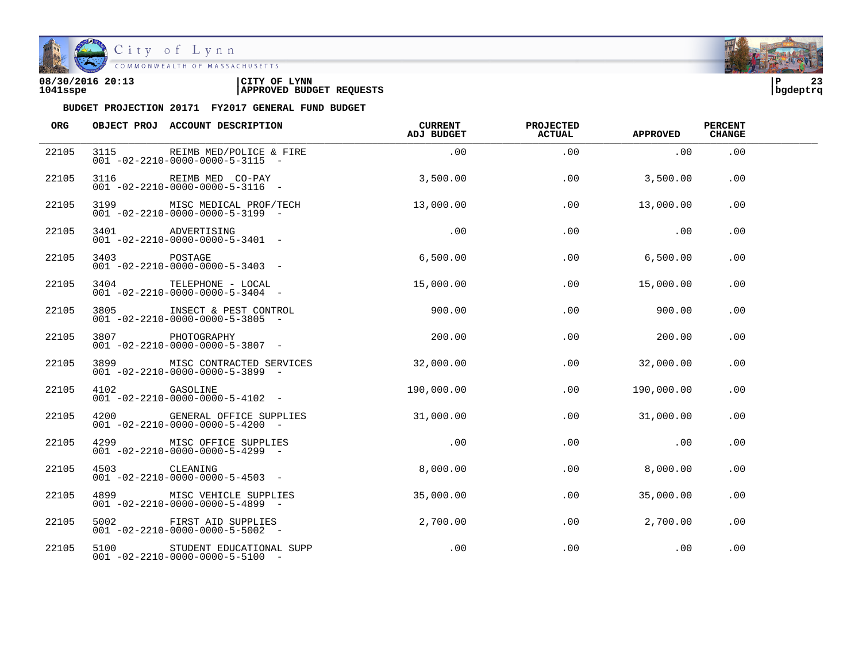

| 08/30/2016 20:13 | CITY OF<br><b>LYNN</b>          | l P      | $\sim$ |
|------------------|---------------------------------|----------|--------|
| 1041sspe         | <b>APPROVED BUDGET REQUESTS</b> | bgdeptrq |        |

| ORG   |               | OBJECT PROJ ACCOUNT DESCRIPTION                                                          | CURRENT<br>ADJ BUDGET | <b>PROJECTED</b><br><b>ACTUAL</b> | <b>APPROVED</b> | <b>PERCENT</b><br><b>CHANGE</b> |  |
|-------|---------------|------------------------------------------------------------------------------------------|-----------------------|-----------------------------------|-----------------|---------------------------------|--|
| 22105 |               | 3115 REIMB MED/POLICE & FIRE<br>$001 - 02 - 2210 - 0000 - 0000 - 5 - 3115 -$             | .00                   | .00                               | .00             | .00                             |  |
| 22105 |               | 3116 REIMB MED CO-PAY<br>$001 - 02 - 2210 - 0000 - 0000 - 5 - 3116 -$                    | 3,500.00              | .00                               | 3,500.00        | .00                             |  |
| 22105 |               | 3199 MISC MEDICAL PROF/TECH<br>$001 - 02 - 2210 - 0000 - 0000 - 5 - 3199$ -              | 13,000.00             | .00                               | 13,000.00       | .00                             |  |
| 22105 |               | 3401 ADVERTISING<br>001 -02-2210-0000-0000-5-3401 -                                      | .00                   | .00                               | .00             | .00                             |  |
| 22105 | 3403 POSTAGE  | $001 - 02 - 2210 - 0000 - 0000 - 5 - 3403 -$                                             | 6,500.00              | .00                               | 6,500.00        | $.00 \,$                        |  |
| 22105 |               | 3404 TELEPHONE - LOCAL<br>$001 - 02 - 2210 - 0000 - 0000 - 5 - 3404 -$                   | 15,000.00             | $.00\,$                           | 15,000.00       | .00                             |  |
| 22105 |               | 3805               INSECT & PEST CONTROL<br>$001 - 02 - 2210 - 0000 - 0000 - 5 - 3805$ - | 900.00                | .00                               | 900.00          | .00                             |  |
| 22105 |               | 3807 PHOTOGRAPHY<br>$001 - 02 - 2210 - 0000 - 0000 - 5 - 3807 -$                         | 200.00                | .00                               | 200.00          | .00                             |  |
| 22105 |               | 3899 MISC CONTRACTED SERVICES<br>$001 - 02 - 2210 - 0000 - 0000 - 5 - 3899$ -            | 32,000.00             | .00                               | 32,000.00       | .00.                            |  |
| 22105 | 4102 GASOLINE | $001 - 02 - 2210 - 0000 - 0000 - 5 - 4102 -$                                             | 190,000.00            | $.00 \,$                          | 190,000.00      | .00                             |  |
| 22105 |               | 4200 GENERAL OFFICE SUPPLIES<br>$001 - 02 - 2210 - 0000 - 0000 - 5 - 4200$ -             | 31,000.00             | .00                               | 31,000.00       | .00                             |  |
| 22105 |               | 4299 MISC OFFICE SUPPLIES<br>$001 - 02 - 2210 - 0000 - 0000 - 5 - 4299$ -                | .00                   | .00                               | .00             | .00                             |  |
| 22105 | 4503 CLEANING | $001 - 02 - 2210 - 0000 - 0000 - 5 - 4503$ -                                             | 8,000.00              | .00                               | 8,000.00        | .00                             |  |
| 22105 |               | 4899 MISC VEHICLE SUPPLIES<br>$001 - 02 - 2210 - 0000 - 0000 - 5 - 4899$ -               | 35,000.00             | .00                               | 35,000.00       | .00                             |  |
| 22105 |               | 5002 FIRST AID SUPPLIES<br>$001 - 02 - 2210 - 0000 - 0000 - 5 - 5002$ -                  | 2,700.00              | .00                               | 2,700.00        | .00                             |  |
| 22105 |               | 5100 STUDENT EDUCATIONAL SUPP<br>$001 - 02 - 2210 - 0000 - 0000 - 5 - 5100 -$            | .00                   | .00                               | .00             | .00                             |  |

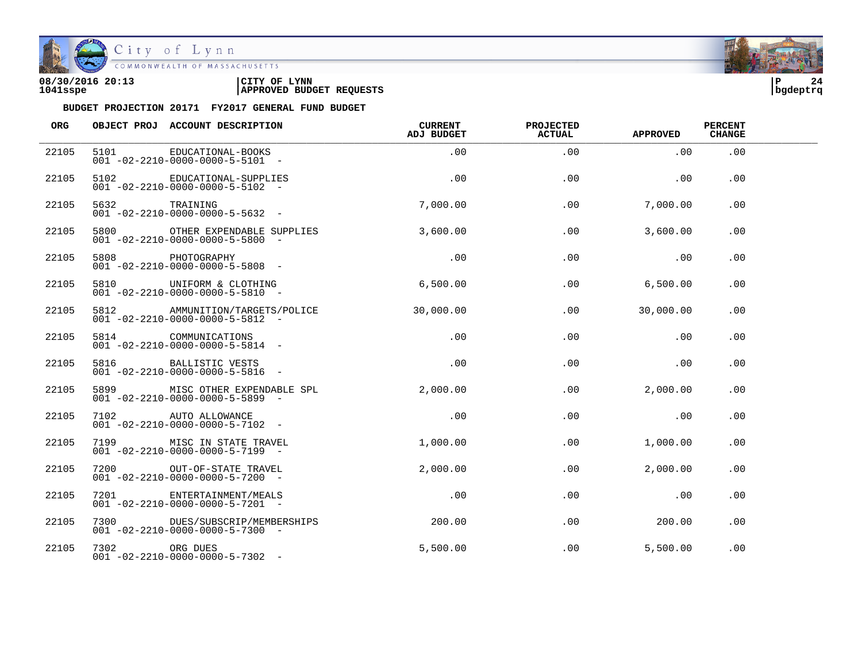

City of Lynn

| 08/30/2016 20:13 | LYNN<br>CITY OF                 | ΙÞ       | 24 |
|------------------|---------------------------------|----------|----|
| 1041sspe         | <b>APPROVED BUDGET REQUESTS</b> | bqdeptrq |    |

| ORG   |               | OBJECT PROJ ACCOUNT DESCRIPTION                                                | CURRENT<br>ADJ BUDGET | <b>PROJECTED</b><br><b>ACTUAL</b> | <b>APPROVED</b> | <b>PERCENT</b><br><b>CHANGE</b> |  |
|-------|---------------|--------------------------------------------------------------------------------|-----------------------|-----------------------------------|-----------------|---------------------------------|--|
| 22105 |               | 5101 EDUCATIONAL-BOOKS<br>$001 - 02 - 2210 - 0000 - 0000 - 5 - 5101 -$         | .00                   | .00                               | .00             | .00                             |  |
| 22105 |               | 5102 EDUCATIONAL-SUPPLIES<br>$001 - 02 - 2210 - 0000 - 0000 - 5 - 5102 -$      | .00                   | .00                               | .00             | .00                             |  |
| 22105 | 5632 TRAINING | $001 - 02 - 2210 - 0000 - 0000 - 5 - 5632$ -                                   | 7,000.00              | .00                               | 7,000.00        | .00                             |  |
| 22105 |               | 5800 OTHER EXPENDABLE SUPPLIES<br>$001 - 02 - 2210 - 0000 - 0000 - 5 - 5800$ - | 3,600.00              | .00                               | 3,600.00        | .00                             |  |
| 22105 |               | PHOTOGRAPHY<br>001 -02-2210-0000-0000-5-5808 -                                 | .00                   | .00                               | .00             | $.00 \,$                        |  |
| 22105 |               | 5810 UNIFORM & CLOTHING<br>$001 - 02 - 2210 - 0000 - 0000 - 5 - 5810 -$        | 6,500.00              |                                   | 6,500.00<br>.00 | .00                             |  |
| 22105 |               | 5812 AMMUNITION/TARGETS/POLICE<br>$001 - 02 - 2210 - 0000 - 0000 - 5 - 5812 -$ | 30,000,00             | .00                               | 30,000.00       | .00.                            |  |
| 22105 |               | 5814 COMMUNICATIONS<br>$001 - 02 - 2210 - 0000 - 0000 - 5 - 5814 -$            | $.00\,$               | .00                               | .00             | .00                             |  |
| 22105 |               | 5816 BALLISTIC VESTS<br>$001 - 02 - 2210 - 0000 - 0000 - 5 - 5816 -$           | .00                   | .00                               | .00             | .00.                            |  |
| 22105 |               | 5899 MISC OTHER EXPENDABLE SPL<br>$001 - 02 - 2210 - 0000 - 0000 - 5 - 5899$ - | 2,000.00              | $.00 \,$                          | 2,000.00        | .00                             |  |
| 22105 |               | 7102 AUTO ALLOWANCE<br>$001 - 02 - 2210 - 0000 - 0000 - 5 - 7102$ -            | .00                   | .00                               | .00             | .00                             |  |
| 22105 |               | 7199 MISC IN STATE TRAVEL<br>$001 - 02 - 2210 - 0000 - 0000 - 5 - 7199$ -      | 1,000.00              | .00                               | 1,000.00        | .00                             |  |
| 22105 |               | 7200 OUT-OF-STATE TRAVEL<br>$001 - 02 - 2210 - 0000 - 0000 - 5 - 7200$ -       | 2,000.00              | .00                               | 2,000.00        | .00                             |  |
| 22105 |               | 7201 ENTERTAINMENT/MEALS<br>$001 - 02 - 2210 - 0000 - 0000 - 5 - 7201 -$       | .00                   | .00                               | .00             | .00                             |  |
| 22105 |               | 7300 DUES/SUBSCRIP/MEMBERSHIPS<br>$001 - 02 - 2210 - 0000 - 0000 - 5 - 7300$ - | 200.00                | .00                               | 200.00          | .00                             |  |
| 22105 | 7302 ORG DUES | $001 - 02 - 2210 - 0000 - 0000 - 5 - 7302$ -                                   | 5,500.00              | .00                               | 5,500.00        | .00                             |  |

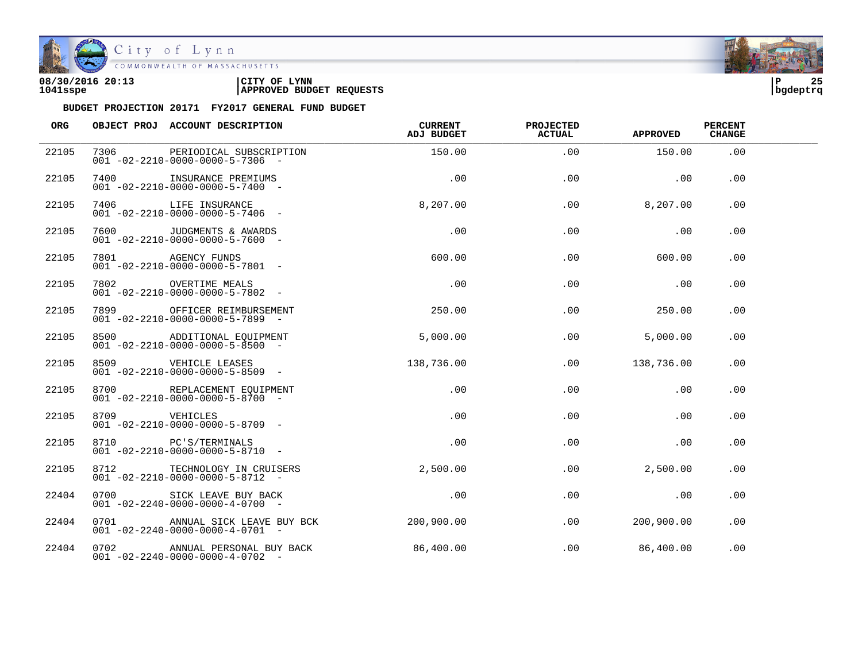

City of Lynn COMMONWEALTH OF MASSACHUSETTS

#### **08/30/2016 20:13 |CITY OF LYNN |P 25 1041sspe |APPROVED BUDGET REQUESTS |bgdeptrq**



| <b>ORG</b> |               | OBJECT PROJ ACCOUNT DESCRIPTION                                                      | <b>CURRENT</b><br>ADJ BUDGET | <b>PROJECTED</b><br><b>ACTUAL</b> | <b>APPROVED</b> | <b>PERCENT</b><br><b>CHANGE</b> |  |
|------------|---------------|--------------------------------------------------------------------------------------|------------------------------|-----------------------------------|-----------------|---------------------------------|--|
| 22105      |               | 7306 PERIODICAL SUBSCRIPTION<br>$001 - 02 - 2210 - 0000 - 0000 - 5 - 7306$ -         | 150.00                       | .00                               | 150.00          | .00                             |  |
| 22105      |               | 7400 INSURANCE PREMIUMS<br>$001 - 02 - 2210 - 0000 - 0000 - 5 - 7400 -$              | .00                          | .00                               | .00             | .00                             |  |
| 22105      |               | 7406 LIFE INSURANCE<br>$001 - 02 - 2210 - 0000 - 0000 - 5 - 7406 -$                  | 8, 207, 00                   | .00                               | 8,207.00        | .00                             |  |
| 22105      |               | 7600 JUDGMENTS & AWARDS<br>$001 - 02 - 2210 - 0000 - 0000 - 5 - 7600$ -              | .00                          | .00                               | .00             | .00                             |  |
| 22105      |               | 7801 AGENCY FUNDS<br>$001 - 02 - 2210 - 0000 - 0000 - 5 - 7801 -$                    | 600.00                       | .00                               | 600.00          | .00                             |  |
| 22105      |               | 7802 OVERTIME MEALS<br>$001 - 02 - 2210 - 0000 - 0000 - 5 - 7802$ -                  | .00                          | .00                               | .00             | .00.                            |  |
| 22105      |               | 7899 OFFICER REIMBURSEMENT<br>$001 - 02 - 2210 - 0000 - 0000 - 5 - 7899$ -           | 250.00                       | .00                               | 250.00          | .00                             |  |
| 22105      |               | 8500 ADDITIONAL EQUIPMENT<br>$001 - 02 - 2210 - 0000 - 0000 - 5 - 8500$ -            | 5,000.00                     | .00                               | 5,000.00        | .00                             |  |
| 22105      |               | 8509 VEHICLE LEASES<br>$001 - 02 - 2210 - 0000 - 0000 - 5 - 8509$ -                  | 138,736.00                   |                                   | .00 138,736.00  | .00                             |  |
| 22105      |               | 8700 REPLACEMENT EQUIPMENT<br>$001 - 02 - 2210 - 0000 - 0000 - 5 - 8700$ -           | .00                          | .00                               | .00             | .00.                            |  |
| 22105      | 8709 VEHICLES | $001 - 02 - 2210 - 0000 - 0000 - 5 - 8709$ -                                         | .00                          | .00                               | .00             | .00                             |  |
| 22105      |               | 8710 PC'S/TERMINALS<br>$001 - 02 - 2210 - 0000 - 0000 - 5 - 8710 -$                  | .00                          | .00                               | .00             | .00                             |  |
| 22105      |               | 8712 TECHNOLOGY IN CRUISERS 2,500.00<br>$001 - 02 - 2210 - 0000 - 0000 - 5 - 8712 -$ |                              | .00                               | 2,500.00        | .00                             |  |
| 22404      | 0700          | SICK LEAVE BUY BACK<br>$001 - 02 - 2240 - 0000 - 0000 - 4 - 0700$ -                  | .00                          | .00                               | .00             | $.00 \,$                        |  |
| 22404      |               | 0701 ANNUAL SICK LEAVE BUY BCK<br>$001 - 02 - 2240 - 0000 - 0000 - 4 - 0701 -$       | 200,900.00                   | .00                               | 200,900.00      | .00                             |  |
| 22404      |               | 0702 ANNUAL PERSONAL BUY BACK<br>$001 - 02 - 2240 - 0000 - 0000 - 4 - 0702$ -        | 86,400.00                    | .00                               | 86,400.00       | .00                             |  |

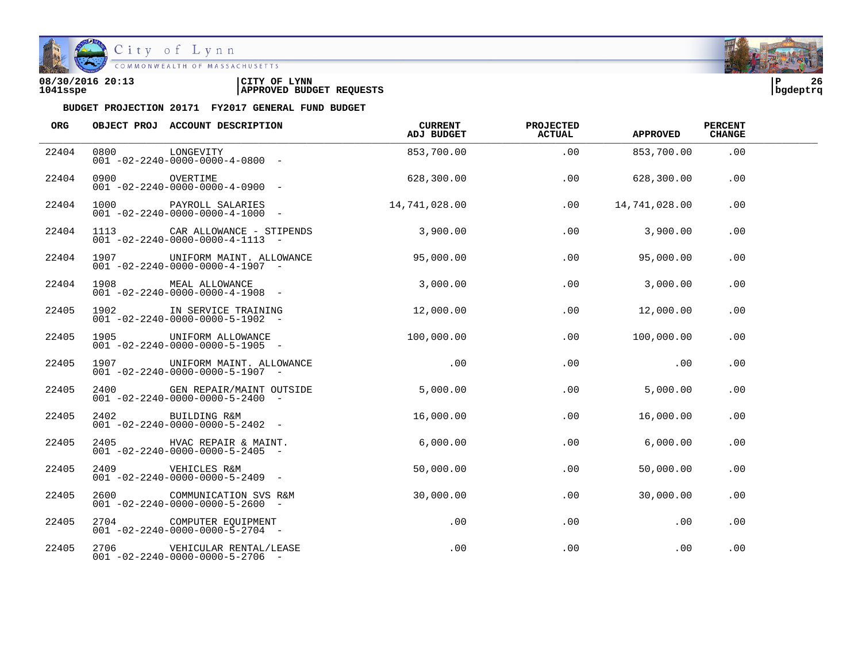

## City of Lynn

COMMONWEALTH OF MASSACHUSETTS

#### **08/30/2016 20:13 |CITY OF LYNN |P 26 1041sspe |APPROVED BUDGET REQUESTS |bgdeptrq**

| ORG   |               | OBJECT PROJ ACCOUNT DESCRIPTION                                                 | CURRENT<br>ADJ BUDGET | <b>PROJECTED</b><br><b>ACTUAL</b> | <b>APPROVED</b> | <b>PERCENT</b><br><b>CHANGE</b> |  |
|-------|---------------|---------------------------------------------------------------------------------|-----------------------|-----------------------------------|-----------------|---------------------------------|--|
| 22404 | 0800          | LONGEVITY<br>$001 - 02 - 2240 - 0000 - 0000 - 4 - 0800 -$                       |                       | 853,700.00<br>.00                 | 853,700.00      | .00                             |  |
| 22404 | 0900 OVERTIME | $001 - 02 - 2240 - 0000 - 0000 - 4 - 0900 -$                                    | 628,300.00            | .00                               | 628,300.00      | .00                             |  |
| 22404 |               | 1000 PAYROLL SALARIES<br>$001 - 02 - 2240 - 0000 - 0000 - 4 - 1000 -$           | 14,741,028.00         | .00                               | 14,741,028.00   | .00                             |  |
| 22404 |               | 1113 CAR ALLOWANCE - STIPENDS<br>$001 - 02 - 2240 - 0000 - 0000 - 4 - 1113 - -$ | 3,900.00              | .00                               | 3,900.00        | .00                             |  |
| 22404 |               | 1907 UNIFORM MAINT. ALLOWANCE<br>$001 - 02 - 2240 - 0000 - 0000 - 4 - 1907 -$   | 95,000.00             | .00                               | 95,000.00       | .00                             |  |
| 22404 | 1908 - 1908   | MEAL ALLOWANCE<br>$001 - 02 - 2240 - 0000 - 0000 - 4 - 1908$ -                  | 3,000.00              | .00                               | 3,000.00        | .00                             |  |
| 22405 |               | 1902 IN SERVICE TRAINING<br>$001 - 02 - 2240 - 0000 - 0000 - 5 - 1902$ -        | 12,000.00             | .00                               | 12,000.00       | .00                             |  |
| 22405 |               | 1905 UNIFORM ALLOWANCE<br>$001 - 02 - 2240 - 0000 - 0000 - 5 - 1905$ -          | 100,000.00            | .00                               | 100,000.00      | .00                             |  |
| 22405 |               | 1907 UNIFORM MAINT. ALLOWANCE<br>$001 - 02 - 2240 - 0000 - 0000 - 5 - 1907 -$   | .00                   | .00                               | .00             | .00                             |  |
| 22405 | 2400          | GEN REPAIR/MAINT OUTSIDE<br>$001 - 02 - 2240 - 0000 - 0000 - 5 - 2400$ -        | 5,000.00              | .00                               | 5,000.00        | .00                             |  |
| 22405 |               | 2402 BUILDING R&M<br>$001 - 02 - 2240 - 0000 - 0000 - 5 - 2402 -$               | 16,000.00             | .00                               | 16,000.00       | .00                             |  |
| 22405 |               | 2405 HVAC REPAIR & MAINT.<br>$001 - 02 - 2240 - 0000 - 0000 - 5 - 2405$ -       | 6,000.00              | .00                               | 6,000.00        | .00                             |  |
| 22405 |               | 2409 VEHICLES R&M<br>$001 - 02 - 2240 - 0000 - 0000 - 5 - 2409$ -               | 50,000.00             | .00                               | 50,000.00       | .00                             |  |
| 22405 | 2600          | COMMUNICATION SVS R&M<br>$001 - 02 - 2240 - 0000 - 0000 - 5 - 2600$ -           | 30,000.00             | .00                               | 30,000.00       | .00                             |  |
| 22405 |               | 2704 COMPUTER EQUIPMENT<br>$001 - 02 - 2240 - 0000 - 0000 - 5 - 2704 -$         | $.00 \,$              | .00                               | .00             | .00                             |  |
| 22405 |               | 2706    VEHICULAR RENTAL/LEASE<br>$001 - 02 - 2240 - 0000 - 0000 - 5 - 2706$ -  | .00                   | .00                               | .00             | .00                             |  |

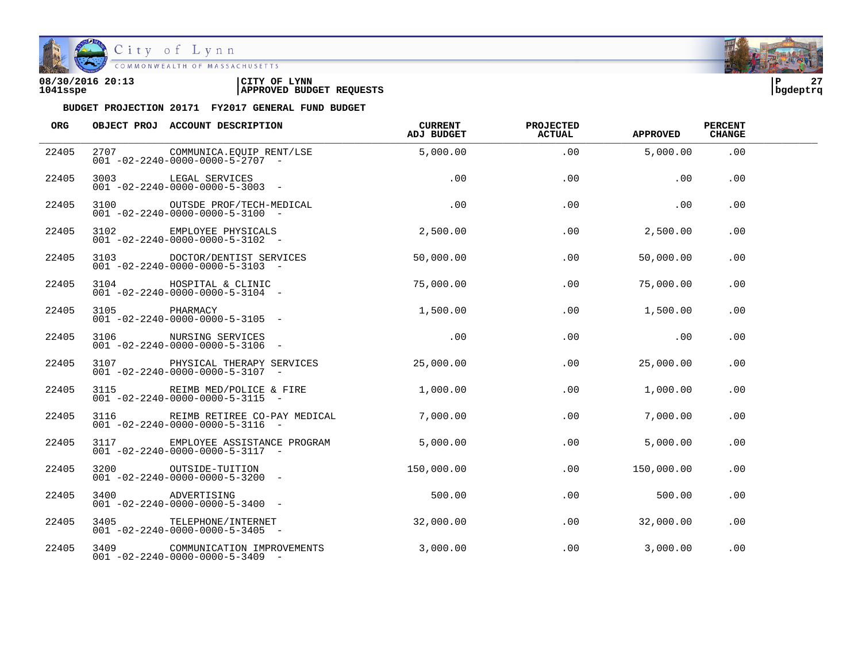

| 08/30/2016 20:13 | LYNN<br>CITY OF                 | ם ו      | $\sim$ |
|------------------|---------------------------------|----------|--------|
| 1041sspe         | <b>APPROVED BUDGET REQUESTS</b> | bqdeptrq |        |



| ORG   |               | OBJECT PROJ ACCOUNT DESCRIPTION                                                   | CURRENT<br>ADJ BUDGET | <b>PROJECTED</b><br><b>ACTUAL</b> | <b>APPROVED</b> | <b>PERCENT</b><br><b>CHANGE</b> |  |
|-------|---------------|-----------------------------------------------------------------------------------|-----------------------|-----------------------------------|-----------------|---------------------------------|--|
| 22405 |               | 2707 COMMUNICA.EOUIP RENT/LSE<br>$001 - 02 - 2240 - 0000 - 0000 - 5 - 2707 -$     | 5,000.00              | .00                               | 5,000.00        | .00                             |  |
| 22405 |               | 3003 LEGAL SERVICES<br>$001 - 02 - 2240 - 0000 - 0000 - 5 - 3003$ -               | .00                   | .00                               | .00             | .00                             |  |
| 22405 |               | 3100 OUTSDE PROF/TECH-MEDICAL<br>$001 - 02 - 2240 - 0000 - 0000 - 5 - 3100$ -     | .00                   | .00                               | .00             | .00                             |  |
| 22405 |               | 3102 EMPLOYEE PHYSICALS<br>$001 - 02 - 2240 - 0000 - 0000 - 5 - 3102 -$           | 2,500.00              | .00                               | 2,500.00        | .00                             |  |
| 22405 |               | 3103 DOCTOR/DENTIST SERVICES<br>$001 - 02 - 2240 - 0000 - 0000 - 5 - 3103$ -      | 50,000.00             | .00                               | 50,000.00       | $.00 \,$                        |  |
| 22405 |               | 3104 HOSPITAL & CLINIC<br>$001 - 02 - 2240 - 0000 - 0000 - 5 - 3104$ -            | 75,000.00             | $.00 -$                           | 75,000.00       | .00.                            |  |
| 22405 | 3105 PHARMACY | $001 - 02 - 2240 - 0000 - 0000 - 5 - 3105$ -                                      | 1,500.00              | .00                               | 1,500.00        | .00.                            |  |
| 22405 |               | 3106 NURSING SERVICES<br>$001 - 02 - 2240 - 0000 - 0000 - 5 - 3106 -$             | $\sim 00$             | .00                               | $\sim$ 00       | .00                             |  |
| 22405 |               | 3107 PHYSICAL THERAPY SERVICES<br>$001 - 02 - 2240 - 0000 - 0000 - 5 - 3107 -$    | 25,000.00             | $.00 \,$                          | 25,000.00       | .00                             |  |
| 22405 |               | 3115 REIMB MED/POLICE & FIRE<br>$001 - 02 - 2240 - 0000 - 0000 - 5 - 3115 -$      | 1,000.00              | $.00 \,$                          | 1,000.00        | .00                             |  |
| 22405 |               | 3116 REIMB RETIREE CO-PAY MEDICAL<br>$001 - 02 - 2240 - 0000 - 0000 - 5 - 3116 -$ | 7,000.00              | .00                               | 7,000.00        | .00                             |  |
| 22405 |               | 3117 EMPLOYEE ASSISTANCE PROGRAM<br>$001 - 02 - 2240 - 0000 - 0000 - 5 - 3117$ -  | 5,000.00              | .00                               | 5,000.00        | .00                             |  |
| 22405 |               | 3200 OUTSIDE-TUITION<br>$001 - 02 - 2240 - 0000 - 0000 - 5 - 3200$ -              | 150,000.00            | .00                               | 150,000.00      | .00                             |  |
| 22405 |               | 3400 ADVERTISING<br>001 -02-2240-0000-0000-5-3400 -                               | 500.00                | .00                               | 500.00          | .00                             |  |
| 22405 |               | 3405 TELEPHONE/INTERNET<br>$001 - 02 - 2240 - 0000 - 0000 - 5 - 3405$ -           | 32,000.00             | .00                               | 32,000.00       | .00                             |  |
| 22405 |               | 3409 COMMUNICATION IMPROVEMENTS<br>$001 - 02 - 2240 - 0000 - 0000 - 5 - 3409$ -   | 3,000.00              | .00                               | 3,000.00        | .00                             |  |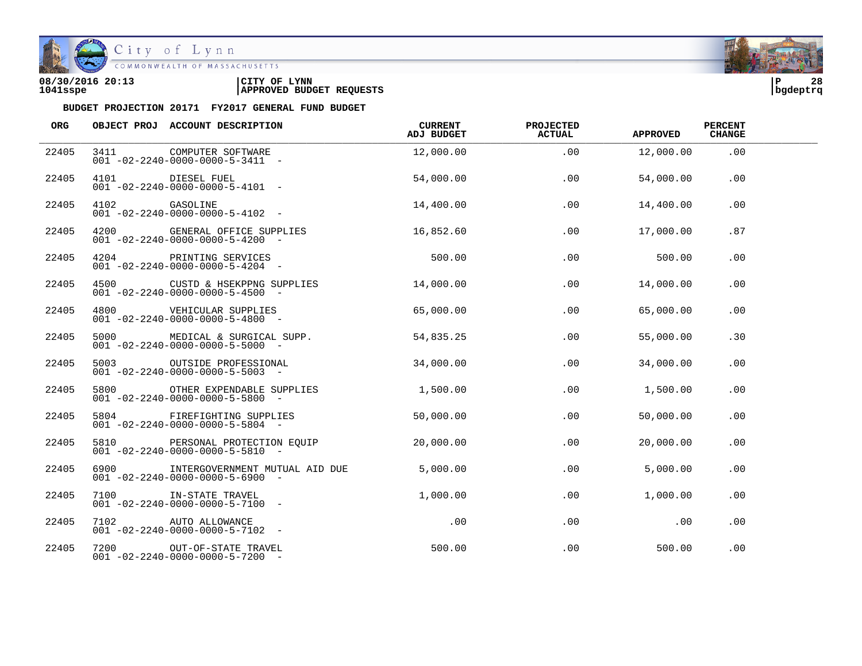

City of Lynn COMMONWEALTH OF MASSACHUSETTS

#### **08/30/2016 20:13 |CITY OF LYNN |P 28 1041sspe |APPROVED BUDGET REQUESTS |bgdeptrq**

| ORG   |               | OBJECT PROJ ACCOUNT DESCRIPTION                                                         | CURRENT<br>ADJ BUDGET | <b>PROJECTED</b><br><b>ACTUAL</b> | <b>APPROVED</b> | <b>PERCENT</b><br><b>CHANGE</b> |  |
|-------|---------------|-----------------------------------------------------------------------------------------|-----------------------|-----------------------------------|-----------------|---------------------------------|--|
| 22405 |               | 3411 COMPUTER SOFTWARE<br>$001 - 02 - 2240 - 0000 - 0000 - 5 - 3411 -$                  | 12,000.00             | .00                               | 12,000.00       | .00                             |  |
| 22405 |               | 4101 DIESEL FUEL<br>$001 - 02 - 2240 - 0000 - 0000 - 5 - 4101 -$                        | 54,000.00             | .00                               | 54,000.00       | .00                             |  |
| 22405 | 4102 GASOLINE | $001 - 02 - 2240 - 0000 - 0000 - 5 - 4102 -$                                            | 14,400.00             | .00                               | 14,400.00       | .00                             |  |
| 22405 |               | 4200 GENERAL OFFICE SUPPLIES<br>$001 - 02 - 2240 - 0000 - 0000 - 5 - 4200 -$            | 16,852.60             | .00                               | 17,000.00       | .87                             |  |
| 22405 |               | 4204 PRINTING SERVICES<br>001 -02-2240-0000-0000-5-4204 -                               | 500.00                | .00                               | 500.00          | $.00 \,$                        |  |
| 22405 |               | 4500 CUSTD & HSEKPPNG SUPPLIES<br>$001 - 02 - 2240 - 0000 - 0000 - 5 - 4500 -$          | 14,000.00             | .00                               | 14,000.00       | .00                             |  |
| 22405 |               | 4800 VEHICULAR SUPPLIES<br>$001 - 02 - 2240 - 0000 - 0000 - 5 - 4800$                   | 65,000.00             | .00                               | 65,000.00       | .00                             |  |
| 22405 |               | 5000 MEDICAL & SURGICAL SUPP.<br>$001 - 02 - 2240 - 0000 - 0000 - 5 - 5000 -$           | 54,835.25             | .00                               | 55,000.00       | .30                             |  |
| 22405 |               | 5003 OUTSIDE PROFESSIONAL<br>$001 - 02 - 2240 - 0000 - 0000 - 5 - 5003$ -               | 34,000.00             | .00                               | 34,000.00       | .00.                            |  |
| 22405 |               | 5800 OTHER EXPENDABLE SUPPLIES 1,500.00<br>$001 - 02 - 2240 - 0000 - 0000 - 5 - 5800$ - |                       | .00                               | 1,500.00        | .00                             |  |
| 22405 |               | 5804 FIREFIGHTING SUPPLIES<br>$001 - 02 - 2240 - 0000 - 0000 - 5 - 5804$ -              | 50,000.00             | .00                               | 50,000.00       | .00                             |  |
| 22405 |               | 5810 PERSONAL PROTECTION EQUIP<br>$001 - 02 - 2240 - 0000 - 0000 - 5 - 5810 -$          | 20,000.00             | .00                               | 20,000.00       | .00                             |  |
| 22405 |               | 6900 INTERGOVERNMENT MUTUAL AID DUE<br>$001 - 02 - 2240 - 0000 - 0000 - 5 - 6900$ -     | 5.000.00              | .00                               | 5,000.00        | .00                             |  |
| 22405 |               | 7100 IN-STATE TRAVEL<br>$001 - 02 - 2240 - 0000 - 0000 - 5 - 7100 -$                    | 1,000.00              | .00                               | 1,000.00        | .00                             |  |
| 22405 |               | 7102 AUTO ALLOWANCE<br>$001 - 02 - 2240 - 0000 - 0000 - 5 - 7102 -$                     | .00                   | .00                               | .00             | .00                             |  |
| 22405 |               | 7200 OUT-OF-STATE TRAVEL<br>$001 - 02 - 2240 - 0000 - 0000 - 5 - 7200 -$                | 500.00                | .00                               | 500.00          | .00                             |  |

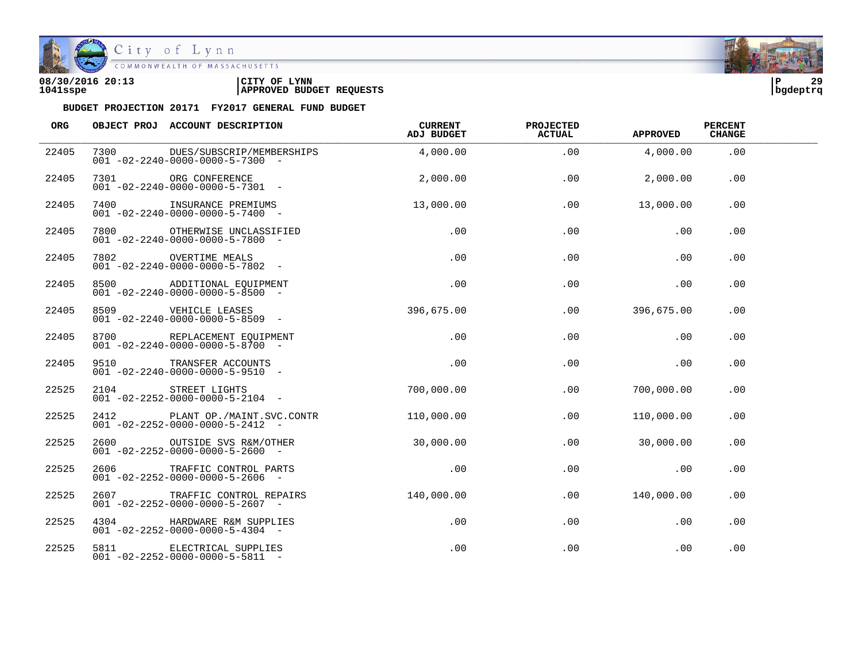

### City of Lynn

COMMONWEALTH OF MASSACHUSETTS

#### **08/30/2016 20:13 |CITY OF LYNN |P 29 1041sspe |APPROVED BUDGET REQUESTS |bgdeptrq**

| ORG   |      | OBJECT PROJ ACCOUNT DESCRIPTION                                                | CURRENT<br>ADJ BUDGET | <b>PROJECTED</b><br><b>ACTUAL</b> | <b>APPROVED</b> | <b>PERCENT</b><br><b>CHANGE</b> |  |
|-------|------|--------------------------------------------------------------------------------|-----------------------|-----------------------------------|-----------------|---------------------------------|--|
| 22405 | 7300 | DUES/SUBSCRIP/MEMBERSHIPS<br>$001 - 02 - 2240 - 0000 - 0000 - 5 - 7300 -$      | 4,000.00              | .00                               | 4,000.00        | .00                             |  |
| 22405 |      | 7301 ORG CONFERENCE<br>$001 - 02 - 2240 - 0000 - 0000 - 5 - 7301$ -            | 2,000.00              | .00                               | 2,000.00        | .00                             |  |
| 22405 |      | 7400 INSURANCE PREMIUMS<br>$001 - 02 - 2240 - 0000 - 0000 - 5 - 7400 -$        | 13,000.00             | .00                               | 13,000.00       | .00                             |  |
| 22405 |      | 7800 OTHERWISE UNCLASSIFIED<br>$001 - 02 - 2240 - 0000 - 0000 - 5 - 7800$ -    | .00                   | .00                               | .00             | .00                             |  |
| 22405 |      | 7802 OVERTIME MEALS<br>$001 - 02 - 2240 - 0000 - 0000 - 5 - 7802 -$            | .00                   | .00                               | .00             | .00                             |  |
| 22405 |      | 8500 ADDITIONAL EQUIPMENT<br>$001 - 02 - 2240 - 0000 - 0000 - 5 - 8500$ -      | .00                   | .00                               | .00             | .00                             |  |
| 22405 |      | $001 - 02 - 2240 - 0000 - 0000 - 5 - 8509$ -                                   | 396,675.00            | .00                               | 396,675.00      | .00                             |  |
| 22405 |      | 8700 REPLACEMENT EQUIPMENT<br>$001 - 02 - 2240 - 0000 - 0000 - 5 - 8700 -$     | $.00\,$               | .00                               | .00             | .00                             |  |
| 22405 | 9510 | TRANSFER ACCOUNTS<br>$001 - 02 - 2240 - 0000 - 0000 - 5 - 9510 -$              | .00                   | .00                               | .00             | .00                             |  |
| 22525 | 2104 | STREET LIGHTS<br>$001 - 02 - 2252 - 0000 - 0000 - 5 - 2104$ -                  | 700,000.00            | $.00 \,$                          | 700,000.00      | .00.                            |  |
| 22525 |      | 2412 PLANT OP./MAINT.SVC.CONTR<br>$001 - 02 - 2252 - 0000 - 0000 - 5 - 2412 -$ | 110,000.00            | .00                               | 110,000.00      | .00                             |  |
| 22525 |      | 2600 OUTSIDE SVS R&M/OTHER<br>$001 - 02 - 2252 - 0000 - 0000 - 5 - 2600$ -     | 30,000,00             | .00                               | 30,000.00       | .00                             |  |
| 22525 |      | 2606 TRAFFIC CONTROL PARTS<br>$001 - 02 - 2252 - 0000 - 0000 - 5 - 2606$ -     | .00                   | .00                               | .00             | .00                             |  |
| 22525 | 2607 | TRAFFIC CONTROL REPAIRS<br>$001 - 02 - 2252 - 0000 - 0000 - 5 - 2607 -$        | 140.000.00            | .00                               | 140,000.00      | .00                             |  |
| 22525 |      | 4304 HARDWARE R&M SUPPLIES<br>$001 - 02 - 2252 - 0000 - 0000 - 5 - 4304$ -     | .00                   | .00                               | .00             | .00                             |  |
| 22525 |      | 5811 ELECTRICAL SUPPLIES<br>$001 - 02 - 2252 - 0000 - 0000 - 5 - 5811 -$       | .00                   | .00                               | .00             | .00                             |  |

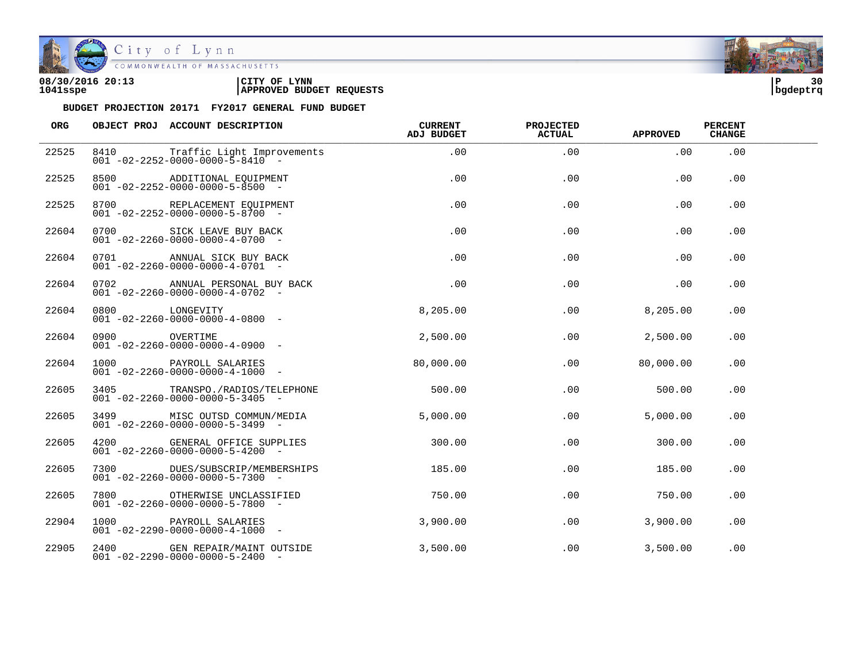

| 08/30/2016 20:13 | CITY OF<br><b>LYNN</b>          | l P      | 30 |
|------------------|---------------------------------|----------|----|
| 1041sspe         | <b>APPROVED BUDGET REQUESTS</b> | bgdeptrq |    |

| ORG   |               | OBJECT PROJ ACCOUNT DESCRIPTION                                                       | <b>CURRENT</b><br>ADJ BUDGET | <b>PROJECTED</b><br><b>ACTUAL</b> | <b>APPROVED</b>  | <b>PERCENT</b><br><b>CHANGE</b> |  |
|-------|---------------|---------------------------------------------------------------------------------------|------------------------------|-----------------------------------|------------------|---------------------------------|--|
| 22525 |               | 8410 Traffic Light Improvements<br>$001 - 02 - 2252 - 0000 - 0000 - 5 - 8410$ -       | .00                          | .00                               | .00              | .00                             |  |
| 22525 |               | 8500 ADDITIONAL EQUIPMENT<br>$001 - 02 - 2252 - 0000 - 0000 - 5 - 8500$ -             | .00                          | .00                               | .00              | .00                             |  |
| 22525 |               | 8700 REPLACEMENT EQUIPMENT<br>$001 - 02 - 2252 - 0000 - 0000 - 5 - 8700$ -            | .00                          | .00                               | .00              | .00                             |  |
| 22604 |               | 0700 SICK LEAVE BUY BACK<br>$001 - 02 - 2260 - 0000 - 0000 - 4 - 0700 -$              | .00                          | .00                               | .00              | .00                             |  |
| 22604 |               | 0701 ANNUAL SICK BUY BACK<br>$001 - 02 - 2260 - 0000 - 0000 - 4 - 0701 -$             | .00                          | .00                               | .00              | .00                             |  |
| 22604 |               | 0702 ANNUAL PERSONAL BUY BACK<br>$001 - 02 - 2260 - 0000 - 0000 - 4 - 0702 -$         | .00                          | .00                               | .00              | .00                             |  |
| 22604 |               | 0800 LONGEVITY<br>001 -02-2260-0000-0000-4-0800 -                                     | 8,205.00                     | .00                               | 8,205.00         | .00                             |  |
| 22604 | 0900 OVERTIME | $001 - 02 - 2260 - 0000 - 0000 - 4 - 0900 -$                                          | 2,500.00                     | .00                               | 2,500.00         | .00                             |  |
| 22604 |               | 1000 PAYROLL SALARIES<br>$001 - 02 - 2260 - 0000 - 0000 - 4 - 1000 -$                 | 80,000.00                    |                                   | .00<br>80,000.00 | .00                             |  |
| 22605 |               | 3405 TRANSPO./RADIOS/TELEPHONE<br>$001 - 02 - 2260 - 0000 - 0000 - 5 - 3405$ -        | 500.00                       | .00                               | 500.00           | .00.                            |  |
| 22605 |               | 3499 MISC OUTSD COMMUN/MEDIA<br>$001 - 02 - 2260 - 0000 - 0000 - 5 - 3499$ -          | 5,000.00                     | .00                               | 5,000.00         | .00                             |  |
| 22605 |               | 4200 GENERAL OFFICE SUPPLIES<br>$001 - 02 - 2260 - 0000 - 0000 - 5 - 4200 -$          | 300.00                       | .00                               | 300.00           | .00                             |  |
| 22605 |               | 7300 DUES/SUBSCRIP/MEMBERSHIPS 185.00<br>$001 - 02 - 2260 - 0000 - 0000 - 5 - 7300 -$ |                              | .00                               | 185.00           | .00                             |  |
| 22605 |               | 7800 OTHERWISE UNCLASSIFIED<br>$001 - 02 - 2260 - 0000 - 0000 - 5 - 7800 -$           | 750.00                       | .00                               | 750.00           | .00                             |  |
| 22904 |               | 1000 PAYROLL SALARIES<br>$001 - 02 - 2290 - 0000 - 0000 - 4 - 1000 -$                 | 3,900.00                     | .00                               | 3,900.00         | .00                             |  |
| 22905 |               | 2400 GEN REPAIR/MAINT OUTSIDE<br>$001 - 02 - 2290 - 0000 - 0000 - 5 - 2400$ -         | 3,500.00                     | $.00\,$                           | 3,500.00         | .00                             |  |

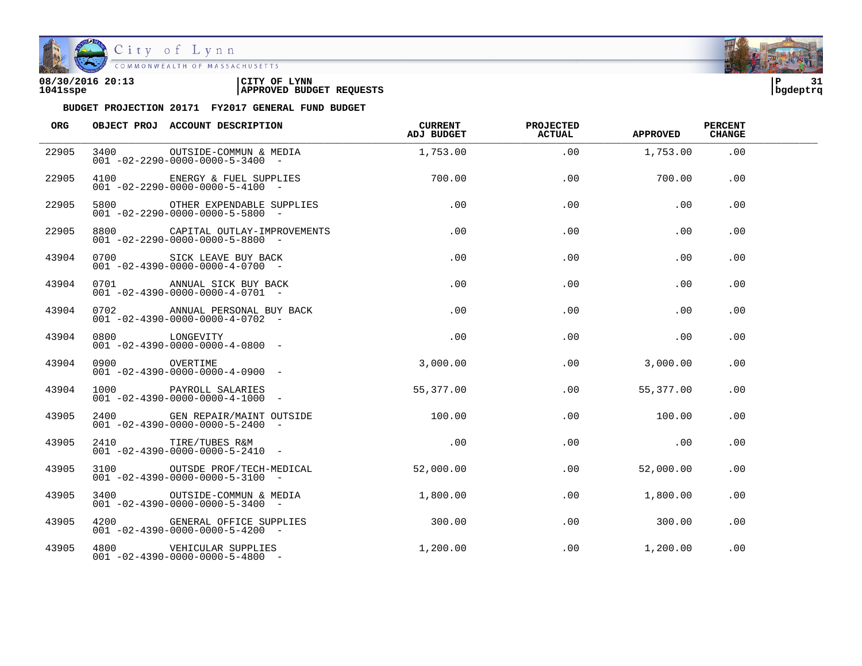

| 08/30/2016 20:13 | CITY OF<br><b>LYNN</b>          | l P      | - - |
|------------------|---------------------------------|----------|-----|
| 1041sspe         | <b>APPROVED BUDGET REQUESTS</b> | bqdeptrq |     |

| ORG   |               | OBJECT PROJ ACCOUNT DESCRIPTION                                                                                  | <b>CURRENT</b><br>ADJ BUDGET | <b>PROJECTED</b><br><b>ACTUAL</b> | <b>APPROVED</b> | <b>PERCENT</b><br><b>CHANGE</b> |  |
|-------|---------------|------------------------------------------------------------------------------------------------------------------|------------------------------|-----------------------------------|-----------------|---------------------------------|--|
| 22905 | 3400          | OUTSIDE-COMMUN & MEDIA<br>$001 - 02 - 2290 - 0000 - 0000 - 5 - 3400 -$                                           | 1,753.00                     | .00                               | 1,753.00        | .00                             |  |
| 22905 |               | 4100 ENERGY & FUEL SUPPLIES 700.00<br>$001 - 02 - 2290 - 0000 - 0000 - 5 - 4100 -$                               |                              | .00                               | 700.00          | .00                             |  |
| 22905 |               | 5800 OTHER EXPENDABLE SUPPLIES<br>$001 - 02 - 2290 - 0000 - 0000 - 5 - 5800$ -                                   | .00                          | .00                               | .00             | .00                             |  |
| 22905 |               | 8800 CAPITAL OUTLAY-IMPROVEMENTS<br>$001 - 02 - 2290 - 0000 - 0000 - 5 - 8800$ -                                 | $.00\,$                      | .00                               | .00             | .00                             |  |
| 43904 |               | 0700 SICK LEAVE BUY BACK<br>$001 - 02 - 4390 - 0000 - 0000 - 4 - 0700 -$                                         | $.00\,$                      | .00                               | .00             | $.00 \,$                        |  |
| 43904 |               | 0701 ANNUAL SICK BUY BACK<br>$001 - 02 - 4390 - 0000 - 0000 - 4 - 0701 -$                                        | .00                          | $.00 \,$                          | .00             | .00                             |  |
| 43904 |               | 0702 ANNUAL PERSONAL BUY BACK<br>$001 - 02 - 4390 - 0000 - 0000 - 4 - 0702$ -                                    | .00                          | .00                               | .00             | .00.                            |  |
| 43904 |               | 0800 LONGEVITY<br>001 -02-4390-0000-0000-4-0800 -                                                                | .00                          | .00                               | .00             | .00                             |  |
| 43904 | 0900 OVERTIME | $001 - 02 - 4390 - 0000 - 0000 - 4 - 0900 -$                                                                     | 3,000.00                     | .00                               | 3,000.00        | .00                             |  |
| 43904 |               | 1000 PAYROLL SALARIES<br>$001 - 02 - 4390 - 0000 - 0000 - 4 - 1000 -$                                            | 55,377.00                    | $.00\,$                           | 55,377.00       | .00                             |  |
| 43905 |               | 2400 GEN REPAIR/MAINT OUTSIDE<br>001 -02-4390-0000-0000-5-2400 -<br>$001 - 02 - 4390 - 0000 - 0000 - 5 - 2400$ - | 100.00                       | .00                               | 100.00          | .00                             |  |
| 43905 |               | 2410 TIRE/TUBES R&M<br>$001 - 02 - 4390 - 0000 - 0000 - 5 - 2410 -$                                              | .00                          | .00                               | .00             | .00                             |  |
| 43905 |               | 3100 OUTSDE PROF/TECH-MEDICAL<br>$001 - 02 - 4390 - 0000 - 0000 - 5 - 3100 -$                                    | 52,000.00                    | $.00 \,$                          | 52,000.00       | .00                             |  |
| 43905 |               | 3400 OUTSIDE-COMMUN & MEDIA 1,800.00<br>$001 - 02 - 4390 - 0000 - 0000 - 5 - 3400 -$                             |                              |                                   | .00<br>1,800.00 | .00                             |  |
| 43905 |               | 4200 GENERAL OFFICE SUPPLIES<br>$001 - 02 - 4390 - 0000 - 0000 - 5 - 4200$ -                                     | 300.00                       | $.00 \,$                          | 300.00          | .00                             |  |
| 43905 |               | 4800 VEHICULAR SUPPLIES<br>$001 - 02 - 4390 - 0000 - 0000 - 5 - 4800$ -                                          | 1,200.00                     | .00                               | 1,200.00        | .00                             |  |

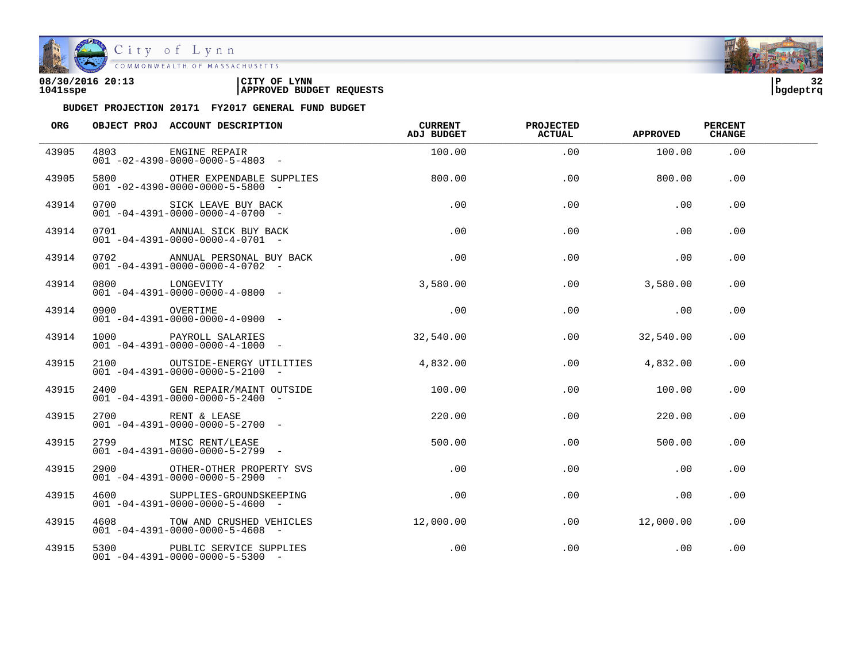

| 08/30/2016 20:13 | LYNN<br>CITY OF                 | ם ו      | $\sim$ |
|------------------|---------------------------------|----------|--------|
| 1041sspe         | <b>APPROVED BUDGET REQUESTS</b> | bqdeptrq |        |

| ORG   |                | OBJECT PROJ ACCOUNT DESCRIPTION                                                   | CURRENT<br>ADJ BUDGET | <b>PROJECTED</b><br><b>ACTUAL</b> | APPROVED  | <b>PERCENT</b><br><b>CHANGE</b> |  |
|-------|----------------|-----------------------------------------------------------------------------------|-----------------------|-----------------------------------|-----------|---------------------------------|--|
| 43905 |                | 4803 ENGINE REPAIR<br>$001 - 02 - 4390 - 0000 - 0000 - 5 - 4803$ -                | 100.00                | .00                               | 100.00    | .00                             |  |
| 43905 |                | 5800 OTHER EXPENDABLE SUPPLIES<br>$001 - 02 - 4390 - 0000 - 0000 - 5 - 5800$ -    | 800.00                | .00                               | 800.00    | .00                             |  |
| 43914 |                | 0700 SICK LEAVE BUY BACK<br>$001 - 04 - 4391 - 0000 - 0000 - 4 - 0700 -$          | .00                   | .00                               | .00       | .00                             |  |
| 43914 |                | 0701 ANNUAL SICK BUY BACK<br>$001 - 04 - 4391 - 0000 - 0000 - 4 - 0701 -$         | $\overline{0}$ . 00   | .00                               | .00       | .00                             |  |
| 43914 |                | 0702 ANNUAL PERSONAL BUY BACK<br>$001 - 04 - 4391 - 0000 - 0000 - 4 - 0702 -$     | .00                   | .00                               | .00       | .00                             |  |
| 43914 | 0800 LONGEVITY | $001 - 04 - 4391 - 0000 - 0000 - 4 - 0800$ -                                      | 3,580.00              | .00                               | 3,580.00  | .00                             |  |
| 43914 | 0900 OVERTIME  | $001 - 04 - 4391 - 0000 - 0000 - 4 - 0900 -$                                      | .00                   | .00                               | .00       | .00                             |  |
| 43914 |                | 1000 PAYROLL SALARIES<br>$0.01 - 0.4 - 4.391 - 0.000 - 0.000 - 4 - 1.000 - 0.000$ | 32,540.00             | .00                               | 32,540.00 | .00                             |  |
| 43915 |                | 2100 OUTSIDE-ENERGY UTILITIES<br>$001 - 04 - 4391 - 0000 - 0000 - 5 - 2100 -$     | 4.832.00              | $.00 \,$                          | 4,832.00  | .00                             |  |
| 43915 |                | 2400 GEN REPAIR/MAINT OUTSIDE<br>$001 - 04 - 4391 - 0000 - 0000 - 5 - 2400$ -     | 100.00                | $.00 \,$                          | 100.00    | .00                             |  |
| 43915 |                | 2700 RENT & LEASE<br>$001 - 04 - 4391 - 0000 - 0000 - 5 - 2700$ -                 | 220.00                | .00                               | 220.00    | .00                             |  |
| 43915 |                | 2799 MISC RENT/LEASE<br>$001 - 04 - 4391 - 0000 - 0000 - 5 - 2799$ -              | 500.00                | .00                               | 500.00    | .00                             |  |
| 43915 |                | 2900 OTHER-OTHER PROPERTY SVS<br>$001 - 04 - 4391 - 0000 - 0000 - 5 - 2900 -$     | .00                   | .00                               | .00       | .00                             |  |
| 43915 |                | 4600 SUPPLIES-GROUNDSKEEPING<br>$001 - 04 - 4391 - 0000 - 0000 - 5 - 4600 -$      | $.00 \,$              | .00                               | .00       | .00                             |  |
| 43915 |                | 4608 TOW AND CRUSHED VEHICLES<br>$001 - 04 - 4391 - 0000 - 0000 - 5 - 4608$ -     | 12,000.00             | .00                               | 12,000.00 | .00                             |  |
| 43915 |                | 5300 PUBLIC SERVICE SUPPLIES<br>$001 - 04 - 4391 - 0000 - 0000 - 5 - 5300 -$      | $.00 \,$              | .00                               | .00       | .00                             |  |

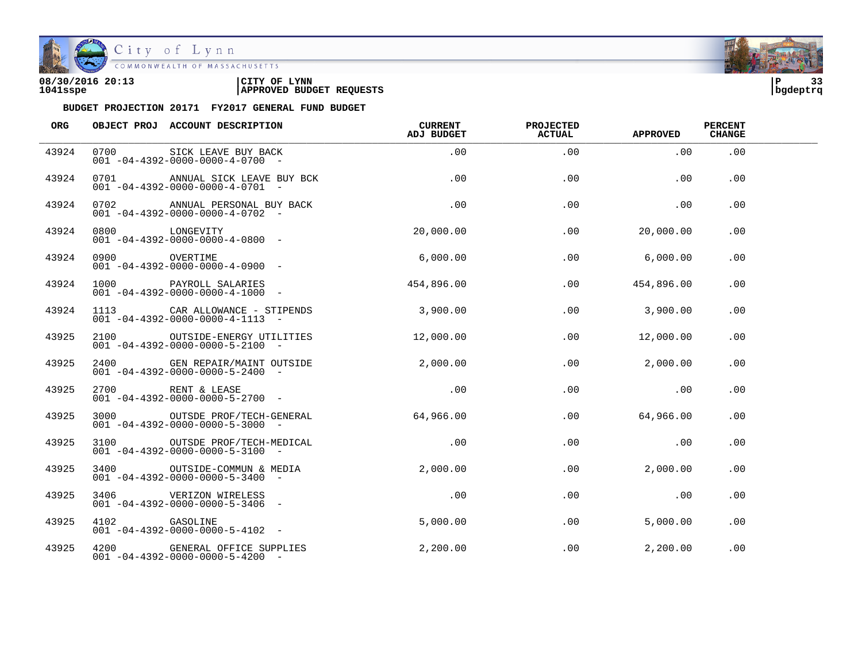

City of Lynn<br>
COMMONWEALTH OF MASSACHUSETTS

| 08/30/2016 20:13 | LYNN<br>CITY OF                 | ם ו      |  |
|------------------|---------------------------------|----------|--|
| 1041sspe         | <b>APPROVED BUDGET REQUESTS</b> | bqdeptrq |  |



| ORG   |               | OBJECT PROJ ACCOUNT DESCRIPTION                                                | CURRENT<br>ADJ BUDGET | <b>PROJECTED</b><br><b>ACTUAL</b> | <b>APPROVED</b> | <b>PERCENT</b><br><b>CHANGE</b> |  |
|-------|---------------|--------------------------------------------------------------------------------|-----------------------|-----------------------------------|-----------------|---------------------------------|--|
| 43924 | 0700          | SICK LEAVE BUY BACK<br>$001 - 04 - 4392 - 0000 - 0000 - 4 - 0700 -$            | .00                   | .00                               | .00             | .00                             |  |
| 43924 |               | 0701 ANNUAL SICK LEAVE BUY BCK<br>$001 - 04 - 4392 - 0000 - 0000 - 4 - 0701 -$ | .00                   | .00                               | .00             | .00                             |  |
| 43924 |               | 0702 ANNUAL PERSONAL BUY BACK<br>$001 - 04 - 4392 - 0000 - 0000 - 4 - 0702$ -  | .00                   | .00                               | .00             | .00                             |  |
| 43924 |               | 0800 LONGEVITY<br>001 -04-4392-0000-0000-4-0800 -                              | 20,000.00             | .00                               | 20,000.00       | .00                             |  |
| 43924 |               | UVERTIME<br>$001 - 04 - 4392 - 0000 - 0000 - 4 - 0900 -$                       | 6,000.00              | .00                               | 6,000.00        | .00                             |  |
| 43924 |               | 1000 PAYROLL SALARIES<br>$001 - 04 - 4392 - 0000 - 0000 - 4 - 1000 -$          | 454,896.00            | .00                               | 454,896.00      | .00                             |  |
| 43924 |               | 1113 CAR ALLOWANCE - STIPENDS<br>$001 - 04 - 4392 - 0000 - 0000 - 4 - 1113 -$  | 3,900.00              | .00                               | 3,900.00        | .00                             |  |
| 43925 |               | 2100 OUTSIDE-ENERGY UTILITIES<br>$001 - 04 - 4392 - 0000 - 0000 - 5 - 2100 -$  | 12,000.00             | .00                               | 12,000.00       | .00                             |  |
| 43925 |               | 2400 GEN REPAIR/MAINT OUTSIDE<br>$001 - 04 - 4392 - 0000 - 0000 - 5 - 2400 -$  | 2,000.00              | $.00 \,$                          | 2,000.00        | .00                             |  |
| 43925 |               | 2700 RENT & LEASE<br>$001 - 04 - 4392 - 0000 - 0000 - 5 - 2700$ -              | .00                   | .00                               | .00             | .00                             |  |
| 43925 |               | 3000 OUTSDE PROF/TECH-GENERAL<br>$001 - 04 - 4392 - 0000 - 0000 - 5 - 3000 -$  | 64,966.00             | .00                               | 64,966.00       | .00                             |  |
| 43925 |               | 3100 OUTSDE PROF/TECH-MEDICAL<br>$001 - 04 - 4392 - 0000 - 0000 - 5 - 3100 -$  | .00                   | .00                               | $\overline{00}$ | .00                             |  |
| 43925 | 3400          | OUTSIDE-COMMUN & MEDIA<br>$0.01 - 0.4 - 4.392 - 0.000 - 0.000 - 5 - 3400 - 7$  | 2,000.00              | .00                               | 2,000.00        | .00                             |  |
| 43925 |               | 3406 VERIZON WIRELESS<br>$001 - 04 - 4392 - 0000 - 0000 - 5 - 3406 -$          | .00                   | .00                               | .00             | .00                             |  |
| 43925 | 4102 GASOLINE | $001 - 04 - 4392 - 0000 - 0000 - 5 - 4102 -$                                   | 5,000.00              | .00                               | 5,000.00        | .00                             |  |
| 43925 |               | 4200 GENERAL OFFICE SUPPLIES<br>$001 - 04 - 4392 - 0000 - 0000 - 5 - 4200 -$   | 2,200.00              | $.00 \,$                          | 2,200.00        | .00                             |  |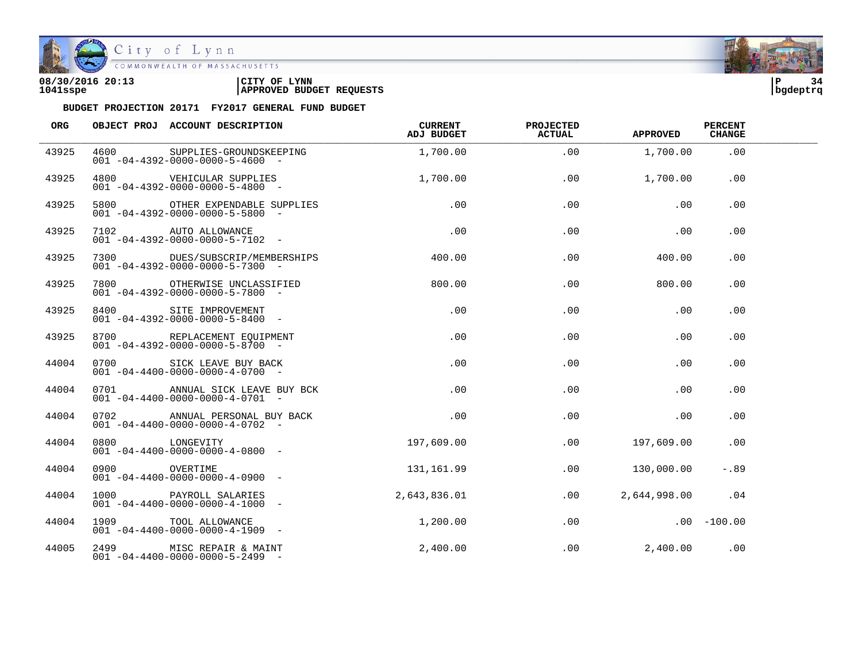

City of Lynn COMMONWEALTH OF MASSACHUSETTS

#### **08/30/2016 20:13 |CITY OF LYNN |P 34 1041sspe |APPROVED BUDGET REQUESTS |bgdeptrq**

| <b>ORG</b> |      | OBJECT PROJ ACCOUNT DESCRIPTION                                                       | CURRENT<br><b>ADJ BUDGET</b> | PROJECTED<br><b>ACTUAL</b> | <b>APPROVED</b> | <b>PERCENT</b><br><b>CHANGE</b> |  |
|------------|------|---------------------------------------------------------------------------------------|------------------------------|----------------------------|-----------------|---------------------------------|--|
| 43925      | 4600 | SUPPLIES-GROUNDSKEEPING<br>$001 - 04 - 4392 - 0000 - 0000 - 5 - 4600 -$               | 1,700.00                     | .00                        | 1,700.00        | .00                             |  |
| 43925      |      | 4800 VEHICULAR SUPPLIES<br>$001 - 04 - 4392 - 0000 - 0000 - 5 - 4800 -$               | 1,700.00                     | .00                        | 1,700.00        | .00                             |  |
| 43925      |      | 5800 OTHER EXPENDABLE SUPPLIES<br>$001 - 04 - 4392 - 0000 - 0000 - 5 - 5800$ -        | .00                          | .00                        | .00             | .00                             |  |
| 43925      |      | 7102 AUTO ALLOWANCE<br>$001 - 04 - 4392 - 0000 - 0000 - 5 - 7102 -$                   | $\overline{a}$ .00           | .00                        | .00             | .00                             |  |
| 43925      |      | 7300 DUES/SUBSCRIP/MEMBERSHIPS 400.00<br>$001 - 04 - 4392 - 0000 - 0000 - 5 - 7300$ - |                              | .00                        | 400.00          | $.00 \,$                        |  |
| 43925      |      | 7800 OTHERWISE UNCLASSIFIED<br>$001 - 04 - 4392 - 0000 - 0000 - 5 - 7800$ -           | 800.00                       | .00                        | 800.00          | .00                             |  |
| 43925      |      | 8400 SITE IMPROVEMENT<br>$001 - 04 - 4392 - 0000 - 0000 - 5 - 8400 -$                 | .00                          | .00                        | .00             | .00                             |  |
| 43925      |      | 8700 REPLACEMENT EQUIPMENT<br>$001 - 04 - 4392 - 0000 - 0000 - 5 - 8700 -$            | .00                          | .00                        | .00             | .00                             |  |
| 44004      |      | 0700 SICK LEAVE BUY BACK<br>$001 - 04 - 4400 - 0000 - 0000 - 4 - 0700 -$              | .00                          | .00                        | .00             | .00                             |  |
| 44004      | 0701 | ANNUAL SICK LEAVE BUY BCK<br>$001 - 04 - 4400 - 0000 - 0000 - 4 - 0701 -$             | $.00 \,$                     | .00                        | .00             | .00                             |  |
| 44004      |      | 0702 ANNUAL PERSONAL BUY BACK<br>$001 - 04 - 4400 - 0000 - 0000 - 4 - 0702 -$         | $.00 \,$                     | .00                        | .00             | .00                             |  |
| 44004      |      | 0800 LONGEVITY<br>$001 - 04 - 4400 - 0000 - 0000 - 4 - 0800 -$                        | 197,609.00                   | .00                        | 197,609.00      | .00                             |  |
| 44004      | 0900 | OVERTIME<br>$001 - 04 - 4400 - 0000 - 0000 - 4 - 0900 -$                              | 131,161.99                   | .00                        | 130,000.00      | $-.89$                          |  |
| 44004      |      | 1000 PAYROLL SALARIES<br>$001 - 04 - 4400 - 0000 - 0000 - 4 - 1000 -$                 | 2,643,836.01                 | .00                        | 2,644,998.00    | .04                             |  |
| 44004      |      | 1909 TOOL ALLOWANCE<br>$001 - 04 - 4400 - 0000 - 0000 - 4 - 1909$ -                   | 1,200.00                     | .00                        |                 | $.00 - 100.00$                  |  |
| 44005      |      | 2499 MISC REPAIR & MAINT<br>$001 - 04 - 4400 - 0000 - 0000 - 5 - 2499$ -              | 2,400.00                     | .00                        | 2,400.00        | .00                             |  |

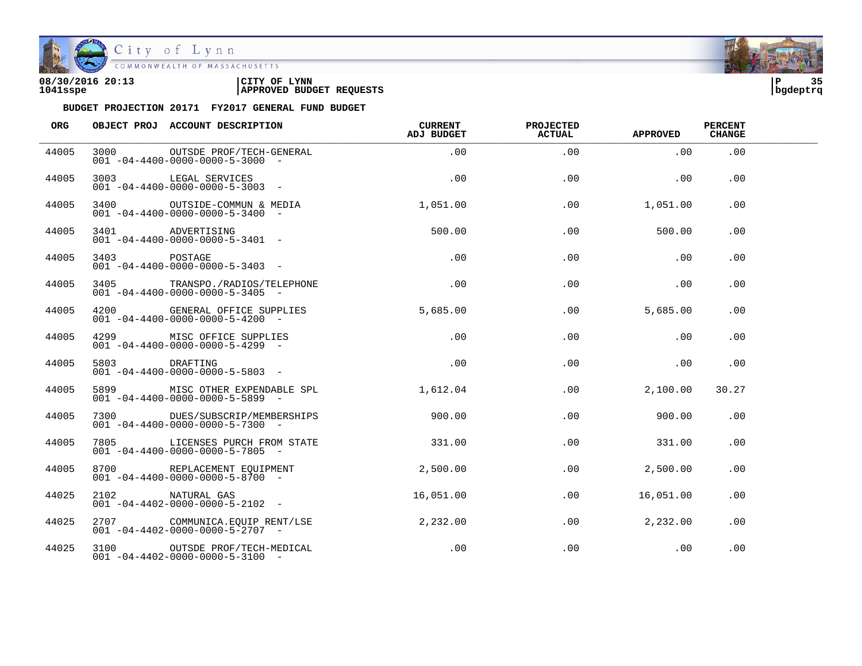

City of Lynn

| 08/30/2016 20:13 | CITY OF<br><b>LYNN</b>          | l P      | っこ |
|------------------|---------------------------------|----------|----|
| 1041sspe         | <b>APPROVED BUDGET REQUESTS</b> | bqdeptrq |    |



| ORG   |               | OBJECT PROJ ACCOUNT DESCRIPTION                                                             | CURRENT<br>ADJ BUDGET | PROJECTED<br><b>ACTUAL</b> | <b>APPROVED</b>  | <b>PERCENT</b><br><b>CHANGE</b> |  |
|-------|---------------|---------------------------------------------------------------------------------------------|-----------------------|----------------------------|------------------|---------------------------------|--|
| 44005 | 3000          | OUTSDE PROF/TECH-GENERAL<br>$001 - 04 - 4400 - 0000 - 0000 - 5 - 3000 -$                    | .00                   | .00                        | .00              | .00                             |  |
| 44005 |               | 3003 LEGAL SERVICES<br>$001 - 04 - 4400 - 0000 - 0000 - 5 - 3003$ -                         | .00                   | .00                        | .00              | .00.                            |  |
| 44005 |               | 3400 OUTSIDE-COMMUN & MEDIA<br>$001 - 04 - 4400 - 0000 - 0000 - 5 - 3400$ -                 | 1,051,00              | .00                        | 1,051.00         | .00                             |  |
| 44005 |               | ADVERTISING<br>001-04-4400-0000-0000-5-3401-                                                | 500.00                | .00                        | 500.00           | .00                             |  |
| 44005 | 3403 POSTAGE  | $001 - 04 - 4400 - 0000 - 0000 - 5 - 3403 -$                                                | .00                   | .00                        | .00              | $.00 \,$                        |  |
| 44005 |               | 3405 TRANSPO./RADIOS/TELEPHONE<br>$001 - 04 - 4400 - 0000 - 0000 - 5 - 3405$ -              | $.00 \,$              | .00.                       | .00              | .00.                            |  |
| 44005 |               | 4200 GENERAL OFFICE SUPPLIES<br>$001 - 04 - 4400 - 0000 - 0000 - 5 - 4200$ -                | 5,685.00              | $.00 \,$                   | 5,685.00         | .00.                            |  |
| 44005 |               | 4299 MISC OFFICE SUPPLIES<br>$001 - 04 - 4400 - 0000 - 0000 - 5 - 4299$ -                   | $.00 \,$              | .00                        | $.00 \,$         | .00                             |  |
| 44005 | 5803 DRAFTING | $001 - 04 - 4400 - 0000 - 0000 - 5 - 5803 -$                                                | .00                   | .00                        | .00              | .00                             |  |
| 44005 |               | 5899 MISC OTHER EXPENDABLE SPL 1,612.04<br>$001 - 04 - 4400 - 0000 - 0000 - 5 - 5899$ -     |                       | $.00 \,$                   | 2,100.00         | 30.27                           |  |
| 44005 |               | $001 - 04 - 4400 - 0000 - 0000 - 5 - 7300 -$                                                | 900.00                | .00                        | 900.00           | .00                             |  |
| 44005 |               | 7805 LICENSES PURCH FROM STATE<br>$001 - 04 - 4400 - 0000 - 0000 - 5 - 7805$ -              | 331.00                | .00                        | 331.00           | .00                             |  |
| 44005 |               | 8700 REPLACEMENT EOUIPMENT<br>$001 - 04 - 4400 - 0000 - 0000 - 5 - 8700 -$                  | 2,500.00              | .00                        | 2,500.00         | .00                             |  |
| 44025 | 2102          | NATURAL GAS<br>$001 - 04 - 4402 - 0000 - 0000 - 5 - 2102 -$                                 | 16,051.00             |                            | .00<br>16,051.00 | .00                             |  |
| 44025 |               | 2707 COMMUNICA.EOUIP RENT/LSE 2,232.00<br>$0.01 - 0.4 - 4.402 - 0.000 - 0.000 - 5 - 2707 -$ |                       | .00                        | 2,232.00         | .00                             |  |
| 44025 |               | 3100 OUTSDE PROF/TECH-MEDICAL<br>$001 - 04 - 4402 - 0000 - 0000 - 5 - 3100 -$               | .00                   | .00                        | .00              | .00                             |  |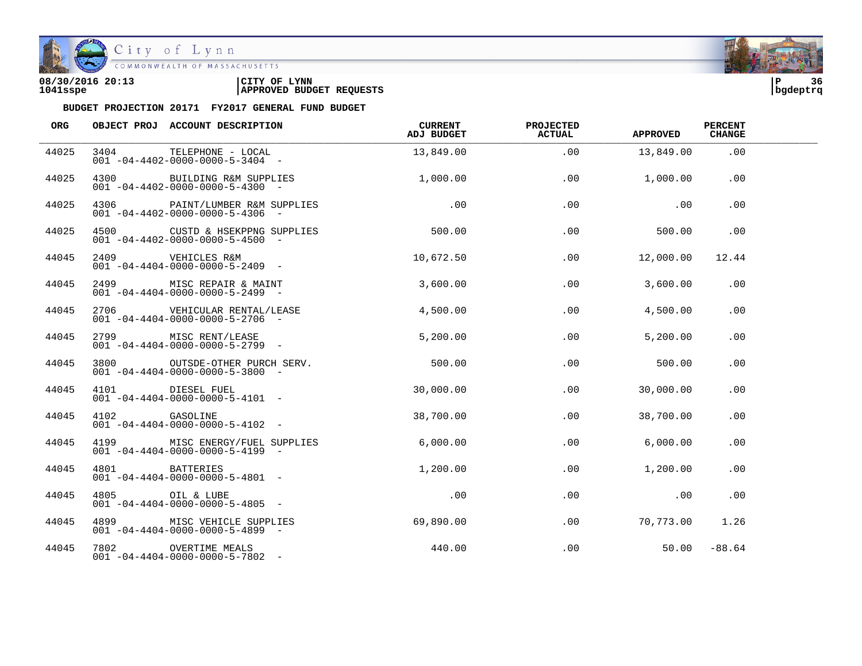

COMMONWEALTH OF MASSACHUSETTS

#### **08/30/2016 20:13 |CITY OF LYNN |P 36 1041sspe |APPROVED BUDGET REQUESTS |bgdeptrq**



| ORG   |               | OBJECT PROJ ACCOUNT DESCRIPTION                                                | <b>CURRENT</b><br>ADJ BUDGET | <b>PROJECTED</b><br><b>ACTUAL</b> | <b>APPROVED</b> | <b>PERCENT</b><br><b>CHANGE</b> |  |
|-------|---------------|--------------------------------------------------------------------------------|------------------------------|-----------------------------------|-----------------|---------------------------------|--|
| 44025 | 3404          | TELEPHONE - LOCAL<br>$001 - 04 - 4402 - 0000 - 0000 - 5 - 3404 -$              | 13,849.00                    | .00                               | 13,849.00       | .00                             |  |
| 44025 |               | 4300 BUILDING R&M SUPPLIES<br>$001 - 04 - 4402 - 0000 - 0000 - 5 - 4300 -$     | 1,000.00                     | .00                               | 1,000.00        | .00                             |  |
| 44025 |               | 4306 PAINT/LUMBER R&M SUPPLIES<br>$001 - 04 - 4402 - 0000 - 0000 - 5 - 4306$ - | $\overline{00}$              | .00                               | .00             | .00                             |  |
| 44025 |               | 4500 CUSTD & HSEKPPNG SUPPLIES<br>$001 - 04 - 4402 - 0000 - 0000 - 5 - 4500 -$ | 500.00                       | .00                               | 500.00          | .00                             |  |
| 44045 |               | 2409 VEHICLES R&M<br>$001 - 04 - 4404 - 0000 - 0000 - 5 - 2409$ -              | 10,672.50                    | .00                               | 12,000.00       | 12.44                           |  |
| 44045 |               | 2499 MISC REPAIR & MAINT<br>$001 - 04 - 4404 - 0000 - 0000 - 5 - 2499$ -       | 3,600.00                     | .00                               | 3,600.00        | .00                             |  |
| 44045 |               | 2706    VEHICULAR RENTAL/LEASE<br>$001 - 04 - 4404 - 0000 - 0000 - 5 - 2706 -$ | 4,500.00                     | .00                               | 4,500.00        | .00                             |  |
| 44045 |               | 2799 MISC RENT/LEASE<br>$001 - 04 - 4404 - 0000 - 0000 - 5 - 2799$ -           | 5,200.00                     | .00                               | 5,200.00        | .00                             |  |
| 44045 |               | 3800 OUTSDE-OTHER PURCH SERV.<br>$001 - 04 - 4404 - 0000 - 0000 - 5 - 3800$ -  | 500.00                       | $.00 \,$                          | 500.00          | $.00 \,$                        |  |
| 44045 | 4101          | DIESEL FUEL<br>$001 - 04 - 4404 - 0000 - 0000 - 5 - 4101 -$                    | 30,000.00                    | .00                               | 30,000.00       | .00                             |  |
| 44045 | 4102 GASOLINE | $001 - 04 - 4404 - 0000 - 0000 - 5 - 4102 -$                                   | 38,700.00                    | .00                               | 38,700.00       | .00                             |  |
| 44045 |               | 4199 MISC ENERGY/FUEL SUPPLIES<br>$001 - 04 - 4404 - 0000 - 0000 - 5 - 4199 -$ | 6,000.00                     | .00                               | 6,000.00        | .00                             |  |
| 44045 | 4801          | BATTERIES<br>$001 - 04 - 4404 - 0000 - 0000 - 5 - 4801 -$                      | 1,200.00                     | .00                               | 1,200.00        | .00                             |  |
| 44045 | 4805          | OIL & LUBE<br>$001 - 04 - 4404 - 0000 - 0000 - 5 - 4805$ -                     | .00                          | .00                               | .00             | .00                             |  |
| 44045 |               | 4899 MISC VEHICLE SUPPLIES<br>$001 - 04 - 4404 - 0000 - 0000 - 5 - 4899$ -     | 69,890.00                    | .00                               | 70,773.00       | 1.26                            |  |
| 44045 |               | 7802 OVERTIME MEALS<br>$001 - 04 - 4404 - 0000 - 0000 - 5 - 7802 -$            | 440.00                       | $.00 \,$                          | 50.00           | $-88.64$                        |  |

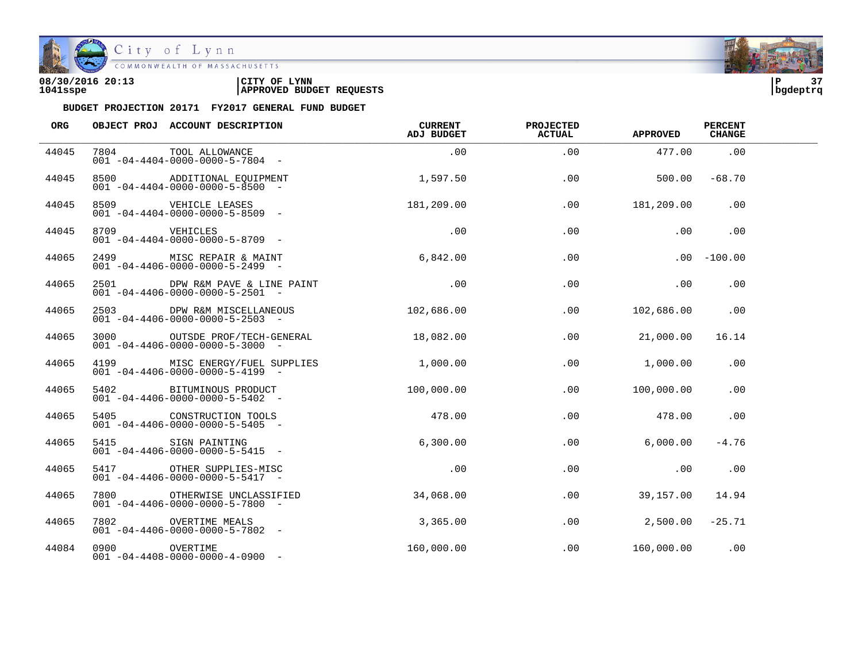

City of Lynn

| 08/30/2016 20:13 | LYNN<br>CITY OF                 | פוי      | $\sim$ $\sim$ |
|------------------|---------------------------------|----------|---------------|
| 1041sspe         | <b>APPROVED BUDGET REQUESTS</b> | bqdeptrq |               |

| ORG   |               | OBJECT PROJ ACCOUNT DESCRIPTION                                                    | <b>CURRENT</b><br>ADJ BUDGET | <b>PROJECTED</b><br><b>ACTUAL</b> | <b>APPROVED</b>   | <b>PERCENT</b><br><b>CHANGE</b> |  |
|-------|---------------|------------------------------------------------------------------------------------|------------------------------|-----------------------------------|-------------------|---------------------------------|--|
| 44045 | 7804          | TOOL ALLOWANCE<br>$001 - 04 - 4404 - 0000 - 0000 - 5 - 7804 -$                     | .00                          | .00                               | 477.00            | .00                             |  |
| 44045 | 8500 and 1    | ADDITIONAL EOUIPMENT<br>$001 - 04 - 4404 - 0000 - 0000 - 5 - 8500$ -               | 1,597.50                     | .00                               | 500.00            | $-68.70$                        |  |
| 44045 |               | 8509 VEHICLE LEASES<br>$001 - 04 - 4404 - 0000 - 0000 - 5 - 8509$ -                | 181,209.00                   | .00                               | 181,209.00        | .00                             |  |
| 44045 |               | 8709 VEHICLES<br>$001 - 04 - 4404 - 0000 - 0000 - 5 - 8709$ -                      | .00                          | .00                               | .00               | .00                             |  |
| 44065 |               | 2499 MISC REPAIR & MAINT<br>$001 - 04 - 4406 - 0000 - 0000 - 5 - 2499$ -           | 6,842.00                     | .00                               |                   | $.00 - 100.00$                  |  |
| 44065 | 2501 250      | DPW R&M PAVE & LINE PAINT<br>$001 - 04 - 4406 - 0000 - 0000 - 5 - 2501 -$          | .00                          | .00                               | .00               | .00                             |  |
| 44065 | 2503          | DPW R&M MISCELLANEOUS<br>$001 - 04 - 4406 - 0000 - 0000 - 5 - 2503 -$              | 102,686.00                   | .00                               | 102,686.00        | .00                             |  |
| 44065 |               | 3000 OUTSDE PROF/TECH-GENERAL<br>$001 - 04 - 4406 - 0000 - 0000 - 5 - 3000$ -      | 18,082.00                    | .00                               | 21,000.00         | 16.14                           |  |
| 44065 | 4199          | MISC ENERGY/FUEL SUPPLIES 1,000.00<br>$001 - 04 - 4406 - 0000 - 0000 - 5 - 4199 -$ |                              | .00                               | 1,000.00          | .00                             |  |
| 44065 | 5402          | BITUMINOUS PRODUCT<br>$001 - 04 - 4406 - 0000 - 0000 - 5 - 5402 -$                 | 100,000.00                   | .00                               | 100,000.00        | .00                             |  |
| 44065 |               | CONSTRUCTION TOOLS<br>001 -04-4406-0000-0000-5-5405 -                              | 478.00                       | .00                               | 478.00            | .00                             |  |
| 44065 | 5415          | SIGN PAINTING<br>$0.01 - 0.4 - 4.406 - 0.000 - 0.000 - 5 - 5.415 -$                | 6,300.00                     | .00                               | 6,000.00          | $-4.76$                         |  |
| 44065 | 5417          | OTHER SUPPLIES-MISC<br>$001 - 04 - 4406 - 0000 - 0000 - 5 - 5417 -$                | $\overline{\phantom{0}}$ .00 | .00                               | .00               | .00                             |  |
| 44065 | 7800          | OTHERWISE UNCLASSIFIED<br>$001 - 04 - 4406 - 0000 - 0000 - 5 - 7800 -$             | 34,068.00                    | .00                               | 39,157.00         | 14.94                           |  |
| 44065 | 7802          | OVERTIME MEALS<br>$001 - 04 - 4406 - 0000 - 0000 - 5 - 7802 -$                     | 3,365.00                     | .00                               | $2,500.00 -25.71$ |                                 |  |
| 44084 | 0900 OVERTIME | $001 - 04 - 4408 - 0000 - 0000 - 4 - 0900 -$                                       | 160,000.00                   | .00                               | $160,000.00$ .00  |                                 |  |

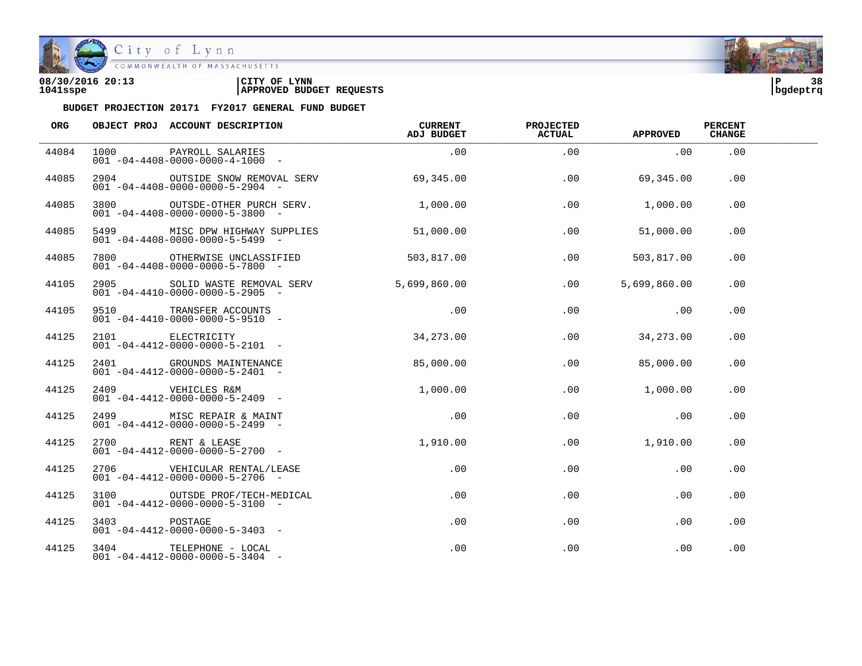

City of Lynn<br>COMMONWEALTH OF MASSACHUSETTS

| 08/30/2016 20:13 | LYNN<br>CITY OF                 | ם ו      | 38 |
|------------------|---------------------------------|----------|----|
| 1041sspe         | <b>APPROVED BUDGET REQUESTS</b> | bqdeptrq |    |



| ORG   |              | OBJECT PROJ ACCOUNT DESCRIPTION                                                                  | CURRENT<br>ADJ BUDGET | PROJECTED<br><b>ACTUAL</b> | <b>APPROVED</b> | <b>PERCENT</b><br><b>CHANGE</b> |  |
|-------|--------------|--------------------------------------------------------------------------------------------------|-----------------------|----------------------------|-----------------|---------------------------------|--|
| 44084 | 1000         | PAYROLL SALARIES<br>$001 - 04 - 4408 - 0000 - 0000 - 4 - 1000 -$                                 | .00                   | .00                        | .00             | .00                             |  |
| 44085 | 2904         | OUTSIDE SNOW REMOVAL SERV<br>$001 - 04 - 4408 - 0000 - 0000 - 5 - 2904 -$                        | 69,345.00             | .00                        | 69,345.00       | .00                             |  |
| 44085 | 3800         | OUTSDE-OTHER PURCH SERV.<br>$001 - 04 - 4408 - 0000 - 0000 - 5 - 3800$ -                         | 1,000.00              | .00                        | 1,000.00        | .00                             |  |
| 44085 | 5499         | MISC DPW HIGHWAY SUPPLIES<br>$001 - 04 - 4408 - 0000 - 0000 - 5 - 5499$ -                        | 51,000.00             | .00                        | 51,000.00       | .00                             |  |
| 44085 | 7800 7800    | OTHERWISE UNCLASSIFIED<br>$001 - 04 - 4408 - 0000 - 0000 - 5 - 7800$ -                           | 503,817.00            | .00                        | 503,817.00      | .00                             |  |
| 44105 | 2905         | SOLID WASTE REMOVAL SERV<br>$001 - 04 - 4410 - 0000 - 0000 - 5 - 2905$ -                         | 5,699,860.00          | .00                        | 5,699,860.00    | .00.                            |  |
| 44105 |              | 010 TRANSFER ACCOUNTS<br>1010 -04-4410-0000-0000-5-9510                                          | .00                   | .00                        | .00             | .00                             |  |
| 44125 |              | 2101 ELECTRICITY<br>001 04 4412 0000 0000 5 2101<br>$001 - 04 - 4412 - 0000 - 0000 - 5 - 2101 -$ | 34,273.00             | .00                        | 34, 273.00      | .00                             |  |
| 44125 |              | 2401 GROUNDS MAINTENANCE<br>$001 - 04 - 4412 - 0000 - 0000 - 5 - 2401 -$                         | 85,000.00             | .00                        | 85,000.00       | .00                             |  |
| 44125 | 2409         | VEHICLES R&M<br>$001 - 04 - 4412 - 0000 - 0000 - 5 - 2409$ -                                     | 1,000.00              | $.00 \,$                   | 1,000.00        | .00                             |  |
| 44125 |              | 2499 MISC REPAIR & MAINT<br>$001 - 04 - 4412 - 0000 - 0000 - 5 - 2499$ -                         | $\sim$ 00             | .00                        | .00             | .00                             |  |
| 44125 |              | 2700 RENT & LEASE<br>$001 - 04 - 4412 - 0000 - 0000 - 5 - 2700$ -                                | 1,910.00              | .00                        | 1,910.00        | .00                             |  |
| 44125 | 2706         | VEHICULAR RENTAL/LEASE<br>$001 - 04 - 4412 - 0000 - 0000 - 5 - 2706 -$                           | $.00 \,$              | .00                        | .00             | $.00 \,$                        |  |
| 44125 | 3100         | OUTSDE PROF/TECH-MEDICAL<br>$001 - 04 - 4412 - 0000 - 0000 - 5 - 3100 -$                         | $.00 \,$              | $.00 \,$                   | .00             | .00                             |  |
| 44125 | 3403 POSTAGE | $001 - 04 - 4412 - 0000 - 0000 - 5 - 3403$ -                                                     | $.00 \,$              | .00                        | .00             | .00                             |  |
| 44125 |              | 3404 TELEPHONE - LOCAL<br>$001 - 04 - 4412 - 0000 - 0000 - 5 - 3404 -$                           | $.00 \,$              | .00                        | .00             | .00                             |  |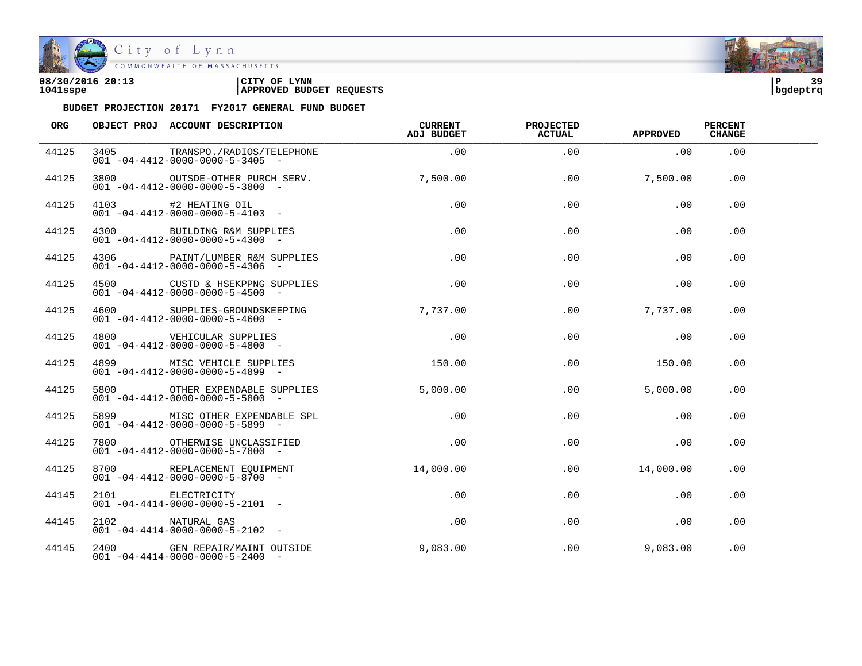

| 08/30/2016 20:13 | 'CITY OF<br><b>LYNN</b>         | l P      | ە ج |
|------------------|---------------------------------|----------|-----|
| 1041sspe         | <b>APPROVED BUDGET REQUESTS</b> | bgdeptrq |     |

| ORG   | OBJECT PROJ ACCOUNT DESCRIPTION                                                                                   | <b>CURRENT</b><br>ADJ BUDGET    | <b>PROJECTED</b><br><b>ACTUAL</b> | <b>APPROVED</b> | <b>PERCENT</b><br><b>CHANGE</b> |  |
|-------|-------------------------------------------------------------------------------------------------------------------|---------------------------------|-----------------------------------|-----------------|---------------------------------|--|
| 44125 | 3405 TRANSPO./RADIOS/TELEPHONE .00<br>$001 - 04 - 4412 - 0000 - 0000 - 5 - 3405 -$                                |                                 | .00                               | $\sim$ 00       | .00                             |  |
| 44125 | 3800 OUTSDE-OTHER PURCH SERV. 7,500.00<br>$001 - 04 - 4412 - 0000 - 0000 - 5 - 3800 -$                            |                                 | .00                               | 7,500.00        | .00                             |  |
| 44125 | 4103 #2 HEATING OIL<br>001 -04-4412-0000-0000-5-4103 -                                                            | .00                             | .00                               | .00             | .00.                            |  |
| 44125 | 4300 BUILDING R&M SUPPLIES<br>$001 - 04 - 4412 - 0000 - 0000 - 5 - 4300 -$                                        | .00                             | .00                               | .00             | .00                             |  |
| 44125 | $4306$ PAINT/LUMBER R&M SUPPLIES<br>001 -04-4412-0000-0000-5-4205<br>$001 - 04 - 4412 - 0000 - 0000 - 5 - 4306$ - |                                 | .00                               | .00             | $.00 \,$                        |  |
| 44125 | 4500 CUSTD & HSEKPPNG SUPPLIES<br>$001 - 04 - 4412 - 0000 - 0000 - 5 - 4500 -$                                    | .00                             | .00                               | .00             | .00                             |  |
| 44125 | 4600 SUPPLIES-GROUNDSKEEPING 7,737.00<br>$001 - 04 - 4412 - 0000 - 0000 - 5 - 4600 -$                             |                                 | .00                               | 7,737.00        | .00                             |  |
| 44125 | 4800 VEHICULAR SUPPLIES<br>001 04 4412 0000 0000 5 4800<br>$0.01 - 0.4 - 4.412 - 0.000 - 0.000 - 5 - 4.800 -$     | .00                             | .00                               | .00             | .00                             |  |
| 44125 | $001 - 04 - 4412 - 0000 - 0000 - 5 - 4899$ -                                                                      |                                 |                                   | .00 150.00      | .00                             |  |
| 44125 | 5800 OTHER EXPENDABLE SUPPLIES<br>$001 - 04 - 4412 - 0000 - 0000 - 5 - 5800 -$                                    | 5.000.00                        |                                   | .00<br>5,000.00 | .00.                            |  |
| 44125 | 5899 MISC OTHER EXPENDABLE SPL<br>001 -04-4412-0000-0000-5-5899 -                                                 | .00                             | .00                               | .00             | .00                             |  |
| 44125 | 7800 OTHERWISE UNCLASSIFIED<br>$0.01 - 0.4 - 4.412 - 0.000 - 0.000 - 5 - 7800 -$                                  | $\overline{0}$ . $\overline{0}$ | .00                               | $\sim 00$       | .00                             |  |
| 44125 | 8700 REPLACEMENT EQUIPMENT 14,000.00<br>$001 - 04 - 4412 - 0000 - 0000 - 5 - 8700 -$                              |                                 |                                   | .00 14,000.00   | .00.                            |  |
| 44145 |                                                                                                                   | .00                             | .00                               | .00             | .00.                            |  |
| 44145 | 2101<br>001 -04-4414-0000-0000-5-2101 -<br>2102 MATURAL GAS<br>001 -04-4414-0000-0000-5-2102 -<br>3400 ~---       | .00                             | $.00 \,$                          | .00             | .00                             |  |
| 44145 | 2400 GEN REPAIR/MAINT OUTSIDE<br>$001 - 04 - 4414 - 0000 - 0000 - 5 - 2400 -$                                     | 9,083.00                        |                                   | .00<br>9,083.00 | .00                             |  |

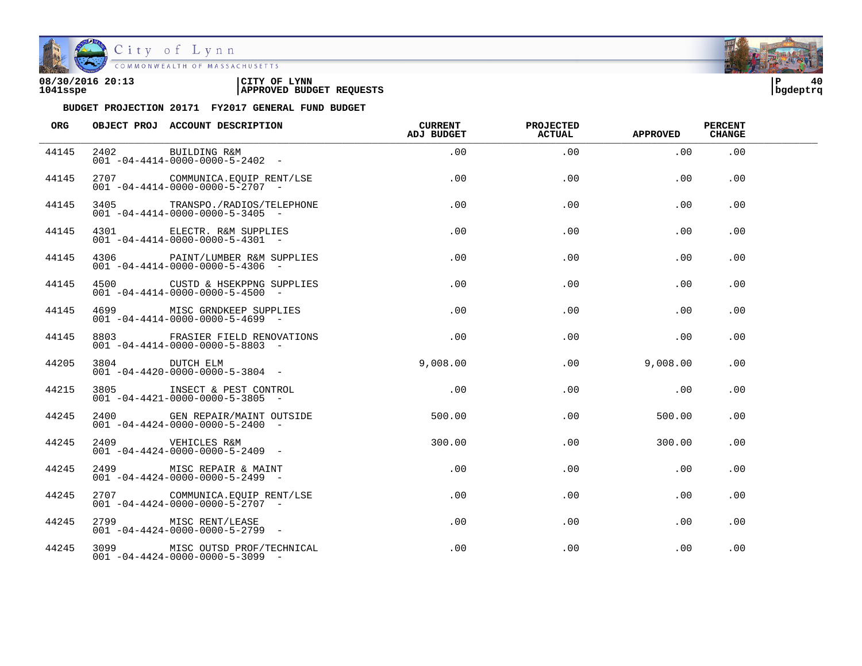

| 08/30/2016 20:13 | CITY OF<br><b>LYNN</b>          | l P      | 40 |
|------------------|---------------------------------|----------|----|
| 1041sspe         | <b>APPROVED BUDGET REQUESTS</b> | bqdeptrq |    |



| <b>ORG</b> | OBJECT PROJ ACCOUNT DESCRIPTION                                                                           | CURRENT<br>ADJ BUDGET | PROJECTED<br><b>ACTUAL</b> | APPROVED | <b>PERCENT</b><br><b>CHANGE</b> |  |
|------------|-----------------------------------------------------------------------------------------------------------|-----------------------|----------------------------|----------|---------------------------------|--|
| 44145      | 2402 BUILDING R&M<br>001 -04-4414-0000-0000-5-2402 -                                                      | .00                   | .00                        | .00      | .00                             |  |
| 44145      | 2707 COMMUNICA.EQUIP RENT/LSE<br>$001 - 04 - 4414 - 0000 - 0000 - 5 - 2707 -$                             | .00                   | .00                        | .00      | .00                             |  |
| 44145      | 3405 TRANSPO./RADIOS/TELEPHONE<br>$001 - 04 - 4414 - 0000 - 0000 - 5 - 3405$ -                            | $.00 \,$              | .00                        | .00      | .00                             |  |
| 44145      | 4301 ELECTR. R&M SUPPLIES<br>$001 - 04 - 4414 - 0000 - 0000 - 5 - 4301 -$                                 | $.00 \,$              | .00                        | $.00 \,$ | .00                             |  |
| 44145      | 4306 PAINT/LUMBER R&M SUPPLIES<br>$001 - 04 - 4414 - 0000 - 0000 - 5 - 4306$ -                            | .00                   | .00                        | .00      | .00                             |  |
| 44145      | $001 - 04 - 4414 - 0000 - 0000 - 5 - 4500 -$                                                              | $.00 \,$              | $.00 \,$                   | .00      | .00                             |  |
| 44145      | 4699 MISC GRNDKEEP SUPPLIES<br>$001 - 04 - 4414 - 0000 - 0000 - 5 - 4699$ -                               | $.00 \,$              | .00                        | .00      | .00                             |  |
| 44145      | 8803 FRASIER FIELD RENOVATIONS<br>$001 - 04 - 4414 - 0000 - 0000 - 5 - 8803$ -                            | .00                   | .00                        | .00      | .00                             |  |
| 44205      | $\begin{array}{ccccc} 3804 & {\rm DUTCH} & {\rm ELM} \\ 001 & -04-4420-0000-0000-5-3804 & -& \end{array}$ | 9,008.00              | .00                        | 9,008.00 | .00.                            |  |
| 44215      | 3805 INSECT & PEST CONTROL<br>$001 - 04 - 4421 - 0000 - 0000 - 5 - 3805$ -                                | .00                   | .00                        | .00      | .00.                            |  |
| 44245      | 2400 GEN REPAIR/MAINT OUTSIDE<br>$001 - 04 - 4424 - 0000 - 0000 - 5 - 2400 -$                             | 500.00                | .00                        | 500.00   | .00                             |  |
| 44245      | 2409 VEHICLES R&M<br>$001 - 04 - 4424 - 0000 - 0000 - 5 - 2409$ -                                         | 300.00                | $.00 \,$                   | 300.00   | .00.                            |  |
| 44245      | 2499 MISC REPAIR & MAINT<br>$001 - 04 - 4424 - 0000 - 0000 - 5 - 2499$ -                                  | .00                   | .00                        | .00      | .00                             |  |
| 44245      | 2707 COMMUNICA.EQUIP RENT/LSE<br>$001 - 04 - 4424 - 0000 - 0000 - 5 - 2707 -$                             | $.00 \,$              | .00                        | .00      | .00                             |  |
| 44245      | 2799 MISC RENT/LEASE<br>$001 - 04 - 4424 - 0000 - 0000 - 5 - 2799$ -                                      | $.00 \,$              | .00                        | .00      | .00                             |  |
| 44245      | 3099 MISC OUTSD PROF/TECHNICAL<br>$001 - 04 - 4424 - 0000 - 0000 - 5 - 3099$ -                            | $.00 \,$              | $.00 \,$                   | .00      | .00                             |  |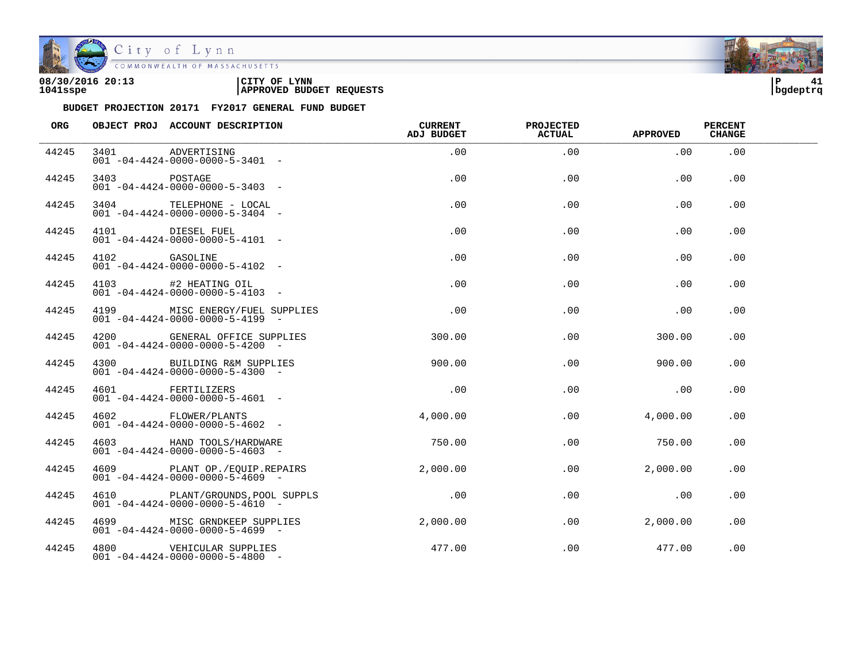

City of Lynn<br>COMMONWEALTH OF MASSACHUSETTS

| 08/30/2016 20:13 | LYNN                            | ם ו      | $\overline{a}$ |
|------------------|---------------------------------|----------|----------------|
|                  | CITY OF                         |          | 41             |
| 1041sspe         | <b>APPROVED BUDGET REQUESTS</b> | bqdeptrq |                |

| ORG   |               | OBJECT PROJ ACCOUNT DESCRIPTION                                                   | CURRENT<br><b>ADJ BUDGET</b> | PROJECTED<br><b>ACTUAL</b> | <b>APPROVED</b> | <b>PERCENT</b><br><b>CHANGE</b> |  |
|-------|---------------|-----------------------------------------------------------------------------------|------------------------------|----------------------------|-----------------|---------------------------------|--|
| 44245 |               | 3401 ADVERTISING<br>$001 - 04 - 4424 - 0000 - 0000 - 5 - 3401 -$                  | .00                          | .00                        | .00             | .00                             |  |
| 44245 | 3403          | POSTAGE<br>$001 - 04 - 4424 - 0000 - 0000 - 5 - 3403$ -                           | .00                          | .00                        | .00             | .00                             |  |
| 44245 |               | 3404 TELEPHONE - LOCAL<br>$001 - 04 - 4424 - 0000 - 0000 - 5 - 3404 -$            | .00                          | .00                        | .00             | .00                             |  |
| 44245 |               | 4101 DIESEL FUEL<br>$001 - 04 - 4424 - 0000 - 0000 - 5 - 4101 -$                  | $.00 \,$                     | .00                        | .00             | .00                             |  |
| 44245 | 4102 GASOLINE | $001 - 04 - 4424 - 0000 - 0000 - 5 - 4102 -$                                      | .00                          | .00                        | .00             | .00                             |  |
| 44245 |               | 4103 #2 HEATING OIL<br>$001 - 04 - 4424 - 0000 - 0000 - 5 - 4103 -$               | .00                          | .00                        | .00             | .00.                            |  |
| 44245 |               | 4199 MISC ENERGY/FUEL SUPPLIES<br>$001 - 04 - 4424 - 0000 - 0000 - 5 - 4199$ -    | .00                          | .00                        | .00             | .00                             |  |
| 44245 |               | 4200 GENERAL OFFICE SUPPLIES<br>$001 - 04 - 4424 - 0000 - 0000 - 5 - 4200$ -      | 300.00                       | .00                        | 300.00          | .00                             |  |
| 44245 | 4300          | BUILDING R&M SUPPLIES<br>$001 - 04 - 4424 - 0000 - 0000 - 5 - 4300 -$             | 900.00                       | .00                        | 900.00          | .00                             |  |
| 44245 |               | 4601 FERTILIZERS<br>$001 - 04 - 4424 - 0000 - 0000 - 5 - 4601 -$                  | .00                          | .00                        | .00             | .00.                            |  |
| 44245 |               | 4602 FLOWER/PLANTS<br>$001 - 04 - 4424 - 0000 - 0000 - 5 - 4602 -$                | 4,000.00                     | .00                        | 4,000.00        | .00                             |  |
| 44245 |               | 4603 HAND TOOLS/HARDWARE<br>$001 - 04 - 4424 - 0000 - 0000 - 5 - 4603$ -          | 750.00                       | .00                        | 750.00          | .00                             |  |
| 44245 |               | 4609 PLANT OP./EQUIP.REPAIRS<br>$0.01 - 0.4 - 4.424 - 0.000 - 0.000 - 5 - 4609$ - | 2,000.00                     | $.00 \,$                   | 2,000.00        | .00.                            |  |
| 44245 |               | 4610 PLANT/GROUNDS, POOL SUPPLS<br>$001 - 04 - 4424 - 0000 - 0000 - 5 - 4610 -$   | .00                          | .00                        | .00             | .00                             |  |
| 44245 |               | 4699 MISC GRNDKEEP SUPPLIES<br>$001 - 04 - 4424 - 0000 - 0000 - 5 - 4699$ -       | 2,000.00                     | .00                        | 2,000.00        | .00                             |  |
| 44245 |               | 4800 VEHICULAR SUPPLIES<br>$001 - 04 - 4424 - 0000 - 0000 - 5 - 4800$ -           | 477.00                       | .00                        | 477.00          | .00                             |  |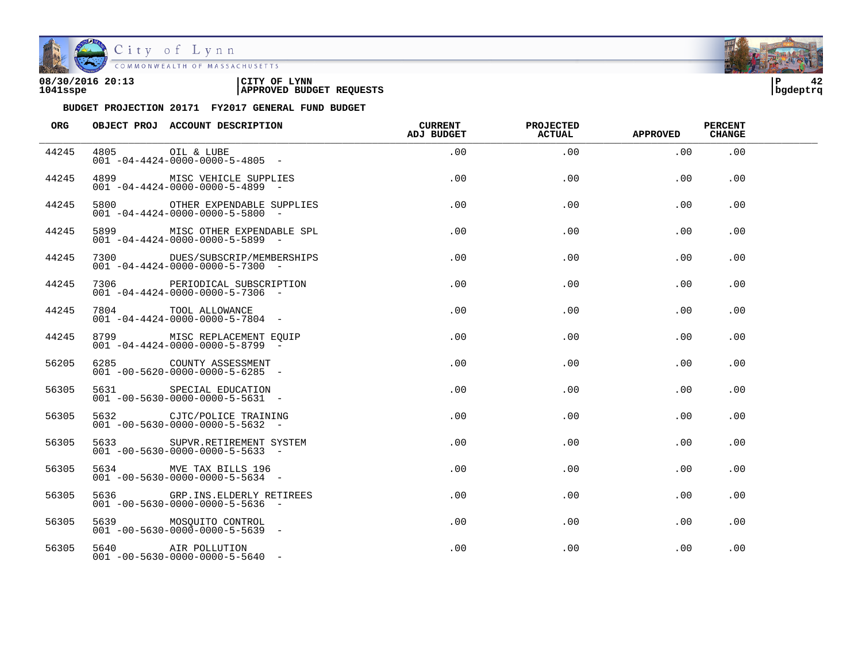

City of Lynn<br>COMMONWEALTH OF MASSACHUSETTS

| 08/30/2016 20:13 | LYNN<br>CITY OF                 | ם ו      |  |
|------------------|---------------------------------|----------|--|
| 1041sspe         | <b>APPROVED BUDGET REQUESTS</b> | bqdeptrq |  |



| <b>ORG</b> |      | OBJECT PROJ ACCOUNT DESCRIPTION                                                | <b>CURRENT</b><br><b>ADJ BUDGET</b> | <b>PROJECTED</b><br><b>ACTUAL</b> | <b>APPROVED</b> | <b>PERCENT</b><br><b>CHANGE</b> |  |
|------------|------|--------------------------------------------------------------------------------|-------------------------------------|-----------------------------------|-----------------|---------------------------------|--|
| 44245      | 4805 | OIL & LUBE<br>$001 - 04 - 4424 - 0000 - 0000 - 5 - 4805$ -                     | $.00 \,$                            | .00                               | .00             | .00                             |  |
| 44245      |      | 4899 MISC VEHICLE SUPPLIES<br>$001 - 04 - 4424 - 0000 - 0000 - 5 - 4899$ -     | .00                                 | .00                               | .00             | .00.                            |  |
| 44245      | 5800 | OTHER EXPENDABLE SUPPLIES<br>$001 - 04 - 4424 - 0000 - 0000 - 5 - 5800$ -      | .00                                 | .00.                              | .00             | .00.                            |  |
| 44245      |      | 5899 MISC OTHER EXPENDABLE SPL<br>$001 - 04 - 4424 - 0000 - 0000 - 5 - 5899$ - | .00                                 | .00                               | .00             | .00.                            |  |
| 44245      |      | 7300 DUES/SUBSCRIP/MEMBERSHIPS<br>$001 - 04 - 4424 - 0000 - 0000 - 5 - 7300 -$ | .00                                 | .00                               | .00             | .00.                            |  |
| 44245      |      | 7306 PERIODICAL SUBSCRIPTION<br>$001 - 04 - 4424 - 0000 - 0000 - 5 - 7306$ -   | .00                                 | .00                               | .00             | .00.                            |  |
| 44245      |      | 7804 TOOL ALLOWANCE<br>$0.01 - 0.4 - 4.424 - 0.000 - 0.000 - 5 - 7804 -$       | .00                                 | .00                               | .00             | .00                             |  |
| 44245      |      | 8799 MISC REPLACEMENT EQUIP<br>$001 - 04 - 4424 - 0000 - 0000 - 5 - 8799$      | $.00 \,$                            | .00                               | .00             | .00                             |  |
| 56205      |      | 6285 COUNTY ASSESSMENT<br>$001 - 00 - 5620 - 0000 - 0000 - 5 - 6285 -$         | .00                                 | .00                               | .00             | .00.                            |  |
| 56305      |      | 5631 SPECIAL EDUCATION<br>$001 - 00 - 5630 - 0000 - 0000 - 5 - 5631$ -         | $.00 \,$                            | $.00 \,$                          | .00             | .00                             |  |
| 56305      |      | 5632 CJTC/POLICE TRAINING<br>$001 - 00 - 5630 - 0000 - 0000 - 5 - 5632 -$      | $.00 \,$                            | .00                               | .00             | .00                             |  |
| 56305      |      | 5633 SUPVR.RETIREMENT SYSTEM<br>$001 - 00 - 5630 - 0000 - 0000 - 5 - 5633 -$   | $.00 \,$                            | .00                               | .00             | .00                             |  |
| 56305      |      | 5634 MVE TAX BILLS 196<br>$001 - 00 - 5630 - 0000 - 0000 - 5 - 5634 -$         | $.00 \,$                            | .00                               | .00             | .00                             |  |
| 56305      |      | 5636 GRP.INS.ELDERLY RETIREES<br>$001 - 00 - 5630 - 0000 - 0000 - 5 - 5636$ -  | $.00 \,$                            | $.00 \,$                          | .00             | .00                             |  |
| 56305      |      | 5639 MOSQUITO CONTROL<br>$001 - 00 - 5630 - 0000 - 0000 - 5 - 5639$ -          | $.00 \,$                            | .00                               | .00             | .00                             |  |
| 56305      |      | 5640 AIR POLLUTION<br>$001 - 00 - 5630 - 0000 - 0000 - 5 - 5640 -$             | $.00 \,$                            | .00                               | .00             | .00                             |  |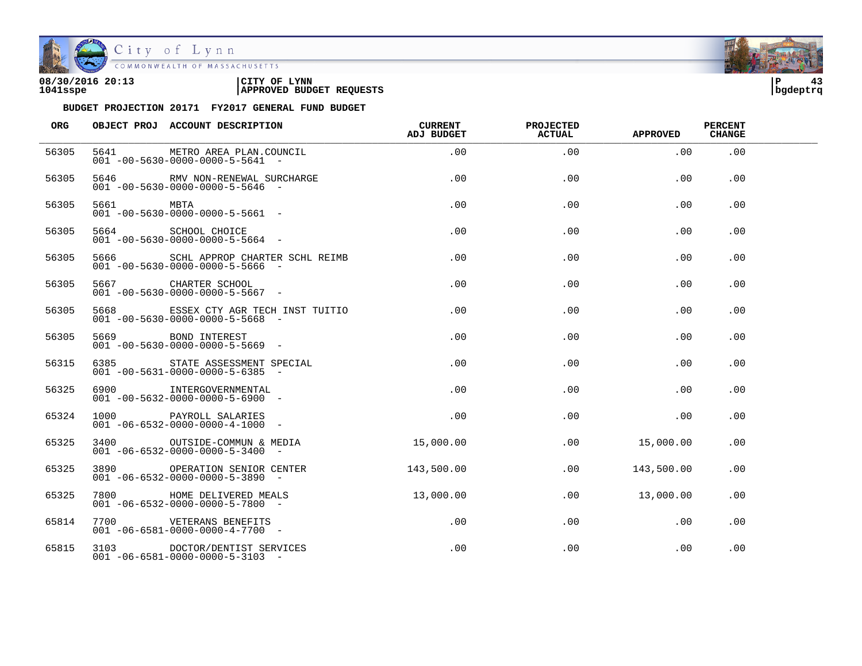

| 08/30/2016 20:13 | CITY OF<br><b>LYNN</b>          | l P      |  |
|------------------|---------------------------------|----------|--|
| 1041sspe         | <b>APPROVED BUDGET REQUESTS</b> | bqdeptrq |  |

| <b>ORG</b> |           | OBJECT PROJ ACCOUNT DESCRIPTION                                                     | <b>CURRENT</b><br>ADJ BUDGET | PROJECTED<br><b>ACTUAL</b> | <b>APPROVED</b> | <b>PERCENT</b><br><b>CHANGE</b> |  |
|------------|-----------|-------------------------------------------------------------------------------------|------------------------------|----------------------------|-----------------|---------------------------------|--|
| 56305      | 5641      | METRO AREA PLAN.COUNCIL<br>$001 - 00 - 5630 - 0000 - 0000 - 5 - 5641 -$             | .00                          | .00                        | .00             | .00                             |  |
| 56305      |           | 5646 RMV NON-RENEWAL SURCHARGE<br>$001 - 00 - 5630 - 0000 - 0000 - 5 - 5646 -$      | .00                          | $.00 \,$                   | $.00 \,$        | $.00 \,$                        |  |
| 56305      | 5661 MBTA | $001 - 00 - 5630 - 0000 - 0000 - 5 - 5661 -$                                        | .00                          | .00                        | .00             | .00                             |  |
| 56305      |           | 5664 SCHOOL CHOICE<br>$001 - 00 - 5630 - 0000 - 0000 - 5 - 5664 -$                  | .00                          | .00                        | .00             | .00                             |  |
| 56305      |           | 5666 SCHL APPROP CHARTER SCHL REIMB<br>$001 - 00 - 5630 - 0000 - 0000 - 5 - 5666 -$ | $.00 \,$                     | $.00 \,$                   | $.00 \,$        | $.00 \,$                        |  |
| 56305      |           | 5667 CHARTER SCHOOL<br>$001 - 00 - 5630 - 0000 - 0000 - 5 - 5667$ -                 | $.00 \,$                     | $.00 \,$                   | $.00 \,$        | .00                             |  |
| 56305      |           | 5668 ESSEX CTY AGR TECH INST TUITIO<br>$001 - 00 - 5630 - 0000 - 0000 - 5 - 5668$ - | .00                          | .00                        | $.00 \,$        | .00                             |  |
| 56305      |           | 5669 BOND INTEREST<br>$001 - 00 - 5630 - 0000 - 0000 - 5 - 5669$ -                  | $.00 \,$                     | .00                        | $.00 \,$        | .00                             |  |
| 56315      |           | 6385 STATE ASSESSMENT SPECIAL<br>$001 - 00 - 5631 - 0000 - 0000 - 5 - 6385$ -       | .00                          | .00                        | $.00 \,$        | .00                             |  |
| 56325      |           | 6900 INTERGOVERNMENTAL<br>$001 - 00 - 5632 - 0000 - 0000 - 5 - 6900 -$              | .00                          | .00                        | .00             | .00                             |  |
| 65324      |           | 1000 PAYROLL SALARIES<br>$001 - 06 - 6532 - 0000 - 0000 - 4 - 1000$ -               | .00                          | .00                        | .00             | .00                             |  |
| 65325      |           | 3400 OUTSIDE-COMMUN & MEDIA<br>$001 - 06 - 6532 - 0000 - 0000 - 5 - 3400$ -         | 15,000.00                    | .00                        | 15,000.00       | .00.                            |  |
| 65325      |           | 3890 OPERATION SENIOR CENTER<br>$001 - 06 - 6532 - 0000 - 0000 - 5 - 3890 -$        | 143,500.00                   | $.00 \,$                   | 143,500.00      | .00                             |  |
| 65325      | 7800      | HOME DELIVERED MEALS<br>$001 - 06 - 6532 - 0000 - 0000 - 5 - 7800$ -                | 13,000.00                    | .00                        | 13,000.00       | .00.                            |  |
| 65814      |           | 7700 VETERANS BENEFITS<br>$001 - 06 - 6581 - 0000 - 0000 - 4 - 7700 -$              | .00                          | .00                        | $.00 \,$        | .00                             |  |
| 65815      |           | 3103 DOCTOR/DENTIST SERVICES<br>$001 - 06 - 6581 - 0000 - 0000 - 5 - 3103 -$        | .00                          | .00                        | .00             | .00                             |  |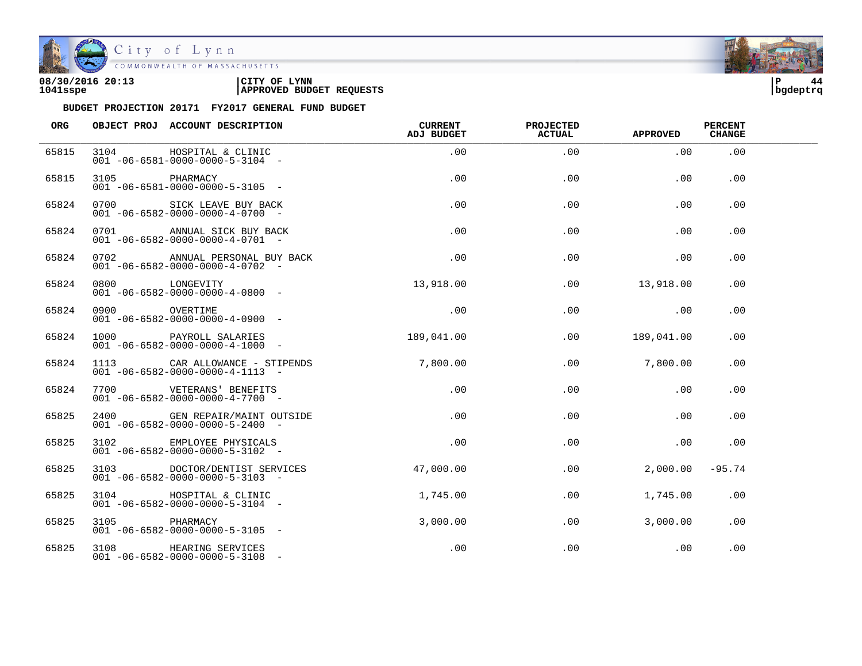

| 08/30/2016 20:13 | CITY OF<br><b>LYNN</b>          | l P      |  |
|------------------|---------------------------------|----------|--|
| 1041sspe         | <b>APPROVED BUDGET REQUESTS</b> | bqdeptrq |  |

| ORG   |                | OBJECT PROJ ACCOUNT DESCRIPTION                                                          | CURRENT<br>ADJ BUDGET | <b>PROJECTED</b><br><b>ACTUAL</b> | <b>APPROVED</b> | <b>PERCENT</b><br><b>CHANGE</b> |  |
|-------|----------------|------------------------------------------------------------------------------------------|-----------------------|-----------------------------------|-----------------|---------------------------------|--|
| 65815 |                | 3104 HOSPITAL & CLINIC<br>$001 - 06 - 6581 - 0000 - 0000 - 5 - 3104 -$                   | .00                   | .00                               | .00             | .00                             |  |
| 65815 | 3105 PHARMACY  | $001 - 06 - 6581 - 0000 - 0000 - 5 - 3105$ -                                             | .00                   | .00                               | .00             | $.00 \,$                        |  |
| 65824 |                | 0700 SICK LEAVE BUY BACK<br>$001 - 06 - 6582 - 0000 - 0000 - 4 - 0700 -$                 | .00                   | .00                               | .00             | .00                             |  |
| 65824 |                | 0701 ANNUAL SICK BUY BACK<br>$001 - 06 - 6582 - 0000 - 0000 - 4 - 0701 -$                | .00                   | .00                               | .00             | .00                             |  |
| 65824 |                | 0702 ANNUAL PERSONAL BUY BACK<br>$001 - 06 - 6582 - 0000 - 0000 - 4 - 0702 -$            | $.00\,$               | .00                               | .00             | .00                             |  |
| 65824 | 0800 LONGEVITY | $001 - 06 - 6582 - 0000 - 0000 - 4 - 0800 -$                                             | 13,918.00             | $.00\,$                           | 13,918.00       | .00                             |  |
| 65824 |                |                                                                                          | .00                   | .00                               | .00             | .00                             |  |
| 65824 |                | 1000 PAYROLL SALARIES 189,041.00<br>$001 - 06 - 6582 - 0000 - 0000 - 4 - 1000 -$         |                       | .00                               | 189,041.00      | .00                             |  |
| 65824 |                | 1113 CAR ALLOWANCE - STIPENDS 7,800.00<br>$001 - 06 - 6582 - 0000 - 0000 - 4 - 1113 - -$ |                       | .00                               | 7,800.00        | .00                             |  |
| 65824 |                | 7700 VETERANS' BENEFITS<br>$001 - 06 - 6582 - 0000 - 0000 - 4 - 7700 -$                  | .00                   | .00                               | .00             | .00                             |  |
| 65825 |                | 2400 GEN REPAIR/MAINT OUTSIDE<br>$001 - 06 - 6582 - 0000 - 0000 - 5 - 2400 -$            | .00                   | .00                               | .00             | .00                             |  |
| 65825 |                | 3102 EMPLOYEE PHYSICALS<br>$0.01 - 0.6 - 6.582 - 0.000 - 0.000 - 5 - 3102$ -             | .00                   | .00                               | .00             | .00                             |  |
| 65825 |                | 3103 DOCTOR/DENTIST SERVICES<br>$001 - 06 - 6582 - 0000 - 0000 - 5 - 3103 -$             | 47,000.00             | $.00\,$                           | 2,000.00        | -95.74                          |  |
| 65825 |                | 3104 HOSPITAL & CLINIC<br>$001 - 06 - 6582 - 0000 - 0000 - 5 - 3104 -$                   | 1,745.00              | .00                               | 1,745.00        | .00.                            |  |
| 65825 | 3105 PHARMACY  | $001 - 06 - 6582 - 0000 - 0000 - 5 - 3105$ -                                             | 3,000.00              | .00                               | 3,000.00        | .00                             |  |
| 65825 |                | 3108 HEARING SERVICES<br>$001 - 06 - 6582 - 0000 - 0000 - 5 - 3108 -$                    | .00                   | .00                               | .00             | .00                             |  |

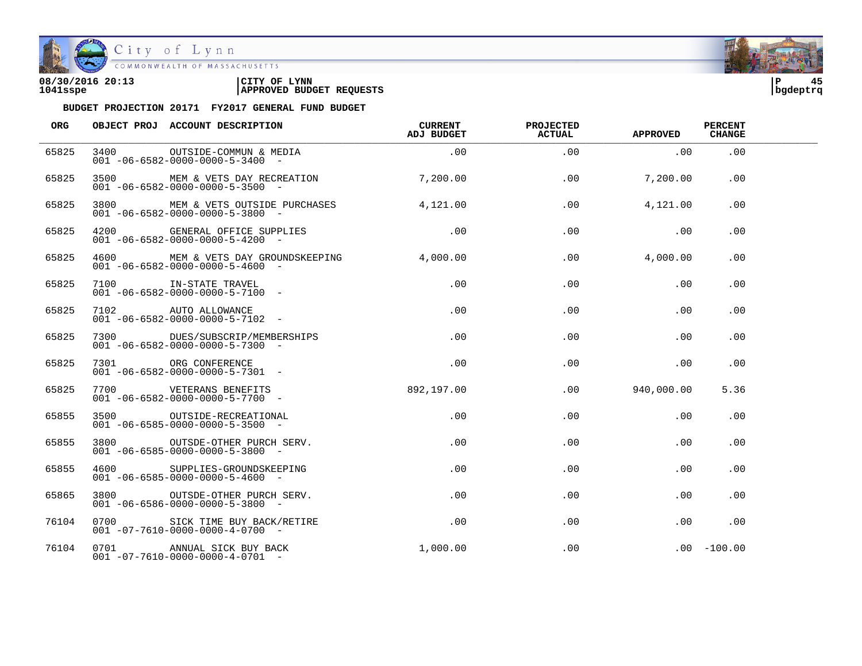

COMMONWEALTH OF MASSACHUSETTS

#### **08/30/2016 20:13 |CITY OF LYNN |P 45 1041sspe |APPROVED BUDGET REQUESTS |bgdeptrq**



| <b>ORG</b> | OBJECT PROJ ACCOUNT DESCRIPTION                                                             | CURRENT<br>ADJ BUDGET           | <b>PROJECTED</b><br><b>ACTUAL</b> | APPROVED         | <b>PERCENT</b><br><b>CHANGE</b> |  |
|------------|---------------------------------------------------------------------------------------------|---------------------------------|-----------------------------------|------------------|---------------------------------|--|
| 65825      | 3400 OUTSIDE-COMMUN & MEDIA (00<br>$001 - 06 - 6582 - 0000 - 0000 - 5 - 3400 -$             |                                 | .00                               | .00              | .00                             |  |
| 65825      | 3500 MEM & VETS DAY RECREATION 7,200.00<br>$001 - 06 - 6582 - 0000 - 0000 - 5 - 3500$ -     |                                 | .00                               | 7,200.00         | .00                             |  |
| 65825      | 3800 MEM & VETS OUTSIDE PURCHASES<br>$001 - 06 - 6582 - 0000 - 0000 - 5 - 3800$ -           | 4.121.00                        | .00                               | 4,121.00         | .00                             |  |
| 65825      | 4200 GENERAL OFFICE SUPPLIES 300<br>$001 - 06 - 6582 - 0000 - 0000 - 5 - 4200$ -            |                                 | .00                               | .00              | .00                             |  |
| 65825      | 4600 MEM & VETS DAY GROUNDSKEEPING 4,000.00<br>$001 - 06 - 6582 - 0000 - 0000 - 5 - 4600 -$ |                                 |                                   | .00<br>4,000.00  | .00                             |  |
| 65825      | 7100 IN-STATE TRAVEL<br>$001 - 06 - 6582 - 0000 - 0000 - 5 - 7100 -$                        | $.00\,$                         | $.00 \,$                          | .00              | .00                             |  |
| 65825      | 7102 AUTO ALLOWANCE<br>$001 - 06 - 6582 - 0000 - 0000 - 5 - 7102 -$                         | .00                             | .00                               | .00              | .00                             |  |
| 65825      | 7300 DUES/SUBSCRIP/MEMBERSHIPS<br>$001 - 06 - 6582 - 0000 - 0000 - 5 - 7300 -$              | $\overline{0}$ . $\overline{0}$ | .00                               | .00              | .00                             |  |
| 65825      | URG CONFERENCE<br>001-06-6582-0000-0000-5-7301-                                             | $.00 \,$                        | .00                               | .00              | .00                             |  |
| 65825      | 7700 VETERANS BENEFITS 392,197.00<br>$001 - 06 - 6582 - 0000 - 0000 - 5 - 7700$ -           |                                 |                                   | $.00$ 940,000.00 | 5.36                            |  |
| 65855      | 3500 OUTSIDE-RECREATIONAL<br>$001 - 06 - 6585 - 0000 - 0000 - 5 - 3500 -$                   | .00                             | .00                               | .00              | .00                             |  |
| 65855      | 3800 OUTSDE-OTHER PURCH SERV.<br>$001 - 06 - 6585 - 0000 - 0000 - 5 - 3800$ -               | .00                             | .00                               | .00              | .00                             |  |
| 65855      | 4600 SUPPLIES-GROUNDSKEEPING<br>$001 - 06 - 6585 - 0000 - 0000 - 5 - 4600 -$                | .00                             | .00                               | .00              | .00                             |  |
| 65865      | 3800 OUTSDE-OTHER PURCH SERV.<br>$001 - 06 - 6586 - 0000 - 0000 - 5 - 3800$ -               | $.00 \,$                        | .00                               | $.00 \,$         | .00                             |  |
| 76104      | 0700 SICK TIME BUY BACK/RETIRE<br>$001 - 07 - 7610 - 0000 - 0000 - 4 - 0700 -$              | $.00 \,$                        | .00                               | $.00 \,$         | .00                             |  |
| 76104      | 0701 ANNUAL SICK BUY BACK<br>$001 -07 -7610 -0000 -0000 -4 -0701 -$                         | 1,000.00                        | $.00 \,$                          |                  | $.00 - 100.00$                  |  |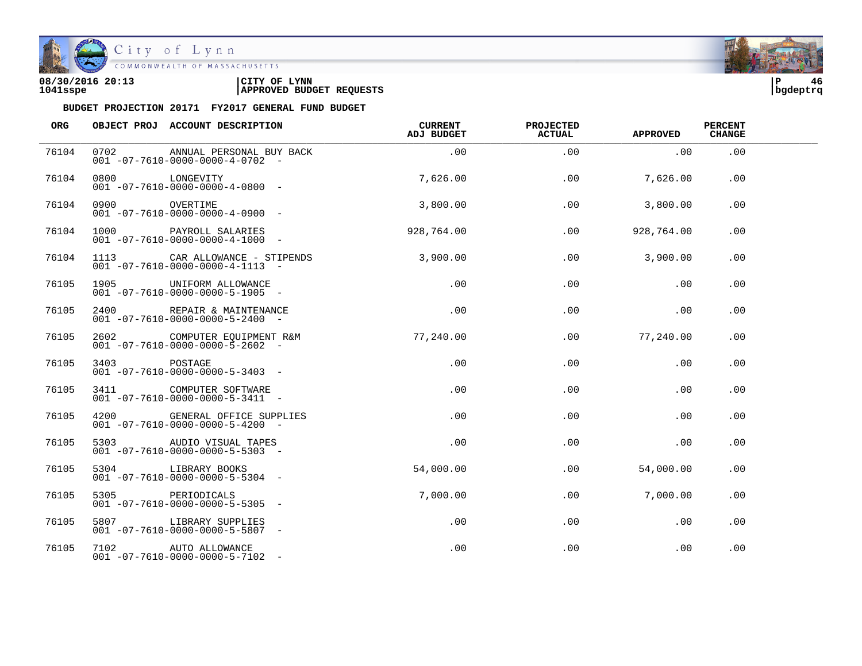

City of Lynn

| 08/30/2016 20:13 | LYNN<br>CITY OF                 | ם ו      | 46 |
|------------------|---------------------------------|----------|----|
| 1041sspe         | <b>APPROVED BUDGET REQUESTS</b> | bqdeptrq |    |

| ORG   |                | OBJECT PROJ ACCOUNT DESCRIPTION                                             | <b>CURRENT</b><br>ADJ BUDGET | PROJECTED<br><b>ACTUAL</b> | <b>APPROVED</b> | <b>PERCENT</b><br><b>CHANGE</b> |  |
|-------|----------------|-----------------------------------------------------------------------------|------------------------------|----------------------------|-----------------|---------------------------------|--|
| 76104 | 0702           | ANNUAL PERSONAL BUY BACK<br>$001 - 07 - 7610 - 0000 - 0000 - 4 - 0702 -$    | .00                          | .00                        | .00             | .00                             |  |
| 76104 | 0800 LONGEVITY | $001 - 07 - 7610 - 0000 - 0000 - 4 - 0800 -$                                | 7,626.00                     | .00                        | 7,626.00        | .00                             |  |
| 76104 | 0900 OVERTIME  | $001 -07 -7610 -0000 -0000 -4 -0900 -$                                      | 3,800.00                     | .00                        | 3,800.00        | .00                             |  |
| 76104 |                | 1000 PAYROLL SALARIES<br>$001 -07 -7610 -0000 -0000 -4 -1000 -$             | 928,764.00                   | .00                        | 928,764.00      | .00                             |  |
| 76104 |                | 1113 CAR ALLOWANCE - STIPENDS<br>$001 -07 -7610 -0000 -0000 -4 -1113 -$     | 3,900.00                     | .00                        | 3,900,00        | $.00 \,$                        |  |
| 76105 |                | 1905 UNIFORM ALLOWANCE<br>$001 - 07 - 7610 - 0000 - 0000 - 5 - 1905$ -      | $.00 \,$                     | $.00 \,$                   | .00             | $.00 \,$                        |  |
| 76105 |                | 2400 REPAIR & MAINTENANCE<br>$001 - 07 - 7610 - 0000 - 0000 - 5 - 2400 -$   | .00                          | .00                        | .00             | .00                             |  |
| 76105 |                | 2602 COMPUTER EQUIPMENT R&M<br>$001 - 07 - 7610 - 0000 - 0000 - 5 - 2602$ - | 77,240.00                    | .00                        | 77,240.00       | .00                             |  |
| 76105 | 3403 POSTAGE   | $001 - 07 - 7610 - 0000 - 0000 - 5 - 3403 -$                                | .00                          | .00                        | $.00 \,$        | $.00 \,$                        |  |
| 76105 |                | 3411 COMPUTER SOFTWARE<br>$001 - 07 - 7610 - 0000 - 0000 - 5 - 3411 -$      | .00                          | .00                        | .00             | .00                             |  |
| 76105 |                | 4200 GENERAL OFFICE SUPPLIES<br>$001 -07 -7610 -0000 -0000 -5 -4200 -$      | .00                          | .00                        | .00             | .00                             |  |
| 76105 |                | 5303 AUDIO VISUAL TAPES<br>$001 -07 -7610 -0000 -0000 -5 -5303 -$           | .00                          | .00                        | .00             | .00                             |  |
| 76105 |                | 5304 LIBRARY BOOKS<br>$001 -07 -7610 -0000 -0000 -5 -5304 -$                | 54,000.00                    | .00                        | 54,000.00       | .00                             |  |
| 76105 |                | 5305 PERIODICALS<br>$001 - 07 - 7610 - 0000 - 0000 - 5 - 5305$ -            | 7,000.00                     | .00                        | 7,000.00        | .00                             |  |
| 76105 |                | 5807 LIBRARY SUPPLIES<br>$001 -07 -7610 -0000 -0000 -5 -5807 -$             | .00                          | .00                        | .00             | .00                             |  |
| 76105 |                | 7102 AUTO ALLOWANCE<br>$001 - 07 - 7610 - 0000 - 0000 - 5 - 7102 -$         | .00                          | .00                        | .00             | .00                             |  |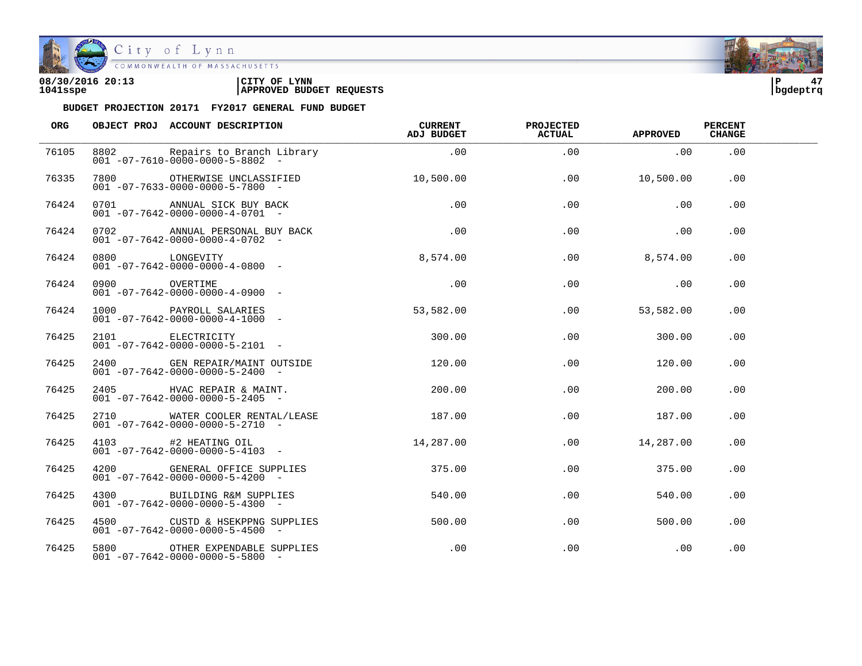

| 08/30/2016 20:13 | CITY OF<br><b>LYNN</b>          | l P      |  |
|------------------|---------------------------------|----------|--|
| 1041sspe         | <b>APPROVED BUDGET REQUESTS</b> | bqdeptrq |  |

| ORG   |               | OBJECT PROJ ACCOUNT DESCRIPTION                                                                     | <b>CURRENT</b><br>ADJ BUDGET    | <b>PROJECTED</b><br><b>ACTUAL</b> | <b>APPROVED</b> | <b>PERCENT</b><br><b>CHANGE</b> |  |
|-------|---------------|-----------------------------------------------------------------------------------------------------|---------------------------------|-----------------------------------|-----------------|---------------------------------|--|
| 76105 |               | 8802 Repairs to Branch Library<br>$001 - 07 - 7610 - 0000 - 0000 - 5 - 8802$ -                      | .00                             | .00                               | .00             | .00                             |  |
| 76335 |               | 7800 OTHERWISE UNCLASSIFIED 10,500.00<br>$001 - 07 - 7633 - 0000 - 0000 - 5 - 7800$ -               |                                 | .00                               | 10,500.00       | .00                             |  |
| 76424 |               | 0701 ANNUAL SICK BUY BACK<br>$001 - 07 - 7642 - 0000 - 0000 - 4 - 0701 -$                           | .00                             | .00                               | .00             | .00                             |  |
| 76424 |               | 0702 ANNUAL PERSONAL BUY BACK<br>$001 - 07 - 7642 - 0000 - 0000 - 4 - 0702 -$                       | $\overline{0}$ . $\overline{0}$ | .00                               | $\sim 00$       | .00                             |  |
| 76424 |               | 0800 LONGEVITY<br>$001 - 07 - 7642 - 0000 - 0000 - 4 - 0800 -$                                      | 8,574.00                        |                                   | .00<br>8,574.00 | .00                             |  |
| 76424 | 0900 OVERTIME | $001 - 07 - 7642 - 0000 - 0000 - 4 - 0900 -$                                                        | .00                             | .00                               | $\sim$ 00       | .00                             |  |
| 76424 |               | 1000 PAYROLL SALARIES<br>$001 - 07 - 7642 - 0000 - 0000 - 4 - 1000 -$                               | 53,582.00                       | .00                               | 53,582.00       | .00.                            |  |
| 76425 |               | 2101 ELECTRICITY<br>001 -07-7642-0000-0000-5-2101 -<br>$001 - 07 - 7642 - 0000 - 0000 - 5 - 2101 -$ | 300.00                          | $.00 \,$                          | 300.00          | .00                             |  |
| 76425 |               | 2400 GEN REPAIR/MAINT OUTSIDE<br>$001 - 07 - 7642 - 0000 - 0000 - 5 - 2400 -$                       | 120.00                          | .00                               | 120.00          | .00                             |  |
| 76425 |               | 2405 HVAC REPAIR & MAINT.<br>$001 - 07 - 7642 - 0000 - 0000 - 5 - 2405$ -                           | 200.00                          | $.00 \,$                          | 200.00          | .00.                            |  |
| 76425 |               | 2710 WATER COOLER RENTAL/LEASE<br>$001 - 07 - 7642 - 0000 - 0000 - 5 - 2710 -$                      | 187.00                          | .00                               | 187.00          | .00.                            |  |
| 76425 |               | 4103 #2 HEATING OIL<br>$001 - 07 - 7642 - 0000 - 0000 - 5 - 4103 -$                                 | 14,287.00                       | .00                               | 14,287.00       | .00                             |  |
| 76425 |               | 4200 GENERAL OFFICE SUPPLIES<br>$001 - 07 - 7642 - 0000 - 0000 - 5 - 4200 -$                        | 375.00                          | .00                               | 375.00          | $.00 \,$                        |  |
| 76425 |               | 4300 BUILDING R&M SUPPLIES<br>$001 - 07 - 7642 - 0000 - 0000 - 5 - 4300 -$                          | 540.00                          | .00                               | 540.00          | .00.                            |  |
| 76425 |               | 4500 CUSTD & HSEKPPNG SUPPLIES<br>$001 - 07 - 7642 - 0000 - 0000 - 5 - 4500 -$                      | 500.00                          | .00                               | 500.00          | .00                             |  |
| 76425 |               | 5800 OTHER EXPENDABLE SUPPLIES<br>$001 - 07 - 7642 - 0000 - 0000 - 5 - 5800 -$                      | $.00 \,$                        | .00                               | .00             | .00                             |  |

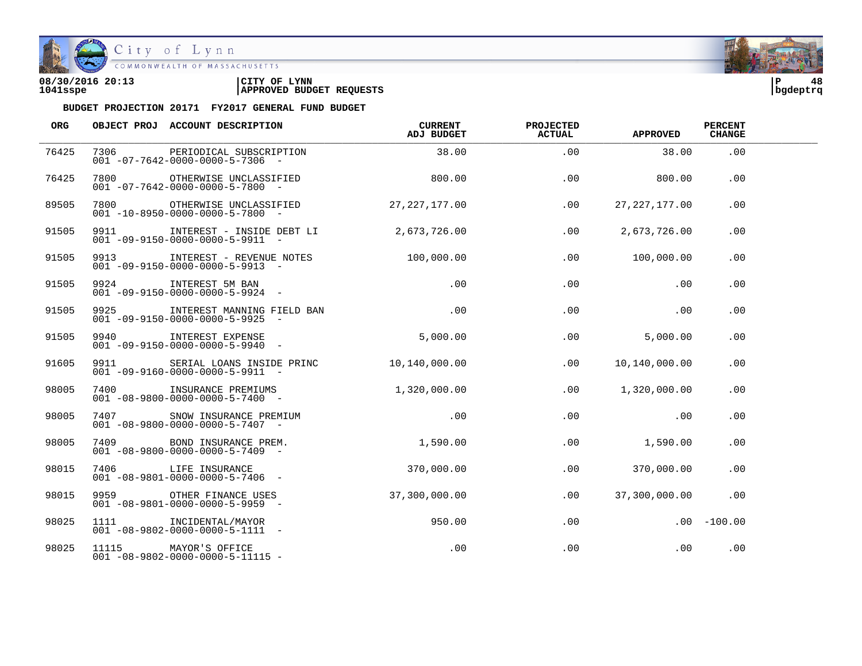

| 08/30/2016 20:13 | CITY OF<br><b>LYNN</b>          | l P      | 48 |
|------------------|---------------------------------|----------|----|
| 1041sspe         | <b>APPROVED BUDGET REQUESTS</b> | bqdeptrq |    |

| ORG   |      | OBJECT PROJ ACCOUNT DESCRIPTION                                                              | CURRENT<br>ADJ BUDGET | <b>PROJECTED</b><br><b>ACTUAL</b> | <b>APPROVED</b> | <b>PERCENT</b><br><b>CHANGE</b> |  |
|-------|------|----------------------------------------------------------------------------------------------|-----------------------|-----------------------------------|-----------------|---------------------------------|--|
| 76425 | 7306 | PERIODICAL SUBSCRIPTION<br>$001 - 07 - 7642 - 0000 - 0000 - 5 - 7306 -$                      | 38.00                 | .00                               | 38.00           | .00                             |  |
| 76425 |      | 7800 OTHERWISE UNCLASSIFIED<br>$001 - 07 - 7642 - 0000 - 0000 - 5 - 7800 -$                  | 800.00                | .00                               | 800.00          | .00                             |  |
| 89505 |      | 7800 OTHERWISE UNCLASSIFIED<br>$001 - 10 - 8950 - 0000 - 0000 - 5 - 7800 -$                  | 27,227,177.00         | .00                               | 27, 227, 177.00 | .00                             |  |
| 91505 |      | 9911 INTEREST - INSIDE DEBT LI<br>$001 - 09 - 9150 - 0000 - 0000 - 5 - 9911 -$               | 2,673,726.00          | .00                               | 2,673,726.00    | .00                             |  |
| 91505 |      | 9913 INTEREST - REVENUE NOTES 100,000.00<br>$001 - 09 - 9150 - 0000 - 0000 - 5 - 9913 -$     |                       | .00                               | 100,000.00      | .00                             |  |
| 91505 |      | 9924 INTEREST 5M BAN<br>$001 - 09 - 9150 - 0000 - 0000 - 5 - 9924 -$                         | .00                   | .00                               | .00             | .00                             |  |
| 91505 |      | 9925             INTEREST MANNING FIELD BAN<br>$001 - 09 - 9150 - 0000 - 0000 - 5 - 9925 -$  | .00                   | .00                               | .00             | .00                             |  |
| 91505 |      | 9940 INTEREST EXPENSE<br>$001 - 09 - 9150 - 0000 - 0000 - 5 - 9940 -$                        | 5,000.00              | .00                               | 5,000.00        | .00                             |  |
| 91605 |      | 9911 SERIAL LOANS INSIDE PRINC 10,140,000.00<br>$001 - 09 - 9160 - 0000 - 0000 - 5 - 9911 -$ |                       | .00                               | 10,140,000.00   | .00                             |  |
| 98005 |      | 7400 INSURANCE PREMIUMS<br>$001 - 08 - 9800 - 0000 - 0000 - 5 - 7400 -$                      | 1,320,000.00          | .00                               | 1,320,000.00    | .00                             |  |
| 98005 |      | 7407 SNOW INSURANCE PREMIUM<br>001 -08-9800-0000-0000-5-7407 -                               | .00                   | .00                               | .00             | .00                             |  |
| 98005 |      | 7409 BOND INSURANCE PREM. 1,590.00<br>$001 - 08 - 9800 - 0000 - 0000 - 5 - 7409$ -           |                       | .00                               | 1,590.00        | .00                             |  |
| 98015 |      | 7406 LIFE INSURANCE<br>$001 - 08 - 9801 - 0000 - 0000 - 5 - 7406 -$                          | 370,000.00            | .00                               | 370,000.00      | .00                             |  |
| 98015 |      | 9959 OTHER FINANCE USES<br>$001 - 08 - 9801 - 0000 - 0000 - 5 - 9959 -$                      | 37,300,000.00         | .00                               | 37,300,000.00   | .00                             |  |
| 98025 |      | 1111 INCIDENTAL/MAYOR<br>$001 - 08 - 9802 - 0000 - 0000 - 5 - 1111 -$                        | 950.00                | .00                               |                 | $.00 - 100.00$                  |  |
| 98025 |      | 11115 MAYOR'S OFFICE<br>$001 - 08 - 9802 - 0000 - 0000 - 5 - 11115 -$                        | .00                   | .00                               | .00             | .00                             |  |

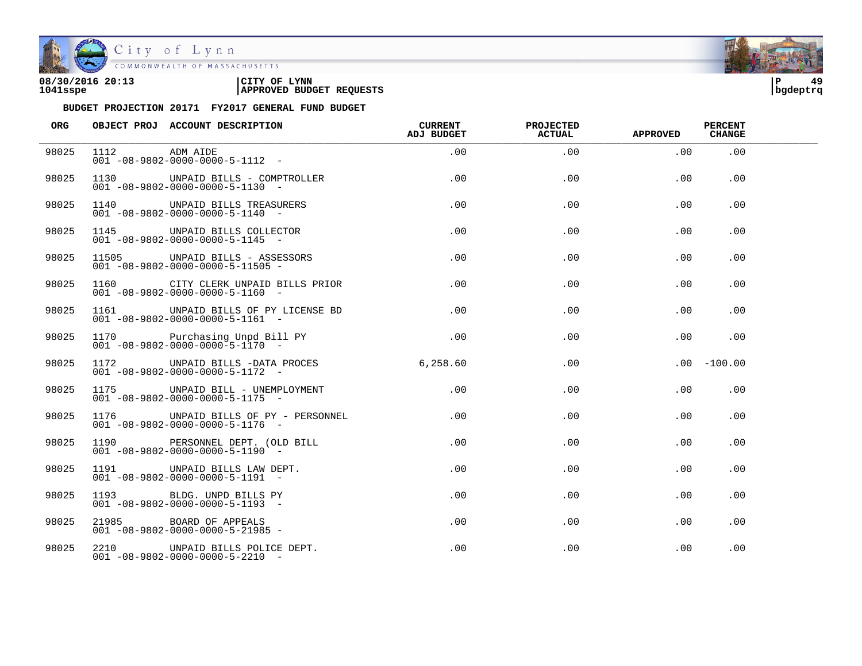

City of Lynn

| 08/30/2016 20:13 | LYNN<br>CITY OF                 | ם ו      |  |
|------------------|---------------------------------|----------|--|
| 1041sspe         | <b>APPROVED BUDGET REQUESTS</b> | bqdeptrq |  |

| ORG   |               | OBJECT PROJ ACCOUNT DESCRIPTION CURRENT                                                 | ADJ BUDGET | <b>PROJECTED</b><br>ACTUAL | <b>APPROVED</b> | <b>PERCENT</b><br><b>CHANGE</b> |  |
|-------|---------------|-----------------------------------------------------------------------------------------|------------|----------------------------|-----------------|---------------------------------|--|
| 98025 | 1112 ADM AIDE | 1112 ADM AIDE<br>001 -08-9802-0000-0000-5-1112 -                                        | .00        | .00                        | .00             | .00                             |  |
| 98025 |               | 1130 UNPAID BILLS - COMPTROLLER<br>$001 - 08 - 9802 - 0000 - 0000 - 5 - 1130 -$         | .00        | .00                        | .00             | .00                             |  |
| 98025 |               | 1140 UNPAID BILLS TREASURERS<br>$001 - 08 - 9802 - 0000 - 0000 - 5 - 1140 -$            | .00        | .00                        | .00             | .00                             |  |
| 98025 |               | 1145 UNPAID BILLS COLLECTOR<br>$001 - 08 - 9802 - 0000 - 0000 - 5 - 1145 - -$           | .00        | .00                        | .00             | .00                             |  |
| 98025 |               | 11505 UNPAID BILLS - ASSESSORS<br>$001 - 08 - 9802 - 0000 - 0000 - 5 - 11505 -$         | .00        | .00                        | .00             | .00.                            |  |
| 98025 |               | 1160 CITY CLERK UNPAID BILLS PRIOR<br>$001 - 08 - 9802 - 0000 - 0000 - 5 - 1160 -$      | .00        | .00                        | .00             | .00.                            |  |
| 98025 |               | 1161 UNPAID BILLS OF PY LICENSE BD<br>$001 - 08 - 9802 - 0000 - 0000 - 5 - 1161 -$      | .00        | .00                        | .00             | .00                             |  |
| 98025 |               | 1170 Purchasing Unpd Bill PY .00<br>$001 - 08 - 9802 - 0000 - 0000 - 5 - 1170 -$        |            | .00                        | .00             | .00                             |  |
| 98025 |               | 1172 UNPAID BILLS -DATA PROCES 6,258.60<br>$001 - 08 - 9802 - 0000 - 0000 - 5 - 1172 -$ |            | .00                        |                 | $.00 - 100.00$                  |  |
| 98025 |               | 1175 UNPAID BILL - UNEMPLOYMENT<br>$001 - 08 - 9802 - 0000 - 0000 - 5 - 1175 -$         | $.00 \,$   | .00                        | .00             | .00                             |  |
| 98025 |               | 1176 UNPAID BILLS OF PY - PERSONNEL<br>$001 - 08 - 9802 - 0000 - 0000 - 5 - 1176 -$     | $.00 \,$   | .00                        | $.00 \,$        | .00                             |  |
| 98025 |               | 1190 PERSONNEL DEPT. (OLD BILL<br>$001 - 08 - 9802 - 0000 - 0000 - 5 - 1190 -$          | $.00 \,$   | .00                        | $.00 \,$        | .00                             |  |
| 98025 |               | 1191 UNPAID BILLS LAW DEPT.<br>$001 - 08 - 9802 - 0000 - 0000 - 5 - 1191 -$             | .00        | .00                        | $.00 \,$        | .00                             |  |
| 98025 |               | 1193 BLDG. UNPD BILLS PY<br>$001 - 08 - 9802 - 0000 - 0000 - 5 - 1193 -$                | .00        | $.00 \,$                   | $.00 \,$        | . 00                            |  |
| 98025 |               | 21985 BOARD OF APPEALS<br>$001 - 08 - 9802 - 0000 - 0000 - 5 - 21985 -$                 | .00        | .00                        | $.00 \,$        | .00                             |  |
| 98025 |               | 2210 UNPAID BILLS POLICE DEPT.<br>$001 - 08 - 9802 - 0000 - 0000 - 5 - 2210 -$          | .00        | .00                        | $.00 \,$        | .00                             |  |

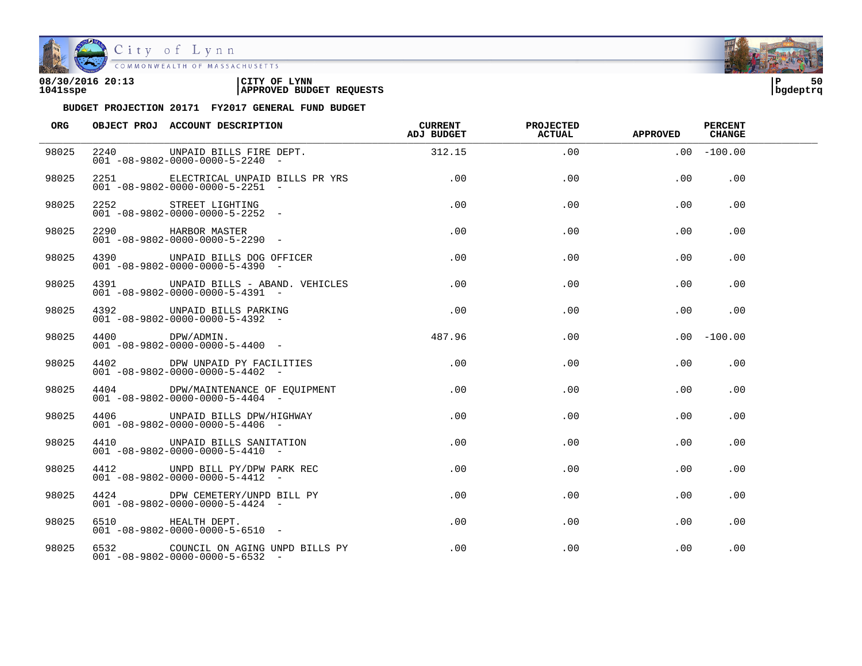

City of Lynn

COMMONWEALTH OF MASSACHUSETTS

#### **08/30/2016 20:13 |CITY OF LYNN |P 50 1041sspe |APPROVED BUDGET REQUESTS |bgdeptrq**

| ORG   | OBJECT PROJ ACCOUNT DESCRIPTION                                                                           | <b>CURRENT</b><br>ADJ BUDGET | <b>PROJECTED</b><br><b>ACTUAL</b> | <b>APPROVED</b> | <b>PERCENT</b><br><b>CHANGE</b> |  |
|-------|-----------------------------------------------------------------------------------------------------------|------------------------------|-----------------------------------|-----------------|---------------------------------|--|
| 98025 | 2240 UNPAID BILLS FIRE DEPT. 312.15<br>$001 - 08 - 9802 - 0000 - 0000 - 5 - 2240 -$                       |                              | .00                               |                 | $.00 - 100.00$                  |  |
| 98025 | 2251 CLECTRICAL UNPAID BILLS PR YRS .00<br>$001 - 08 - 9802 - 0000 - 0000 - 5 - 2251 -$                   |                              | .00                               | .00             | .00                             |  |
| 98025 | 2252 STREET LIGHTING<br>$001 - 08 - 9802 - 0000 - 0000 - 5 - 2252 -$                                      | .00                          | .00                               | .00             | .00                             |  |
| 98025 | 2290 HARBOR MASTER<br>$001 - 08 - 9802 - 0000 - 0000 - 5 - 2290 -$                                        | .00                          | .00                               | .00             | .00                             |  |
| 98025 | 4390 UNPAID BILLS DOG OFFICER<br>$001 - 08 - 9802 - 0000 - 0000 - 5 - 4390 -$                             | .00                          | .00                               | .00             | .00.                            |  |
| 98025 | 4391 UNPAID BILLS - ABAND. VEHICLES<br>$001 - 08 - 9802 - 0000 - 0000 - 5 - 4391 -$                       | .00                          | .00                               | .00             | .00                             |  |
| 98025 | 4392 UNPAID BILLS PARKING<br>$001 - 08 - 9802 - 0000 - 0000 - 5 - 4392 -$                                 | .00                          | .00                               | .00             | .00                             |  |
| 98025 | $\begin{array}{lll} 4400 & {\rm DPW/ADMIN.} \\ 001 & -08 - 9802 - 0000 - 0000 - 5 - 4400 & - \end{array}$ | 487.96                       | .00                               |                 | $.00 - 100.00$                  |  |
| 98025 | 4402 DPW UNPAID PY FACILITIES<br>$001 - 08 - 9802 - 0000 - 0000 - 5 - 4402 -$                             | .00                          | .00                               | .00             | .00                             |  |
| 98025 | 4404 DPW/MAINTENANCE OF EOUIPMENT<br>$001 - 08 - 9802 - 0000 - 0000 - 5 - 4404 -$                         | .00                          | .00                               | .00             | .00                             |  |
| 98025 | 4406 UNPAID BILLS DPW/HIGHWAY<br>$001 - 08 - 9802 - 0000 - 0000 - 5 - 4406 -$                             | $.00 \,$                     | .00                               | .00             | .00                             |  |
| 98025 | 4410 UNPAID BILLS SANITATION<br>$001 - 08 - 9802 - 0000 - 0000 - 5 - 4410 -$                              | .00                          | .00                               | .00             | .00                             |  |
| 98025 | 4412 UNPD BILL PY/DPW PARK REC<br>$001 - 08 - 9802 - 0000 - 0000 - 5 - 4412 -$                            | $.00 \,$                     | .00.                              | $.00 \,$        | .00.                            |  |
| 98025 | 4424 DPW CEMETERY/UNPD BILL PY<br>$001 - 08 - 9802 - 0000 - 0000 - 5 - 4424 -$                            | .00                          | $.00 \,$                          | $.00 \,$        | .00.                            |  |
| 98025 | 6510 HEALTH DEPT.<br>$001 - 08 - 9802 - 0000 - 0000 - 5 - 6510 -$                                         | $.00\,$                      | .00                               | $.00 \,$        | .00                             |  |
| 98025 | 6532 COUNCIL ON AGING UNPD BILLS PY<br>$001 - 08 - 9802 - 0000 - 0000 - 5 - 6532 -$                       | $.00 \,$                     | .00                               | .00             | .00                             |  |

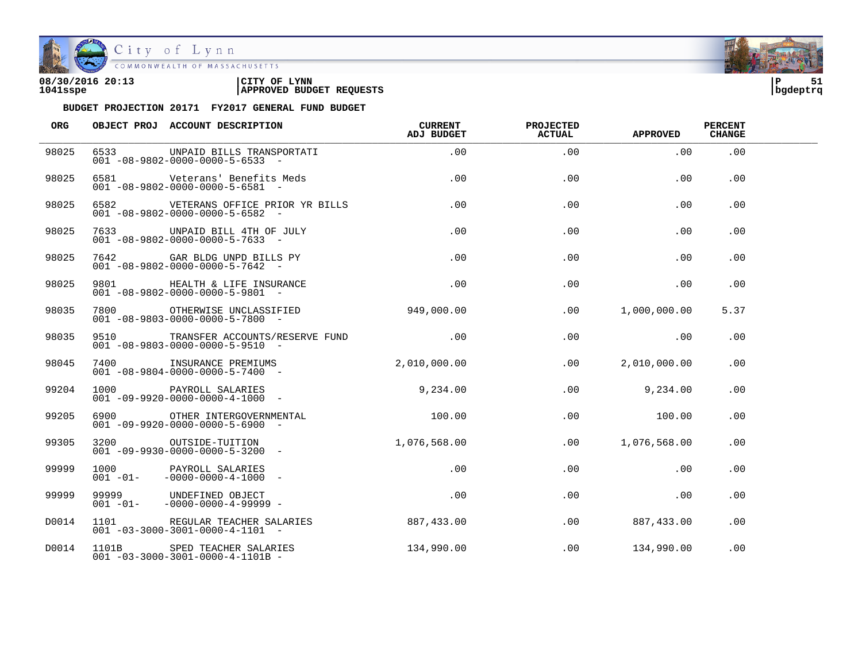

City of Lynn COMMONWEALTH OF MASSACHUSETTS

#### **08/30/2016 20:13 |CITY OF LYNN |P 51 1041sspe |APPROVED BUDGET REQUESTS |bgdeptrq**



| <b>ORG</b> |      | OBJECT PROJ ACCOUNT DESCRIPTION                                                         | <b>CURRENT</b><br>ADJ BUDGET | <b>PROJECTED</b><br><b>ACTUAL</b> | <b>APPROVED</b>              | <b>PERCENT</b><br><b>CHANGE</b> |  |
|------------|------|-----------------------------------------------------------------------------------------|------------------------------|-----------------------------------|------------------------------|---------------------------------|--|
| 98025      | 6533 | UNPAID BILLS TRANSPORTATI<br>$001 - 08 - 9802 - 0000 - 0000 - 5 - 6533$ -               | .00                          | .00                               | .00                          | .00                             |  |
| 98025      |      | 6581 Veterans' Benefits Meds<br>$001 - 08 - 9802 - 0000 - 0000 - 5 - 6581$ -            | .00                          | .00                               | .00                          | .00                             |  |
| 98025      |      | 6582 VETERANS OFFICE PRIOR YR BILLS<br>$001 - 08 - 9802 - 0000 - 0000 - 5 - 6582 -$     | .00                          | .00                               | $.00 \,$                     | .00                             |  |
| 98025      |      | 7633 UNPAID BILL 4TH OF JULY<br>$001 - 08 - 9802 - 0000 - 0000 - 5 - 7633$ -            | $.00\,$                      | .00                               | .00                          | .00                             |  |
| 98025      |      | 7642 GAR BLDG UNPD BILLS PY<br>$001 - 08 - 9802 - 0000 - 0000 - 5 - 7642 -$             | .00                          | .00                               | .00                          | .00                             |  |
| 98025      |      | 9801 HEALTH & LIFE INSURANCE<br>$001 - 08 - 9802 - 0000 - 0000 - 5 - 9801 -$            | .00                          | .00                               | .00                          | .00                             |  |
| 98035      |      | 7800 OTHERWISE UNCLASSIFIED 949,000.00<br>$001 - 08 - 9803 - 0000 - 0000 - 5 - 7800 -$  |                              | .00                               | 1,000,000.00                 | 5.37                            |  |
| 98035      |      | 9510 TRANSFER ACCOUNTS/RESERVE FUND .00<br>$001 - 08 - 9803 - 0000 - 0000 - 5 - 9510 -$ |                              | .00                               | $\overline{\phantom{0}}$ .00 | .00                             |  |
| 98045      |      | 7400 INSURANCE PREMIUMS<br>$001 - 08 - 9804 - 0000 - 0000 - 5 - 7400 -$                 | 2,010,000.00                 | .00                               | 2,010,000.00                 | .00                             |  |
| 99204      |      | 1000 PAYROLL SALARIES<br>001 -09-9920-0000-0000-4-1000 -                                | 9,234.00                     | .00                               | 9,234.00                     | .00                             |  |
| 99205      |      | 6900 OTHER INTERGOVERNMENTAL<br>$001 - 09 - 9920 - 0000 - 0000 - 5 - 6900 -$            | 100.00                       | .00                               | 100.00                       | .00                             |  |
| 99305      |      | 3200 OUTSIDE-TUITION<br>$001 - 09 - 9930 - 0000 - 0000 - 5 - 3200 -$                    | 1,076,568.00                 | .00                               | 1,076,568.00                 | .00                             |  |
| 99999      |      | 1000 PAYROLL SALARIES<br>001 -01- -0000-0000-4-1000 -                                   | .00                          | .00                               | .00                          | .00                             |  |
| 99999      |      | 99999 UNDEFINED OBJECT<br>$001 - 01 - 0000 - 0000 - 4 - 99999 -$                        | .00                          | .00                               | .00                          | .00                             |  |
| D0014      |      | 1101 REGULAR TEACHER SALARIES<br>$001 - 03 - 3000 - 3001 - 0000 - 4 - 1101 -$           | 887,433.00                   | .00                               | 887,433.00                   | .00                             |  |
| D0014      |      | 1101B SPED TEACHER SALARIES<br>$001 - 03 - 3000 - 3001 - 0000 - 4 - 1101B -$            | 134,990.00                   | .00                               | 134,990.00                   | .00                             |  |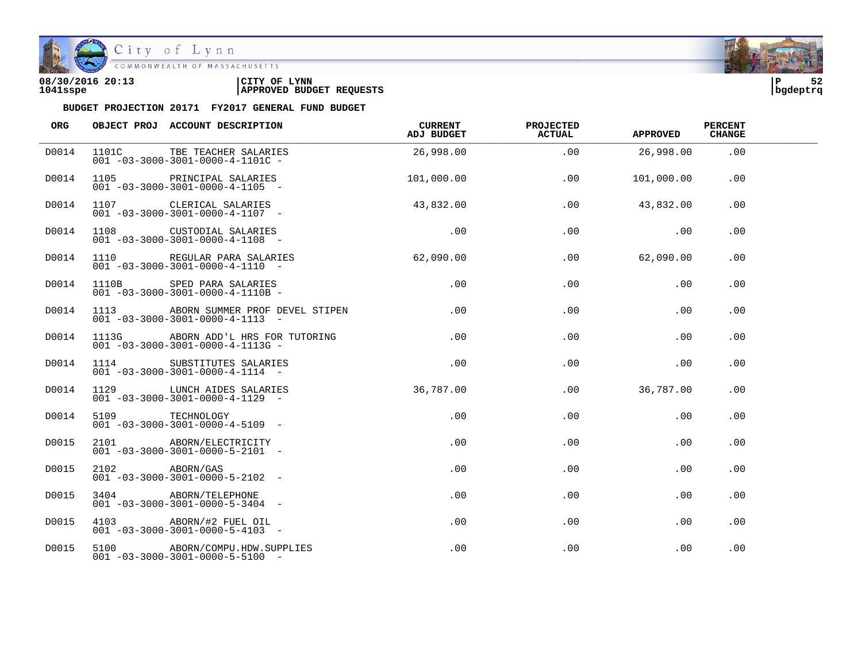

| 08/30/2016 20:13<br>1041sspe | CITY OF LYNN<br><b>APPROVED BUDGET REQUESTS</b> | bqdeptrq | 52 |
|------------------------------|-------------------------------------------------|----------|----|
|------------------------------|-------------------------------------------------|----------|----|

| ORG   |                 | OBJECT PROJ ACCOUNT DESCRIPTION                                                     | CURRENT<br>ADJ BUDGET | <b>PROJECTED</b><br><b>ACTUAL</b> | <b>APPROVED</b> | <b>PERCENT</b><br><b>CHANGE</b> |  |
|-------|-----------------|-------------------------------------------------------------------------------------|-----------------------|-----------------------------------|-----------------|---------------------------------|--|
| D0014 |                 | 1101C TBE TEACHER SALARIES<br>$001 - 03 - 3000 - 3001 - 0000 - 4 - 1101C -$         | 26,998.00             | .00                               | 26,998.00       | .00                             |  |
| D0014 |                 | 1105 PRINCIPAL SALARIES<br>$001 - 03 - 3000 - 3001 - 0000 - 4 - 1105$ -             | 101,000.00            | .00                               | 101,000.00      | .00                             |  |
| D0014 |                 | 1107 CLERICAL SALARIES<br>$001 - 03 - 3000 - 3001 - 0000 - 4 - 1107$ -              | 43,832.00             | .00                               | 43,832.00       | .00                             |  |
| D0014 |                 | 1108 CUSTODIAL SALARIES<br>$001 - 03 - 3000 - 3001 - 0000 - 4 - 1108 -$             | .00                   | .00                               | $\sim$ 00       | .00                             |  |
| D0014 |                 | 1110 REGULAR PARA SALARIES<br>$001 - 03 - 3000 - 3001 - 0000 - 4 - 1110 -$          | 62,090.00             |                                   | $.00$ 62,090.00 | .00                             |  |
| D0014 |                 | 1110B SPED PARA SALARIES<br>$001 - 03 - 3000 - 3001 - 0000 - 4 - 1110B -$           | .00                   | .00                               | .00             | .00                             |  |
| D0014 |                 | 1113 ABORN SUMMER PROF DEVEL STIPEN<br>$001 - 03 - 3000 - 3001 - 0000 - 4 - 1113 -$ | .00                   | .00                               | .00             | .00                             |  |
| D0014 |                 | 1113G ABORN ADD'L HRS FOR TUTORING<br>$001 - 03 - 3000 - 3001 - 0000 - 4 - 1113G -$ | .00                   | .00                               | .00             | .00                             |  |
| D0014 |                 | 1114 SUBSTITUTES SALARIES<br>$001 - 03 - 3000 - 3001 - 0000 - 4 - 1114 -$           | .00                   | .00                               | .00             | .00                             |  |
| D0014 |                 | 1129 LUNCH AIDES SALARIES<br>$001 - 03 - 3000 - 3001 - 0000 - 4 - 1129 -$           | 36,787.00             | $.00 \,$                          | 36,787.00       | .00                             |  |
| D0014 | 5109 TECHNOLOGY | $001 - 03 - 3000 - 3001 - 0000 - 4 - 5109$ -                                        | .00                   | .00                               | .00             | .00                             |  |
| D0015 |                 | 2101 ABORN/ELECTRICITY<br>$001 - 03 - 3000 - 3001 - 0000 - 5 - 2101 -$              | $.00 \,$              | .00                               | .00             | .00                             |  |
| D0015 | 2102 ABORN/GAS  | $001 - 03 - 3000 - 3001 - 0000 - 5 - 2102 -$                                        | $.00 \,$              | .00                               | .00             | .00                             |  |
| D0015 |                 | 3404 ABORN/TELEPHONE<br>$001 - 03 - 3000 - 3001 - 0000 - 5 - 3404 -$                | $.00 \,$              | .00                               | .00             | .00                             |  |
| D0015 |                 | 4103 ABORN/#2 FUEL OIL<br>$001 - 03 - 3000 - 3001 - 0000 - 5 - 4103 -$              | $.00 \,$              | .00                               | .00             | .00                             |  |
| D0015 |                 | 5100 ABORN/COMPU.HDW.SUPPLIES<br>$001 - 03 - 3000 - 3001 - 0000 - 5 - 5100 -$       | $.00 \,$              | .00                               | .00             | .00                             |  |

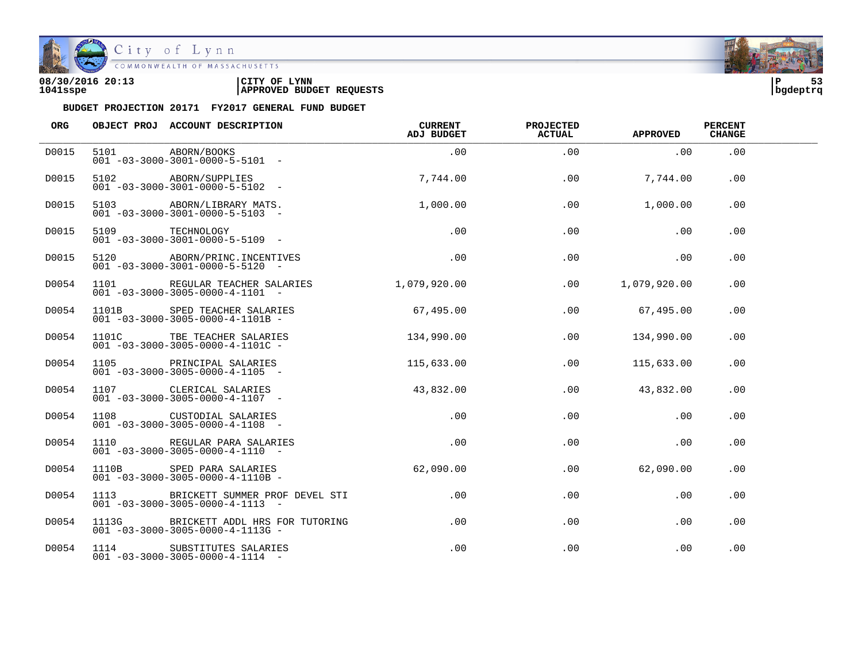

| 08/30/2016 20:13 | LYNN<br>CITY OF                 | ם ו      | - - |
|------------------|---------------------------------|----------|-----|
| 1041sspe         | <b>APPROVED BUDGET REQUESTS</b> | bqdeptrq |     |

| ORG   |      | OBJECT PROJ ACCOUNT DESCRIPTION                                                       | <b>CURRENT</b><br>ADJ BUDGET | <b>PROJECTED</b><br><b>ACTUAL</b> | <b>APPROVED</b> | <b>PERCENT</b><br><b>CHANGE</b> |  |
|-------|------|---------------------------------------------------------------------------------------|------------------------------|-----------------------------------|-----------------|---------------------------------|--|
| D0015 |      | 5101 ABORN/BOOKS<br>$001 - 03 - 3000 - 3001 - 0000 - 5 - 5101 -$                      | .00                          | .00                               | .00             | .00                             |  |
| D0015 |      | 5102 ABORN/SUPPLIES<br>$001 - 03 - 3000 - 3001 - 0000 - 5 - 5102 -$                   | 7,744.00                     | .00                               | 7,744.00        | .00                             |  |
| D0015 |      | 5103 ABORN/LIBRARY MATS.<br>$001 - 03 - 3000 - 3001 - 0000 - 5 - 5103 -$              | 1,000.00                     | .00                               | 1,000.00        | .00                             |  |
| D0015 |      | 5109 TECHNOLOGY<br>001 -03-3000-3001-0000-5-5109 -                                    | .00                          | .00                               | .00             | .00                             |  |
| D0015 |      | 5120 ABORN/PRINC. INCENTIVES<br>$001 - 03 - 3000 - 3001 - 0000 - 5 - 5120 -$          | .00                          | .00                               | .00             | .00                             |  |
| D0054 |      | 1101 REGULAR TEACHER SALARIES<br>$001 - 03 - 3000 - 3005 - 0000 - 4 - 1101 -$         | 1,079,920.00                 | .00                               | 1,079,920.00    | .00.                            |  |
| D0054 |      | UPBU IEACHER SALARIES<br>- 001 -03-3000-3005-0000-4-1101B                             | 67,495.00                    | .00                               | 67,495.00       | .00                             |  |
| D0054 |      | 1101C TBE TEACHER SALARIES<br>$001 - 03 - 3000 - 3005 - 0000 - 4 - 1101C -$           | 134,990.00                   | .00                               | 134,990.00      | .00                             |  |
| D0054 | 1105 | PRINCIPAL SALARIES<br>$001 - 03 - 3000 - 3005 - 0000 - 4 - 1105$ -                    | 115,633.00                   | .00                               | 115,633.00      | .00                             |  |
| D0054 |      | 1107 CLERICAL SALARIES<br>$001 - 03 - 3000 - 3005 - 0000 - 4 - 1107 -$                | 43,832.00                    | $.00 \,$                          | 43,832.00       | .00                             |  |
| D0054 |      | 1108 CUSTODIAL SALARIES<br>$001 - 03 - 3000 - 3005 - 0000 - 4 - 1108 -$               | .00                          | .00                               | .00             | .00                             |  |
| D0054 |      | 1110 REGULAR PARA SALARIES<br>$001 - 03 - 3000 - 3005 - 0000 - 4 - 1110 -$            | $.00 \,$                     | .00                               | .00             | .00                             |  |
| D0054 |      | 1110B SPED PARA SALARIES<br>$001 - 03 - 3000 - 3005 - 0000 - 4 - 1110B -$             | 62,090.00                    | .00                               | 62,090.00       | .00                             |  |
| D0054 |      | 1113 BRICKETT SUMMER PROF DEVEL STI<br>$001 - 03 - 3000 - 3005 - 0000 - 4 - 1113 - -$ | $.00\,$                      | $.00 \,$                          | .00             | .00                             |  |
| D0054 |      | 1113G BRICKETT ADDL HRS FOR TUTORING<br>$001 - 03 - 3000 - 3005 - 0000 - 4 - 1113G -$ | $.00 \,$                     | .00                               | .00             | .00                             |  |
| D0054 |      | 1114 SUBSTITUTES SALARIES<br>$001 - 03 - 3000 - 3005 - 0000 - 4 - 1114 -$             | $.00 \,$                     | .00                               | .00             | .00                             |  |

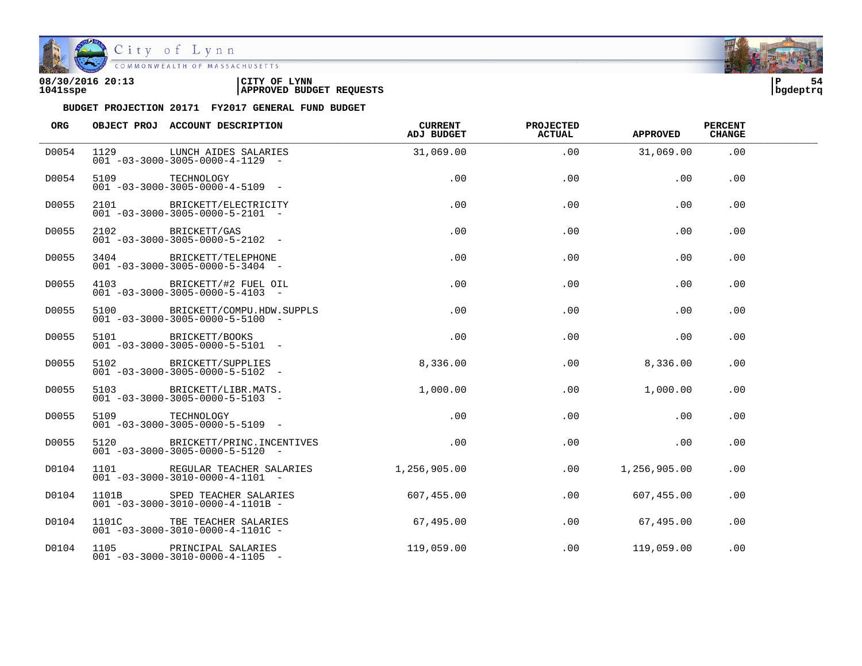

City of Lynn COMMONWEALTH OF MASSACHUSETTS

#### **08/30/2016 20:13 |CITY OF LYNN |P 54 1041sspe |APPROVED BUDGET REQUESTS |bgdeptrq**

| ORG   |                 | OBJECT PROJ ACCOUNT DESCRIPTION                                                | CURRENT<br>ADJ BUDGET | <b>PROJECTED</b><br><b>ACTUAL</b> | <b>APPROVED</b> | <b>PERCENT</b><br><b>CHANGE</b> |  |
|-------|-----------------|--------------------------------------------------------------------------------|-----------------------|-----------------------------------|-----------------|---------------------------------|--|
| D0054 | 1129            | LUNCH AIDES SALARIES<br>$001 - 03 - 3000 - 3005 - 0000 - 4 - 1129 -$           | 31,069.00             | .00                               | 31,069.00       | .00                             |  |
| D0054 | 5109 TECHNOLOGY | $001 - 03 - 3000 - 3005 - 0000 - 4 - 5109$ -                                   | .00                   | .00                               | .00             | .00                             |  |
| D0055 |                 | 2101 BRICKETT/ELECTRICITY<br>$001 - 03 - 3000 - 3005 - 0000 - 5 - 2101 -$      | .00                   | .00                               | .00             | .00                             |  |
| D0055 |                 | 2102 BRICKETT/GAS<br>$001 - 03 - 3000 - 3005 - 0000 - 5 - 2102 -$              | .00                   | .00                               | .00             | .00                             |  |
| D0055 |                 | 3404 BRICKETT/TELEPHONE<br>$001 - 03 - 3000 - 3005 - 0000 - 5 - 3404 -$        | .00                   | .00                               | .00             | .00                             |  |
| D0055 |                 | 4103 BRICKETT/#2 FUEL OIL<br>$001 - 03 - 3000 - 3005 - 0000 - 5 - 4103$ -      | $.00 \,$              | .00                               | .00             | .00                             |  |
| D0055 |                 | 5100 BRICKETT/COMPU.HDW.SUPPLS<br>$001 - 03 - 3000 - 3005 - 0000 - 5 - 5100 -$ | .00                   | .00                               | .00             | .00                             |  |
| D0055 |                 | 5101 BRICKETT/BOOKS<br>$001 - 03 - 3000 - 3005 - 0000 - 5 - 5101 -$            | .00                   | .00                               | .00             | .00                             |  |
| D0055 |                 | 5102 BRICKETT/SUPPLIES<br>$001 - 03 - 3000 - 3005 - 0000 - 5 - 5102 -$         | 8,336.00              | $.00 \,$                          | 8,336.00        | .00                             |  |
| D0055 |                 | 5103 BRICKETT/LIBR.MATS.<br>$001 - 03 - 3000 - 3005 - 0000 - 5 - 5103 -$       | 1,000.00              | .00                               | 1,000.00        | .00                             |  |
| D0055 | 5109 TECHNOLOGY | $001 - 03 - 3000 - 3005 - 0000 - 5 - 5109$ -                                   | .00                   | .00                               | .00             | .00                             |  |
| D0055 |                 | 5120 BRICKETT/PRINC.INCENTIVES<br>$001 - 03 - 3000 - 3005 - 0000 - 5 - 5120 -$ | .00                   | .00                               | .00             | .00                             |  |
| D0104 |                 | 1101 REGULAR TEACHER SALARIES<br>$001 - 03 - 3000 - 3010 - 0000 - 4 - 1101 -$  | 1,256,905.00          | .00                               | 1,256,905.00    | .00                             |  |
| D0104 |                 | 1101B SPED TEACHER SALARIES<br>$001 - 03 - 3000 - 3010 - 0000 - 4 - 1101B -$   | 607, 455.00           | .00                               | 607,455.00      | .00                             |  |
| D0104 |                 | 1101C TBE TEACHER SALARIES<br>$001 - 03 - 3000 - 3010 - 0000 - 4 - 1101C -$    | 67,495.00             | .00                               | 67,495.00       | .00                             |  |
| D0104 |                 | 1105 PRINCIPAL SALARIES<br>$001 - 03 - 3000 - 3010 - 0000 - 4 - 1105$ -        | 119,059.00            | .00                               | 119,059.00      | .00                             |  |

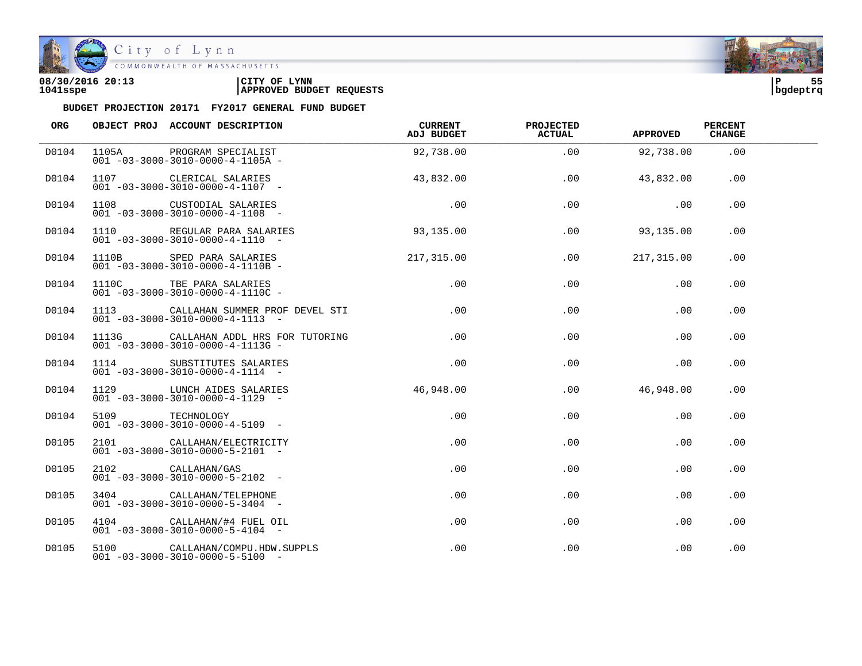

| 08/30/2016 20:13 | CITY OF<br><b>LYNN</b>          | l P      | $ -$ |
|------------------|---------------------------------|----------|------|
| 1041sspe         | <b>APPROVED BUDGET REQUESTS</b> | bqdeptrq |      |

| ORG   |                 | OBJECT PROJ ACCOUNT DESCRIPTION                                                       | CURRENT<br>ADJ BUDGET | <b>PROJECTED</b><br><b>ACTUAL</b> | <b>APPROVED</b> | <b>PERCENT</b><br><b>CHANGE</b> |  |
|-------|-----------------|---------------------------------------------------------------------------------------|-----------------------|-----------------------------------|-----------------|---------------------------------|--|
| D0104 |                 | 1105A PROGRAM SPECIALIST<br>$001 - 03 - 3000 - 3010 - 0000 - 4 - 1105A -$             | 92,738.00             | .00                               | 92,738.00       | .00                             |  |
| D0104 |                 | 1107 CLERICAL SALARIES<br>$001 - 03 - 3000 - 3010 - 0000 - 4 - 1107$ -                | 43,832.00             | .00                               | 43,832.00       | .00                             |  |
| D0104 |                 | 1108 CUSTODIAL SALARIES<br>$001 - 03 - 3000 - 3010 - 0000 - 4 - 1108 -$               | .00                   | .00                               | .00             | .00                             |  |
| D0104 |                 | 1110 REGULAR PARA SALARIES<br>$001 - 03 - 3000 - 3010 - 0000 - 4 - 1110 - -$          | 93, 135, 00           | .00                               | 93,135.00       | .00                             |  |
| D0104 |                 | 1110B SPED PARA SALARIES<br>$001 - 03 - 3000 - 3010 - 0000 - 4 - 1110B -$             | 217,315.00            | .00                               | 217,315.00      | .00                             |  |
| D0104 |                 | 1110C TBE PARA SALARIES<br>$001 - 03 - 3000 - 3010 - 0000 - 4 - 1110C -$              | .00                   | .00                               | .00             | .00                             |  |
| D0104 |                 | 1113 CALLAHAN SUMMER PROF DEVEL STI<br>$001 - 03 - 3000 - 3010 - 0000 - 4 - 1113 - -$ | .00                   | .00                               | .00             | .00                             |  |
| D0104 |                 | 1113G CALLAHAN ADDL HRS FOR TUTORING<br>$001 - 03 - 3000 - 3010 - 0000 - 4 - 1113G -$ | .00                   | .00                               | .00             | .00                             |  |
| D0104 |                 | 1114 SUBSTITUTES SALARIES<br>$001 - 03 - 3000 - 3010 - 0000 - 4 - 1114 -$             | .00                   | .00                               | .00             | .00                             |  |
| D0104 |                 | 1129 LUNCH AIDES SALARIES<br>$001 - 03 - 3000 - 3010 - 0000 - 4 - 1129 -$             | 46,948.00             | $.00 \,$                          | 46,948.00       | .00                             |  |
| D0104 | 5109 TECHNOLOGY | $001 - 03 - 3000 - 3010 - 0000 - 4 - 5109$ -                                          | .00                   | .00                               | .00             | .00                             |  |
| D0105 |                 | 2101 CALLAHAN/ELECTRICITY<br>$001 - 03 - 3000 - 3010 - 0000 - 5 - 2101 -$             | $.00 \,$              | .00                               | .00             | .00                             |  |
| D0105 |                 | 2102 CALLAHAN/GAS<br>$001 - 03 - 3000 - 3010 - 0000 - 5 - 2102 -$                     | $.00 \,$              | .00                               | .00             | .00                             |  |
| D0105 |                 | 3404 CALLAHAN/TELEPHONE<br>$001 - 03 - 3000 - 3010 - 0000 - 5 - 3404 -$               | $.00 \,$              | $.00 \,$                          | .00             | .00                             |  |
| D0105 |                 | 4104 CALLAHAN/#4 FUEL OIL<br>$001 - 03 - 3000 - 3010 - 0000 - 5 - 4104 -$             | $.00 \,$              | .00                               | .00             | .00                             |  |
| D0105 |                 | 5100 CALLAHAN/COMPU.HDW.SUPPLS<br>$001 - 03 - 3000 - 3010 - 0000 - 5 - 5100 -$        | $.00 \,$              | .00                               | .00             | .00                             |  |

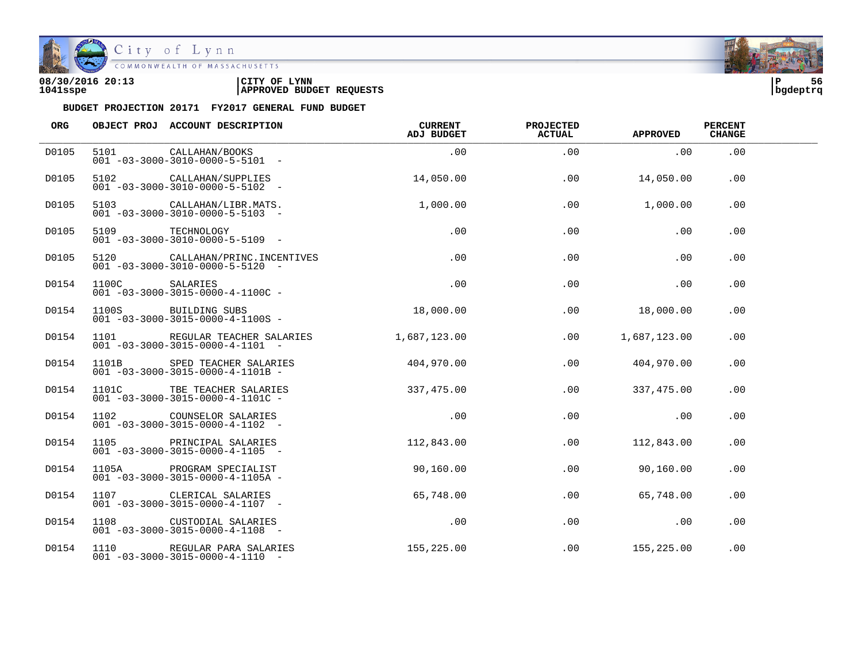

| 08/30/2016 20:13 | CITY OF<br><b>LYNN</b>          | l P      | - - |
|------------------|---------------------------------|----------|-----|
| 1041sspe         | <b>APPROVED BUDGET REQUESTS</b> | bgdeptrq |     |

| ORG   |       | OBJECT PROJ ACCOUNT DESCRIPTION                                                | <b>CURRENT</b><br>ADJ BUDGET | <b>PROJECTED</b><br><b>ACTUAL</b> | <b>APPROVED</b> | <b>PERCENT</b><br><b>CHANGE</b> |  |
|-------|-------|--------------------------------------------------------------------------------|------------------------------|-----------------------------------|-----------------|---------------------------------|--|
| D0105 |       | 5101 CALLAHAN/BOOKS<br>$001 - 03 - 3000 - 3010 - 0000 - 5 - 5101 -$            | .00                          | .00                               | .00             | .00                             |  |
| D0105 |       | 5102 CALLAHAN/SUPPLIES<br>$001 - 03 - 3000 - 3010 - 0000 - 5 - 5102$ -         | 14,050.00                    | .00                               | 14,050.00       | $.00 \,$                        |  |
| D0105 |       | 5103 CALLAHAN/LIBR.MATS.<br>$001 - 03 - 3000 - 3010 - 0000 - 5 - 5103 -$       | 1,000.00                     | .00                               | 1,000.00        | .00                             |  |
| D0105 |       | 5109 TECHNOLOGY<br>001 -03-3000-3010-0000-5-5109 -                             | .00                          | .00                               | .00             | .00                             |  |
| D0105 |       | 5120 CALLAHAN/PRINC.INCENTIVES<br>$001 - 03 - 3000 - 3010 - 0000 - 5 - 5120 -$ | .00                          | .00                               | .00             | .00                             |  |
| D0154 | 1100C | SALARIES<br>$001 - 03 - 3000 - 3015 - 0000 - 4 - 1100C$ -                      | .00                          | .00                               | .00             | .00                             |  |
| D0154 |       | 1100S BUILDING SUBS<br>$001 - 03 - 3000 - 3015 - 0000 - 4 - 1100S -$           | 18,000.00                    | .00                               | 18,000.00       | .00                             |  |
| D0154 |       | 1101 REGULAR TEACHER SALARIES<br>$001 - 03 - 3000 - 3015 - 0000 - 4 - 1101 -$  | 1,687,123.00                 | .00                               | 1,687,123.00    | .00                             |  |
| D0154 |       | 1101B SPED TEACHER SALARIES<br>$001 - 03 - 3000 - 3015 - 0000 - 4 - 1101B -$   | 404,970.00                   | .00                               | 404,970.00      | .00                             |  |
| D0154 |       | 1101C TBE TEACHER SALARIES<br>$001 - 03 - 3000 - 3015 - 0000 - 4 - 1101C -$    | 337, 475.00                  | $.00 \,$                          | 337,475.00      | .00                             |  |
| D0154 |       | COUNSELOR SALARIES<br>001 -03-3000-3015-0000-4-1102 -                          | .00                          | .00                               | .00             | .00                             |  |
| D0154 |       | 1105 PRINCIPAL SALARIES<br>$0.01 - 0.3 - 30.00 - 30.15 - 0.000 - 4 - 1.105 -$  | 112,843.00                   | .00                               | 112,843.00      | .00                             |  |
| D0154 |       | 1105A PROGRAM SPECIALIST<br>$001 - 03 - 3000 - 3015 - 0000 - 4 - 1105A -$      | 90,160.00                    | .00                               | 90,160.00       | .00                             |  |
| D0154 |       | 1107 CLERICAL SALARIES<br>$001 - 03 - 3000 - 3015 - 0000 - 4 - 1107 -$         | 65,748.00                    | .00                               | 65,748.00       | .00                             |  |
| D0154 |       | 1108 CUSTODIAL SALARIES<br>$001 - 03 - 3000 - 3015 - 0000 - 4 - 1108 -$        | .00                          | $.00 \,$                          | $\sim 00$       | .00                             |  |
| D0154 |       | 1110 REGULAR PARA SALARIES<br>$001 - 03 - 3000 - 3015 - 0000 - 4 - 1110 -$     | 155, 225.00                  | .00                               | 155,225.00      | .00                             |  |

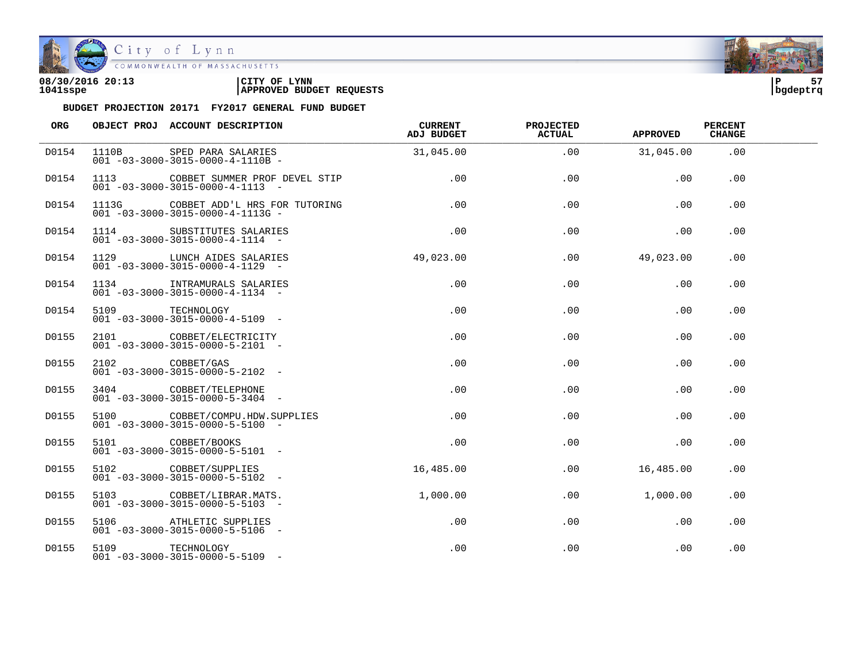

| 08/30/2016 20:13 | CITY OF<br><b>LYNN</b>          | l P      | -- |
|------------------|---------------------------------|----------|----|
| 1041sspe         | <b>APPROVED BUDGET REQUESTS</b> | bqdeptrq |    |

| ORG   |                 | OBJECT PROJ ACCOUNT DESCRIPTION                                                      | CURRENT<br>ADJ BUDGET | <b>PROJECTED</b><br><b>ACTUAL</b> | <b>APPROVED</b> | <b>PERCENT</b><br><b>CHANGE</b> |  |
|-------|-----------------|--------------------------------------------------------------------------------------|-----------------------|-----------------------------------|-----------------|---------------------------------|--|
| D0154 | 1110B           | SPED PARA SALARIES<br>$001 - 03 - 3000 - 3015 - 0000 - 4 - 1110B -$                  | 31,045.00             | .00                               | 31,045.00       | .00                             |  |
| D0154 |                 | 1113 COBBET SUMMER PROF DEVEL STIP<br>$001 - 03 - 3000 - 3015 - 0000 - 4 - 1113 - -$ | .00                   | .00                               | .00             | .00                             |  |
| D0154 |                 | 1113G COBBET ADD'L HRS FOR TUTORING<br>$001 - 03 - 3000 - 3015 - 0000 - 4 - 1113G -$ | .00                   | .00                               | .00             | .00                             |  |
| D0154 |                 | 1114 SUBSTITUTES SALARIES<br>$001 - 03 - 3000 - 3015 - 0000 - 4 - 1114 -$            | .00                   | .00                               | .00             | .00                             |  |
| D0154 |                 | 1129 LUNCH AIDES SALARIES<br>$001 - 03 - 3000 - 3015 - 0000 - 4 - 1129 -$            | 49,023.00             | $.00 \,$                          | 49,023.00       | .00                             |  |
| D0154 |                 | 1134 INTRAMURALS SALARIES<br>$001 - 03 - 3000 - 3015 - 0000 - 4 - 1134 -$            | .00                   | .00                               | .00             | .00                             |  |
| D0154 | 5109 TECHNOLOGY | $001 - 03 - 3000 - 3015 - 0000 - 4 - 5109$ -                                         | .00                   | .00                               | .00             | .00                             |  |
| D0155 |                 | 2101 COBBET/ELECTRICITY<br>$001 - 03 - 3000 - 3015 - 0000 - 5 - 2101 -$              | .00                   | .00                               | .00             | .00                             |  |
| D0155 | 2102 COBBET/GAS | $001 - 03 - 3000 - 3015 - 0000 - 5 - 2102 -$                                         | .00                   | .00                               | .00             | .00                             |  |
| D0155 |                 | 3404 COBBET/TELEPHONE<br>$001 - 03 - 3000 - 3015 - 0000 - 5 - 3404 -$                | $.00 \,$              | .00                               | .00             | .00                             |  |
| D0155 |                 | 5100 COBBET/COMPU.HDW.SUPPLIES<br>$001 - 03 - 3000 - 3015 - 0000 - 5 - 5100 -$       | $.00 \,$              | .00                               | .00             | .00                             |  |
| D0155 |                 | 5101 COBBET/BOOKS<br>$001 - 03 - 3000 - 3015 - 0000 - 5 - 5101 -$                    | .00                   | .00                               | .00             | .00                             |  |
| D0155 |                 | 5102 COBBET/SUPPLIES<br>$001 - 03 - 3000 - 3015 - 0000 - 5 - 5102 -$                 | 16,485.00             | $.00 \,$                          | 16,485.00       | .00                             |  |
| D0155 |                 | 5103 COBBET/LIBRAR.MATS.<br>$001 - 03 - 3000 - 3015 - 0000 - 5 - 5103 -$             | 1,000.00              | $.00 \,$                          | 1,000.00        | .00                             |  |
| D0155 |                 | 5106 ATHLETIC SUPPLIES<br>$001 - 03 - 3000 - 3015 - 0000 - 5 - 5106$ -               | $.00 \,$              | .00                               | .00             | .00                             |  |
| D0155 | 5109 TECHNOLOGY | $001 - 03 - 3000 - 3015 - 0000 - 5 - 5109$ -                                         | $.00 \,$              | .00                               | .00             | .00                             |  |

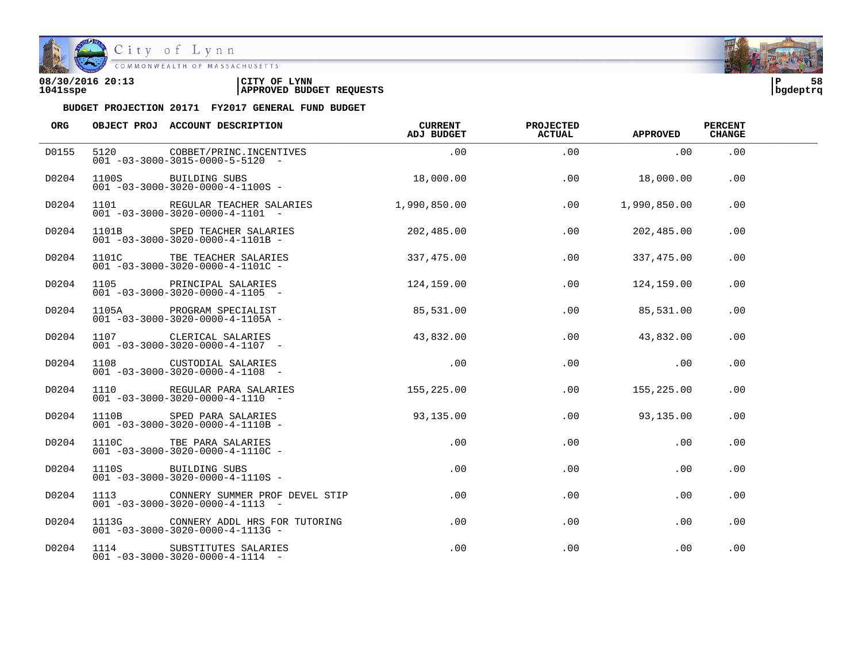

COMMONWEALTH OF MASSACHUSETTS

#### **08/30/2016 20:13 |CITY OF LYNN |P 58 1041sspe |APPROVED BUDGET REQUESTS |bgdeptrq**

| ORG   | OBJECT PROJ ACCOUNT DESCRIPTION                                                       | CURRENT<br>ADJ BUDGET | <b>PROJECTED</b><br><b>ACTUAL</b> | <b>APPROVED</b> | <b>PERCENT</b><br><b>CHANGE</b> |  |
|-------|---------------------------------------------------------------------------------------|-----------------------|-----------------------------------|-----------------|---------------------------------|--|
| D0155 | 5120 COBBET/PRINC.INCENTIVES<br>$001 - 03 - 3000 - 3015 - 0000 - 5 - 5120 -$          | .00                   | .00                               | .00             | .00                             |  |
| D0204 | 1100S BUILDING SUBS<br>$001 - 03 - 3000 - 3020 - 0000 - 4 - 1100S -$                  | 18,000.00             | .00                               | 18,000.00       | .00                             |  |
| D0204 | 1101 REGULAR TEACHER SALARIES<br>$001 - 03 - 3000 - 3020 - 0000 - 4 - 1101 -$         | 1,990,850.00          | .00                               | 1,990,850.00    | .00                             |  |
| D0204 | 1101B SPED TEACHER SALARIES<br>$001 - 03 - 3000 - 3020 - 0000 - 4 - 1101B -$          | 202,485.00            | .00                               | 202,485.00      | .00                             |  |
| D0204 | 1101C TBE TEACHER SALARIES<br>$001 - 03 - 3000 - 3020 - 0000 - 4 - 1101C -$           | 337,475.00            | .00                               | 337,475.00      | .00                             |  |
| D0204 | 1105 PRINCIPAL SALARIES<br>$001 - 03 - 3000 - 3020 - 0000 - 4 - 1105$ -               | 124,159.00            | .00                               | 124,159.00      | .00                             |  |
| D0204 |                                                                                       | 85,531.00             | .00                               | 85,531.00       | .00                             |  |
| D0204 | 1107 CLERICAL SALARIES<br>$001 - 03 - 3000 - 3020 - 0000 - 4 - 1107 -$                | 43,832.00             | .00                               | 43,832.00       | .00                             |  |
| D0204 | 1108 CUSTODIAL SALARIES<br>$001 - 03 - 3000 - 3020 - 0000 - 4 - 1108 -$               | .00                   | .00                               | .00             | .00                             |  |
| D0204 | 1110 REGULAR PARA SALARIES<br>$001 - 03 - 3000 - 3020 - 0000 - 4 - 1110 -$            | 155, 225.00           | .00                               | 155,225.00      | .00                             |  |
| D0204 | 1110B SPED PARA SALARIES<br>$001 - 03 - 3000 - 3020 - 0000 - 4 - 1110B$               | 93,135.00             | .00                               | 93,135.00       | .00                             |  |
| D0204 | 1110C TBE PARA SALARIES<br>$001 - 03 - 3000 - 3020 - 0000 - 4 - 1110C -$              | $.00\,$               | .00                               | $.00 \,$        | .00                             |  |
| D0204 | 1110S BUILDING SUBS<br>$001 - 03 - 3000 - 3020 - 0000 - 4 - 1110S -$                  | $.00\,$               | .00                               | .00             | .00                             |  |
| D0204 | 1113 CONNERY SUMMER PROF DEVEL STIP<br>$001 - 03 - 3000 - 3020 - 0000 - 4 - 1113 - -$ | $.00\,$               | $.00 \,$                          | $.00 \,$        | .00                             |  |
| D0204 | $001 - 03 - 3000 - 3020 - 0000 - 4 - 1113G -$                                         | $.00\,$               | .00                               | .00             | .00                             |  |
| D0204 | 1114 SUBSTITUTES SALARIES<br>$001 - 03 - 3000 - 3020 - 0000 - 4 - 1114 -$             | .00                   | .00                               | .00             | .00                             |  |

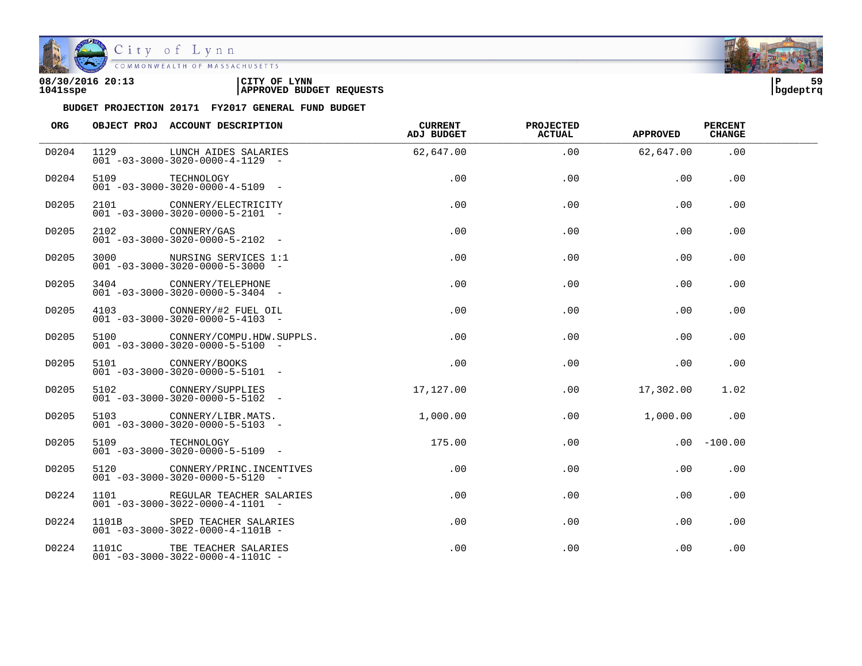

| 08/30/2016 20:13 | CITY OF<br><b>LYNN</b>          | l P      | 59 |
|------------------|---------------------------------|----------|----|
| 1041sspe         | <b>APPROVED BUDGET REQUESTS</b> | bgdeptrq |    |

| ORG   |                 | OBJECT PROJ ACCOUNT DESCRIPTION                                                | CURRENT<br>ADJ BUDGET | <b>PROJECTED</b><br>ACTUAL | <b>APPROVED</b> | <b>PERCENT</b><br><b>CHANGE</b> |  |
|-------|-----------------|--------------------------------------------------------------------------------|-----------------------|----------------------------|-----------------|---------------------------------|--|
| D0204 | 1129            | LUNCH AIDES SALARIES<br>$001 - 03 - 3000 - 3020 - 0000 - 4 - 1129 -$           | 62,647.00             | .00                        | 62,647.00       | .00                             |  |
| D0204 | 5109 TECHNOLOGY | $001 - 03 - 3000 - 3020 - 0000 - 4 - 5109$ -                                   | .00                   | .00                        | .00             | $.00 \,$                        |  |
| D0205 |                 | 2101 CONNERY/ELECTRICITY<br>$001 - 03 - 3000 - 3020 - 0000 - 5 - 2101 -$       | .00                   | .00                        | .00             | .00                             |  |
| D0205 |                 | 2102 CONNERY/GAS<br>$0.01 - 0.3 - 30.00 - 30.20 - 0.000 - 5 - 21.02 - 1$       | .00                   | .00                        | .00             | .00                             |  |
| D0205 |                 | 3000 NURSING SERVICES 1:1<br>$001 - 03 - 3000 - 3020 - 0000 - 5 - 3000 -$      | $.00 \,$              | .00                        | .00             | .00                             |  |
| D0205 |                 | 3404 CONNERY/TELEPHONE<br>$001 - 03 - 3000 - 3020 - 0000 - 5 - 3404 -$         | $.00 \,$              | .00                        | .00             | .00                             |  |
| D0205 |                 | 4103 CONNERY/#2 FUEL OIL<br>$001 - 03 - 3000 - 3020 - 0000 - 5 - 4103 -$       | .00                   | .00                        | .00             | .00                             |  |
| D0205 |                 | 5100 CONNERY/COMPU.HDW.SUPPLS.<br>$001 - 03 - 3000 - 3020 - 0000 - 5 - 5100 -$ | .00                   | .00                        | .00             | .00                             |  |
| D0205 |                 | 5101 CONNERY/BOOKS<br>$001 - 03 - 3000 - 3020 - 0000 - 5 - 5101 -$             | .00                   | .00                        | .00             | .00                             |  |
| D0205 |                 | 5102 CONNERY/SUPPLIES<br>$001 - 03 - 3000 - 3020 - 0000 - 5 - 5102 -$          | 17,127.00             | .00                        | 17,302.00       | 1.02                            |  |
| D0205 |                 | 5103 CONNERY/LIBR.MATS.<br>$001 - 03 - 3000 - 3020 - 0000 - 5 - 5103$ -        | 1,000.00              | .00                        | 1,000.00        | .00                             |  |
| D0205 |                 | 5109 TECHNOLOGY<br>$001 - 03 - 3000 - 3020 - 0000 - 5 - 5109$ -                | 175.00                | .00                        |                 | $.00 - 100.00$                  |  |
| D0205 |                 | 5120 CONNERY/PRINC. INCENTIVES<br>$001 - 03 - 3000 - 3020 - 0000 - 5 - 5120 -$ | $.00 \,$              | .00                        | .00             | .00                             |  |
| D0224 | 1101            | REGULAR TEACHER SALARIES<br>$001 - 03 - 3000 - 3022 - 0000 - 4 - 1101 -$       | .00                   | .00                        | .00             | .00                             |  |
| D0224 |                 | 1101B SPED TEACHER SALARIES<br>$001 - 03 - 3000 - 3022 - 0000 - 4 - 1101B -$   | .00                   | .00                        | .00             | .00                             |  |
| D0224 |                 | 1101C TBE TEACHER SALARIES<br>$001 - 03 - 3000 - 3022 - 0000 - 4 - 1101C -$    | .00                   | .00                        | .00             | .00                             |  |

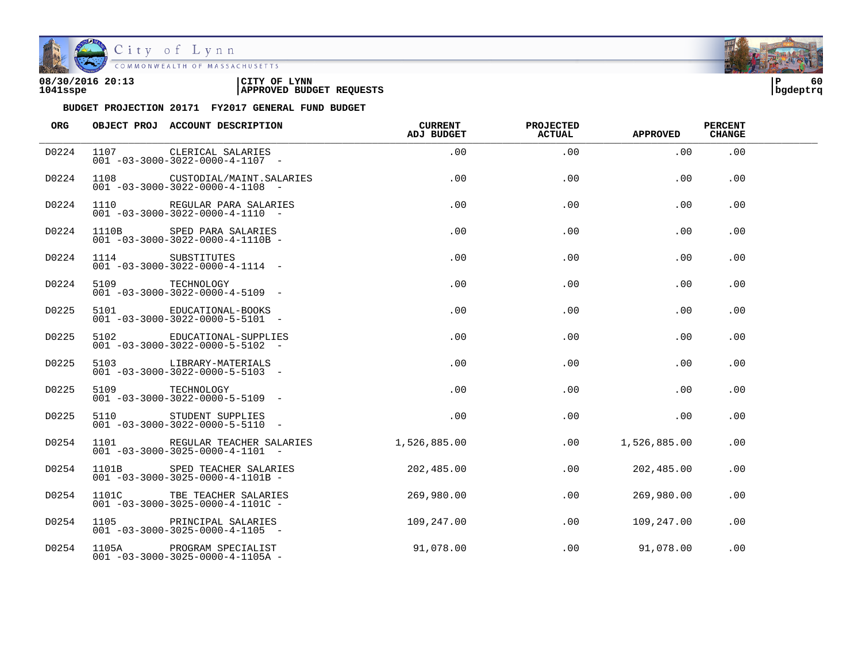

| 08/30/2016 20:13 | CITY OF<br><b>LYNN</b>          | ם ו      | 60 |
|------------------|---------------------------------|----------|----|
| 1041sspe         | <b>APPROVED BUDGET REQUESTS</b> | bgdeptrq |    |

| ORG   |                  | OBJECT PROJ ACCOUNT DESCRIPTION                                               | <b>CURRENT</b><br><b>ADJ BUDGET</b> | <b>PROJECTED</b><br><b>ACTUAL</b> | <b>APPROVED</b> | <b>PERCENT</b><br><b>CHANGE</b> |  |
|-------|------------------|-------------------------------------------------------------------------------|-------------------------------------|-----------------------------------|-----------------|---------------------------------|--|
| D0224 |                  | 1107 CLERICAL SALARIES<br>$001 - 03 - 3000 - 3022 - 0000 - 4 - 1107 -$        | .00                                 | .00                               | .00             | .00                             |  |
| D0224 |                  | 1108 CUSTODIAL/MAINT.SALARIES<br>$001 - 03 - 3000 - 3022 - 0000 - 4 - 1108$ - | .00                                 | .00                               | .00             | .00                             |  |
| D0224 |                  | 1110 REGULAR PARA SALARIES<br>$001 - 03 - 3000 - 3022 - 0000 - 4 - 1110 -$    | .00                                 | .00                               | .00             | .00                             |  |
| D0224 |                  | 1110B SPED PARA SALARIES<br>$001 - 03 - 3000 - 3022 - 0000 - 4 - 1110B -$     | .00                                 | .00                               | .00             | .00                             |  |
| D0224 | 1114 SUBSTITUTES | $001 - 03 - 3000 - 3022 - 0000 - 4 - 1114 -$                                  | .00                                 | .00                               | .00             | .00                             |  |
| D0224 | 5109 TECHNOLOGY  | $001 - 03 - 3000 - 3022 - 0000 - 4 - 5109$ -                                  | .00                                 | .00                               | .00             | .00                             |  |
| D0225 |                  | 5101 EDUCATIONAL-BOOKS<br>$001 - 03 - 3000 - 3022 - 0000 - 5 - 5101 -$        | .00                                 | .00                               | .00             | .00                             |  |
| D0225 |                  | 5102 EDUCATIONAL-SUPPLIES<br>$001 - 03 - 3000 - 3022 - 0000 - 5 - 5102 -$     | .00                                 | .00                               | .00             | .00                             |  |
| D0225 |                  | 5103 LIBRARY-MATERIALS<br>$001 - 03 - 3000 - 3022 - 0000 - 5 - 5103$ -        | .00                                 | .00                               | .00             | .00                             |  |
| D0225 | 5109             | TECHNOLOGY<br>$001 - 03 - 3000 - 3022 - 0000 - 5 - 5109$ -                    | .00                                 | .00                               | .00             | .00                             |  |
| D0225 |                  | 5110 STUDENT SUPPLIES<br>$001 - 03 - 3000 - 3022 - 0000 - 5 - 5110 -$         | .00                                 | .00                               | .00             | .00                             |  |
| D0254 |                  | 1101 REGULAR TEACHER SALARIES<br>$001 - 03 - 3000 - 3025 - 0000 - 4 - 1101 -$ | 1,526,885.00                        | .00                               | 1,526,885.00    | .00                             |  |
| D0254 | 1101B            | SPED TEACHER SALARIES<br>$001 - 03 - 3000 - 3025 - 0000 - 4 - 1101B -$        | 202,485.00                          | .00                               | 202,485.00      | .00                             |  |
| D0254 | 1101C            | TBE TEACHER SALARIES<br>$001 - 03 - 3000 - 3025 - 0000 - 4 - 1101C -$         | 269,980.00                          | .00                               | 269,980.00      | .00                             |  |
| D0254 |                  | 1105 PRINCIPAL SALARIES<br>$001 - 03 - 3000 - 3025 - 0000 - 4 - 1105$ -       | 109,247.00                          | .00                               | 109,247.00      | .00                             |  |
| D0254 | 1105A            | PROGRAM SPECIALIST<br>$001 - 03 - 3000 - 3025 - 0000 - 4 - 1105A -$           | 91,078.00                           | .00                               | 91,078.00       | .00                             |  |

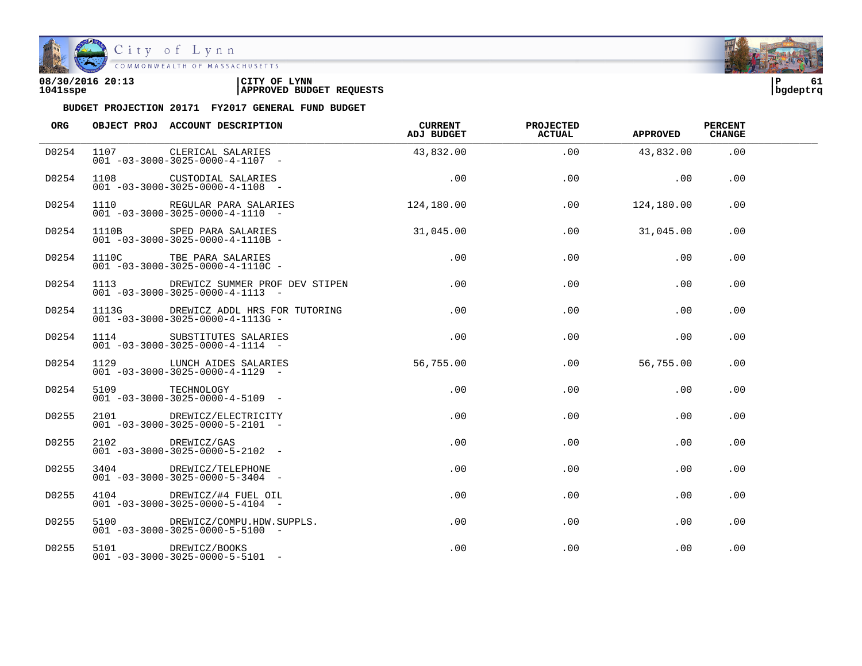

| 08/30/2016 20:13 | CITY OF<br><b>LYNN</b>          | l P      | 61 |
|------------------|---------------------------------|----------|----|
| 1041sspe         | <b>APPROVED BUDGET REQUESTS</b> | bqdeptrq |    |

| ORG   |                 | OBJECT PROJ ACCOUNT DESCRIPTION                                                       | CURRENT<br>ADJ BUDGET | <b>PROJECTED</b><br><b>ACTUAL</b> | <b>APPROVED</b> | <b>PERCENT</b><br><b>CHANGE</b> |  |
|-------|-----------------|---------------------------------------------------------------------------------------|-----------------------|-----------------------------------|-----------------|---------------------------------|--|
| D0254 |                 | 1107 CLERICAL SALARIES<br>$001 - 03 - 3000 - 3025 - 0000 - 4 - 1107$ -                | 43,832.00             | .00                               | 43,832.00       | .00                             |  |
| D0254 |                 | 1108 CUSTODIAL SALARIES<br>$001 - 03 - 3000 - 3025 - 0000 - 4 - 1108 -$               | .00                   | .00                               | .00             | .00                             |  |
| D0254 |                 | 1110 REGULAR PARA SALARIES<br>$001 - 03 - 3000 - 3025 - 0000 - 4 - 1110 -$            | 124,180.00            | .00                               | 124,180.00      | .00                             |  |
| D0254 |                 | 1110B SPED PARA SALARIES<br>$001 - 03 - 3000 - 3025 - 0000 - 4 - 1110B -$             | 31,045.00             | .00                               | 31,045.00       | .00                             |  |
| D0254 |                 | 1110C TBE PARA SALARIES<br>$001 - 03 - 3000 - 3025 - 0000 - 4 - 1110C -$              | $.00 \,$              | .00                               | .00             | .00                             |  |
| D0254 |                 | 1113 DREWICZ SUMMER PROF DEV STIPEN<br>$001 - 03 - 3000 - 3025 - 0000 - 4 - 1113 - -$ | .00                   | .00                               | .00             | .00                             |  |
| D0254 |                 | 1113G DREWICZ ADDL HRS FOR TUTORING<br>$001 - 03 - 3000 - 3025 - 0000 - 4 - 1113G -$  | .00                   | .00                               | .00             | .00                             |  |
| D0254 |                 | 1114 SUBSTITUTES SALARIES<br>$001 - 03 - 3000 - 3025 - 0000 - 4 - 1114 -$             | .00                   | .00                               | .00             | .00                             |  |
| D0254 |                 | 1129 LUNCH AIDES SALARIES<br>$001 - 03 - 3000 - 3025 - 0000 - 4 - 1129$ -             | 56,755.00             | $.00 \,$                          | 56,755.00       | $.00 \,$                        |  |
| D0254 | 5109 TECHNOLOGY | $001 - 03 - 3000 - 3025 - 0000 - 4 - 5109$ -                                          | $.00 \,$              | $.00 \,$                          | .00             | .00                             |  |
| D0255 |                 | 2101 DREWICZ/ELECTRICITY<br>$001 - 03 - 3000 - 3025 - 0000 - 5 - 2101 -$              | .00                   | .00                               | .00             | .00                             |  |
| D0255 |                 | 2102 DREWICZ/GAS<br>$001 - 03 - 3000 - 3025 - 0000 - 5 - 2102 -$                      | .00                   | $.00 \,$                          | .00             | .00                             |  |
| D0255 |                 | 3404 DREWICZ/TELEPHONE<br>$001 - 03 - 3000 - 3025 - 0000 - 5 - 3404 -$                | $.00 \,$              | .00                               | .00             | .00                             |  |
| D0255 |                 | 4104 DREWICZ/#4 FUEL OIL<br>$001 - 03 - 3000 - 3025 - 0000 - 5 - 4104 -$              | .00                   | $.00 \,$                          | $.00 \,$        | $.00 \,$                        |  |
| D0255 |                 | 5100 DREWICZ/COMPU.HDW.SUPPLS.<br>$001 - 03 - 3000 - 3025 - 0000 - 5 - 5100$ -        | $.00 \,$              | .00                               | .00             | .00                             |  |
| D0255 |                 | 5101 DREWICZ/BOOKS<br>$001 - 03 - 3000 - 3025 - 0000 - 5 - 5101 -$                    | $.00 \,$              | .00                               | .00             | .00                             |  |

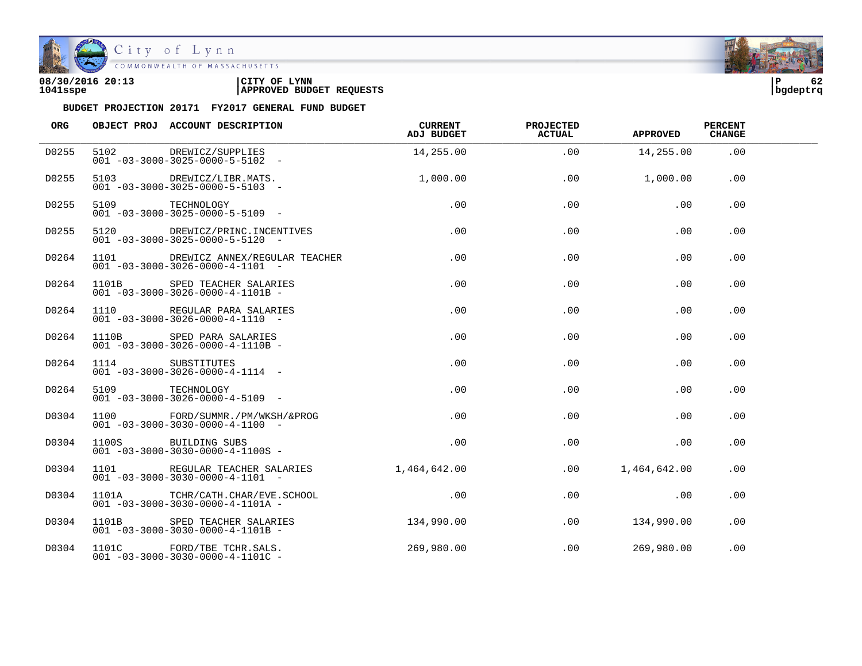

COMMONWEALTH OF MASSACHUSETTS

#### **08/30/2016 20:13 |CITY OF LYNN |P 62 1041sspe |APPROVED BUDGET REQUESTS |bgdeptrq**

| ORG   |                 | OBJECT PROJ ACCOUNT DESCRIPTION                                                    | CURRENT<br>ADJ BUDGET | <b>PROJECTED</b><br><b>ACTUAL</b> | <b>APPROVED</b> | <b>PERCENT</b><br><b>CHANGE</b> |  |
|-------|-----------------|------------------------------------------------------------------------------------|-----------------------|-----------------------------------|-----------------|---------------------------------|--|
| D0255 |                 | 5102 DREWICZ/SUPPLIES<br>$001 - 03 - 3000 - 3025 - 0000 - 5 - 5102 -$              | 14,255.00             | .00                               | 14,255.00       | .00                             |  |
| D0255 |                 | 5103 DREWICZ/LIBR.MATS.<br>$001 - 03 - 3000 - 3025 - 0000 - 5 - 5103 -$            | 1,000.00              | .00                               | 1,000.00        | .00                             |  |
| D0255 |                 | 5109 TECHNOLOGY<br>$001 - 03 - 3000 - 3025 - 0000 - 5 - 5109$ -                    | .00                   | .00                               | .00             | .00                             |  |
| D0255 |                 | 5120 DREWICZ/PRINC.INCENTIVES<br>$001 - 03 - 3000 - 3025 - 0000 - 5 - 5120 -$      | .00                   | .00                               | .00             | .00                             |  |
| D0264 |                 | 1101 DREWICZ ANNEX/REGULAR TEACHER<br>$001 - 03 - 3000 - 3026 - 0000 - 4 - 1101 -$ | $.00 \,$              | .00                               | .00             | $.00 \,$                        |  |
| D0264 |                 | 1101B SPED TEACHER SALARIES<br>$001 - 03 - 3000 - 3026 - 0000 - 4 - 1101B -$       | $.00 \,$              | $.00 \,$                          | .00             | .00                             |  |
| D0264 |                 | 1110 REGULAR PARA SALARIES<br>$001 - 03 - 3000 - 3026 - 0000 - 4 - 1110 -$         | .00                   | .00                               | .00             | .00                             |  |
| D0264 |                 | 1110B SPED PARA SALARIES<br>$001 - 03 - 3000 - 3026 - 0000 - 4 - 1110B -$          | .00                   | .00                               | .00             | .00                             |  |
| D0264 |                 | 1114 SUBSTITUTES<br>$001 - 03 - 3000 - 3026 - 0000 - 4 - 1114 -$                   | .00                   | .00                               | .00             | .00                             |  |
| D0264 | 5109 TECHNOLOGY | $001 - 03 - 3000 - 3026 - 0000 - 4 - 5109$ -                                       | .00                   | .00                               | .00             | .00                             |  |
| D0304 |                 | 1100 FORD/SUMMR./PM/WKSH/&PROG<br>$001 - 03 - 3000 - 3030 - 0000 - 4 - 1100 -$     | $.00 \,$              | .00                               | .00             | .00                             |  |
| D0304 |                 | 1100S BUILDING SUBS<br>$001 - 03 - 3000 - 3030 - 0000 - 4 - 1100S -$               | .00                   | .00                               | .00             | .00                             |  |
| D0304 |                 | 1101 REGULAR TEACHER SALARIES<br>$001 - 03 - 3000 - 3030 - 0000 - 4 - 1101 -$      | 1,464,642.00          | .00                               | 1,464,642.00    | .00                             |  |
| D0304 |                 | 1101A TCHR/CATH.CHAR/EVE.SCHOOL<br>$001 - 03 - 3000 - 3030 - 0000 - 4 - 1101A -$   | .00                   | .00                               | .00             | .00                             |  |
| D0304 |                 | 1101B SPED TEACHER SALARIES<br>$001 - 03 - 3000 - 3030 - 0000 - 4 - 1101B -$       | 134,990.00            | .00                               | 134,990.00      | .00                             |  |
| D0304 |                 | 1101C FORD/TBE TCHR.SALS.<br>$001 - 03 - 3000 - 3030 - 0000 - 4 - 1101C -$         | 269,980.00            | .00                               | 269,980.00      | .00                             |  |

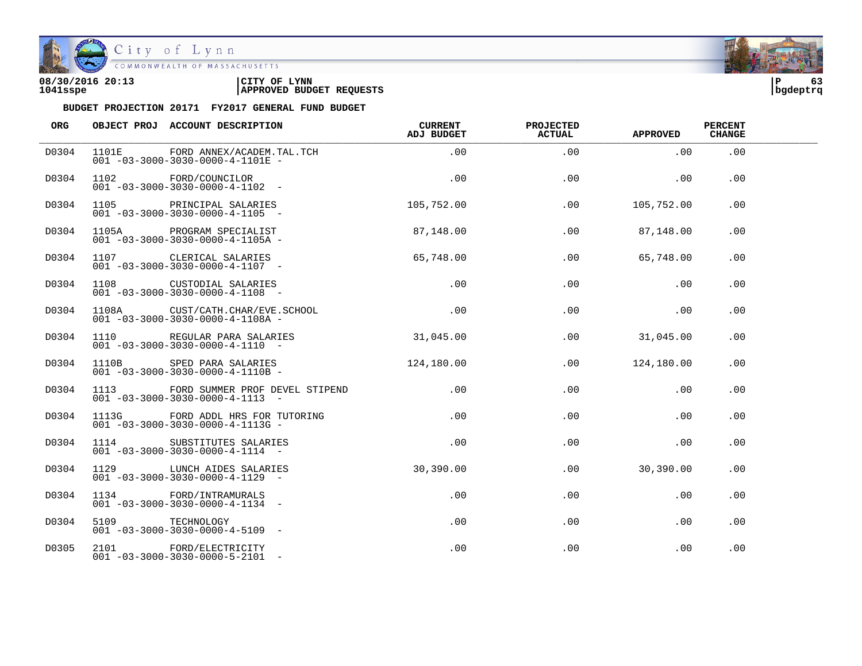

| 08/30/2016 20:13 | 'CITY OF<br><b>LYNN</b>         | l P      | - - |
|------------------|---------------------------------|----------|-----|
| 1041sspe         | <b>APPROVED BUDGET REQUESTS</b> | bgdeptrq |     |

| ORG   |                 | OBJECT PROJ ACCOUNT DESCRIPTION                                                       | CURRENT<br>ADJ BUDGET | <b>PROJECTED</b><br><b>ACTUAL</b> | <b>APPROVED</b> | <b>PERCENT</b><br><b>CHANGE</b> |  |
|-------|-----------------|---------------------------------------------------------------------------------------|-----------------------|-----------------------------------|-----------------|---------------------------------|--|
| D0304 |                 | 1101E FORD ANNEX/ACADEM.TAL.TCH<br>$001 - 03 - 3000 - 3030 - 0000 - 4 - 1101E -$      | .00                   | .00                               | .00             | .00                             |  |
| D0304 |                 | 1102 FORD/COUNCILOR<br>$001 - 03 - 3000 - 3030 - 0000 - 4 - 1102$ -                   | .00                   | .00                               | .00             | .00                             |  |
| D0304 |                 | 1105 PRINCIPAL SALARIES<br>$001 - 03 - 3000 - 3030 - 0000 - 4 - 1105 -$               | 105,752.00            | .00                               | 105,752.00      | .00                             |  |
| D0304 |                 | 1105A PROGRAM SPECIALIST<br>$001 - 03 - 3000 - 3030 - 0000 - 4 - 1105A -$             | 87,148.00             | .00                               | 87,148.00       | .00                             |  |
| D0304 |                 | 1107 CLERICAL SALARIES<br>$001 - 03 - 3000 - 3030 - 0000 - 4 - 1107 -$                | 65,748.00             | .00                               | 65,748.00       | .00                             |  |
| D0304 |                 | 1108 CUSTODIAL SALARIES<br>$001 - 03 - 3000 - 3030 - 0000 - 4 - 1108 -$               | .00                   | .00                               | .00             | .00                             |  |
| D0304 |                 | 1108A CUST/CATH.CHAR/EVE.SCHOOL<br>$001 - 03 - 3000 - 3030 - 0000 - 4 - 1108A -$      | $\overline{00}$       | .00                               | .00             | .00                             |  |
| D0304 |                 | 1110 REGULAR PARA SALARIES<br>$001 - 03 - 3000 - 3030 - 0000 - 4 - 1110 -$            | 31,045.00             | .00                               | 31,045.00       | .00                             |  |
| D0304 |                 | 1110B SPED PARA SALARIES<br>$001 - 03 - 3000 - 3030 - 0000 - 4 - 1110B -$             | 124,180.00            |                                   | .00 124,180.00  | .00                             |  |
| D0304 |                 | 1113 FORD SUMMER PROF DEVEL STIPEND<br>$001 - 03 - 3000 - 3030 - 0000 - 4 - 1113 - -$ | $.00 \,$              | .00                               | $.00 \,$        | .00                             |  |
| D0304 |                 | $001 - 03 - 3000 - 3030 - 0000 - 4 - 1113$ G -                                        | .00                   | .00                               | .00             | .00                             |  |
| D0304 |                 | 1114 SUBSTITUTES SALARIES<br>$001 - 03 - 3000 - 3030 - 0000 - 4 - 1114 -$             | $.00 \,$              | .00                               | .00             | .00                             |  |
| D0304 |                 | 1129 LUNCH AIDES SALARIES<br>$001 - 03 - 3000 - 3030 - 0000 - 4 - 1129 -$             | 30,390.00             | .00                               | 30,390.00       | .00.                            |  |
| D0304 |                 | 1134 FORD/INTRAMURALS<br>$001 - 03 - 3000 - 3030 - 0000 - 4 - 1134 -$                 | $.00\,$               | $.00 \,$                          | .00             | .00                             |  |
| D0304 | 5109 TECHNOLOGY | $001 - 03 - 3000 - 3030 - 0000 - 4 - 5109$ -                                          | .00                   | .00                               | .00             | .00                             |  |
| D0305 |                 | 2101 FORD/ELECTRICITY<br>$001 - 03 - 3000 - 3030 - 0000 - 5 - 2101 -$                 | $.00 \,$              | .00                               | .00             | .00                             |  |

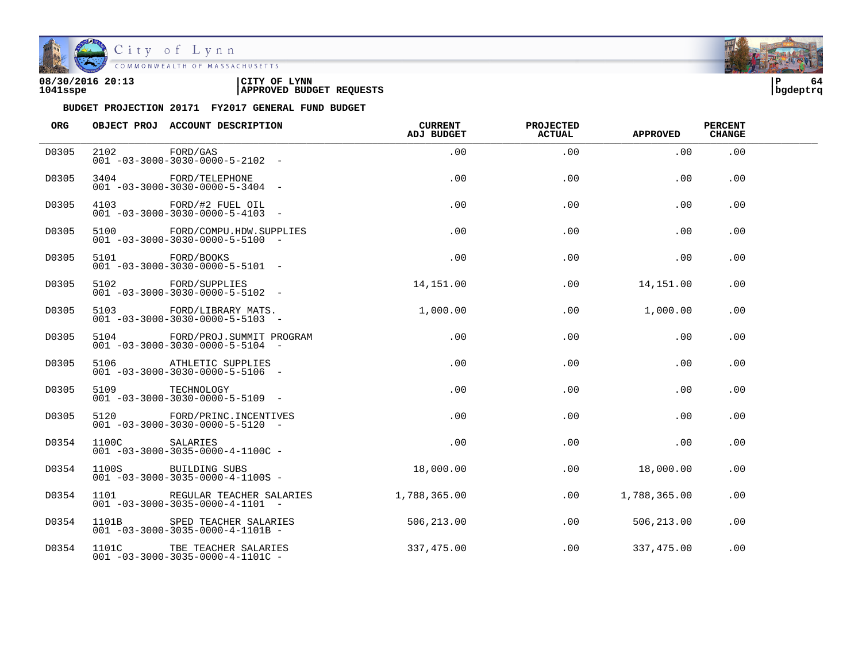

City of Lynn<br>
COMMONWEALTH OF MASSACHUSETTS

| 08/30/2016 20:13 | LYNN<br>CITY OF                 | ם ו      | 60 |
|------------------|---------------------------------|----------|----|
| 1041sspe         | <b>APPROVED BUDGET REQUESTS</b> | bqdeptrq |    |

| ORG   |                 | OBJECT PROJ ACCOUNT DESCRIPTION                                               | <b>CURRENT</b><br><b>ADJ BUDGET</b> | <b>PROJECTED</b><br>ACTUAL | <b>APPROVED</b> | <b>PERCENT</b><br><b>CHANGE</b> |  |
|-------|-----------------|-------------------------------------------------------------------------------|-------------------------------------|----------------------------|-----------------|---------------------------------|--|
| D0305 | 2102 FORD/GAS   | $001 - 03 - 3000 - 3030 - 0000 - 5 - 2102 -$                                  | .00                                 | .00                        | .00             | .00                             |  |
| D0305 |                 | 3404 FORD/TELEPHONE<br>$001 - 03 - 3000 - 3030 - 0000 - 5 - 3404 -$           | .00                                 | .00                        | .00             | .00                             |  |
| D0305 |                 | 4103 FORD/#2 FUEL OIL<br>$001 - 03 - 3000 - 3030 - 0000 - 5 - 4103 -$         | .00                                 | .00                        | .00             | .00                             |  |
| D0305 |                 | 5100 FORD/COMPU.HDW.SUPPLIES<br>$001 - 03 - 3000 - 3030 - 0000 - 5 - 5100 -$  | .00                                 | .00                        | .00             | .00                             |  |
| D0305 | 5101 FORD/BOOKS | $001 - 03 - 3000 - 3030 - 0000 - 5 - 5101 -$                                  | .00                                 | .00                        | .00             | $.00 \,$                        |  |
| D0305 |                 | 5102 FORD/SUPPLIES<br>$001 - 03 - 3000 - 3030 - 0000 - 5 - 5102 -$            | 14,151.00                           | .00                        | 14,151.00       | .00                             |  |
| D0305 |                 | 5103 FORD/LIBRARY MATS.<br>$001 - 03 - 3000 - 3030 - 0000 - 5 - 5103 -$       | 1,000.00                            | .00                        | 1,000.00        | .00                             |  |
| D0305 |                 | 5104 FORD/PROJ.SUMMIT PROGRAM<br>$001 - 03 - 3000 - 3030 - 0000 - 5 - 5104 -$ | $.00 \,$                            | .00                        | .00             | .00                             |  |
| D0305 |                 | 5106 ATHLETIC SUPPLIES<br>$001 - 03 - 3000 - 3030 - 0000 - 5 - 5106 -$        | .00                                 | .00                        | .00             | .00                             |  |
| D0305 | 5109 TECHNOLOGY | $001 - 03 - 3000 - 3030 - 0000 - 5 - 5109$ -                                  | .00                                 | .00                        | .00             | .00                             |  |
| D0305 |                 | 5120 FORD/PRINC. INCENTIVES<br>$001 - 03 - 3000 - 3030 - 0000 - 5 - 5120 -$   | .00                                 | .00                        | .00             | .00                             |  |
| D0354 | 1100C SALARIES  | $001 - 03 - 3000 - 3035 - 0000 - 4 - 1100C -$                                 | .00                                 | .00                        | .00             | .00                             |  |
| D0354 |                 | 1100S BUILDING SUBS<br>$001 - 03 - 3000 - 3035 - 0000 - 4 - 1100S -$          | 18,000.00                           | .00                        | 18,000.00       | .00                             |  |
| D0354 | 1101            | REGULAR TEACHER SALARIES<br>$001 - 03 - 3000 - 3035 - 0000 - 4 - 1101 -$      | 1,788,365.00                        | .00                        | 1,788,365.00    | .00                             |  |
| D0354 |                 | 1101B SPED TEACHER SALARIES<br>$001 - 03 - 3000 - 3035 - 0000 - 4 - 1101B -$  | 506,213.00                          | .00                        | 506,213.00      | .00                             |  |
| D0354 |                 | 1101C TBE TEACHER SALARIES<br>$001 - 03 - 3000 - 3035 - 0000 - 4 - 1101C -$   | 337,475.00                          | .00                        | 337,475.00      | .00                             |  |

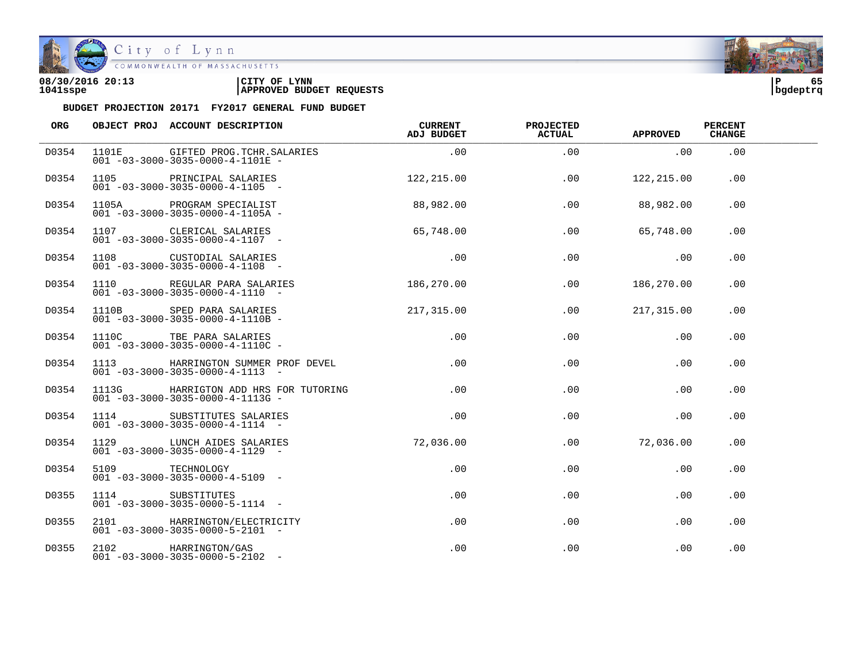

| 08/30/2016 20:13 | CITY OF<br><b>LYNN</b>          | l P      | -- |
|------------------|---------------------------------|----------|----|
| 1041sspe         | <b>APPROVED BUDGET REQUESTS</b> | bqdeptrq |    |

| ORG   |                 | OBJECT PROJ ACCOUNT DESCRIPTION                                                       | CURRENT<br>ADJ BUDGET | <b>PROJECTED</b><br><b>ACTUAL</b> | <b>APPROVED</b> | <b>PERCENT</b><br><b>CHANGE</b> |  |
|-------|-----------------|---------------------------------------------------------------------------------------|-----------------------|-----------------------------------|-----------------|---------------------------------|--|
| D0354 |                 | 1101E GIFTED PROG.TCHR.SALARIES<br>$001 - 03 - 3000 - 3035 - 0000 - 4 - 1101E -$      | .00                   | .00                               | .00             | .00                             |  |
| D0354 |                 | 1105 PRINCIPAL SALARIES<br>$001 - 03 - 3000 - 3035 - 0000 - 4 - 1105$ -               | 122, 215.00           | .00                               | 122,215.00      | .00                             |  |
| D0354 |                 |                                                                                       | 88,982.00             | .00                               | 88,982.00       | .00                             |  |
| D0354 |                 | 1107 CLERICAL SALARIES<br>$001 - 03 - 3000 - 3035 - 0000 - 4 - 1107$ -                | 65,748.00             | .00                               | 65,748.00       | .00                             |  |
| D0354 |                 | 1108 CUSTODIAL SALARIES<br>$001 - 03 - 3000 - 3035 - 0000 - 4 - 1108 -$               | .00                   | .00                               | $\overline{00}$ | .00                             |  |
| D0354 |                 | 1110 REGULAR PARA SALARIES<br>$001 - 03 - 3000 - 3035 - 0000 - 4 - 1110 -$            | 186,270.00            | .00                               | 186,270.00      | .00.                            |  |
| D0354 |                 | 1110B SPED PARA SALARIES<br>001 -03-3000-3035-0000-4-1110B -                          | 217,315.00            | .00                               | 217,315.00      | .00                             |  |
| D0354 |                 | 1110C TBE PARA SALARIES<br>$001 - 03 - 3000 - 3035 - 0000 - 4 - 1110C -$              | .00                   | .00                               | .00             | .00                             |  |
| D0354 |                 | 1113 HARRINGTON SUMMER PROF DEVEL<br>$001 - 03 - 3000 - 3035 - 0000 - 4 - 1113 -$     | .00                   | .00                               | .00             | .00                             |  |
| D0354 |                 | 1113G HARRIGTON ADD HRS FOR TUTORING<br>$001 - 03 - 3000 - 3035 - 0000 - 4 - 1113G -$ | .00                   | .00                               | .00             | .00                             |  |
| D0354 |                 | 1114 SUBSTITUTES SALARIES<br>$001 - 03 - 3000 - 3035 - 0000 - 4 - 1114 -$             | .00                   | .00                               | .00             | .00                             |  |
| D0354 |                 | 1129 LUNCH AIDES SALARIES<br>$001 - 03 - 3000 - 3035 - 0000 - 4 - 1129$ -             | 72,036.00             | .00                               | 72,036.00       | .00                             |  |
| D0354 | 5109 TECHNOLOGY | $001 - 03 - 3000 - 3035 - 0000 - 4 - 5109$ -                                          | .00                   | .00                               | .00             | .00                             |  |
| D0355 |                 | 1114 SUBSTITUTES<br>$001 - 03 - 3000 - 3035 - 0000 - 5 - 1114 -$                      | .00                   | $.00 \,$                          | $.00 \,$        | .00                             |  |
| D0355 |                 | 2101 HARRINGTON/ELECTRICITY<br>$001 - 03 - 3000 - 3035 - 0000 - 5 - 2101 -$           | .00                   | .00                               | .00             | .00                             |  |
| D0355 |                 | 2102 HARRINGTON/GAS<br>$001 - 03 - 3000 - 3035 - 0000 - 5 - 2102 -$                   | $.00 \,$              | .00                               | .00             | .00                             |  |

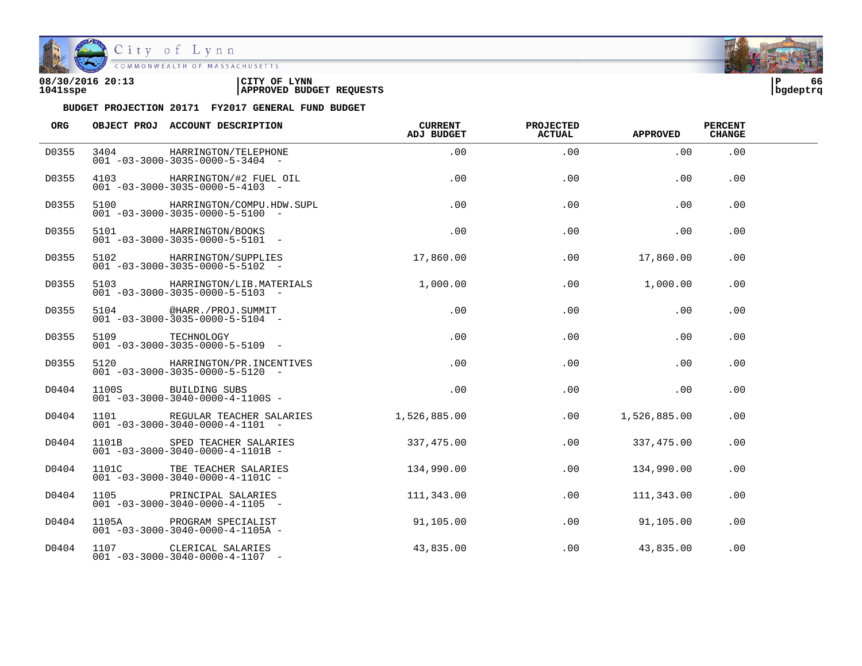

| 08/30/2016 20:13 | CITY OF<br><b>LYNN</b>          | ם ו      | 66 |
|------------------|---------------------------------|----------|----|
| 1041sspe         | <b>APPROVED BUDGET REQUESTS</b> | bqdeptrq |    |

| ORG   |      | OBJECT PROJ ACCOUNT DESCRIPTION                                               | <b>CURRENT</b><br>ADJ BUDGET | <b>PROJECTED</b><br><b>ACTUAL</b> | <b>APPROVED</b> | <b>PERCENT</b><br><b>CHANGE</b> |  |
|-------|------|-------------------------------------------------------------------------------|------------------------------|-----------------------------------|-----------------|---------------------------------|--|
| D0355 | 3404 | HARRINGTON/TELEPHONE<br>$001 - 03 - 3000 - 3035 - 0000 - 5 - 3404 -$          | .00                          | .00                               | .00             | .00                             |  |
| D0355 | 4103 | HARRINGTON/#2 FUEL OIL<br>$001 - 03 - 3000 - 3035 - 0000 - 5 - 4103 -$        | .00                          | .00                               | .00             | .00                             |  |
| D0355 | 5100 | HARRINGTON/COMPU.HDW.SUPL<br>$001 - 03 - 3000 - 3035 - 0000 - 5 - 5100$ -     | .00                          | .00                               | .00             | .00                             |  |
| D0355 |      | 5101 HARRINGTON/BOOKS<br>$001 - 03 - 3000 - 3035 - 0000 - 5 - 5101 -$         | .00                          | .00                               | .00             | .00                             |  |
| D0355 |      | 5102 HARRINGTON/SUPPLIES<br>$001 - 03 - 3000 - 3035 - 0000 - 5 - 5102 -$      | 17,860.00                    | .00                               | 17,860.00       | .00                             |  |
| D0355 | 5103 | HARRINGTON/LIB.MATERIALS<br>$001 - 03 - 3000 - 3035 - 0000 - 5 - 5103 -$      | 1,000.00                     | .00                               | 1,000.00        | .00                             |  |
| D0355 |      | 5104 @HARR./PROJ.SUMMIT<br>$001 - 03 - 3000 - 3035 - 0000 - 5 - 5104 -$       | .00                          | .00                               | .00             | .00                             |  |
| D0355 |      | 5109 TECHNOLOGY<br>$001 - 03 - 3000 - 3035 - 0000 - 5 - 5109$ -               | .00                          | .00                               | .00             | .00                             |  |
| D0355 |      | 5120 HARRINGTON/PR.INCENTIVES<br>$001 - 03 - 3000 - 3035 - 0000 - 5 - 5120 -$ | .00                          | .00                               | .00             | .00                             |  |
| D0404 |      | 1100S BUILDING SUBS<br>$001 - 03 - 3000 - 3040 - 0000 - 4 - 1100S -$          | .00                          | .00                               | .00             | .00                             |  |
| D0404 |      | 1101 REGULAR TEACHER SALARIES<br>$001 - 03 - 3000 - 3040 - 0000 - 4 - 1101 -$ | 1,526,885.00                 | .00                               | 1,526,885.00    | .00                             |  |
| D0404 |      | 1101B SPED TEACHER SALARIES<br>$001 - 03 - 3000 - 3040 - 0000 - 4 - 1101B -$  | 337,475.00                   | .00                               | 337,475.00      | .00                             |  |
| D0404 |      | 1101C TBE TEACHER SALARIES<br>$001 - 03 - 3000 - 3040 - 0000 - 4 - 1101C -$   | 134,990.00                   | .00                               | 134,990.00      | .00                             |  |
| D0404 | 1105 | PRINCIPAL SALARIES<br>$001 - 03 - 3000 - 3040 - 0000 - 4 - 1105 -$            | 111,343.00                   | .00                               | 111,343.00      | .00                             |  |
| D0404 |      | 1105A PROGRAM SPECIALIST<br>$001 - 03 - 3000 - 3040 - 0000 - 4 - 1105A -$     | 91,105.00                    | .00                               | 91,105.00       | .00                             |  |
| D0404 |      | 1107 CLERICAL SALARIES<br>$001 - 03 - 3000 - 3040 - 0000 - 4 - 1107$ -        | 43,835.00                    | .00                               | 43,835.00       | .00                             |  |

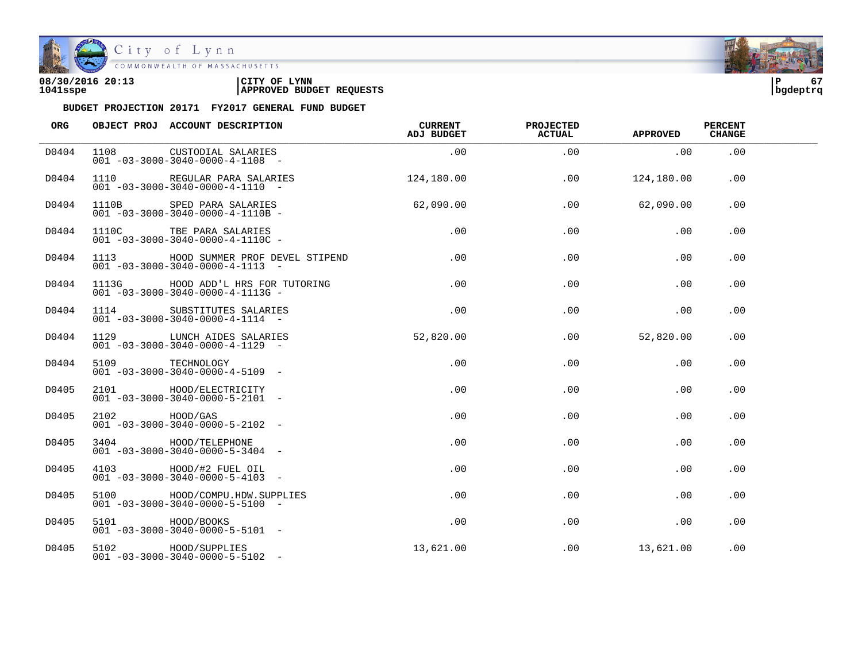

| 08/30/2016 20:13 | CITY OF<br><b>LYNN</b>          | l P      | -- |
|------------------|---------------------------------|----------|----|
| 1041sspe         | <b>APPROVED BUDGET REQUESTS</b> | bqdeptrq |    |

| ORG   |                 | OBJECT PROJ ACCOUNT DESCRIPTION                                                                              | CURRENT<br>ADJ BUDGET | <b>PROJECTED</b><br><b>ACTUAL</b> | <b>APPROVED</b> | <b>PERCENT</b><br><b>CHANGE</b> |  |
|-------|-----------------|--------------------------------------------------------------------------------------------------------------|-----------------------|-----------------------------------|-----------------|---------------------------------|--|
| D0404 |                 | 1108 CUSTODIAL SALARIES<br>$001 - 03 - 3000 - 3040 - 0000 - 4 - 1108 -$                                      | .00                   | .00                               | .00             | .00                             |  |
| D0404 |                 | 1110 REGULAR PARA SALARIES<br>$001 - 03 - 3000 - 3040 - 0000 - 4 - 1110 -$                                   | 124, 180.00           | .00                               | 124,180.00      | $.00 \,$                        |  |
| D0404 |                 | 1110B SPED PARA SALARIES<br>001 -03-3000-3040-0000-4-1110B -                                                 | 62,090.00             | .00                               | 62,090.00       | .00                             |  |
| D0404 |                 | 1110C TBE PARA SALARIES<br>001 -03-3000-3040-0000-4-1110C -<br>$001 - 03 - 3000 - 3040 - 0000 - 4 - 1110C -$ | .00                   | .00                               | .00             | .00                             |  |
| D0404 |                 | 1113 HOOD SUMMER PROF DEVEL STIPEND<br>$001 - 03 - 3000 - 3040 - 0000 - 4 - 1113 -$                          | $.00 \,$              | .00                               | .00             | .00                             |  |
| D0404 |                 | 1113G HOOD ADD'L HRS FOR TUTORING<br>$001 - 03 - 3000 - 3040 - 0000 - 4 - 1113G -$                           | .00                   | .00                               | .00             | .00                             |  |
| D0404 |                 | 1114 SUBSTITUTES SALARIES<br>$001 - 03 - 3000 - 3040 - 0000 - 4 - 1114 -$                                    | .00                   | .00                               | .00             | .00                             |  |
| D0404 |                 | 1129 LUNCH AIDES SALARIES<br>$\overline{001}$ -03-3000-3040-0000-4-1129 -                                    | 52,820.00             | .00                               | 52,820.00       | .00                             |  |
| D0404 |                 | 5109 TECHNOLOGY<br>$001 - 03 - 3000 - 3040 - 0000 - 4 - 5109$ -                                              | .00                   | .00                               | .00             | .00                             |  |
| D0405 |                 | 2101 HOOD/ELECTRICITY<br>$001 - 03 - 3000 - 3040 - 0000 - 5 - 2101 -$                                        | .00                   | .00                               | .00             | .00                             |  |
| D0405 | 2102 HOOD/GAS   | $001 - 03 - 3000 - 3040 - 0000 - 5 - 2102 -$                                                                 | .00                   | .00                               | .00             | .00                             |  |
| D0405 |                 | 3404 HOOD/TELEPHONE<br>$0.01 - 0.3 - 30.00 - 30.40 - 0.000 - 5 - 34.04 -$                                    | .00                   | .00                               | .00             | .00                             |  |
| D0405 |                 | 4103 HOOD/#2 FUEL OIL<br>$001 - 03 - 3000 - 3040 - 0000 - 5 - 4103 -$                                        | $.00 \,$              | .00                               | .00             | .00                             |  |
| D0405 |                 | 5100 HOOD/COMPU.HDW.SUPPLIES<br>$001 - 03 - 3000 - 3040 - 0000 - 5 - 5100 -$                                 | .00                   | .00                               | .00             | .00                             |  |
| D0405 | 5101 HOOD/BOOKS | $001 - 03 - 3000 - 3040 - 0000 - 5 - 5101 -$                                                                 | .00                   | .00                               | .00             | .00                             |  |
| D0405 |                 | 5102 HOOD/SUPPLIES<br>$001 - 03 - 3000 - 3040 - 0000 - 5 - 5102 -$                                           | 13,621.00             | .00                               | 13,621.00       | .00                             |  |

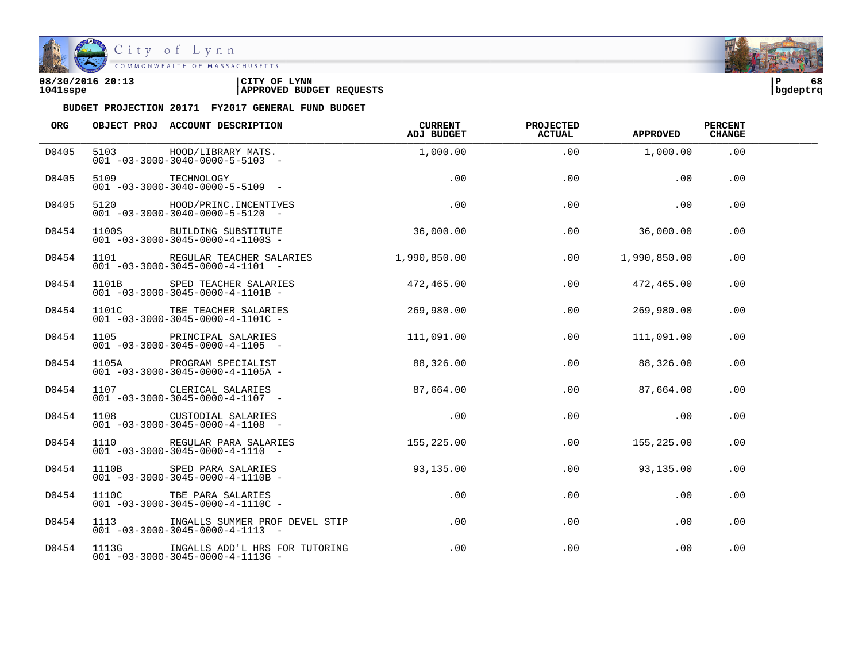

| 08/30/2016 20:13 | LYNN<br>CITY OF                 | ם ו      | 68 |
|------------------|---------------------------------|----------|----|
| 1041sspe         | <b>APPROVED BUDGET REQUESTS</b> | bqdeptrq |    |

| ORG   |       | OBJECT PROJ ACCOUNT DESCRIPTION                                                                  | CURRENT<br>ADJ BUDGET | <b>PROJECTED</b><br><b>ACTUAL</b> | <b>APPROVED</b> | <b>PERCENT</b><br><b>CHANGE</b> |  |
|-------|-------|--------------------------------------------------------------------------------------------------|-----------------------|-----------------------------------|-----------------|---------------------------------|--|
| D0405 |       | 5103 HOOD/LIBRARY MATS.<br>$001 - 03 - 3000 - 3040 - 0000 - 5 - 5103 -$                          | 1,000.00              | .00                               | 1,000.00        | .00                             |  |
| D0405 | 5109  | TECHNOLOGY<br>$001 - 03 - 3000 - 3040 - 0000 - 5 - 5109$ -                                       | .00                   | .00                               | .00             | .00                             |  |
| D0405 |       | 5120 HOOD/PRINC.INCENTIVES<br>$001 - 03 - 3000 - 3040 - 0000 - 5 - 5120 -$                       | .00                   | .00                               | .00             | .00                             |  |
| D0454 |       | 1100S BUILDING SUBSTITUTE<br>$001 - 03 - 3000 - 3045 - 0000 - 4 - 1100S -$                       | 36,000.00             | .00                               | 36,000.00       | .00                             |  |
| D0454 |       | 1101 REGULAR TEACHER SALARIES<br>$001 - 03 - 3000 - 3045 - 0000 - 4 - 1101 -$                    | 1,990,850.00          | .00                               | 1,990,850.00    | .00                             |  |
| D0454 |       | 1101B SPED TEACHER SALARIES<br>$001 - 03 - 3000 - 3045 - 0000 - 4 - 1101B -$                     | 472,465.00            | .00                               | 472,465.00      | .00                             |  |
| D0454 |       | 1101C TBE TEACHER SALARIES<br>$001 - 03 - 3000 - 3045 - 0000 - 4 - 1101C -$                      | 269,980.00            | .00                               | 269,980.00      | .00                             |  |
| D0454 |       | 1105 PRINCIPAL SALARIES<br>$001 - 03 - 3000 - 3045 - 0000 - 4 - 1105$ -                          | 111,091.00            | .00                               | 111,091.00      | .00                             |  |
| D0454 |       | 1105A PROGRAM SPECIALIST<br>$001 - 03 - 3000 - 3045 - 0000 - 4 - 1105A -$                        | 88,326.00             | .00                               | 88,326.00       | .00                             |  |
| D0454 |       | 1107 CLERICAL SALARIES<br>$001 - 03 - 3000 - 3045 - 0000 - 4 - 1107 -$                           | 87,664.00             | .00                               | 87,664.00       | .00                             |  |
| D0454 |       | 1108 CUSTODIAL SALARIES<br>$001 - 03 - 3000 - 3045 - 0000 - 4 - 1108 -$                          | .00                   | .00                               | $.00 \,$        | .00                             |  |
| D0454 |       | 1110 REGULAR PARA SALARIES<br>$001 - 03 - 3000 - 3045 - 0000 - 4 - 1110 -$                       | 155,225.00            | .00                               | 155,225.00      | .00                             |  |
| D0454 | 1110B | SPED PARA SALARIES<br>$001 - 03 - 3000 - 3045 - 0000 - 4 - 1110B -$                              | 93,135.00             | .00                               | 93,135.00       | .00.                            |  |
| D0454 | 1110C | TBE PARA SALARIES<br>$001 - 03 - 3000 - 3045 - 0000 - 4 - 1110C -$                               | .00                   | .00                               | .00             | .00.                            |  |
| D0454 |       | 1113            INGALLS SUMMER PROF DEVEL STIP<br>$001 - 03 - 3000 - 3045 - 0000 - 4 - 1113 - -$ | .00                   | .00                               | .00             | .00                             |  |
| D0454 |       | 1113G INGALLS ADD'L HRS FOR TUTORING<br>$001 - 03 - 3000 - 3045 - 0000 - 4 - 1113G -$            | $.00\,$               | $.00 \,$                          | .00             | .00.                            |  |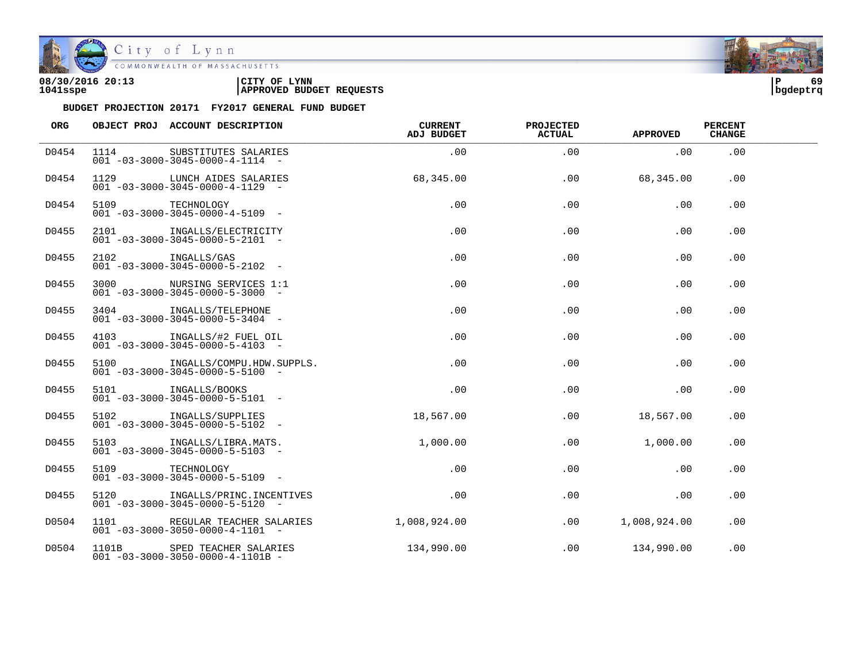

| 08/30/2016 20:13 | CITY OF<br><b>LYNN</b>          | l P      | 69 |
|------------------|---------------------------------|----------|----|
| 1041sspe         | <b>APPROVED BUDGET REQUESTS</b> | bqdeptrq |    |

| ORG   |                 | OBJECT PROJ ACCOUNT DESCRIPTION                                                | <b>CURRENT</b><br><b>ADJ BUDGET</b> | <b>PROJECTED</b><br>ACTUAL | <b>APPROVED</b> | <b>PERCENT</b><br><b>CHANGE</b> |  |
|-------|-----------------|--------------------------------------------------------------------------------|-------------------------------------|----------------------------|-----------------|---------------------------------|--|
| D0454 | 1114            | SUBSTITUTES SALARIES<br>$001 - 03 - 3000 - 3045 - 0000 - 4 - 1114 -$           | .00                                 | .00                        | .00             | .00                             |  |
| D0454 |                 | 1129 LUNCH AIDES SALARIES<br>$001 - 03 - 3000 - 3045 - 0000 - 4 - 1129$ -      | 68,345.00                           | .00                        | 68,345.00       | .00                             |  |
| D0454 | 5109 TECHNOLOGY | $001 - 03 - 3000 - 3045 - 0000 - 4 - 5109$ -                                   | .00                                 | .00                        | .00             | .00                             |  |
| D0455 |                 | 2101 INGALLS/ELECTRICITY<br>$001 - 03 - 3000 - 3045 - 0000 - 5 - 2101 -$       | .00                                 | .00                        | .00             | .00                             |  |
| D0455 |                 | 2102 INGALLS/GAS<br>$001 - 03 - 3000 - 3045 - 0000 - 5 - 2102 -$               | .00                                 | .00                        | .00             | .00                             |  |
| D0455 | 3000 000        | NURSING SERVICES 1:1<br>$001 - 03 - 3000 - 3045 - 0000 - 5 - 3000 -$           | .00                                 | .00                        | .00             | .00                             |  |
| D0455 |                 | 3404 INGALLS/TELEPHONE<br>$001 - 03 - 3000 - 3045 - 0000 - 5 - 3404 -$         | .00                                 | .00                        | .00             | .00                             |  |
| D0455 |                 | 4103 INGALLS/#2 FUEL OIL<br>$001 - 03 - 3000 - 3045 - 0000 - 5 - 4103$ -       | .00                                 | .00                        | .00             | .00                             |  |
| D0455 |                 | 5100 INGALLS/COMPU.HDW.SUPPLS.<br>$001 - 03 - 3000 - 3045 - 0000 - 5 - 5100 -$ | .00                                 | .00                        | .00             | .00                             |  |
| D0455 | 5101            | INGALLS/BOOKS<br>$001 - 03 - 3000 - 3045 - 0000 - 5 - 5101 -$                  | .00                                 | .00                        | .00             | .00                             |  |
| D0455 |                 | 5102 INGALLS/SUPPLIES<br>$001 - 03 - 3000 - 3045 - 0000 - 5 - 5102 -$          | 18,567.00                           | .00                        | 18,567.00       | .00                             |  |
| D0455 |                 | 5103 INGALLS/LIBRA.MATS.<br>$001 - 03 - 3000 - 3045 - 0000 - 5 - 5103 -$       | 1,000.00                            | .00                        | 1,000.00        | .00                             |  |
| D0455 | 5109 TECHNOLOGY | $001 - 03 - 3000 - 3045 - 0000 - 5 - 5109$ -                                   | .00                                 | .00                        | .00             | .00                             |  |
| D0455 | 5120            | INGALLS/PRINC.INCENTIVES<br>$001 - 03 - 3000 - 3045 - 0000 - 5 - 5120 -$       | .00                                 | .00                        | .00             | .00                             |  |
| D0504 |                 | 1101 REGULAR TEACHER SALARIES<br>$001 - 03 - 3000 - 3050 - 0000 - 4 - 1101 -$  | 1,008,924.00                        | .00                        | 1,008,924.00    | .00                             |  |
| D0504 |                 | 1101B SPED TEACHER SALARIES<br>$001 - 03 - 3000 - 3050 - 0000 - 4 - 1101B -$   | 134,990.00                          | $.00\,$                    | 134,990.00      | .00                             |  |

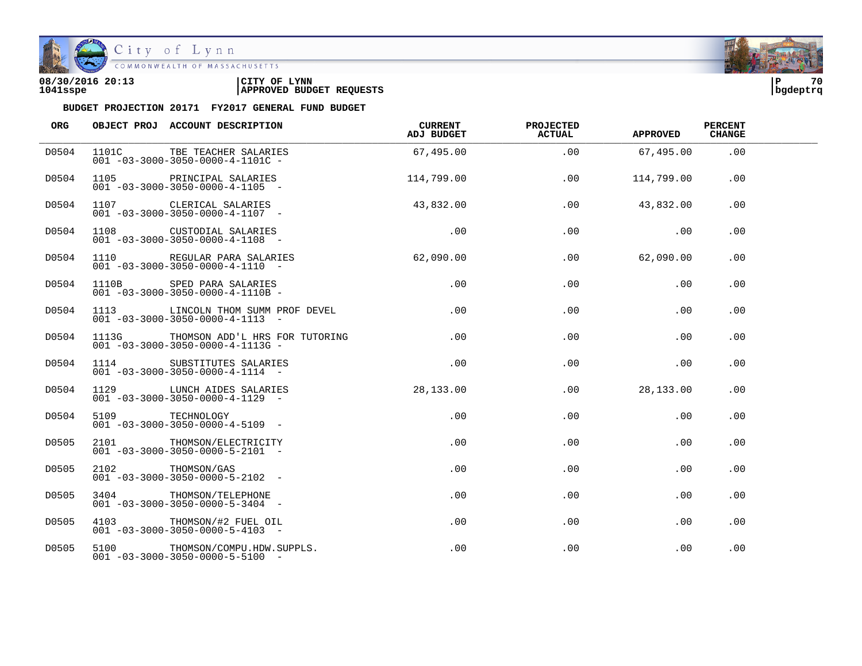

| 08/30/2016 20:13 | CITY OF<br><b>LYNN</b>          | l P      | 70 |
|------------------|---------------------------------|----------|----|
| 1041sspe         | <b>APPROVED BUDGET REQUESTS</b> | bqdeptrq |    |

| ORG   |                  | OBJECT PROJ ACCOUNT DESCRIPTION                                                       | CURRENT<br>ADJ BUDGET | <b>PROJECTED</b><br><b>ACTUAL</b> | <b>APPROVED</b>  | <b>PERCENT</b><br><b>CHANGE</b> |  |
|-------|------------------|---------------------------------------------------------------------------------------|-----------------------|-----------------------------------|------------------|---------------------------------|--|
| D0504 |                  | 1101C TBE TEACHER SALARIES<br>$001 - 03 - 3000 - 3050 - 0000 - 4 - 1101C -$           | 67,495.00             | .00                               | 67,495.00        | .00                             |  |
| D0504 |                  | 1105 PRINCIPAL SALARIES<br>$001 - 03 - 3000 - 3050 - 0000 - 4 - 1105$ -               | 114,799.00            | .00                               | 114,799.00       | .00                             |  |
| D0504 |                  | 1107 CLERICAL SALARIES<br>$001 - 03 - 3000 - 3050 - 0000 - 4 - 1107$ -                | 43,832.00             | .00                               | 43,832.00        | .00                             |  |
| D0504 |                  | 1108 CUSTODIAL SALARIES<br>$001 - 03 - 3000 - 3050 - 0000 - 4 - 1108$ -               | .00                   | .00                               | .00              | .00                             |  |
| D0504 |                  | 1110 REGULAR PARA SALARIES<br>$001 - 03 - 3000 - 3050 - 0000 - 4 - 1110 - -$          | 62,090.00             |                                   | .00<br>62,090.00 | .00                             |  |
| D0504 |                  | 1110B SPED PARA SALARIES<br>$001 - 03 - 3000 - 3050 - 0000 - 4 - 1110B -$             | .00                   | .00                               | .00              | .00                             |  |
| D0504 |                  | 1113 CLINCOLN THOM SUMM PROF DEVEL<br>$001 - 03 - 3000 - 3050 - 0000 - 4 - 1113 - -$  | .00                   | .00                               | .00              | .00                             |  |
| D0504 |                  | 1113G THOMSON ADD'L HRS FOR TUTORING<br>$001 - 03 - 3000 - 3050 - 0000 - 4 - 1113G -$ | .00                   | .00                               | .00              | .00                             |  |
| D0504 | 1114             | SUBSTITUTES SALARIES<br>$001 - 03 - 3000 - 3050 - 0000 - 4 - 1114 -$                  | .00                   | .00                               | .00              | .00                             |  |
| D0504 |                  | 1129 LUNCH AIDES SALARIES<br>$001 - 03 - 3000 - 3050 - 0000 - 4 - 1129 -$             | 28,133.00             | .00                               | 28,133.00        | .00                             |  |
| D0504 | 5109 TECHNOLOGY  | $001 - 03 - 3000 - 3050 - 0000 - 4 - 5109$ -                                          | .00                   | .00                               | .00              | .00                             |  |
| D0505 |                  | 2101 THOMSON/ELECTRICITY<br>$001 - 03 - 3000 - 3050 - 0000 - 5 - 2101 -$              | $.00 \,$              | .00                               | .00              | .00                             |  |
| D0505 | 2102 THOMSON/GAS | $001 - 03 - 3000 - 3050 - 0000 - 5 - 2102 -$                                          | $.00 \,$              | .00                               | .00              | .00                             |  |
| D0505 |                  | 3404 THOMSON/TELEPHONE<br>$001 - 03 - 3000 - 3050 - 0000 - 5 - 3404 -$                | $.00 \,$              | .00                               | .00              | .00                             |  |
| D0505 |                  | 4103 THOMSON/#2 FUEL OIL<br>$001 - 03 - 3000 - 3050 - 0000 - 5 - 4103 -$              | $.00 \,$              | .00                               | .00              | .00                             |  |
| D0505 |                  | 5100 THOMSON/COMPU.HDW.SUPPLS.<br>$001 - 03 - 3000 - 3050 - 0000 - 5 - 5100 -$        | $.00 \,$              | .00                               | .00              | .00                             |  |

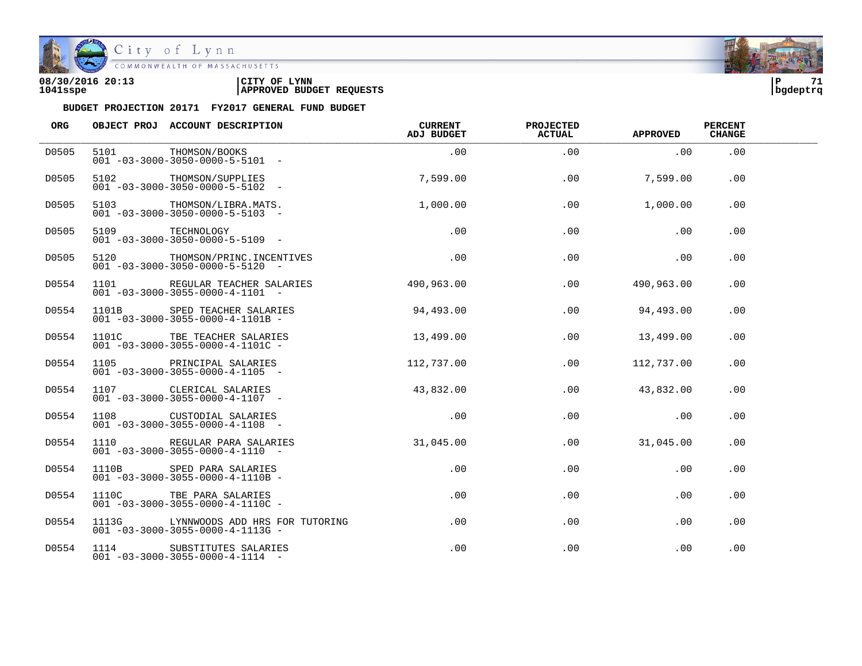

City of Lynn<br>COMMONWEALTH OF MASSACHUSETTS

| 08/30/2016 20:13 | LYNN<br>CITY OF                 | ם ו      | 71 |
|------------------|---------------------------------|----------|----|
| 1041sspe         | <b>APPROVED BUDGET REQUESTS</b> | bqdeptrq |    |

| ORG   |       | OBJECT PROJ ACCOUNT DESCRIPTION                                                          | CURRENT<br>ADJ BUDGET           | <b>PROJECTED</b><br><b>ACTUAL</b> | <b>APPROVED</b> | <b>PERCENT</b><br><b>CHANGE</b> |  |
|-------|-------|------------------------------------------------------------------------------------------|---------------------------------|-----------------------------------|-----------------|---------------------------------|--|
| D0505 |       | 5101 THOMSON/BOOKS<br>$001 - 03 - 3000 - 3050 - 0000 - 5 - 5101 -$                       | .00                             | .00                               | .00             | .00                             |  |
| D0505 |       | 5102 THOMSON/SUPPLIES<br>$001 - 03 - 3000 - 3050 - 0000 - 5 - 5102 -$                    | 7,599.00                        | .00                               | 7,599.00        | .00                             |  |
| D0505 |       | 5103 THOMSON/LIBRA.MATS.<br>$001 - 03 - 3000 - 3050 - 0000 - 5 - 5103$ -                 | 1,000.00                        | .00                               | 1,000.00        | .00                             |  |
| D0505 |       | 5109 TECHNOLOGY<br>001 -03-3000-3050-0000-5-5109 -                                       | .00                             | .00                               | .00             | .00                             |  |
| D0505 |       | 5120 THOMSON/PRINC. INCENTIVES<br>$001 - 03 - 3000 - 3050 - 0000 - 5 - 5120 -$           | $\overline{0}$ . $\overline{0}$ | .00                               | .00             | $.00 \,$                        |  |
| D0554 |       | 1101 REGULAR TEACHER SALARIES 490,963.00<br>$001 - 03 - 3000 - 3055 - 0000 - 4 - 1101 -$ |                                 | $.00\,$                           | 490,963.00      | $.00 \,$                        |  |
| D0554 |       | 1101B SPED TEACHER SALARIES<br>$001 - 03 - 3000 - 3055 - 0000 - 4 - 1101B -$             | 94,493.00                       | $.00 \,$                          | 94,493.00       | .00                             |  |
| D0554 |       | 1101C TBE TEACHER SALARIES<br>$001 - 03 - 3000 - 3055 - 0000 - 4 - 1101C -$              | 13,499.00                       | .00                               | 13,499.00       | .00                             |  |
| D0554 |       | 1105 PRINCIPAL SALARIES<br>$001 - 03 - 3000 - 3055 - 0000 - 4 - 1105$ -                  | 112,737.00                      | $.00\,$                           | 112,737.00      | $.00 \,$                        |  |
| D0554 |       | 1107 CLERICAL SALARIES<br>$001 - 03 - 3000 - 3055 - 0000 - 4 - 1107$ -                   | 43,832.00                       | .00                               | 43,832.00       | .00                             |  |
| D0554 |       | 1108 CUSTODIAL SALARIES<br>$001 - 03 - 3000 - 3055 - 0000 - 4 - 1108 -$                  | .00                             | .00                               | .00             | .00                             |  |
| D0554 |       | 1110 REGULAR PARA SALARIES<br>$001 - 03 - 3000 - 3055 - 0000 - 4 - 1110 - -$             | 31,045.00                       | .00                               | 31,045.00       | .00                             |  |
| D0554 | 1110B | SPED PARA SALARIES<br>$001 - 03 - 3000 - 3055 - 0000 - 4 - 1110B -$                      | .00                             | .00                               | .00             | .00                             |  |
| D0554 |       | 1110C TBE PARA SALARIES<br>$001 - 03 - 3000 - 3055 - 0000 - 4 - 1110C -$                 | .00                             | $.00 \,$                          | .00             | .00                             |  |
| D0554 |       | 1113G LYNNWOODS ADD HRS FOR TUTORING<br>$001 - 03 - 3000 - 3055 - 0000 - 4 - 1113G -$    | .00                             | .00                               | .00             | .00                             |  |
| D0554 |       | 1114 SUBSTITUTES SALARIES<br>$001 - 03 - 3000 - 3055 - 0000 - 4 - 1114 -$                | .00                             | .00                               | .00             | .00                             |  |

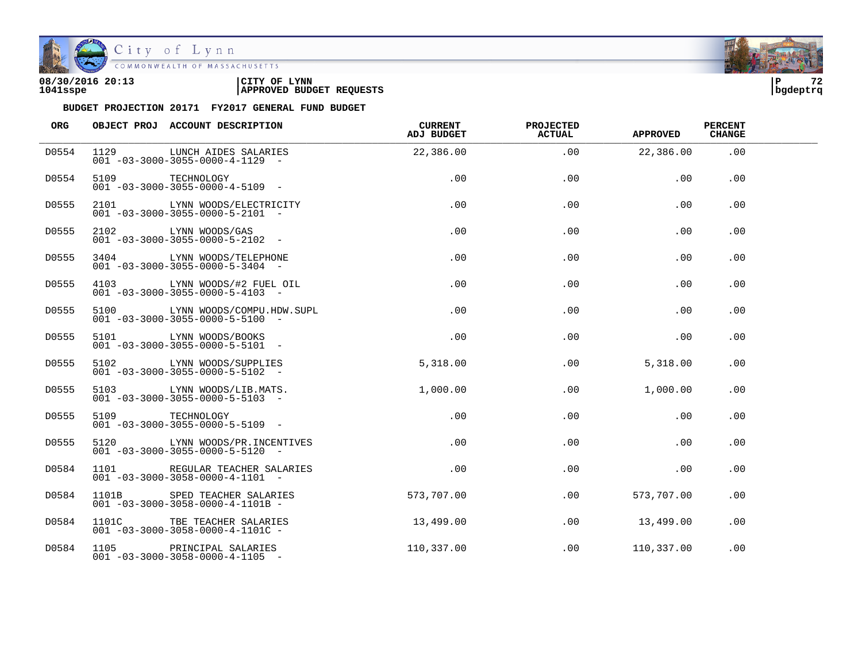

| 08/30/2016 20:13 | CITY OF<br><b>LYNN</b>          | l P      | $\sim$ |
|------------------|---------------------------------|----------|--------|
| 1041sspe         | <b>APPROVED BUDGET REQUESTS</b> | bgdeptrq |        |

| ORG   |                 | OBJECT PROJ ACCOUNT DESCRIPTION                                                                             | <b>CURRENT</b><br>ADJ BUDGET | <b>PROJECTED</b><br><b>ACTUAL</b> | <b>APPROVED</b> | <b>PERCENT</b><br><b>CHANGE</b> |  |
|-------|-----------------|-------------------------------------------------------------------------------------------------------------|------------------------------|-----------------------------------|-----------------|---------------------------------|--|
| D0554 |                 | 1129 LUNCH AIDES SALARIES<br>$001 - 03 - 3000 - 3055 - 0000 - 4 - 1129 -$                                   | 22,386.00                    | .00                               | 22,386.00       | .00                             |  |
| D0554 | 5109 TECHNOLOGY | $001 - 03 - 3000 - 3055 - 0000 - 4 - 5109$ -                                                                | .00                          | .00                               | .00             | .00                             |  |
| D0555 |                 | 2101 LYNN WOODS/ELECTRICITY<br>$001 - 03 - 3000 - 3055 - 0000 - 5 - 2101 -$                                 | .00                          | .00                               | .00             | .00                             |  |
| D0555 |                 | 2102 LYNN WOODS/GAS<br>$001 - 03 - 3000 - 3055 - 0000 - 5 - 2102 -$                                         | $.00 \,$                     | .00                               | .00             | .00                             |  |
| D0555 |                 | 3404 LYNN WOODS/TELEPHONE<br>$001 - 03 - 3000 - 3055 - 0000 - 5 - 3404 -$                                   | .00                          | .00                               | .00             | $.00 \,$                        |  |
| D0555 |                 | 4103 LYNN WOODS/#2 FUEL OIL<br>$001 - 03 - 3000 - 3055 - 0000 - 5 - 4103$ -                                 | $.00 \,$                     | $.00 \,$                          | .00             | .00                             |  |
| D0555 |                 | 5100 LYNN WOODS/COMPU.HDW.SUPL<br>$001 - 03 - 3000 - 3055 - 0000 - 5 - 5100$ -                              | .00                          | .00                               | .00             | .00                             |  |
| D0555 |                 | 5101 LYNN WOODS/BOOKS<br>$001 - 03 - 3000 - 3055 - 0000 - 5 - 5101 -$                                       | .00                          | .00                               | .00             | .00                             |  |
| D0555 |                 | 5102 LYNN WOODS/SUPPLIES<br>001 -03-3000-3055-0000-5-5102 -<br>$001 - 03 - 3000 - 3055 - 0000 - 5 - 5102 -$ | 5,318.00                     | $.00 \,$                          | 5,318.00        | .00                             |  |
| D0555 |                 | 5103 LYNN WOODS/LIB.MATS.<br>$001 - 03 - 3000 - 3055 - 0000 - 5 - 5103 -$                                   | 1,000.00                     | $.00 \,$                          | 1,000.00        | .00                             |  |
| D0555 | 5109 TECHNOLOGY | $001 - 03 - 3000 - 3055 - 0000 - 5 - 5109$ -                                                                | .00                          | .00                               | .00             | .00                             |  |
| D0555 |                 | 5120 LYNN WOODS/PR.INCENTIVES<br>$001 - 03 - 3000 - 3055 - 0000 - 5 - 5120 -$                               | .00                          | .00                               | .00             | .00                             |  |
| D0584 |                 | 1101 REGULAR TEACHER SALARIES<br>$001 - 03 - 3000 - 3058 - 0000 - 4 - 1101 -$                               | .00                          | .00                               | .00             | .00                             |  |
| D0584 |                 | 1101B SPED TEACHER SALARIES<br>$001 - 03 - 3000 - 3058 - 0000 - 4 - 1101B -$                                | 573,707.00                   | .00                               | 573,707.00      | .00                             |  |
| D0584 |                 | 1101C TBE TEACHER SALARIES<br>$001 - 03 - 3000 - 3058 - 0000 - 4 - 1101C -$                                 | 13,499.00                    | .00                               | 13,499.00       | .00                             |  |
| D0584 |                 | 1105 PRINCIPAL SALARIES<br>$001 - 03 - 3000 - 3058 - 0000 - 4 - 1105$ -                                     | 110,337.00                   | .00                               | 110,337.00      | .00                             |  |

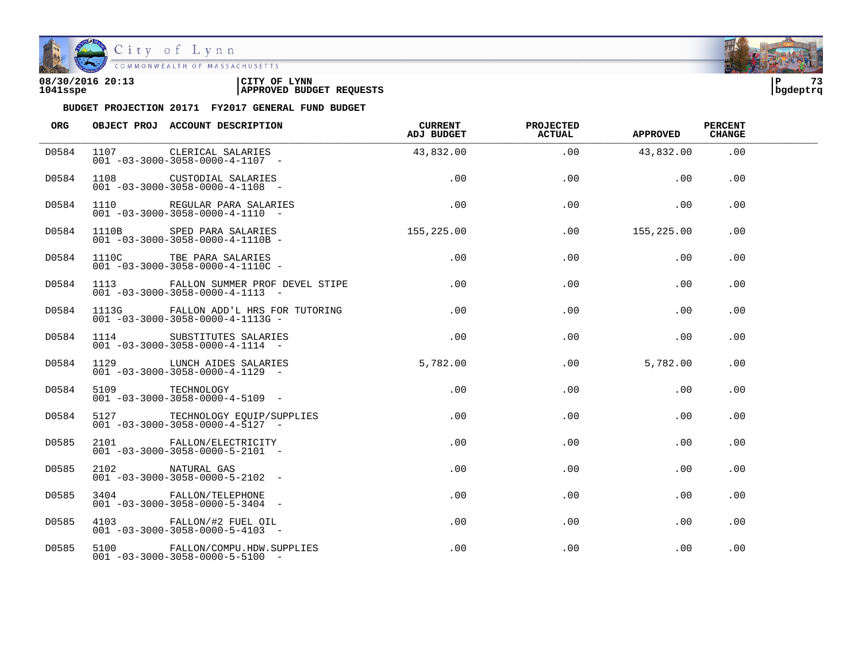

| 08/30/2016 20:13 | CITY OF<br><b>LYNN</b>          | l P      | 72 |
|------------------|---------------------------------|----------|----|
| 1041sspe         | <b>APPROVED BUDGET REQUESTS</b> | bqdeptrq |    |

| ORG   | OBJECT PROJ ACCOUNT DESCRIPTION                                                       | <b>CURRENT</b><br>ADJ BUDGET | <b>PROJECTED</b><br><b>ACTUAL</b> | <b>APPROVED</b> | <b>PERCENT</b><br><b>CHANGE</b> |  |
|-------|---------------------------------------------------------------------------------------|------------------------------|-----------------------------------|-----------------|---------------------------------|--|
| D0584 | 1107 CLERICAL SALARIES<br>$001 - 03 - 3000 - 3058 - 0000 - 4 - 1107 -$                | 43,832.00                    | .00                               | 43,832.00       | .00                             |  |
| D0584 | 1108 CUSTODIAL SALARIES<br>$001 - 03 - 3000 - 3058 - 0000 - 4 - 1108 -$               | .00                          | .00                               | .00             | .00                             |  |
| D0584 | 1110 REGULAR PARA SALARIES<br>$001 - 03 - 3000 - 3058 - 0000 - 4 - 1110 -$            | $\sim$ 00                    | .00                               | .00             | .00                             |  |
| D0584 | 1110B SPED PARA SALARIES<br>$001 - 03 - 3000 - 3058 - 0000 - 4 - 1110B -$             | 155,225.00                   | .00                               | 155,225.00      | .00                             |  |
| D0584 | 1110C TBE PARA SALARIES<br>$001 - 03 - 3000 - 3058 - 0000 - 4 - 1110C -$              | .00                          | .00                               | .00             | .00                             |  |
| D0584 | 1113 FALLON SUMMER PROF DEVEL STIPE<br>$001 - 03 - 3000 - 3058 - 0000 - 4 - 1113 - -$ | .00                          | .00                               | .00             | .00.                            |  |
| D0584 | 1113G FALLON ADD'L HRS FOR TUTORING<br>$001 - 03 - 3000 - 3058 - 0000 - 4 - 1113G -$  | .00                          | .00                               | .00             | .00                             |  |
| D0584 | 1114 SUBSTITUTES SALARIES<br>$001 - 03 - 3000 - 3058 - 0000 - 4 - 1114 -$             | .00                          | .00                               | .00             | .00                             |  |
| D0584 | 1129 LUNCH AIDES SALARIES<br>$001 - 03 - 3000 - 3058 - 0000 - 4 - 1129 -$             | 5,782.00                     | .00                               | 5,782.00        | .00.                            |  |
| D0584 | 901 -03-3000-3058-0000-4-5109<br>001 -03-3000-3058-0000-4-5109                        | $.00 \,$                     | .00                               | .00             | .00                             |  |
| D0584 | 5127 TECHNOLOGY EQUIP/SUPPLIES<br>$001 - 03 - 3000 - 3058 - 0000 - 4 - 5127$ -        | .00                          | .00                               | .00             | .00                             |  |
| D0585 | 2101 FALLON/ELECTRICITY<br>$001 - 03 - 3000 - 3058 - 0000 - 5 - 2101 -$               | $.00 \,$                     | .00                               | .00             | .00                             |  |
| D0585 | 2102 NATURAL GAS<br>$001 - 03 - 3000 - 3058 - 0000 - 5 - 2102 -$                      | $.00 \,$                     | .00                               | .00             | .00                             |  |
| D0585 | 3404 FALLON/TELEPHONE<br>$001 - 03 - 3000 - 3058 - 0000 - 5 - 3404 -$                 | .00                          | $.00 \,$                          | $.00 \,$        | .00                             |  |
| D0585 | 4103 FALLON/#2 FUEL OIL<br>$001 - 03 - 3000 - 3058 - 0000 - 5 - 4103 -$               | .00                          | .00                               | .00             | .00                             |  |
| D0585 | 5100 FALLON/COMPU.HDW.SUPPLIES<br>$001 - 03 - 3000 - 3058 - 0000 - 5 - 5100 -$        | $.00 \,$                     | .00                               | .00             | .00                             |  |

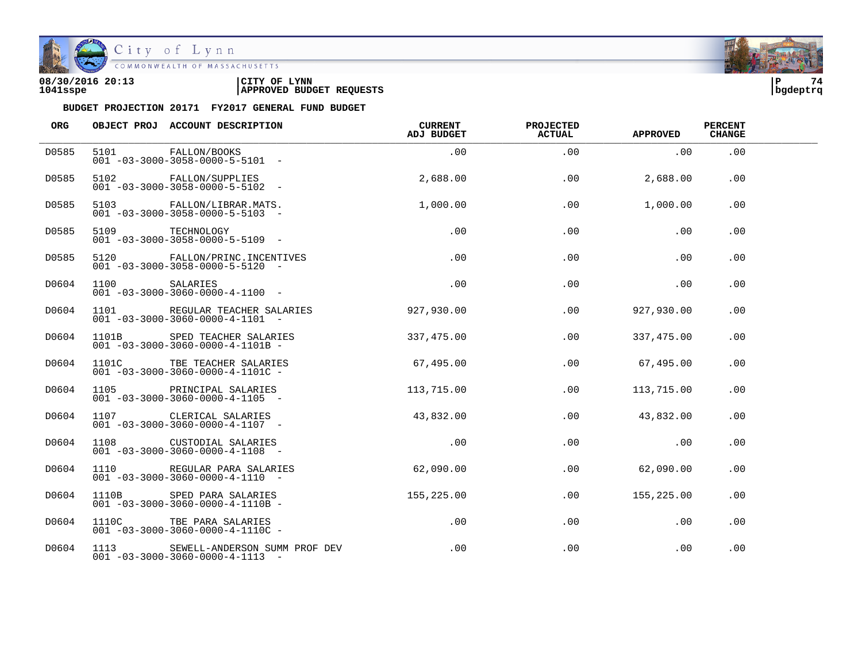

City of Lynn<br>COMMONWEALTH OF MASSACHUSETTS

| 08/30/2016 20:13 | LYNN<br>CITY OF                 | l P      | 74 |
|------------------|---------------------------------|----------|----|
| 1041sspe         | <b>APPROVED BUDGET REQUESTS</b> | bqdeptrq |    |

| ORG   |      | OBJECT PROJ ACCOUNT DESCRIPTION                                                      | <b>CURRENT</b><br>ADJ BUDGET | <b>PROJECTED</b><br><b>ACTUAL</b> | <b>APPROVED</b> | <b>PERCENT</b><br><b>CHANGE</b> |  |
|-------|------|--------------------------------------------------------------------------------------|------------------------------|-----------------------------------|-----------------|---------------------------------|--|
| D0585 |      | 5101 FALLON/BOOKS<br>$001 - 03 - 3000 - 3058 - 0000 - 5 - 5101 -$                    | .00                          | .00                               | .00             | .00                             |  |
| D0585 |      | 5102 FALLON/SUPPLIES<br>$001 - 03 - 3000 - 3058 - 0000 - 5 - 5102 -$                 | 2,688.00                     | .00                               | 2,688.00        | .00                             |  |
| D0585 |      | 5103 FALLON/LIBRAR.MATS.<br>$001 - 03 - 3000 - 3058 - 0000 - 5 - 5103$ -             | 1,000.00                     | .00                               | 1,000.00        | .00                             |  |
| D0585 |      | 5109 TECHNOLOGY<br>$001 - 03 - 3000 - 3058 - 0000 - 5 - 5109$ -                      | .00                          | .00                               | .00             | .00                             |  |
| D0585 |      | 5120 FALLON/PRINC.INCENTIVES<br>$001 - 03 - 3000 - 3058 - 0000 - 5 - 5120 -$         | .00                          | .00                               | .00             | .00                             |  |
| D0604 | 1100 | SALARIES<br>$001 - 03 - 3000 - 3060 - 0000 - 4 - 1100 -$                             | .00                          | .00                               | .00             | .00                             |  |
| D0604 |      | 1101 REGULAR TEACHER SALARIES<br>$001 - 03 - 3000 - 3060 - 0000 - 4 - 1101 -$        | 927,930.00                   | .00                               | 927,930.00      | .00                             |  |
| D0604 |      | 1101B SPED TEACHER SALARIES<br>$001 - 03 - 3000 - 3060 - 0000 - 4 - 1101B -$         | 337,475.00                   | .00                               | 337,475.00      | .00                             |  |
| D0604 |      | 1101C TBE TEACHER SALARIES<br>$001 - 03 - 3000 - 3060 - 0000 - 4 - 1101C -$          | 67,495.00                    | .00                               | 67,495.00       | .00                             |  |
| D0604 | 1105 | PRINCIPAL SALARIES<br>$001 - 03 - 3000 - 3060 - 0000 - 4 - 1105$ -                   | 113,715.00                   | $.00 \,$                          | 113,715.00      | .00                             |  |
| D0604 |      | 1107 CLERICAL SALARIES<br>$001 - 03 - 3000 - 3060 - 0000 - 4 - 1107 -$               | 43,832.00                    | .00                               | 43,832.00       | .00                             |  |
| D0604 |      | 1108 CUSTODIAL SALARIES<br>$001 - 03 - 3000 - 3060 - 0000 - 4 - 1108 -$              | $.00 \,$                     | .00                               | .00             | .00                             |  |
| D0604 |      | 1110 REGULAR PARA SALARIES<br>$001 - 03 - 3000 - 3060 - 0000 - 4 - 1110 -$           | 62,090.00                    | .00                               | 62,090.00       | .00                             |  |
| D0604 |      | 1110B SPED PARA SALARIES<br>$001 - 03 - 3000 - 3060 - 0000 - 4 - 1110B -$            | 155,225.00                   | $.00\,$                           | 155,225.00      | .00                             |  |
| D0604 |      | 1110C TBE PARA SALARIES<br>$001 - 03 - 3000 - 3060 - 0000 - 4 - 1110C -$             | .00                          | .00                               | .00             | .00                             |  |
| D0604 |      | 1113 SEWELL-ANDERSON SUMM PROF DEV<br>$001 - 03 - 3000 - 3060 - 0000 - 4 - 1113 - -$ | .00                          | .00                               | .00             | .00                             |  |

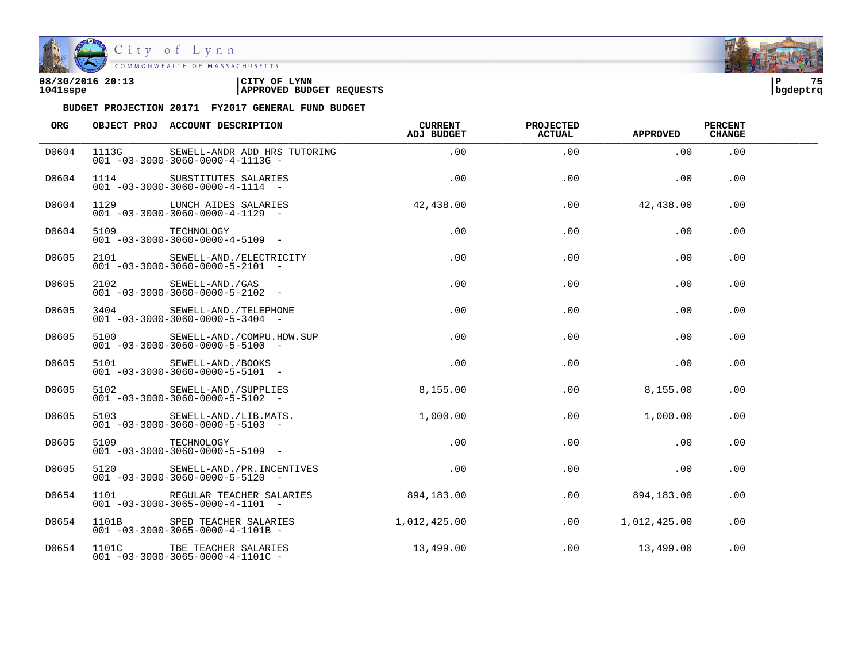

| 08/30/2016 20:13 | CITY OF<br><b>LYNN</b>          | l P      | 75 |
|------------------|---------------------------------|----------|----|
| 1041sspe         | <b>APPROVED BUDGET REQUESTS</b> | bqdeptrq |    |

| ORG   |       | OBJECT PROJ ACCOUNT DESCRIPTION                                                | CURRENT<br><b>ADJ BUDGET</b> | PROJECTED<br><b>ACTUAL</b> | <b>APPROVED</b> | <b>PERCENT</b><br><b>CHANGE</b> |  |
|-------|-------|--------------------------------------------------------------------------------|------------------------------|----------------------------|-----------------|---------------------------------|--|
| D0604 | 1113G | SEWELL-ANDR ADD HRS TUTORING<br>$001 - 03 - 3000 - 3060 - 0000 - 4 - 1113G -$  | .00                          | .00                        | .00             | .00                             |  |
| D0604 | 1114  | SUBSTITUTES SALARIES<br>$001 - 03 - 3000 - 3060 - 0000 - 4 - 1114 -$           | .00                          | .00                        | .00             | .00                             |  |
| D0604 |       | 1129 LUNCH AIDES SALARIES<br>$001 - 03 - 3000 - 3060 - 0000 - 4 - 1129$ -      | 42,438.00                    | .00                        | 42,438.00       | .00                             |  |
| D0604 |       | 5109 TECHNOLOGY<br>$001 - 03 - 3000 - 3060 - 0000 - 4 - 5109$ -                | $.00 \,$                     | .00                        | .00             | .00                             |  |
| D0605 | 2101  | SEWELL-AND./ELECTRICITY<br>$001 - 03 - 3000 - 3060 - 0000 - 5 - 2101 -$        | $.00 \,$                     | .00                        | .00             | $.00 \,$                        |  |
| D0605 | 2102  | SEWELL-AND./GAS<br>$001 - 03 - 3000 - 3060 - 0000 - 5 - 2102$ -                | $.00 \,$                     | $.00 \,$                   | .00             | .00.                            |  |
| D0605 |       | 3404 SEWELL-AND./TELEPHONE<br>$001 - 03 - 3000 - 3060 - 0000 - 5 - 3404 -$     | $.00 \,$                     | .00                        | .00             | .00                             |  |
| D0605 |       | 5100 SEWELL-AND./COMPU.HDW.SUP<br>$001 - 03 - 3000 - 3060 - 0000 - 5 - 5100 -$ | $.00 \,$                     | .00                        | .00             | .00                             |  |
| D0605 |       | 5101 SEWELL-AND./BOOKS<br>$001 - 03 - 3000 - 3060 - 0000 - 5 - 5101 -$         | $.00 \,$                     | .00                        | .00             | .00                             |  |
| D0605 | 5102  | SEWELL-AND./SUPPLIES<br>$001 - 03 - 3000 - 3060 - 0000 - 5 - 5102 -$           | 8,155.00                     | $.00 \,$                   | 8,155.00        | $.00 \,$                        |  |
| D0605 |       | 5103 SEWELL-AND./LIB.MATS.<br>$001 - 03 - 3000 - 3060 - 0000 - 5 - 5103 -$     | 1,000.00                     | .00                        | 1,000.00        | .00                             |  |
| D0605 |       | 5109 TECHNOLOGY<br>$001 - 03 - 3000 - 3060 - 0000 - 5 - 5109$ -                | .00                          | .00                        | .00             | .00                             |  |
| D0605 |       | 5120 SEWELL-AND./PR.INCENTIVES<br>$001 - 03 - 3000 - 3060 - 0000 - 5 - 5120 -$ | .00                          | .00                        | .00             | .00                             |  |
| D0654 |       | 1101 REGULAR TEACHER SALARIES<br>$001 - 03 - 3000 - 3065 - 0000 - 4 - 1101 -$  | 894,183.00                   | .00                        | 894,183.00      | .00                             |  |
| D0654 |       | 1101B SPED TEACHER SALARIES<br>$001 - 03 - 3000 - 3065 - 0000 - 4 - 1101B -$   | 1,012,425.00                 | .00                        | 1,012,425.00    | .00                             |  |
| D0654 |       | 1101C TBE TEACHER SALARIES<br>$001 - 03 - 3000 - 3065 - 0000 - 4 - 1101C -$    | 13,499.00                    | .00                        | 13,499.00       | .00                             |  |

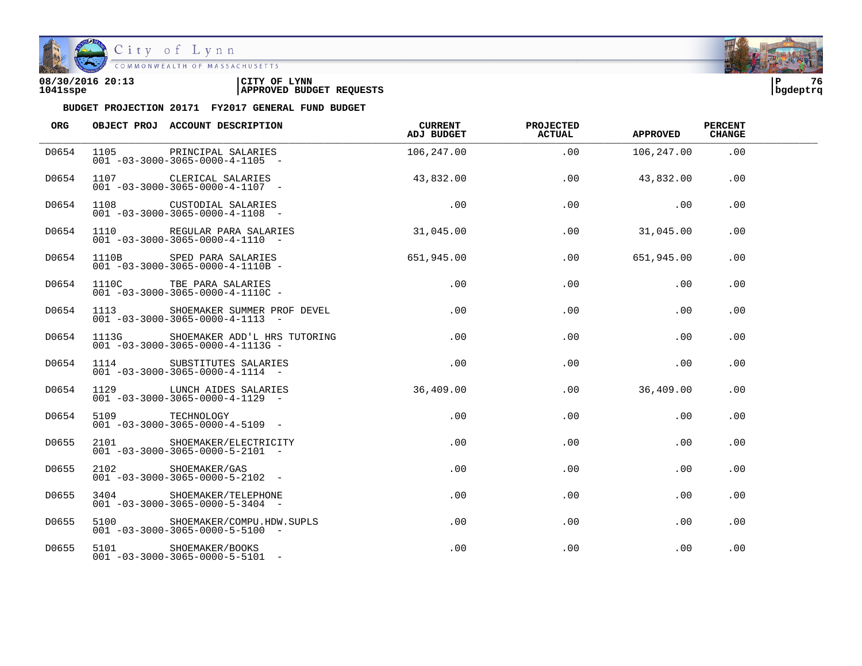

| 08/30/2016 20:13 | CITY OF<br><b>LYNN</b>          | l P      | 76 |
|------------------|---------------------------------|----------|----|
| 1041sspe         | <b>APPROVED BUDGET REQUESTS</b> | bqdeptrq |    |

| ORG   |                 | OBJECT PROJ ACCOUNT DESCRIPTION                                                     | CURRENT<br>ADJ BUDGET | <b>PROJECTED</b><br><b>ACTUAL</b> | <b>APPROVED</b> | <b>PERCENT</b><br><b>CHANGE</b> |  |
|-------|-----------------|-------------------------------------------------------------------------------------|-----------------------|-----------------------------------|-----------------|---------------------------------|--|
| D0654 |                 | 1105 PRINCIPAL SALARIES<br>$001 - 03 - 3000 - 3065 - 0000 - 4 - 1105 -$             | 106,247.00            | .00                               | 106,247.00      | .00                             |  |
| D0654 |                 | 1107 CLERICAL SALARIES<br>$001 - 03 - 3000 - 3065 - 0000 - 4 - 1107$ -              | 43,832.00             | .00                               | 43,832.00       | .00                             |  |
| D0654 |                 | 1108 CUSTODIAL SALARIES<br>$001 - 03 - 3000 - 3065 - 0000 - 4 - 1108 -$             | .00                   | .00                               | .00             | .00                             |  |
| D0654 |                 | 1110 REGULAR PARA SALARIES<br>$001 - 03 - 3000 - 3065 - 0000 - 4 - 1110 - -$        | 31,045.00             | .00                               | 31,045.00       | .00                             |  |
| D0654 |                 | 1110B SPED PARA SALARIES<br>001 -03-3000-3065-0000-4-1110B -                        | 651,945.00            | .00                               | 651,945.00      | .00                             |  |
| D0654 |                 | 1110C TBE PARA SALARIES<br>$001 - 03 - 3000 - 3065 - 0000 - 4 - 1110C -$            | .00                   | .00                               | .00             | .00                             |  |
| D0654 |                 | 1113 SHOEMAKER SUMMER PROF DEVEL<br>$001 - 03 - 3000 - 3065 - 0000 - 4 - 1113 - -$  | .00                   | .00                               | .00             | .00                             |  |
| D0654 |                 | 1113G SHOEMAKER ADD'L HRS TUTORING<br>$001 - 03 - 3000 - 3065 - 0000 - 4 - 1113G -$ | .00                   | .00                               | .00             | .00                             |  |
| D0654 |                 | 1114 SUBSTITUTES SALARIES<br>$001 - 03 - 3000 - 3065 - 0000 - 4 - 1114 -$           | .00                   | .00                               | .00             | .00                             |  |
| D0654 |                 | 1129 LUNCH AIDES SALARIES<br>$001 - 03 - 3000 - 3065 - 0000 - 4 - 1129$ -           | 36,409.00             | $.00 \,$                          | 36,409.00       | .00                             |  |
| D0654 | 5109 TECHNOLOGY | $001 - 03 - 3000 - 3065 - 0000 - 4 - 5109$ -                                        | .00                   | .00                               | .00             | .00                             |  |
| D0655 |                 | 2101 SHOEMAKER/ELECTRICITY<br>$001 - 03 - 3000 - 3065 - 0000 - 5 - 2101 -$          | .00                   | .00                               | .00             | .00                             |  |
| D0655 |                 | 2102 SHOEMAKER/GAS<br>$001 - 03 - 3000 - 3065 - 0000 - 5 - 2102 -$                  | $.00 \,$              | .00                               | .00             | .00                             |  |
| D0655 |                 | 3404 SHOEMAKER/TELEPHONE<br>$001 - 03 - 3000 - 3065 - 0000 - 5 - 3404 -$            | $.00 \,$              | $.00 \,$                          | .00             | .00                             |  |
| D0655 |                 | 5100 SHOEMAKER/COMPU.HDW.SUPLS<br>$001 - 03 - 3000 - 3065 - 0000 - 5 - 5100$ -      | $.00 \,$              | .00                               | .00             | .00                             |  |
| D0655 |                 | 5101 SHOEMAKER/BOOKS<br>$001 - 03 - 3000 - 3065 - 0000 - 5 - 5101 -$                | $.00 \,$              | .00                               | .00             | .00                             |  |

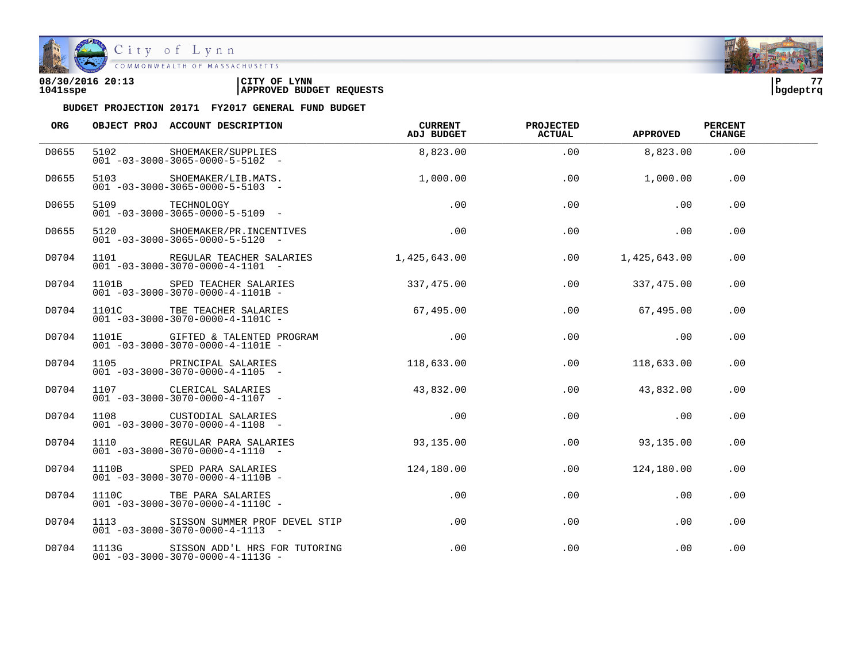

COMMONWEALTH OF MASSACHUSETTS

### **08/30/2016 20:13 |CITY OF LYNN |P 77 1041sspe |APPROVED BUDGET REQUESTS |bgdeptrq**



| <b>ORG</b> |      | OBJECT PROJ ACCOUNT DESCRIPTION                                                      | <b>CURRENT</b><br>ADJ BUDGET | <b>PROJECTED</b><br><b>ACTUAL</b> | <b>APPROVED</b> | <b>PERCENT</b><br><b>CHANGE</b> |  |
|------------|------|--------------------------------------------------------------------------------------|------------------------------|-----------------------------------|-----------------|---------------------------------|--|
| D0655      | 5102 | SHOEMAKER/SUPPLIES<br>$001 - 03 - 3000 - 3065 - 0000 - 5 - 5102 -$                   | 8,823.00                     | .00                               | 8,823.00        | .00                             |  |
| D0655      |      | 5103 SHOEMAKER/LIB.MATS.<br>$001 - 03 - 3000 - 3065 - 0000 - 5 - 5103$ -             | 1,000.00                     | .00                               | 1,000.00        | .00                             |  |
| D0655      |      | 5109 TECHNOLOGY<br>$001 - 03 - 3000 - 3065 - 0000 - 5 - 5109$ -                      | .00                          | .00                               | .00             | .00                             |  |
| D0655      |      | 5120 SHOEMAKER/PR.INCENTIVES<br>$001 - 03 - 3000 - 3065 - 0000 - 5 - 5120 -$         | .00                          | .00                               | .00             | .00                             |  |
| D0704      |      | 1101 REGULAR TEACHER SALARIES<br>$001 - 03 - 3000 - 3070 - 0000 - 4 - 1101 -$        | 1,425,643.00                 | $.00\,$                           | 1,425,643.00    | .00                             |  |
| D0704      |      | 1101B SPED TEACHER SALARIES<br>$001 - 03 - 3000 - 3070 - 0000 - 4 - 1101B -$         | 337,475.00                   | .00                               | 337,475.00      | .00                             |  |
| D0704      |      | 1101C TBE TEACHER SALARIES<br>$001 - 03 - 3000 - 3070 - 0000 - 4 - 1101C -$          | 67,495.00                    | .00                               | 67,495.00       | .00                             |  |
| D0704      |      | 1101E GIFTED & TALENTED PROGRAM<br>$001 - 03 - 3000 - 3070 - 0000 - 4 - 1101E -$     | .00                          | .00                               | .00             | .00                             |  |
| D0704      |      | 1105 PRINCIPAL SALARIES<br>$001 - 03 - 3000 - 3070 - 0000 - 4 - 1105 -$              | 118,633.00                   | $.00 \,$                          | 118,633.00      | .00                             |  |
| D0704      |      | 1107 CLERICAL SALARIES<br>$001 - 03 - 3000 - 3070 - 0000 - 4 - 1107$ -               | 43,832.00                    | .00                               | 43,832.00       | .00                             |  |
| D0704      |      | 1108 CUSTODIAL SALARIES<br>$001 - 03 - 3000 - 3070 - 0000 - 4 - 1108 -$              | .00                          | .00                               | .00             | .00                             |  |
| D0704      |      | 1110 REGULAR PARA SALARIES<br>$001 - 03 - 3000 - 3070 - 0000 - 4 - 1110 -$           | 93,135.00                    | .00                               | 93,135.00       | .00                             |  |
| D0704      |      | 1110B SPED PARA SALARIES<br>$001 - 03 - 3000 - 3070 - 0000 - 4 - 1110B -$            | 124,180.00                   | .00                               | 124,180.00      | .00                             |  |
| D0704      |      | 1110C TBE PARA SALARIES<br>$001 - 03 - 3000 - 3070 - 0000 - 4 - 1110C -$             | $.00 \,$                     | .00                               | .00             | .00                             |  |
| D0704      |      | 1113 SISSON SUMMER PROF DEVEL STIP<br>$001 - 03 - 3000 - 3070 - 0000 - 4 - 1113 - -$ | $.00\,$                      | .00                               | .00             | .00                             |  |
| D0704      |      | 1113G SISSON ADD'L HRS FOR TUTORING<br>$001 - 03 - 3000 - 3070 - 0000 - 4 - 1113G -$ | $.00 \,$                     | .00                               | $.00 \,$        | .00                             |  |

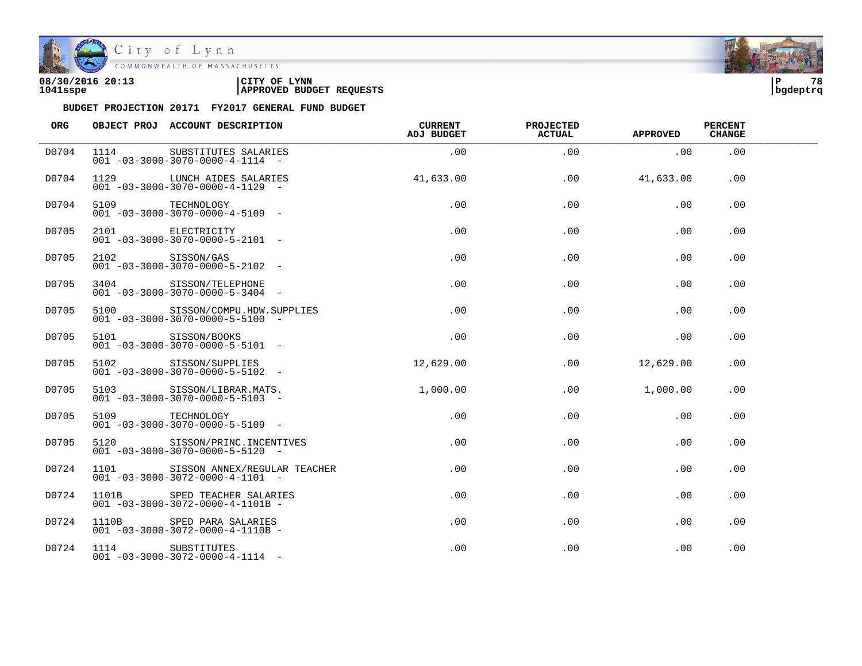

| 08/30/2016 20:13 | CITY OF<br><b>LYNN</b>          | l P      | 78 |
|------------------|---------------------------------|----------|----|
| 1041sspe         | <b>APPROVED BUDGET REQUESTS</b> | bqdeptrq |    |

| ORG   |                  | OBJECT PROJ ACCOUNT DESCRIPTION                                                | <b>CURRENT</b><br><b>ADJ BUDGET</b> | <b>PROJECTED</b><br><b>ACTUAL</b> | <b>APPROVED</b> | <b>PERCENT</b><br><b>CHANGE</b> |  |
|-------|------------------|--------------------------------------------------------------------------------|-------------------------------------|-----------------------------------|-----------------|---------------------------------|--|
| D0704 | 1114             | SUBSTITUTES SALARIES<br>$001 - 03 - 3000 - 3070 - 0000 - 4 - 1114 -$           | .00                                 | .00                               | .00             | .00                             |  |
| D0704 |                  | 1129 LUNCH AIDES SALARIES<br>$001 - 03 - 3000 - 3070 - 0000 - 4 - 1129 -$      | 41,633.00                           | .00                               | 41,633.00       | .00                             |  |
| D0704 | 5109 TECHNOLOGY  | $001 - 03 - 3000 - 3070 - 0000 - 4 - 5109$ -                                   | .00                                 | .00                               | .00             | .00                             |  |
| D0705 |                  | 2101 ELECTRICITY<br>$001 - 03 - 3000 - 3070 - 0000 - 5 - 2101 -$               | .00                                 | .00                               | .00             | .00                             |  |
| D0705 | 2102 SISSON/GAS  | $001 - 03 - 3000 - 3070 - 0000 - 5 - 2102 -$                                   | .00                                 | .00                               | .00             | .00                             |  |
| D0705 | 3404             | SISSON/TELEPHONE<br>$001 - 03 - 3000 - 3070 - 0000 - 5 - 3404 -$               | .00                                 | .00                               | .00             | .00                             |  |
| D0705 |                  | 5100 SISSON/COMPU.HDW.SUPPLIES<br>$001 - 03 - 3000 - 3070 - 0000 - 5 - 5100 -$ | .00                                 | .00                               | .00             | .00                             |  |
| D0705 |                  | 5101 SISSON/BOOKS<br>$001 - 03 - 3000 - 3070 - 0000 - 5 - 5101 -$              | .00                                 | .00                               | .00             | .00                             |  |
| D0705 |                  | 5102 SISSON/SUPPLIES<br>$001 - 03 - 3000 - 3070 - 0000 - 5 - 5102 -$           | 12,629.00                           | .00                               | 12,629.00       | .00                             |  |
| D0705 | 5103             | SISSON/LIBRAR.MATS.<br>$001 - 03 - 3000 - 3070 - 0000 - 5 - 5103$ -            | 1,000.00                            | .00                               | 1,000.00        | .00                             |  |
| D0705 | 5109 TECHNOLOGY  | $001 - 03 - 3000 - 3070 - 0000 - 5 - 5109$ -                                   | .00                                 | .00                               | .00             | .00                             |  |
| D0705 |                  | 5120 SISSON/PRINC. INCENTIVES<br>$001 - 03 - 3000 - 3070 - 0000 - 5 - 5120 -$  | $.00 \,$                            | .00                               | .00             | .00                             |  |
| D0724 | 1101             | SISSON ANNEX/REGULAR TEACHER<br>$001 - 03 - 3000 - 3072 - 0000 - 4 - 1101 -$   | $.00 \,$                            | .00                               | .00             | .00                             |  |
| D0724 | 1101B            | SPED TEACHER SALARIES<br>$001 - 03 - 3000 - 3072 - 0000 - 4 - 1101B -$         | $.00 \,$                            | .00                               | .00             | .00                             |  |
| D0724 |                  | 1110B SPED PARA SALARIES<br>$001 - 03 - 3000 - 3072 - 0000 - 4 - 1110B -$      | $.00 \,$                            | .00                               | .00             | .00                             |  |
| D0724 | 1114 SUBSTITUTES | $001 - 03 - 3000 - 3072 - 0000 - 4 - 1114 -$                                   | $.00 \,$                            | .00                               | .00             | .00                             |  |

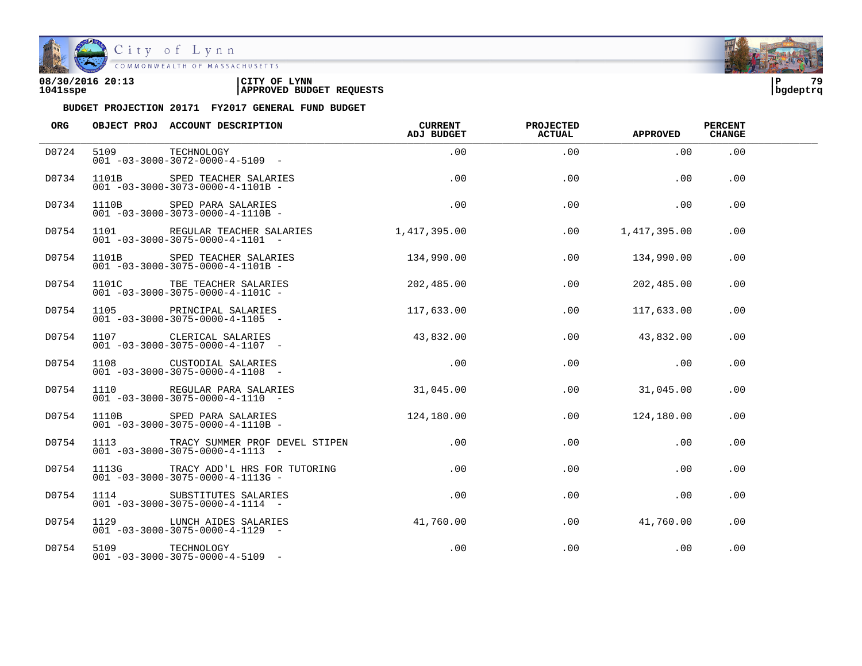

City of Lynn<br>COMMONWEALTH OF MASSACHUSETTS

| 08/30/2016 20:13 | LYNN<br>CITY OF                 | ם ו      | 70 |
|------------------|---------------------------------|----------|----|
| 1041sspe         | <b>APPROVED BUDGET REQUESTS</b> | bqdeptrq |    |

| ORG   |                 | OBJECT PROJ ACCOUNT DESCRIPTION                                                       | <b>CURRENT</b><br>ADJ BUDGET | <b>PROJECTED</b><br><b>ACTUAL</b> | <b>APPROVED</b> | <b>PERCENT</b><br><b>CHANGE</b> |  |
|-------|-----------------|---------------------------------------------------------------------------------------|------------------------------|-----------------------------------|-----------------|---------------------------------|--|
| D0724 |                 | 5109 TECHNOLOGY<br>$001 - 03 - 3000 - 3072 - 0000 - 4 - 5109$ -                       | .00                          | .00                               | .00             | .00                             |  |
| D0734 |                 | 1101B SPED TEACHER SALARIES<br>$001 - 03 - 3000 - 3073 - 0000 - 4 - 1101B -$          | .00                          | .00                               | .00             | .00                             |  |
| D0734 |                 | 1110B SPED PARA SALARIES<br>$001 - 03 - 3000 - 3073 - 0000 - 4 - 1110B$               | .00                          | .00                               | .00             | .00                             |  |
| D0754 |                 | 1101 REGULAR TEACHER SALARIES<br>$001 - 03 - 3000 - 3075 - 0000 - 4 - 1101 -$         | 1,417,395.00                 | .00                               | 1,417,395.00    | .00                             |  |
| D0754 |                 | 1101B SPED TEACHER SALARIES<br>$001 - 03 - 3000 - 3075 - 0000 - 4 - 1101B -$          | 134,990.00                   | .00                               | 134,990.00      | .00                             |  |
| D0754 |                 | 1101C TBE TEACHER SALARIES<br>$001 - 03 - 3000 - 3075 - 0000 - 4 - 1101C -$           | 202,485.00                   | .00                               | 202,485.00      | .00                             |  |
| D0754 |                 | $001 - 03 - 3000 - 3075 - 0000 - 4 - 1105$                                            | 117,633.00                   | .00                               | 117,633.00      | .00                             |  |
| D0754 |                 | 1107 CLERICAL SALARIES<br>$001 - 03 - 3000 - 3075 - 0000 - 4 - 1107 -$                | 43,832.00                    | .00                               | 43,832.00       | .00                             |  |
| D0754 |                 | 1108 CUSTODIAL SALARIES<br>$001 - 03 - 3000 - 3075 - 0000 - 4 - 1108 -$               | .00                          | .00                               | .00             | .00                             |  |
| D0754 |                 | 1110 REGULAR PARA SALARIES<br>$001 - 03 - 3000 - 3075 - 0000 - 4 - 1110 -$            | 31,045.00                    | .00                               | 31,045.00       | .00                             |  |
| D0754 |                 | 1110B SPED PARA SALARIES<br>$001 - 03 - 3000 - 3075 - 0000 - 4 - 1110B -$             | 124,180.00                   | .00                               | 124,180.00      | .00                             |  |
| D0754 |                 | 1113 TRACY SUMMER PROF DEVEL STIPEN<br>$001 - 03 - 3000 - 3075 - 0000 - 4 - 1113 - -$ | $.00\,$                      | .00                               | $.00 \,$        | .00                             |  |
| D0754 | 1113G           | TRACY ADD'L HRS FOR TUTORING<br>$001 - 03 - 3000 - 3075 - 0000 - 4 - 1113G -$         | .00                          | .00                               | $.00 \,$        | $.00 \,$                        |  |
| D0754 | 1114            | SUBSTITUTES SALARIES<br>$001 - 03 - 3000 - 3075 - 0000 - 4 - 1114 -$                  | $.00 \,$                     | .00                               | $.00 \,$        | $.00 \,$                        |  |
| D0754 |                 | 1129 LUNCH AIDES SALARIES<br>$001 - 03 - 3000 - 3075 - 0000 - 4 - 1129 -$             | 41,760.00                    | .00                               | 41,760.00       | .00                             |  |
| D0754 | 5109 TECHNOLOGY | $001 - 03 - 3000 - 3075 - 0000 - 4 - 5109$ -                                          | .00                          | .00                               | .00             | .00                             |  |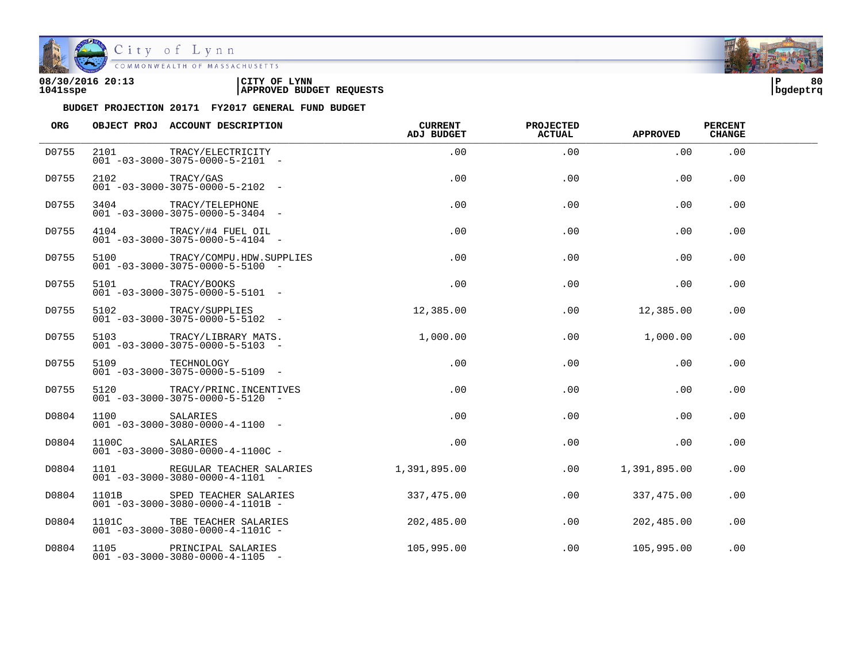

| 08/30/2016 20:13 | LYNN<br>CITY OF                 | ם ו      | 80 |
|------------------|---------------------------------|----------|----|
| 1041sspe         | <b>APPROVED BUDGET REQUESTS</b> | bqdeptrq |    |

| ORG   |                | OBJECT PROJ ACCOUNT DESCRIPTION                                          | <b>CURRENT</b><br><b>ADJ BUDGET</b> | <b>PROJECTED</b><br><b>ACTUAL</b> | <b>APPROVED</b> | <b>PERCENT</b><br><b>CHANGE</b> |  |
|-------|----------------|--------------------------------------------------------------------------|-------------------------------------|-----------------------------------|-----------------|---------------------------------|--|
| D0755 | 2101           | TRACY/ELECTRICITY<br>$001 - 03 - 3000 - 3075 - 0000 - 5 - 2101 -$        | .00                                 | .00                               | .00             | .00                             |  |
| D0755 | 2102           | TRACY/GAS<br>$001 - 03 - 3000 - 3075 - 0000 - 5 - 2102 -$                | .00                                 | .00                               | .00             | .00                             |  |
| D0755 | 3404           | TRACY/TELEPHONE<br>$001 - 03 - 3000 - 3075 - 0000 - 5 - 3404 -$          | .00                                 | .00                               | .00             | .00                             |  |
| D0755 |                | 4104 TRACY/#4 FUEL OIL<br>$001 - 03 - 3000 - 3075 - 0000 - 5 - 4104 -$   | .00                                 | .00                               | .00             | .00                             |  |
| D0755 | 5100           | TRACY/COMPU.HDW.SUPPLIES<br>$001 - 03 - 3000 - 3075 - 0000 - 5 - 5100 -$ | .00                                 | .00                               | .00             | .00                             |  |
| D0755 | 5101           | TRACY/BOOKS<br>$001 - 03 - 3000 - 3075 - 0000 - 5 - 5101 -$              | .00                                 | .00                               | .00             | .00                             |  |
| D0755 | 5102           | TRACY/SUPPLIES<br>$001 - 03 - 3000 - 3075 - 0000 - 5 - 5102 -$           | 12,385.00                           | .00                               | 12,385.00       | .00                             |  |
| D0755 | 5103           | TRACY/LIBRARY MATS.<br>$001 - 03 - 3000 - 3075 - 0000 - 5 - 5103$ -      | 1,000.00                            | .00                               | 1,000.00        | .00                             |  |
| D0755 | 5109           | TECHNOLOGY<br>$001 - 03 - 3000 - 3075 - 0000 - 5 - 5109$ -               | .00                                 | .00                               | .00             | .00                             |  |
| D0755 | 5120           | TRACY/PRINC.INCENTIVES<br>$001 - 03 - 3000 - 3075 - 0000 - 5 - 5120 -$   | .00                                 | .00                               | .00             | .00                             |  |
| D0804 | 1100           | SALARIES<br>$001 - 03 - 3000 - 3080 - 0000 - 4 - 1100 -$                 | .00                                 | .00                               | .00             | .00                             |  |
| D0804 | 1100C SALARIES | $001 - 03 - 3000 - 3080 - 0000 - 4 - 1100C -$                            | .00                                 | .00                               | .00             | .00                             |  |
| D0804 | 1101           | REGULAR TEACHER SALARIES<br>$001 - 03 - 3000 - 3080 - 0000 - 4 - 1101 -$ | 1,391,895.00                        | .00                               | 1,391,895.00    | .00                             |  |
| D0804 | 1101B          | SPED TEACHER SALARIES<br>$001 - 03 - 3000 - 3080 - 0000 - 4 - 1101B -$   | 337,475.00                          | .00                               | 337, 475.00     | .00                             |  |
| D0804 | 1101C          | TBE TEACHER SALARIES<br>$001 - 03 - 3000 - 3080 - 0000 - 4 - 1101C -$    | 202,485.00                          | .00                               | 202,485.00      | .00                             |  |
| D0804 | 1105           | PRINCIPAL SALARIES<br>$001 - 03 - 3000 - 3080 - 0000 - 4 - 1105$ -       | 105,995.00                          | .00                               | 105,995.00      | .00                             |  |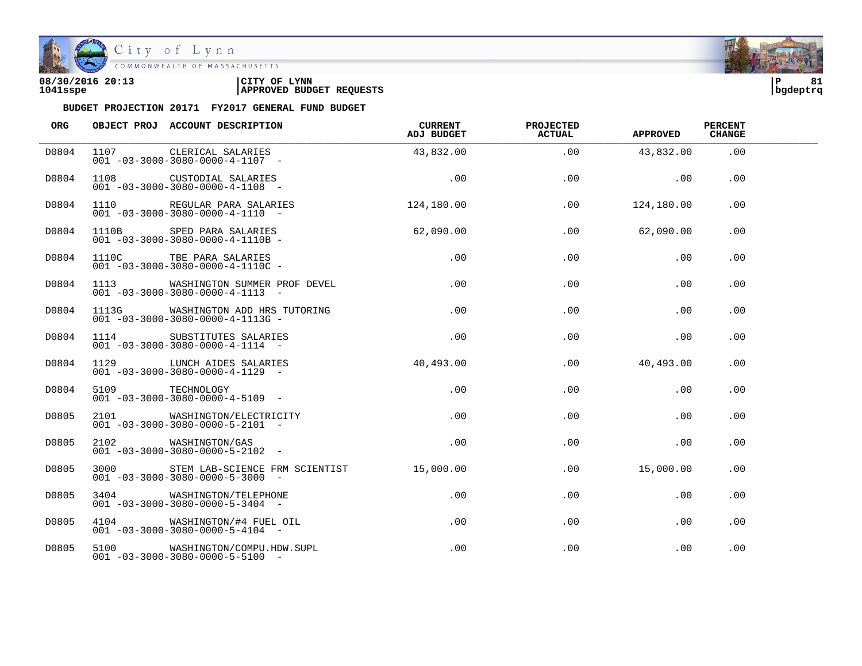

| 08/30/2016 20:13 | CITY OF<br><b>LYNN</b>          | l P      | o. |
|------------------|---------------------------------|----------|----|
| 1041sspe         | <b>APPROVED BUDGET REQUESTS</b> | bqdeptrq |    |

| ORG   |                 | OBJECT PROJ ACCOUNT DESCRIPTION                                                               | CURRENT<br>ADJ BUDGET | <b>PROJECTED</b><br><b>ACTUAL</b> | <b>APPROVED</b> | <b>PERCENT</b><br><b>CHANGE</b> |  |
|-------|-----------------|-----------------------------------------------------------------------------------------------|-----------------------|-----------------------------------|-----------------|---------------------------------|--|
| D0804 |                 | 1107 CLERICAL SALARIES<br>$001 - 03 - 3000 - 3080 - 0000 - 4 - 1107 -$                        | 43,832.00             | .00                               | 43,832.00       | .00                             |  |
| D0804 |                 | 1108 CUSTODIAL SALARIES<br>$001 - 03 - 3000 - 3080 - 0000 - 4 - 1108 -$                       | .00                   | .00                               | $\sim$ 00       | .00                             |  |
| D0804 |                 | 1110 REGULAR PARA SALARIES<br>$001 - 03 - 3000 - 3080 - 0000 - 4 - 1110 -$                    | 124,180.00            | .00                               | 124,180.00      | .00                             |  |
| D0804 |                 | 1110B SPED PARA SALARIES<br>$001 - 03 - 3000 - 3080 - 0000 - 4 - 1110B -$                     | 62,090.00             | .00                               | 62,090.00       | .00                             |  |
| D0804 |                 | 1110C TBE PARA SALARIES<br>$001 - 03 - 3000 - 3080 - 0000 - 4 - 1110C -$                      | .00                   | .00                               | .00             | .00                             |  |
| D0804 |                 | 1113 WASHINGTON SUMMER PROF DEVEL<br>$001 - 03 - 3000 - 3080 - 0000 - 4 - 1113 - -$           | .00                   | .00                               | .00             | .00                             |  |
| D0804 |                 | 1113G WASHINGTON ADD HRS TUTORING<br>$001 - 03 - 3000 - 3080 - 0000 - 4 - 1113$ G -           | .00                   | .00                               | .00             | .00                             |  |
| D0804 |                 | 1114 SUBSTITUTES SALARIES<br>$001 - 03 - 3000 - 3080 - 0000 - 4 - 1114 -$                     | .00                   | .00                               | .00             | .00                             |  |
| D0804 |                 | 1129 LUNCH AIDES SALARIES<br>$001 - 03 - 3000 - 3080 - 0000 - 4 - 1129 -$                     | 40,493.00             | .00                               | 40,493.00       | .00                             |  |
| D0804 | 5109 TECHNOLOGY | $001 - 03 - 3000 - 3080 - 0000 - 4 - 5109$ -                                                  | .00                   | .00                               | .00             | .00                             |  |
| D0805 |                 | 2101 WASHINGTON/ELECTRICITY<br>$001 - 03 - 3000 - 3080 - 0000 - 5 - 2101 -$                   | .00                   | .00                               | .00             | .00                             |  |
| D0805 |                 | 2102 WASHINGTON/GAS<br>$001 - 03 - 3000 - 3080 - 0000 - 5 - 2102 -$                           | $.00 \,$              | .00                               | .00             | .00                             |  |
| D0805 |                 | 3000 STEM LAB-SCIENCE FRM SCIENTIST 15,000.00<br>$001 - 03 - 3000 - 3080 - 0000 - 5 - 3000 -$ |                       | .00                               | 15,000.00       | .00.                            |  |
| D0805 |                 | 3404 WASHINGTON/TELEPHONE<br>$001 - 03 - 3000 - 3080 - 0000 - 5 - 3404 -$                     | .00                   | $.00 \,$                          | .00             | .00                             |  |
| D0805 |                 | 4104 WASHINGTON/#4 FUEL OIL<br>$001 - 03 - 3000 - 3080 - 0000 - 5 - 4104 -$                   | $.00 \,$              | .00                               | .00             | .00                             |  |
| D0805 |                 | 5100 WASHINGTON/COMPU.HDW.SUPL<br>$001 - 03 - 3000 - 3080 - 0000 - 5 - 5100 -$                | $.00 \,$              | .00                               | .00             | .00                             |  |

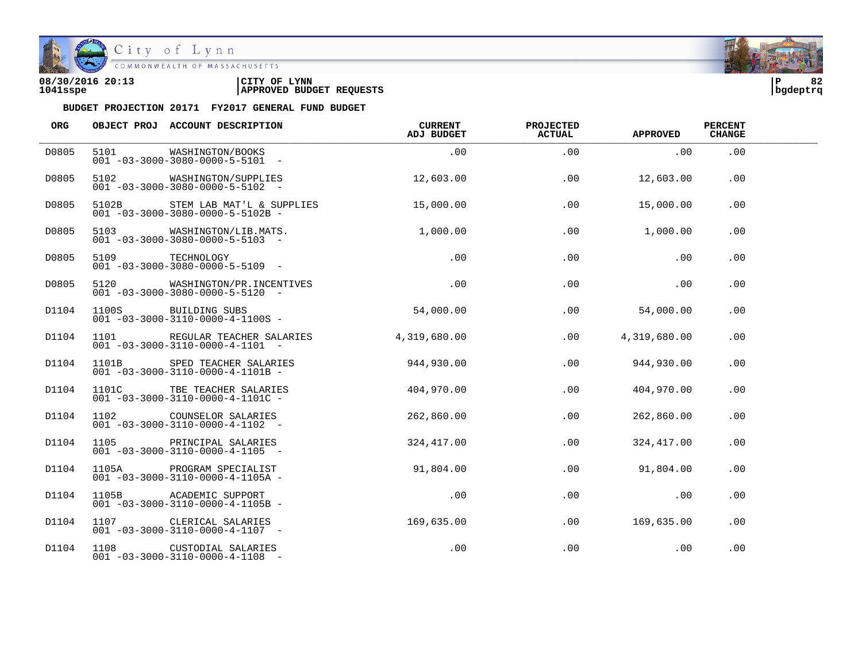

COMMONWEALTH OF MASSACHUSETTS

### **08/30/2016 20:13 |CITY OF LYNN |P 82 1041sspe |APPROVED BUDGET REQUESTS |bgdeptrq**

| <b>ORG</b> |                 | OBJECT PROJ ACCOUNT DESCRIPTION                                                  | <b>CURRENT</b><br>ADJ BUDGET | <b>PROJECTED</b><br><b>ACTUAL</b> | <b>APPROVED</b> | <b>PERCENT</b><br><b>CHANGE</b> |  |
|------------|-----------------|----------------------------------------------------------------------------------|------------------------------|-----------------------------------|-----------------|---------------------------------|--|
| D0805      | 5101            | WASHINGTON/BOOKS<br>$001 - 03 - 3000 - 3080 - 0000 - 5 - 5101 -$                 | .00                          | .00                               | .00             | .00                             |  |
| D0805      |                 | 5102 WASHINGTON/SUPPLIES<br>$001 - 03 - 3000 - 3080 - 0000 - 5 - 5102 -$         | 12,603.00                    | .00                               | 12,603.00       | .00                             |  |
| D0805      |                 | 5102B STEM LAB MAT'L & SUPPLIES<br>$001 - 03 - 3000 - 3080 - 0000 - 5 - 5102B -$ | 15,000.00                    | .00                               | 15,000.00       | .00                             |  |
| D0805      |                 | 5103 WASHINGTON/LIB.MATS.<br>$001 - 03 - 3000 - 3080 - 0000 - 5 - 5103 -$        | 1,000.00                     | $.00\,$                           | 1,000.00        | .00                             |  |
| D0805      | 5109 TECHNOLOGY | $001 - 03 - 3000 - 3080 - 0000 - 5 - 5109$ -                                     | .00                          | .00                               | .00             | .00                             |  |
| D0805      |                 | 5120 WASHINGTON/PR.INCENTIVES<br>$001 - 03 - 3000 - 3080 - 0000 - 5 - 5120 -$    | .00                          | .00                               | .00             | .00                             |  |
| D1104      |                 | 1100S BUILDING SUBS<br>$001 - 03 - 3000 - 3110 - 0000 - 4 - 1100S -$             | 54,000.00                    | .00                               | 54,000.00       | .00                             |  |
| D1104      |                 | 1101 REGULAR TEACHER SALARIES<br>$001 - 03 - 3000 - 3110 - 0000 - 4 - 1101 -$    | 4,319,680.00                 | .00                               | 4,319,680.00    | .00                             |  |
| D1104      | 1101B           | SPED TEACHER SALARIES<br>$001 - 03 - 3000 - 3110 - 0000 - 4 - 1101B -$           | 944,930.00                   | .00                               | 944,930.00      | .00                             |  |
| D1104      | 1101C           | TBE TEACHER SALARIES<br>$001 - 03 - 3000 - 3110 - 0000 - 4 - 1101C -$            | 404,970.00                   | .00                               | 404,970.00      | .00                             |  |
| D1104      |                 | 1102 COUNSELOR SALARIES<br>$001 - 03 - 3000 - 3110 - 0000 - 4 - 1102$ -          | 262,860.00                   | .00                               | 262,860.00      | .00                             |  |
| D1104      |                 | 1105 PRINCIPAL SALARIES<br>$001 - 03 - 3000 - 3110 - 0000 - 4 - 1105 -$          | 324,417.00                   | .00                               | 324,417.00      | .00                             |  |
| D1104      |                 | 1105A PROGRAM SPECIALIST<br>$001 - 03 - 3000 - 3110 - 0000 - 4 - 1105A -$        | 91,804.00                    | .00                               | 91,804.00       | .00                             |  |
| D1104      |                 | 1105B ACADEMIC SUPPORT<br>$001 - 03 - 3000 - 3110 - 0000 - 4 - 1105B -$          | .00                          | .00                               | .00             | .00                             |  |
| D1104      |                 | 1107 CLERICAL SALARIES<br>$001 - 03 - 3000 - 3110 - 0000 - 4 - 1107$ -           | 169,635.00                   | .00                               | 169,635.00      | .00                             |  |
| D1104      |                 | 1108 CUSTODIAL SALARIES<br>$001 - 03 - 3000 - 3110 - 0000 - 4 - 1108$ -          | .00                          | .00                               | .00             | .00                             |  |

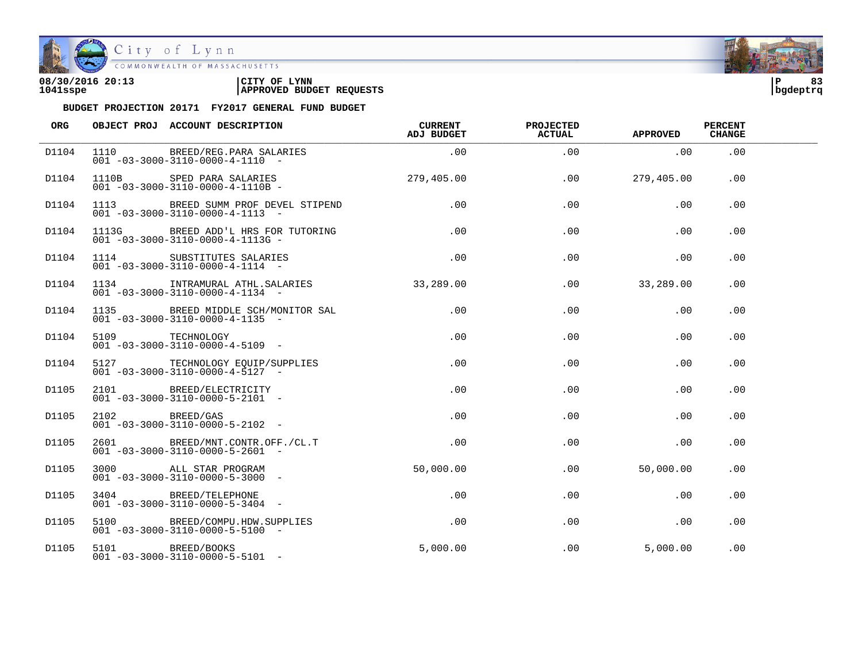

| 08/30/2016 20:13 | CITY OF<br><b>LYNN</b>          | l P      |  |
|------------------|---------------------------------|----------|--|
| 1041sspe         | <b>APPROVED BUDGET REQUESTS</b> | bqdeptrq |  |

| ORG   | OBJECT PROJ ACCOUNT DESCRIPTION                                                                                 | <b>CURRENT</b><br>ADJ BUDGET | <b>PROJECTED</b><br><b>ACTUAL</b> | <b>APPROVED</b> | <b>PERCENT</b><br><b>CHANGE</b> |  |
|-------|-----------------------------------------------------------------------------------------------------------------|------------------------------|-----------------------------------|-----------------|---------------------------------|--|
| D1104 | 1110 BREED/REG.PARA SALARIES<br>$001 - 03 - 3000 - 3110 - 0000 - 4 - 1110 -$                                    | .00                          | .00                               | $\sim$ 00       | .00                             |  |
| D1104 | 1110B SPED PARA SALARIES 279,405.00<br>$001 - 03 - 3000 - 3110 - 0000 - 4 - 1110B -$                            |                              | .00                               | 279,405.00      | .00                             |  |
| D1104 | 1113 BREED SUMM PROF DEVEL STIPEND<br>$001 - 03 - 3000 - 3110 - 0000 - 4 - 1113 -$                              | .00                          | .00                               | .00             | .00                             |  |
| D1104 | 1113G BREED ADD'L HRS FOR TUTORING<br>$001 - 03 - 3000 - 3110 - 0000 - 4 - 1113G -$                             | $\sim$ 00                    | .00                               | .00             | .00                             |  |
| D1104 | 1114 SUBSTITUTES SALARIES<br>001 -03-3000-3110-0000-4-1114 -                                                    | .00                          | .00                               | .00             | .00                             |  |
| D1104 | 1134 INTRAMURAL ATHL.SALARIES 33,289.00<br>$001 - 03 - 3000 - 3110 - 0000 - 4 - 1134 -$                         |                              | .00                               | 33,289.00       | .00.                            |  |
| D1104 | 1135 BREED MIDDLE SCH/MONITOR SAL<br>$001 - 03 - 3000 - 3110 - 0000 - 4 - 1135$ -                               | .00                          | .00                               | .00             | .00                             |  |
| D1104 | 5109 TECHNOLOGY<br>001 -03-3000-3110-0000-4-5109 -                                                              | .00                          | .00                               | .00             | .00.                            |  |
| D1104 | 5127 TECHNOLOGY EQUIP/SUPPLIES<br>001 -03-3000 3110 0000 4 F107<br>$001 - 03 - 3000 - 3110 - 0000 - 4 - 5127 -$ | .00                          | .00                               | .00             | .00                             |  |
| D1105 | 2101 BREED/ELECTRICITY<br>$001 - 03 - 3000 - 3110 - 0000 - 5 - 2101 -$                                          | .00                          | .00                               | .00             | .00                             |  |
| D1105 | 2102 BREED/GAS<br>$001 - 03 - 3000 - 3110 - 0000 - 5 - 2102$ -                                                  | .00                          | .00                               | .00             | .00                             |  |
| D1105 | 2601 BREED/MNT.CONTR.OFF./CL.T<br>$001 - 03 - 3000 - 3110 - 0000 - 5 - 2601 -$                                  | $.00 \,$                     | .00                               | .00             | .00                             |  |
| D1105 | 3000 ALL STAR PROGRAM<br>$001 - 03 - 3000 - 3110 - 0000 - 5 - 3000 -$                                           | 50,000.00                    | .00                               | 50,000.00       | .00.                            |  |
| D1105 | 3404 BREED/TELEPHONE<br>001 -03-3000-3110-0000-5-3404 -                                                         | $.00 \,$                     | $.00 \,$                          | .00             | .00.                            |  |
| D1105 | 5100 BREED/COMPU.HDW.SUPPLIES<br>$001 - 03 - 3000 - 3110 - 0000 - 5 - 5100$ -                                   | $\,$ .00 $\,$                | .00                               | .00             | .00                             |  |
| D1105 | 5101 BREED/BOOKS<br>$001 - 03 - 3000 - 3110 - 0000 - 5 - 5101 -$                                                | 5.000.00                     | $.00\,$                           | 5,000.00        | .00                             |  |

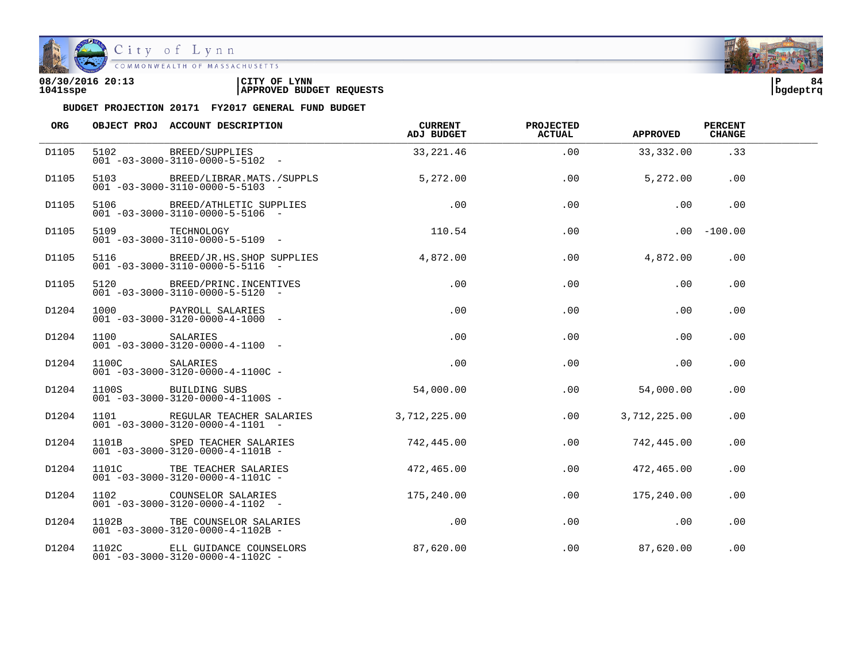

| 08/30/2016 20:13 | CITY OF<br><b>LYNN</b>          | l P      | 84 |
|------------------|---------------------------------|----------|----|
| 1041sspe         | <b>APPROVED BUDGET REQUESTS</b> | bgdeptrq |    |

| <b>ORG</b> |                | OBJECT PROJ ACCOUNT DESCRIPTION                                                         | CURRENT<br>ADJ BUDGET | <b>PROJECTED</b><br><b>ACTUAL</b> | APPROVED     | <b>PERCENT</b><br><b>CHANGE</b> |  |
|------------|----------------|-----------------------------------------------------------------------------------------|-----------------------|-----------------------------------|--------------|---------------------------------|--|
| D1105      |                | 5102 BREED/SUPPLIES<br>$001 - 03 - 3000 - 3110 - 0000 - 5 - 5102 -$                     | 33, 221.46            | .00                               | 33,332.00    | .33                             |  |
| D1105      |                | 5103 BREED/LIBRAR.MATS./SUPPLS<br>$001 - 03 - 3000 - 3110 - 0000 - 5 - 5103 -$          | 5,272.00              | .00                               | 5,272.00     | .00                             |  |
| D1105      |                | 5106 BREED/ATHLETIC SUPPLIES<br>$001 - 03 - 3000 - 3110 - 0000 - 5 - 5106$ -            | .00                   | .00                               | .00          | .00                             |  |
| D1105      |                | 5109 TECHNOLOGY 110.54<br>001 -03-3000-3110-0000-5-5109 -                               |                       | .00                               |              | $.00 - 100.00$                  |  |
| D1105      |                | 5116 BREED/JR.HS.SHOP SUPPLIES 4,872.00<br>$001 - 03 - 3000 - 3110 - 0000 - 5 - 5116 -$ |                       | .00                               | 4,872.00     | .00                             |  |
| D1105      |                | 5120 BREED/PRINC. INCENTIVES<br>$001 - 03 - 3000 - 3110 - 0000 - 5 - 5120 -$            | .00                   | .00                               | .00          | .00                             |  |
| D1204      |                | 1000 PAYROLL SALARIES<br>$001 - 03 - 3000 - 3120 - 0000 - 4 - 1000 -$                   | .00                   | .00                               | .00          | .00                             |  |
| D1204      |                | 1100 SALARIES<br>$001 - 03 - 3000 - 3120 - 0000 - 4 - 1100 -$                           | .00                   | .00                               | .00          | .00                             |  |
| D1204      | 1100C SALARIES | $001 - 03 - 3000 - 3120 - 0000 - 4 - 1100C -$                                           | .00                   | .00                               | $.00 \,$     | $.00 \,$                        |  |
| D1204      |                | 1100S BUILDING SUBS<br>$001 - 03 - 3000 - 3120 - 0000 - 4 - 1100S -$                    | 54,000.00             | $.00 \,$                          | 54,000.00    | .00                             |  |
| D1204      |                | 1101 REGULAR TEACHER SALARIES<br>$001 - 03 - 3000 - 3120 - 0000 - 4 - 1101 -$           | 3,712,225.00          | .00                               | 3,712,225.00 | .00                             |  |
| D1204      |                | 1101B SPED TEACHER SALARIES<br>$001 - 03 - 3000 - 3120 - 0000 - 4 - 1101B -$            | 742,445.00            | .00                               | 742,445.00   | .00                             |  |
| D1204      |                | 1101C TBE TEACHER SALARIES<br>$001 - 03 - 3000 - 3120 - 0000 - 4 - 1101C -$             | 472,465.00            | .00                               | 472,465.00   | .00                             |  |
| D1204      |                | 1102 COUNSELOR SALARIES<br>$001 - 03 - 3000 - 3120 - 0000 - 4 - 1102 -$                 | 175,240.00            | .00                               | 175,240.00   | .00                             |  |
| D1204      |                | 1102B TBE COUNSELOR SALARIES<br>$001 - 03 - 3000 - 3120 - 0000 - 4 - 1102B -$           | .00                   | .00                               | .00          | .00                             |  |
| D1204      |                | 1102C ELL GUIDANCE COUNSELORS<br>$001 - 03 - 3000 - 3120 - 0000 - 4 - 1102C$            | 87,620.00             | .00                               | 87,620.00    | .00                             |  |

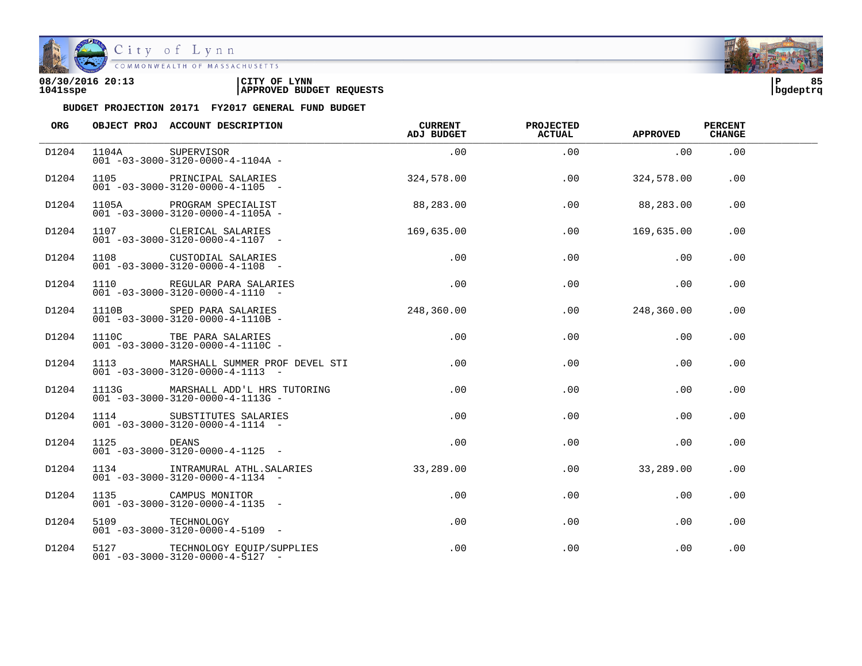

| 08/30/2016 20:13 | CITY OF<br><b>LYNN</b>          | l P      | 85 |
|------------------|---------------------------------|----------|----|
| 1041sspe         | <b>APPROVED BUDGET REQUESTS</b> | bqdeptrq |    |

| ORG   |                  | OBJECT PROJ ACCOUNT DESCRIPTION                                                       | CURRENT<br>ADJ BUDGET | <b>PROJECTED</b><br><b>ACTUAL</b> | <b>APPROVED</b> | <b>PERCENT</b><br><b>CHANGE</b> |  |
|-------|------------------|---------------------------------------------------------------------------------------|-----------------------|-----------------------------------|-----------------|---------------------------------|--|
| D1204 | 1104A SUPERVISOR | $001 - 03 - 3000 - 3120 - 0000 - 4 - 1104A -$                                         | .00                   | .00                               | .00             | .00                             |  |
| D1204 |                  | 1105 PRINCIPAL SALARIES<br>$001 - 03 - 3000 - 3120 - 0000 - 4 - 1105$ -               | 324,578.00            | .00                               | 324,578.00      | .00                             |  |
| D1204 |                  | FILOGRAM SPECIALIST<br>001-03-3000-3120-0000-4-1105A-                                 | 88,283.00             | .00                               | 88,283.00       | .00                             |  |
| D1204 |                  | 1107 CLERICAL SALARIES 169,635.00<br>$001 - 03 - 3000 - 3120 - 0000 - 4 - 1107 -$     |                       | .00                               | 169,635.00      | .00                             |  |
| D1204 |                  | 1108 CUSTODIAL SALARIES<br>$001 - 03 - 3000 - 3120 - 0000 - 4 - 1108 -$               | .00                   | .00                               | .00             | .00                             |  |
| D1204 |                  | 1110 REGULAR PARA SALARIES<br>$001 - 03 - 3000 - 3120 - 0000 - 4 - 1110 -$            | .00                   | .00                               | .00             | .00                             |  |
| D1204 |                  | 1110B SPED PARA SALARIES<br>001 -03-3000-3120-0000-4-1110B -                          | 248,360.00            | .00                               | 248,360.00      | .00                             |  |
| D1204 |                  | 1110C TBE PARA SALARIES<br>$001 - 03 - 3000 - 3120 - 0000 - 4 - 1110C -$              | .00                   | .00                               | .00             | .00                             |  |
| D1204 |                  | 1113 MARSHALL SUMMER PROF DEVEL STI<br>$001 - 03 - 3000 - 3120 - 0000 - 4 - 1113 - -$ | .00                   | .00                               | .00             | .00                             |  |
| D1204 |                  | 1113G MARSHALL ADD'L HRS TUTORING<br>$001 - 03 - 3000 - 3120 - 0000 - 4 - 1113G -$    | .00                   | .00                               | .00             | .00                             |  |
| D1204 |                  | 1114 SUBSTITUTES SALARIES<br>$001 - 03 - 3000 - 3120 - 0000 - 4 - 1114 - -$           | .00                   | .00                               | .00             | .00                             |  |
| D1204 | 1125 DEANS       | $001 - 03 - 3000 - 3120 - 0000 - 4 - 1125 -$                                          | .00                   | .00                               | .00             | .00                             |  |
| D1204 |                  | 1134 INTRAMURAL ATHL.SALARIES<br>$001 - 03 - 3000 - 3120 - 0000 - 4 - 1134 -$         | 33,289.00             | .00                               | 33,289.00       | .00                             |  |
| D1204 |                  | 1135 CAMPUS MONITOR<br>$001 - 03 - 3000 - 3120 - 0000 - 4 - 1135 -$                   | .00                   | $.00 \,$                          | .00             | .00                             |  |
| D1204 | 5109 TECHNOLOGY  | $001 - 03 - 3000 - 3120 - 0000 - 4 - 5109$ -                                          | .00                   | .00                               | .00             | .00                             |  |
| D1204 |                  | 5127 TECHNOLOGY EQUIP/SUPPLIES<br>$001 - 03 - 3000 - 3120 - 0000 - 4 - 5127 -$        | .00                   | .00                               | .00             | .00                             |  |

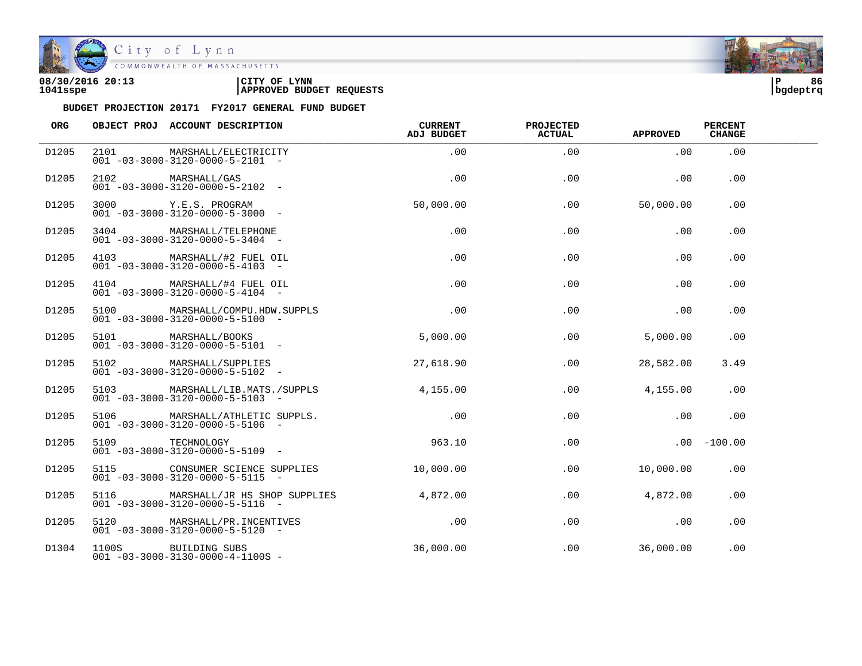

| 08/30/2016 20:13 | CITY OF<br><b>LYNN</b>          | l P      | 86 |
|------------------|---------------------------------|----------|----|
| 1041sspe         | <b>APPROVED BUDGET REQUESTS</b> | bqdeptrq |    |

| ORG   |      | OBJECT PROJ ACCOUNT DESCRIPTION                                                | <b>CURRENT</b><br><b>ADJ BUDGET</b> | <b>PROJECTED</b><br>ACTUAL | <b>APPROVED</b> | <b>PERCENT</b><br><b>CHANGE</b> |  |
|-------|------|--------------------------------------------------------------------------------|-------------------------------------|----------------------------|-----------------|---------------------------------|--|
| D1205 | 2101 | MARSHALL/ELECTRICITY<br>$001 - 03 - 3000 - 3120 - 0000 - 5 - 2101 -$           | .00                                 | .00                        | .00             | .00                             |  |
| D1205 |      | 2102 MARSHALL/GAS<br>$001 - 03 - 3000 - 3120 - 0000 - 5 - 2102 -$              | .00                                 | .00                        | .00             | .00                             |  |
| D1205 |      | 3000 Y.E.S. PROGRAM<br>$001 - 03 - 3000 - 3120 - 0000 - 5 - 3000 -$            | 50,000.00                           | .00                        | 50,000.00       | .00                             |  |
| D1205 |      | 3404 MARSHALL/TELEPHONE<br>$001 - 03 - 3000 - 3120 - 0000 - 5 - 3404 -$        | .00                                 | .00                        | .00             | .00                             |  |
| D1205 |      | 4103 MARSHALL/#2 FUEL OIL<br>$001 - 03 - 3000 - 3120 - 0000 - 5 - 4103 -$      | .00                                 | .00                        | .00             | .00                             |  |
| D1205 |      | 4104 MARSHALL/#4 FUEL OIL<br>$001 - 03 - 3000 - 3120 - 0000 - 5 - 4104 -$      | .00                                 | .00                        | .00             | .00                             |  |
| D1205 |      | 5100 MARSHALL/COMPU.HDW.SUPPLS<br>$001 - 03 - 3000 - 3120 - 0000 - 5 - 5100 -$ | .00                                 | .00                        | .00             | .00                             |  |
| D1205 |      | 5101 MARSHALL/BOOKS<br>$001 - 03 - 3000 - 3120 - 0000 - 5 - 5101 -$            | 5,000.00                            | .00                        | 5,000.00        | .00.                            |  |
| D1205 |      | 5102 MARSHALL/SUPPLIES<br>$001 - 03 - 3000 - 3120 - 0000 - 5 - 5102 -$         | 27,618.90                           | .00                        | 28,582.00       | 3.49                            |  |
| D1205 | 5103 | MARSHALL/LIB.MATS./SUPPLS<br>$001 - 03 - 3000 - 3120 - 0000 - 5 - 5103$ -      | 4,155.00                            | $.00 \,$                   | 4,155.00        | .00                             |  |
| D1205 |      | 5106 MARSHALL/ATHLETIC SUPPLS.<br>$001 - 03 - 3000 - 3120 - 0000 - 5 - 5106$ - | .00                                 | .00                        | .00             | .00                             |  |
| D1205 |      | 5109 TECHNOLOGY<br>$001 - 03 - 3000 - 3120 - 0000 - 5 - 5109$ -                | 963.10                              | .00                        |                 | $.00 - 100.00$                  |  |
| D1205 |      | 5115 CONSUMER SCIENCE SUPPLIES<br>$001 - 03 - 3000 - 3120 - 0000 - 5 - 5115 -$ | 10,000.00                           | .00                        | 10,000.00       | .00                             |  |
| D1205 | 5116 | MARSHALL/JR HS SHOP SUPPLIES<br>$001 - 03 - 3000 - 3120 - 0000 - 5 - 5116 -$   | 4,872.00                            | .00                        | 4,872.00        | .00                             |  |
| D1205 |      | 5120 MARSHALL/PR.INCENTIVES<br>$001 - 03 - 3000 - 3120 - 0000 - 5 - 5120 -$    | .00                                 | .00                        | .00             | .00                             |  |
| D1304 |      | 1100S BUILDING SUBS<br>$001 - 03 - 3000 - 3130 - 0000 - 4 - 1100S -$           | 36,000.00                           | .00                        | 36,000.00       | .00                             |  |

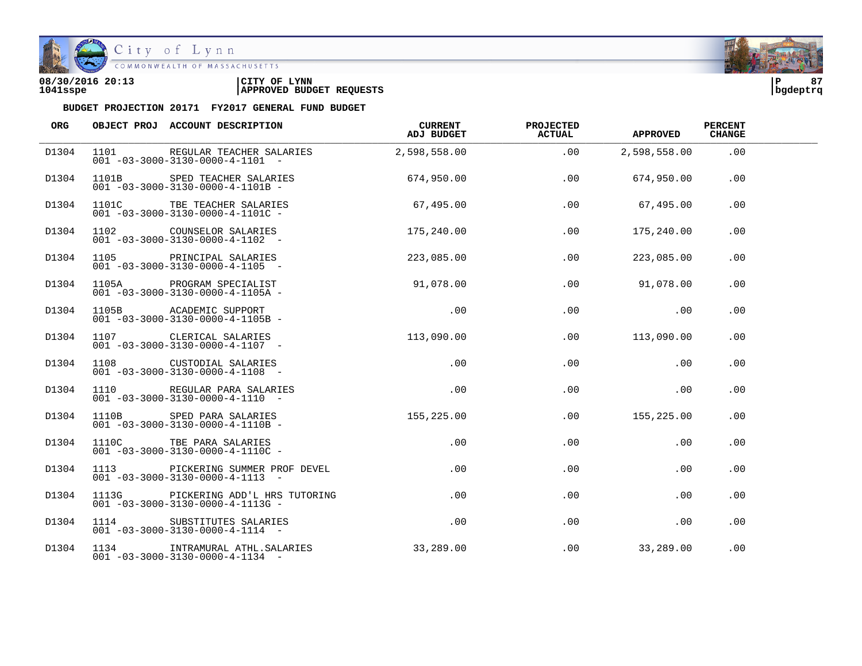

| 08/30/2016 20:13 | CITY OF<br><b>LYNN</b>          | l P      | 0 <sub>7</sub> |
|------------------|---------------------------------|----------|----------------|
| 1041sspe         | <b>APPROVED BUDGET REQUESTS</b> | bqdeptrq |                |

| ORG   | OBJECT PROJ ACCOUNT DESCRIPTION                                                     | CURRENT<br>ADJ BUDGET | <b>PROJECTED</b><br><b>ACTUAL</b> | <b>APPROVED</b> | <b>PERCENT</b><br><b>CHANGE</b> |  |
|-------|-------------------------------------------------------------------------------------|-----------------------|-----------------------------------|-----------------|---------------------------------|--|
| D1304 | 1101 REGULAR TEACHER SALARIES<br>$001 - 03 - 3000 - 3130 - 0000 - 4 - 1101 -$       | 2,598,558.00          | .00                               | 2,598,558.00    | .00                             |  |
| D1304 | 1101B SPED TEACHER SALARIES<br>$001 - 03 - 3000 - 3130 - 0000 - 4 - 1101B -$        | 674,950.00            | .00                               | 674,950.00      | .00                             |  |
| D1304 | TEACHER SALARIES<br>- 02011-03-3000-3130-0000-4-11010-                              | 67,495.00             | .00                               | 67,495.00       | .00                             |  |
| D1304 | 1102 COUNSELOR SALARIES<br>$001 - 03 - 3000 - 3130 - 0000 - 4 - 1102 -$             | 175,240.00            | .00                               | 175,240.00      | .00                             |  |
| D1304 | $001 - 03 - 3000 - 3130 - 0000 - 4 - 1105$ -                                        | 223,085.00            | .00                               | 223,085.00      | .00                             |  |
| D1304 | 1105A PROGRAM SPECIALIST<br>$001 - 03 - 3000 - 3130 - 0000 - 4 - 1105A -$           | 91,078.00             | .00                               | 91,078.00       | .00                             |  |
| D1304 | 1105B    ACADEMIC SUPPORT<br>001 -03-3000-3130-0000-4-1105B -                       | .00                   | .00                               | .00             | .00                             |  |
| D1304 | 1107 CLERICAL SALARIES 113,090.00<br>$001 - 03 - 3000 - 3130 - 0000 - 4 - 1107$ -   |                       | .00                               | 113,090.00      | .00                             |  |
| D1304 | 1108 CUSTODIAL SALARIES<br>$001 - 03 - 3000 - 3130 - 0000 - 4 - 1108 -$             | .00                   | .00                               | .00             | .00                             |  |
| D1304 | 1110 REGULAR PARA SALARIES<br>$001 - 03 - 3000 - 3130 - 0000 - 4 - 1110 -$          | .00                   | .00                               | .00             | .00                             |  |
| D1304 | 1110B SPED PARA SALARIES<br>001 -03-3000-3130-0000-4-1110B -                        | 155,225.00            | .00                               | 155,225.00      | .00                             |  |
| D1304 | 1110C TBE PARA SALARIES<br>$001 - 03 - 3000 - 3130 - 0000 - 4 - 1110C -$            | $.00\,$               | .00                               | $.00 \,$        | .00                             |  |
| D1304 | 1113 PICKERING SUMMER PROF DEVEL<br>$001 - 03 - 3000 - 3130 - 0000 - 4 - 1113 - -$  | $.00\,$               | .00                               | .00             | .00                             |  |
| D1304 | 1113G PICKERING ADD'L HRS TUTORING<br>$001 - 03 - 3000 - 3130 - 0000 - 4 - 1113G -$ | .00                   | $.00 \,$                          | .00             | .00                             |  |
| D1304 | 1114 SUBSTITUTES SALARIES<br>$001 - 03 - 3000 - 3130 - 0000 - 4 - 1114 -$           | $.00 \,$              | .00                               | .00             | .00                             |  |
| D1304 | 1134 INTRAMURAL ATHL. SALARIES<br>$001 - 03 - 3000 - 3130 - 0000 - 4 - 1134 -$      | 33,289.00             | .00                               | 33,289.00       | .00                             |  |

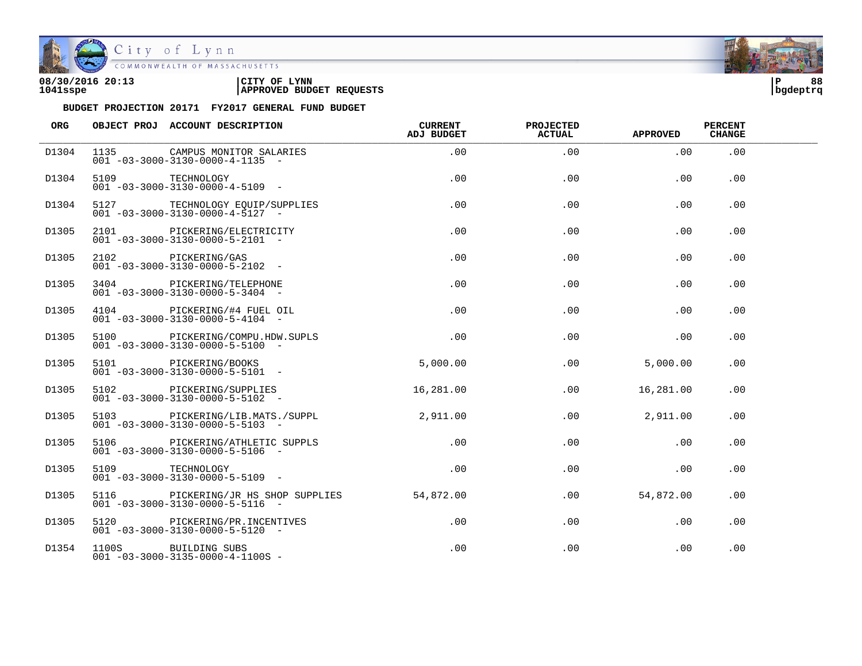

| 08/30/2016 20:13 | 'CITY OF<br><b>LYNN</b>         | l P      | 88 |
|------------------|---------------------------------|----------|----|
| 1041sspe         | <b>APPROVED BUDGET REQUESTS</b> | bgdeptrq |    |

| <b>ORG</b>        |      | OBJECT PROJ ACCOUNT DESCRIPTION                                                | <b>CURRENT</b><br>ADJ BUDGET | <b>PROJECTED</b><br><b>ACTUAL</b> | <b>APPROVED</b> | <b>PERCENT</b><br><b>CHANGE</b> |  |
|-------------------|------|--------------------------------------------------------------------------------|------------------------------|-----------------------------------|-----------------|---------------------------------|--|
| D1304             | 1135 | CAMPUS MONITOR SALARIES<br>$0.01 - 0.3 - 30.00 - 31.30 - 0.000 - 4 - 11.35$ -  | .00                          | .00                               | .00             | .00                             |  |
| D1304             | 5109 | TECHNOLOGY<br>$001 - 03 - 3000 - 3130 - 0000 - 4 - 5109$ -                     | .00                          | .00                               | .00             | .00                             |  |
| D1304             |      | 5127 TECHNOLOGY EQUIP/SUPPLIES<br>$001 - 03 - 3000 - 3130 - 0000 - 4 - 5127 -$ | .00                          | .00                               | .00             | .00                             |  |
| D1305             |      | 2101 PICKERING/ELECTRICITY<br>$001 - 03 - 3000 - 3130 - 0000 - 5 - 2101 -$     | .00                          | .00                               | .00             | $.00 \,$                        |  |
| D1305             |      | 2102 PICKERING/GAS<br>$001 - 03 - 3000 - 3130 - 0000 - 5 - 2102 -$             | .00                          | .00                               | .00             | .00                             |  |
| D1305             |      | 3404 PICKERING/TELEPHONE<br>$001 - 03 - 3000 - 3130 - 0000 - 5 - 3404 -$       | .00                          | .00                               | .00             | .00                             |  |
| D1305             |      | 4104 PICKERING/#4 FUEL OIL<br>$001 - 03 - 3000 - 3130 - 0000 - 5 - 4104 -$     | .00                          | .00                               | .00             | .00                             |  |
| D1305             |      | 5100 PICKERING/COMPU.HDW.SUPLS<br>$001 - 03 - 3000 - 3130 - 0000 - 5 - 5100$ - | .00                          | .00                               | .00             | .00                             |  |
| D1305             |      | 5101 PICKERING/BOOKS<br>$001 - 03 - 3000 - 3130 - 0000 - 5 - 5101 -$           | 5,000.00                     | .00                               | 5,000.00        | .00                             |  |
| D1305             |      | 5102 PICKERING/SUPPLIES<br>$001 - 03 - 3000 - 3130 - 0000 - 5 - 5102 -$        | 16,281.00                    | .00                               | 16,281.00       | .00.                            |  |
| D <sub>1305</sub> |      | 5103 PICKERING/LIB.MATS./SUPPL<br>$001 - 03 - 3000 - 3130 - 0000 - 5 - 5103 -$ | 2,911.00                     | .00                               | 2,911.00        | .00.                            |  |
| D1305             |      | 5106 PICKERING/ATHLETIC SUPPLS<br>$001 - 03 - 3000 - 3130 - 0000 - 5 - 5106 -$ | .00                          | .00                               | .00             | .00                             |  |
| D1305             | 5109 | TECHNOLOGY<br>$001 - 03 - 3000 - 3130 - 0000 - 5 - 5109$ -                     | .00                          | .00                               | .00             | .00                             |  |
| D1305             | 5116 | PICKERING/JR HS SHOP SUPPLIES<br>$001 - 03 - 3000 - 3130 - 0000 - 5 - 5116 -$  | 54,872.00                    | $.00 \,$                          | 54,872.00       | $.00 \,$                        |  |
| D1305             |      | 5120 PICKERING/PR.INCENTIVES<br>$001 - 03 - 3000 - 3130 - 0000 - 5 - 5120 -$   | $.00 \,$                     | $.00 \,$                          | .00             | .00                             |  |
| D1354             |      | 1100S BUILDING SUBS<br>$001 - 03 - 3000 - 3135 - 0000 - 4 - 1100S -$           | .00                          | .00                               | .00             | .00                             |  |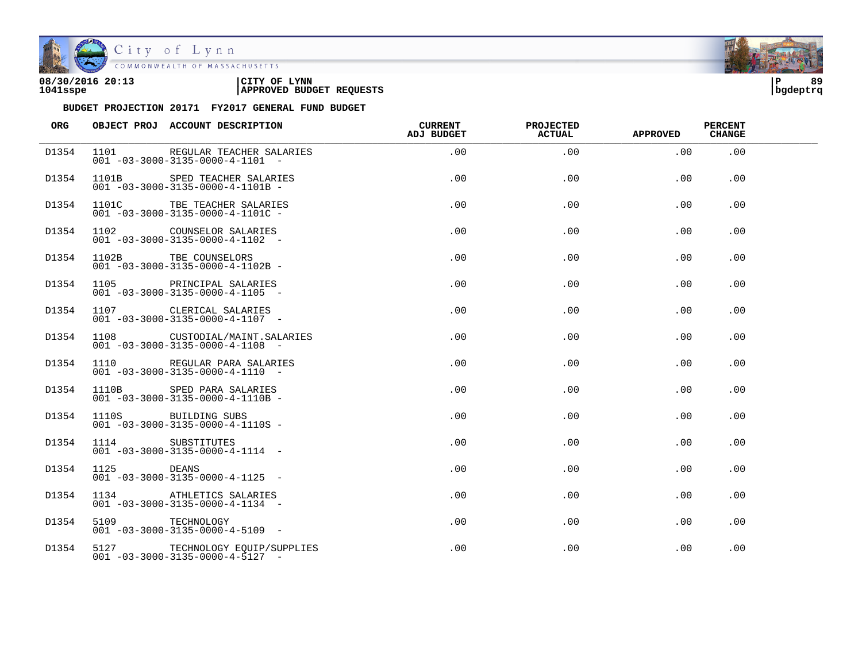

| 08/30/2016 20:13 | CITY OF<br><b>LYNN</b>          | l P      | 89 |
|------------------|---------------------------------|----------|----|
| 1041sspe         | <b>APPROVED BUDGET REQUESTS</b> | bqdeptrq |    |

| ORG   |                  | OBJECT PROJ ACCOUNT DESCRIPTION                                                | <b>CURRENT</b><br><b>ADJ BUDGET</b> | <b>PROJECTED</b><br>ACTUAL | <b>APPROVED</b> | <b>PERCENT</b><br><b>CHANGE</b> |  |
|-------|------------------|--------------------------------------------------------------------------------|-------------------------------------|----------------------------|-----------------|---------------------------------|--|
| D1354 |                  | 1101 REGULAR TEACHER SALARIES<br>$001 - 03 - 3000 - 3135 - 0000 - 4 - 1101 -$  | .00                                 | .00                        | .00             | .00                             |  |
| D1354 |                  | 1101B SPED TEACHER SALARIES<br>$001 - 03 - 3000 - 3135 - 0000 - 4 - 1101B -$   | .00                                 | .00                        | .00             | .00                             |  |
| D1354 |                  | 1101C TBE TEACHER SALARIES<br>$001 - 03 - 3000 - 3135 - 0000 - 4 - 1101C -$    | .00                                 | .00                        | .00             | .00                             |  |
| D1354 |                  | 1102 COUNSELOR SALARIES<br>$001 - 03 - 3000 - 3135 - 0000 - 4 - 1102 -$        | .00                                 | .00                        | .00             | .00                             |  |
| D1354 |                  | 1102B TBE COUNSELORS<br>$001 - 03 - 3000 - 3135 - 0000 - 4 - 1102B -$          | .00                                 | .00                        | .00             | .00                             |  |
| D1354 |                  | 1105 PRINCIPAL SALARIES<br>$001 - 03 - 3000 - 3135 - 0000 - 4 - 1105$ -        | .00                                 | .00                        | .00             | .00.                            |  |
| D1354 |                  | 1107 CLERICAL SALARIES<br>$001 - 03 - 3000 - 3135 - 0000 - 4 - 1107$ -         | .00                                 | .00                        | .00             | .00                             |  |
| D1354 |                  | 1108 CUSTODIAL/MAINT.SALARIES<br>$001 - 03 - 3000 - 3135 - 0000 - 4 - 1108$ -  | .00                                 | .00                        | .00             | .00                             |  |
| D1354 |                  | 1110 REGULAR PARA SALARIES<br>$001 - 03 - 3000 - 3135 - 0000 - 4 - 1110 -$     | .00                                 | .00                        | .00             | .00                             |  |
| D1354 |                  | 1110B SPED PARA SALARIES<br>$001 - 03 - 3000 - 3135 - 0000 - 4 - 1110B -$      | .00                                 | .00                        | .00             | .00                             |  |
| D1354 |                  | 1110S BUILDING SUBS<br>$001 - 03 - 3000 - 3135 - 0000 - 4 - 1110S -$           | $.00 \,$                            | .00                        | .00             | .00                             |  |
| D1354 | 1114 SUBSTITUTES | $001 - 03 - 3000 - 3135 - 0000 - 4 - 1114 -$                                   | $.00 \,$                            | .00                        | .00             | .00                             |  |
| D1354 | 1125 DEANS       | $001 - 03 - 3000 - 3135 - 0000 - 4 - 1125$ -                                   | $.00 \,$                            | .00                        | .00             | .00                             |  |
| D1354 |                  | 1134 ATHLETICS SALARIES<br>$001 - 03 - 3000 - 3135 - 0000 - 4 - 1134 -$        | $.00 \,$                            | .00                        | .00             | .00                             |  |
| D1354 | 5109 TECHNOLOGY  | $001 - 03 - 3000 - 3135 - 0000 - 4 - 5109$ -                                   | $.00 \,$                            | .00                        | .00             | .00                             |  |
| D1354 |                  | 5127 TECHNOLOGY EQUIP/SUPPLIES<br>$001 - 03 - 3000 - 3135 - 0000 - 4 - 5127 -$ | $.00 \,$                            | .00                        | .00             | .00                             |  |

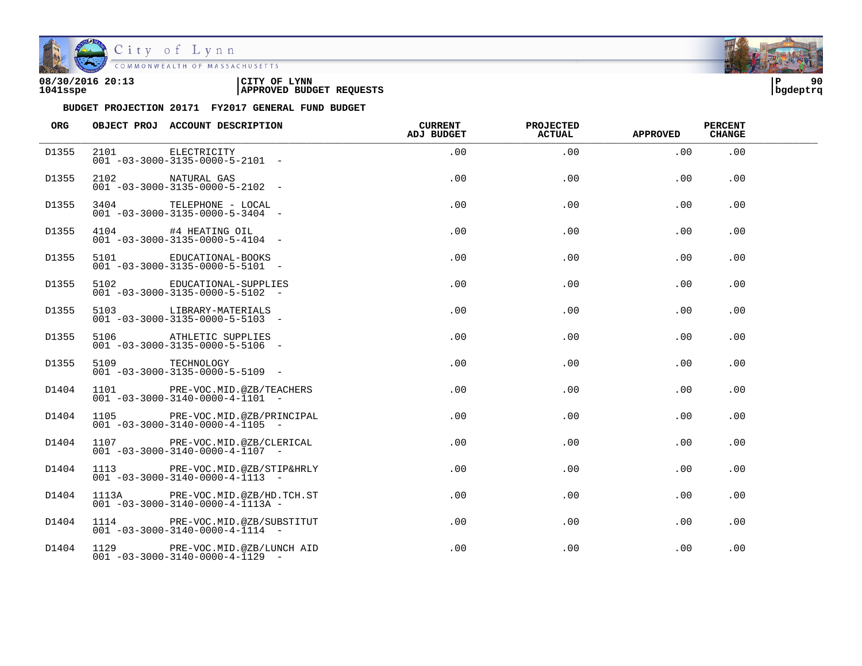

| 08/30/2016 20:13 | LYNN<br>CITY OF                 | l P      | 90 |
|------------------|---------------------------------|----------|----|
| 1041sspe         | <b>APPROVED BUDGET REQUESTS</b> | bqdeptrq |    |

| ORG   |                  | OBJECT PROJ ACCOUNT DESCRIPTION                                                  | <b>CURRENT</b><br><b>ADJ BUDGET</b> | <b>PROJECTED</b><br>ACTUAL | <b>APPROVED</b> | <b>PERCENT</b><br><b>CHANGE</b> |  |
|-------|------------------|----------------------------------------------------------------------------------|-------------------------------------|----------------------------|-----------------|---------------------------------|--|
| D1355 |                  | 2101 ELECTRICITY<br>$001 - 03 - 3000 - 3135 - 0000 - 5 - 2101 -$                 | .00                                 | .00                        | .00             | .00                             |  |
| D1355 | 2102 NATURAL GAS | $001 - 03 - 3000 - 3135 - 0000 - 5 - 2102 -$                                     | .00                                 | .00                        | .00             | .00                             |  |
| D1355 |                  | 3404 TELEPHONE - LOCAL<br>$001 - 03 - 3000 - 3135 - 0000 - 5 - 3404 -$           | .00                                 | .00                        | .00             | .00                             |  |
| D1355 |                  | 4104 #4 HEATING OIL<br>$001 - 03 - 3000 - 3135 - 0000 - 5 - 4104 -$              | .00                                 | .00                        | .00             | .00                             |  |
| D1355 |                  | 5101 EDUCATIONAL-BOOKS<br>$001 - 03 - 3000 - 3135 - 0000 - 5 - 5101 -$           | .00                                 | .00                        | .00             | .00                             |  |
| D1355 | 5102             | EDUCATIONAL-SUPPLIES<br>$001 - 03 - 3000 - 3135 - 0000 - 5 - 5102 -$             | .00                                 | .00                        | .00             | .00.                            |  |
| D1355 |                  | 5103 LIBRARY-MATERIALS<br>$001 - 03 - 3000 - 3135 - 0000 - 5 - 5103 -$           | .00                                 | .00                        | .00             | .00                             |  |
| D1355 |                  | 5106 ATHLETIC SUPPLIES<br>$001 - 03 - 3000 - 3135 - 0000 - 5 - 5106 -$           | .00                                 | .00                        | .00             | .00                             |  |
| D1355 | 5109 TECHNOLOGY  | $001 - 03 - 3000 - 3135 - 0000 - 5 - 5109$ -                                     | .00                                 | .00                        | .00             | .00                             |  |
| D1404 |                  | 1101 PRE-VOC.MID.@ZB/TEACHERS<br>$001 - 03 - 3000 - 3140 - 0000 - 4 - 1101 -$    | $.00 \,$                            | .00                        | .00             | .00                             |  |
| D1404 |                  | 1105 PRE-VOC.MID.@ZB/PRINCIPAL<br>$001 - 03 - 3000 - 3140 - 0000 - 4 - 1105$ -   | $.00 \,$                            | .00                        | .00             | .00                             |  |
| D1404 |                  | 1107 PRE-VOC.MID.@ZB/CLERICAL<br>$001 - 03 - 3000 - 3140 - 0000 - 4 - 1107 -$    | $.00 \,$                            | .00                        | .00             | .00                             |  |
| D1404 |                  | 1113 PRE-VOC.MID.@ZB/STIP&HRLY<br>$001 - 03 - 3000 - 3140 - 0000 - 4 - 1113 - -$ | $.00 \,$                            | .00                        | .00             | .00                             |  |
| D1404 |                  | 1113A PRE-VOC.MID.@ZB/HD.TCH.ST<br>$001 - 03 - 3000 - 3140 - 0000 - 4 - 1113A -$ | $.00 \,$                            | .00                        | .00             | .00.                            |  |
| D1404 |                  | 1114 PRE-VOC.MID.@ZB/SUBSTITUT<br>$001 - 03 - 3000 - 3140 - 0000 - 4 - 1114 -$   | $.00 \,$                            | .00                        | .00             | .00                             |  |
| D1404 |                  | 1129 PRE-VOC.MID.@ZB/LUNCH AID<br>$001 - 03 - 3000 - 3140 - 0000 - 4 - 1129$ -   | $.00 \,$                            | .00                        | .00             | .00                             |  |

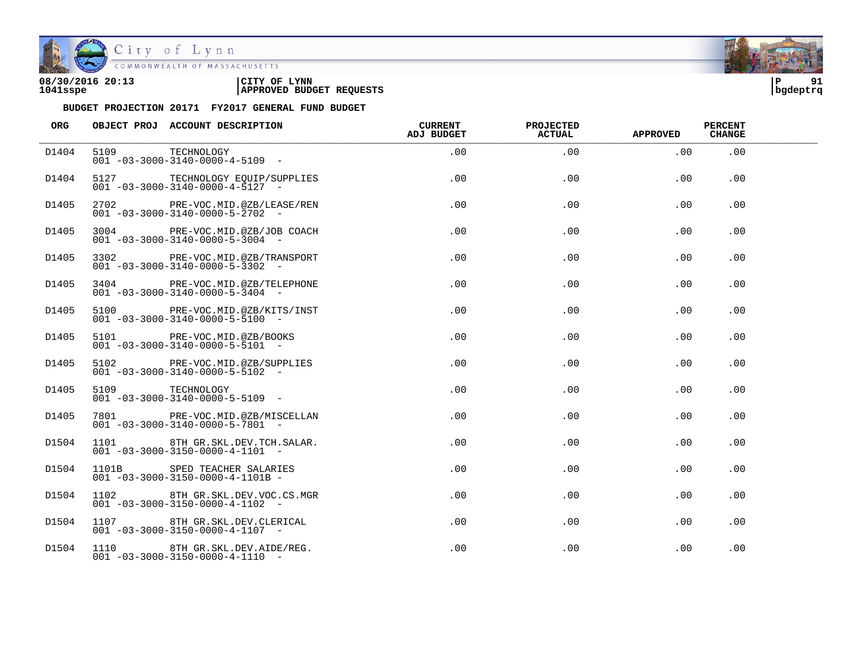

City of Lynn<br>COMMONWEALTH OF MASSACHUSETTS

| 08/30/2016 20:13 | LYNN<br>CITY OF                 | ΙP       | 01 |
|------------------|---------------------------------|----------|----|
| 1041sspe         | <b>APPROVED BUDGET REQUESTS</b> | bqdeptrq |    |



| ORG   |                 | OBJECT PROJ ACCOUNT DESCRIPTION                                                 | <b>CURRENT</b><br>ADJ BUDGET | PROJECTED<br><b>ACTUAL</b> | <b>APPROVED</b> | <b>PERCENT</b><br><b>CHANGE</b> |  |
|-------|-----------------|---------------------------------------------------------------------------------|------------------------------|----------------------------|-----------------|---------------------------------|--|
| D1404 | 5109 TECHNOLOGY | $001 - 03 - 3000 - 3140 - 0000 - 4 - 5109$ -                                    | .00                          | .00                        | .00             | .00                             |  |
| D1404 |                 | 5127 TECHNOLOGY EQUIP/SUPPLIES<br>$001 - 03 - 3000 - 3140 - 0000 - 4 - 5127$ -  | .00                          | .00                        | .00             | .00                             |  |
| D1405 |                 | 2702 PRE-VOC.MID.@ZB/LEASE/REN<br>$001 - 03 - 3000 - 3140 - 0000 - 5 - 2702$ -  | $.00 \,$                     | .00                        | $.00 \,$        | .00                             |  |
| D1405 |                 | 3004 PRE-VOC.MID.@ZB/JOB COACH<br>$001 - 03 - 3000 - 3140 - 0000 - 5 - 3004$ -  | $.00 \,$                     | .00                        | $.00 \,$        | .00                             |  |
| D1405 |                 | 3302 PRE-VOC.MID.@ZB/TRANSPORT<br>$001 - 03 - 3000 - 3140 - 0000 - 5 - 3302$ -  | $.00 \,$                     | .00                        | $.00 \,$        | .00                             |  |
| D1405 |                 | 3404 PRE-VOC.MID.@ZB/TELEPHONE<br>$001 - 03 - 3000 - 3140 - 0000 - 5 - 3404 -$  | .00.                         | .00                        | $.00 \,$        | .00.                            |  |
| D1405 |                 | 5100 PRE-VOC.MID.@ZB/KITS/INST<br>$001 - 03 - 3000 - 3140 - 0000 - 5 - 5100 -$  | .00                          | .00                        | $.00 \,$        | .00.                            |  |
| D1405 |                 | 5101 PRE-VOC.MID.@ZB/BOOKS<br>$001 - 03 - 3000 - 3140 - 0000 - 5 - 5101 -$      | .00                          | .00                        | $.00 \,$        | .00                             |  |
| D1405 |                 | 5102 PRE-VOC.MID.@ZB/SUPPLIES<br>$001 - 03 - 3000 - 3140 - 0000 - 5 - 5102 -$   | $.00 \,$                     | .00                        | $.00 \,$        | .00                             |  |
| D1405 | 5109 TECHNOLOGY | $001 - 03 - 3000 - 3140 - 0000 - 5 - 5109$ -                                    | $.00 \,$                     | .00                        | $.00 \,$        | .00                             |  |
| D1405 |                 | 7801 PRE-VOC.MID.@ZB/MISCELLAN<br>$001 - 03 - 3000 - 3140 - 0000 - 5 - 7801$ -  | $.00 \,$                     | .00                        | .00             | .00                             |  |
| D1504 |                 | 1101 8TH GR.SKL.DEV.TCH.SALAR.<br>$001 - 03 - 3000 - 3150 - 0000 - 4 - 1101 -$  | $.00 \,$                     | .00                        | .00             | .00                             |  |
| D1504 |                 | 1101B SPED TEACHER SALARIES<br>$001 - 03 - 3000 - 3150 - 0000 - 4 - 1101B -$    | .00                          | .00                        | .00             | .00                             |  |
| D1504 |                 | 1102 8TH GR.SKL.DEV.VOC.CS.MGR<br>$001 - 03 - 3000 - 3150 - 0000 - 4 - 1102 -$  | .00                          | .00                        | .00             | .00                             |  |
| D1504 |                 | 1107 8TH GR.SKL.DEV.CLERICAL<br>$001 - 03 - 3000 - 3150 - 0000 - 4 - 1107 -$    | $.00 \,$                     | .00                        | $.00 \,$        | .00                             |  |
| D1504 |                 | 1110 8TH GR.SKL.DEV.AIDE/REG.<br>$001 - 03 - 3000 - 3150 - 0000 - 4 - 1110 - -$ | .00                          | .00                        | .00             | .00                             |  |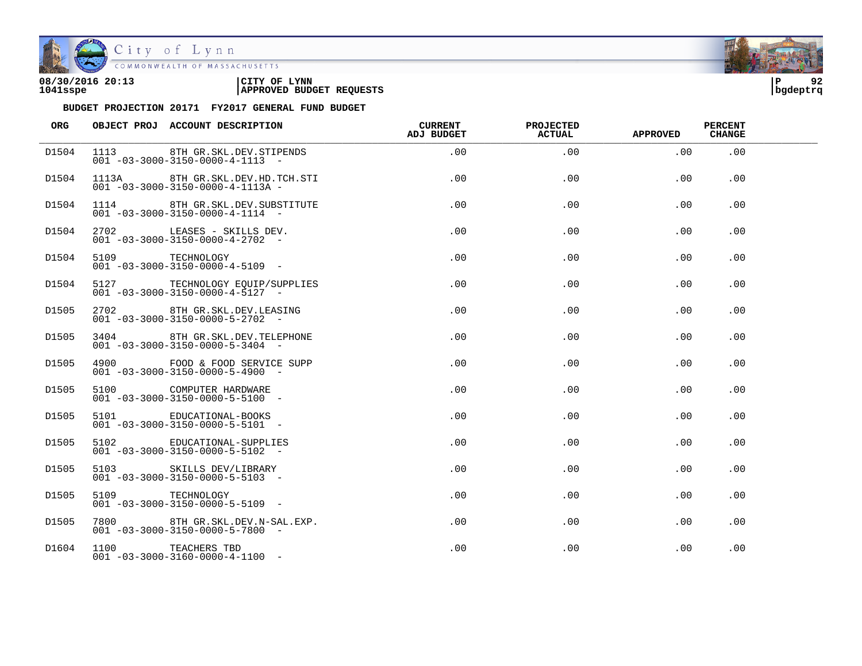

| 08/30/2016 20:13 | CITY OF<br><b>LYNN</b>          | l P      | ດາ |
|------------------|---------------------------------|----------|----|
| 1041sspe         | <b>APPROVED BUDGET REQUESTS</b> | bqdeptrq |    |

| ORG   |                 | OBJECT PROJ ACCOUNT DESCRIPTION                                                  | <b>CURRENT</b><br>ADJ BUDGET | <b>PROJECTED</b><br><b>ACTUAL</b> | <b>APPROVED</b> | <b>PERCENT</b><br><b>CHANGE</b> |  |
|-------|-----------------|----------------------------------------------------------------------------------|------------------------------|-----------------------------------|-----------------|---------------------------------|--|
| D1504 |                 | 1113 8TH GR.SKL.DEV.STIPENDS<br>$001 - 03 - 3000 - 3150 - 0000 - 4 - 1113 - -$   | .00                          | .00                               | .00             | .00                             |  |
| D1504 |                 | 1113A 8TH GR.SKL.DEV.HD.TCH.STI<br>$001 - 03 - 3000 - 3150 - 0000 - 4 - 1113A -$ | .00                          | .00                               | .00             | .00                             |  |
| D1504 |                 | 1114 8TH GR.SKL.DEV.SUBSTITUTE<br>$001 - 03 - 3000 - 3150 - 0000 - 4 - 1114 -$   | .00                          | .00                               | .00             | .00                             |  |
| D1504 |                 | 2702 LEASES - SKILLS DEV.<br>$001 - 03 - 3000 - 3150 - 0000 - 4 - 2702 -$        | .00                          | .00                               | $.00 \,$        | .00                             |  |
| D1504 | 5109 TECHNOLOGY | $001 - 03 - 3000 - 3150 - 0000 - 4 - 5109$ -                                     | $.00 \,$                     | .00                               | $.00 \,$        | .00                             |  |
| D1504 |                 | 5127 TECHNOLOGY EQUIP/SUPPLIES<br>$001 - 03 - 3000 - 3150 - 0000 - 4 - 5127 -$   | .00                          | .00                               | $.00 \,$        | .00.                            |  |
| D1505 |                 | 2702 8TH GR.SKL.DEV.LEASING<br>$001 - 03 - 3000 - 3150 - 0000 - 5 - 2702 -$      | .00                          | .00                               | .00             | .00.                            |  |
| D1505 |                 | 3404 8TH GR.SKL.DEV.TELEPHONE<br>$001 - 03 - 3000 - 3150 - 0000 - 5 - 3404 -$    | $.00 \,$                     | .00                               | $.00 \,$        | .00                             |  |
| D1505 |                 | 4900 FOOD & FOOD SERVICE SUPP<br>$001 - 03 - 3000 - 3150 - 0000 - 5 - 4900 -$    | $.00 \,$                     | .00                               | $.00 \,$        | .00                             |  |
| D1505 |                 | 5100 COMPUTER HARDWARE<br>$001 - 03 - 3000 - 3150 - 0000 - 5 - 5100 -$           | $.00 \,$                     | .00                               | .00             | .00                             |  |
| D1505 |                 | 5101 EDUCATIONAL-BOOKS<br>$001 - 03 - 3000 - 3150 - 0000 - 5 - 5101 -$           | $.00 \,$                     | .00                               | .00             | .00                             |  |
| D1505 |                 | 5102 EDUCATIONAL-SUPPLIES<br>$001 - 03 - 3000 - 3150 - 0000 - 5 - 5102 -$        | $.00 \,$                     | .00                               | .00             | .00                             |  |
| D1505 |                 | 5103 SKILLS DEV/LIBRARY<br>$001 - 03 - 3000 - 3150 - 0000 - 5 - 5103$ -          | .00                          | .00                               | .00             | .00                             |  |
| D1505 | 5109            | TECHNOLOGY<br>$001 - 03 - 3000 - 3150 - 0000 - 5 - 5109$ -                       | .00                          | .00                               | .00             | .00                             |  |
| D1505 |                 | 7800 8TH GR.SKL.DEV.N-SAL.EXP.<br>$001 - 03 - 3000 - 3150 - 0000 - 5 - 7800$ -   | $.00 \,$                     | .00                               | $.00 \,$        | .00                             |  |
| D1604 |                 | 1100 TEACHERS TBD<br>$001 - 03 - 3000 - 3160 - 0000 - 4 - 1100 -$                | .00                          | .00                               | .00             | .00                             |  |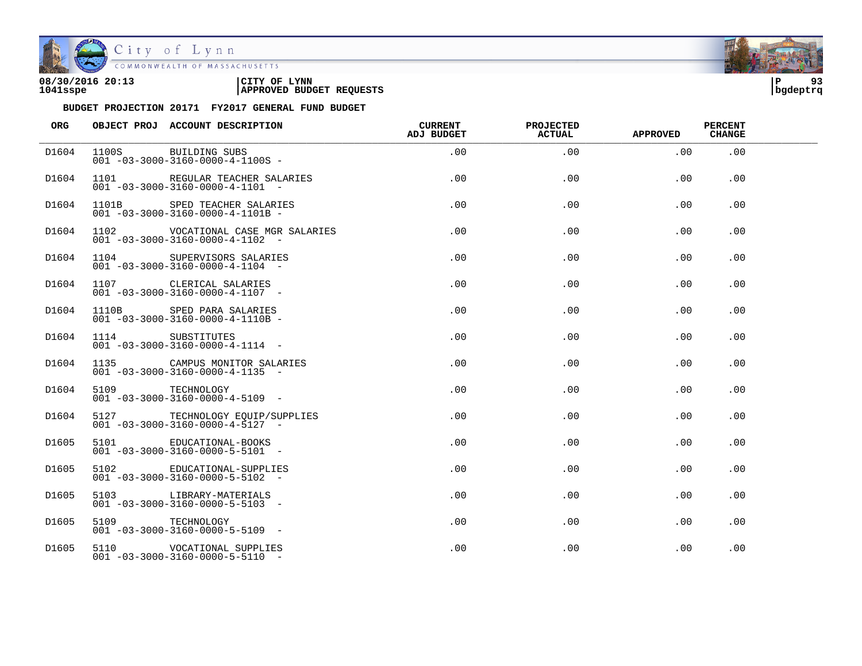

| 08/30/2016 20:13 | CITY OF<br><b>LYNN</b>          | l P      | n, |
|------------------|---------------------------------|----------|----|
| 1041sspe         | <b>APPROVED BUDGET REQUESTS</b> | bqdeptrq |    |

| ORG   |                 | OBJECT PROJ ACCOUNT DESCRIPTION                                                      | <b>CURRENT</b><br><b>ADJ BUDGET</b> | <b>PROJECTED</b><br>ACTUAL | <b>APPROVED</b> | <b>PERCENT</b><br><b>CHANGE</b> |  |
|-------|-----------------|--------------------------------------------------------------------------------------|-------------------------------------|----------------------------|-----------------|---------------------------------|--|
| D1604 |                 | 1100S BUILDING SUBS<br>$001 - 03 - 3000 - 3160 - 0000 - 4 - 1100S -$                 | .00                                 | .00                        | .00             | .00                             |  |
| D1604 |                 | 1101 REGULAR TEACHER SALARIES<br>$001 - 03 - 3000 - 3160 - 0000 - 4 - 1101 -$        | .00                                 | .00                        | .00             | .00                             |  |
| D1604 | 1101B           | SPED TEACHER SALARIES<br>$001 - 03 - 3000 - 3160 - 0000 - 4 - 1101B -$               | .00                                 | .00                        | .00             | .00                             |  |
| D1604 |                 | 1102    VOCATIONAL CASE MGR SALARIES<br>$001 - 03 - 3000 - 3160 - 0000 - 4 - 1102 -$ | $.00 \,$                            | .00                        | .00             | .00                             |  |
| D1604 |                 | 1104 SUPERVISORS SALARIES<br>$001 - 03 - 3000 - 3160 - 0000 - 4 - 1104 -$            | $.00 \,$                            | .00                        | .00             | .00                             |  |
| D1604 |                 | 1107 CLERICAL SALARIES<br>$001 - 03 - 3000 - 3160 - 0000 - 4 - 1107 -$               | .00                                 | .00                        | .00             | .00                             |  |
| D1604 |                 | 1110B SPED PARA SALARIES<br>$001 - 03 - 3000 - 3160 - 0000 - 4 - 1110B -$            | .00                                 | .00                        | .00             | .00                             |  |
| D1604 |                 | 1114 SUBSTITUTES<br>$001 - 03 - 3000 - 3160 - 0000 - 4 - 1114 -$                     | .00                                 | .00                        | .00             | .00                             |  |
| D1604 |                 | 1135 CAMPUS MONITOR SALARIES<br>$001 - 03 - 3000 - 3160 - 0000 - 4 - 1135$ -         | .00                                 | .00                        | .00             | .00                             |  |
| D1604 | 5109 TECHNOLOGY | $001 - 03 - 3000 - 3160 - 0000 - 4 - 5109$ -                                         | .00                                 | .00                        | .00             | .00                             |  |
| D1604 |                 | 5127 TECHNOLOGY EOUIP/SUPPLIES<br>$001 - 03 - 3000 - 3160 - 0000 - 4 - 5127 -$       | $.00 \,$                            | .00                        | .00             | .00                             |  |
| D1605 |                 | 5101 EDUCATIONAL-BOOKS<br>$001 - 03 - 3000 - 3160 - 0000 - 5 - 5101 -$               | $.00 \,$                            | .00                        | .00             | .00                             |  |
| D1605 |                 | 5102 EDUCATIONAL-SUPPLIES<br>$0.01 - 0.3 - 30.00 - 3160 - 0.000 - 5 - 5102 -$        | .00                                 | .00                        | .00             | .00                             |  |
| D1605 |                 | 5103 LIBRARY-MATERIALS<br>$001 - 03 - 3000 - 3160 - 0000 - 5 - 5103 -$               | .00                                 | .00                        | .00             | .00                             |  |
| D1605 | 5109 TECHNOLOGY | $001 - 03 - 3000 - 3160 - 0000 - 5 - 5109$ -                                         | $.00 \,$                            | .00                        | .00             | .00                             |  |
| D1605 |                 | 5110    VOCATIONAL SUPPLIES<br>$001 - 03 - 3000 - 3160 - 0000 - 5 - 5110 -$          | $.00 \,$                            | .00                        | .00             | .00                             |  |

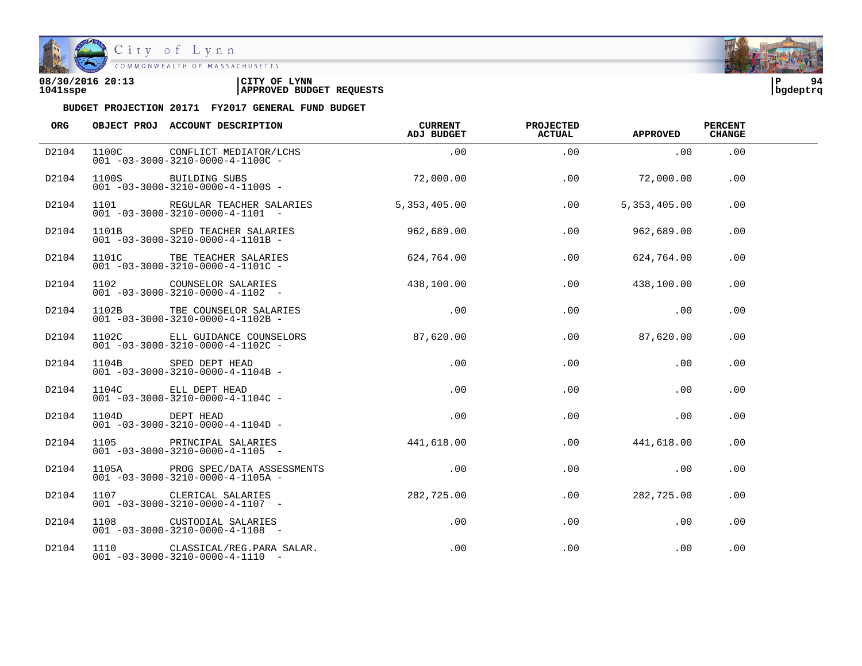

| 08/30/2016 20:13 | 'CITY OF<br><b>LYNN</b>         |          | 94 |
|------------------|---------------------------------|----------|----|
| 1041sspe         | <b>APPROVED BUDGET REQUESTS</b> | bgdeptrq |    |

| ORG   |                 | OBJECT PROJ ACCOUNT DESCRIPTION                                                          | CURRENT<br>ADJ BUDGET | <b>PROJECTED</b><br><b>ACTUAL</b> | <b>APPROVED</b> | <b>PERCENT</b><br><b>CHANGE</b> |  |
|-------|-----------------|------------------------------------------------------------------------------------------|-----------------------|-----------------------------------|-----------------|---------------------------------|--|
| D2104 |                 | 1100C CONFLICT MEDIATOR/LCHS<br>$001 - 03 - 3000 - 3210 - 0000 - 4 - 1100C -$            | .00                   | .00                               | .00             | .00                             |  |
| D2104 |                 | 1100S BUILDING SUBS<br>$001 - 03 - 3000 - 3210 - 0000 - 4 - 1100S -$                     | 72,000.00             | .00                               | 72,000.00       | .00                             |  |
| D2104 |                 | 1101 REGULAR TEACHER SALARIES<br>$001 - 03 - 3000 - 3210 - 0000 - 4 - 1101 -$            | 5, 353, 405.00        | .00                               | 5, 353, 405.00  | .00                             |  |
| D2104 |                 | 1101B SPED TEACHER SALARIES<br>$001 - 03 - 3000 - 3210 - 0000 - 4 - 1101B -$             | 962,689.00            | .00                               | 962,689.00      | .00                             |  |
| D2104 |                 | 1101C TBE TEACHER SALARIES<br>$001 - 03 - 3000 - 3210 - 0000 - 4 - 1101C -$              | 624,764.00            | .00                               | 624,764.00      | .00                             |  |
| D2104 |                 | 1102 COUNSELOR SALARIES 438,100.00<br>$001 - 03 - 3000 - 3210 - 0000 - 4 - 1102$ -       |                       | .00                               | 438,100.00      | .00                             |  |
| D2104 |                 | 1102B TBE COUNSELOR SALARIES<br>$001 - 03 - 3000 - 3210 - 0000 - 4 - 1102B -$            | .00                   | .00                               | .00             | .00                             |  |
| D2104 |                 | 1102C ELL GUIDANCE COUNSELORS 87,620.00<br>$001 - 03 - 3000 - 3210 - 0000 - 4 - 1102C -$ |                       | $.00 \,$                          | 87,620.00       | .00                             |  |
| D2104 | 1104B           | SPED DEPT HEAD<br>$001 - 03 - 3000 - 3210 - 0000 - 4 - 1104B -$                          | .00                   | .00                               | .00             | .00                             |  |
| D2104 |                 | 1104C ELL DEPT HEAD<br>$001 - 03 - 3000 - 3210 - 0000 - 4 - 1104C -$                     | .00                   | .00                               | .00             | .00                             |  |
| D2104 | 1104D DEPT HEAD | $001 - 03 - 3000 - 3210 - 0000 - 4 - 1104D -$                                            | $.00 \,$              | .00                               | .00             | .00                             |  |
| D2104 |                 | 1105 PRINCIPAL SALARIES<br>$001 - 03 - 3000 - 3210 - 0000 - 4 - 1105$ -                  | 441,618.00            | .00                               | 441,618.00      | .00                             |  |
| D2104 |                 | 1105A PROG SPEC/DATA ASSESSMENTS<br>$001 - 03 - 3000 - 3210 - 0000 - 4 - 1105A -$        | .00                   | .00                               | .00             | .00                             |  |
| D2104 |                 | 1107 CLERICAL SALARIES<br>$001 - 03 - 3000 - 3210 - 0000 - 4 - 1107 -$                   | 282,725.00            | .00                               | 282,725.00      | .00                             |  |
| D2104 |                 | 1108 CUSTODIAL SALARIES<br>$001 - 03 - 3000 - 3210 - 0000 - 4 - 1108 -$                  | $.00\,$               | .00                               | .00             | .00                             |  |
| D2104 |                 | 1110 CLASSICAL/REG. PARA SALAR.<br>$001 - 03 - 3000 - 3210 - 0000 - 4 - 1110 -$          | .00                   | .00                               | .00             | .00                             |  |

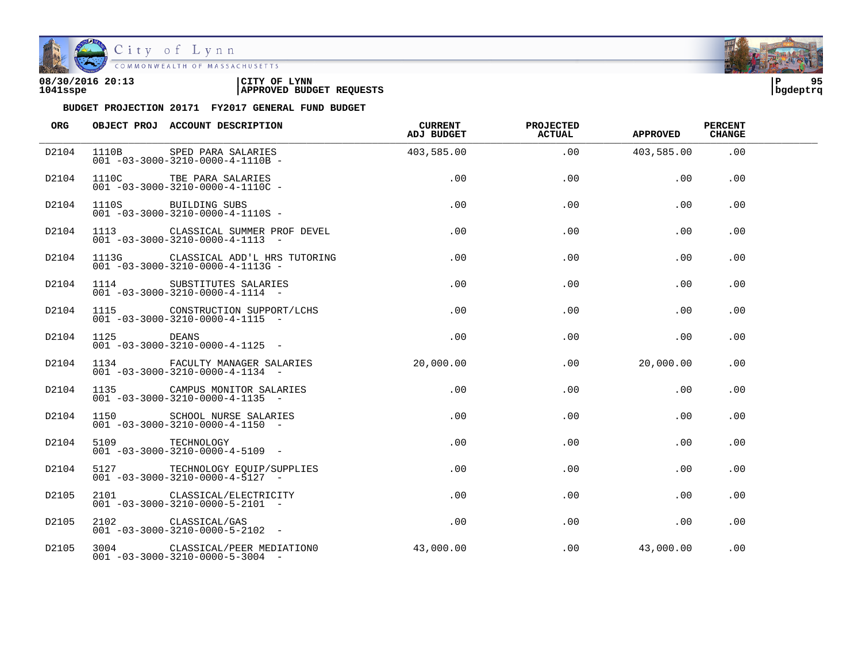

| 08/30/2016 20:13 | CITY OF LYNN                    | 95       |
|------------------|---------------------------------|----------|
| 1041sspe         | <b>APPROVED BUDGET REQUESTS</b> | bqdeptrq |
|                  |                                 |          |

| ORG   | OBJECT PROJ ACCOUNT DESCRIPTION                                                         | <b>CURRENT</b><br>ADJ BUDGET | <b>PROJECTED</b><br><b>ACTUAL</b> | <b>APPROVED</b>  | <b>PERCENT</b><br><b>CHANGE</b> |  |
|-------|-----------------------------------------------------------------------------------------|------------------------------|-----------------------------------|------------------|---------------------------------|--|
| D2104 | 1110B SPED PARA SALARIES<br>$001 - 03 - 3000 - 3210 - 0000 - 4 - 1110B -$               | 403,585.00                   | .00                               | 403,585.00       | .00                             |  |
| D2104 | 1110C TBE PARA SALARIES<br>$001 - 03 - 3000 - 3210 - 0000 - 4 - 1110C$ -                | .00                          | .00                               | .00              | .00                             |  |
| D2104 | 1110S BUILDING SUBS<br>$001 - 03 - 3000 - 3210 - 0000 - 4 - 1110S -$                    | .00                          | .00                               | .00              | .00                             |  |
| D2104 | 1113 CLASSICAL SUMMER PROF DEVEL<br>$001 - 03 - 3000 - 3210 - 0000 - 4 - 1113 - -$      | .00                          | .00                               | .00              | .00                             |  |
| D2104 | 1113G CLASSICAL ADD'L HRS TUTORING<br>$001 - 03 - 3000 - 3210 - 0000 - 4 - 1113G -$     | .00                          | .00                               | .00              | .00                             |  |
| D2104 | 1114 SUBSTITUTES SALARIES<br>$001 - 03 - 3000 - 3210 - 0000 - 4 - 1114 -$               | .00                          | .00                               | .00              | .00                             |  |
| D2104 | 1115 CONSTRUCTION SUPPORT/LCHS<br>$001 - 03 - 3000 - 3210 - 0000 - 4 - 1115 -$          | .00                          | .00                               | .00              | .00                             |  |
| D2104 | 1125 DEANS<br>001 -03-3000-3210-0000-4-1125 -                                           | .00                          | .00                               | .00              | .00                             |  |
| D2104 | 1134 FACULTY MANAGER SALARIES 20,000.00<br>$001 - 03 - 3000 - 3210 - 0000 - 4 - 1134 -$ |                              |                                   | .00<br>20,000.00 | .00                             |  |
| D2104 | 1135 CAMPUS MONITOR SALARIES<br>$001 - 03 - 3000 - 3210 - 0000 - 4 - 1135$ -            | .00                          | .00                               | .00              | .00                             |  |
| D2104 | 1150 SCHOOL NURSE SALARIES<br>$001 - 03 - 3000 - 3210 - 0000 - 4 - 1150 -$              | .00                          | .00                               | .00              | .00                             |  |
| D2104 | 5109 TECHNOLOGY<br>$001 - 03 - 3000 - 3210 - 0000 - 4 - 5109$ -                         | .00                          | .00                               | .00              | .00                             |  |
| D2104 | 5127 TECHNOLOGY EOUIP/SUPPLIES<br>$001 - 03 - 3000 - 3210 - 0000 - 4 - 5127$ -          | .00                          | .00                               | .00              | .00                             |  |
| D2105 | 2101 CLASSICAL/ELECTRICITY<br>$001 - 03 - 3000 - 3210 - 0000 - 5 - 2101 -$              | .00                          | .00                               | .00              | .00                             |  |
| D2105 | 2102 CLASSICAL/GAS<br>$001 - 03 - 3000 - 3210 - 0000 - 5 - 2102 -$                      | .00                          | .00                               | .00              | .00                             |  |
| D2105 | 3004 CLASSICAL/PEER MEDIATION0<br>$001 - 03 - 3000 - 3210 - 0000 - 5 - 3004$ -          | 43,000.00                    | .00                               | 43,000.00        | .00                             |  |

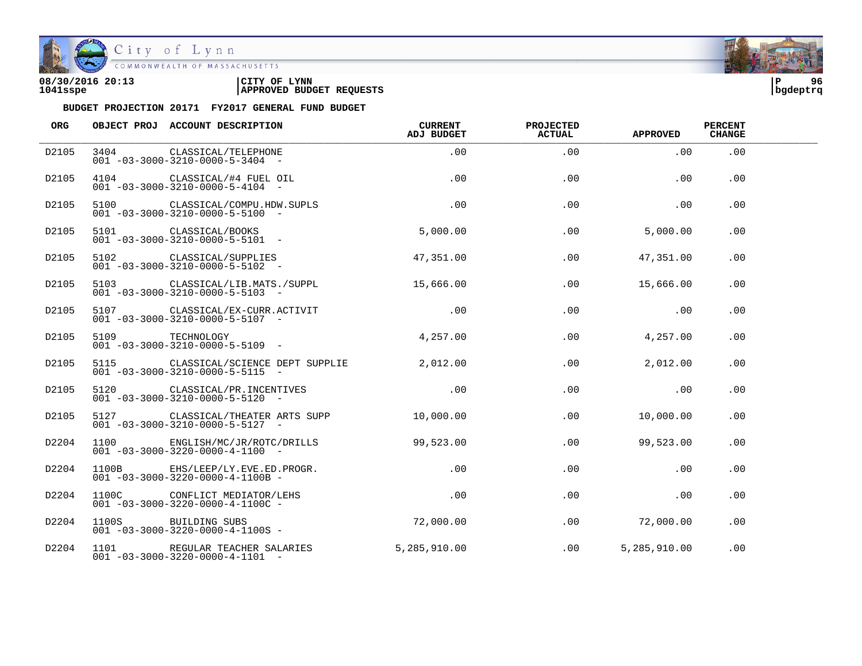

| 08/30/2016 20:13 | CITY OF<br><b>LYNN</b>          | l P      | 96 |
|------------------|---------------------------------|----------|----|
| 1041sspe         | <b>APPROVED BUDGET REQUESTS</b> | bgdeptrq |    |



| <b>ORG</b> | OBJECT PROJ ACCOUNT DESCRIPTION                                                     | <b>CURRENT</b><br>ADJ BUDGET | <b>PROJECTED</b><br><b>ACTUAL</b> | <b>APPROVED</b> | <b>PERCENT</b><br><b>CHANGE</b> |  |
|------------|-------------------------------------------------------------------------------------|------------------------------|-----------------------------------|-----------------|---------------------------------|--|
| D2105      | 3404 CLASSICAL/TELEPHONE<br>$001 - 03 - 3000 - 3210 - 0000 - 5 - 3404 -$            | .00                          | .00                               | .00             | .00                             |  |
| D2105      | 4104 CLASSICAL/#4 FUEL OIL<br>$001 - 03 - 3000 - 3210 - 0000 - 5 - 4104 -$          | .00                          | .00                               | .00             | .00                             |  |
| D2105      | 5100 CLASSICAL/COMPU.HDW.SUPLS<br>$001 - 03 - 3000 - 3210 - 0000 - 5 - 5100 -$      | .00                          | .00                               | .00             | .00                             |  |
| D2105      | 5101 CLASSICAL/BOOKS<br>$001 - 03 - 3000 - 3210 - 0000 - 5 - 5101 -$                | 5,000.00                     | .00                               | 5,000.00        | .00.                            |  |
| D2105      | 5102 CLASSICAL/SUPPLIES<br>$001 - 03 - 3000 - 3210 - 0000 - 5 - 5102 -$             | 47,351.00                    | .00                               | 47,351.00       | .00.                            |  |
| D2105      | 5103 CLASSICAL/LIB.MATS./SUPPL<br>$001 - 03 - 3000 - 3210 - 0000 - 5 - 5103$ -      | 15,666.00                    | $.00 \,$                          | 15,666.00       | .00                             |  |
| D2105      | 5107 CLASSICAL/EX-CURR.ACTIVIT<br>$001 - 03 - 3000 - 3210 - 0000 - 5 - 5107 -$      | .00                          | .00                               | .00             | .00                             |  |
| D2105      | 5109 TECHNOLOGY<br>$001 - 03 - 3000 - 3210 - 0000 - 5 - 5109$ -                     | 4,257.00                     | .00                               | 4,257.00        | .00.                            |  |
| D2105      | 5115 CLASSICAL/SCIENCE DEPT SUPPLIE<br>$001 - 03 - 3000 - 3210 - 0000 - 5 - 5115$ - | 2,012,00                     | .00                               | 2,012.00        | .00                             |  |
| D2105      | 5120 CLASSICAL/PR.INCENTIVES<br>$001 - 03 - 3000 - 3210 - 0000 - 5 - 5120 -$        | .00                          | .00                               | .00             | .00                             |  |
| D2105      | 5127 CLASSICAL/THEATER ARTS SUPP<br>$001 - 03 - 3000 - 3210 - 0000 - 5 - 5127 -$    | 10,000.00                    | .00                               | 10,000.00       | .00                             |  |
| D2204      | 1100 ENGLISH/MC/JR/ROTC/DRILLS<br>$001 - 03 - 3000 - 3220 - 0000 - 4 - 1100 -$      | 99,523.00                    | .00                               | 99,523.00       | .00                             |  |
| D2204      | 1100B EHS/LEEP/LY.EVE.ED.PROGR.<br>$001 - 03 - 3000 - 3220 - 0000 - 4 - 1100B -$    | .00                          | .00                               | .00             | .00                             |  |
| D2204      | 1100C CONFLICT MEDIATOR/LEHS<br>$001 - 03 - 3000 - 3220 - 0000 - 4 - 1100C -$       | .00                          | .00                               | .00             | .00                             |  |
| D2204      | 1100S BUILDING SUBS<br>$001 - 03 - 3000 - 3220 - 0000 - 4 - 1100S -$                | 72,000.00                    | .00                               | 72,000.00       | .00                             |  |
| D2204      | 1101 REGULAR TEACHER SALARIES<br>$001 - 03 - 3000 - 3220 - 0000 - 4 - 1101 -$       | 5,285,910.00                 | .00                               | 5,285,910.00    | .00                             |  |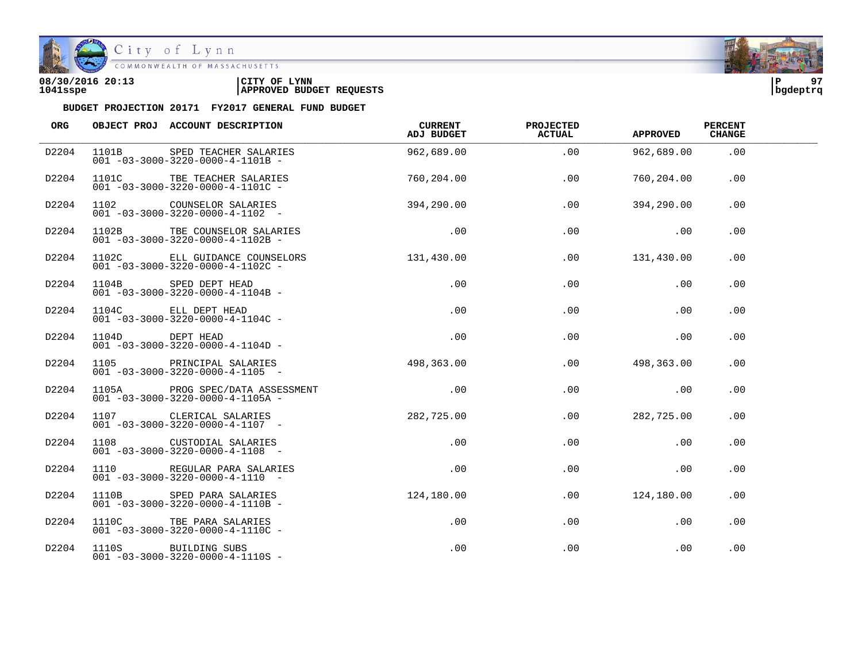

| 08/30/2016 20:13 | CITY OF<br><b>LYNN</b>          | l P      | 07 |
|------------------|---------------------------------|----------|----|
| 1041sspe         | <b>APPROVED BUDGET REQUESTS</b> | bqdeptrq |    |

| ORG   |      | OBJECT PROJ ACCOUNT DESCRIPTION                                                      | CURRENT<br>ADJ BUDGET | <b>PROJECTED</b><br><b>ACTUAL</b> | <b>APPROVED</b> | <b>PERCENT</b><br><b>CHANGE</b> |  |
|-------|------|--------------------------------------------------------------------------------------|-----------------------|-----------------------------------|-----------------|---------------------------------|--|
| D2204 |      | 1101B SPED TEACHER SALARIES<br>$001 - 03 - 3000 - 3220 - 0000 - 4 - 1101B -$         | 962,689.00            | .00                               | 962,689.00      | .00                             |  |
| D2204 |      | 1101C TBE TEACHER SALARIES<br>$001 - 03 - 3000 - 3220 - 0000 - 4 - 1101C$            | 760,204.00            | .00                               | 760,204.00      | .00                             |  |
| D2204 |      |                                                                                      | 394,290.00            | .00                               | 394,290.00      | .00                             |  |
| D2204 |      | 1102B TBE COUNSELOR SALARIES<br>$001 - 03 - 3000 - 3220 - 0000 - 4 - 1102B -$        | .00                   | .00                               | .00             | .00                             |  |
| D2204 |      | 1102C ELL GUIDANCE COUNSELORS<br>$001 - 03 - 3000 - 3220 - 0000 - 4 - 1102C$ -       | 131,430.00            |                                   | .00 131,430.00  | .00                             |  |
| D2204 |      | $1104B$ SPED DEPT HEAD<br>001 -03-3000-3220-0000-4-1104B -                           | .00                   | .00                               | .00             | .00                             |  |
| D2204 |      | 1104C ELL DEPT HEAD<br>$001 - 03 - 3000 - 3220 - 0000 - 4 - 1104C -$                 | .00                   | .00                               | .00             | .00                             |  |
| D2204 |      | $1104D$ DEPT HEAD<br>001 -03-3000-3220-0000-4-1104D -                                | $.00\,$               | .00                               | .00             | .00                             |  |
| D2204 | 1105 | PRINCIPAL SALARIES<br>$001 - 03 - 3000 - 3220 - 0000 - 4 - 1105$ -                   | 498,363.00            | .00                               | 498,363.00      | .00                             |  |
| D2204 |      | 1105A PROG SPEC/DATA ASSESSMENT<br>$001 - 03 - 3000 - 3220 - 0000 - 4 - 1105A -$     | .00                   | .00                               | $\sim$ 00       | .00                             |  |
| D2204 |      | 1107 CLERICAL SALARIES<br>$001 - 03 - 3000 - 3220 - 0000 - 4 - 1107$ -               | 282,725.00            | .00                               | 282,725.00      | .00                             |  |
| D2204 |      | 1108 CUSTODIAL SALARIES<br>$001 - 03 - 3000 - 3220 - 0000 - 4 - 1108 -$              | $.00\,$               | .00                               | .00             | .00                             |  |
| D2204 |      | 1110 REGULAR PARA SALARIES<br>$001 - 03 - 3000 - 3220 - 0000 - 4 - 1110 - -$         | $.00 \,$              | .00                               | .00             | .00                             |  |
| D2204 |      | 1110B SPED PARA SALARIES 124,180.00<br>$001 - 03 - 3000 - 3220 - 0000 - 4 - 1110B -$ |                       | $.00\,$                           | 124,180.00      | .00                             |  |
| D2204 |      | 1110C TBE PARA SALARIES<br>$001 - 03 - 3000 - 3220 - 0000 - 4 - 1110C -$             | $.00\,$               | .00                               | .00             | .00                             |  |
| D2204 |      | 1110S BUILDING SUBS<br>$001 - 03 - 3000 - 3220 - 0000 - 4 - 1110S -$                 | .00                   | .00                               | .00             | .00                             |  |

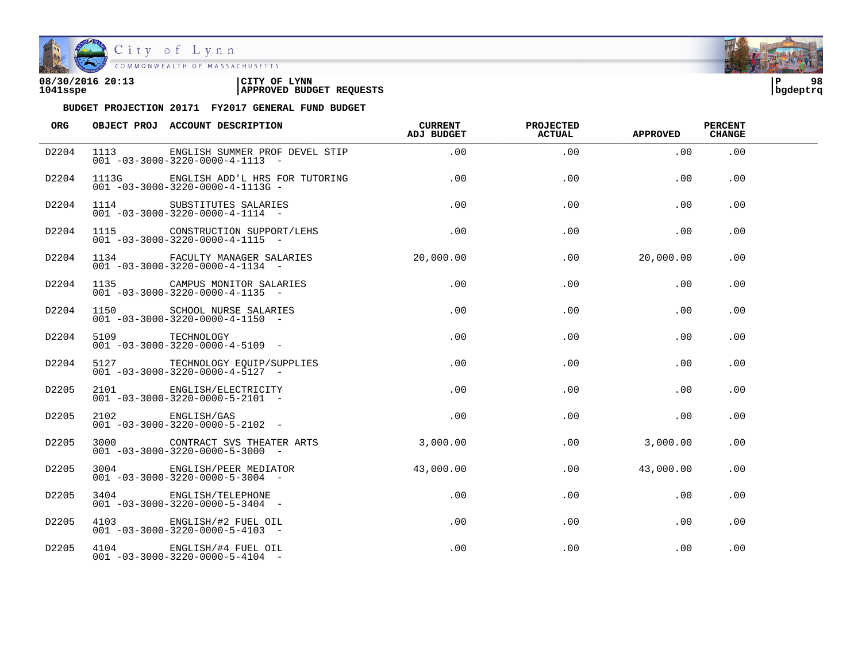

City of Lynn<br>COMMONWEALTH OF MASSACHUSETTS

| 08/30/2016 20:13 | 'CITY OF<br><b>LYNN</b>         | l P      | 98 |
|------------------|---------------------------------|----------|----|
| 1041sspe         | <b>APPROVED BUDGET REQUESTS</b> | bgdeptrq |    |

| <b>ORG</b> |       | OBJECT PROJ ACCOUNT DESCRIPTION                                                 | <b>CURRENT</b><br>ADJ BUDGET | <b>PROJECTED</b><br><b>ACTUAL</b> | <b>APPROVED</b> | <b>PERCENT</b><br><b>CHANGE</b> |  |
|------------|-------|---------------------------------------------------------------------------------|------------------------------|-----------------------------------|-----------------|---------------------------------|--|
| D2204      | 1113  | ENGLISH SUMMER PROF DEVEL STIP<br>$001 - 03 - 3000 - 3220 - 0000 - 4 - 1113 -$  | .00                          | .00                               | .00             | .00                             |  |
| D2204      | 1113G | ENGLISH ADD'L HRS FOR TUTORING<br>$001 - 03 - 3000 - 3220 - 0000 - 4 - 1113G -$ | .00                          | .00                               | .00             | .00.                            |  |
| D2204      |       | 1114 SUBSTITUTES SALARIES<br>$001 - 03 - 3000 - 3220 - 0000 - 4 - 1114 -$       | .00                          | .00                               | .00             | .00                             |  |
| D2204      |       | 1115 CONSTRUCTION SUPPORT/LEHS<br>$001 - 03 - 3000 - 3220 - 0000 - 4 - 1115 -$  | .00                          | .00                               | .00             | .00                             |  |
| D2204      |       | 1134 FACULTY MANAGER SALARIES<br>$001 - 03 - 3000 - 3220 - 0000 - 4 - 1134 -$   | 20,000.00                    | .00                               | 20,000.00       | .00                             |  |
| D2204      |       | 1135 CAMPUS MONITOR SALARIES<br>$001 - 03 - 3000 - 3220 - 0000 - 4 - 1135$ -    | $.00 \,$                     | $.00 \,$                          | .00             | .00                             |  |
| D2204      |       | 1150 SCHOOL NURSE SALARIES<br>$001 - 03 - 3000 - 3220 - 0000 - 4 - 1150 -$      | .00                          | .00                               | .00             | .00                             |  |
| D2204      |       | 5109 TECHNOLOGY<br>$001 - 03 - 3000 - 3220 - 0000 - 4 - 5109$ -                 | .00                          | .00                               | .00             | .00                             |  |
| D2204      |       | 5127 TECHNOLOGY EQUIP/SUPPLIES<br>$001 - 03 - 3000 - 3220 - 0000 - 4 - 5127 -$  | .00                          | .00                               | .00             | .00                             |  |
| D2205      |       | 2101 ENGLISH/ELECTRICITY<br>$001 - 03 - 3000 - 3220 - 0000 - 5 - 2101 -$        | $.00 \,$                     | $.00 \,$                          | .00             | $.00 \,$                        |  |
| D2205      |       | 2102 ENGLISH/GAS<br>$001 - 03 - 3000 - 3220 - 0000 - 5 - 2102$ -                | $.00 \,$                     | .00                               | .00             | .00                             |  |
| D2205      |       | 3000 CONTRACT SVS THEATER ARTS<br>$001 - 03 - 3000 - 3220 - 0000 - 5 - 3000$ -  | 3.000.00                     | .00                               | 3,000.00        | .00                             |  |
| D2205      |       | 3004 ENGLISH/PEER MEDIATOR<br>$001 - 03 - 3000 - 3220 - 0000 - 5 - 3004$ -      | 43,000.00                    | $.00 \,$                          | 43,000.00       | .00.                            |  |
| D2205      |       | 3404 ENGLISH/TELEPHONE<br>$001 - 03 - 3000 - 3220 - 0000 - 5 - 3404 -$          | .00                          | .00                               | .00             | .00                             |  |
| D2205      |       | 4103 ENGLISH/#2 FUEL OIL<br>$001 - 03 - 3000 - 3220 - 0000 - 5 - 4103$ -        | .00                          | .00                               | .00             | .00                             |  |
| D2205      |       | 4104 ENGLISH/#4 FUEL OIL<br>$001 - 03 - 3000 - 3220 - 0000 - 5 - 4104 -$        | .00                          | .00                               | .00             | .00                             |  |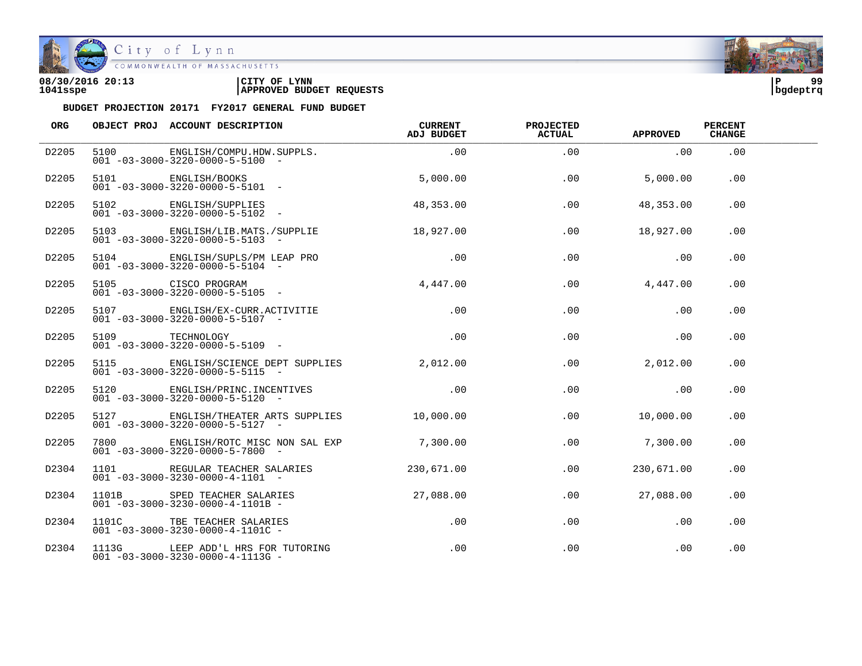

City of Lynn

| 08/30/2016 20:13 | LYNN<br>CITY OF                 | ΙP       | $\alpha$ |
|------------------|---------------------------------|----------|----------|
| 1041sspe         | <b>APPROVED BUDGET REQUESTS</b> | bqdeptrq |          |

| ORG   | OBJECT PROJ ACCOUNT DESCRIPTION                                                              | CURRENT<br>ADJ BUDGET | <b>PROJECTED</b><br><b>ACTUAL</b> | <b>APPROVED</b>              | <b>PERCENT</b><br><b>CHANGE</b> |  |
|-------|----------------------------------------------------------------------------------------------|-----------------------|-----------------------------------|------------------------------|---------------------------------|--|
| D2205 | 5100 ENGLISH/COMPU.HDW.SUPPLS.<br>$001 - 03 - 3000 - 3220 - 0000 - 5 - 5100 -$               | .00                   | .00                               | .00                          | .00                             |  |
| D2205 | 5101 ENGLISH/BOOKS<br>$001 - 03 - 3000 - 3220 - 0000 - 5 - 5101$ -                           | 5,000.00              | .00                               | 5,000.00                     | .00                             |  |
| D2205 | 5102 ENGLISH/SUPPLIES<br>$001 - 03 - 3000 - 3220 - 0000 - 5 - 5102 -$                        | 48,353.00             | .00                               | 48,353.00                    | .00                             |  |
| D2205 | 5103 ENGLISH/LIB.MATS./SUPPLIE<br>$001 - 03 - 3000 - 3220 - 0000 - 5 - 5103 -$               | 18,927.00             | $.00 \,$                          | 18,927.00                    | .00                             |  |
| D2205 | 5104 ENGLISH/SUPLS/PM LEAP PRO<br>$001 - 03 - 3000 - 3220 - 0000 - 5 - 5104 -$               | .00                   | .00                               | $\overline{\phantom{0}}$ .00 | $.00 \,$                        |  |
| D2205 | 5105 CISCO PROGRAM<br>$001 - 03 - 3000 - 3220 - 0000 - 5 - 5105$ -                           | 4,447.00              | .00                               | 4,447.00                     | .00.                            |  |
| D2205 | 5107 ENGLISH/EX-CURR.ACTIVITIE<br>$001 - 03 - 3000 - 3220 - 0000 - 5 - 5107 -$               | .00                   | .00                               | .00                          | .00.                            |  |
| D2205 | 5109 TECHNOLOGY<br>$001 - 03 - 3000 - 3220 - 0000 - 5 - 5109$ -                              | $\sim$ 00             | .00                               | $.00 \,$                     | .00                             |  |
| D2205 | 5115 ENGLISH/SCIENCE DEPT SUPPLIES 2,012.00<br>$001 - 03 - 3000 - 3220 - 0000 - 5 - 5115 -$  |                       | $.00 \,$                          | 2,012.00                     | .00                             |  |
| D2205 | 5120 ENGLISH/PRINC. INCENTIVES<br>$001 - 03 - 3000 - 3220 - 0000 - 5 - 5120 -$               | .00                   | .00                               | .00                          | $.00 \,$                        |  |
| D2205 | 5127 ENGLISH/THEATER ARTS SUPPLIES 10,000.00<br>$001 - 03 - 3000 - 3220 - 0000 - 5 - 5127 -$ |                       | .00                               | 10,000.00                    | .00                             |  |
| D2205 | 7800 ENGLISH/ROTC MISC NON SAL EXP 7,300.00<br>$001 - 03 - 3000 - 3220 - 0000 - 5 - 7800$ -  |                       | .00                               | 7,300.00                     | .00                             |  |
| D2304 | 1101 REGULAR TEACHER SALARIES<br>$001 - 03 - 3000 - 3230 - 0000 - 4 - 1101 -$                | 230,671.00            | .00                               | 230,671,00                   | .00                             |  |
| D2304 | 1101B SPED TEACHER SALARIES 27,088.00<br>$001 - 03 - 3000 - 3230 - 0000 - 4 - 1101B -$       |                       | .00                               | 27,088.00                    | .00                             |  |
| D2304 | 1101C TBE TEACHER SALARIES<br>$001 - 03 - 3000 - 3230 - 0000 - 4 - 1101C -$                  | .00                   | .00                               | .00                          | .00                             |  |
| D2304 | 1113G LEEP ADD'L HRS FOR TUTORING<br>$001 - 03 - 3000 - 3230 - 0000 - 4 - 1113G -$           | .00                   | .00                               | .00                          | .00                             |  |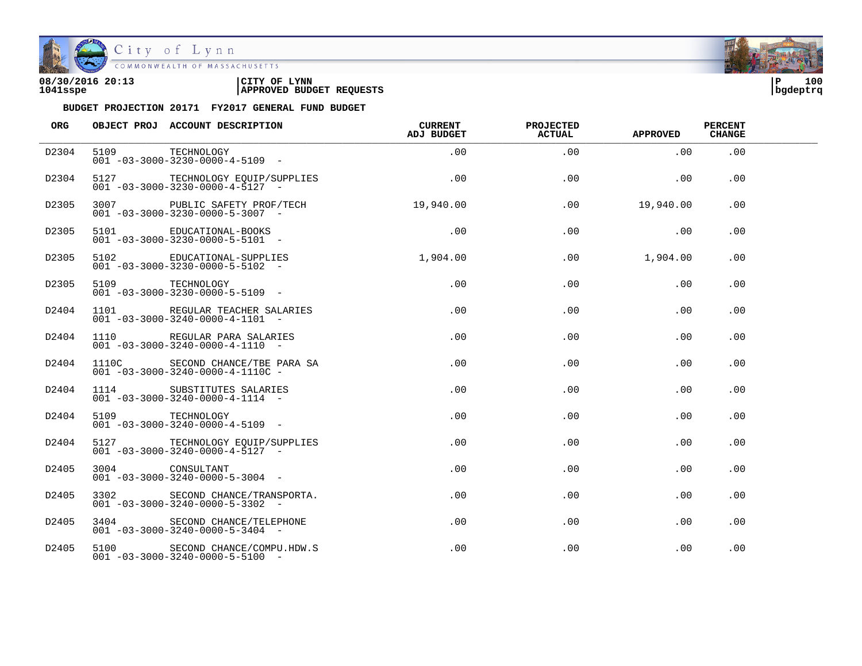

| 08/30/2016 20:13 | LYNN<br>CITY OF                 | ם ו      | 100 |
|------------------|---------------------------------|----------|-----|
| 1041sspe         | <b>APPROVED BUDGET REQUESTS</b> | bqdeptrq |     |



| <b>ORG</b> |                 | OBJECT PROJ ACCOUNT DESCRIPTION                                                  | <b>CURRENT</b><br><b>ADJ BUDGET</b> | <b>PROJECTED</b><br><b>ACTUAL</b> | <b>APPROVED</b> | <b>PERCENT</b><br><b>CHANGE</b> |  |
|------------|-----------------|----------------------------------------------------------------------------------|-------------------------------------|-----------------------------------|-----------------|---------------------------------|--|
| D2304      | 5109            | TECHNOLOGY<br>$001 - 03 - 3000 - 3230 - 0000 - 4 - 5109$ -                       | $.00 \,$                            | $.00 \,$                          | .00             | $.00 \,$                        |  |
| D2304      |                 | 5127 TECHNOLOGY EQUIP/SUPPLIES<br>$001 - 03 - 3000 - 3230 - 0000 - 4 - 5127$ -   | .00                                 | $.00 \,$                          | .00             | $.00 \,$                        |  |
| D2305      |                 | 3007 PUBLIC SAFETY PROF/TECH<br>$001 - 03 - 3000 - 3230 - 0000 - 5 - 3007$ -     | 19,940.00                           | .00                               | 19,940.00       | .00                             |  |
| D2305      |                 | 5101 EDUCATIONAL-BOOKS<br>$001 - 03 - 3000 - 3230 - 0000 - 5 - 5101 -$           | .00                                 | .00                               | .00             | .00                             |  |
| D2305      |                 | 5102 EDUCATIONAL-SUPPLIES<br>$001 - 03 - 3000 - 3230 - 0000 - 5 - 5102 -$        | 1,904,00                            | .00                               | 1,904.00        | .00                             |  |
| D2305      | 5109            | TECHNOLOGY<br>$001 - 03 - 3000 - 3230 - 0000 - 5 - 5109$ -                       | $.00 \,$                            | $.00 \,$                          | .00             | .00                             |  |
| D2404      |                 | 1101 REGULAR TEACHER SALARIES<br>$001 - 03 - 3000 - 3240 - 0000 - 4 - 1101 -$    | $.00 \,$                            | .00                               | .00             | .00                             |  |
| D2404      |                 | 1110 REGULAR PARA SALARIES<br>$001 - 03 - 3000 - 3240 - 0000 - 4 - 1110 -$       | $.00 \,$                            | .00                               | .00             | .00                             |  |
| D2404      |                 | 1110C SECOND CHANCE/TBE PARA SA<br>$001 - 03 - 3000 - 3240 - 0000 - 4 - 1110C -$ | .00                                 | .00                               | .00             | .00                             |  |
| D2404      |                 | 1114 SUBSTITUTES SALARIES<br>$001 - 03 - 3000 - 3240 - 0000 - 4 - 1114 -$        | .00                                 | .00                               | .00             | .00                             |  |
| D2404      | 5109 TECHNOLOGY | $001 - 03 - 3000 - 3240 - 0000 - 4 - 5109$ -                                     | .00                                 | .00                               | .00             | .00                             |  |
| D2404      |                 | 5127 TECHNOLOGY EQUIP/SUPPLIES<br>$001 - 03 - 3000 - 3240 - 0000 - 4 - 5127 -$   | .00                                 | .00                               | .00             | .00                             |  |
| D2405      | 3004 CONSULTANT | $001 - 03 - 3000 - 3240 - 0000 - 5 - 3004$ -                                     | $.00 \,$                            | .00                               | .00             | .00                             |  |
| D2405      |                 | 3302 SECOND CHANCE/TRANSPORTA.<br>$001 - 03 - 3000 - 3240 - 0000 - 5 - 3302 -$   | $.00 \,$                            | $.00 \,$                          | .00             | .00                             |  |
| D2405      |                 | 3404 SECOND CHANCE/TELEPHONE<br>$001 - 03 - 3000 - 3240 - 0000 - 5 - 3404 -$     | $.00 \,$                            | .00                               | .00             | .00                             |  |
| D2405      |                 | 5100 SECOND CHANCE/COMPU.HDW.S<br>$001 - 03 - 3000 - 3240 - 0000 - 5 - 5100$ -   | $.00 \,$                            | .00                               | .00             | .00                             |  |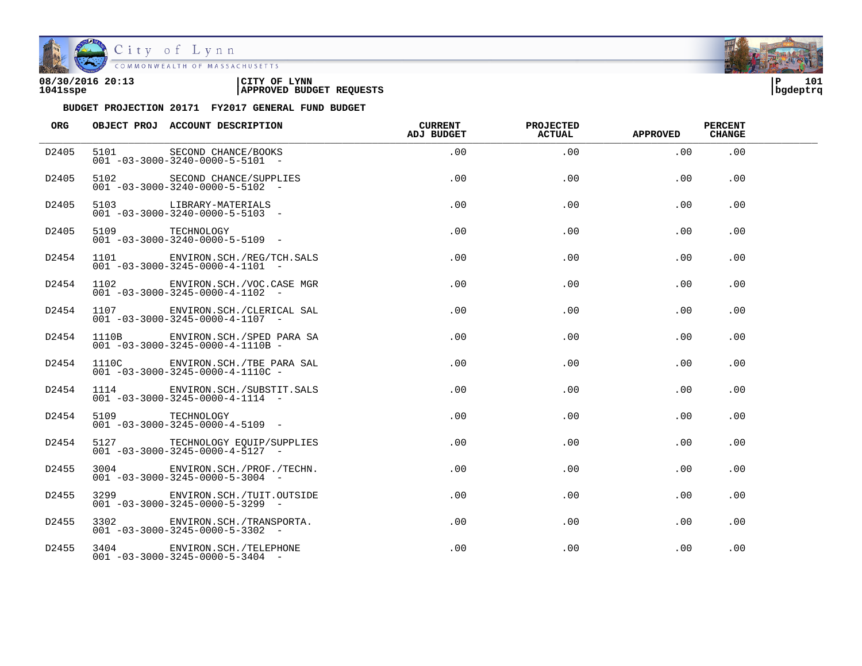

| 08/30/2016 20:13 | CITY OF<br><b>LYNN</b>          | l P      | 101 |
|------------------|---------------------------------|----------|-----|
| 1041sspe         | <b>APPROVED BUDGET REQUESTS</b> | bgdeptrq |     |

| ORG               |                 | OBJECT PROJ ACCOUNT DESCRIPTION                                                            | <b>CURRENT</b><br>ADJ BUDGET | <b>PROJECTED</b><br>ACTUAL | <b>APPROVED</b> | <b>PERCENT</b><br><b>CHANGE</b> |  |
|-------------------|-----------------|--------------------------------------------------------------------------------------------|------------------------------|----------------------------|-----------------|---------------------------------|--|
| D2405             |                 | 5101 SECOND CHANCE/BOOKS<br>001 -03-3000-3240-0000-5-5101 -<br>5102 SECOND CHANCE/SUPPLIES | .00                          | .00                        | .00             | .00                             |  |
| D2405             |                 | $001 - 03 - 3000 - 3240 - 0000 - 5 - 5102 -$                                               | .00                          | $.00 \,$                   | $.00 \,$        | .00                             |  |
| D2405             |                 | 5103 LIBRARY-MATERIALS<br>$001 - 03 - 3000 - 3240 - 0000 - 5 - 5103$ -                     | .00                          | .00                        | .00             | .00.                            |  |
| D2405             |                 | 5109 TECHNOLOGY<br>$0.01 - 0.3 - 30.00 - 3240 - 0.000 - 5 - 51.09$ -                       | .00                          | .00                        | .00             | .00.                            |  |
| D2454             |                 | 1101 ENVIRON. SCH. / REG/TCH. SALS<br>$001 - 03 - 3000 - 3245 - 0000 - 4 - 1101 -$         | .00                          | .00                        | $.00 \,$        | $.00 \,$                        |  |
| D2454             |                 | 1102 ENVIRON.SCH./VOC.CASE MGR<br>$001 - 03 - 3000 - 3245 - 0000 - 4 - 1102 -$             | .00                          | .00                        | .00             | .00                             |  |
| D2454             |                 | 1107 ENVIRON.SCH./CLERICAL SAL<br>$001 - 03 - 3000 - 3245 - 0000 - 4 - 1107$ -             | .00.                         | .00                        | .00             | .00.                            |  |
| D2454             |                 | 1110B ENVIRON.SCH./SPED PARA SA<br>$001 - 03 - 3000 - 3245 - 0000 - 4 - 1110B -$           | .00                          | .00                        | .00             | .00                             |  |
| D2454             |                 | 1110C ENVIRON.SCH./TBE PARA SAL<br>$001 - 03 - 3000 - 3245 - 0000 - 4 - 1110C -$           | .00                          | .00                        | .00             | .00                             |  |
| D2454             |                 | 1114 ENVIRON. SCH. / SUBSTIT. SALS<br>$001 - 03 - 3000 - 3245 - 0000 - 4 - 1114 -$         | .00                          | .00                        | .00.            | .00.                            |  |
| D2454             | 5109 TECHNOLOGY | $001 - 03 - 3000 - 3245 - 0000 - 4 - 5109$ -                                               | $.00 \,$                     | .00                        | .00             | .00.                            |  |
| D2454             |                 | 5127 TECHNOLOGY EQUIP/SUPPLIES<br>$001 - 03 - 3000 - 3245 - 0000 - 4 - 5127$ -             | .00                          | .00                        | .00             | .00                             |  |
| D2455             |                 | 3004 ENVIRON. SCH. / PROF. / TECHN.<br>$001 - 03 - 3000 - 3245 - 0000 - 5 - 3004$ -        | $.00 \,$                     | .00                        | .00             | . 00                            |  |
| D <sub>2455</sub> | 3299 and $\sim$ | ENVIRON.SCH./TUIT.OUTSIDE<br>$001 - 03 - 3000 - 3245 - 0000 - 5 - 3299$ -                  | .00                          | .00                        | .00.            | .00.                            |  |
| D2455             |                 | 3302 ENVIRON. SCH. / TRANSPORTA.<br>$001 - 03 - 3000 - 3245 - 0000 - 5 - 3302$ -           | $.00 \,$                     | .00                        | .00             | .00.                            |  |
| D2455             |                 | 3404 ENVIRON. SCH. / TELEPHONE<br>$001 - 03 - 3000 - 3245 - 0000 - 5 - 3404 -$             | .00                          | .00                        | .00             | .00                             |  |

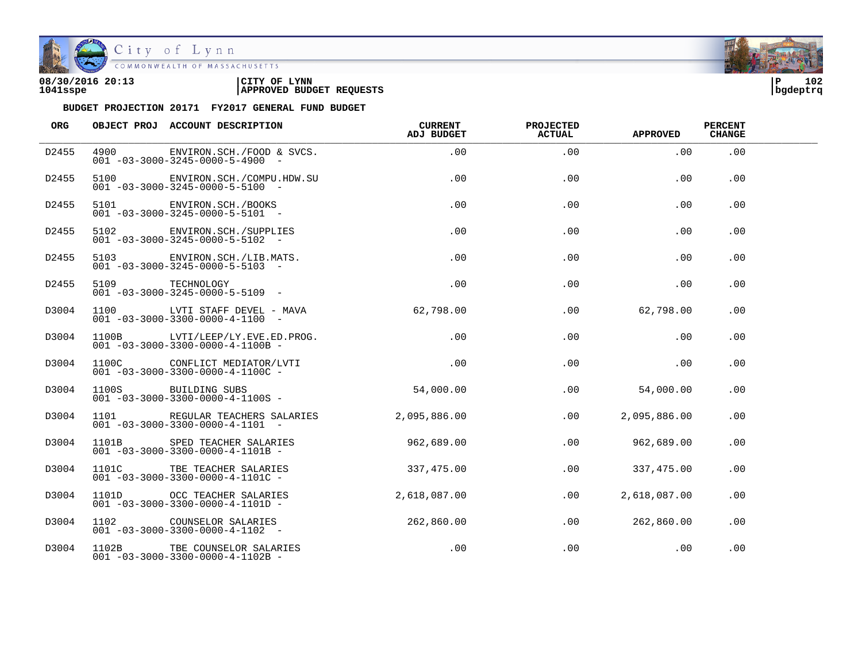

| 08/30/2016 20:13 | CITY OF<br><b>LYNN</b>          | l P      | 102 |
|------------------|---------------------------------|----------|-----|
| 1041sspe         | <b>APPROVED BUDGET REQUESTS</b> | bgdeptrq |     |

| ORG   |          | OBJECT PROJ ACCOUNT DESCRIPTION                                                  | CURRENT<br>ADJ BUDGET | <b>PROJECTED</b><br><b>ACTUAL</b> | APPROVED     | <b>PERCENT</b><br><b>CHANGE</b> |  |
|-------|----------|----------------------------------------------------------------------------------|-----------------------|-----------------------------------|--------------|---------------------------------|--|
| D2455 | 4900     | ENVIRON.SCH./FOOD & SVCS.<br>$001 - 03 - 3000 - 3245 - 0000 - 5 - 4900 -$        | .00                   | .00                               | .00          | .00                             |  |
| D2455 | 5100 710 | ENVIRON. SCH. / COMPU. HDW. SU<br>$001 - 03 - 3000 - 3245 - 0000 - 5 - 5100 -$   | .00                   | .00                               | .00          | .00                             |  |
| D2455 |          | 5101 ENVIRON.SCH./BOOKS<br>$001 - 03 - 3000 - 3245 - 0000 - 5 - 5101 -$          | .00                   | .00                               | .00          | .00                             |  |
| D2455 |          | 5102 ENVIRON. SCH. / SUPPLIES<br>$001 - 03 - 3000 - 3245 - 0000 - 5 - 5102 -$    | $.00 \,$              | .00                               | .00          | .00                             |  |
| D2455 |          | 5103 ENVIRON.SCH./LIB.MATS.<br>$001 - 03 - 3000 - 3245 - 0000 - 5 - 5103 -$      | .00                   | .00                               | .00          | .00                             |  |
| D2455 | 5109     | TECHNOLOGY<br>$001 - 03 - 3000 - 3245 - 0000 - 5 - 5109$ -                       | .00                   | .00                               | .00          | .00                             |  |
| D3004 |          | 1100 LVTI STAFF DEVEL - MAVA<br>$001 - 03 - 3000 - 3300 - 0000 - 4 - 1100 -$     | 62,798.00             | .00                               | 62,798.00    | .00                             |  |
| D3004 |          | 1100B LVTI/LEEP/LY.EVE.ED.PROG.<br>$001 - 03 - 3000 - 3300 - 0000 - 4 - 1100B -$ | .00                   | .00                               | .00          | .00                             |  |
| D3004 |          | 1100C CONFLICT MEDIATOR/LVTI<br>$001 - 03 - 3000 - 3300 - 0000 - 4 - 1100C -$    | $.00\,$               | $.00 \,$                          | .00          | $.00 \,$                        |  |
| D3004 |          | 1100S BUILDING SUBS<br>$001 - 03 - 3000 - 3300 - 0000 - 4 - 1100S -$             | 54,000.00             | .00                               | 54,000.00    | .00                             |  |
| D3004 |          | 1101 REGULAR TEACHERS SALARIES<br>$001 - 03 - 3000 - 3300 - 0000 - 4 - 1101 -$   | 2,095,886.00          | .00                               | 2,095,886.00 | .00                             |  |
| D3004 |          | 1101B SPED TEACHER SALARIES<br>$001 - 03 - 3000 - 3300 - 0000 - 4 - 1101B -$     | 962,689.00            | .00                               | 962,689.00   | .00                             |  |
| D3004 |          | 1101C TBE TEACHER SALARIES<br>$001 - 03 - 3000 - 3300 - 0000 - 4 - 1101C -$      | 337,475.00            | .00                               | 337,475.00   | .00                             |  |
| D3004 |          | 1101D OCC TEACHER SALARIES<br>$001 - 03 - 3000 - 3300 - 0000 - 4 - 1101D -$      | 2,618,087.00          | .00                               | 2,618,087.00 | .00                             |  |
| D3004 |          | 1102 COUNSELOR SALARIES<br>$001 - 03 - 3000 - 3300 - 0000 - 4 - 1102$ -          | 262,860.00            | .00                               | 262,860.00   | .00                             |  |
| D3004 |          | 1102B TBE COUNSELOR SALARIES<br>$001 - 03 - 3000 - 3300 - 0000 - 4 - 1102B -$    | .00                   | .00                               | .00          | .00                             |  |

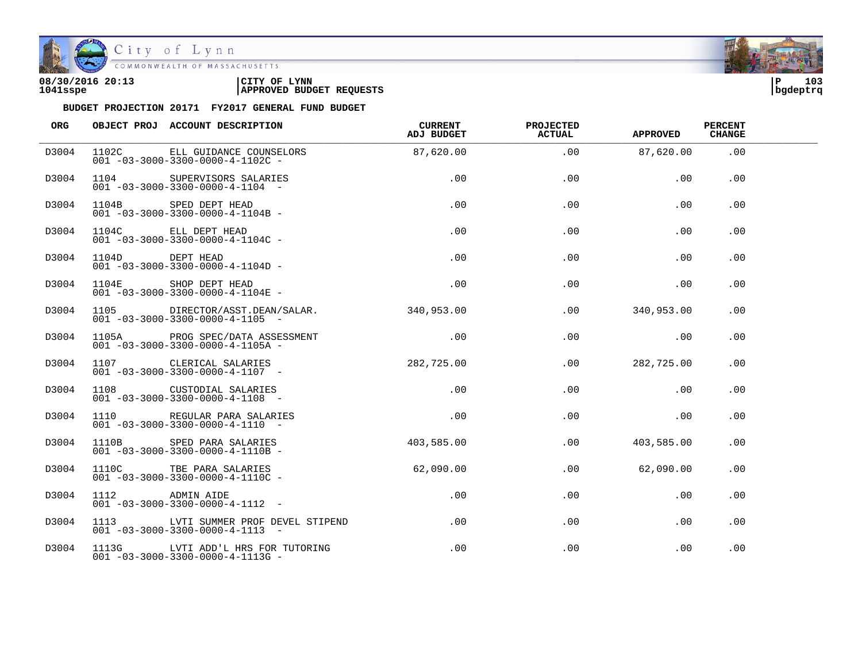

| 08/30/2016 20:13 | CITY OF<br><b>LYNN</b>          | 10 <sup>3</sup><br>l P |
|------------------|---------------------------------|------------------------|
| 1041sspe         | <b>APPROVED BUDGET REQUESTS</b> | bgdeptrq               |

| ORG   |                 | OBJECT PROJ ACCOUNT DESCRIPTION                                                           | CURRENT<br>ADJ BUDGET | <b>PROJECTED</b><br><b>ACTUAL</b> | <b>APPROVED</b> | <b>PERCENT</b><br><b>CHANGE</b> |  |
|-------|-----------------|-------------------------------------------------------------------------------------------|-----------------------|-----------------------------------|-----------------|---------------------------------|--|
| D3004 |                 | 1102C ELL GUIDANCE COUNSELORS<br>$001 - 03 - 3000 - 3300 - 0000 - 4 - 1102C -$            | 87,620.00             | .00                               | 87,620.00       | .00                             |  |
| D3004 |                 | 1104 SUPERVISORS SALARIES<br>$001 - 03 - 3000 - 3300 - 0000 - 4 - 1104$ -                 | .00                   | .00                               | .00             | .00                             |  |
| D3004 |                 | 1104B SPED DEPT HEAD<br>$001 - 03 - 3000 - 3300 - 0000 - 4 - 1104B -$                     | .00                   | .00                               | .00             | .00                             |  |
| D3004 |                 | 1104C ELL DEPT HEAD<br>$001 - 03 - 3000 - 3300 - 0000 - 4 - 1104C -$                      | .00                   | .00                               | .00             | .00                             |  |
| D3004 | 1104D DEPT HEAD | $001 - 03 - 3000 - 3300 - 0000 - 4 - 1104D -$                                             | .00                   | .00                               | .00             | .00                             |  |
| D3004 |                 | 1104E SHOP DEPT HEAD<br>$001 - 03 - 3000 - 3300 - 0000 - 4 - 1104E -$                     | .00                   | .00                               | .00             | .00                             |  |
| D3004 |                 | 1105 DIRECTOR/ASST.DEAN/SALAR. 340,953.00<br>$001 - 03 - 3000 - 3300 - 0000 - 4 - 1105$ - |                       | .00                               | 340,953.00      | .00                             |  |
| D3004 |                 | 1105A PROG SPEC/DATA ASSESSMENT<br>$001 - 03 - 3000 - 3300 - 0000 - 4 - 1105A -$          | .00                   | .00                               | .00             | .00                             |  |
| D3004 |                 | 1107 CLERICAL SALARIES<br>$001 - 03 - 3000 - 3300 - 0000 - 4 - 1107 -$                    | 282,725.00            | .00                               | 282,725.00      | $.00 \,$                        |  |
| D3004 |                 | 1108 CUSTODIAL SALARIES<br>001 -03-3000-3300-0000-4-1108 -                                | $.00 \,$              | $.00 \,$                          | .00             | .00                             |  |
| D3004 |                 | 1110 REGULAR PARA SALARIES<br>$001 - 03 - 3000 - 3300 - 0000 - 4 - 1110 - -$              | $.00 \,$              | .00                               | .00             | .00                             |  |
| D3004 |                 | 1110B SPED PARA SALARIES<br>$001 - 03 - 3000 - 3300 - 0000 - 4 - 1110B -$                 | 403,585.00            | .00                               | 403,585.00      | .00                             |  |
| D3004 |                 | 1110C TBE PARA SALARIES<br>$001 - 03 - 3000 - 3300 - 0000 - 4 - 1110C -$                  | 62,090.00             | .00                               | 62,090.00       | .00                             |  |
| D3004 | 1112 ADMIN AIDE | $001 - 03 - 3000 - 3300 - 0000 - 4 - 1112 -$                                              | .00                   | $.00 \,$                          | .00             | .00                             |  |
| D3004 |                 | 1113 LVTI SUMMER PROF DEVEL STIPEND<br>$001 - 03 - 3000 - 3300 - 0000 - 4 - 1113 - -$     | $.00 \,$              | .00                               | .00             | .00                             |  |
| D3004 |                 | 1113G LVTI ADD'L HRS FOR TUTORING<br>$001 - 03 - 3000 - 3300 - 0000 - 4 - 1113$ G -       | .00                   | .00                               | $.00 \,$        | .00                             |  |

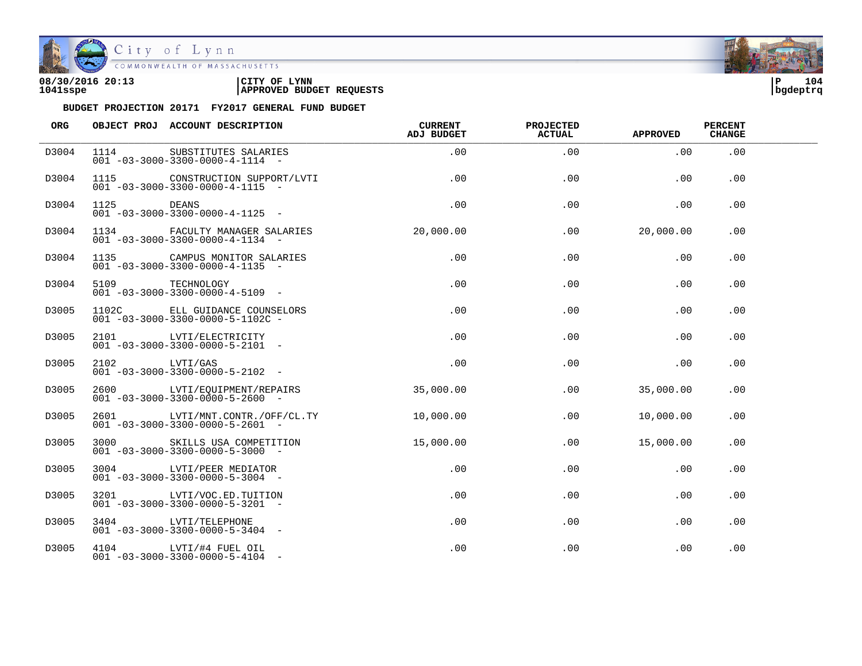

| 08/30/2016 20:13 | CITY OF<br><b>LYNN</b>          | l P      | 104 |
|------------------|---------------------------------|----------|-----|
| 1041sspe         | <b>APPROVED BUDGET REQUESTS</b> | bgdeptrq |     |



| ORG   |                      | OBJECT PROJ ACCOUNT DESCRIPTION                                                | <b>CURRENT</b><br>ADJ BUDGET | <b>PROJECTED</b><br><b>ACTUAL</b> | <b>APPROVED</b> | <b>PERCENT</b><br><b>CHANGE</b> |  |
|-------|----------------------|--------------------------------------------------------------------------------|------------------------------|-----------------------------------|-----------------|---------------------------------|--|
| D3004 | 1114                 | SUBSTITUTES SALARIES<br>$001 - 03 - 3000 - 3300 - 0000 - 4 - 1114 -$           | .00                          | .00                               | .00             | .00                             |  |
| D3004 | 1115                 | CONSTRUCTION SUPPORT/LVTI<br>$001 - 03 - 3000 - 3300 - 0000 - 4 - 1115 - -$    | .00                          | .00                               | .00             | .00                             |  |
| D3004 | 1125<br><b>DEANS</b> | $001 - 03 - 3000 - 3300 - 0000 - 4 - 1125 -$                                   | .00                          | .00                               | .00             | .00                             |  |
| D3004 |                      | 1134 FACULTY MANAGER SALARIES<br>$001 - 03 - 3000 - 3300 - 0000 - 4 - 1134 -$  | 20,000.00                    | $.00 \,$                          | 20,000.00       | $.00 \,$                        |  |
| D3004 |                      | 1135 CAMPUS MONITOR SALARIES<br>$001 - 03 - 3000 - 3300 - 0000 - 4 - 1135$ -   | .00                          | .00                               | $.00 \,$        | .00                             |  |
| D3004 | 5109                 | TECHNOLOGY<br>$001 - 03 - 3000 - 3300 - 0000 - 4 - 5109$ -                     | .00                          | .00                               | .00             | .00                             |  |
| D3005 |                      | 1102C ELL GUIDANCE COUNSELORS<br>$001 - 03 - 3000 - 3300 - 0000 - 5 - 1102C$ - | .00                          | .00                               | .00             | .00                             |  |
| D3005 |                      | 2101 LVTI/ELECTRICITY<br>$001 - 03 - 3000 - 3300 - 0000 - 5 - 2101 -$          | $.00 \,$                     | .00                               | .00             | .00                             |  |
| D3005 | 2102 LVTI/GAS        | $001 - 03 - 3000 - 3300 - 0000 - 5 - 2102 -$                                   | .00                          | .00                               | .00             | .00                             |  |
| D3005 |                      | 2600 LVTI/EQUIPMENT/REPAIRS<br>$001 - 03 - 3000 - 3300 - 0000 - 5 - 2600$ -    | 35,000.00                    | .00                               | 35,000.00       | .00                             |  |
| D3005 |                      | 2601 LVTI/MNT.CONTR./OFF/CL.TY<br>$001 - 03 - 3000 - 3300 - 0000 - 5 - 2601 -$ | 10,000.00                    | .00                               | 10,000.00       | .00                             |  |
| D3005 |                      | 3000 SKILLS USA COMPETITION<br>$001 - 03 - 3000 - 3300 - 0000 - 5 - 3000 -$    | 15,000.00                    | .00                               | 15,000.00       | .00                             |  |
| D3005 | 3004                 | LVTI/PEER MEDIATOR<br>$001 - 03 - 3000 - 3300 - 0000 - 5 - 3004$ -             | .00                          | .00                               | .00             | .00                             |  |
| D3005 |                      | 3201 LVTI/VOC.ED.TUITION<br>$001 - 03 - 3000 - 3300 - 0000 - 5 - 3201 -$       | .00                          | .00                               | .00             | .00                             |  |
| D3005 |                      | 3404 LVTI/TELEPHONE<br>$001 - 03 - 3000 - 3300 - 0000 - 5 - 3404 -$            | $.00 \,$                     | .00                               | $.00 \,$        | .00                             |  |
| D3005 |                      | 4104 LVTI/#4 FUEL OIL<br>$001 - 03 - 3000 - 3300 - 0000 - 5 - 4104 -$          | $.00 \,$                     | .00                               | .00             | .00                             |  |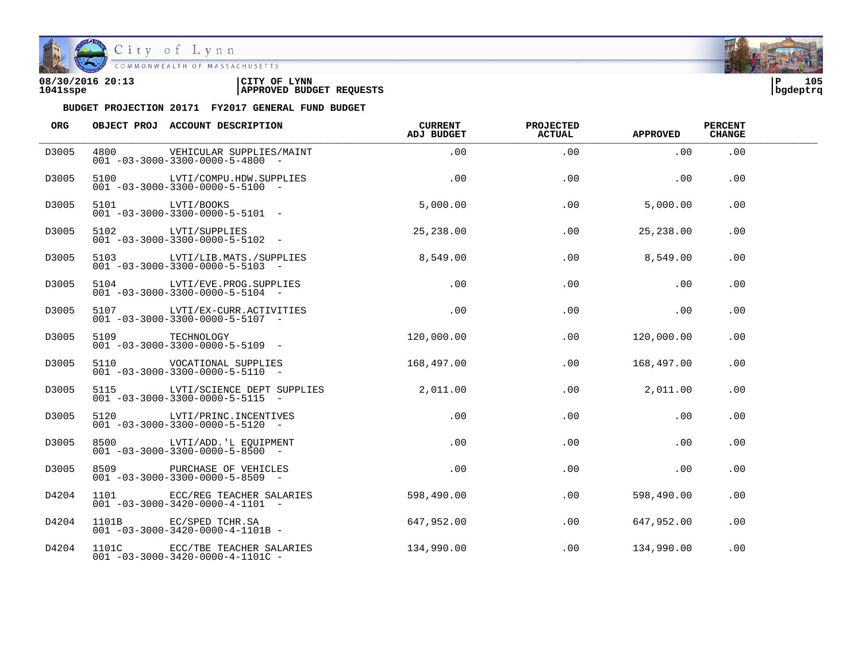

| 08/30/2016 20:13 | 'CITY OF<br><b>LYNN</b>         | l P      | 105 |
|------------------|---------------------------------|----------|-----|
| 1041sspe         | <b>APPROVED BUDGET REQUESTS</b> | bgdeptrq |     |



| ORG   |                 | OBJECT PROJ ACCOUNT DESCRIPTION                                                 | <b>CURRENT</b><br>ADJ BUDGET | <b>PROJECTED</b><br><b>ACTUAL</b> | <b>APPROVED</b> | <b>PERCENT</b><br><b>CHANGE</b> |  |
|-------|-----------------|---------------------------------------------------------------------------------|------------------------------|-----------------------------------|-----------------|---------------------------------|--|
| D3005 | 4800            | VEHICULAR SUPPLIES/MAINT<br>$001 - 03 - 3000 - 3300 - 0000 - 5 - 4800$ -        | .00                          | .00                               | .00             | .00                             |  |
| D3005 |                 | 5100 LVTI/COMPU.HDW.SUPPLIES<br>$001 - 03 - 3000 - 3300 - 0000 - 5 - 5100$ -    | .00                          | .00                               | .00             | .00                             |  |
| D3005 | 5101 LVTI/BOOKS | $001 - 03 - 3000 - 3300 - 0000 - 5 - 5101$ -                                    | 5,000.00                     | .00                               | 5,000.00        | .00                             |  |
| D3005 |                 | 5102 LVTI/SUPPLIES<br>$001 - 03 - 3000 - 3300 - 0000 - 5 - 5102 -$              | 25,238.00                    | .00                               | 25,238.00       | .00                             |  |
| D3005 |                 | 5103 LVTI/LIB.MATS./SUPPLIES<br>$001 - 03 - 3000 - 3300 - 0000 - 5 - 5103$ -    | 8,549.00                     | .00                               | 8,549.00        | .00                             |  |
| D3005 |                 | 5104 LVTI/EVE.PROG.SUPPLIES<br>$001 - 03 - 3000 - 3300 - 0000 - 5 - 5104 -$     | $.00 \,$                     | .00                               | $.00 \,$        | .00.                            |  |
| D3005 |                 | 5107 LVTI/EX-CURR.ACTIVITIES<br>$001 - 03 - 3000 - 3300 - 0000 - 5 - 5107 -$    | .00                          | .00                               | .00             | .00                             |  |
| D3005 |                 | 5109 TECHNOLOGY<br>$001 - 03 - 3000 - 3300 - 0000 - 5 - 5109$ -                 | 120,000.00                   | .00                               | 120,000.00      | .00                             |  |
| D3005 |                 | 5110 VOCATIONAL SUPPLIES<br>$001 - 03 - 3000 - 3300 - 0000 - 5 - 5110 -$        | 168,497.00                   | .00                               | 168,497.00      | .00                             |  |
| D3005 |                 | 5115 LVTI/SCIENCE DEPT SUPPLIES<br>$001 - 03 - 3000 - 3300 - 0000 - 5 - 5115 -$ | 2,011.00                     | $.00 \,$                          | 2,011.00        | $.00 \,$                        |  |
| D3005 |                 | 5120 LVTI/PRINC. INCENTIVES<br>$001 - 03 - 3000 - 3300 - 0000 - 5 - 5120 -$     | .00                          | .00                               | .00             | .00                             |  |
| D3005 |                 | 8500 LVTI/ADD. 'L EQUIPMENT<br>$001 - 03 - 3000 - 3300 - 0000 - 5 - 8500$ -     | .00                          | .00                               | .00             | .00                             |  |
| D3005 |                 | 8509 PURCHASE OF VEHICLES<br>$001 - 03 - 3000 - 3300 - 0000 - 5 - 8509$ -       | .00                          | .00                               | .00             | .00                             |  |
| D4204 |                 | 1101 ECC/REG TEACHER SALARIES<br>$001 - 03 - 3000 - 3420 - 0000 - 4 - 1101 -$   | 598,490.00                   | .00                               | 598,490.00      | .00                             |  |
| D4204 |                 | 1101B EC/SPED TCHR.SA<br>$001 - 03 - 3000 - 3420 - 0000 - 4 - 1101B -$          | 647,952.00                   | .00                               | 647,952.00      | .00                             |  |
| D4204 |                 | 1101C ECC/TBE TEACHER SALARIES<br>$001 - 03 - 3000 - 3420 - 0000 - 4 - 1101C -$ | 134,990.00                   | .00                               | 134,990.00      | .00                             |  |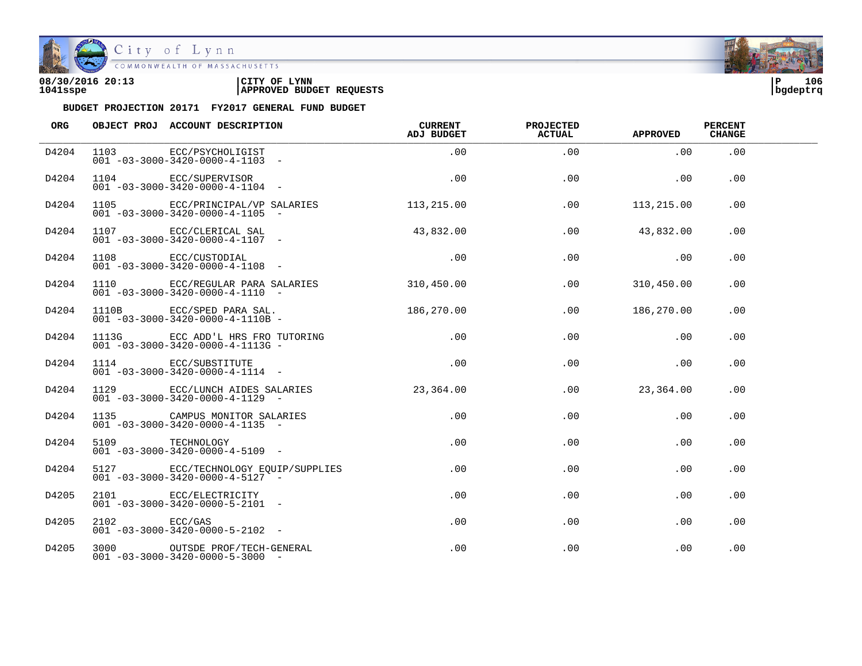

| 08/30/2016 20:13 | LYNN<br>CITY OF                 | םו       | 106 |
|------------------|---------------------------------|----------|-----|
| 1041sspe         | <b>APPROVED BUDGET REQUESTS</b> | bqdeptrq |     |

| <b>ORG</b> |              | OBJECT PROJ ACCOUNT DESCRIPTION                                                    | CURRENT<br>ADJ BUDGET | <b>PROJECTED</b><br><b>ACTUAL</b> | <b>APPROVED</b> | <b>PERCENT</b><br><b>CHANGE</b> |  |
|------------|--------------|------------------------------------------------------------------------------------|-----------------------|-----------------------------------|-----------------|---------------------------------|--|
| D4204      |              | 1103 ECC/PSYCHOLIGIST<br>$001 - 03 - 3000 - 3420 - 0000 - 4 - 1103 -$              | .00                   | .00                               | .00             | .00                             |  |
| D4204      |              | 1104 ECC/SUPERVISOR<br>$001 - 03 - 3000 - 3420 - 0000 - 4 - 1104$ -                | .00                   | .00                               | .00             | .00                             |  |
| D4204      |              | 1105 ECC/PRINCIPAL/VP SALARIES<br>$001 - 03 - 3000 - 3420 - 0000 - 4 - 1105$ -     | 113,215.00            | .00                               | 113,215.00      | .00                             |  |
| D4204      |              | 1107 ECC/CLERICAL SAL<br>$001 - 03 - 3000 - 3420 - 0000 - 4 - 1107$ -              | 43,832.00             | .00                               | 43,832.00       | .00                             |  |
| D4204      |              | 1108 ECC/CUSTODIAL<br>$001 - 03 - 3000 - 3420 - 0000 - 4 - 1108 -$                 | .00                   | .00                               | .00             | .00                             |  |
| D4204      |              | 1110 ECC/REGULAR PARA SALARIES<br>$001 - 03 - 3000 - 3420 - 0000 - 4 - 1110 -$     | 310,450.00            | .00                               | 310,450.00      | .00                             |  |
| D4204      |              | 1110B $\text{ECC/SRED}$ PARA SAL.<br>$001 - 03 - 3000 - 3420 - 0000 - 4 - 1110B -$ | 186,270.00            | .00                               | 186,270.00      | .00                             |  |
| D4204      |              | 1113G ECC ADD'L HRS FRO TUTORING<br>$001 - 03 - 3000 - 3420 - 0000 - 4 - 1113$ G - | $.00\,$               | .00                               | $.00 \,$        | .00                             |  |
| D4204      |              | 1114 ECC/SUBSTITUTE<br>$001 - 03 - 3000 - 3420 - 0000 - 4 - 1114 -$                | .00                   | .00                               | .00             | .00                             |  |
| D4204      |              | 1129 ECC/LUNCH AIDES SALARIES<br>$001 - 03 - 3000 - 3420 - 0000 - 4 - 1129$ -      | 23,364.00             | .00                               | 23,364.00       | .00                             |  |
| D4204      |              | 1135 CAMPUS MONITOR SALARIES<br>$001 - 03 - 3000 - 3420 - 0000 - 4 - 1135$ -       | .00                   | .00                               | $.00 \,$        | .00                             |  |
| D4204      |              | 5109 TECHNOLOGY<br>$001 - 03 - 3000 - 3420 - 0000 - 4 - 5109$ -                    | $.00\,$               | .00                               | $.00 \,$        | .00                             |  |
| D4204      |              | 5127 ECC/TECHNOLOGY EQUIP/SUPPLIES<br>$001 - 03 - 3000 - 3420 - 0000 - 4 - 5127$ - | .00                   | .00                               | $.00 \,$        | .00                             |  |
| D4205      |              | 2101 ECC/ELECTRICITY<br>$001 - 03 - 3000 - 3420 - 0000 - 5 - 2101 -$               | .00                   | $.00 \,$                          | $.00 \,$        | $.00 \,$                        |  |
| D4205      | 2102 ECC/GAS | $001 - 03 - 3000 - 3420 - 0000 - 5 - 2102$ -                                       | .00                   | .00                               | $.00 \,$        | .00                             |  |
| D4205      |              | 3000 OUTSDE PROF/TECH-GENERAL<br>$001 - 03 - 3000 - 3420 - 0000 - 5 - 3000 -$      | .00                   | $.00 \,$                          | .00             | .00                             |  |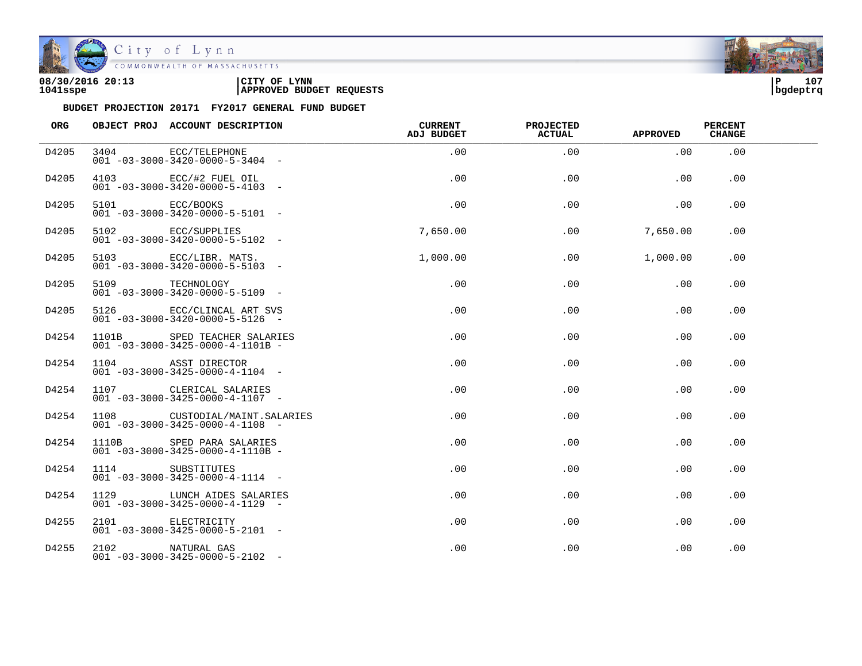

| 08/30/2016 20:13 | LYNN<br>CITY OF                 | םו       | 107 |
|------------------|---------------------------------|----------|-----|
| 1041sspe         | <b>APPROVED BUDGET REQUESTS</b> | bqdeptrq |     |

| ORG   |                 | OBJECT PROJ ACCOUNT DESCRIPTION                                                 | <b>CURRENT</b><br><b>ADJ BUDGET</b> | <b>PROJECTED</b><br>ACTUAL | <b>APPROVED</b> | <b>PERCENT</b><br><b>CHANGE</b> |  |
|-------|-----------------|---------------------------------------------------------------------------------|-------------------------------------|----------------------------|-----------------|---------------------------------|--|
| D4205 | 3404            | ECC/TELEPHONE<br>$001 - 03 - 3000 - 3420 - 0000 - 5 - 3404 -$                   | .00                                 | .00                        | .00             | .00                             |  |
| D4205 |                 | 4103 ECC/#2 FUEL OIL<br>$001 - 03 - 3000 - 3420 - 0000 - 5 - 4103$ -            | .00                                 | .00                        | .00             | .00                             |  |
| D4205 | 5101 ECC/BOOKS  | $001 - 03 - 3000 - 3420 - 0000 - 5 - 5101 -$                                    | .00                                 | .00                        | .00             | .00                             |  |
| D4205 |                 | 5102 ECC/SUPPLIES<br>$001 - 03 - 3000 - 3420 - 0000 - 5 - 5102$ -               | 7,650.00                            | .00                        | 7,650.00        | .00                             |  |
| D4205 |                 | 5103 ECC/LIBR. MATS.<br>$001 - 03 - 3000 - 3420 - 0000 - 5 - 5103 -$            | 1,000.00                            | .00                        | 1,000.00        | $.00 \,$                        |  |
| D4205 | 5109 TECHNOLOGY | $001 - 03 - 3000 - 3420 - 0000 - 5 - 5109$ -                                    | .00                                 | .00                        | .00             | .00                             |  |
| D4205 |                 | 5126 ECC/CLINCAL ART SVS<br>$001 - 03 - 3000 - 3420 - 0000 - 5 - 5126 -$        | .00                                 | .00                        | .00             | .00                             |  |
| D4254 |                 | 1101B SPED TEACHER SALARIES<br>$001 - 03 - 3000 - 3425 - 0000 - 4 - 1101B -$    | .00                                 | .00                        | .00             | .00                             |  |
| D4254 |                 | 1104 ASST DIRECTOR<br>$001 - 03 - 3000 - 3425 - 0000 - 4 - 1104 -$              | .00                                 | .00                        | .00             | .00                             |  |
| D4254 |                 | 1107 CLERICAL SALARIES<br>$001 - 03 - 3000 - 3425 - 0000 - 4 - 1107$ -          | .00                                 | .00                        | .00             | .00                             |  |
| D4254 |                 | 1108 CUSTODIAL/MAINT.SALARIES<br>$001 - 03 - 3000 - 3425 - 0000 - 4 - 1108 -$   | $.00 \,$                            | .00                        | .00             | .00                             |  |
| D4254 |                 | 1110B SPED PARA SALARIES<br>$001 - 03 - 3000 - 3425 - 0000 - 4 - 1110B -$       | .00                                 | .00                        | .00             | .00                             |  |
| D4254 | 1114            | SUBSTITUTES<br>$001 - 03 - 3000 - 3425 - 0000 - 4 - 1114 -$                     | .00                                 | .00                        | .00             | .00                             |  |
| D4254 |                 | 1129 LUNCH AIDES SALARIES<br>$0.01 - 0.3 - 30.00 - 34.25 - 0.000 - 4 - 11.29 -$ | .00                                 | .00                        | .00             | .00                             |  |
| D4255 |                 | 2101 ELECTRICITY<br>$001 - 03 - 3000 - 3425 - 0000 - 5 - 2101 -$                | .00                                 | .00                        | .00             | .00                             |  |
| D4255 |                 | 2102 NATURAL GAS<br>$001 - 03 - 3000 - 3425 - 0000 - 5 - 2102 -$                | $.00 \,$                            | .00                        | .00             | .00                             |  |

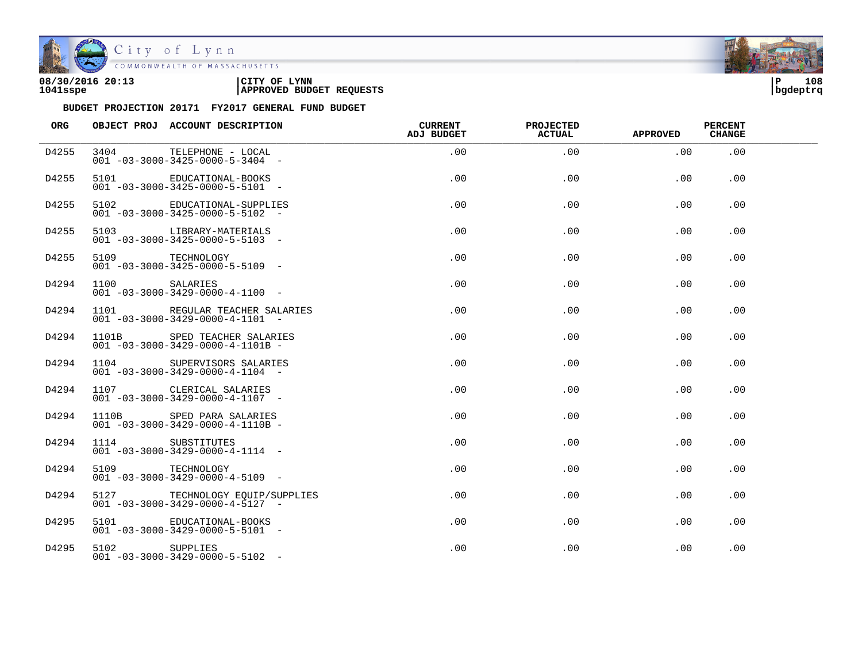

| 08/30/2016 20:13 | CITY OF<br><b>LYNN</b>          | 108<br>l P |
|------------------|---------------------------------|------------|
| 1041sspe         | <b>APPROVED BUDGET REQUESTS</b> | bqdeptrq   |

| ORG   |                  | OBJECT PROJ ACCOUNT DESCRIPTION                                                      | <b>CURRENT</b><br><b>ADJ BUDGET</b> | <b>PROJECTED</b><br>ACTUAL | <b>APPROVED</b> | <b>PERCENT</b><br><b>CHANGE</b> |  |
|-------|------------------|--------------------------------------------------------------------------------------|-------------------------------------|----------------------------|-----------------|---------------------------------|--|
| D4255 | 3404             | TELEPHONE - LOCAL<br>$001 - 03 - 3000 - 3425 - 0000 - 5 - 3404 -$                    | .00                                 | .00                        | .00             | .00                             |  |
| D4255 | 5101             | EDUCATIONAL-BOOKS<br>$001 - 03 - 3000 - 3425 - 0000 - 5 - 5101 -$                    | .00                                 | .00                        | .00             | .00                             |  |
| D4255 |                  | 5102 EDUCATIONAL-SUPPLIES<br>$001 - 03 - 3000 - 3425 - 0000 - 5 - 5102 -$            | .00                                 | .00                        | .00             | .00                             |  |
| D4255 |                  | 5103 LIBRARY-MATERIALS<br>$001 - 03 - 3000 - 3425 - 0000 - 5 - 5103 -$               | .00                                 | .00                        | .00             | .00                             |  |
| D4255 | 5109 TECHNOLOGY  | $001 - 03 - 3000 - 3425 - 0000 - 5 - 5109$ -                                         | $.00 \,$                            | .00                        | .00             | $.00 \,$                        |  |
| D4294 | 1100             | SALARIES<br>$001 - 03 - 3000 - 3429 - 0000 - 4 - 1100 -$                             | .00                                 | .00                        | .00             | .00                             |  |
| D4294 |                  | 1101 REGULAR TEACHER SALARIES<br>$001 - 03 - 3000 - 3429 - 0000 - 4 - 1101 -$        | .00                                 | .00                        | .00             | .00                             |  |
| D4294 |                  | 1101B SPED TEACHER SALARIES<br>$001 - 03 - 3000 - 3429 - 0000 - 4 - 1101B -$         | .00                                 | .00                        | .00             | .00                             |  |
| D4294 | 1104             | SUPERVISORS SALARIES<br>$001 - 03 - 3000 - 3429 - 0000 - 4 - 1104 -$                 | .00                                 | .00                        | .00             | .00                             |  |
| D4294 |                  | 1107 CLERICAL SALARIES<br>$001 - 03 - 3000 - 3429 - 0000 - 4 - 1107$ -               | .00                                 | .00                        | .00             | .00.                            |  |
| D4294 |                  | 1110B SPED PARA SALARIES<br>$001 - 03 - 3000 - 3429 - 0000 - 4 - 1110B -$            | $.00 \,$                            | .00                        | .00             | .00                             |  |
| D4294 | 1114 SUBSTITUTES | $001 - 03 - 3000 - 3429 - 0000 - 4 - 1114 -$                                         | $.00 \,$                            | .00                        | .00             | .00                             |  |
| D4294 | 5109 TECHNOLOGY  | $0.01 - 0.3 - 30.00 - 34.29 - 0.000 - 4 - 51.09 - 6.000$                             | .00                                 | .00                        | .00             | .00                             |  |
| D4294 |                  | 5127 TECHNOLOGY EQUIP/SUPPLIES<br>$0.01 - 0.3 - 30.00 - 34.29 - 0.000 - 4 - 51.27 -$ | .00                                 | .00                        | .00             | .00                             |  |
| D4295 |                  | 5101 EDUCATIONAL-BOOKS<br>$001 - 03 - 3000 - 3429 - 0000 - 5 - 5101 -$               | .00                                 | .00                        | .00             | .00                             |  |
| D4295 | 5102 SUPPLIES    | $001 - 03 - 3000 - 3429 - 0000 - 5 - 5102 -$                                         | .00                                 | .00                        | .00             | .00                             |  |

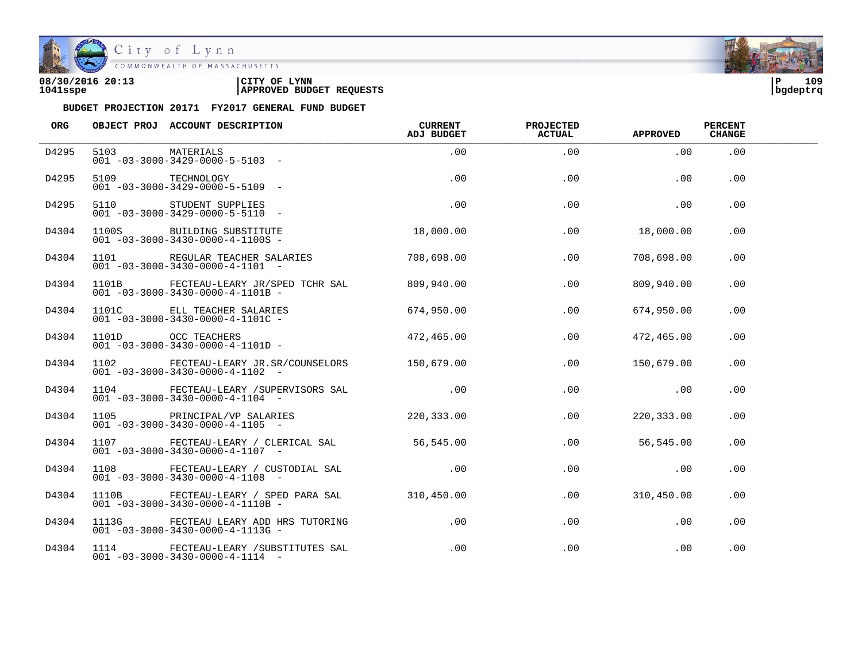

City of Lynn<br>COMMONWEALTH OF MASSACHUSETTS

| 08/30/2016 20:13 | LYNN<br>CITY OF                 | ם ו      | 109 |
|------------------|---------------------------------|----------|-----|
| 1041sspe         | <b>APPROVED BUDGET REQUESTS</b> | bqdeptrq |     |

| ORG   |                | OBJECT PROJ ACCOUNT DESCRIPTION                                                                  | <b>CURRENT</b><br>ADJ BUDGET | <b>PROJECTED</b><br><b>ACTUAL</b> | APPROVED   | <b>PERCENT</b><br><b>CHANGE</b> |  |
|-------|----------------|--------------------------------------------------------------------------------------------------|------------------------------|-----------------------------------|------------|---------------------------------|--|
| D4295 | 5103 MATERIALS | $001 - 03 - 3000 - 3429 - 0000 - 5 - 5103 -$                                                     | .00                          | .00                               | .00        | .00                             |  |
| D4295 |                | 5109 TECHNOLOGY<br>$001 - 03 - 3000 - 3429 - 0000 - 5 - 5109$ -                                  | .00                          | .00                               | .00        | .00                             |  |
| D4295 |                | 5110 STUDENT SUPPLIES<br>$001 - 03 - 3000 - 3429 - 0000 - 5 - 5110 -$                            | .00                          | .00                               | .00        | .00                             |  |
| D4304 |                | 1100S BUILDING SUBSTITUTE<br>$001 - 03 - 3000 - 3430 - 0000 - 4 - 1100S -$                       | 18,000.00                    | .00                               | 18,000.00  | .00                             |  |
| D4304 |                | 1101 REGULAR TEACHER SALARIES 708,698.00<br>$001 - 03 - 3000 - 3430 - 0000 - 4 - 1101 -$         |                              | .00                               | 708,698.00 | .00                             |  |
| D4304 |                | 1101B FECTEAU-LEARY JR/SPED TCHR SAL 809,940.00<br>$001 - 03 - 3000 - 3430 - 0000 - 4 - 1101B -$ |                              | .00                               | 809,940.00 | .00                             |  |
| D4304 |                | 1101C ELL TEACHER SALARIES<br>$001 - 03 - 3000 - 3430 - 0000 - 4 - 1101C -$                      | 674,950.00                   | .00                               | 674,950.00 | .00                             |  |
| D4304 |                | $1101D$ OCC TEACHERS $472,465.00$<br>$001 - 03 - 3000 - 3430 - 0000 - 4 - 1101D -$               |                              | .00                               | 472,465.00 | .00.                            |  |
| D4304 |                | 1102 FECTEAU-LEARY JR.SR/COUNSELORS 150,679.00<br>$001 - 03 - 3000 - 3430 - 0000 - 4 - 1102 -$   |                              | .00                               | 150,679.00 | .00                             |  |
| D4304 |                | 1104 FECTEAU-LEARY / SUPERVISORS SAL .00<br>$001 - 03 - 3000 - 3430 - 0000 - 4 - 1104 -$         |                              | .00                               | $\sim$ 00  | .00                             |  |
| D4304 |                | 1105 PRINCIPAL/VP SALARIES 220,333.00<br>$001 - 03 - 3000 - 3430 - 0000 - 4 - 1105$ -            |                              | .00                               | 220,333.00 | .00                             |  |
| D4304 |                | 1107 FECTEAU-LEARY / CLERICAL SAL 56,545.00<br>$001 - 03 - 3000 - 3430 - 0000 - 4 - 1107 -$      |                              | .00                               | 56,545.00  | .00                             |  |
| D4304 |                | 1108 FECTEAU-LEARY / CUSTODIAL SAL .00<br>$001 - 03 - 3000 - 3430 - 0000 - 4 - 1108 -$           |                              | .00                               | .00        | .00                             |  |
| D4304 |                | 1110B FECTEAU-LEARY / SPED PARA SAL 310,450.00<br>$001 - 03 - 3000 - 3430 - 0000 - 4 - 1110B -$  |                              | .00                               | 310,450.00 | .00.                            |  |
| D4304 |                | 1113G FECTEAU LEARY ADD HRS TUTORING<br>$001 - 03 - 3000 - 3430 - 0000 - 4 - 1113G -$            | $.00\,$                      | .00                               | .00        | .00                             |  |
| D4304 |                | 1114 FECTEAU-LEARY / SUBSTITUTES SAL<br>$001 - 03 - 3000 - 3430 - 0000 - 4 - 1114 -$             | $.00\,$                      | $.00 \,$                          | .00        | .00                             |  |

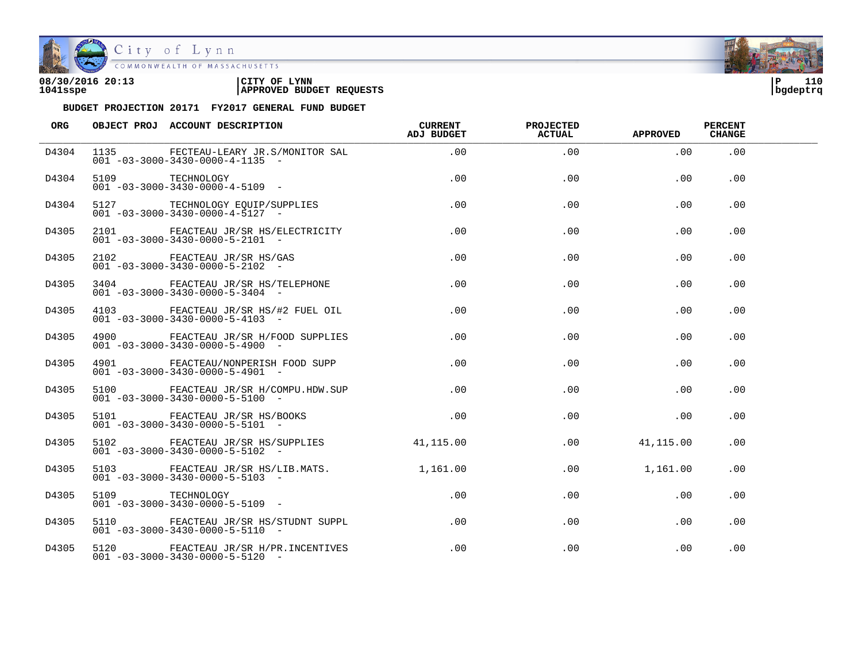

| 08/30/2016 20:13 | LYNN<br>CITY OF                 | ם ו      | 110 |
|------------------|---------------------------------|----------|-----|
| 1041sspe         | <b>APPROVED BUDGET REQUESTS</b> | bqdeptrq |     |

| <b>ORG</b> |                 | OBJECT PROJ ACCOUNT DESCRIPTION                                                           | CURRENT<br>ADJ BUDGET | <b>PROJECTED</b><br><b>ACTUAL</b> | APPROVED  | <b>PERCENT</b><br><b>CHANGE</b> |  |
|------------|-----------------|-------------------------------------------------------------------------------------------|-----------------------|-----------------------------------|-----------|---------------------------------|--|
| D4304      |                 | 1135 FECTEAU-LEARY JR.S/MONITOR SAL<br>$001 - 03 - 3000 - 3430 - 0000 - 4 - 1135$ -       | .00                   | .00                               | .00       | .00                             |  |
| D4304      |                 | $001 - 03 - 3000 - 3430 - 0000 - 4 - 5109 -$                                              | .00                   | .00                               | .00       | .00                             |  |
| D4304      |                 | 5127 TECHNOLOGY EQUIP/SUPPLIES<br>$001 - 03 - 3000 - 3430 - 0000 - 4 - 5127 -$            | .00                   | .00                               | .00       | .00                             |  |
| D4305      |                 | 2101 FEACTEAU JR/SR HS/ELECTRICITY<br>$001 - 03 - 3000 - 3430 - 0000 - 5 - 2101 -$        | .00                   | .00                               | $.00 \,$  | .00                             |  |
| D4305      |                 | 2102 FEACTEAU JR/SR HS/GAS<br>001 -03-3000-3430-0000-5-2102 -                             | .00                   | .00                               | .00       | .00                             |  |
| D4305      |                 | 3404 FEACTEAU JR/SR HS/TELEPHONE<br>$001 - 03 - 3000 - 3430 - 0000 - 5 - 3404 -$          | .00                   | .00                               | .00       | .00                             |  |
| D4305      |                 | 4103 FEACTEAU JR/SR HS/#2 FUEL OIL<br>$001 - 03 - 3000 - 3430 - 0000 - 5 - 4103 -$        | .00                   | .00                               | .00       | .00                             |  |
| D4305      |                 | 4900 FEACTEAU JR/SR H/FOOD SUPPLIES<br>$001 - 03 - 3000 - 3430 - 0000 - 5 - 4900$ -       | $.00\,$               | .00                               | $.00 \,$  | .00                             |  |
| D4305      |                 | 4901 FEACTEAU/NONPERISH FOOD SUPP<br>$001 - 03 - 3000 - 3430 - 0000 - 5 - 4901 -$         | .00                   | .00                               | $.00 \,$  | $.00 \,$                        |  |
| D4305      |                 | 5100 FEACTEAU JR/SR H/COMPU.HDW.SUP<br>$001 - 03 - 3000 - 3430 - 0000 - 5 - 5100$ -       | $.00 \,$              | $.00 \,$                          | $.00 \,$  | .00.                            |  |
| D4305      |                 | 5101 FEACTEAU JR/SR HS/BOOKS<br>$001 - 03 - 3000 - 3430 - 0000 - 5 - 5101 -$              | $.00 \,$              | .00                               | $.00 \,$  | .00.                            |  |
| D4305      |                 | 5102 FEACTEAU JR/SR HS/SUPPLIES<br>$001 - 03 - 3000 - 3430 - 0000 - 5 - 5102 -$           | 41,115.00             | .00                               | 41,115.00 | .00.                            |  |
| D4305      |                 | 5103 FEACTEAU JR/SR HS/LIB.MATS. 1,161.00<br>$001 - 03 - 3000 - 3430 - 0000 - 5 - 5103 -$ |                       | .00                               | 1,161.00  | .00.                            |  |
| D4305      | 5109 TECHNOLOGY | $001 - 03 - 3000 - 3430 - 0000 - 5 - 5109$ -                                              | $.00 \,$              | $.00 \,$                          | $.00 \,$  | $.00 \,$                        |  |
| D4305      |                 | 5110 FEACTEAU JR/SR HS/STUDNT SUPPL<br>$001 - 03 - 3000 - 3430 - 0000 - 5 - 5110 -$       | .00                   | .00                               | $.00 \,$  | .00                             |  |
| D4305      |                 | 5120 FEACTEAU JR/SR H/PR. INCENTIVES<br>$001 - 03 - 3000 - 3430 - 0000 - 5 - 5120 -$      | $.00 \,$              | $.00 \,$                          | .00       | .00                             |  |

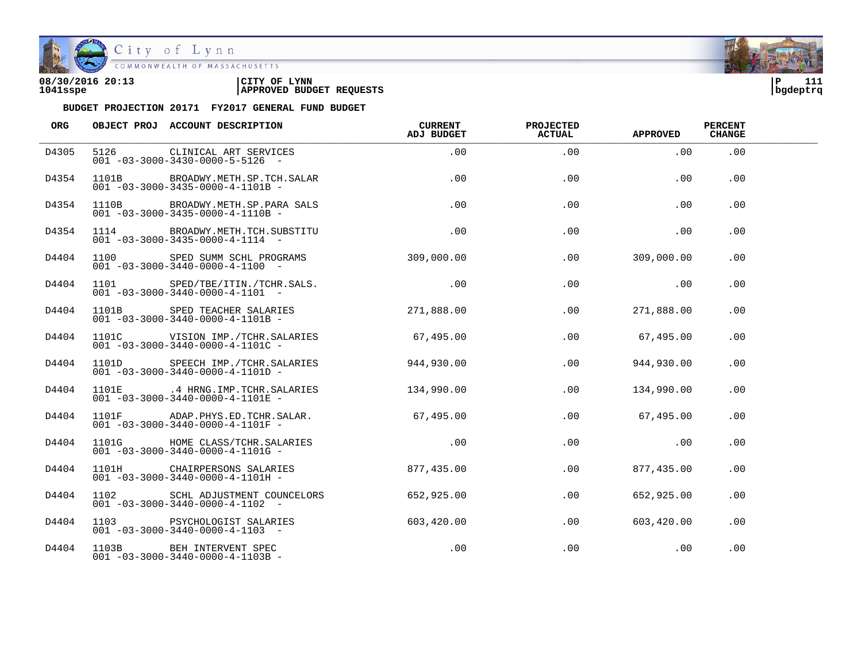

| 08/30/2016 20:13 | CITY OF<br><b>LYNN</b>          | ם י      | 111 |  |
|------------------|---------------------------------|----------|-----|--|
| 1041sspe         | <b>APPROVED BUDGET REQUESTS</b> | bgdeptrq |     |  |

| <b>ORG</b> |       | OBJECT PROJ ACCOUNT DESCRIPTION                                                             | CURRENT<br><b>ADJ BUDGET</b> | <b>PROJECTED</b><br><b>ACTUAL</b> | APPROVED       | <b>PERCENT</b><br><b>CHANGE</b> |  |
|------------|-------|---------------------------------------------------------------------------------------------|------------------------------|-----------------------------------|----------------|---------------------------------|--|
| D4305      |       | 5126 CLINICAL ART SERVICES<br>$001 - 03 - 3000 - 3430 - 0000 - 5 - 5126 -$                  | .00                          | .00                               | .00            | .00                             |  |
| D4354      | 1101B | BROADWY.METH.SP.TCH.SALAR<br>$001 - 03 - 3000 - 3435 - 0000 - 4 - 1101B -$                  | .00                          | .00                               | .00            | .00                             |  |
| D4354      |       | 1110B BROADWY.METH.SP.PARA SALS<br>$001 - 03 - 3000 - 3435 - 0000 - 4 - 1110B -$            | .00                          | .00                               | .00            | .00                             |  |
| D4354      |       | 1114 BROADWY.METH.TCH.SUBSTITU<br>$001 - 03 - 3000 - 3435 - 0000 - 4 - 1114 -$              | .00                          | .00                               | .00            | .00                             |  |
| D4404      |       | 1100 SPED SUMM SCHL PROGRAMS 309,000.00<br>$001 - 03 - 3000 - 3440 - 0000 - 4 - 1100 -$     |                              |                                   | .00 309,000.00 | .00                             |  |
| D4404      |       | 1101 SPED/TBE/ITIN./TCHR.SALS.<br>$001 - 03 - 3000 - 3440 - 0000 - 4 - 1101 -$              | .00                          | .00                               | .00            | $.00 \,$                        |  |
| D4404      |       | 1101B SPED TEACHER SALARIES<br>$001 - 03 - 3000 - 3440 - 0000 - 4 - 1101B -$                | 271,888.00                   | .00                               | 271,888.00     | .00                             |  |
| D4404      |       | 1101C VISION IMP./TCHR.SALARIES<br>$001 - 03 - 3000 - 3440 - 0000 - 4 - 1101C -$            | 67,495.00                    | .00                               | 67,495.00      | .00                             |  |
| D4404      |       | 1101D SPEECH IMP./TCHR.SALARIES<br>$001 - 03 - 3000 - 3440 - 0000 - 4 - 1101D -$            | 944,930.00                   | .00                               | 944,930.00     | .00                             |  |
| D4404      |       | 1101E .4 HRNG.IMP.TCHR.SALARIES 134,990.00<br>$001 - 03 - 3000 - 3440 - 0000 - 4 - 1101E -$ |                              | .00                               | 134,990.00     | .00                             |  |
| D4404      |       | 1101F ADAP.PHYS.ED.TCHR.SALAR.<br>$001 - 03 - 3000 - 3440 - 0000 - 4 - 1101F -$             | 67,495.00                    | .00                               | 67,495.00      | .00                             |  |
| D4404      |       | 1101G HOME CLASS/TCHR.SALARIES<br>$001 - 03 - 3000 - 3440 - 0000 - 4 - 1101G -$             | .00                          | .00                               | .00            | .00                             |  |
| D4404      |       | 1101H CHAIRPERSONS SALARIES<br>$001 - 03 - 3000 - 3440 - 0000 - 4 - 1101H -$                | 877, 435, 00                 | .00                               | 877,435.00     | .00                             |  |
| D4404      |       | 1102 SCHL ADJUSTMENT COUNCELORS<br>$001 - 03 - 3000 - 3440 - 0000 - 4 - 1102 -$             | 652,925.00                   | .00                               | 652,925.00     | .00                             |  |
| D4404      |       | 1103 PSYCHOLOGIST SALARIES<br>$001 - 03 - 3000 - 3440 - 0000 - 4 - 1103 -$                  | 603,420.00                   | .00                               | 603,420.00     | .00                             |  |
| D4404      | 1103B | BEH INTERVENT SPEC<br>$001 - 03 - 3000 - 3440 - 0000 - 4 - 1103B -$                         | .00                          | .00                               | .00            | .00                             |  |

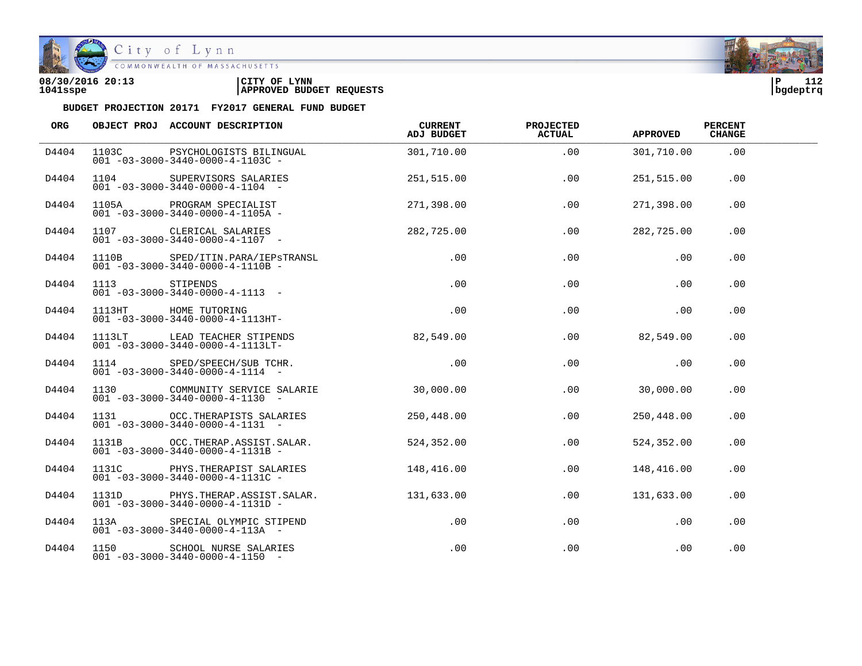

| 08/30/2016 20:13 | CITY OF<br><b>LYNN</b>          | ΙP       | .<br>∸∸∠ |
|------------------|---------------------------------|----------|----------|
| 1041sspe         | <b>APPROVED BUDGET REQUESTS</b> | bgdeptrq |          |

| ORG   | OBJECT PROJ ACCOUNT DESCRIPTION                                                                                 | <b>CURRENT</b><br>ADJ BUDGET | <b>PROJECTED</b><br><b>ACTUAL</b> | <b>APPROVED</b> | <b>PERCENT</b><br>CHANGE |  |
|-------|-----------------------------------------------------------------------------------------------------------------|------------------------------|-----------------------------------|-----------------|--------------------------|--|
| D4404 | 1103C PSYCHOLOGISTS BILINGUAL<br>$001 - 03 - 3000 - 3440 - 0000 - 4 - 1103C -$                                  | 301,710.00                   | .00                               | 301,710.00      | .00                      |  |
| D4404 | 1104 SUPERVISORS SALARIES<br>$001 - 03 - 3000 - 3440 - 0000 - 4 - 1104 -$                                       |                              | 251,515.00<br>.00                 | 251,515.00      | .00                      |  |
| D4404 | 1105A PROGRAM SPECIALIST<br>001 -03-3000-3440-0000-4-1105A -                                                    | 271,398.00                   | .00                               | 271,398.00      | .00                      |  |
| D4404 | 1107 CLERICAL SALARIES 282,725.00<br>$001 - 03 - 3000 - 3440 - 0000 - 4 - 1107$ -                               |                              | .00                               | 282,725.00      | .00                      |  |
| D4404 | 1110B SPED/ITIN.PARA/IEPSTRANSL<br>$001 - 03 - 3000 - 3440 - 0000 - 4 - 1110B -$                                |                              | .00<br>.00                        | .00             | $.00 \,$                 |  |
| D4404 |                                                                                                                 | .00                          | .00                               | .00             | .00                      |  |
| D4404 | 1113 STIPENDS<br>001 -03-3000-3440-0000-4-1113 -<br>1113HT HOME TUTORING<br>001 -03-3000-3440-0000-4-1113HT-    | .00                          | .00                               | .00             | .00                      |  |
| D4404 | 1113LT LEAD TEACHER STIPENDS<br>$001 - 03 - 3000 - 3440 - 0000 - 4 - 1113L$ T-                                  | 82,549.00                    | .00                               | 82,549.00       | .00                      |  |
| D4404 | 1114 SPED/SPEECH/SUB TCHR.<br>001 -03-3000-3440-0000-4-1114 -                                                   |                              | .00<br>.00                        | .00             | .00.                     |  |
| D4404 | 1130 COMMUNITY SERVICE SALARIE 30,000.00<br>$001 - 03 - 3000 - 3440 - 0000 - 4 - 1130 -$                        |                              | .00                               | 30,000.00       | .00                      |  |
| D4404 | 1131 OCC. THERAPISTS SALARIES<br>$001 - 03 - 3000 - 3440 - 0000 - 4 - 1131 -$                                   | 250,448.00                   | .00                               | 250,448.00      | .00                      |  |
| D4404 | 1131B OCC. THERAP. ASSIST. SALAR.<br>$001 - 03 - 3000 - 3440 - 0000 - 4 - 1131B -$                              | 524,352.00                   | .00                               | 524,352.00      | .00                      |  |
| D4404 | 1131C PHYS. THERAPIST SALARIES 148, 416.00<br>$001 - 03 - 3000 - 3440 - 0000 - 4 - 1131C -$                     |                              | .00                               | 148,416.00      | .00                      |  |
| D4404 | 1131D PHYS.THERAP.ASSIST.SALAR. 131,633.00<br>$001 - 03 - 3000 - 3440 - 0000 - 4 - 1131D -$                     |                              | .00                               | 131,633.00      | .00                      |  |
| D4404 | 113A SPECIAL OLYMPIC STIPEND<br>001 -03-3000-3440-0000-4-113A -<br>$001 - 03 - 3000 - 3440 - 0000 - 4 - 113A -$ | .00                          | .00                               | .00             | .00                      |  |
| D4404 | 1150 SCHOOL NURSE SALARIES<br>$001 - 03 - 3000 - 3440 - 0000 - 4 - 1150 -$                                      | .00                          | .00                               | .00             | .00                      |  |

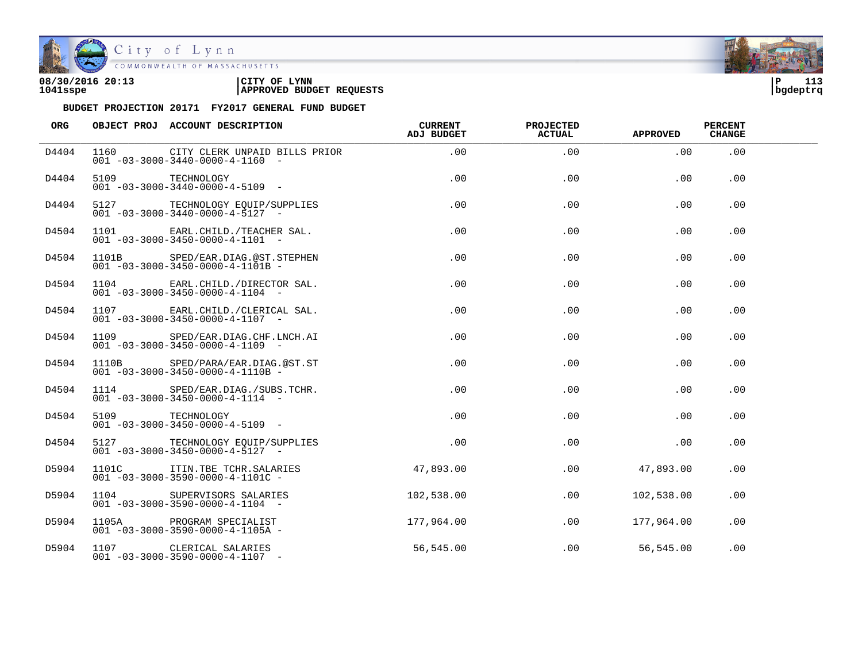

City of Lynn

| 08/30/2016 20:13 | LYNN<br>CITY OF                 | ם ו      | $-1$ |  |
|------------------|---------------------------------|----------|------|--|
| 1041sspe         | <b>APPROVED BUDGET REQUESTS</b> | bqdeptrq |      |  |

| ORG   |                 | OBJECT PROJ ACCOUNT DESCRIPTION                                                                                      | CURRENT<br>ADJ BUDGET | <b>PROJECTED</b><br><b>ACTUAL</b> | <b>APPROVED</b>   | <b>PERCENT</b><br><b>CHANGE</b> |  |
|-------|-----------------|----------------------------------------------------------------------------------------------------------------------|-----------------------|-----------------------------------|-------------------|---------------------------------|--|
| D4404 |                 | 1160 CITY CLERK UNPAID BILLS PRIOR<br>$001 - 03 - 3000 - 3440 - 0000 - 4 - 1160 -$                                   | .00                   | .00                               | .00               | .00                             |  |
| D4404 |                 | TECHNOLOGY<br>001 -03-3000-3440-0000-4-5109 -                                                                        | .00                   | .00                               | .00               | .00                             |  |
| D4404 |                 | 5127 TECHNOLOGY EQUIP/SUPPLIES<br>$001 - 03 - 3000 - 3440 - 0000 - 4 - 5127 -$                                       | .00                   | .00                               | .00               | .00                             |  |
| D4504 |                 | 1101 EARL.CHILD./TEACHER SAL.<br>$001 - 03 - 3000 - 3450 - 0000 - 4 - 1101 -$                                        | $.00\,$               | .00                               | $.00 \,$          | .00                             |  |
| D4504 |                 | 1101B SPED/EAR.DIAG.@ST.STEPHEN<br>$001 - 03 - 3000 - 3450 - 0000 - 4 - 1101B -$                                     | $.00\,$               | .00                               | .00               | $.00 \,$                        |  |
| D4504 |                 | 1104 EARL.CHILD./DIRECTOR SAL.<br>$001 - 03 - 3000 - 3450 - 0000 - 4 - 1104 -$                                       | $.00\,$               | $.00 \,$                          | $.00 \,$          | .00                             |  |
| D4504 |                 | 1107 EARL.CHILD./CLERICAL SAL.<br>$001 - 03 - 3000 - 3450 - 0000 - 4 - 1107$ -                                       | .00                   | .00                               | .00               | .00.                            |  |
| D4504 |                 | 1109 SPED/EAR.DIAG.CHF.LNCH.AI<br>$001 - 03 - 3000 - 3450 - 0000 - 4 - 1109$ -                                       | .00                   | .00                               | .00               | .00                             |  |
| D4504 |                 | 1110B SPED/PARA/EAR.DIAG.@ST.ST<br>001 -03-3000-3450-0000-4-1110B -<br>$001 - 03 - 3000 - 3450 - 0000 - 4 - 1110B -$ | $.00 \,$              | .00                               | .00               | .00                             |  |
| D4504 |                 | 1114 SPED/EAR.DIAG./SUBS.TCHR.<br>$001 - 03 - 3000 - 3450 - 0000 - 4 - 1114 -$                                       | $.00 \,$              | .00                               | .00               | .00                             |  |
| D4504 | 5109 TECHNOLOGY | $001 - 03 - 3000 - 3450 - 0000 - 4 - 5109$ -                                                                         | $.00 \,$              | .00                               | .00               | .00                             |  |
| D4504 |                 | 5127 TECHNOLOGY EQUIP/SUPPLIES .00<br>$001 - 03 - 3000 - 3450 - 0000 - 4 - 5127 -$                                   |                       | .00                               | .00               | .00                             |  |
| D5904 |                 | 1101C ITIN.TBE TCHR.SALARIES<br>$001 - 03 - 3000 - 3590 - 0000 - 4 - 1101C -$                                        | 47,893.00             | .00                               | 47,893.00         | .00                             |  |
| D5904 |                 | 1104 SUPERVISORS SALARIES 102,538.00<br>001 -03-3000-3590-0000-4-1104 -                                              |                       |                                   | .00<br>102,538.00 | .00                             |  |
| D5904 |                 | 1105A PROGRAM SPECIALIST<br>$001 - 03 - 3000 - 3590 - 0000 - 4 - 1105A$ -                                            | 177,964.00            | .00                               | 177,964.00        | .00                             |  |
| D5904 |                 | 1107 CLERICAL SALARIES<br>$001 - 03 - 3000 - 3590 - 0000 - 4 - 1107 -$                                               | 56, 545.00            |                                   | 56,545.00<br>.00  | .00                             |  |

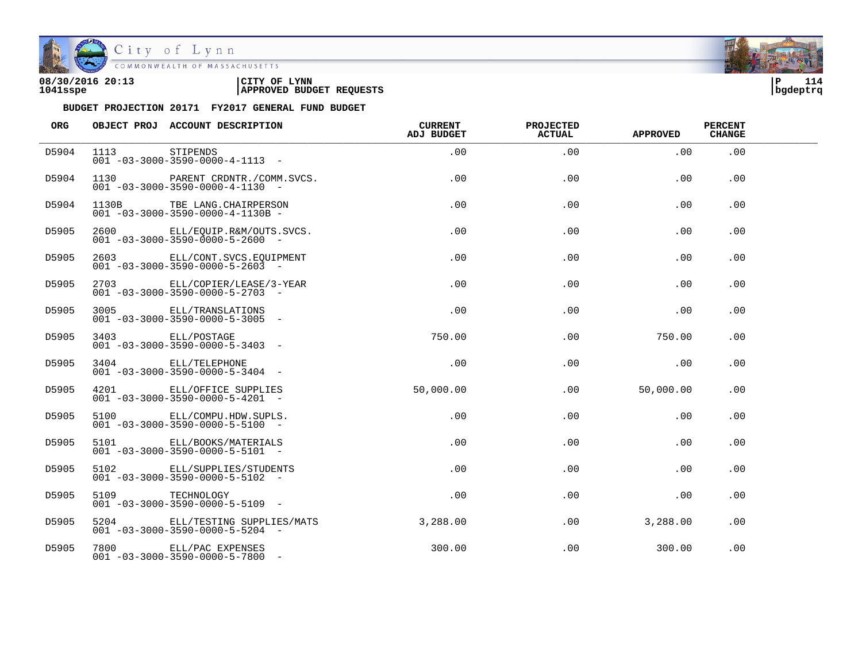

City of Lynn<br>COMMONWEALTH OF MASSACHUSETTS

| 08/30/2016 20:13 | LYNN<br>CITY OF                 | ם ו      | 114 |
|------------------|---------------------------------|----------|-----|
| 1041sspe         | <b>APPROVED BUDGET REQUESTS</b> | bqdeptrq |     |



| ORG   |               | OBJECT PROJ ACCOUNT DESCRIPTION                                                | <b>CURRENT</b><br><b>ADJ BUDGET</b> | <b>PROJECTED</b><br><b>ACTUAL</b> | <b>APPROVED</b> | <b>PERCENT</b><br><b>CHANGE</b> |  |
|-------|---------------|--------------------------------------------------------------------------------|-------------------------------------|-----------------------------------|-----------------|---------------------------------|--|
| D5904 | 1113 STIPENDS | $001 - 03 - 3000 - 3590 - 0000 - 4 - 1113 - -$                                 | .00                                 | .00                               | .00             | .00                             |  |
| D5904 |               | 1130 PARENT CRDNTR./COMM.SVCS.<br>$001 - 03 - 3000 - 3590 - 0000 - 4 - 1130 -$ | .00                                 | .00                               | .00             | .00                             |  |
| D5904 |               | 1130B TBE LANG. CHAIRPERSON<br>$001 - 03 - 3000 - 3590 - 0000 - 4 - 1130B -$   | .00                                 | .00                               | .00             | .00                             |  |
| D5905 |               | 2600 ELL/EQUIP.R&M/OUTS.SVCS.<br>$001 - 03 - 3000 - 3590 - 0000 - 5 - 2600 -$  | $.00 \,$                            | .00                               | .00             | .00                             |  |
| D5905 |               | 2603 ELL/CONT.SVCS.EQUIPMENT<br>$001 - 03 - 3000 - 3590 - 0000 - 5 - 2603$ -   | $.00 \,$                            | .00                               | .00             | .00                             |  |
| D5905 |               | 2703 ELL/COPIER/LEASE/3-YEAR<br>$001 - 03 - 3000 - 3590 - 0000 - 5 - 2703$ -   | .00                                 | .00                               | .00             | .00                             |  |
| D5905 |               | 3005 ELL/TRANSLATIONS<br>$001 - 03 - 3000 - 3590 - 0000 - 5 - 3005$ -          | .00                                 | .00                               | .00             | .00                             |  |
| D5905 |               | 3403 ELL/POSTAGE<br>$001 - 03 - 3000 - 3590 - 0000 - 5 - 3403 -$               | 750.00                              | .00                               | 750.00          | .00                             |  |
| D5905 |               | 3404 ELL/TELEPHONE<br>$001 - 03 - 3000 - 3590 - 0000 - 5 - 3404 -$             | .00                                 | .00                               | .00             | .00                             |  |
| D5905 |               | 4201 ELL/OFFICE SUPPLIES<br>$001 - 03 - 3000 - 3590 - 0000 - 5 - 4201 -$       | 50,000.00                           | $.00 \,$                          | 50,000.00       | .00                             |  |
| D5905 |               | 5100 ELL/COMPU.HDW.SUPLS.<br>$001 - 03 - 3000 - 3590 - 0000 - 5 - 5100 -$      | .00                                 | .00                               | .00             | .00                             |  |
| D5905 |               | 5101 ELL/BOOKS/MATERIALS<br>$001 - 03 - 3000 - 3590 - 0000 - 5 - 5101 -$       | $.00 \,$                            | .00                               | .00             | .00                             |  |
| D5905 |               | 5102 ELL/SUPPLIES/STUDENTS<br>$001 - 03 - 3000 - 3590 - 0000 - 5 - 5102 -$     | .00                                 | .00                               | .00             | .00                             |  |
| D5905 | 5109          | TECHNOLOGY<br>$0.01 - 0.3 - 30.00 - 3590 - 0.000 - 5 - 51.09 - 5$              | .00                                 | .00                               | .00             | .00                             |  |
| D5905 |               | 5204 ELL/TESTING SUPPLIES/MATS<br>$001 - 03 - 3000 - 3590 - 0000 - 5 - 5204 -$ | 3,288.00                            | .00                               | 3,288.00        | .00                             |  |
| D5905 |               | 7800 ELL/PAC EXPENSES<br>$001 - 03 - 3000 - 3590 - 0000 - 5 - 7800$ -          | 300.00                              | .00                               | 300.00          | .00                             |  |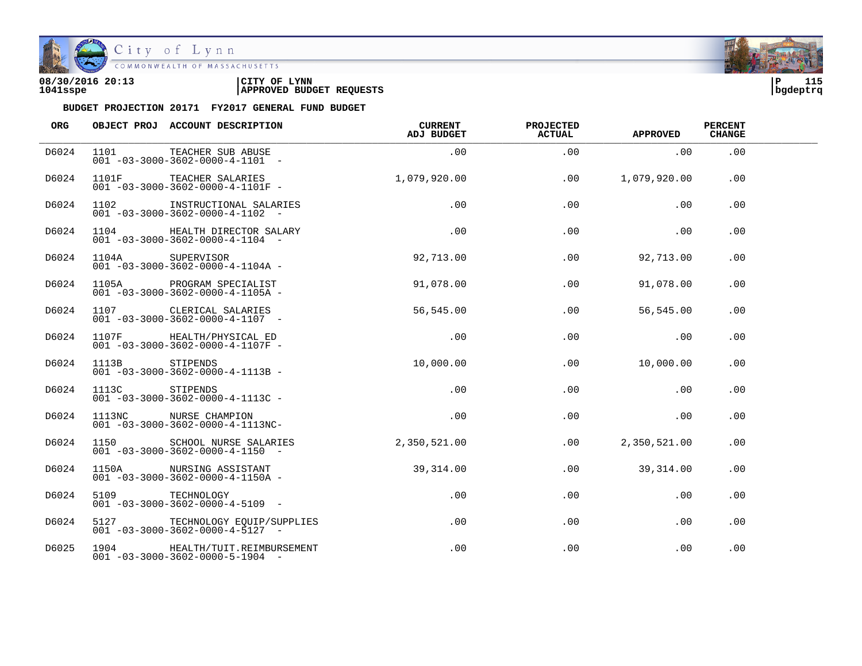

| 08/30/2016 20:13 | 'CITY OF<br><b>LYNN</b>         | ם ו      | 115<br>--- |
|------------------|---------------------------------|----------|------------|
| 1041sspe         | <b>APPROVED BUDGET REQUESTS</b> | bgdeptrq |            |

| ORG   |       | OBJECT PROJ ACCOUNT DESCRIPTION                                                | <b>CURRENT</b><br><b>ADJ BUDGET</b> | <b>PROJECTED</b><br>ACTUAL | <b>APPROVED</b> | <b>PERCENT</b><br><b>CHANGE</b> |  |
|-------|-------|--------------------------------------------------------------------------------|-------------------------------------|----------------------------|-----------------|---------------------------------|--|
| D6024 | 1101  | TEACHER SUB ABUSE<br>$001 - 03 - 3000 - 3602 - 0000 - 4 - 1101 -$              | .00                                 | .00                        | .00             | .00                             |  |
| D6024 |       | 1101F TEACHER SALARIES<br>$001 - 03 - 3000 - 3602 - 0000 - 4 - 1101F -$        | 1,079,920.00                        | .00                        | 1,079,920.00    | .00                             |  |
| D6024 | 1102  | INSTRUCTIONAL SALARIES<br>$001 - 03 - 3000 - 3602 - 0000 - 4 - 1102 -$         | .00                                 | .00                        | .00             | .00                             |  |
| D6024 |       | 1104 HEALTH DIRECTOR SALARY<br>$001 - 03 - 3000 - 3602 - 0000 - 4 - 1104 -$    | .00                                 | .00                        | .00             | .00                             |  |
| D6024 | 1104A | SUPERVISOR<br>$001 - 03 - 3000 - 3602 - 0000 - 4 - 1104A -$                    | 92,713.00                           | .00                        | 92,713.00       | .00                             |  |
| D6024 | 1105A | PROGRAM SPECIALIST<br>$001 - 03 - 3000 - 3602 - 0000 - 4 - 1105A -$            | 91,078.00                           | .00                        | 91,078.00       | .00                             |  |
| D6024 |       | 1107 CLERICAL SALARIES<br>$001 - 03 - 3000 - 3602 - 0000 - 4 - 1107 -$         | 56,545.00                           | .00                        | 56,545.00       | .00                             |  |
| D6024 |       | 1107F HEALTH/PHYSICAL ED<br>$001 - 03 - 3000 - 3602 - 0000 - 4 - 1107F -$      | .00                                 | .00                        | .00             | .00                             |  |
| D6024 | 1113B | STIPENDS<br>$001 - 03 - 3000 - 3602 - 0000 - 4 - 1113B -$                      | 10,000.00                           | .00                        | 10,000.00       | .00                             |  |
| D6024 | 1113C | STIPENDS<br>$001 - 03 - 3000 - 3602 - 0000 - 4 - 1113C -$                      | $.00 \,$                            | $.00 \,$                   | .00             | .00                             |  |
| D6024 |       | 1113NC NURSE CHAMPION<br>$001 - 03 - 3000 - 3602 - 0000 - 4 - 1113N$ C-        | .00                                 | .00                        | .00             | .00                             |  |
| D6024 |       | 1150 SCHOOL NURSE SALARIES<br>$001 - 03 - 3000 - 3602 - 0000 - 4 - 1150 -$     | 2,350,521.00                        | $.00 \,$                   | 2,350,521.00    | .00                             |  |
| D6024 |       | 1150A NURSING ASSISTANT<br>$001 - 03 - 3000 - 3602 - 0000 - 4 - 1150A -$       | 39,314.00                           | $.00 \,$                   | 39,314.00       | .00                             |  |
| D6024 | 5109  | TECHNOLOGY<br>$001 - 03 - 3000 - 3602 - 0000 - 4 - 5109$ -                     | $.00 \,$                            | $.00 \,$                   | .00             | .00                             |  |
| D6024 |       | 5127 TECHNOLOGY EOUIP/SUPPLIES<br>$001 - 03 - 3000 - 3602 - 0000 - 4 - 5127 -$ | $.00 \,$                            | .00                        | .00             | .00                             |  |
| D6025 |       | 1904 HEALTH/TUIT.REIMBURSEMENT<br>$001 - 03 - 3000 - 3602 - 0000 - 5 - 1904 -$ | .00                                 | .00                        | .00             | .00                             |  |

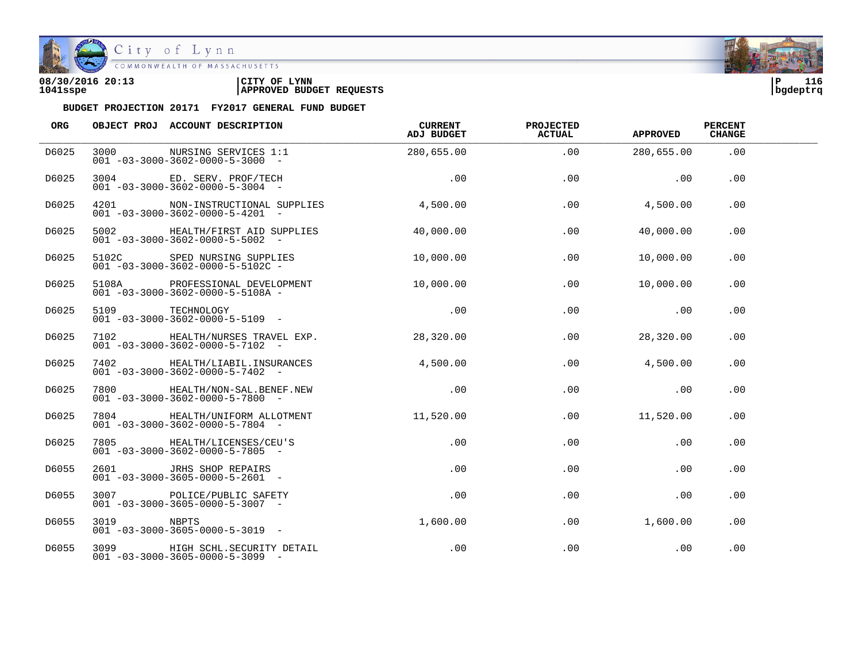

| 08/30/2016 20:13 | CITY OF<br><b>LYNN</b>          | l P      | 116 |
|------------------|---------------------------------|----------|-----|
| 1041sspe         | <b>APPROVED BUDGET REQUESTS</b> | bgdeptrq |     |

| ORG   |            | OBJECT PROJ ACCOUNT DESCRIPTION                                                 | CURRENT<br>ADJ BUDGET | <b>PROJECTED</b><br><b>ACTUAL</b> | <b>APPROVED</b> | <b>PERCENT</b><br><b>CHANGE</b> |  |
|-------|------------|---------------------------------------------------------------------------------|-----------------------|-----------------------------------|-----------------|---------------------------------|--|
| D6025 | 3000       | NURSING SERVICES 1:1<br>$001 - 03 - 3000 - 3602 - 0000 - 5 - 3000 -$            | 280,655.00            | .00                               | 280,655.00      | .00                             |  |
| D6025 |            | 3004 ED. SERV. PROF/TECH<br>$001 - 03 - 3000 - 3602 - 0000 - 5 - 3004 -$        | .00                   | .00                               | .00             | .00                             |  |
| D6025 |            | 4201 NON-INSTRUCTIONAL SUPPLIES<br>$001 - 03 - 3000 - 3602 - 0000 - 5 - 4201 -$ | 4,500.00              | .00                               | 4,500.00        | .00                             |  |
| D6025 |            | 5002 HEALTH/FIRST AID SUPPLIES<br>$001 - 03 - 3000 - 3602 - 0000 - 5 - 5002 -$  | 40,000.00             | .00                               | 40,000.00       | .00                             |  |
| D6025 |            | 5102C SPED NURSING SUPPLIES<br>$001 - 03 - 3000 - 3602 - 0000 - 5 - 5102C -$    | 10,000.00             | .00                               | 10,000.00       | .00                             |  |
| D6025 | 5108A      | PROFESSIONAL DEVELOPMENT<br>$001 - 03 - 3000 - 3602 - 0000 - 5 - 5108A -$       | 10,000.00             | .00                               | 10,000.00       | .00                             |  |
| D6025 |            | 5109 TECHNOLOGY<br>$001 - 03 - 3000 - 3602 - 0000 - 5 - 5109$ -                 | .00                   | .00                               | .00             | .00                             |  |
| D6025 |            | 7102 HEALTH/NURSES TRAVEL EXP.<br>$001 - 03 - 3000 - 3602 - 0000 - 5 - 7102 -$  | 28,320.00             | .00                               | 28,320.00       | .00                             |  |
| D6025 |            | 7402 HEALTH/LIABIL.INSURANCES<br>$001 - 03 - 3000 - 3602 - 0000 - 5 - 7402 -$   | 4.500.00              | .00                               | 4,500.00        | .00                             |  |
| D6025 |            | 7800 HEALTH/NON-SAL.BENEF.NEW<br>$001 - 03 - 3000 - 3602 - 0000 - 5 - 7800$ -   | .00                   | .00                               | .00             | .00                             |  |
| D6025 |            | 7804 HEALTH/UNIFORM ALLOTMENT<br>$001 - 03 - 3000 - 3602 - 0000 - 5 - 7804 -$   | 11,520.00             | .00                               | 11,520.00       | .00                             |  |
| D6025 |            | 7805 HEALTH/LICENSES/CEU'S<br>$001 - 03 - 3000 - 3602 - 0000 - 5 - 7805$ -      | .00                   | .00                               | .00             | .00                             |  |
| D6055 |            | 2601 JRHS SHOP REPAIRS<br>$001 - 03 - 3000 - 3605 - 0000 - 5 - 2601 -$          | $.00 \,$              | .00                               | .00             | .00                             |  |
| D6055 | 3007       | POLICE/PUBLIC SAFETY<br>$001 - 03 - 3000 - 3605 - 0000 - 5 - 3007$ -            | $.00 \,$              | $.00 \,$                          | .00             | .00                             |  |
| D6055 | 3019 NBPTS | $001 - 03 - 3000 - 3605 - 0000 - 5 - 3019$ -                                    | 1,600.00              | .00                               | 1,600.00        | .00                             |  |
| D6055 |            | 3099 HIGH SCHL.SECURITY DETAIL<br>$001 - 03 - 3000 - 3605 - 0000 - 5 - 3099$ -  | .00                   | .00                               | .00             | .00                             |  |

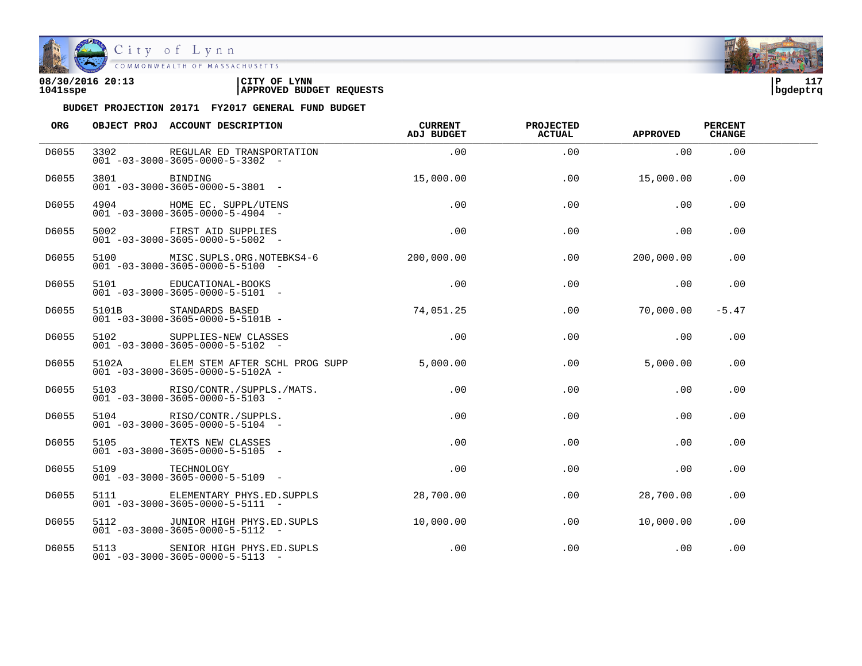

COMMONWEALTH OF MASSACHUSETTS

### **08/30/2016 20:13 |CITY OF LYNN |P 117 1041sspe |APPROVED BUDGET REQUESTS |bgdeptrq**

| <b>ORG</b> |          | OBJECT PROJ ACCOUNT DESCRIPTION                                                          | <b>CURRENT</b><br>ADJ BUDGET | <b>PROJECTED</b><br><b>ACTUAL</b> | <b>APPROVED</b> | <b>PERCENT</b><br><b>CHANGE</b> |  |
|------------|----------|------------------------------------------------------------------------------------------|------------------------------|-----------------------------------|-----------------|---------------------------------|--|
| D6055      | 3302     | REGULAR ED TRANSPORTATION<br>$001 - 03 - 3000 - 3605 - 0000 - 5 - 3302 -$                | .00                          | .00                               | .00             | .00                             |  |
| D6055      | 3801 200 | BINDING<br>$001 - 03 - 3000 - 3605 - 0000 - 5 - 3801$ -                                  | 15,000.00                    | .00                               | 15,000.00       | .00                             |  |
| D6055      |          | 4904 HOME EC. SUPPL/UTENS<br>$001 - 03 - 3000 - 3605 - 0000 - 5 - 4904 -$                | .00                          | .00                               | .00             | .00                             |  |
| D6055      |          | 5002 FIRST AID SUPPLIES<br>$001 - 03 - 3000 - 3605 - 0000 - 5 - 5002$ -                  | .00                          | .00                               | .00             | .00                             |  |
| D6055      |          | 5100 MISC.SUPLS.ORG.NOTEBKS4-6<br>$001 - 03 - 3000 - 3605 - 0000 - 5 - 5100 -$           | 200,000,00                   | .00                               | 200,000.00      | .00                             |  |
| D6055      | 5101     | EDUCATIONAL-BOOKS<br>$001 - 03 - 3000 - 3605 - 0000 - 5 - 5101 -$                        | .00                          | .00                               | .00             | .00                             |  |
| D6055      |          | 5101B STANDARDS BASED<br>$001 - 03 - 3000 - 3605 - 0000 - 5 - 5101B -$                   | 74,051.25                    | .00                               | 70,000.00       | $-5.47$                         |  |
| D6055      |          | 5102 SUPPLIES-NEW CLASSES<br>$001 - 03 - 3000 - 3605 - 0000 - 5 - 5102$ -                | .00                          | .00                               | .00             | .00                             |  |
| D6055      | 5102A    | ELEM STEM AFTER SCHL PROG SUPP 5,000.00<br>$001 - 03 - 3000 - 3605 - 0000 - 5 - 5102A -$ |                              | .00                               | 5.000.00        | .00                             |  |
| D6055      |          | 5103 RISO/CONTR./SUPPLS./MATS.<br>$001 - 03 - 3000 - 3605 - 0000 - 5 - 5103 -$           | $.00 \,$                     | $.00 \,$                          | .00             | .00                             |  |
| D6055      |          | 5104 RISO/CONTR./SUPPLS.<br>$001 - 03 - 3000 - 3605 - 0000 - 5 - 5104 -$                 | $.00 \,$                     | .00                               | .00             | .00                             |  |
| D6055      |          | 5105 TEXTS NEW CLASSES<br>$001 - 03 - 3000 - 3605 - 0000 - 5 - 5105$ -                   | $.00 \,$                     | .00                               | .00             | .00                             |  |
| D6055      | 5109     | TECHNOLOGY<br>$001 - 03 - 3000 - 3605 - 0000 - 5 - 5109$ -                               | $.00 \,$                     | .00                               | .00             | $.00 \,$                        |  |
| D6055      | 5111     | ELEMENTARY PHYS.ED.SUPPLS<br>$001 - 03 - 3000 - 3605 - 0000 - 5 - 5111 -$                | 28,700.00                    | $.00 \,$                          | 28,700.00       | $.00 \,$                        |  |
| D6055      |          | 5112 JUNIOR HIGH PHYS.ED.SUPLS<br>$001 - 03 - 3000 - 3605 - 0000 - 5 - 5112 -$           | 10,000.00                    | .00                               | 10,000.00       | .00                             |  |
| D6055      |          | 5113 SENIOR HIGH PHYS.ED.SUPLS<br>$001 - 03 - 3000 - 3605 - 0000 - 5 - 5113 -$           | .00                          | .00                               | .00             | .00                             |  |

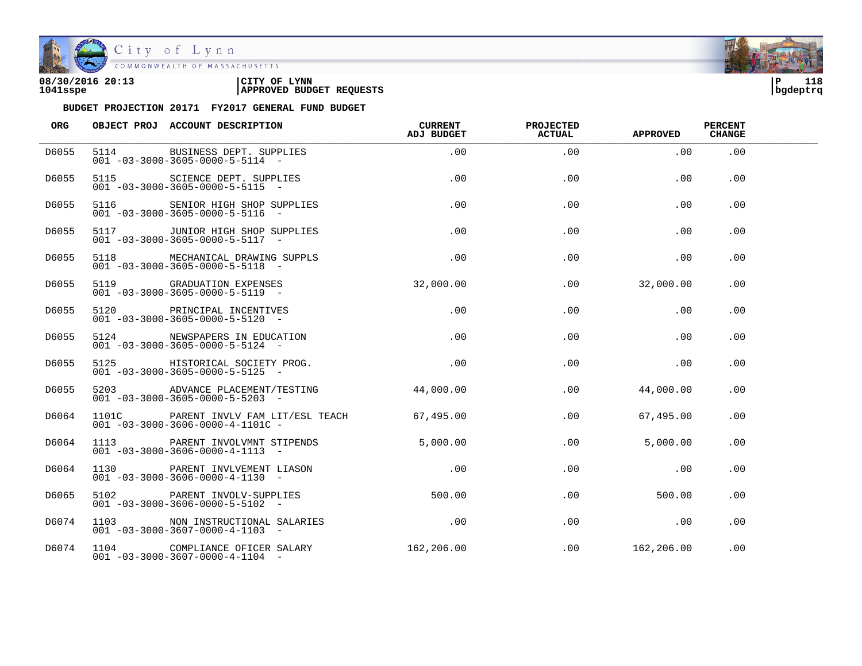

| 08/30/2016 20:13 | CITY OF<br><b>LYNN</b>          | l P      | 118 |
|------------------|---------------------------------|----------|-----|
| 1041sspe         | <b>APPROVED BUDGET REQUESTS</b> | bgdeptrq |     |

| <b>ORG</b> | OBJECT PROJ ACCOUNT DESCRIPTION                                                          | <b>CURRENT</b><br>ADJ BUDGET | <b>PROJECTED</b><br><b>ACTUAL</b> | <b>APPROVED</b>  | <b>PERCENT</b><br><b>CHANGE</b> |  |
|------------|------------------------------------------------------------------------------------------|------------------------------|-----------------------------------|------------------|---------------------------------|--|
| D6055      | 5114 BUSINESS DEPT. SUPPLIES<br>$001 - 03 - 3000 - 3605 - 0000 - 5 - 5114 -$             | .00                          | .00                               | .00              | .00                             |  |
| D6055      | 5115 SCIENCE DEPT. SUPPLIES<br>$001 - 03 - 3000 - 3605 - 0000 - 5 - 5115 -$              | .00                          | .00                               | .00              | .00                             |  |
| D6055      | 5116 SENIOR HIGH SHOP SUPPLIES<br>$001 - 03 - 3000 - 3605 - 0000 - 5 - 5116$ -           | .00                          | .00                               | .00              | .00                             |  |
| D6055      | 5117 JUNIOR HIGH SHOP SUPPLIES<br>$001 - 03 - 3000 - 3605 - 0000 - 5 - 5117 -$           | $.00\,$                      | .00                               | $.00 \,$         | .00.                            |  |
| D6055      | 5118 MECHANICAL DRAWING SUPPLS<br>$001 - 03 - 3000 - 3605 - 0000 - 5 - 5118 -$           | .00                          | .00                               | .00              | .00                             |  |
| D6055      | 5119 GRADUATION EXPENSES<br>$001 - 03 - 3000 - 3605 - 0000 - 5 - 5119$ -                 | 32,000.00                    |                                   | .00<br>32,000.00 | .00.                            |  |
| D6055      | 5120 PRINCIPAL INCENTIVES<br>$001 - 03 - 3000 - 3605 - 0000 - 5 - 5120 -$                | .00                          | .00                               | .00              | .00                             |  |
| D6055      | 5124 NEWSPAPERS IN EDUCATION<br>$001 - 03 - 3000 - 3605 - 0000 - 5 - 5124 -$             | .00                          | .00                               | .00              | .00                             |  |
| D6055      | 5125 HISTORICAL SOCIETY PROG.<br>$001 - 03 - 3000 - 3605 - 0000 - 5 - 5125 -$            | .00                          | .00                               | .00              | .00                             |  |
| D6055      | 5203 ADVANCE PLACEMENT/TESTING 44,000.00<br>$001 - 03 - 3000 - 3605 - 0000 - 5 - 5203$ - |                              | .00                               | 44,000.00        | .00                             |  |
| D6064      | 1101C PARENT INVLV FAM LIT/ESL TEACH<br>$001 - 03 - 3000 - 3606 - 0000 - 4 - 1101C -$    | 67,495.00                    | .00                               | 67,495.00        | .00                             |  |
| D6064      | 1113 PARENT INVOLVMNT STIPENDS<br>$001 - 03 - 3000 - 3606 - 0000 - 4 - 1113 -$           | 5.000.00                     | .00                               | 5.000.00         | .00                             |  |
| D6064      | 1130 PARENT INVLVEMENT LIASON<br>$001 - 03 - 3000 - 3606 - 0000 - 4 - 1130 -$            | $\overline{0}$ .             | .00                               | $.00 \,$         | .00                             |  |
| D6065      | 5102 PARENT INVOLV-SUPPLIES<br>$001 - 03 - 3000 - 3606 - 0000 - 5 - 5102$ -              | 500.00                       | .00                               | 500.00           | .00                             |  |
| D6074      | 1103 NON INSTRUCTIONAL SALARIES<br>$001 - 03 - 3000 - 3607 - 0000 - 4 - 1103 -$          | .00                          | $.00\,$                           | $\overline{00}$  | $.00 \,$                        |  |
| D6074      | 1104 COMPLIANCE OFICER SALARY<br>$001 - 03 - 3000 - 3607 - 0000 - 4 - 1104 -$            | 162,206.00                   |                                   | .00 162, 206.00  | .00                             |  |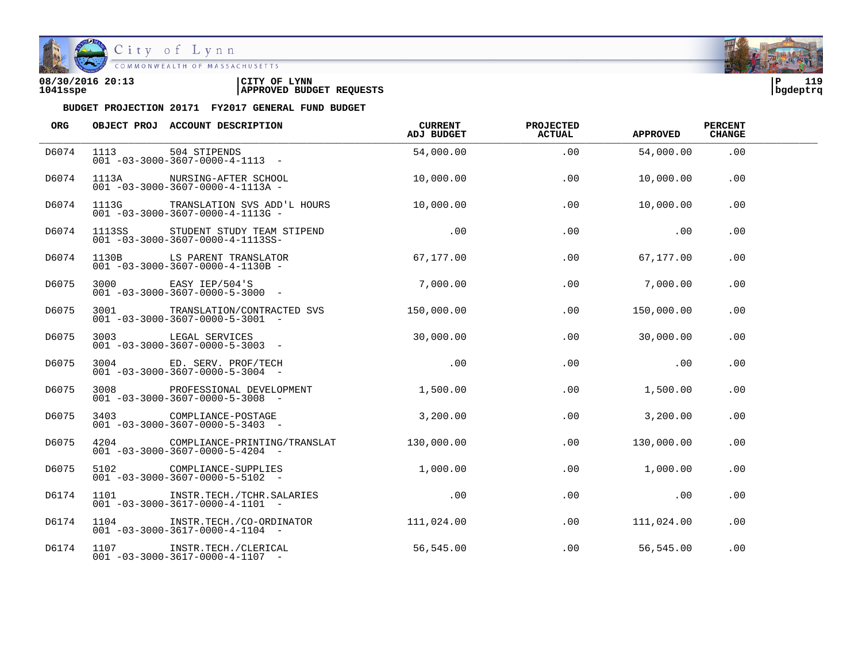

| 08/30/2016 20:13 | CITY OF<br><b>LYNN</b>          | ∣P       | 119 |
|------------------|---------------------------------|----------|-----|
| 1041sspe         | <b>APPROVED BUDGET REQUESTS</b> | bgdeptrq |     |

| ORG   |      | OBJECT PROJ ACCOUNT DESCRIPTION                                                     | CURRENT<br>ADJ BUDGET | <b>PROJECTED</b><br><b>ACTUAL</b> | <b>APPROVED</b> | <b>PERCENT</b><br><b>CHANGE</b> |  |
|-------|------|-------------------------------------------------------------------------------------|-----------------------|-----------------------------------|-----------------|---------------------------------|--|
| D6074 |      | 1113 504 STIPENDS<br>$001 - 03 - 3000 - 3607 - 0000 - 4 - 1113 - -$                 | 54,000.00             | .00                               | 54,000.00       | .00                             |  |
| D6074 |      | 1113A NURSING-AFTER SCHOOL<br>$001 - 03 - 3000 - 3607 - 0000 - 4 - 1113A -$         | 10,000.00             | .00                               | 10,000.00       | .00                             |  |
| D6074 |      | 1113G TRANSLATION SVS ADD'L HOURS<br>$001 - 03 - 3000 - 3607 - 0000 - 4 - 1113G -$  | 10,000.00             | .00                               | 10,000.00       | .00                             |  |
| D6074 |      | 1113SS STUDENT STUDY TEAM STIPEND<br>$001 - 03 - 3000 - 3607 - 0000 - 4 - 1113SS -$ | .00                   | .00                               | .00             | .00                             |  |
| D6074 |      | 1130B LS PARENT TRANSLATOR<br>$001 - 03 - 3000 - 3607 - 0000 - 4 - 1130B -$         | 67,177.00             | .00                               | 67,177.00       | .00                             |  |
| D6075 |      | 3000 EASY IEP/504'S<br>$001 - 03 - 3000 - 3607 - 0000 - 5 - 3000$ -                 | 7,000.00              | .00                               | 7,000.00        | .00                             |  |
| D6075 |      | 3001 TRANSLATION/CONTRACTED SVS<br>$001 - 03 - 3000 - 3607 - 0000 - 5 - 3001 -$     | 150,000.00            | .00                               | 150,000.00      | .00                             |  |
| D6075 |      | 3003 LEGAL SERVICES<br>$001 - 03 - 3000 - 3607 - 0000 - 5 - 3003$ -                 | 30,000.00             | .00                               | 30,000.00       | .00                             |  |
| D6075 |      | 3004 ED. SERV. PROF/TECH<br>$001 - 03 - 3000 - 3607 - 0000 - 5 - 3004 -$            | .00                   | .00                               | .00             | .00                             |  |
| D6075 | 3008 | PROFESSIONAL DEVELOPMENT<br>$001 - 03 - 3000 - 3607 - 0000 - 5 - 3008$ -            | 1,500.00              | .00                               | 1,500.00        | .00                             |  |
| D6075 |      | 3403 COMPLIANCE-POSTAGE<br>$001 - 03 - 3000 - 3607 - 0000 - 5 - 3403 -$             | 3,200.00              | .00                               | 3,200.00        | .00                             |  |
| D6075 |      | 4204 COMPLIANCE-PRINTING/TRANSLAT<br>$001 - 03 - 3000 - 3607 - 0000 - 5 - 4204 -$   | 130.000.00            | .00                               | 130,000.00      | .00                             |  |
| D6075 |      | 5102 COMPLIANCE-SUPPLIES<br>$001 - 03 - 3000 - 3607 - 0000 - 5 - 5102 -$            | 1,000.00              | .00                               | 1,000.00        | .00                             |  |
| D6174 | 1101 | INSTR.TECH./TCHR.SALARIES .00<br>$001 - 03 - 3000 - 3617 - 0000 - 4 - 1101 -$       |                       | .00                               | $\sim$ 00       | .00                             |  |
| D6174 |      | 1104 INSTR.TECH./CO-ORDINATOR<br>$001 - 03 - 3000 - 3617 - 0000 - 4 - 1104 -$       | 111,024.00            | .00                               | 111,024.00      | .00                             |  |
| D6174 |      | 1107 INSTR.TECH./CLERICAL<br>$001 - 03 - 3000 - 3617 - 0000 - 4 - 1107 -$           | 56,545.00             | .00                               | 56,545.00       | .00                             |  |

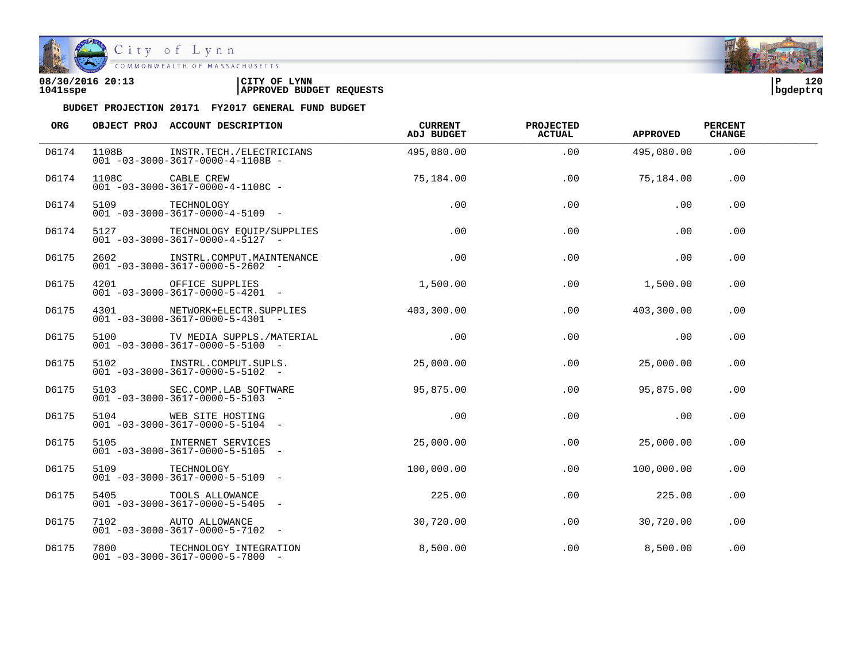

City of Lynn COMMONWEALTH OF MASSACHUSETTS

## **08/30/2016 20:13 |CITY OF LYNN |P 120 1041sspe |APPROVED BUDGET REQUESTS |bgdeptrq**





| ORG   |       | OBJECT PROJ ACCOUNT DESCRIPTION                                                | CURRENT<br>ADJ BUDGET | <b>PROJECTED</b><br><b>ACTUAL</b> | <b>APPROVED</b> | <b>PERCENT</b><br><b>CHANGE</b> |  |
|-------|-------|--------------------------------------------------------------------------------|-----------------------|-----------------------------------|-----------------|---------------------------------|--|
| D6174 | 1108B | INSTR.TECH./ELECTRICIANS<br>$001 - 03 - 3000 - 3617 - 0000 - 4 - 1108B -$      | 495,080.00            | .00                               | 495,080.00      | .00                             |  |
| D6174 |       | 1108C CABLE CREW<br>$001 - 03 - 3000 - 3617 - 0000 - 4 - 1108C -$              | 75,184.00             | .00                               | 75,184.00       | .00                             |  |
| D6174 |       | 5109 TECHNOLOGY<br>$001 - 03 - 3000 - 3617 - 0000 - 4 - 5109$ -                | .00                   | .00                               | .00             | .00                             |  |
| D6174 |       | 5127 TECHNOLOGY EQUIP/SUPPLIES<br>$001 - 03 - 3000 - 3617 - 0000 - 4 - 5127 -$ | .00                   | .00                               | .00             | .00                             |  |
| D6175 |       | 2602 INSTRL.COMPUT.MAINTENANCE<br>$001 - 03 - 3000 - 3617 - 0000 - 5 - 2602$ - | .00                   | .00                               | .00             | .00                             |  |
| D6175 |       | 4201 OFFICE SUPPLIES<br>$001 - 03 - 3000 - 3617 - 0000 - 5 - 4201$ -           | 1,500.00              | .00                               | 1,500.00        | .00                             |  |
| D6175 |       | 4301 NETWORK+ELECTR.SUPPLIES<br>$001 - 03 - 3000 - 3617 - 0000 - 5 - 4301 -$   | 403,300.00            | .00                               | 403,300.00      | .00                             |  |
| D6175 |       | 5100 TV MEDIA SUPPLS./MATERIAL<br>$001 - 03 - 3000 - 3617 - 0000 - 5 - 5100 -$ | .00                   | .00                               | .00             | .00                             |  |
| D6175 |       | 5102 INSTRL.COMPUT.SUPLS.<br>$001 - 03 - 3000 - 3617 - 0000 - 5 - 5102 -$      | 25,000.00             | .00                               | 25,000.00       | .00                             |  |
| D6175 | 5103  | SEC.COMP.LAB SOFTWARE<br>$001 - 03 - 3000 - 3617 - 0000 - 5 - 5103$ -          | 95,875.00             | $.00 \,$                          | 95,875.00       | .00                             |  |
| D6175 |       | 5104 WEB SITE HOSTING<br>$001 - 03 - 3000 - 3617 - 0000 - 5 - 5104 -$          | .00                   | .00                               | .00             | .00                             |  |
| D6175 |       | 5105 INTERNET SERVICES<br>$001 - 03 - 3000 - 3617 - 0000 - 5 - 5105$ -         | 25,000.00             | .00                               | 25,000.00       | .00                             |  |
| D6175 | 5109  | TECHNOLOGY<br>$001 - 03 - 3000 - 3617 - 0000 - 5 - 5109$ -                     | 100,000.00            | $.00 \,$                          | 100,000.00      | .00                             |  |
| D6175 | 5405  | TOOLS ALLOWANCE<br>$001 - 03 - 3000 - 3617 - 0000 - 5 - 5405$ -                | 225.00                | .00                               | 225.00          | .00                             |  |
| D6175 |       | 7102 AUTO ALLOWANCE<br>$001 - 03 - 3000 - 3617 - 0000 - 5 - 7102 -$            | 30,720.00             | .00                               | 30,720.00       | .00                             |  |
| D6175 | 7800  | TECHNOLOGY INTEGRATION<br>$001 - 03 - 3000 - 3617 - 0000 - 5 - 7800$ -         | 8,500.00              | .00                               | 8,500.00        | .00                             |  |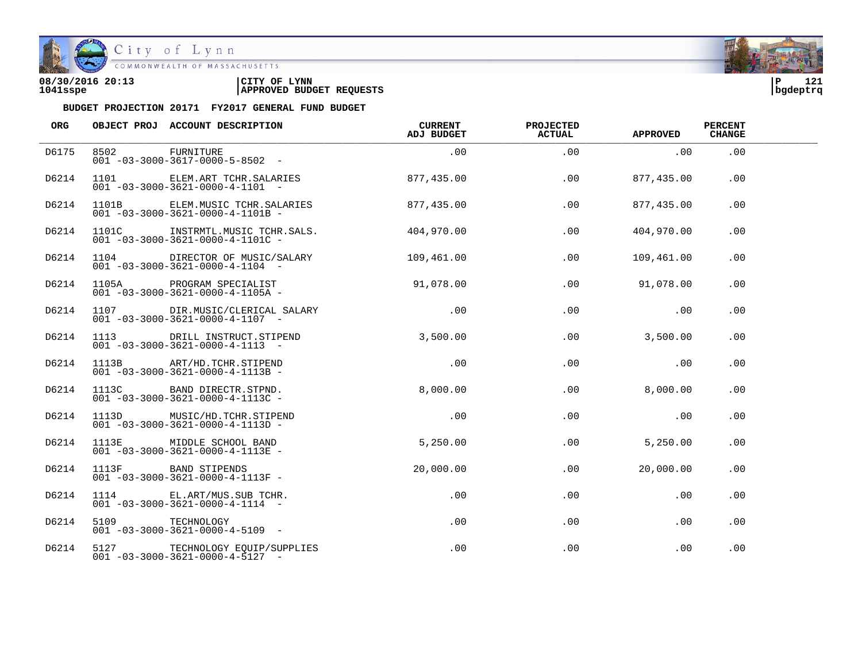

City of Lynn<br>
COMMONWEALTH OF MASSACHUSETTS

| 08/30/2016 20:13 | LYNN<br>CITY OF                 | חי       | 121 |
|------------------|---------------------------------|----------|-----|
| 1041sspe         | <b>APPROVED BUDGET REQUESTS</b> | bqdeptrq |     |

| <b>ORG</b> |                 | <b>OBJECT PROJ ACCOUNT DESCRIPTION</b>                                            | <b>CURRENT</b><br>ADJ BUDGET | <b>PROJECTED</b><br><b>ACTUAL</b> | <b>APPROVED</b> | <b>PERCENT</b><br><b>CHANGE</b> |  |
|------------|-----------------|-----------------------------------------------------------------------------------|------------------------------|-----------------------------------|-----------------|---------------------------------|--|
| D6175      | 8502            | FURNITURE<br>$001 - 03 - 3000 - 3617 - 0000 - 5 - 8502 -$                         | .00                          | .00                               | .00             | .00                             |  |
| D6214      |                 | 1101 ELEM.ART TCHR.SALARIES<br>$001 - 03 - 3000 - 3621 - 0000 - 4 - 1101 -$       | 877,435.00                   | .00                               | 877,435.00      | .00                             |  |
| D6214      |                 | 1101B ELEM. MUSIC TCHR. SALARIES<br>$001 - 03 - 3000 - 3621 - 0000 - 4 - 1101B -$ | 877,435.00                   | .00                               | 877,435.00      | .00                             |  |
| D6214      |                 | 1101C INSTRMTL.MUSIC TCHR.SALS.<br>$001 - 03 - 3000 - 3621 - 0000 - 4 - 1101C -$  | 404,970.00                   | .00                               | 404,970.00      | .00                             |  |
| D6214      | 1104            | DIRECTOR OF MUSIC/SALARY<br>$001 - 03 - 3000 - 3621 - 0000 - 4 - 1104 -$          | 109,461.00                   | $.00 \,$                          | 109,461.00      | .00.                            |  |
| D6214      |                 | 1105A PROGRAM SPECIALIST<br>$001 - 03 - 3000 - 3621 - 0000 - 4 - 1105A -$         | 91,078.00                    | .00                               | 91,078.00       | .00                             |  |
| D6214      |                 | 1107 DIR.MUSIC/CLERICAL SALARY<br>$001 - 03 - 3000 - 3621 - 0000 - 4 - 1107 -$    | .00                          | .00                               | .00             | .00                             |  |
| D6214      |                 | 1113 DRILL INSTRUCT.STIPEND<br>$001 - 03 - 3000 - 3621 - 0000 - 4 - 1113 - -$     | 3,500.00                     | .00                               | 3,500.00        | .00                             |  |
| D6214      |                 | 1113B ART/HD.TCHR.STIPEND<br>$001 - 03 - 3000 - 3621 - 0000 - 4 - 1113B -$        | .00                          | .00                               | .00             | .00                             |  |
| D6214      |                 | 1113C BAND DIRECTR.STPND.<br>$001 - 03 - 3000 - 3621 - 0000 - 4 - 1113C -$        | 8,000.00                     | $.00 \,$                          | 8,000.00        | .00.                            |  |
| D6214      |                 | 1113D MUSIC/HD.TCHR.STIPEND<br>$001 - 03 - 3000 - 3621 - 0000 - 4 - 1113D -$      | .00                          | .00                               | .00             | .00                             |  |
| D6214      |                 | 1113E MIDDLE SCHOOL BAND<br>$001 - 03 - 3000 - 3621 - 0000 - 4 - 1113E -$         | 5,250.00                     | .00                               | 5,250.00        | .00                             |  |
| D6214      | 1113F           | BAND STIPENDS<br>$001 - 03 - 3000 - 3621 - 0000 - 4 - 1113F -$                    | 20,000.00                    | .00                               | 20,000.00       | .00                             |  |
| D6214      |                 | 1114 EL.ART/MUS.SUB TCHR.<br>$001 - 03 - 3000 - 3621 - 0000 - 4 - 1114 -$         | .00                          | .00                               | .00             | .00                             |  |
| D6214      | 5109 TECHNOLOGY | $001 - 03 - 3000 - 3621 - 0000 - 4 - 5109$ -                                      | $.00 \,$                     | $.00 \,$                          | .00             | $.00 \,$                        |  |
| D6214      |                 | 5127 TECHNOLOGY EQUIP/SUPPLIES<br>$001 - 03 - 3000 - 3621 - 0000 - 4 - 5127 -$    | $.00 \,$                     | .00                               | $.00 \,$        | .00                             |  |

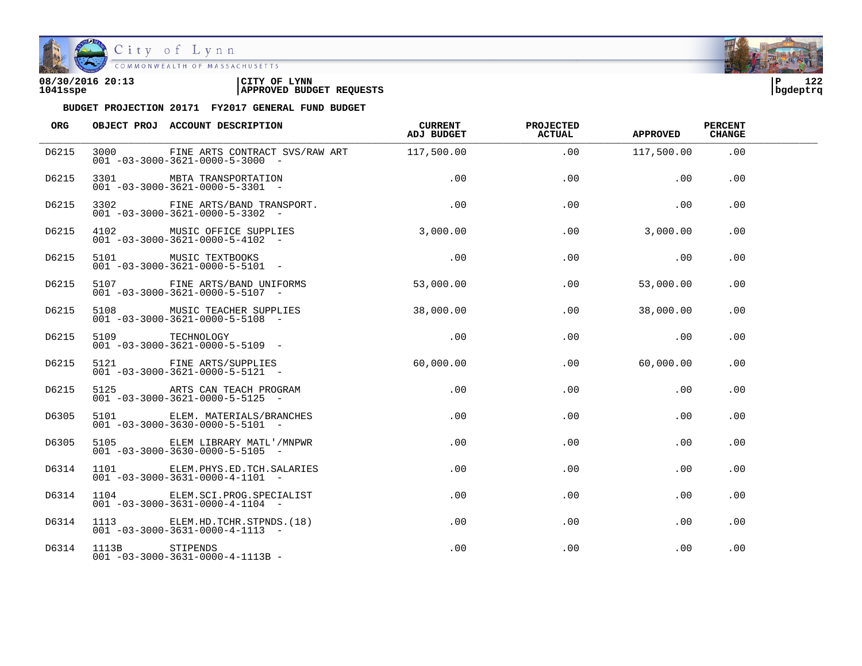

| 08/30/2016 20:13 | LYNN                            | ם ו      | າ ຕຸດ |
|------------------|---------------------------------|----------|-------|
|                  | CITY OF                         |          | -47   |
| 1041sspe         | <b>APPROVED BUDGET REQUESTS</b> | bqdeptrq |       |

| ORG   |                | OBJECT PROJ ACCOUNT DESCRIPTION                                                                | <b>CURRENT</b><br>ADJ BUDGET | <b>PROJECTED</b><br><b>ACTUAL</b> | <b>APPROVED</b> | <b>PERCENT</b><br><b>CHANGE</b> |  |
|-------|----------------|------------------------------------------------------------------------------------------------|------------------------------|-----------------------------------|-----------------|---------------------------------|--|
| D6215 |                | 3000 FINE ARTS CONTRACT SVS/RAW ART 117,500.00<br>$001 - 03 - 3000 - 3621 - 0000 - 5 - 3000 -$ |                              | .00                               | 117,500.00      | .00                             |  |
| D6215 |                | 3301 MBTA TRANSPORTATION<br>$001 - 03 - 3000 - 3621 - 0000 - 5 - 3301$ -                       | .00                          | .00                               | .00             | .00                             |  |
| D6215 |                | 3302 FINE ARTS/BAND TRANSPORT.<br>$001 - 03 - 3000 - 3621 - 0000 - 5 - 3302 -$                 | $\overline{00}$              | .00                               | .00             | .00                             |  |
| D6215 |                | 4102 MUSIC OFFICE SUPPLIES<br>$001 - 03 - 3000 - 3621 - 0000 - 5 - 4102 -$                     | 3,000.00                     | .00                               | 3,000.00        | .00                             |  |
| D6215 |                | 5101 MUSIC TEXTBOOKS<br>001 -03-3000-3621-0000-5-5101 -                                        | .00                          | .00                               | .00             | .00                             |  |
| D6215 |                | 5107 FINE ARTS/BAND UNIFORMS<br>$001 - 03 - 3000 - 3621 - 0000 - 5 - 5107$ -                   | 53,000.00                    | $.00 \,$                          | 53,000.00       | .00.                            |  |
| D6215 |                | 5108 MUSIC TEACHER SUPPLIES<br>$001 - 03 - 3000 - 3621 - 0000 - 5 - 5108$ -                    | 38,000.00                    | .00                               | 38,000.00       | .00                             |  |
| D6215 |                | 5109<br>001 -03-3000-3621-0000-5-5109 -                                                        | .00                          | .00                               | $\sim$ 00       | .00                             |  |
| D6215 |                | 5121 FINE ARTS/SUPPLIES<br>$001 - 03 - 3000 - 3621 - 0000 - 5 - 5121 -$                        | 60,000.00                    |                                   | $.00$ 60.000.00 | .00                             |  |
| D6215 |                | 5125 ARTS CAN TEACH PROGRAM<br>$001 - 03 - 3000 - 3621 - 0000 - 5 - 5125$ -                    | .00                          | $.00 \,$                          | $.00 \,$        | .00                             |  |
| D6305 |                | 5101 ELEM. MATERIALS/BRANCHES<br>$001 - 03 - 3000 - 3630 - 0000 - 5 - 5101 -$                  | $.00 \,$                     | .00                               | .00             | .00                             |  |
| D6305 |                | 5105 ELEM LIBRARY MATL'/MNPWR<br>$001 - 03 - 3000 - 3630 - 0000 - 5 - 5105$ -                  | .00                          | .00                               | .00             | .00                             |  |
| D6314 |                | 1101 ELEM. PHYS. ED. TCH. SALARIES<br>$001 - 03 - 3000 - 3631 - 0000 - 4 - 1101 -$             | $.00 \,$                     | .00                               | .00             | .00                             |  |
| D6314 |                | 1104 ELEM.SCI.PROG.SPECIALIST<br>$001 - 03 - 3000 - 3631 - 0000 - 4 - 1104 -$                  | .00                          | $.00 \,$                          | $.00 \,$        | .00                             |  |
| D6314 |                | 1113 ELEM.HD.TCHR.STPNDS.(18)<br>$001 - 03 - 3000 - 3631 - 0000 - 4 - 1113 -$                  | .00                          | .00                               | .00             | .00                             |  |
| D6314 | 1113B STIPENDS | $001 - 03 - 3000 - 3631 - 0000 - 4 - 1113B -$                                                  | $.00 \,$                     | .00                               | .00             | .00                             |  |

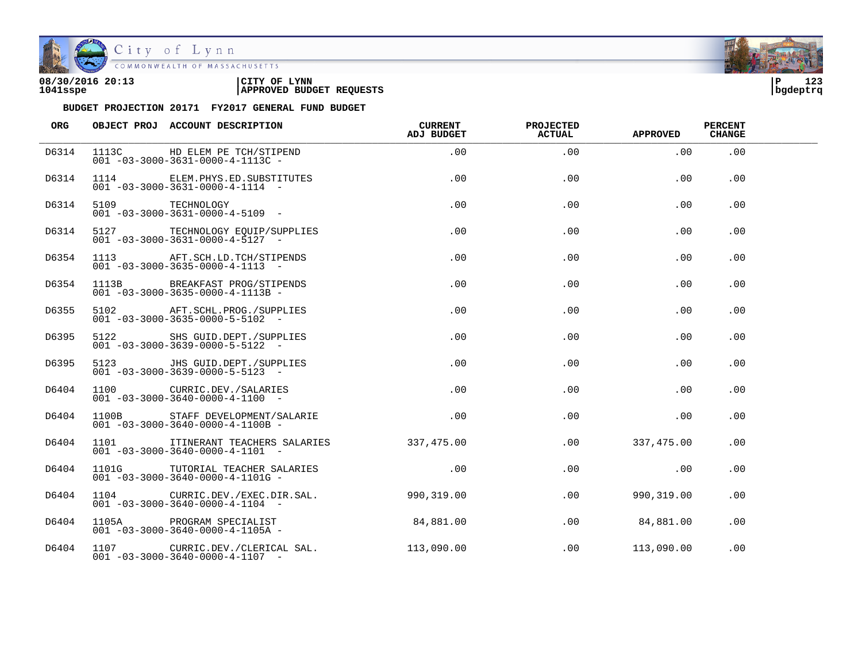

| 08/30/2016 20:13 | CITY OF<br><b>LYNN</b>          | l P      | 123 |
|------------------|---------------------------------|----------|-----|
| 1041sspe         | <b>APPROVED BUDGET REQUESTS</b> | bgdeptrq |     |

| ORG   |                 | OBJECT PROJ ACCOUNT DESCRIPTION                                                           | <b>CURRENT</b><br>ADJ BUDGET | <b>PROJECTED</b><br><b>ACTUAL</b> | <b>APPROVED</b>   | <b>PERCENT</b><br><b>CHANGE</b> |  |
|-------|-----------------|-------------------------------------------------------------------------------------------|------------------------------|-----------------------------------|-------------------|---------------------------------|--|
| D6314 |                 | 1113C HD ELEM PE TCH/STIPEND<br>001 -03-3000-3631-0000-4-1113C -                          | .00                          | .00                               | .00               | .00                             |  |
| D6314 |                 | 1114 ELEM. PHYS. ED. SUBSTITUTES<br>$001 - 03 - 3000 - 3631 - 0000 - 4 - 1114 -$          | .00                          | .00                               | .00               | .00                             |  |
| D6314 | 5109 TECHNOLOGY | $001 - 03 - 3000 - 3631 - 0000 - 4 - 5109$ -                                              | .00                          | .00                               | .00               | .00                             |  |
| D6314 |                 | 5127 TECHNOLOGY EQUIP/SUPPLIES<br>$001 - 03 - 3000 - 3631 - 0000 - 4 - 5127$ -            | .00                          | .00                               | .00               | .00                             |  |
| D6354 |                 | 1113 AFT.SCH.LD.TCH/STIPENDS<br>$001 - 03 - 3000 - 3635 - 0000 - 4 - 1113 - -$            | $.00\,$                      | .00                               | $.00 \,$          | .00                             |  |
| D6354 |                 | 1113B BREAKFAST PROG/STIPENDS<br>$001 - 03 - 3000 - 3635 - 0000 - 4 - 1113B -$            | $.00 \,$                     | .00                               | .00               | .00                             |  |
| D6355 |                 | 5102 AFT.SCHL.PROG./SUPPLIES<br>$001 - 03 - 3000 - 3635 - 0000 - 5 - 5102 -$              | .00                          | .00                               | .00               | .00                             |  |
| D6395 |                 | 5122 SHS GUID. DEPT. / SUPPLIES<br>$001 - 03 - 3000 - 3639 - 0000 - 5 - 5122 -$           | $.00\,$                      | .00                               | .00               | .00                             |  |
| D6395 |                 | 5123 JHS GUID. DEPT. / SUPPLIES<br>$001 - 03 - 3000 - 3639 - 0000 - 5 - 5123 -$           | .00                          | .00                               | .00               | .00                             |  |
| D6404 |                 | 1100 CURRIC.DEV./SALARIES<br>$001 - 03 - 3000 - 3640 - 0000 - 4 - 1100 -$                 | .00                          | .00                               | .00               | .00                             |  |
| D6404 |                 | 1100B STAFF DEVELOPMENT/SALARIE<br>$001 - 03 - 3000 - 3640 - 0000 - 4 - 1100B -$          | .00                          | .00                               | .00               | .00.                            |  |
| D6404 |                 | 1101 ITINERANT TEACHERS SALARIES<br>$001 - 03 - 3000 - 3640 - 0000 - 4 - 1101 -$          | 337,475.00                   | .00                               | 337,475.00        | .00.                            |  |
| D6404 |                 | 1101G TUTORIAL TEACHER SALARIES<br>$001 - 03 - 3000 - 3640 - 0000 - 4 - 1101G -$          | .00                          | .00                               | .00               | .00.                            |  |
| D6404 |                 | 1104 CURRIC.DEV./EXEC.DIR.SAL. 990,319.00<br>$001 - 03 - 3000 - 3640 - 0000 - 4 - 1104 -$ |                              |                                   | .00<br>990,319.00 | .00.                            |  |
| D6404 |                 | 1105A PROGRAM SPECIALIST<br>$001 - 03 - 3000 - 3640 - 0000 - 4 - 1105A -$                 | 84,881.00                    |                                   | .00 84,881.00     | .00                             |  |
| D6404 |                 | 1107 CURRIC.DEV./CLERICAL SAL.<br>$001 - 03 - 3000 - 3640 - 0000 - 4 - 1107$ -            | 113,090.00                   |                                   | .00 113,090.00    | .00                             |  |

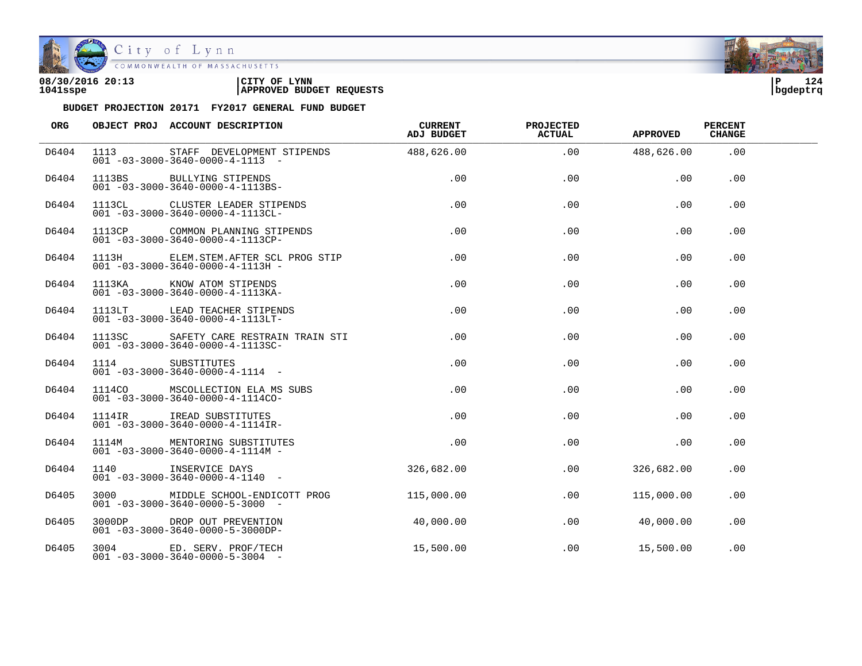

| 08/30/2016 20:13 | CITY OF<br><b>LYNN</b>          | l P      | 124 |
|------------------|---------------------------------|----------|-----|
| 1041sspe         | <b>APPROVED BUDGET REQUESTS</b> | bgdeptrq |     |

| ORG   | OBJECT PROJ ACCOUNT DESCRIPTION                                                                                                                                      | <b>CURRENT</b><br>ADJ BUDGET | <b>PROJECTED</b><br><b>ACTUAL</b> | <b>APPROVED</b> | <b>PERCENT</b><br><b>CHANGE</b> |  |
|-------|----------------------------------------------------------------------------------------------------------------------------------------------------------------------|------------------------------|-----------------------------------|-----------------|---------------------------------|--|
| D6404 | 1113 STAFF DEVELOPMENT STIPENDS 488,626.00<br>$001 - 03 - 3000 - 3640 - 0000 - 4 - 1113 -$                                                                           |                              | .00                               | 488,626.00      | .00                             |  |
| D6404 | 1113BS BULLYING STIPENDS<br>001 -03-3000-3640-0000-4-1113BS-<br>1113BS BULLYING STIPENDS                                                                             | .00                          | .00                               | .00             | .00                             |  |
| D6404 | 1113CL CLUSTER LEADER STIPENDS<br>$001 - 03 - 3000 - 3640 - 0000 - 4 - 1113CL -$                                                                                     | .00                          | .00                               | .00             | .00                             |  |
| D6404 | 1113CP COMMON PLANNING STIPENDS<br>$001 - 03 - 3000 - 3640 - 0000 - 4 - 1113CP$                                                                                      | $.00 \,$                     | .00                               | .00             | .00                             |  |
| D6404 | 1113H ELEM.STEM.AFTER SCL PROG STIP<br>$001 - 03 - 3000 - 3640 - 0000 - 4 - 1113H -$                                                                                 | $.00 \,$                     | .00                               | .00             | $.00 \,$                        |  |
| D6404 | 1113KA KNOW ATOM STIPENDS<br>$001 - 03 - 3000 - 3640 - 0000 - 4 - 1113KA$                                                                                            | .00                          | $.00 \,$                          | $.00 \,$        | .00                             |  |
| D6404 | 1113LT LEAD TEACHER STIPENDS<br>$001 - 03 - 3000 - 3640 - 0000 - 4 - 1113$ LT-                                                                                       | .00                          | .00                               | .00             | .00                             |  |
| D6404 | 1113SC SAFETY CARE RESTRAIN TRAIN STI<br>$001 - 03 - 3000 - 3640 - 0000 - 4 - 11135C -$                                                                              | $.00 \,$                     | .00                               | .00             | .00                             |  |
| D6404 | 1114 SUBSTITUTES<br>$001 - 03 - 3000 - 3640 - 0000 - 4 - 1114 - -$                                                                                                   | $.00 \,$                     | .00                               | .00             | .00                             |  |
| D6404 | 1114CO MSCOLLECTION ELA MS SUBS                                                                                                                                      | .00                          | .00                               | .00             | .00                             |  |
| D6404 | $\begin{array}{cccc}\n & -2 & 0 & 0 & 0 & -4 & -1 & 1 & 4 & 0 \\ \hline\n11141R & 1READ SUBSTITUTES & 001 & -03 & -3000 & -3640 & -0000 & -4 & -11141R\n\end{array}$ | $.00 \,$                     | .00                               | .00             | .00                             |  |
| D6404 | 1114M MENTORING SUBSTITUTES<br>$001 - 03 - 3000 - 3640 - 0000 - 4 - 1114M -$                                                                                         | .00                          | .00                               | .00             | .00                             |  |
| D6404 | 1140 INSERVICE DAYS<br>$001 - 03 - 3000 - 3640 - 0000 - 4 - 1140 -$                                                                                                  | 326,682.00                   | .00                               | 326,682.00      | .00                             |  |
| D6405 | 3000 MIDDLE SCHOOL-ENDICOTT PROG<br>$001 - 03 - 3000 - 3640 - 0000 - 5 - 3000 -$                                                                                     | 115,000.00                   | .00                               | 115,000.00      | .00                             |  |
| D6405 | 3000DP DROP OUT PREVENTION<br>$001 - 03 - 3000 - 3640 - 0000 - 5 - 3000$ DP-                                                                                         | 40,000.00                    | .00                               | 40,000.00       | .00                             |  |
| D6405 | 3004 ED. SERV. PROF/TECH<br>$001 - 03 - 3000 - 3640 - 0000 - 5 - 3004$ -                                                                                             | 15,500.00                    | .00                               | 15,500.00       | .00                             |  |

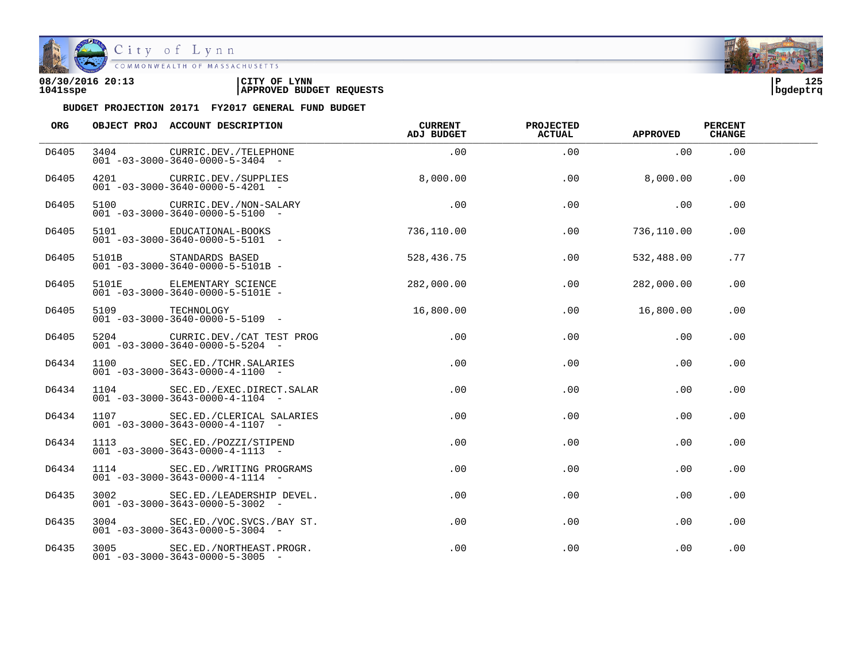

| 08/30/2016 20:13 | CITY OF<br><b>LYNN</b>          | l P      | 125 |
|------------------|---------------------------------|----------|-----|
| 1041sspe         | <b>APPROVED BUDGET REQUESTS</b> | bgdeptrq |     |

| ORG   |      | OBJECT PROJ ACCOUNT DESCRIPTION                                                                          | <b>CURRENT</b><br>ADJ BUDGET | <b>PROJECTED</b><br><b>ACTUAL</b> | <b>APPROVED</b> | <b>PERCENT</b><br><b>CHANGE</b> |  |
|-------|------|----------------------------------------------------------------------------------------------------------|------------------------------|-----------------------------------|-----------------|---------------------------------|--|
| D6405 | 3404 | CURRIC.DEV./TELEPHONE<br>$001 - 03 - 3000 - 3640 - 0000 - 5 - 3404 -$                                    | .00                          | .00                               | .00             | .00                             |  |
| D6405 |      | 4201 CURRIC.DEV./SUPPLIES<br>$001 - 03 - 3000 - 3640 - 0000 - 5 - 4201$ -                                | 8,000.00                     | .00                               | 8,000.00        | .00                             |  |
| D6405 |      | 5100 CURRIC.DEV./NON-SALARY<br>$001 - 03 - 3000 - 3640 - 0000 - 5 - 5100 -$                              | .00                          | .00                               | .00             | .00                             |  |
| D6405 |      | 5101 EDUCATIONAL-BOOKS<br>$001 - 03 - 3000 - 3640 - 0000 - 5 - 5101 -$                                   | 736,110.00                   | .00                               | 736,110.00      | .00                             |  |
| D6405 |      | 5101B STANDARDS BASED<br>001 -03-3000-3640-0000-5-5101P<br>$001 - 03 - 3000 - 3640 - 0000 - 5 - 5101B -$ | 528,436.75                   | .00                               | 532,488.00      | . 77                            |  |
| D6405 |      | 5101E ELEMENTARY SCIENCE<br>$001 - 03 - 3000 - 3640 - 0000 - 5 - 5101E$ -                                | 282,000.00                   | .00                               | 282,000.00      | .00.                            |  |
| D6405 |      | 5109 TECHNOLOGY<br>$001 - 03 - 3000 - 3640 - 0000 - 5 - 5109$ -                                          | 16,800.00                    | .00                               | 16,800.00       | .00                             |  |
| D6405 |      | 5204 CURRIC.DEV./CAT TEST PROG<br>$001 - 03 - 3000 - 3640 - 0000 - 5 - 5204 -$                           | .00                          | .00                               | .00             | .00                             |  |
| D6434 |      | 1100 SEC.ED./TCHR.SALARIES<br>$001 - 03 - 3000 - 3643 - 0000 - 4 - 1100 -$                               | .00                          | .00                               | .00             | .00                             |  |
| D6434 | 1104 | SEC.ED./EXEC.DIRECT.SALAR<br>$001 - 03 - 3000 - 3643 - 0000 - 4 - 1104 -$                                | .00                          | .00                               | .00             | .00                             |  |
| D6434 |      | 1107 SEC.ED./CLERICAL SALARIES<br>$001 - 03 - 3000 - 3643 - 0000 - 4 - 1107 -$                           | $.00 \,$                     | .00                               | .00             | .00                             |  |
| D6434 |      | 1113 SEC.ED./POZZI/STIPEND<br>$001 - 03 - 3000 - 3643 - 0000 - 4 - 1113 -$                               | .00                          | .00                               | .00             | .00                             |  |
| D6434 |      | 1114 SEC.ED./WRITING PROGRAMS<br>$001 - 03 - 3000 - 3643 - 0000 - 4 - 1114 -$                            | $.00 \,$                     | .00                               | .00             | .00                             |  |
| D6435 | 3002 | SEC.ED./LEADERSHIP DEVEL.<br>$001 - 03 - 3000 - 3643 - 0000 - 5 - 3002$ -                                | .00                          | $.00 \,$                          | .00             | .00                             |  |
| D6435 |      | 3004 SEC.ED./VOC.SVCS./BAY ST.<br>$001 - 03 - 3000 - 3643 - 0000 - 5 - 3004 -$                           | $.00 \,$                     | .00                               | .00             | .00                             |  |
| D6435 |      | 3005 SEC.ED./NORTHEAST.PROGR.<br>$001 - 03 - 3000 - 3643 - 0000 - 5 - 3005$ -                            | $.00 \,$                     | .00                               | .00             | .00                             |  |

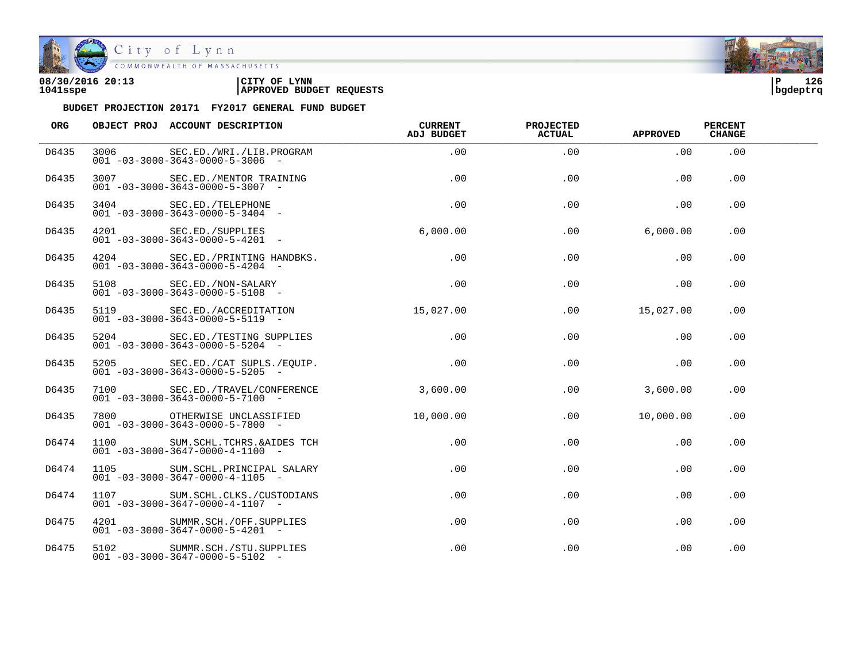

| 08/30/2016 20:13 | CITY OF<br><b>LYNN</b>          | l P      | 126 |
|------------------|---------------------------------|----------|-----|
| 1041sspe         | <b>APPROVED BUDGET REQUESTS</b> | bgdeptrq |     |

| <b>ORG</b> |      | OBJECT PROJ ACCOUNT DESCRIPTION                                                | <b>CURRENT</b><br>ADJ BUDGET | PROJECTED<br><b>ACTUAL</b> | APPROVED  | <b>PERCENT</b><br><b>CHANGE</b> |  |
|------------|------|--------------------------------------------------------------------------------|------------------------------|----------------------------|-----------|---------------------------------|--|
| D6435      |      | 3006 SEC.ED./WRI./LIB.PROGRAM<br>$001 - 03 - 3000 - 3643 - 0000 - 5 - 3006$ -  | $.00 \,$                     | .00                        | .00       | $.00 \,$                        |  |
| D6435      |      | 3007 SEC.ED./MENTOR TRAINING<br>$001 - 03 - 3000 - 3643 - 0000 - 5 - 3007$ -   | .00                          | .00                        | .00       | .00.                            |  |
| D6435      |      | 3404 SEC.ED./TELEPHONE<br>$001 - 03 - 3000 - 3643 - 0000 - 5 - 3404 -$         | .00                          | .00                        | .00       | .00                             |  |
| D6435      |      | 4201 SEC.ED./SUPPLIES<br>$001 - 03 - 3000 - 3643 - 0000 - 5 - 4201 -$          | 6,000.00                     | $.00 \,$                   | 6,000.00  | .00                             |  |
| D6435      |      | 4204 SEC.ED./PRINTING HANDBKS.<br>$001 - 03 - 3000 - 3643 - 0000 - 5 - 4204 -$ | .00                          | .00                        | .00       | .00                             |  |
| D6435      |      | 5108 SEC.ED./NON-SALARY<br>$001 - 03 - 3000 - 3643 - 0000 - 5 - 5108$ -        | .00                          | .00                        | .00       | .00                             |  |
| D6435      |      | 5119 SEC.ED./ACCREDITATION<br>$001 - 03 - 3000 - 3643 - 0000 - 5 - 5119$ -     | 15,027.00                    | .00                        | 15,027.00 | .00                             |  |
| D6435      |      | 5204 SEC.ED./TESTING SUPPLIES<br>$001 - 03 - 3000 - 3643 - 0000 - 5 - 5204 -$  | .00                          | .00                        | .00       | .00                             |  |
| D6435      |      | 5205 SEC.ED./CAT SUPLS./EQUIP.<br>$001 - 03 - 3000 - 3643 - 0000 - 5 - 5205$ - | .00                          | .00                        | .00       | .00                             |  |
| D6435      | 7100 | SEC.ED./TRAVEL/CONFERENCE<br>$001 - 03 - 3000 - 3643 - 0000 - 5 - 7100 -$      | 3,600.00                     | $.00 \,$                   | 3,600.00  | .00.                            |  |
| D6435      |      | 7800 OTHERWISE UNCLASSIFIED<br>$001 - 03 - 3000 - 3643 - 0000 - 5 - 7800$ -    | 10,000.00                    | .00                        | 10,000.00 | .00.                            |  |
| D6474      |      | 1100 SUM.SCHL.TCHRS.&AIDES TCH<br>$001 - 03 - 3000 - 3647 - 0000 - 4 - 1100 -$ | .00                          | $.00 \,$                   | .00       | $.00 \,$                        |  |
| D6474      | 1105 | SUM.SCHL.PRINCIPAL SALARY<br>$001 - 03 - 3000 - 3647 - 0000 - 4 - 1105$ -      | .00                          | $.00 \,$                   | .00       | $.00 \,$                        |  |
| D6474      | 1107 | SUM. SCHL. CLKS. / CUSTODIANS<br>$001 - 03 - 3000 - 3647 - 0000 - 4 - 1107 -$  | .00                          | $.00 \,$                   | .00       | $.00 \,$                        |  |
| D6475      |      | 4201 SUMMR.SCH./OFF.SUPPLIES<br>$001 - 03 - 3000 - 3647 - 0000 - 5 - 4201$ -   | $.00 \,$                     | .00                        | .00       | .00                             |  |
| D6475      |      | 5102 SUMMR.SCH./STU.SUPPLIES<br>$001 - 03 - 3000 - 3647 - 0000 - 5 - 5102 -$   | $.00 \,$                     | $.00 \,$                   | .00       | .00                             |  |

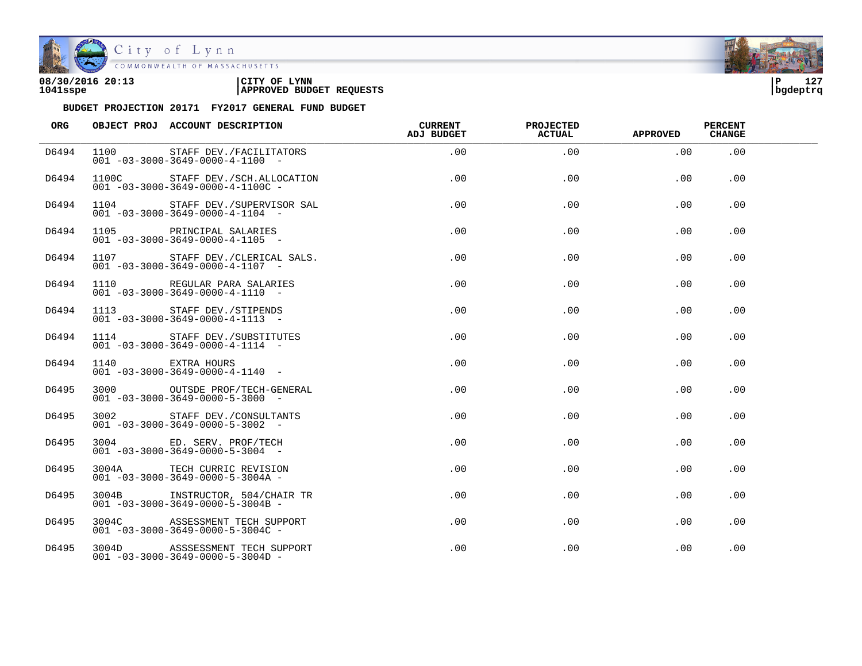

| 08/30/2016 20:13 | CITY OF<br><b>LYNN</b>          | l P      | 127 |
|------------------|---------------------------------|----------|-----|
| 1041sspe         | <b>APPROVED BUDGET REQUESTS</b> | bgdeptrq |     |

| <b>ORG</b> | OBJECT PROJ ACCOUNT DESCRIPTION                                                  | <b>CURRENT</b><br>ADJ BUDGET | <b>PROJECTED</b><br><b>ACTUAL</b> | <b>APPROVED</b> | <b>PERCENT</b><br><b>CHANGE</b> |  |
|------------|----------------------------------------------------------------------------------|------------------------------|-----------------------------------|-----------------|---------------------------------|--|
| D6494      | 1100 STAFF DEV./FACILITATORS<br>$001 - 03 - 3000 - 3649 - 0000 - 4 - 1100 -$     | .00                          | .00                               | .00             | .00                             |  |
| D6494      | 1100C STAFF DEV./SCH.ALLOCATION<br>$001 - 03 - 3000 - 3649 - 0000 - 4 - 1100C -$ | $.00 \,$                     | $.00 \,$                          | $.00 \,$        | $.00 \,$                        |  |
| D6494      | 1104 STAFF DEV./SUPERVISOR SAL<br>$001 - 03 - 3000 - 3649 - 0000 - 4 - 1104 -$   | .00                          | .00.                              | .00             | .00.                            |  |
| D6494      | 1105 PRINCIPAL SALARIES<br>$001 - 03 - 3000 - 3649 - 0000 - 4 - 1105$ -          | $.00 \,$                     | .00                               | $.00 \,$        | .00                             |  |
| D6494      | 1107 STAFF DEV./CLERICAL SALS.<br>$001 - 03 - 3000 - 3649 - 0000 - 4 - 1107$ -   | .00                          | .00                               | $.00 \,$        | .00                             |  |
| D6494      | 1110 REGULAR PARA SALARIES<br>$001 - 03 - 3000 - 3649 - 0000 - 4 - 1110 -$       | .00                          | .00                               | $.00 \,$        | .00                             |  |
| D6494      | 1113 STAFF DEV./STIPENDS<br>$001 - 03 - 3000 - 3649 - 0000 - 4 - 1113 -$         | .00                          | .00                               | .00             | .00                             |  |
| D6494      | 1114 STAFF DEV./SUBSTITUTES<br>$001 - 03 - 3000 - 3649 - 0000 - 4 - 1114 -$      | .00                          | .00                               | .00             | .00                             |  |
| D6494      | 1140 EXTRA HOURS<br>$001 - 03 - 3000 - 3649 - 0000 - 4 - 1140 -$                 | $.00 \,$                     | .00                               | $.00 \,$        | $.00 \,$                        |  |
| D6495      | 3000 OUTSDE PROF/TECH-GENERAL<br>$001 - 03 - 3000 - 3649 - 0000 - 5 - 3000 -$    | $.00 \,$                     | .00                               | $.00 \,$        | .00                             |  |
| D6495      | 3002 STAFF DEV./CONSULTANTS<br>$001 - 03 - 3000 - 3649 - 0000 - 5 - 3002$ -      | .00                          | .00                               | .00             | .00                             |  |
| D6495      | 3004 ED. SERV. PROF/TECH<br>$001 - 03 - 3000 - 3649 - 0000 - 5 - 3004 -$         | .00                          | .00                               | $.00 \,$        | .00                             |  |
| D6495      | 3004A TECH CURRIC REVISION<br>$001 - 03 - 3000 - 3649 - 0000 - 5 - 3004A -$      | .00                          | .00                               | $.00 \,$        | .00                             |  |
| D6495      | 3004B INSTRUCTOR, 504/CHAIR TR<br>$001 - 03 - 3000 - 3649 - 0000 - 5 - 3004B -$  | .00                          | .00                               | .00             | .00                             |  |
| D6495      | 3004C ASSESSMENT TECH SUPPORT<br>$001 - 03 - 3000 - 3649 - 0000 - 5 - 3004C -$   | $.00 \,$                     | .00                               | $.00 \,$        | .00                             |  |
| D6495      | 3004D ASSSESSMENT TECH SUPPORT<br>$001 - 03 - 3000 - 3649 - 0000 - 5 - 3004D -$  | .00                          | .00                               | .00             | .00                             |  |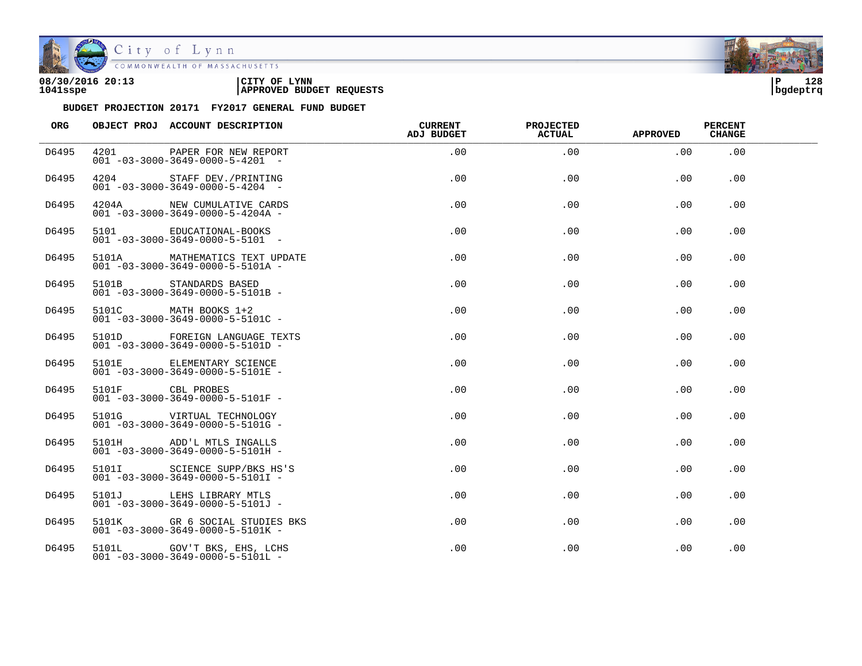

| 08/30/2016 20:13 | CITY OF<br><b>LYNN</b>          | l P      | 128 |
|------------------|---------------------------------|----------|-----|
| 1041sspe         | <b>APPROVED BUDGET REQUESTS</b> | bgdeptrq |     |

| ORG   |                  | OBJECT PROJ ACCOUNT DESCRIPTION                                                | <b>CURRENT</b><br><b>ADJ BUDGET</b> | <b>PROJECTED</b><br>ACTUAL | <b>APPROVED</b> | <b>PERCENT</b><br><b>CHANGE</b> |  |
|-------|------------------|--------------------------------------------------------------------------------|-------------------------------------|----------------------------|-----------------|---------------------------------|--|
| D6495 | 4201             | PAPER FOR NEW REPORT<br>$001 - 03 - 3000 - 3649 - 0000 - 5 - 4201 -$           | .00                                 | .00                        | .00             | .00                             |  |
| D6495 |                  | 4204 STAFF DEV./PRINTING<br>$001 - 03 - 3000 - 3649 - 0000 - 5 - 4204 -$       | .00                                 | .00                        | .00             | .00                             |  |
| D6495 |                  | 4204A NEW CUMULATIVE CARDS<br>$001 - 03 - 3000 - 3649 - 0000 - 5 - 4204A -$    | .00                                 | .00                        | .00             | .00                             |  |
| D6495 |                  | 5101 EDUCATIONAL-BOOKS<br>$001 - 03 - 3000 - 3649 - 0000 - 5 - 5101 -$         | .00                                 | .00                        | .00             | .00                             |  |
| D6495 |                  | 5101A MATHEMATICS TEXT UPDATE<br>$001 - 03 - 3000 - 3649 - 0000 - 5 - 5101A -$ | .00                                 | .00                        | .00             | .00                             |  |
| D6495 | 5101B            | STANDARDS BASED<br>$001 - 03 - 3000 - 3649 - 0000 - 5 - 5101B -$               | .00                                 | .00                        | .00             | .00.                            |  |
| D6495 |                  | 5101C MATH BOOKS 1+2<br>$001 - 03 - 3000 - 3649 - 0000 - 5 - 5101C -$          | .00                                 | .00                        | .00             | .00                             |  |
| D6495 |                  | 5101D FOREIGN LANGUAGE TEXTS<br>$001 - 03 - 3000 - 3649 - 0000 - 5 - 5101D -$  | .00                                 | .00                        | .00             | .00                             |  |
| D6495 | 5101E            | ELEMENTARY SCIENCE<br>$001 - 03 - 3000 - 3649 - 0000 - 5 - 5101E -$            | .00                                 | .00                        | .00             | .00                             |  |
| D6495 | 5101F CBL PROBES | $001 - 03 - 3000 - 3649 - 0000 - 5 - 5101F -$                                  | $.00 \,$                            | .00                        | .00             | .00                             |  |
| D6495 |                  | $001 - 03 - 3000 - 3649 - 0000 - 5 - 5101G -$                                  | $.00 \,$                            | .00                        | .00             | .00                             |  |
| D6495 |                  | 5101H ADD'L MTLS INGALLS<br>$001 - 03 - 3000 - 3649 - 0000 - 5 - 5101H -$      | $.00 \,$                            | .00                        | .00             | .00                             |  |
| D6495 |                  | 5101I SCIENCE SUPP/BKS HS'S<br>$001 - 03 - 3000 - 3649 - 0000 - 5 - 5101I -$   | $.00 \,$                            | .00                        | .00             | .00                             |  |
| D6495 |                  | 5101J LEHS LIBRARY MTLS<br>$001 - 03 - 3000 - 3649 - 0000 - 5 - 5101J -$       | $.00 \,$                            | .00                        | .00             | .00                             |  |
| D6495 |                  | 5101K GR 6 SOCIAL STUDIES BKS<br>$001 - 03 - 3000 - 3649 - 0000 - 5 - 5101K -$ | $.00 \,$                            | .00                        | .00             | .00                             |  |
| D6495 |                  | 5101L GOV'T BKS, EHS, LCHS<br>$001 - 03 - 3000 - 3649 - 0000 - 5 - 5101L -$    | $.00 \,$                            | .00                        | .00             | .00                             |  |

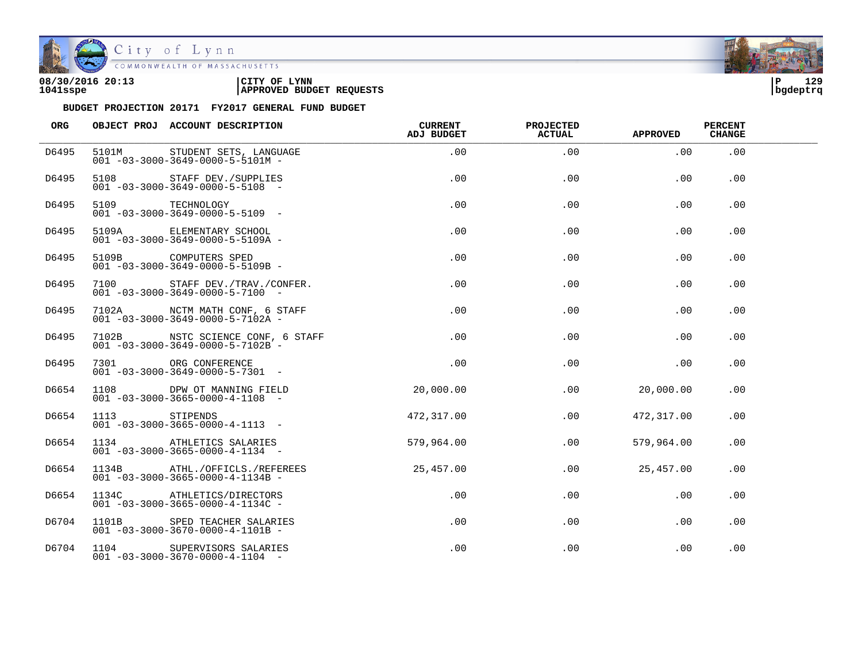

| 08/30/2016 20:13 | CITY OF<br><b>LYNN</b>          | ∣P       | 129 |
|------------------|---------------------------------|----------|-----|
| 1041sspe         | <b>APPROVED BUDGET REQUESTS</b> | bgdeptrq |     |

| ORG   |                 | OBJECT PROJ ACCOUNT DESCRIPTION                                                   | <b>CURRENT</b><br>ADJ BUDGET | <b>PROJECTED</b><br><b>ACTUAL</b> | <b>APPROVED</b> | <b>PERCENT</b><br><b>CHANGE</b> |  |
|-------|-----------------|-----------------------------------------------------------------------------------|------------------------------|-----------------------------------|-----------------|---------------------------------|--|
| D6495 |                 | 5101M STUDENT SETS, LANGUAGE<br>$001 - 03 - 3000 - 3649 - 0000 - 5 - 5101M -$     | .00                          | .00                               | .00             | .00                             |  |
| D6495 | 5108            | STAFF DEV./SUPPLIES<br>$001 - 03 - 3000 - 3649 - 0000 - 5 - 5108$ -               | .00                          | .00                               | .00             | .00                             |  |
| D6495 | 5109 TECHNOLOGY | $001 - 03 - 3000 - 3649 - 0000 - 5 - 5109$ -                                      | .00                          | .00                               | .00             | .00                             |  |
| D6495 |                 | 5109A ELEMENTARY SCHOOL<br>$001 - 03 - 3000 - 3649 - 0000 - 5 - 5109A -$          | .00                          | .00                               | .00             | .00                             |  |
| D6495 |                 | 5109B COMPUTERS SPED<br>$001 - 03 - 3000 - 3649 - 0000 - 5 - 5109B -$             | .00                          | .00                               | .00             | .00                             |  |
| D6495 | 7100            | STAFF DEV./TRAV./CONFER.<br>$001 - 03 - 3000 - 3649 - 0000 - 5 - 7100 -$          | .00                          | .00                               | .00             | .00                             |  |
| D6495 |                 | 7102A NCTM MATH CONF, 6 STAFF<br>$001 - 03 - 3000 - 3649 - 0000 - 5 - 7102A -$    | .00                          | .00                               | .00             | .00                             |  |
| D6495 |                 | 7102B NSTC SCIENCE CONF, 6 STAFF<br>$001 - 03 - 3000 - 3649 - 0000 - 5 - 7102B$ - | .00                          | .00                               | .00             | .00                             |  |
| D6495 |                 | 7301 ORG CONFERENCE<br>$001 - 03 - 3000 - 3649 - 0000 - 5 - 7301 -$               | .00                          | .00                               | .00             | .00                             |  |
| D6654 | 1108            | DPW OT MANNING FIELD<br>$001 - 03 - 3000 - 3665 - 0000 - 4 - 1108 -$              | 20,000.00                    | $.00 \,$                          | 20,000.00       | .00                             |  |
| D6654 | 1113 STIPENDS   | $001 - 03 - 3000 - 3665 - 0000 - 4 - 1113 -$                                      | 472,317.00                   | .00                               | 472,317.00      | .00                             |  |
| D6654 |                 | 1134 ATHLETICS SALARIES<br>$001 - 03 - 3000 - 3665 - 0000 - 4 - 1134 -$           | 579,964.00                   | .00                               | 579,964.00      | .00                             |  |
| D6654 |                 | 1134B ATHL./OFFICLS./REFEREES<br>$001 - 03 - 3000 - 3665 - 0000 - 4 - 1134B -$    | 25,457.00                    | .00                               | 25,457.00       | .00                             |  |
| D6654 |                 | 1134C ATHLETICS/DIRECTORS<br>$001 - 03 - 3000 - 3665 - 0000 - 4 - 1134C -$        | .00                          | $.00 \,$                          | .00             | $.00 \,$                        |  |
| D6704 |                 | 1101B SPED TEACHER SALARIES<br>$001 - 03 - 3000 - 3670 - 0000 - 4 - 1101B -$      | $.00 \,$                     | .00                               | .00             | .00                             |  |
| D6704 |                 | 1104 SUPERVISORS SALARIES<br>$001 - 03 - 3000 - 3670 - 0000 - 4 - 1104 -$         | .00                          | .00                               | .00             | .00                             |  |

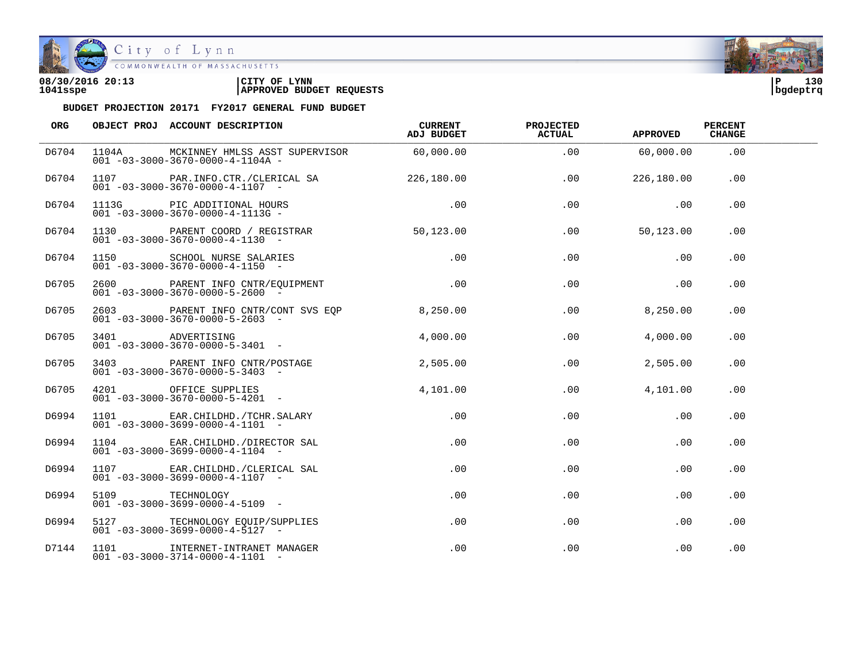

City of Lynn COMMONWEALTH OF MASSACHUSETTS

## **08/30/2016 20:13 |CITY OF LYNN |P 130 1041sspe |APPROVED BUDGET REQUESTS |bgdeptrq**

| ORG   |                 | OBJECT PROJ ACCOUNT DESCRIPTION                                                                                    | CURRENT<br>ADJ BUDGET | <b>PROJECTED</b><br><b>ACTUAL</b> | APPROVED   | PERCENT<br><b>CHANGE</b> |  |
|-------|-----------------|--------------------------------------------------------------------------------------------------------------------|-----------------------|-----------------------------------|------------|--------------------------|--|
| D6704 |                 | 1104A MCKINNEY HMLSS ASST SUPERVISOR 60,000.00<br>$001 - 03 - 3000 - 3670 - 0000 - 4 - 1104A -$                    |                       | .00                               | 60,000.00  | .00                      |  |
| D6704 |                 | 1107 PAR.INFO.CTR./CLERICAL SA 226,180.00<br>$001 - 03 - 3000 - 3670 - 0000 - 4 - 1107$ -                          |                       | .00                               | 226,180.00 | .00                      |  |
| D6704 |                 |                                                                                                                    | .00                   | .00                               | .00        | .00                      |  |
| D6704 |                 | 1130 PARENT COORD / REGISTRAR 50,123.00<br>$001 - 03 - 3000 - 3670 - 0000 - 4 - 1130 -$                            |                       | .00                               | 50,123.00  | .00                      |  |
| D6704 |                 |                                                                                                                    | .00                   | .00                               | .00        | $.00 \,$                 |  |
| D6705 |                 | 2600 PARENT INFO CNTR/EQUIPMENT<br>$001 - 03 - 3000 - 3670 - 0000 - 5 - 2600$ -                                    | $.00\,$               | $.00 \,$                          | $\sim$ 00  | .00.                     |  |
| D6705 |                 | 2603 PARENT INFO CNTR/CONT SVS EQP 8,250.00<br>$001 - 03 - 3000 - 3670 - 0000 - 5 - 2603$ -                        |                       | .00                               | 8,250.00   | .00.                     |  |
| D6705 |                 | 3401 ADVERTISING<br>001 -03-3000-3670-0000-5-3401 -                                                                | 4.000.00              | .00                               | 4,000.00   | .00                      |  |
| D6705 |                 | 3403 PARENT INFO CNTR/POSTAGE<br>$001 - 03 - 3000 - 3670 - 0000 - 5 - 3403 -$                                      | 2,505.00              | .00                               | 2,505.00   | .00.                     |  |
| D6705 |                 | 4201 OFFICE SUPPLIES<br>$001 - 03 - 3000 - 3670 - 0000 - 5 - 4201 -$                                               | 4,101.00              | .00                               | 4,101.00   | .00                      |  |
| D6994 |                 | $1101$ EAR.CHILDHD./TCHR.SALARY<br>001 -03-3000-3699-0000-4-1101 -<br>$001 - 03 - 3000 - 3699 - 0000 - 4 - 1101 -$ | .00                   | .00                               | .00        | .00                      |  |
| D6994 |                 | 1104 EAR. CHILDHD. / DIRECTOR SAL<br>$001 - 03 - 3000 - 3699 - 0000 - 4 - 1104 -$                                  | .00                   | .00                               | .00        | .00                      |  |
| D6994 |                 | 1107 EAR. CHILDHD. / CLERICAL SAL<br>$001 - 03 - 3000 - 3699 - 0000 - 4 - 1107$ -                                  | $.00 \,$              | .00                               | .00        | .00                      |  |
| D6994 | 5109 TECHNOLOGY | $001 - 03 - 3000 - 3699 - 0000 - 4 - 5109$ -                                                                       | .00                   | .00                               | .00        | .00                      |  |
| D6994 |                 | 5127 TECHNOLOGY EQUIP/SUPPLIES<br>$001 - 03 - 3000 - 3699 - 0000 - 4 - 5127 -$                                     | $.00\,$               | .00                               | $.00 \,$   | .00                      |  |
| D7144 |                 | 1101 INTERNET-INTRANET MANAGER<br>$001 - 03 - 3000 - 3714 - 0000 - 4 - 1101 -$                                     | $.00 \,$              | .00                               | .00        | .00                      |  |

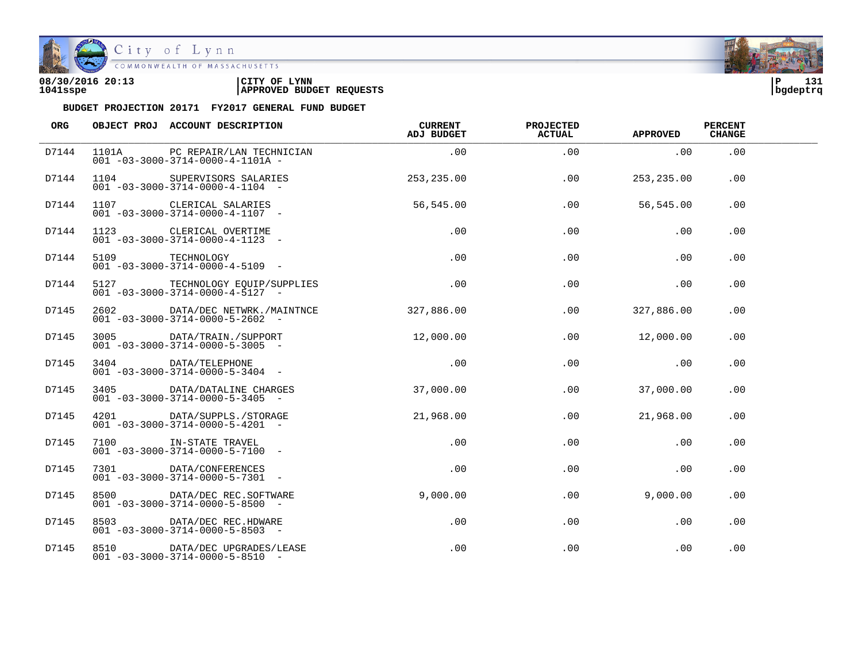

| 08/30/2016 20:13 | CITY OF<br><b>LYNN</b>          | ∣P       | 131 |
|------------------|---------------------------------|----------|-----|
| 1041sspe         | <b>APPROVED BUDGET REQUESTS</b> | bgdeptrq |     |

| ORG   |      | OBJECT PROJ ACCOUNT DESCRIPTION                                                 | CURRENT<br>ADJ BUDGET | <b>PROJECTED</b><br><b>ACTUAL</b> | <b>APPROVED</b> | <b>PERCENT</b><br><b>CHANGE</b> |  |
|-------|------|---------------------------------------------------------------------------------|-----------------------|-----------------------------------|-----------------|---------------------------------|--|
| D7144 |      | 1101A PC REPAIR/LAN TECHNICIAN<br>$001 - 03 - 3000 - 3714 - 0000 - 4 - 1101A -$ | .00                   | .00                               | .00             | .00                             |  |
| D7144 | 1104 | SUPERVISORS SALARIES<br>$001 - 03 - 3000 - 3714 - 0000 - 4 - 1104 -$            | 253, 235.00           | .00                               | 253,235.00      | .00                             |  |
| D7144 |      | 1107 CLERICAL SALARIES<br>$001 - 03 - 3000 - 3714 - 0000 - 4 - 1107$ -          | 56,545.00             | .00                               | 56,545.00       | .00                             |  |
| D7144 |      | 1123 CLERICAL OVERTIME<br>$001 - 03 - 3000 - 3714 - 0000 - 4 - 1123 -$          | .00                   | .00                               | .00             | .00                             |  |
| D7144 |      | 5109 TECHNOLOGY<br>$001 - 03 - 3000 - 3714 - 0000 - 4 - 5109$ -                 | .00                   | .00                               | .00             | .00                             |  |
| D7144 |      | 5127 TECHNOLOGY EQUIP/SUPPLIES<br>$001 - 03 - 3000 - 3714 - 0000 - 4 - 5127 -$  | .00                   | .00                               | .00             | .00                             |  |
| D7145 |      | 2602 DATA/DEC NETWRK./MAINTNCE<br>$001 - 03 - 3000 - 3714 - 0000 - 5 - 2602$ -  | 327,886.00            | .00                               | 327,886.00      | .00.                            |  |
| D7145 |      | 3005 DATA/TRAIN./SUPPORT<br>$001 - 03 - 3000 - 3714 - 0000 - 5 - 3005$ -        | 12,000.00             | .00                               | 12,000.00       | .00                             |  |
| D7145 |      | 3404 DATA/TELEPHONE<br>$001 - 03 - 3000 - 3714 - 0000 - 5 - 3404 -$             | .00                   | .00                               | .00             | .00                             |  |
| D7145 | 3405 | DATA/DATALINE CHARGES<br>$001 - 03 - 3000 - 3714 - 0000 - 5 - 3405$ -           | 37,000.00             | $.00 \,$                          | 37,000.00       | .00                             |  |
| D7145 |      | 4201 DATA/SUPPLS./STORAGE<br>$001 - 03 - 3000 - 3714 - 0000 - 5 - 4201 -$       | 21,968.00             | .00                               | 21,968.00       | .00                             |  |
| D7145 |      | 7100 IN-STATE TRAVEL<br>$001 - 03 - 3000 - 3714 - 0000 - 5 - 7100 -$            | .00                   | .00                               | .00             | .00                             |  |
| D7145 |      | 7301 DATA/CONFERENCES<br>$001 - 03 - 3000 - 3714 - 0000 - 5 - 7301 -$           | $.00 \,$              | .00                               | .00             | .00                             |  |
| D7145 |      | 8500 DATA/DEC REC.SOFTWARE<br>$001 - 03 - 3000 - 3714 - 0000 - 5 - 8500$ -      | 9,000.00              | .00                               | 9,000.00        | .00                             |  |
| D7145 |      | 8503 DATA/DEC REC.HDWARE<br>$001 - 03 - 3000 - 3714 - 0000 - 5 - 8503$ -        | .00                   | .00                               | .00             | .00                             |  |
| D7145 |      | 8510 DATA/DEC UPGRADES/LEASE<br>$001 - 03 - 3000 - 3714 - 0000 - 5 - 8510 -$    | .00                   | .00                               | .00             | .00                             |  |

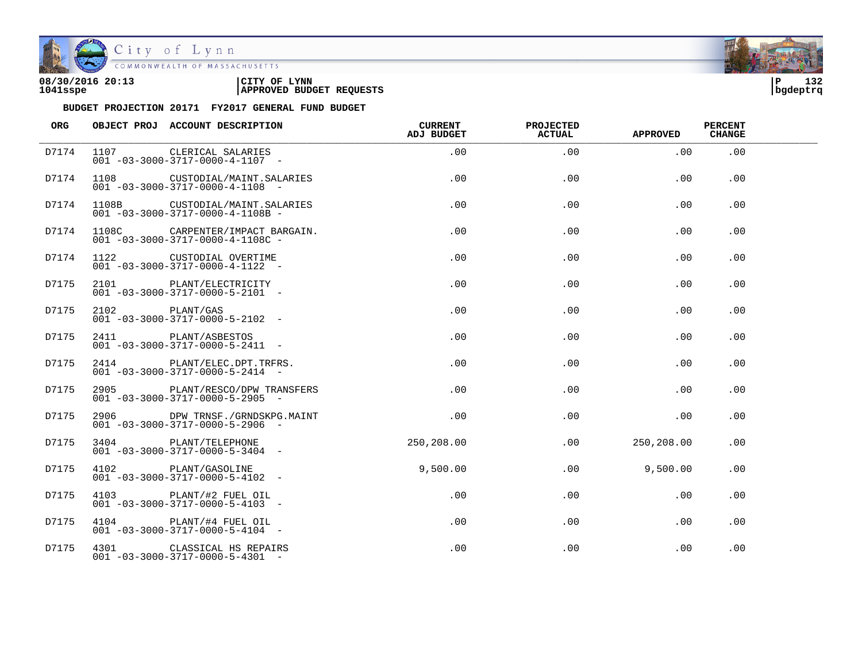

| 08/30/2016 20:13 | 'CITY OF<br><b>LYNN</b>         | ם ו      | 132 |
|------------------|---------------------------------|----------|-----|
| 1041sspe         | <b>APPROVED BUDGET REQUESTS</b> | bgdeptrq |     |

| ORG   |                | OBJECT PROJ ACCOUNT DESCRIPTION                                                  | <b>CURRENT</b><br>ADJ BUDGET | PROJECTED<br><b>ACTUAL</b> | <b>APPROVED</b> | <b>PERCENT</b><br><b>CHANGE</b> |  |
|-------|----------------|----------------------------------------------------------------------------------|------------------------------|----------------------------|-----------------|---------------------------------|--|
| D7174 | 1107           | CLERICAL SALARIES<br>$001 - 03 - 3000 - 3717 - 0000 - 4 - 1107 -$                | .00                          | .00                        | .00             | .00                             |  |
| D7174 |                | 1108 CUSTODIAL/MAINT.SALARIES<br>$001 - 03 - 3000 - 3717 - 0000 - 4 - 1108$ -    | .00                          | .00                        | .00             | .00                             |  |
| D7174 |                | 1108B CUSTODIAL/MAINT.SALARIES<br>$001 - 03 - 3000 - 3717 - 0000 - 4 - 1108B -$  | .00                          | .00                        | .00             | .00.                            |  |
| D7174 |                | 1108C CARPENTER/IMPACT BARGAIN.<br>$001 - 03 - 3000 - 3717 - 0000 - 4 - 1108C -$ | .00                          | .00                        | .00             | .00                             |  |
| D7174 |                | 1122 CUSTODIAL OVERTIME<br>$001 - 03 - 3000 - 3717 - 0000 - 4 - 1122 -$          | $.00 \,$                     | .00                        | .00             | .00                             |  |
| D7175 |                | 2101 PLANT/ELECTRICITY<br>$001 - 03 - 3000 - 3717 - 0000 - 5 - 2101 -$           | $.00 \,$                     | $.00 \,$                   | $.00 \,$        | .00                             |  |
| D7175 | 2102 PLANT/GAS | $001 - 03 - 3000 - 3717 - 0000 - 5 - 2102 -$                                     | $.00 \,$                     | .00                        | $.00 \,$        | .00                             |  |
| D7175 |                | 2411 PLANT/ASBESTOS<br>$001 - 03 - 3000 - 3717 - 0000 - 5 - 2411 -$              | $.00 \,$                     | .00                        | .00             | .00                             |  |
| D7175 |                | 2414 PLANT/ELEC.DPT.TRFRS.<br>$001 - 03 - 3000 - 3717 - 0000 - 5 - 2414 -$       | .00                          | .00                        | .00             | .00                             |  |
| D7175 |                | 2905 PLANT/RESCO/DPW TRANSFERS<br>$001 - 03 - 3000 - 3717 - 0000 - 5 - 2905$ -   | .00                          | .00                        | $.00 \,$        | .00                             |  |
| D7175 |                | 2906 DPW TRNSF./GRNDSKPG.MAINT<br>$001 - 03 - 3000 - 3717 - 0000 - 5 - 2906$ -   | .00                          | .00                        | .00             | .00                             |  |
| D7175 |                | 3404 PLANT/TELEPHONE<br>$0.01 - 0.3 - 30.00 - 3717 - 0.000 - 5 - 3404 -$         | 250,208.00                   | $.00 \,$                   | 250,208.00      | .00                             |  |
| D7175 |                | 4102 PLANT/GASOLINE<br>$001 - 03 - 3000 - 3717 - 0000 - 5 - 4102 -$              | 9,500.00                     | .00.                       | 9,500.00        | .00.                            |  |
| D7175 |                | 4103 PLANT/#2 FUEL OIL<br>$001 - 03 - 3000 - 3717 - 0000 - 5 - 4103 -$           | .00                          | .00.                       | .00             | .00.                            |  |
| D7175 |                | 4104 PLANT/#4 FUEL OIL<br>$001 - 03 - 3000 - 3717 - 0000 - 5 - 4104 -$           | .00                          | .00                        | .00             | .00                             |  |
| D7175 |                | 4301 CLASSICAL HS REPAIRS<br>$001 - 03 - 3000 - 3717 - 0000 - 5 - 4301 -$        | .00                          | .00                        | .00             | .00                             |  |

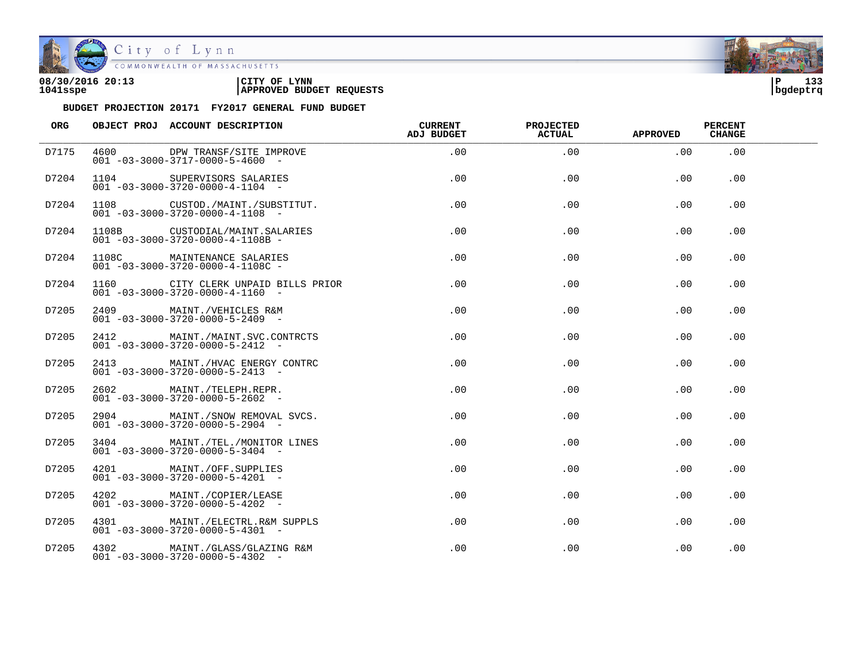

| 08/30/2016 20:13 | CITY OF<br><b>LYNN</b>          | 12 <sup>o</sup><br>ם ו<br>. |  |
|------------------|---------------------------------|-----------------------------|--|
| 1041sspe         | <b>APPROVED BUDGET REQUESTS</b> | bgdeptrq                    |  |

| ORG   | OBJECT PROJ ACCOUNT DESCRIPTION                                                    | CURRENT<br>ADJ BUDGET | <b>PROJECTED</b><br><b>ACTUAL</b> | <b>APPROVED</b> | <b>PERCENT</b><br><b>CHANGE</b> |  |
|-------|------------------------------------------------------------------------------------|-----------------------|-----------------------------------|-----------------|---------------------------------|--|
| D7175 | 4600 DPW TRANSF/SITE IMPROVE<br>$001 - 03 - 3000 - 3717 - 0000 - 5 - 4600$ -       | .00                   | .00                               | .00             | .00                             |  |
| D7204 | 1104 SUPERVISORS SALARIES<br>$001 - 03 - 3000 - 3720 - 0000 - 4 - 1104$ -          | .00                   | .00                               | .00             | .00                             |  |
| D7204 | 1108 CUSTOD./MAINT./SUBSTITUT.<br>$001 - 03 - 3000 - 3720 - 0000 - 4 - 1108$ -     | .00                   | .00                               | .00             | .00                             |  |
| D7204 | 1108B CUSTODIAL/MAINT.SALARIES<br>$001 - 03 - 3000 - 3720 - 0000 - 4 - 1108B -$    | .00                   | .00                               | .00             | .00                             |  |
| D7204 | 1108C MAINTENANCE SALARIES<br>$001 - 03 - 3000 - 3720 - 0000 - 4 - 1108C -$        | .00                   | .00                               | .00             | .00                             |  |
| D7204 | 1160 CITY CLERK UNPAID BILLS PRIOR<br>$001 - 03 - 3000 - 3720 - 0000 - 4 - 1160 -$ | .00                   | .00                               | .00             | .00.                            |  |
| D7205 | 2409 MAINT./VEHICLES R&M<br>$001 - 03 - 3000 - 3720 - 0000 - 5 - 2409$ -           | .00                   | .00                               | .00             | .00                             |  |
| D7205 | 2412 MAINT./MAINT.SVC.CONTRCTS<br>$001 - 03 - 3000 - 3720 - 0000 - 5 - 2412 -$     | .00                   | .00                               | .00             | .00.                            |  |
| D7205 | 2413 MAINT./HVAC ENERGY CONTRC<br>$001 - 03 - 3000 - 3720 - 0000 - 5 - 2413 -$     | $.00 \,$              | .00                               | .00             | .00                             |  |
| D7205 | 2602 MAINT./TELEPH.REPR.<br>$001 - 03 - 3000 - 3720 - 0000 - 5 - 2602$ -           | $.00 \,$              | .00                               | .00             | .00                             |  |
| D7205 | 2904 MAINT./SNOW REMOVAL SVCS.<br>$001 - 03 - 3000 - 3720 - 0000 - 5 - 2904 -$     | $.00 \,$              | .00                               | .00             | .00                             |  |
| D7205 | 3404 MAINT./TEL./MONITOR LINES<br>$001 - 03 - 3000 - 3720 - 0000 - 5 - 3404 -$     | $.00 \,$              | .00                               | .00             | .00                             |  |
| D7205 | 4201 MAINT./OFF.SUPPLIES<br>$001 - 03 - 3000 - 3720 - 0000 - 5 - 4201 -$           | $.00 \,$              | .00                               | .00             | .00                             |  |
| D7205 | 4202 MAINT./COPIER/LEASE<br>$001 - 03 - 3000 - 3720 - 0000 - 5 - 4202 -$           | $.00 \,$              | $.00 \,$                          | $.00 \,$        | .00.                            |  |
| D7205 | 4301 MAINT./ELECTRL.R&M SUPPLS<br>$001 - 03 - 3000 - 3720 - 0000 - 5 - 4301$ -     | $.00 \,$              | .00                               | .00             | .00                             |  |
| D7205 | 4302 MAINT./GLASS/GLAZING R&M<br>$001 - 03 - 3000 - 3720 - 0000 - 5 - 4302$ -      | .00                   | .00                               | .00             | .00                             |  |

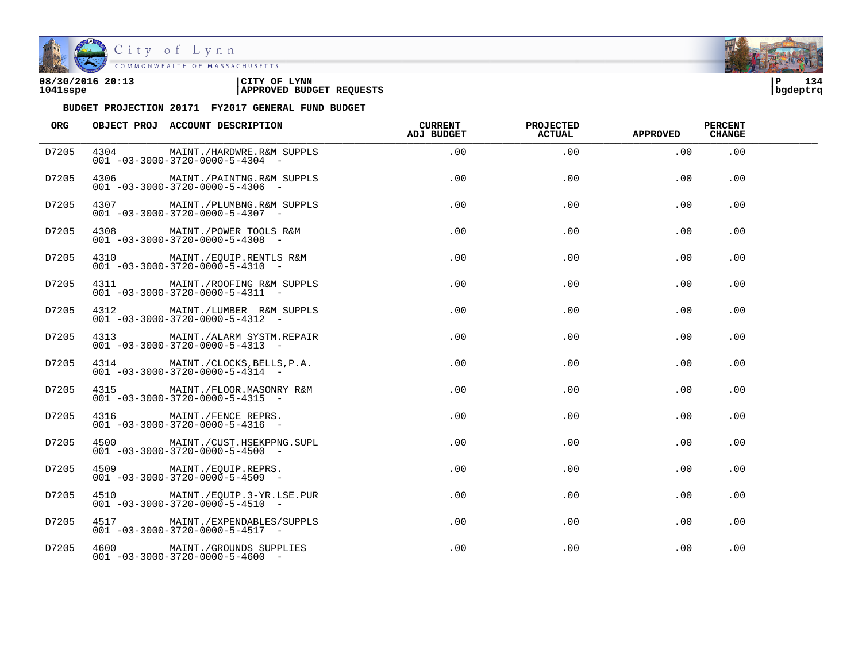

| 08/30/2016 20:13 | 'CITY OF<br><b>LYNN</b>         | i P      | 134 |
|------------------|---------------------------------|----------|-----|
| 1041sspe         | <b>APPROVED BUDGET REQUESTS</b> | bgdeptrq |     |

| ORG   | OBJECT PROJ ACCOUNT DESCRIPTION                                                 | CURRENT<br>ADJ BUDGET | <b>PROJECTED</b><br><b>ACTUAL</b> | <b>APPROVED</b> | <b>PERCENT</b><br><b>CHANGE</b> |  |
|-------|---------------------------------------------------------------------------------|-----------------------|-----------------------------------|-----------------|---------------------------------|--|
| D7205 | 4304 MAINT./HARDWRE.R&M SUPPLS<br>$001 - 03 - 3000 - 3720 - 0000 - 5 - 4304 -$  | .00                   | .00                               | .00             | .00                             |  |
| D7205 | 4306 MAINT./PAINTNG.R&M SUPPLS<br>$001 - 03 - 3000 - 3720 - 0000 - 5 - 4306$ -  | .00                   | .00                               | .00             | .00                             |  |
| D7205 | 4307 MAINT./PLUMBNG.R&M SUPPLS<br>$001 - 03 - 3000 - 3720 - 0000 - 5 - 4307$ -  | $.00 \,$              | .00                               | .00             | .00                             |  |
| D7205 | 4308 MAINT./POWER TOOLS R&M<br>$001 - 03 - 3000 - 3720 - 0000 - 5 - 4308$ -     | $.00\,$               | .00                               | $.00 \,$        | .00                             |  |
| D7205 | 4310 MAINT./EQUIP.RENTLS R&M<br>$001 - 03 - 3000 - 3720 - 0000 - 5 - 4310 -$    | .00                   | .00                               | $.00 \,$        | .00                             |  |
| D7205 | 4311 MAINT./ROOFING R&M SUPPLS<br>$001 - 03 - 3000 - 3720 - 0000 - 5 - 4311 -$  | $.00 \,$              | $.00 \,$                          | .00             | .00.                            |  |
| D7205 | 4312 MAINT./LUMBER R&M SUPPLS<br>$001 - 03 - 3000 - 3720 - 0000 - 5 - 4312 -$   | $.00 \,$              | .00.                              | .00             | .00.                            |  |
| D7205 | 4313 MAINT./ALARM SYSTM.REPAIR<br>$001 - 03 - 3000 - 3720 - 0000 - 5 - 4313 -$  | .00                   | .00                               | .00             | .00                             |  |
| D7205 | 4314 MAINT./CLOCKS, BELLS, P.A.<br>$001 - 03 - 3000 - 3720 - 0000 - 5 - 4314 -$ | .00                   | .00                               | .00             | .00                             |  |
| D7205 | 4315 MAINT./FLOOR.MASONRY R&M<br>$001 - 03 - 3000 - 3720 - 0000 - 5 - 4315 -$   | $.00 \,$              | .00                               | .00             | .00                             |  |
| D7205 | 4316 MAINT./FENCE REPRS.<br>$001 - 03 - 3000 - 3720 - 0000 - 5 - 4316 -$        | $.00 \,$              | .00                               | .00             | .00                             |  |
| D7205 | 4500 MAINT./CUST.HSEKPPNG.SUPL<br>$001 - 03 - 3000 - 3720 - 0000 - 5 - 4500$ -  | .00                   | .00                               | .00             | .00                             |  |
| D7205 | 4509 MAINT./EQUIP.REPRS.<br>$001 - 03 - 3000 - 3720 - 0000 - 5 - 4509$ -        | .00                   | .00                               | .00             | .00                             |  |
| D7205 | 4510 MAINT./EQUIP.3-YR.LSE.PUR<br>$001 - 03 - 3000 - 3720 - 0000 - 5 - 4510 -$  | .00                   | .00                               | .00             | .00                             |  |
| D7205 | 4517 MAINT./EXPENDABLES/SUPPLS<br>$001 - 03 - 3000 - 3720 - 0000 - 5 - 4517 -$  | .00                   | .00                               | $.00 \,$        | .00                             |  |
| D7205 | 4600 MAINT./GROUNDS SUPPLIES<br>$001 - 03 - 3000 - 3720 - 0000 - 5 - 4600$ -    | $.00 \,$              | .00                               | .00             | .00                             |  |

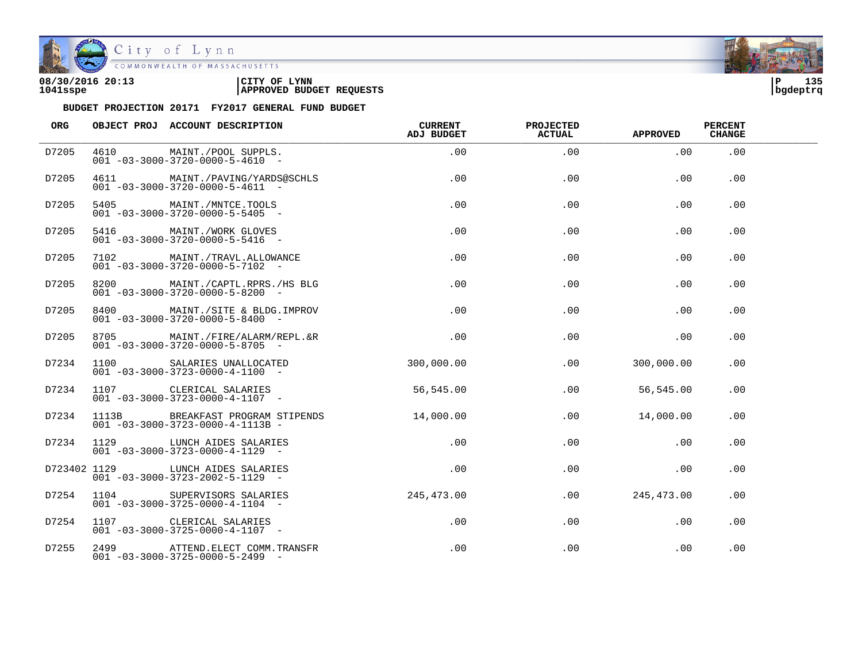

| 08/30/2016 20:13 | CITY OF<br><b>LYNN</b>          | ם ו      | 125<br>. |
|------------------|---------------------------------|----------|----------|
| 1041sspe         | <b>APPROVED BUDGET REQUESTS</b> | bgdeptrq |          |

| ORG   | OBJECT PROJ ACCOUNT DESCRIPTION                                                   | CURRENT<br>ADJ BUDGET | <b>PROJECTED</b><br><b>ACTUAL</b> | <b>APPROVED</b> | <b>PERCENT</b><br><b>CHANGE</b> |  |
|-------|-----------------------------------------------------------------------------------|-----------------------|-----------------------------------|-----------------|---------------------------------|--|
| D7205 | 4610 MAINT./POOL SUPPLS.<br>$001 - 03 - 3000 - 3720 - 0000 - 5 - 4610 -$          | .00                   | .00                               | .00             | .00                             |  |
| D7205 | 4611 MAINT./PAVING/YARDS@SCHLS<br>$001 - 03 - 3000 - 3720 - 0000 - 5 - 4611$ -    | .00                   | .00                               | .00             | .00                             |  |
| D7205 | 5405 MAINT./MNTCE.TOOLS<br>$001 - 03 - 3000 - 3720 - 0000 - 5 - 5405$ -           | .00                   | .00                               | .00             | .00                             |  |
| D7205 | 5416 MAINT./WORK GLOVES<br>$001 - 03 - 3000 - 3720 - 0000 - 5 - 5416 -$           | .00                   | .00                               | .00             | .00                             |  |
| D7205 | 7102 MAINT./TRAVL.ALLOWANCE<br>$001 - 03 - 3000 - 3720 - 0000 - 5 - 7102 -$       | .00                   | .00                               | .00             | .00                             |  |
| D7205 | 8200 MAINT./CAPTL.RPRS./HS BLG<br>$001 - 03 - 3000 - 3720 - 0000 - 5 - 8200$ -    | .00                   | .00                               | .00             | .00.                            |  |
| D7205 | 8400 MAINT./SITE & BLDG.IMPROV<br>$001 - 03 - 3000 - 3720 - 0000 - 5 - 8400$ -    | .00                   | .00                               | .00             | .00                             |  |
| D7205 | 8705 MAINT./FIRE/ALARM/REPL.&R<br>$001 - 03 - 3000 - 3720 - 0000 - 5 - 8705$ -    | .00                   | .00                               | .00             | .00.                            |  |
| D7234 | 1100 SALARIES UNALLOCATED<br>$001 - 03 - 3000 - 3723 - 0000 - 4 - 1100 -$         | 300,000.00            | .00                               | 300,000.00      | .00.                            |  |
| D7234 | 1107 CLERICAL SALARIES<br>$001 - 03 - 3000 - 3723 - 0000 - 4 - 1107 -$            | 56,545.00             | $.00 \,$                          | 56,545.00       | .00                             |  |
| D7234 | 1113B BREAKFAST PROGRAM STIPENDS<br>$001 - 03 - 3000 - 3723 - 0000 - 4 - 1113B -$ | 14,000.00             | $.00 \,$                          | 14,000.00       | .00                             |  |
| D7234 | 1129 LUNCH AIDES SALARIES<br>$001 - 03 - 3000 - 3723 - 0000 - 4 - 1129$ -         | $.00\,$               | .00                               | .00             | .00                             |  |
|       | D723402 1129 LUNCH AIDES SALARIES<br>$001 - 03 - 3000 - 3723 - 2002 - 5 - 1129$ - | $.00 \,$              | .00                               | .00             | .00                             |  |
| D7254 | 1104 SUPERVISORS SALARIES<br>$001 - 03 - 3000 - 3725 - 0000 - 4 - 1104 -$         | 245, 473, 00          | $.00\,$                           | 245,473.00      | .00.                            |  |
| D7254 | 1107 CLERICAL SALARIES<br>$001 - 03 - 3000 - 3725 - 0000 - 4 - 1107$ -            | .00                   | .00                               | .00             | .00                             |  |
| D7255 | 2499 ATTEND. ELECT COMM. TRANSFR<br>$001 - 03 - 3000 - 3725 - 0000 - 5 - 2499$ -  | $.00 \,$              | .00                               | .00             | .00                             |  |

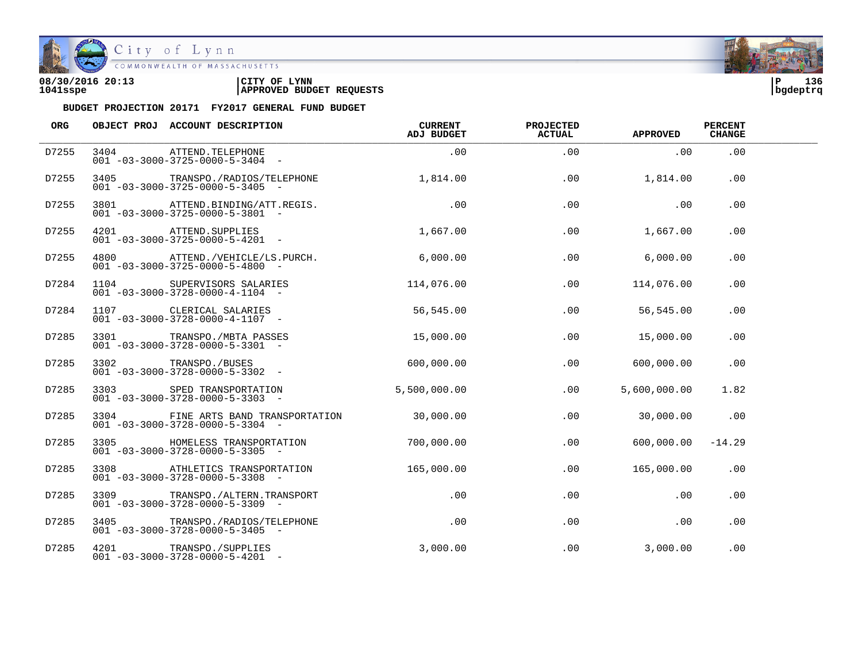

| 08/30/2016 20:13 | LYNN<br>CITY OF                 | ם ו      | 136 |
|------------------|---------------------------------|----------|-----|
| 1041sspe         | <b>APPROVED BUDGET REQUESTS</b> | bqdeptrq |     |

| <b>ORG</b> |                 | OBJECT PROJ ACCOUNT DESCRIPTION                                                         | <b>CURRENT</b><br>ADJ BUDGET | <b>PROJECTED</b><br><b>ACTUAL</b> | <b>APPROVED</b> | <b>PERCENT</b><br><b>CHANGE</b> |  |
|------------|-----------------|-----------------------------------------------------------------------------------------|------------------------------|-----------------------------------|-----------------|---------------------------------|--|
| D7255      |                 | 3404 ATTEND.TELEPHONE<br>$001 - 03 - 3000 - 3725 - 0000 - 5 - 3404 -$                   | .00                          | .00                               | .00             | .00                             |  |
| D7255      | 3405 — 100      | TRANSPO./RADIOS/TELEPHONE<br>$001 - 03 - 3000 - 3725 - 0000 - 5 - 3405$ -               | 1,814.00                     | .00                               | 1,814.00        | $.00 \,$                        |  |
| D7255      |                 | 3801 ATTEND.BINDING/ATT.REGIS.<br>$001 - 03 - 3000 - 3725 - 0000 - 5 - 3801$ -          | .00                          | .00                               | .00             | .00                             |  |
| D7255      |                 | 4201 ATTEND. SUPPLIES<br>$001 - 03 - 3000 - 3725 - 0000 - 5 - 4201 -$                   | 1,667.00                     | .00                               | 1,667.00        | .00                             |  |
| D7255      |                 | 4800 ATTEND./VEHICLE/LS.PURCH. 6,000.00<br>$001 - 03 - 3000 - 3725 - 0000 - 5 - 4800$ - |                              | .00                               | 6.000.00        | .00                             |  |
| D7284      |                 | 1104 SUPERVISORS SALARIES<br>$001 - 03 - 3000 - 3728 - 0000 - 4 - 1104 -$               | 114,076.00                   | .00                               | 114,076.00      | .00                             |  |
| D7284      |                 | 001 -03-3000-3728-0000-4-1107 -                                                         | 56,545.00                    | .00                               | 56,545.00       | .00                             |  |
| D7285      |                 | 3301 TRANSPO./MBTA PASSES<br>$001 - 03 - 3000 - 3728 - 0000 - 5 - 3301$ -               | 15,000.00                    | .00                               | 15,000.00       | .00                             |  |
| D7285      |                 | 3302 TRANSPO./BUSES<br>001 -03-3000-3728-0000-5-3302 -                                  | 600,000.00                   | .00                               | 600,000.00      | .00                             |  |
| D7285      |                 | 3303 SPED TRANSPORTATION<br>$001 - 03 - 3000 - 3728 - 0000 - 5 - 3303$ -                | 5,500,000.00                 | .00                               | 5,600,000.00    | 1.82                            |  |
| D7285      |                 | 3304 FINE ARTS BAND TRANSPORTATION<br>$001 - 03 - 3000 - 3728 - 0000 - 5 - 3304 -$      | 30,000.00                    | .00                               | 30,000.00       | .00                             |  |
| D7285      |                 | 3305 HOMELESS TRANSPORTATION<br>$001 - 03 - 3000 - 3728 - 0000 - 5 - 3305$ -            | 700,000.00                   | .00                               | 600,000.00      | $-14.29$                        |  |
| D7285      |                 | 3308 ATHLETICS TRANSPORTATION<br>$001 - 03 - 3000 - 3728 - 0000 - 5 - 3308$ -           | 165,000.00                   | $.00 \,$                          | 165,000.00      | .00                             |  |
| D7285      | 3309 and $\sim$ | TRANSPO. / ALTERN. TRANSPORT<br>$001 - 03 - 3000 - 3728 - 0000 - 5 - 3309$ -            | .00                          | .00                               | .00             | .00                             |  |
| D7285      |                 | 3405 TRANSPO./RADIOS/TELEPHONE<br>$001 - 03 - 3000 - 3728 - 0000 - 5 - 3405$ -          | .00                          | .00                               | .00             | .00                             |  |
| D7285      |                 | 4201 TRANSPO./SUPPLIES<br>$001 - 03 - 3000 - 3728 - 0000 - 5 - 4201$ -                  | 3,000.00                     | .00                               | 3,000.00        | .00                             |  |

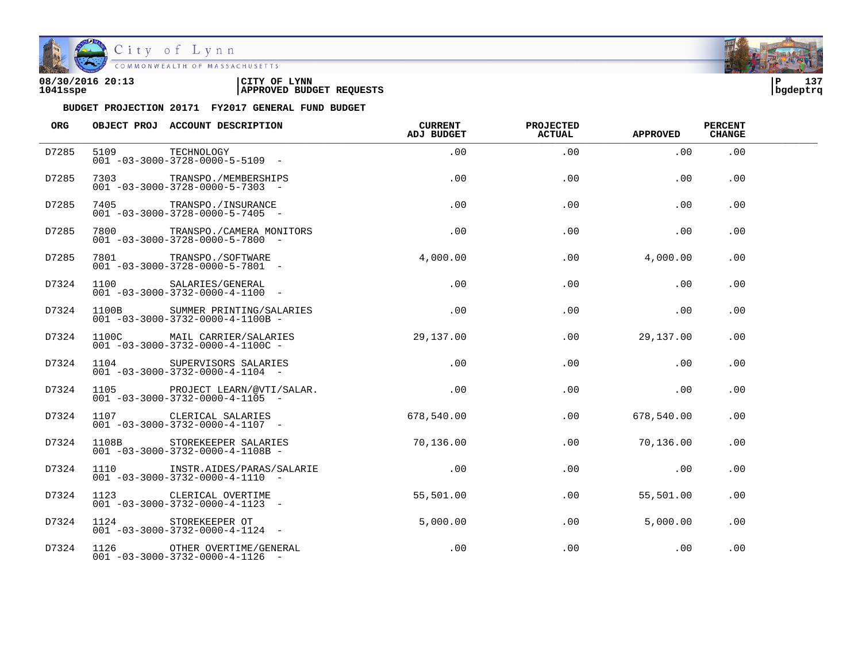

City of Lynn<br>COMMONWEALTH OF MASSACHUSETTS

| 08/30/2016 20:13 | 'CITY OF<br><b>LYNN</b>         | l P      | 127<br>، د ⊥ |
|------------------|---------------------------------|----------|--------------|
| 1041sspe         | <b>APPROVED BUDGET REQUESTS</b> | bgdeptrq |              |

| ORG   | OBJECT PROJ ACCOUNT DESCRIPTION                                                 | CURRENT<br>ADJ BUDGET | <b>PROJECTED</b><br><b>ACTUAL</b> | <b>APPROVED</b> | <b>PERCENT</b><br><b>CHANGE</b> |  |
|-------|---------------------------------------------------------------------------------|-----------------------|-----------------------------------|-----------------|---------------------------------|--|
| D7285 | 5109 TECHNOLOGY<br>$001 - 03 - 3000 - 3728 - 0000 - 5 - 5109$ -                 | .00                   | .00                               | .00             | .00                             |  |
| D7285 | 7303 TRANSPO./MEMBERSHIPS<br>$001 - 03 - 3000 - 3728 - 0000 - 5 - 7303$ -       | .00                   | .00                               | .00             | .00                             |  |
| D7285 | 7405 TRANSPO./INSURANCE<br>$001 - 03 - 3000 - 3728 - 0000 - 5 - 7405$ -         | .00                   | .00                               | .00             | .00                             |  |
| D7285 | 7800 TRANSPO./CAMERA MONITORS<br>$001 - 03 - 3000 - 3728 - 0000 - 5 - 7800$ -   | .00                   | .00                               | .00             | .00                             |  |
| D7285 | 7801 TRANSPO./SOFTWARE<br>$001 - 03 - 3000 - 3728 - 0000 - 5 - 7801 -$          | 4,000.00              | .00                               | 4,000.00        | .00                             |  |
| D7324 | 1100 SALARIES/GENERAL<br>$001 - 03 - 3000 - 3732 - 0000 - 4 - 1100 -$           | $.00 \,$              | .00                               | $.00 \,$        | .00.                            |  |
| D7324 | 1100B SUMMER PRINTING/SALARIES<br>$001 - 03 - 3000 - 3732 - 0000 - 4 - 1100B -$ | .00                   | .00                               | .00             | .00                             |  |
| D7324 | 1100C MAIL CARRIER/SALARIES<br>$001 - 03 - 3000 - 3732 - 0000 - 4 - 1100C -$    | 29,137.00             | .00                               | 29,137.00       | .00                             |  |
| D7324 | 1104 SUPERVISORS SALARIES<br>$001 - 03 - 3000 - 3732 - 0000 - 4 - 1104 -$       | .00                   | .00                               | .00             | .00                             |  |
| D7324 | 1105 PROJECT LEARN/@VTI/SALAR.<br>$001 - 03 - 3000 - 3732 - 0000 - 4 - 1105$ -  | .00                   | .00                               | .00             | .00                             |  |
| D7324 | 1107 CLERICAL SALARIES<br>$001 - 03 - 3000 - 3732 - 0000 - 4 - 1107$ -          | 678,540.00            | .00                               | 678,540.00      | .00                             |  |
| D7324 | 1108B STOREKEEPER SALARIES<br>$001 - 03 - 3000 - 3732 - 0000 - 4 - 1108B -$     | 70,136.00             | .00                               | 70,136.00       | .00                             |  |
| D7324 | 1110 INSTR.AIDES/PARAS/SALARIE<br>$001 - 03 - 3000 - 3732 - 0000 - 4 - 1110$ -  | .00                   | .00                               | .00             | .00                             |  |
| D7324 | 1123 CLERICAL OVERTIME<br>$001 - 03 - 3000 - 3732 - 0000 - 4 - 1123 - -$        | 55,501.00             | .00                               | 55,501.00       | .00                             |  |
| D7324 | 1124 STOREKEEPER OT<br>$001 - 03 - 3000 - 3732 - 0000 - 4 - 1124 -$             | 5,000.00              | .00                               | 5.000.00        | .00                             |  |
| D7324 | 1126 OTHER OVERTIME/GENERAL<br>$001 - 03 - 3000 - 3732 - 0000 - 4 - 1126 -$     | .00                   | .00                               | .00             | .00                             |  |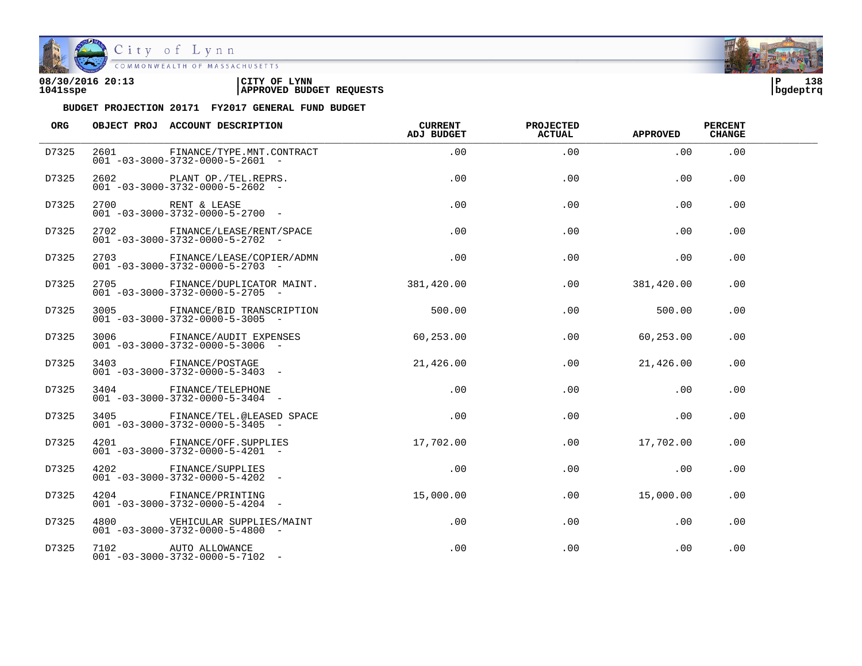

| 08/30/2016 20:13 | 'CITY OF<br><b>LYNN</b>         | ΙÞ       | 138 |
|------------------|---------------------------------|----------|-----|
| 1041sspe         | <b>APPROVED BUDGET REQUESTS</b> | bgdeptrq |     |

| ORG   |      | OBJECT PROJ ACCOUNT DESCRIPTION                                                | <b>CURRENT</b><br>ADJ BUDGET | <b>PROJECTED</b><br><b>ACTUAL</b> | <b>APPROVED</b> | <b>PERCENT</b><br><b>CHANGE</b> |  |
|-------|------|--------------------------------------------------------------------------------|------------------------------|-----------------------------------|-----------------|---------------------------------|--|
| D7325 | 2601 | FINANCE/TYPE.MNT.CONTRACT<br>$001 - 03 - 3000 - 3732 - 0000 - 5 - 2601 -$      | .00                          | .00                               | .00             | .00                             |  |
| D7325 |      | 2602 PLANT OP./TEL.REPRS.<br>$001 - 03 - 3000 - 3732 - 0000 - 5 - 2602$ -      | .00                          | .00                               | .00             | .00                             |  |
| D7325 |      | 2700 RENT & LEASE<br>$001 - 03 - 3000 - 3732 - 0000 - 5 - 2700$ -              | .00                          | .00                               | .00             | .00                             |  |
| D7325 |      | 2702 FINANCE/LEASE/RENT/SPACE<br>$001 - 03 - 3000 - 3732 - 0000 - 5 - 2702$ -  | .00                          | .00                               | .00             | .00                             |  |
| D7325 |      | 2703 FINANCE/LEASE/COPIER/ADMN<br>$001 - 03 - 3000 - 3732 - 0000 - 5 - 2703$ - | .00                          | .00                               | .00             | .00                             |  |
| D7325 | 2705 | FINANCE/DUPLICATOR MAINT.<br>$001 - 03 - 3000 - 3732 - 0000 - 5 - 2705$ -      | 381,420.00                   | .00                               | 381,420.00      | .00.                            |  |
| D7325 |      | 3005 FINANCE/BID TRANSCRIPTION<br>$001 - 03 - 3000 - 3732 - 0000 - 5 - 3005$ - | 500.00                       | .00                               | 500.00          | .00.                            |  |
| D7325 |      | 3006 FINANCE/AUDIT EXPENSES<br>$001 - 03 - 3000 - 3732 - 0000 - 5 - 3006$ -    | 60, 253, 00                  | .00                               | 60, 253, 00     | .00.                            |  |
| D7325 |      | 3403 FINANCE/POSTAGE<br>$001 - 03 - 3000 - 3732 - 0000 - 5 - 3403$ -           | 21,426.00                    | .00                               | 21,426.00       | .00                             |  |
| D7325 |      | 3404 FINANCE/TELEPHONE<br>$001 - 03 - 3000 - 3732 - 0000 - 5 - 3404 -$         | .00                          | .00                               | .00             | .00                             |  |
| D7325 |      | 3405 FINANCE/TEL.@LEASED SPACE<br>$001 - 03 - 3000 - 3732 - 0000 - 5 - 3405$ - | .00                          | .00                               | .00             | .00                             |  |
| D7325 |      | 4201 FINANCE/OFF.SUPPLIES<br>$001 - 03 - 3000 - 3732 - 0000 - 5 - 4201 -$      | 17,702.00                    | .00                               | 17,702.00       | .00                             |  |
| D7325 |      | 4202 FINANCE/SUPPLIES<br>$001 - 03 - 3000 - 3732 - 0000 - 5 - 4202 -$          | .00                          | .00                               | .00             | .00                             |  |
| D7325 | 4204 | FINANCE/PRINTING<br>$001 - 03 - 3000 - 3732 - 0000 - 5 - 4204 -$               | 15,000.00                    | $.00\,$                           | 15,000.00       | .00.                            |  |
| D7325 |      | 4800 VEHICULAR SUPPLIES/MAINT<br>$001 - 03 - 3000 - 3732 - 0000 - 5 - 4800$ -  | $.00 \,$                     | .00                               | .00             | .00                             |  |
| D7325 |      | 7102 AUTO ALLOWANCE<br>$001 - 03 - 3000 - 3732 - 0000 - 5 - 7102 -$            | $.00 \,$                     | .00                               | .00             | .00                             |  |

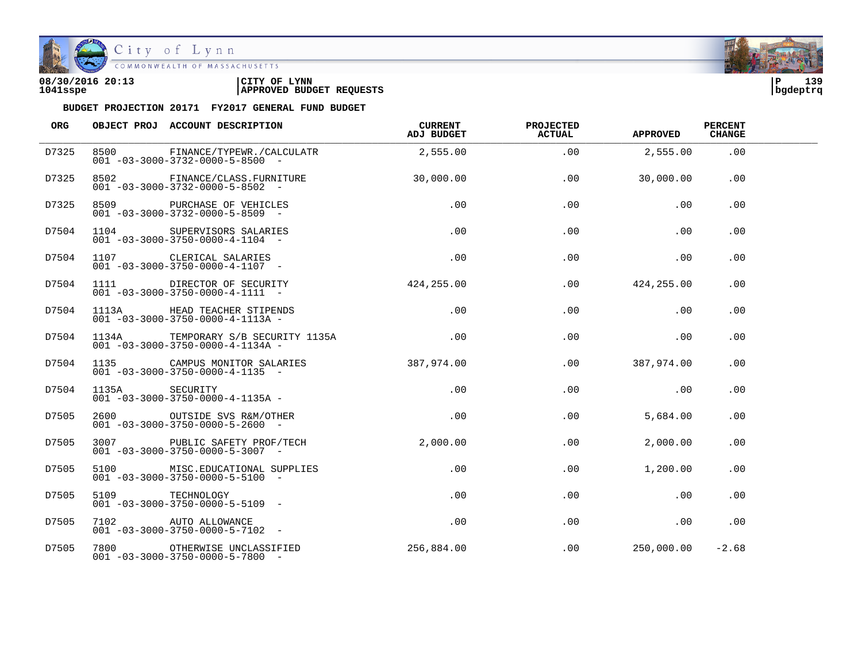

| 08/30/2016 20:13 | CITY OF<br><b>LYNN</b>          | ∣P       | 3۵ 1<br>. |
|------------------|---------------------------------|----------|-----------|
| 1041sspe         | <b>APPROVED BUDGET REQUESTS</b> | bgdeptrq |           |

| ORG   |                 | OBJECT PROJ ACCOUNT DESCRIPTION                                                       | CURRENT<br>ADJ BUDGET | <b>PROJECTED</b><br><b>ACTUAL</b> | <b>APPROVED</b> | <b>PERCENT</b><br><b>CHANGE</b> |  |
|-------|-----------------|---------------------------------------------------------------------------------------|-----------------------|-----------------------------------|-----------------|---------------------------------|--|
| D7325 |                 | 8500 FINANCE/TYPEWR./CALCULATR<br>$001 - 03 - 3000 - 3732 - 0000 - 5 - 8500$ -        | 2,555.00              | .00                               | 2,555.00        | .00                             |  |
| D7325 |                 | 8502 FINANCE/CLASS.FURNITURE<br>$001 - 03 - 3000 - 3732 - 0000 - 5 - 8502$ -          | 30,000.00             | .00                               | 30,000.00       | .00                             |  |
| D7325 |                 | 8509 PURCHASE OF VEHICLES<br>$001 - 03 - 3000 - 3732 - 0000 - 5 - 8509$ -             | .00                   | .00                               | .00             | .00                             |  |
| D7504 |                 | 1104 SUPERVISORS SALARIES<br>$001 - 03 - 3000 - 3750 - 0000 - 4 - 1104 -$             | .00                   | .00                               | .00             | .00                             |  |
| D7504 |                 | 1107 CLERICAL SALARIES<br>$001 - 03 - 3000 - 3750 - 0000 - 4 - 1107 -$                | .00                   | .00                               | .00             | .00                             |  |
| D7504 |                 | 1111 DIRECTOR OF SECURITY<br>$001 - 03 - 3000 - 3750 - 0000 - 4 - 1111 -$             | 424,255.00            | .00                               | 424, 255.00     | .00                             |  |
| D7504 |                 | 1113A HEAD TEACHER STIPENDS<br>$001 - 03 - 3000 - 3750 - 0000 - 4 - 1113A -$          | .00                   | .00                               | .00             | .00                             |  |
| D7504 |                 | 1134A TEMPORARY S/B SECURITY 1135A<br>$001 - 03 - 3000 - 3750 - 0000 - 4 - 1134A -$   | $\sim$ 00             | .00                               | .00             | .00.                            |  |
| D7504 |                 | 1135 CAMPUS MONITOR SALARIES<br>$001 - 03 - 3000 - 3750 - 0000 - 4 - 1135$ -          | 387,974.00            | $.00 \,$                          | 387,974.00      | .00.                            |  |
| D7504 | 1135A SECURITY  | $001 - 03 - 3000 - 3750 - 0000 - 4 - 1135A -$                                         | .00                   | $.00 \,$                          | .00             | .00                             |  |
| D7505 |                 | 2600 OUTSIDE SVS R&M/OTHER<br>$001 - 03 - 3000 - 3750 - 0000 - 5 - 2600$ -            | .00                   | $.00 \,$                          | 5,684.00        | .00                             |  |
| D7505 |                 | 3007 PUBLIC SAFETY PROF/TECH 2,000.00<br>$001 - 03 - 3000 - 3750 - 0000 - 5 - 3007$ - |                       | $.00 \,$                          | 2,000.00        | .00                             |  |
| D7505 |                 | 5100 MISC.EDUCATIONAL SUPPLIES<br>$001 - 03 - 3000 - 3750 - 0000 - 5 - 5100 -$        | .00                   | .00                               | 1,200.00        | .00.                            |  |
| D7505 | 5109 TECHNOLOGY | $001 - 03 - 3000 - 3750 - 0000 - 5 - 5109$ -                                          | .00                   | $.00 \,$                          | .00             | .00.                            |  |
| D7505 |                 | 7102 AUTO ALLOWANCE<br>$001 - 03 - 3000 - 3750 - 0000 - 5 - 7102$ -                   | $.00 \,$              | .00                               | .00             | .00                             |  |
| D7505 |                 | 7800 OTHERWISE UNCLASSIFIED<br>$001 - 03 - 3000 - 3750 - 0000 - 5 - 7800 -$           | 256,884.00            |                                   | .00 250.000.00  | $-2.68$                         |  |

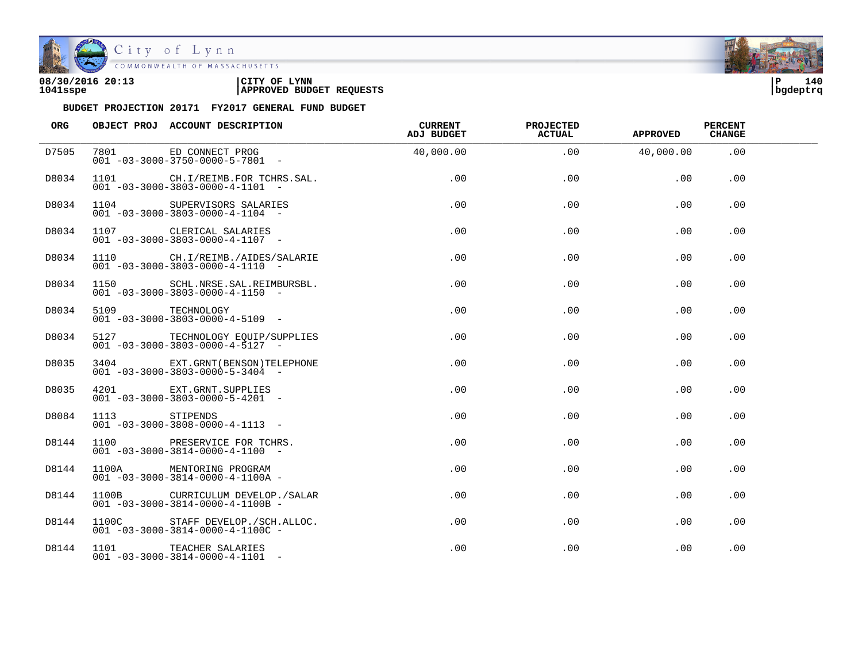

City of Lynn

| 08/30/2016 20:13 | CITY OF<br><b>LYNN</b>          | l P      | 140 |
|------------------|---------------------------------|----------|-----|
| 1041sspe         | <b>APPROVED BUDGET REQUESTS</b> | bgdeptrq |     |

| ORG   |                 | OBJECT PROJ ACCOUNT DESCRIPTION                                                      | <b>CURRENT</b><br>ADJ BUDGET | <b>PROJECTED</b><br><b>ACTUAL</b> | <b>APPROVED</b> | <b>PERCENT</b><br><b>CHANGE</b> |  |
|-------|-----------------|--------------------------------------------------------------------------------------|------------------------------|-----------------------------------|-----------------|---------------------------------|--|
| D7505 |                 | 7801 ED CONNECT PROG<br>$001 - 03 - 3000 - 3750 - 0000 - 5 - 7801 -$                 | 40,000.00                    | .00                               | 40,000.00       | .00                             |  |
| D8034 |                 | 1101 CH.I/REIMB.FOR TCHRS.SAL.<br>$001 - 03 - 3000 - 3803 - 0000 - 4 - 1101 -$       | .00                          | .00                               | .00             | .00                             |  |
| D8034 |                 | 1104 SUPERVISORS SALARIES<br>$001 - 03 - 3000 - 3803 - 0000 - 4 - 1104 -$            | .00                          | .00                               | .00             | .00                             |  |
| D8034 |                 | 1107 CLERICAL SALARIES<br>$001 - 03 - 3000 - 3803 - 0000 - 4 - 1107 -$               | .00                          | .00                               | .00             | .00                             |  |
| D8034 |                 | 1110 CH.I/REIMB./AIDES/SALARIE<br>$001 - 03 - 3000 - 3803 - 0000 - 4 - 1110 - -$     | .00                          | .00                               | .00             | .00                             |  |
| D8034 |                 | 1150 SCHL.NRSE.SAL.REIMBURSBL.<br>$001 - 03 - 3000 - 3803 - 0000 - 4 - 1150 -$       | .00                          | .00                               | .00             | .00.                            |  |
| D8034 | 5109 TECHNOLOGY | $001 - 03 - 3000 - 3803 - 0000 - 4 - 5109$ -                                         | .00                          | .00                               | .00             | .00                             |  |
| D8034 |                 | 5127 TECHNOLOGY EQUIP/SUPPLIES<br>$0.01 - 0.3 - 30.00 - 380.3 - 0.000 - 4 - 51.27 -$ | .00                          | .00                               | .00             | .00.                            |  |
| D8035 |                 | 3404 EXT. GRNT (BENSON) TELEPHONE<br>$001 - 03 - 3000 - 3803 - 0000 - 5 - 3404 -$    | .00                          | .00                               | .00             | .00                             |  |
| D8035 |                 | 4201 EXT. GRNT. SUPPLIES<br>$001 - 03 - 3000 - 3803 - 0000 - 5 - 4201 -$             | $.00 \,$                     | .00                               | .00             | .00                             |  |
| D8084 | 1113 STIPENDS   | $001 - 03 - 3000 - 3808 - 0000 - 4 - 1113 -$                                         | $.00 \,$                     | .00                               | .00             | .00                             |  |
| D8144 |                 | 1100 PRESERVICE FOR TCHRS.<br>$001 - 03 - 3000 - 3814 - 0000 - 4 - 1100 -$           | $.00 \,$                     | .00                               | .00             | .00                             |  |
| D8144 |                 | 1100A MENTORING PROGRAM<br>$001 - 03 - 3000 - 3814 - 0000 - 4 - 1100A -$             | $.00 \,$                     | .00                               | .00             | .00                             |  |
| D8144 |                 | 1100B CURRICULUM DEVELOP./SALAR<br>$001 - 03 - 3000 - 3814 - 0000 - 4 - 1100B -$     | $.00 \,$                     | .00                               | .00             | .00.                            |  |
| D8144 |                 | 1100C STAFF DEVELOP./SCH.ALLOC.<br>$001 - 03 - 3000 - 3814 - 0000 - 4 - 1100C$ -     | $.00 \,$                     | .00                               | .00             | .00                             |  |
| D8144 |                 | 1101 TEACHER SALARIES<br>$001 - 03 - 3000 - 3814 - 0000 - 4 - 1101 -$                | $.00 \,$                     | .00                               | .00             | .00                             |  |

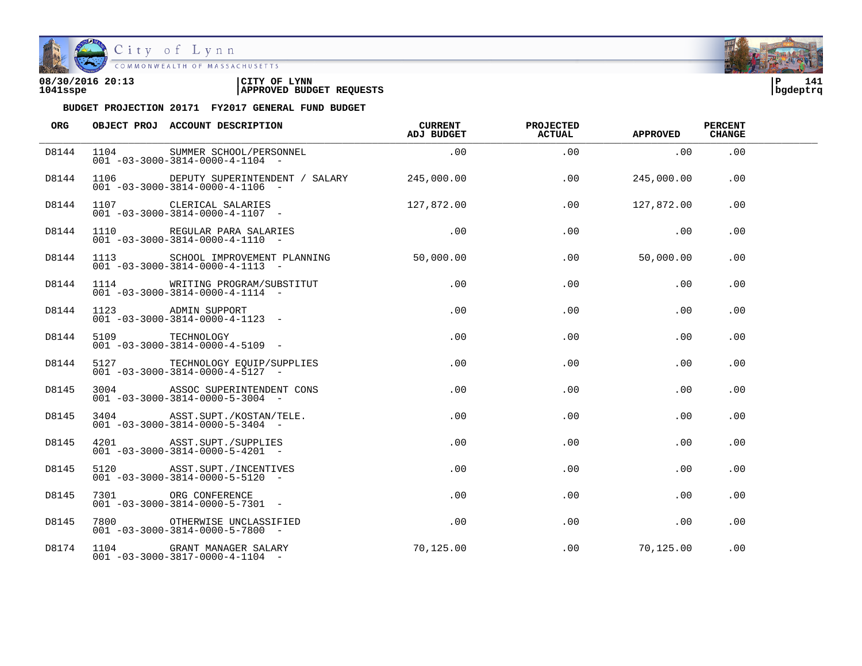

City of Lynn

COMMONWEALTH OF MASSACHUSETTS

## **08/30/2016 20:13 |CITY OF LYNN |P 141 1041sspe |APPROVED BUDGET REQUESTS |bgdeptrq**

| <b>ORG</b> | OBJECT PROJ ACCOUNT DESCRIPTION                                                                | <b>CURRENT</b><br>ADJ BUDGET | <b>PROJECTED</b><br><b>ACTUAL</b> | <b>APPROVED</b> | <b>PERCENT</b><br><b>CHANGE</b> |  |
|------------|------------------------------------------------------------------------------------------------|------------------------------|-----------------------------------|-----------------|---------------------------------|--|
| D8144      | 1104 SUMMER SCHOOL/PERSONNEL<br>$001 - 03 - 3000 - 3814 - 0000 - 4 - 1104 -$                   | $\sim 00$                    | .00                               | .00             | .00                             |  |
| D8144      | 1106 DEPUTY SUPERINTENDENT / SALARY 245,000.00<br>$001 - 03 - 3000 - 3814 - 0000 - 4 - 1106 -$ |                              | .00                               | 245,000.00      | .00                             |  |
| D8144      | 1107 CLERICAL SALARIES<br>$001 - 03 - 3000 - 3814 - 0000 - 4 - 1107 -$                         | 127,872.00                   | .00                               | 127,872.00      | .00                             |  |
| D8144      | 1110 REGULAR PARA SALARIES<br>$001 - 03 - 3000 - 3814 - 0000 - 4 - 1110 -$                     | .00                          | .00                               | .00             | .00                             |  |
| D8144      | 1113 SCHOOL IMPROVEMENT PLANNING<br>$001 - 03 - 3000 - 3814 - 0000 - 4 - 1113 -$               | 50,000.00                    | $.00 \,$                          | 50,000.00       | .00.                            |  |
| D8144      | 1114 WRITING PROGRAM/SUBSTITUT<br>$001 - 03 - 3000 - 3814 - 0000 - 4 - 1114 -$                 | $.00 \,$                     | .00                               | .00             | .00                             |  |
| D8144      | 1123 ADMIN SUPPORT<br>$001 - 03 - 3000 - 3814 - 0000 - 4 - 1123 - -$                           | .00                          | .00                               | .00             | .00                             |  |
| D8144      | 5109 TECHNOLOGY<br>$001 - 03 - 3000 - 3814 - 0000 - 4 - 5109$ -                                | .00                          | .00                               | .00             | .00                             |  |
| D8144      | 5127 TECHNOLOGY EQUIP/SUPPLIES<br>$001 - 03 - 3000 - 3814 - 0000 - 4 - 5127$ -                 | $.00 \,$                     | .00                               | .00             | .00                             |  |
| D8145      | 3004 ASSOC SUPERINTENDENT CONS<br>$001 - 03 - 3000 - 3814 - 0000 - 5 - 3004 -$                 | $.00 \,$                     | .00                               | .00             | .00.                            |  |
| D8145      | 3404 ASST.SUPT./KOSTAN/TELE.<br>$001 - 03 - 3000 - 3814 - 0000 - 5 - 3404 -$                   | $.00 \,$                     | .00                               | .00             | .00                             |  |
| D8145      | 4201 ASST.SUPT./SUPPLIES<br>$001 - 03 - 3000 - 3814 - 0000 - 5 - 4201$ -                       | $.00 \,$                     | .00                               | .00             | .00                             |  |
| D8145      | 5120 ASST. SUPT. / INCENTIVES<br>$001 - 03 - 3000 - 3814 - 0000 - 5 - 5120 -$                  | .00                          | .00                               | .00             | .00                             |  |
| D8145      | 7301 ORG CONFERENCE<br>$001 - 03 - 3000 - 3814 - 0000 - 5 - 7301 -$                            | $.00 \,$                     | .00                               | .00             | $.00 \,$                        |  |
| D8145      | 7800 OTHERWISE UNCLASSIFIED<br>$001 - 03 - 3000 - 3814 - 0000 - 5 - 7800$ -                    | $.00 \,$                     | .00                               | $.00 \,$        | .00                             |  |
| D8174      | 1104 GRANT MANAGER SALARY<br>$001 - 03 - 3000 - 3817 - 0000 - 4 - 1104 -$                      | 70,125.00                    | $.00 \,$                          | 70, 125.00      | .00                             |  |

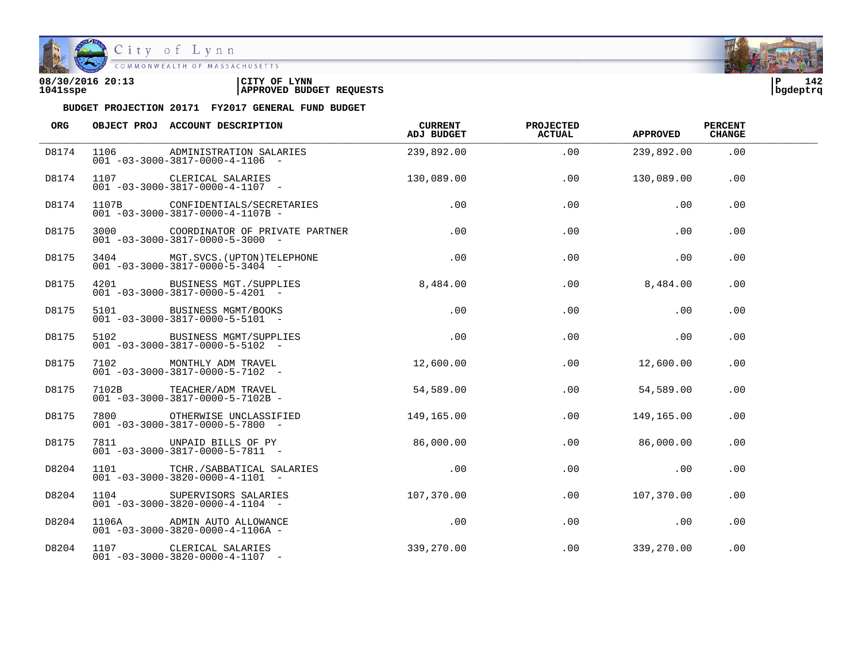

COMMONWEALTH OF MASSACHUSETTS

## **08/30/2016 20:13 |CITY OF LYNN |P 142 1041sspe |APPROVED BUDGET REQUESTS |bgdeptrq**

| ORG   | OBJECT PROJ ACCOUNT DESCRIPTION                                                      | <b>CURRENT</b><br>ADJ BUDGET | <b>PROJECTED</b><br><b>ACTUAL</b> | <b>APPROVED</b>              | <b>PERCENT</b><br><b>CHANGE</b> |  |
|-------|--------------------------------------------------------------------------------------|------------------------------|-----------------------------------|------------------------------|---------------------------------|--|
| D8174 | 1106 ADMINISTRATION SALARIES<br>$001 - 03 - 3000 - 3817 - 0000 - 4 - 1106 -$         | 239,892.00                   | .00                               | 239,892.00                   | .00                             |  |
| D8174 | 1107 CLERICAL SALARIES 130,089.00<br>$001 - 03 - 3000 - 3817 - 0000 - 4 - 1107$ -    |                              | .00                               | 130,089.00                   | .00                             |  |
| D8174 | 1107B CONFIDENTIALS/SECRETARIES<br>$001 - 03 - 3000 - 3817 - 0000 - 4 - 1107B -$     | .00                          | .00                               | .00                          | .00                             |  |
| D8175 | 3000 COORDINATOR OF PRIVATE PARTNER<br>$001 - 03 - 3000 - 3817 - 0000 - 5 - 3000$ -  | $\overline{0}$ . 00          | .00                               | .00                          | .00                             |  |
| D8175 | 3404 MGT.SVCS. (UPTON) TELEPHONE .00<br>$001 - 03 - 3000 - 3817 - 0000 - 5 - 3404 -$ |                              |                                   | .00<br>.00                   | .00                             |  |
| D8175 | 4201 BUSINESS MGT./SUPPLIES 8,484.00<br>$001 - 03 - 3000 - 3817 - 0000 - 5 - 4201 -$ |                              | .00                               | 8,484.00                     | .00                             |  |
| D8175 | 5101 BUSINESS MGMT/BOOKS<br>$001 - 03 - 3000 - 3817 - 0000 - 5 - 5101 -$             | .00                          | .00                               | .00                          | .00                             |  |
| D8175 | 5102 BUSINESS MGMT/SUPPLIES<br>$001 - 03 - 3000 - 3817 - 0000 - 5 - 5102 -$          | $\sim$ 00                    | .00                               | $\sim 00$                    | .00                             |  |
| D8175 |                                                                                      |                              | .00                               | 12,600.00                    | .00                             |  |
| D8175 | 7102B TEACHER/ADM TRAVEL<br>$001 - 03 - 3000 - 3817 - 0000 - 5 - 7102B -$            | 54,589.00                    | .00                               | 54,589.00                    | .00                             |  |
| D8175 | 7800 OTHERWISE UNCLASSIFIED<br>$001 - 03 - 3000 - 3817 - 0000 - 5 - 7800$ -          | 149,165.00                   | .00                               | 149,165.00                   | .00                             |  |
| D8175 | 7811 UNPAID BILLS OF PY 86,000.00<br>$001 - 03 - 3000 - 3817 - 0000 - 5 - 7811 -$    |                              | .00                               | 86,000.00                    | .00                             |  |
| D8204 | 1101 TCHR./SABBATICAL SALARIES .00<br>$001 - 03 - 3000 - 3820 - 0000 - 4 - 1101 -$   |                              | .00                               | $\overline{\phantom{0}}$ .00 | .00                             |  |
| D8204 | 1104 SUPERVISORS SALARIES<br>$001 - 03 - 3000 - 3820 - 0000 - 4 - 1104 -$            | 107,370.00                   | .00                               | 107,370.00                   | . 00                            |  |
| D8204 | 1106A ADMIN AUTO ALLOWANCE<br>$001 - 03 - 3000 - 3820 - 0000 - 4 - 1106A -$          | .00                          | .00                               | .00                          | .00                             |  |
| D8204 | 1107 CLERICAL SALARIES<br>$001 - 03 - 3000 - 3820 - 0000 - 4 - 1107 -$               | 339, 270.00                  |                                   | $.00$ 339,270.00             | .00                             |  |

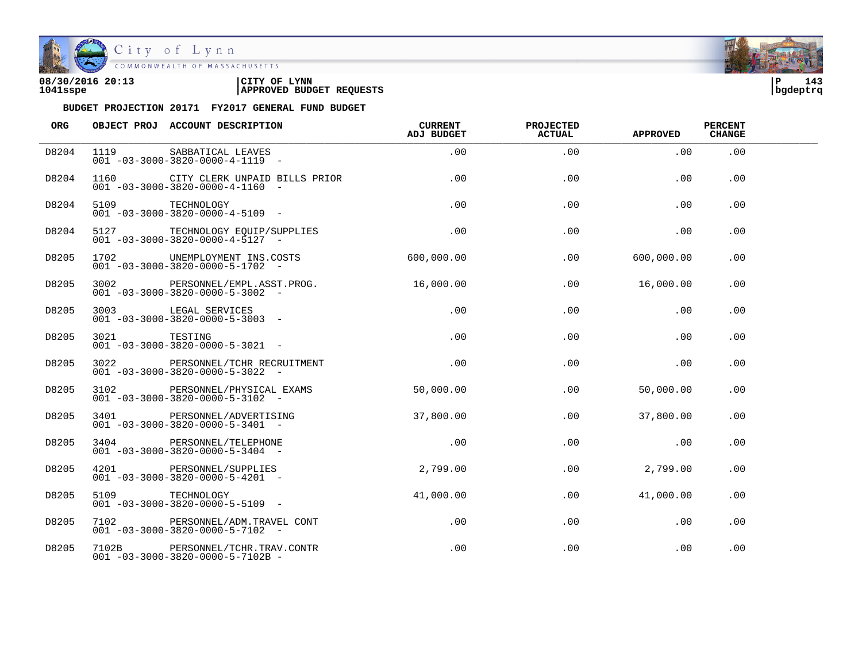

City of Lynn

COMMONWEALTH OF MASSACHUSETTS

## **08/30/2016 20:13 |CITY OF LYNN |P 143 1041sspe |APPROVED BUDGET REQUESTS |bgdeptrq**

| <b>ORG</b> |                 | OBJECT PROJ ACCOUNT DESCRIPTION                                                    | <b>CURRENT</b><br>ADJ BUDGET | PROJECTED<br><b>ACTUAL</b> | APPROVED   | <b>PERCENT</b><br><b>CHANGE</b> |  |
|------------|-----------------|------------------------------------------------------------------------------------|------------------------------|----------------------------|------------|---------------------------------|--|
| D8204      |                 | 1119 SABBATICAL LEAVES<br>$001 - 03 - 3000 - 3820 - 0000 - 4 - 1119 - -$           | .00                          | .00                        | .00        | .00                             |  |
| D8204      |                 | 1160 CITY CLERK UNPAID BILLS PRIOR<br>$001 - 03 - 3000 - 3820 - 0000 - 4 - 1160 -$ | .00                          | .00                        | .00        | .00                             |  |
| D8204      | 5109 TECHNOLOGY | $001 - 03 - 3000 - 3820 - 0000 - 4 - 5109$ -                                       | .00                          | .00                        | .00        | .00                             |  |
| D8204      |                 | 5127 TECHNOLOGY EQUIP/SUPPLIES<br>$001 - 03 - 3000 - 3820 - 0000 - 4 - 5127 -$     | .00                          | .00                        | .00        | .00                             |  |
| D8205      |                 | 1702 UNEMPLOYMENT INS.COSTS<br>$001 - 03 - 3000 - 3820 - 0000 - 5 - 1702$ -        | 600,000.00                   | .00                        | 600,000.00 | .00                             |  |
| D8205      |                 | 3002 PERSONNEL/EMPL.ASST.PROG.<br>$001 - 03 - 3000 - 3820 - 0000 - 5 - 3002$ -     | 16,000.00                    | .00                        | 16,000.00  | .00                             |  |
| D8205      |                 | 3003 LEGAL SERVICES<br>$001 - 03 - 3000 - 3820 - 0000 - 5 - 3003$ -                | .00                          | .00                        | .00        | .00                             |  |
| D8205      | 3021 TESTING    | $001 - 03 - 3000 - 3820 - 0000 - 5 - 3021 -$                                       | .00                          | .00                        | .00        | .00                             |  |
| D8205      |                 | 3022 PERSONNEL/TCHR RECRUITMENT<br>$001 - 03 - 3000 - 3820 - 0000 - 5 - 3022 -$    | .00                          | .00                        | .00        | $.00 \,$                        |  |
| D8205      |                 | 3102 PERSONNEL/PHYSICAL EXAMS<br>$001 - 03 - 3000 - 3820 - 0000 - 5 - 3102 -$      | 50,000.00                    | .00                        | 50,000.00  | .00                             |  |
| D8205      |                 | 3401 PERSONNEL/ADVERTISING<br>$001 - 03 - 3000 - 3820 - 0000 - 5 - 3401$ -         | 37,800.00                    | .00                        | 37,800.00  | .00                             |  |
| D8205      |                 | 3404 PERSONNEL/TELEPHONE<br>$001 - 03 - 3000 - 3820 - 0000 - 5 - 3404 -$           | .00                          | .00                        | .00        | .00                             |  |
| D8205      |                 | 4201 PERSONNEL/SUPPLIES<br>$001 - 03 - 3000 - 3820 - 0000 - 5 - 4201 -$            | 2,799.00                     | .00                        | 2,799.00   | .00                             |  |
| D8205      | 5109            | TECHNOLOGY<br>$001 - 03 - 3000 - 3820 - 0000 - 5 - 5109$ -                         | 41,000.00                    | .00                        | 41,000.00  | .00                             |  |
| D8205      |                 | 7102 PERSONNEL/ADM.TRAVEL CONT<br>$001 - 03 - 3000 - 3820 - 0000 - 5 - 7102 -$     | .00                          | .00                        | .00        | .00                             |  |
| D8205      |                 | 7102B PERSONNEL/TCHR.TRAV.CONTR<br>$001 - 03 - 3000 - 3820 - 0000 - 5 - 7102B -$   | .00                          | .00                        | .00        | .00                             |  |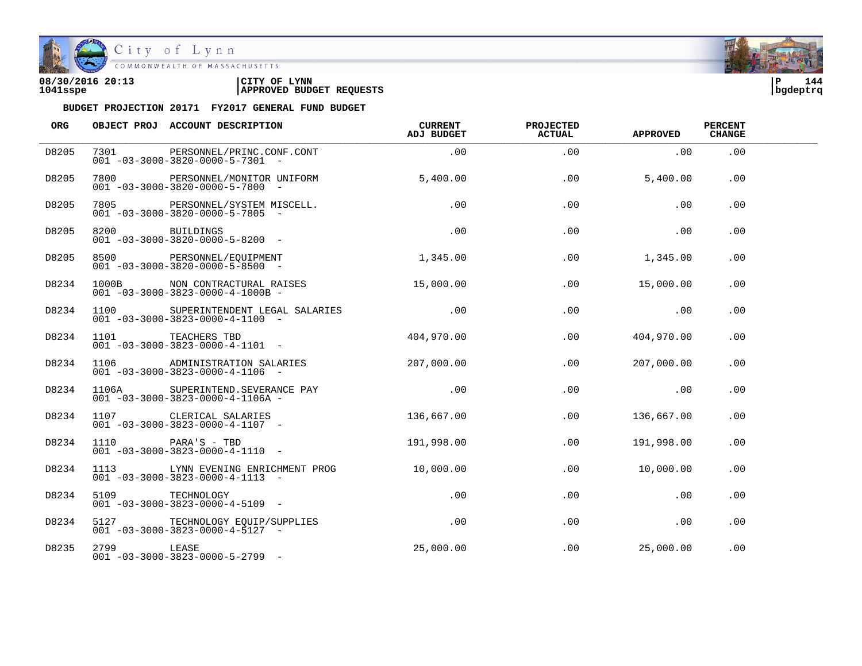

COMMONWEALTH OF MASSACHUSETTS

### **08/30/2016 20:13 |CITY OF LYNN |P 144 1041sspe |APPROVED BUDGET REQUESTS |bgdeptrq**



| ORG   |            | OBJECT PROJ ACCOUNT DESCRIPTION                                                                           | CURRENT<br>ADJ BUDGET | <b>PROJECTED</b><br><b>ACTUAL</b> | <b>APPROVED</b> | <b>PERCENT</b><br><b>CHANGE</b> |  |
|-------|------------|-----------------------------------------------------------------------------------------------------------|-----------------------|-----------------------------------|-----------------|---------------------------------|--|
| D8205 |            | 7301 PERSONNEL/PRINC.CONF.CONT<br>$001 - 03 - 3000 - 3820 - 0000 - 5 - 7301 -$                            | .00                   | .00                               | .00             | .00                             |  |
| D8205 |            | 7800 PERSONNEL/MONITOR UNIFORM<br>$001 - 03 - 3000 - 3820 - 0000 - 5 - 7800$ -                            | 5,400.00              | .00                               | 5,400.00        | .00                             |  |
| D8205 |            | 7805 PERSONNEL/SYSTEM MISCELL.<br>$001 - 03 - 3000 - 3820 - 0000 - 5 - 7805$ -                            | .00                   | .00                               | .00             | .00                             |  |
| D8205 |            | 8200 BUILDINGS .00<br>001 -03-3000-3820-0000-5-8200 -                                                     |                       | .00                               | $\sim 00$       | .00                             |  |
| D8205 |            | 8500 PERSONNEL/EQUIPMENT<br>001 -03-3000-3820-0000-5-8500<br>$001 - 03 - 3000 - 3820 - 0000 - 5 - 8500$ - | 1,345.00              | .00                               | 1,345.00        | .00.                            |  |
| D8234 |            | 1000B NON CONTRACTURAL RAISES 15,000.00<br>$001 - 03 - 3000 - 3823 - 0000 - 4 - 1000B -$                  |                       | .00                               | 15,000.00       | .00                             |  |
| D8234 |            | 1100 SUPERINTENDENT LEGAL SALARIES .00<br>$001 - 03 - 3000 - 3823 - 0000 - 4 - 1100 -$                    |                       | .00                               | .00             | .00                             |  |
| D8234 |            | 1101 TEACHERS TBD<br>$001 - 03 - 3000 - 3823 - 0000 - 4 - 1101 -$                                         | 404,970.00            | .00                               | 404,970.00      | .00.                            |  |
| D8234 |            | 1106 ADMINISTRATION SALARIES 207,000.00<br>$001 - 03 - 3000 - 3823 - 0000 - 4 - 1106 -$                   |                       | .00                               | 207,000.00      | .00                             |  |
| D8234 |            | 1106A SUPERINTEND. SEVERANCE PAY<br>$001 - 03 - 3000 - 3823 - 0000 - 4 - 1106A -$                         | .00                   | $.00 \,$                          | $\sim$ 00       | .00                             |  |
| D8234 |            | 1107 CLERICAL SALARIES<br>$001 - 03 - 3000 - 3823 - 0000 - 4 - 1107$ -                                    | 136,667.00            | .00                               | 136,667.00      | .00                             |  |
| D8234 |            | $1110$ $PARA'S - TBD$ $191,998.00$<br>$001 - 03 - 3000 - 3823 - 0000 - 4 - 1110 -$                        |                       | $.00 \,$                          | 191,998.00      | .00                             |  |
| D8234 |            | 1113 LYNN EVENING ENRICHMENT PROG<br>$001 - 03 - 3000 - 3823 - 0000 - 4 - 1113 - -$                       | 10,000.00             | .00                               | 10,000.00       | .00.                            |  |
| D8234 |            | $001 - 03 - 3000 - 3823 - 0000 - 4 - 5109$                                                                | $.00\,$               | .00                               | .00             | .00                             |  |
| D8234 |            | 5127 TECHNOLOGY EQUIP/SUPPLIES .00<br>$001 - 03 - 3000 - 3823 - 0000 - 4 - 5127 -$                        |                       | .00                               | .00             | .00                             |  |
| D8235 | 2799 LEASE | $001 - 03 - 3000 - 3823 - 0000 - 5 - 2799$ -                                                              | 25,000.00             | .00                               | 25,000.00       | .00                             |  |

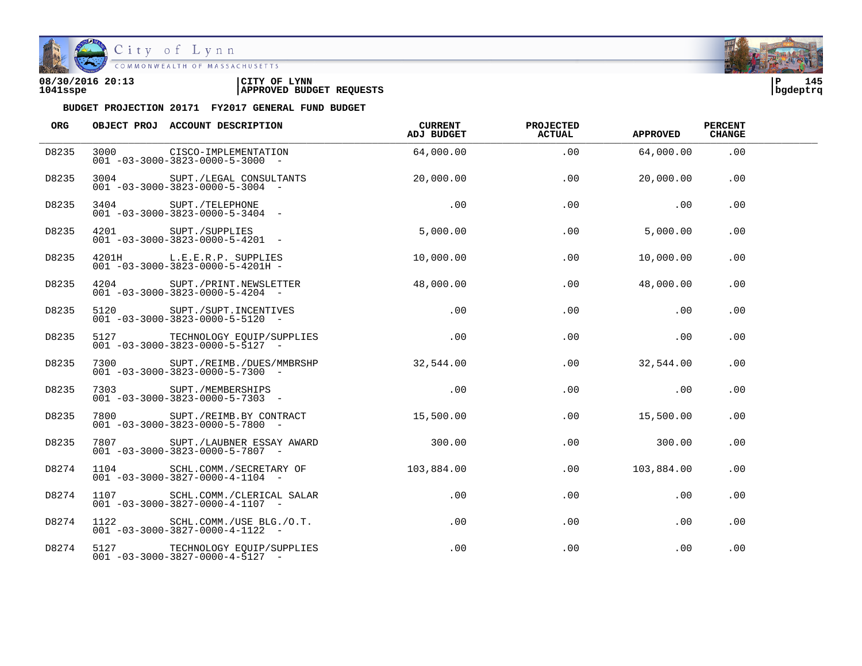

| 08/30/2016 20:13 | CITY OF<br><b>LYNN</b>          | ם ו      | 145 |  |
|------------------|---------------------------------|----------|-----|--|
| 1041sspe         | <b>APPROVED BUDGET REQUESTS</b> | bgdeptrq |     |  |

| ORG   | OBJECT PROJ ACCOUNT DESCRIPTION                                                    | CURRENT<br>ADJ BUDGET | <b>PROJECTED</b><br><b>ACTUAL</b> | <b>APPROVED</b> | <b>PERCENT</b><br><b>CHANGE</b> |  |
|-------|------------------------------------------------------------------------------------|-----------------------|-----------------------------------|-----------------|---------------------------------|--|
| D8235 | 3000 CISCO-IMPLEMENTATION<br>$001 - 03 - 3000 - 3823 - 0000 - 5 - 3000 -$          | 64,000.00             | .00                               | 64,000.00       | .00                             |  |
| D8235 | 3004 SUPT./LEGAL CONSULTANTS<br>$001 - 03 - 3000 - 3823 - 0000 - 5 - 3004$ -       | 20,000.00             | .00                               | 20,000.00       | .00                             |  |
| D8235 | SUPT./TELEPHONE<br>001 -03-3000-3823-0000-5-3404 -                                 | .00                   | .00                               | .00             | .00                             |  |
| D8235 | 4201 SUPT./SUPPLIES<br>$001 - 03 - 3000 - 3823 - 0000 - 5 - 4201 -$                | 5,000.00              | .00                               | 5,000.00        | .00                             |  |
| D8235 | 4201H L.E.E.R.P. SUPPLIES<br>$001 - 03 - 3000 - 3823 - 0000 - 5 - 4201H -$         | 10,000.00             | .00                               | 10,000.00       | .00                             |  |
| D8235 | 4204 SUPT./PRINT.NEWSLETTER<br>$001 - 03 - 3000 - 3823 - 0000 - 5 - 4204 -$        | 48,000.00             | .00                               | 48,000.00       | .00                             |  |
| D8235 | 5120 SUPT./SUPT.INCENTIVES<br>$001 - 03 - 3000 - 3823 - 0000 - 5 - 5120 -$         | .00                   | .00                               | .00             | .00                             |  |
| D8235 | 5127 TECHNOLOGY EQUIP/SUPPLIES .00<br>$001 - 03 - 3000 - 3823 - 0000 - 5 - 5127$ - |                       | .00                               | .00             | .00                             |  |
| D8235 | 7300 SUPT./REIMB./DUES/MMBRSHP<br>$001 - 03 - 3000 - 3823 - 0000 - 5 - 7300 -$     | 32,544.00             | .00                               | 32,544.00       | .00                             |  |
| D8235 | 7303 SUPT./MEMBERSHIPS<br>$001 - 03 - 3000 - 3823 - 0000 - 5 - 7303 -$             | .00                   | $.00 \,$                          | .00             | .00                             |  |
| D8235 | 7800 SUPT./REIMB.BY CONTRACT<br>$001 - 03 - 3000 - 3823 - 0000 - 5 - 7800$ -       | 15,500.00             | .00                               | 15,500.00       | .00                             |  |
| D8235 | 7807 SUPT./LAUBNER ESSAY AWARD<br>$001 - 03 - 3000 - 3823 - 0000 - 5 - 7807 -$     | 300.00                | .00                               | 300.00          | .00                             |  |
| D8274 | 1104 SCHL.COMM./SECRETARY OF<br>$001 - 03 - 3000 - 3827 - 0000 - 4 - 1104 -$       | 103,884.00            | .00                               | 103,884.00      | .00                             |  |
| D8274 | 1107 SCHL.COMM./CLERICAL SALAR<br>$001 - 03 - 3000 - 3827 - 0000 - 4 - 1107 -$     | $.00\,$               | $.00 \,$                          | .00             | .00                             |  |
| D8274 | 1122 SCHL.COMM./USE BLG./O.T.<br>$001 - 03 - 3000 - 3827 - 0000 - 4 - 1122$ -      | $.00 \,$              | .00                               | .00             | .00                             |  |
| D8274 | 5127 TECHNOLOGY EQUIP/SUPPLIES<br>$001 - 03 - 3000 - 3827 - 0000 - 4 - 5127 -$     | $.00 \,$              | .00                               | .00             | .00                             |  |

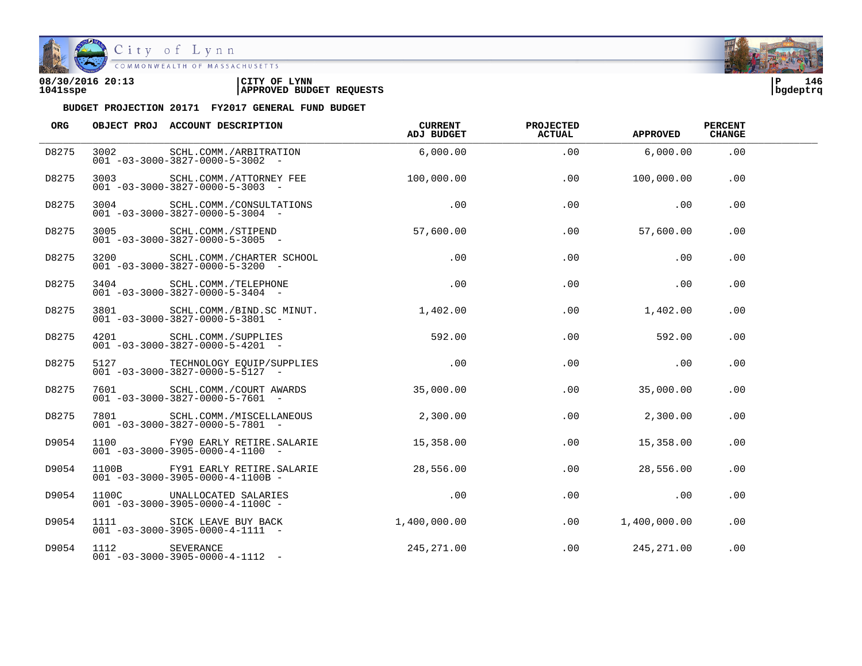

| 08/30/2016 20:13 | CITY OF<br><b>LYNN</b>          | l P      | 146 |
|------------------|---------------------------------|----------|-----|
| 1041sspe         | <b>APPROVED BUDGET REQUESTS</b> | bgdeptrq |     |

| ORG   |                | OBJECT PROJ ACCOUNT DESCRIPTION                                                         | CURRENT<br>ADJ BUDGET | <b>PROJECTED</b><br><b>ACTUAL</b> | <b>APPROVED</b> | <b>PERCENT</b><br><b>CHANGE</b> |  |
|-------|----------------|-----------------------------------------------------------------------------------------|-----------------------|-----------------------------------|-----------------|---------------------------------|--|
| D8275 |                | 3002 SCHL.COMM./ARBITRATION<br>$001 - 03 - 3000 - 3827 - 0000 - 5 - 3002$ -             | 6,000.00              | .00                               | 6,000.00        | .00                             |  |
| D8275 |                | 3003 SCHL.COMM./ATTORNEY FEE 100.000.00<br>$001 - 03 - 3000 - 3827 - 0000 - 5 - 3003$ - |                       | .00                               | 100,000.00      | .00                             |  |
| D8275 |                | 3004 SCHL.COMM./CONSULTATIONS<br>$001 - 03 - 3000 - 3827 - 0000 - 5 - 3004 -$           | .00                   | .00                               | .00             | .00                             |  |
| D8275 |                | 3005 SCHL.COMM./STIPEND<br>$001 - 03 - 3000 - 3827 - 0000 - 5 - 3005$ -                 | 57,600.00             | .00                               | 57,600.00       | .00                             |  |
| D8275 |                | 3200 SCHL.COMM./CHARTER SCHOOL<br>$001 - 03 - 3000 - 3827 - 0000 - 5 - 3200 -$          | .00                   | .00                               | .00             | .00                             |  |
| D8275 |                | 3404 SCHL.COMM./TELEPHONE<br>$001 - 03 - 3000 - 3827 - 0000 - 5 - 3404 -$               | .00                   | .00                               | .00             | .00                             |  |
| D8275 |                | 3801 SCHL.COMM./BIND.SC MINUT. 1,402.00<br>$001 - 03 - 3000 - 3827 - 0000 - 5 - 3801$ - |                       | .00                               | 1,402.00        | .00                             |  |
| D8275 |                | 4201 SCHL.COMM./SUPPLIES 592.00<br>$001 - 03 - 3000 - 3827 - 0000 - 5 - 4201 -$         |                       | .00                               | 592.00          | .00                             |  |
| D8275 |                | 5127 TECHNOLOGY EQUIP/SUPPLIES<br>$001 - 03 - 3000 - 3827 - 0000 - 5 - 5127 -$          | .00                   | .00                               | .00             | .00                             |  |
| D8275 |                | 7601 SCHL.COMM./COURT AWARDS<br>$001 - 03 - 3000 - 3827 - 0000 - 5 - 7601 -$            | 35,000.00             | .00                               | 35,000.00       | .00                             |  |
| D8275 |                | 7801 SCHL.COMM./MISCELLANEOUS<br>$001 - 03 - 3000 - 3827 - 0000 - 5 - 7801 -$           | 2,300.00              | .00                               | 2,300.00        | .00                             |  |
| D9054 |                | 1100 FY90 EARLY RETIRE.SALARIE<br>$001 - 03 - 3000 - 3905 - 0000 - 4 - 1100 -$          | 15,358.00             | .00                               | 15,358.00       | .00                             |  |
| D9054 |                | 1100B FY91 EARLY RETIRE.SALARIE<br>$001 - 03 - 3000 - 3905 - 0000 - 4 - 1100B -$        | 28,556.00             | .00                               | 28,556.00       | .00                             |  |
| D9054 |                | 1100C UNALLOCATED SALARIES<br>$001 - 03 - 3000 - 3905 - 0000 - 4 - 1100C -$             | .00                   | .00                               | $\sim$ 00       | $.00 \,$                        |  |
| D9054 |                | 1111 SICK LEAVE BUY BACK<br>$001 - 03 - 3000 - 3905 - 0000 - 4 - 1111$ -                | 1,400,000.00          | .00                               | 1,400,000.00    | .00                             |  |
| D9054 | 1112 SEVERANCE | $001 - 03 - 3000 - 3905 - 0000 - 4 - 1112 -$                                            | 245,271.00            |                                   | .00 245,271.00  | .00                             |  |

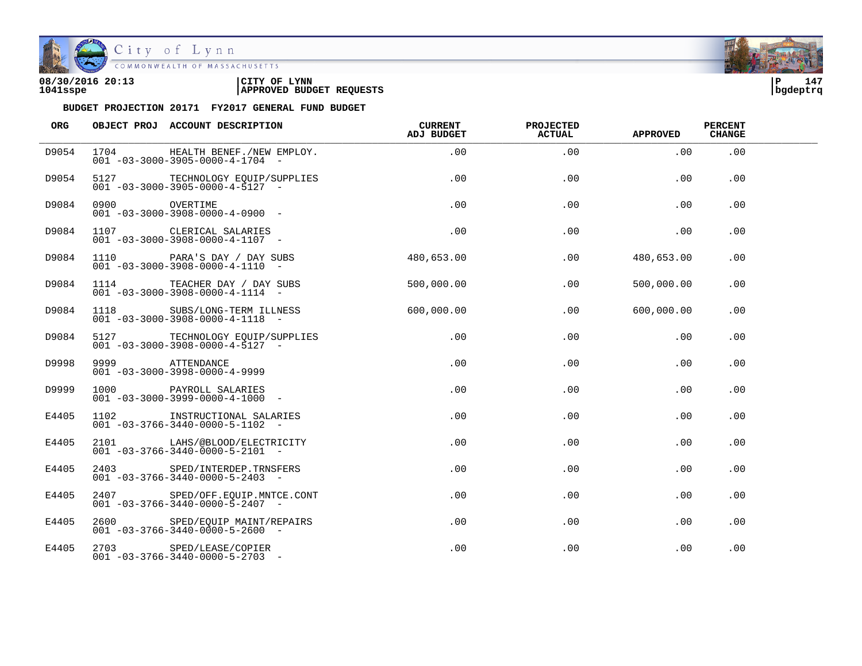

| 08/30/2016 20:13 | 'CITY OF<br><b>LYNN</b>         | l P      | 147 |  |
|------------------|---------------------------------|----------|-----|--|
| 1041sspe         | <b>APPROVED BUDGET REQUESTS</b> | bgdeptrq |     |  |

| ORG   |                 | OBJECT PROJ ACCOUNT DESCRIPTION                                                | <b>CURRENT</b><br>ADJ BUDGET | <b>PROJECTED</b><br><b>ACTUAL</b> | <b>APPROVED</b> | <b>PERCENT</b><br><b>CHANGE</b> |  |
|-------|-----------------|--------------------------------------------------------------------------------|------------------------------|-----------------------------------|-----------------|---------------------------------|--|
| D9054 | 1704            | HEALTH BENEF./NEW EMPLOY.<br>$001 - 03 - 3000 - 3905 - 0000 - 4 - 1704 -$      | .00                          | .00                               | .00             | .00                             |  |
| D9054 |                 | 5127 TECHNOLOGY EQUIP/SUPPLIES<br>$001 - 03 - 3000 - 3905 - 0000 - 4 - 5127 -$ | .00                          | .00                               | .00             | .00                             |  |
| D9084 | 0900 OVERTIME   | $001 - 03 - 3000 - 3908 - 0000 - 4 - 0900 -$                                   | $.00 \,$                     | .00                               | .00             | .00                             |  |
| D9084 |                 | 1107 CLERICAL SALARIES<br>$001 - 03 - 3000 - 3908 - 0000 - 4 - 1107 -$         | .00                          | .00                               | .00             | .00                             |  |
| D9084 |                 | 1110 PARA'S DAY / DAY SUBS<br>$001 - 03 - 3000 - 3908 - 0000 - 4 - 1110 -$     | 480,653.00                   | .00                               | 480,653.00      | .00                             |  |
| D9084 |                 | 1114 TEACHER DAY / DAY SUBS<br>$001 - 03 - 3000 - 3908 - 0000 - 4 - 1114 -$    | 500,000.00                   | .00                               | 500,000.00      | .00                             |  |
| D9084 |                 | 1118 SUBS/LONG-TERM ILLNESS<br>$001 - 03 - 3000 - 3908 - 0000 - 4 - 1118 - -$  | 600,000.00                   | .00                               | 600,000.00      | .00                             |  |
| D9084 |                 | 5127 TECHNOLOGY EQUIP/SUPPLIES<br>$001 - 03 - 3000 - 3908 - 0000 - 4 - 5127 -$ | $.00 \,$                     | .00                               | $.00 \,$        | .00                             |  |
| D9998 | 9999 ATTENDANCE | $001 - 03 - 3000 - 3998 - 0000 - 4 - 9999$                                     | $.00 \,$                     | $.00 \,$                          | $.00 \,$        | $.00 \,$                        |  |
| D9999 |                 | 1000 PAYROLL SALARIES<br>$001 - 03 - 3000 - 3999 - 0000 - 4 - 1000 -$          | .00                          | .00                               | $.00 \,$        | .00                             |  |
| E4405 |                 | 1102 INSTRUCTIONAL SALARIES<br>$001 - 03 - 3766 - 3440 - 0000 - 5 - 1102 -$    | .00                          | .00                               | .00             | .00                             |  |
| E4405 |                 | 2101 LAHS/@BLOOD/ELECTRICITY<br>$001 - 03 - 3766 - 3440 - 0000 - 5 - 2101 -$   | $.00 \,$                     | .00                               | $.00 \,$        | .00                             |  |
| E4405 |                 | 2403 SPED/INTERDEP.TRNSFERS<br>$001 - 03 - 3766 - 3440 - 0000 - 5 - 2403$ -    | $.00 \,$                     | .00                               | $.00 \,$        | .00                             |  |
| E4405 |                 | 2407 SPED/OFF.EQUIP.MNTCE.CONT<br>$001 - 03 - 3766 - 3440 - 0000 - 5 - 2407 -$ | .00                          | .00                               | $.00 \,$        | .00                             |  |
| E4405 |                 | 2600 SPED/EQUIP MAINT/REPAIRS<br>$001 - 03 - 3766 - 3440 - 0000 - 5 - 2600$ -  | $.00 \,$                     | .00                               | $.00 \,$        | .00                             |  |
| E4405 |                 | 2703 SPED/LEASE/COPIER<br>$001 - 03 - 3766 - 3440 - 0000 - 5 - 2703$ -         | .00                          | .00                               | .00             | .00                             |  |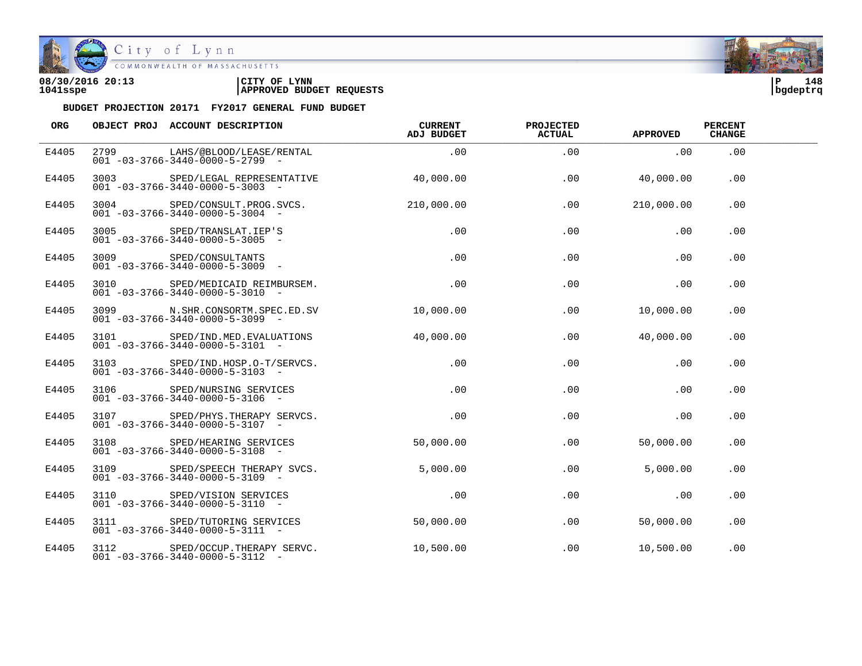

| 08/30/2016 20:13 | CITY OF<br><b>LYNN</b>          | l P      | 148 |
|------------------|---------------------------------|----------|-----|
| 1041sspe         | <b>APPROVED BUDGET REQUESTS</b> | bgdeptrq |     |

| ORG   |                 | OBJECT PROJ ACCOUNT DESCRIPTION                                                     | CURRENT<br>ADJ BUDGET | <b>PROJECTED</b><br>ACTUAL | <b>APPROVED</b> | <b>PERCENT</b><br><b>CHANGE</b> |  |
|-------|-----------------|-------------------------------------------------------------------------------------|-----------------------|----------------------------|-----------------|---------------------------------|--|
| E4405 |                 | 2799 LAHS/@BLOOD/LEASE/RENTAL<br>$001 - 03 - 3766 - 3440 - 0000 - 5 - 2799$ -       | .00                   | .00                        | .00             | .00                             |  |
| E4405 | 3003 and $\sim$ | SPED/LEGAL REPRESENTATIVE 40.000.00<br>$001 - 03 - 3766 - 3440 - 0000 - 5 - 3003$ - |                       | .00                        | 40,000.00       | .00                             |  |
| E4405 |                 | 3004 SPED/CONSULT.PROG.SVCS.<br>$001 - 03 - 3766 - 3440 - 0000 - 5 - 3004 -$        | 210,000.00            | .00                        | 210,000.00      | .00                             |  |
| E4405 |                 | 3005 SPED/TRANSLAT. IEP'S<br>$001 - 03 - 3766 - 3440 - 0000 - 5 - 3005$ -           | .00                   | .00                        | .00             | .00                             |  |
| E4405 |                 | 3009 SPED/CONSULTANTS<br>$001 - 03 - 3766 - 3440 - 0000 - 5 - 3009$ -               | .00                   | .00                        | .00             | .00                             |  |
| E4405 | 3010            | SPED/MEDICAID REIMBURSEM.<br>$001 - 03 - 3766 - 3440 - 0000 - 5 - 3010 -$           | .00                   | .00                        | .00             | .00                             |  |
| E4405 |                 | 3099 N.SHR.CONSORTM.SPEC.ED.SV<br>$001 - 03 - 3766 - 3440 - 0000 - 5 - 3099$ -      | 10,000.00             | .00                        | 10,000.00       | .00                             |  |
| E4405 |                 | 3101 SPED/IND.MED.EVALUATIONS<br>$001 - 03 - 3766 - 3440 - 0000 - 5 - 3101 -$       | 40.000.00             | .00                        | 40,000.00       | .00.                            |  |
| E4405 |                 | 3103 SPED/IND.HOSP.O-T/SERVCS.<br>$001 - 03 - 3766 - 3440 - 0000 - 5 - 3103 -$      | .00                   | .00                        | .00             | .00                             |  |
| E4405 |                 | 3106 SPED/NURSING SERVICES<br>$001 - 03 - 3766 - 3440 - 0000 - 5 - 3106 -$          | .00                   | .00                        | .00             | .00                             |  |
| E4405 |                 | 3107 SPED/PHYS.THERAPY SERVCS.<br>$001 - 03 - 3766 - 3440 - 0000 - 5 - 3107$ -      | .00                   | .00                        | .00             | .00                             |  |
| E4405 |                 | 3108 SPED/HEARING SERVICES<br>$001 - 03 - 3766 - 3440 - 0000 - 5 - 3108$ -          | 50,000.00             | .00                        | 50,000.00       | .00                             |  |
| E4405 |                 | 3109 SPED/SPEECH THERAPY SVCS.<br>$001 - 03 - 3766 - 3440 - 0000 - 5 - 3109$ -      | 5,000.00              | .00.                       | 5.000.00        | .00                             |  |
| E4405 |                 | 3110 SPED/VISION SERVICES<br>$001 - 03 - 3766 - 3440 - 0000 - 5 - 3110 -$           | .00                   | .00                        | .00             | .00                             |  |
| E4405 |                 | 3111 SPED/TUTORING SERVICES<br>$001 - 03 - 3766 - 3440 - 0000 - 5 - 3111 -$         | 50,000.00             | .00                        | 50,000.00       | .00                             |  |
| E4405 |                 | 3112 SPED/OCCUP.THERAPY SERVC.<br>$001 - 03 - 3766 - 3440 - 0000 - 5 - 3112 -$      | 10,500.00             | .00                        | 10,500.00       | .00                             |  |

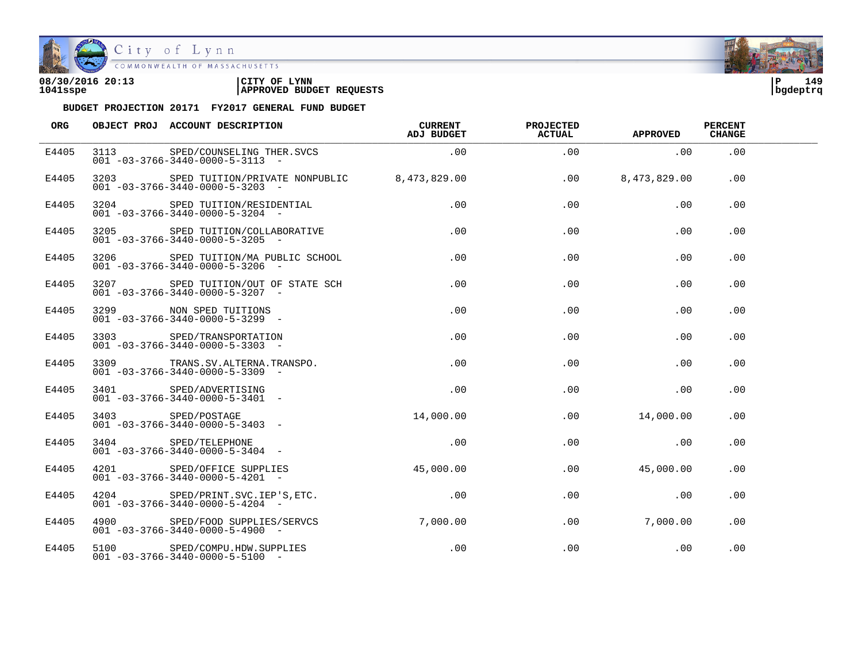

| 08/30/2016 20:13 | 'CITY OF<br><b>LYNN</b>         | i P      | 149 |
|------------------|---------------------------------|----------|-----|
| 1041sspe         | <b>APPROVED BUDGET REQUESTS</b> | bgdeptrq |     |

| ORG   |                 | OBJECT PROJ ACCOUNT DESCRIPTION                                                                  | CURRENT<br>ADJ BUDGET | <b>PROJECTED</b><br><b>ACTUAL</b> | <b>APPROVED</b> | <b>PERCENT</b><br><b>CHANGE</b> |  |
|-------|-----------------|--------------------------------------------------------------------------------------------------|-----------------------|-----------------------------------|-----------------|---------------------------------|--|
| E4405 |                 | 3113 SPED/COUNSELING THER.SVCS<br>$001 - 03 - 3766 - 3440 - 0000 - 5 - 3113 -$                   | .00                   | .00                               | .00             | .00                             |  |
| E4405 |                 | 3203 SPED TUITION/PRIVATE NONPUBLIC 8,473,829.00<br>$001 - 03 - 3766 - 3440 - 0000 - 5 - 3203$ - |                       | .00                               | 8,473,829.00    | .00                             |  |
| E4405 |                 | 3204 SPED TUITION/RESIDENTIAL<br>$001 - 03 - 3766 - 3440 - 0000 - 5 - 3204 -$                    | .00                   | .00                               | .00             | .00                             |  |
| E4405 |                 | 3205 SPED TUITION/COLLABORATIVE<br>$001 - 03 - 3766 - 3440 - 0000 - 5 - 3205$ -                  | $\overline{00}$       | .00                               | .00             | .00                             |  |
| E4405 |                 | 3206 SPED TUITION/MA PUBLIC SCHOOL<br>$001 - 03 - 3766 - 3440 - 0000 - 5 - 3206$ -               | .00                   | .00                               | .00             | .00                             |  |
| E4405 | 3207 and $\sim$ | SPED TUITION/OUT OF STATE SCH<br>$001 - 03 - 3766 - 3440 - 0000 - 5 - 3207 -$                    | .00                   | .00                               | .00             | .00                             |  |
| E4405 |                 | 3299 NON SPED TUITIONS<br>$001 - 03 - 3766 - 3440 - 0000 - 5 - 3299$ -                           | .00                   | .00                               | .00             | .00                             |  |
| E4405 |                 | 3303 SPED/TRANSPORTATION<br>$001 - 03 - 3766 - 3440 - 0000 - 5 - 3303$ -                         | .00                   | .00                               | .00             | .00.                            |  |
| E4405 |                 | 3309 TRANS. SV. ALTERNA. TRANSPO.<br>$001 - 03 - 3766 - 3440 - 0000 - 5 - 3309$ -                | .00                   | .00                               | .00             | .00                             |  |
| E4405 |                 | 3401 SPED/ADVERTISING<br>$001 - 03 - 3766 - 3440 - 0000 - 5 - 3401 -$                            | .00                   | .00                               | .00             | .00                             |  |
| E4405 |                 | 3403 SPED/POSTAGE<br>$001 - 03 - 3766 - 3440 - 0000 - 5 - 3403$ -                                | 14,000.00             | .00                               | 14,000.00       | .00                             |  |
| E4405 |                 | 3404 SPED/TELEPHONE<br>$001 - 03 - 3766 - 3440 - 0000 - 5 - 3404 -$                              | .00                   | .00                               | $\sim$ .00      | .00                             |  |
| E4405 |                 | 4201 SPED/OFFICE SUPPLIES<br>$001 - 03 - 3766 - 3440 - 0000 - 5 - 4201 -$                        | 45,000.00             | .00                               | 45,000.00       | .00.                            |  |
| E4405 |                 | 4204 SPED/PRINT.SVC.IEP'S, ETC.<br>$001 - 03 - 3766 - 3440 - 0000 - 5 - 4204 -$                  | .00                   | .00                               | .00             | .00.                            |  |
| E4405 |                 | 4900 SPED/FOOD SUPPLIES/SERVCS 7,000.00<br>$001 - 03 - 3766 - 3440 - 0000 - 5 - 4900 -$          |                       | .00                               | 7,000,00        | .00                             |  |
| E4405 |                 | 5100 SPED/COMPU.HDW.SUPPLIES<br>$001 - 03 - 3766 - 3440 - 0000 - 5 - 5100 -$                     | $.00 \,$              | $.00 \,$                          | .00             | .00                             |  |

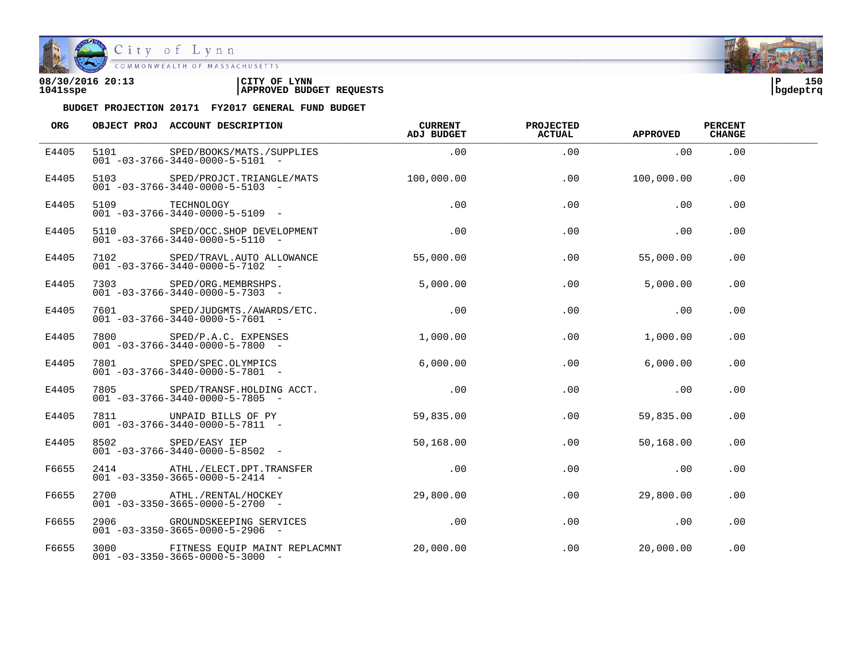

City of Lynn COMMONWEALTH OF MASSACHUSETTS

## **08/30/2016 20:13 |CITY OF LYNN |P 150 1041sspe |APPROVED BUDGET REQUESTS |bgdeptrq**



| ORG   | OBJECT PROJ ACCOUNT DESCRIPTION                                                                          | CURRENT<br>ADJ BUDGET | <b>PROJECTED</b><br><b>ACTUAL</b> | <b>APPROVED</b> | <b>PERCENT</b><br><b>CHANGE</b> |  |
|-------|----------------------------------------------------------------------------------------------------------|-----------------------|-----------------------------------|-----------------|---------------------------------|--|
| E4405 | 5101 SPED/BOOKS/MATS./SUPPLIES .00<br>$001 - 03 - 3766 - 3440 - 0000 - 5 - 5101 -$                       |                       | .00                               | $\sim$ 00       | .00                             |  |
| E4405 | 5103 SPED/PROJCT.TRIANGLE/MATS 100.000.00<br>$001 - 03 - 3766 - 3440 - 0000 - 5 - 5103 -$                |                       | .00                               | 100,000,00      | .00                             |  |
| E4405 | 5109 TECHNOLOGY<br>5109 TECHNOLOGY<br>001 -03-3766-3440-0000-5-5109 -                                    | .00                   | .00                               | .00             | .00                             |  |
| E4405 | 5110 SPED/OCC.SHOP DEVELOPMENT<br>$001 - 03 - 3766 - 3440 - 0000 - 5 - 5110 -$                           | $\sim$ 00             | .00                               | $\sim$ 00       | .00                             |  |
| E4405 | 7102 SPED/TRAVL.AUTO ALLOWANCE<br>$001 - 03 - 3766 - 3440 - 0000 - 5 - 7102 -$                           | 55,000.00             | .00                               | 55,000.00       | .00.                            |  |
| E4405 | 7303 SPED/ORG.MEMBRSHPS.<br>$001 - 03 - 3766 - 3440 - 0000 - 5 - 7303 -$                                 | 5,000.00              | .00                               | 5.000.00        | .00                             |  |
| E4405 | 7601 SPED/JUDGMTS./AWARDS/ETC.<br>$001 - 03 - 3766 - 3440 - 0000 - 5 - 7601 -$                           | .00                   | .00                               | .00             | .00                             |  |
| E4405 | 7800 SPED/P.A.C. EXPENSES<br>$001 - 03 - 3766 - 3440 - 0000 - 5 - 7800$ -                                | 1,000.00              | .00                               | 1,000.00        | .00                             |  |
| E4405 | 7801 SPED/SPEC.OLYMPICS<br>001 -03-3766-3440-0000-5-7801<br>$001 - 03 - 3766 - 3440 - 0000 - 5 - 7801 -$ | 6.000.00              | .00                               | 6.000.00        | .00                             |  |
| E4405 | 7805 SPED/TRANSF.HOLDING ACCT.<br>$001 - 03 - 3766 - 3440 - 0000 - 5 - 7805$ -                           | .00                   | $.00 \,$                          | $\sim$ 00       | .00                             |  |
| E4405 | 7811 UNPAID BILLS OF PY<br>$001 - 03 - 3766 - 3440 - 0000 - 5 - 7811 -$                                  | 59,835.00             | .00                               | 59,835.00       | .00                             |  |
| E4405 | 8502 SPED/EASY IEP<br>$001 - 03 - 3766 - 3440 - 0000 - 5 - 8502 -$                                       | 50,168.00             | $.00 \,$                          | 50,168.00       | .00                             |  |
| F6655 | 2414 ATHL./ELECT.DPT.TRANSFER<br>$001 - 03 - 3350 - 3665 - 0000 - 5 - 2414 -$                            | .00                   | .00                               | .00             | .00                             |  |
| F6655 | 2700 ATHL./RENTAL/HOCKEY<br>$001 - 03 - 3350 - 3665 - 0000 - 5 - 2700 -$                                 | 29,800.00             | .00                               | 29,800.00       | .00.                            |  |
| F6655 | 2906 GROUNDSKEEPING SERVICES<br>$001 - 03 - 3350 - 3665 - 0000 - 5 - 2906$ -                             | $\sim$ 00             | .00                               | .00             | .00                             |  |
| F6655 | 3000 FITNESS EQUIP MAINT REPLACMNT 20,000.00<br>$001 - 03 - 3350 - 3665 - 0000 - 5 - 3000 -$             |                       | .00                               | 20,000.00       | .00                             |  |